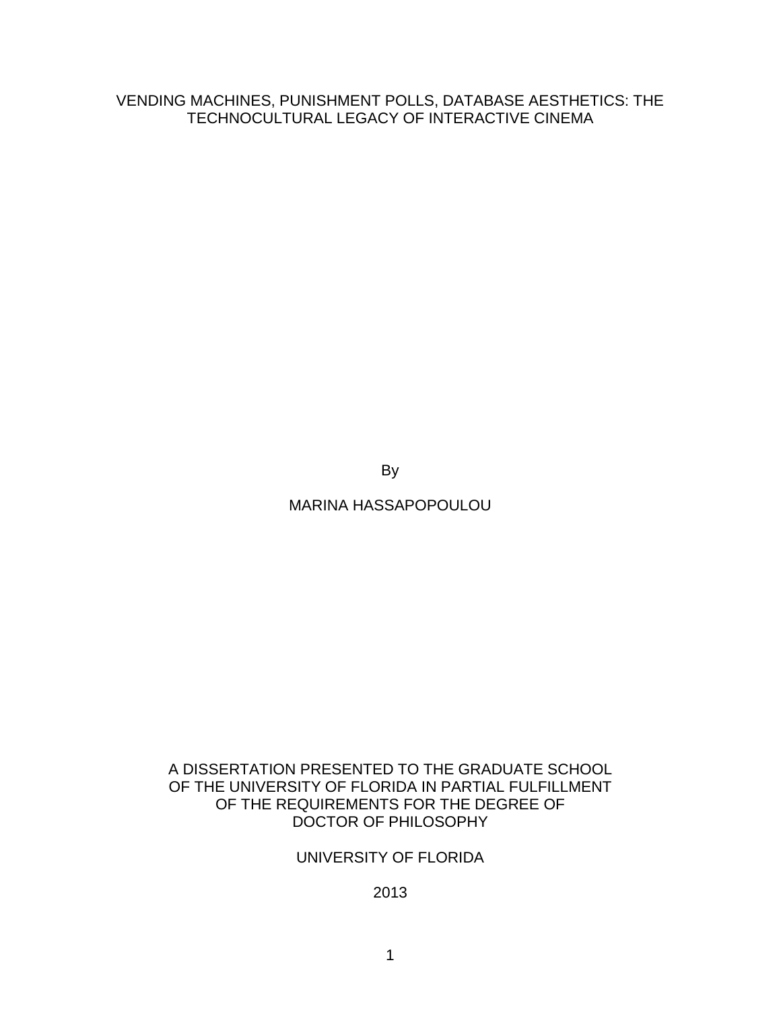VENDING MACHINES, PUNISHMENT POLLS, DATABASE AESTHETICS: THE TECHNOCULTURAL LEGACY OF INTERACTIVE CINEMA

By

MARINA HASSAPOPOULOU

## A DISSERTATION PRESENTED TO THE GRADUATE SCHOOL OF THE UNIVERSITY OF FLORIDA IN PARTIAL FULFILLMENT OF THE REQUIREMENTS FOR THE DEGREE OF DOCTOR OF PHILOSOPHY

# UNIVERSITY OF FLORIDA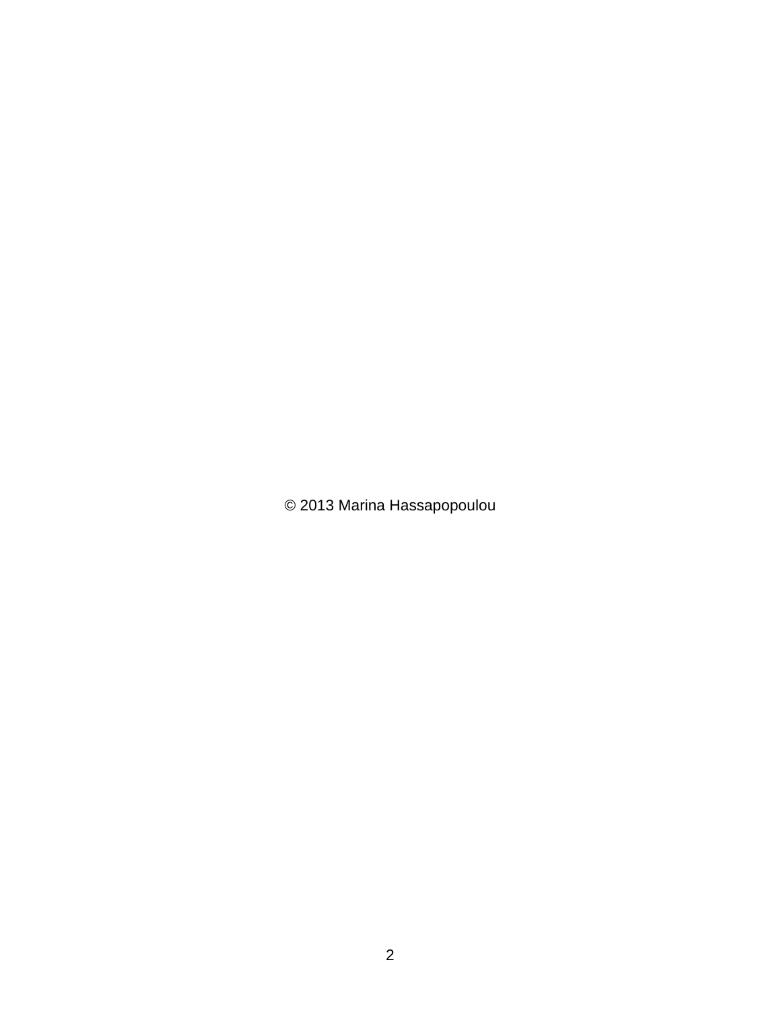© 2013 Marina Hassapopoulou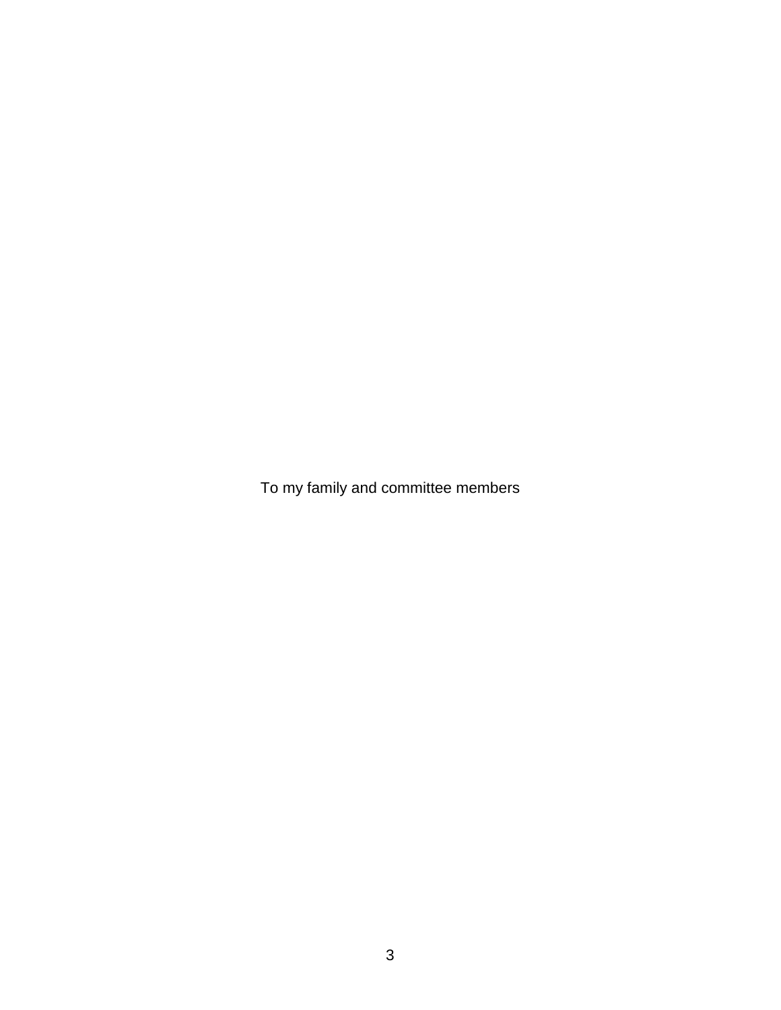To my family and committee members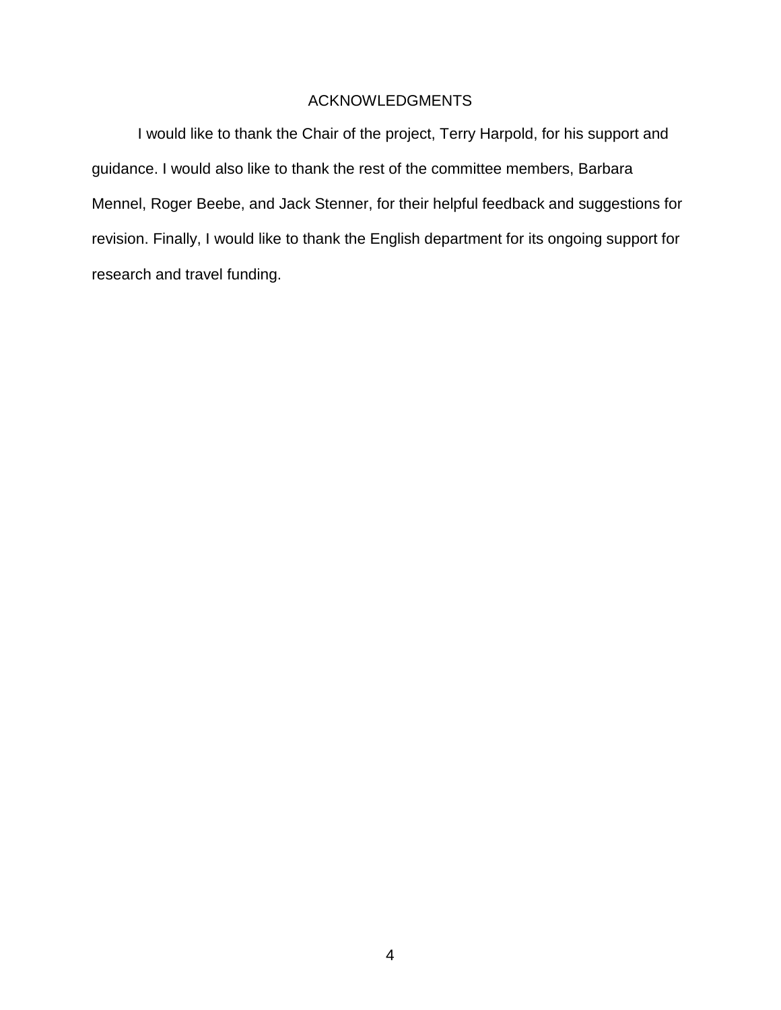## ACKNOWLEDGMENTS

<span id="page-3-0"></span>I would like to thank the Chair of the project, Terry Harpold, for his support and guidance. I would also like to thank the rest of the committee members, Barbara Mennel, Roger Beebe, and Jack Stenner, for their helpful feedback and suggestions for revision. Finally, I would like to thank the English department for its ongoing support for research and travel funding.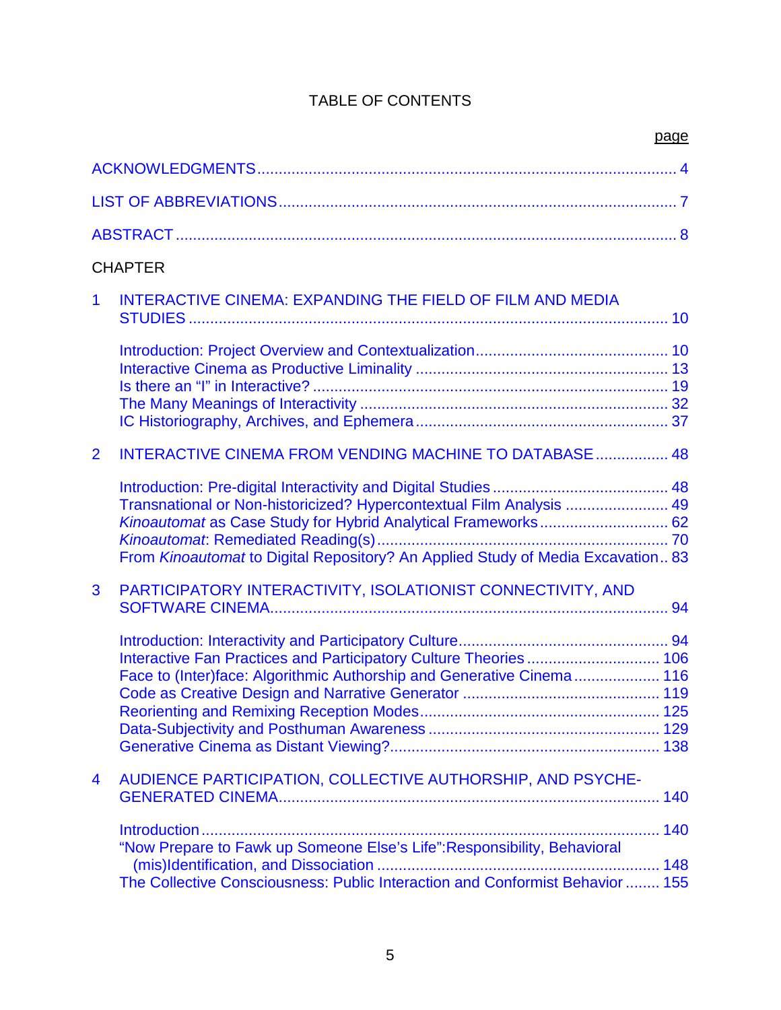# TABLE OF CONTENTS

|                | <b>CHAPTER</b>                                                                                                                                                                                                           |        |
|----------------|--------------------------------------------------------------------------------------------------------------------------------------------------------------------------------------------------------------------------|--------|
| 1              | <b>INTERACTIVE CINEMA: EXPANDING THE FIELD OF FILM AND MEDIA</b>                                                                                                                                                         |        |
|                |                                                                                                                                                                                                                          |        |
| $\overline{2}$ | <b>INTERACTIVE CINEMA FROM VENDING MACHINE TO DATABASE  48</b>                                                                                                                                                           |        |
|                | Transnational or Non-historicized? Hypercontextual Film Analysis  49<br>Kinoautomat as Case Study for Hybrid Analytical Frameworks 62<br>From Kinoautomat to Digital Repository? An Applied Study of Media Excavation 83 |        |
| 3              | PARTICIPATORY INTERACTIVITY, ISOLATIONIST CONNECTIVITY, AND                                                                                                                                                              |        |
|                | Interactive Fan Practices and Participatory Culture Theories  106<br>Face to (Inter)face: Algorithmic Authorship and Generative Cinema 116                                                                               |        |
| 4              | AUDIENCE PARTICIPATION, COLLECTIVE AUTHORSHIP, AND PSYCHE-                                                                                                                                                               |        |
|                | "Now Prepare to Fawk up Someone Else's Life": Responsibility, Behavioral<br>The Collective Consciousness: Public Interaction and Conformist Behavior  155                                                                | …… 148 |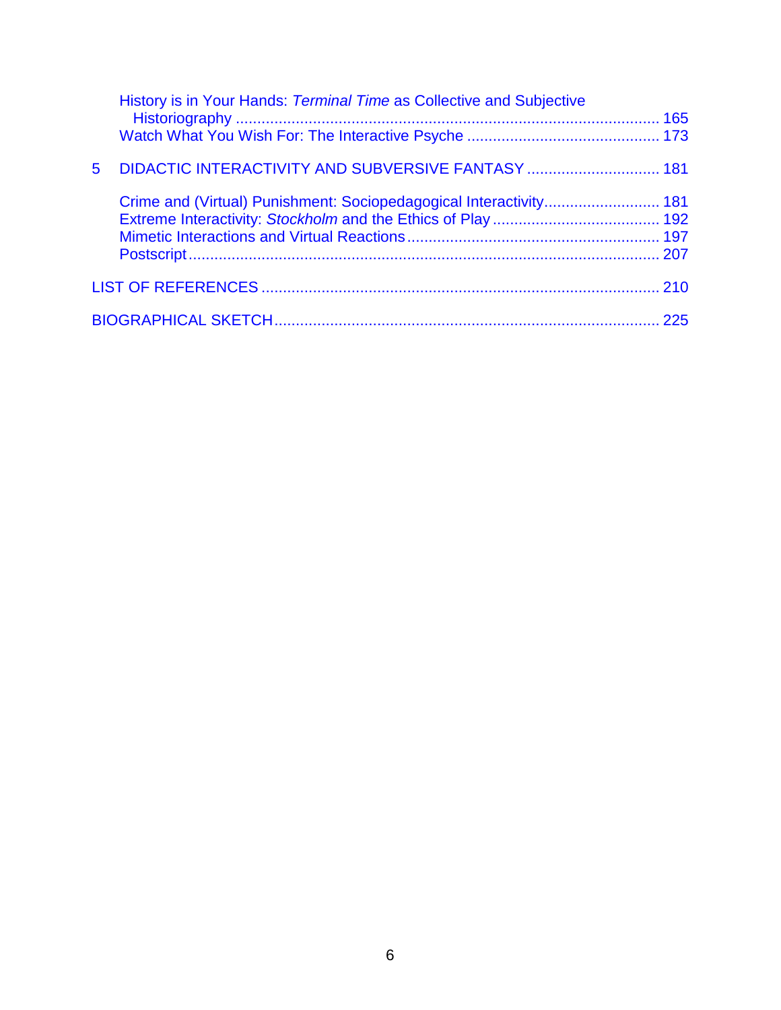|             | History is in Your Hands: Terminal Time as Collective and Subjective |  |
|-------------|----------------------------------------------------------------------|--|
|             |                                                                      |  |
| $5^{\circ}$ | DIDACTIC INTERACTIVITY AND SUBVERSIVE FANTASY  181                   |  |
|             | Crime and (Virtual) Punishment: Sociopedagogical Interactivity 181   |  |
|             |                                                                      |  |
|             |                                                                      |  |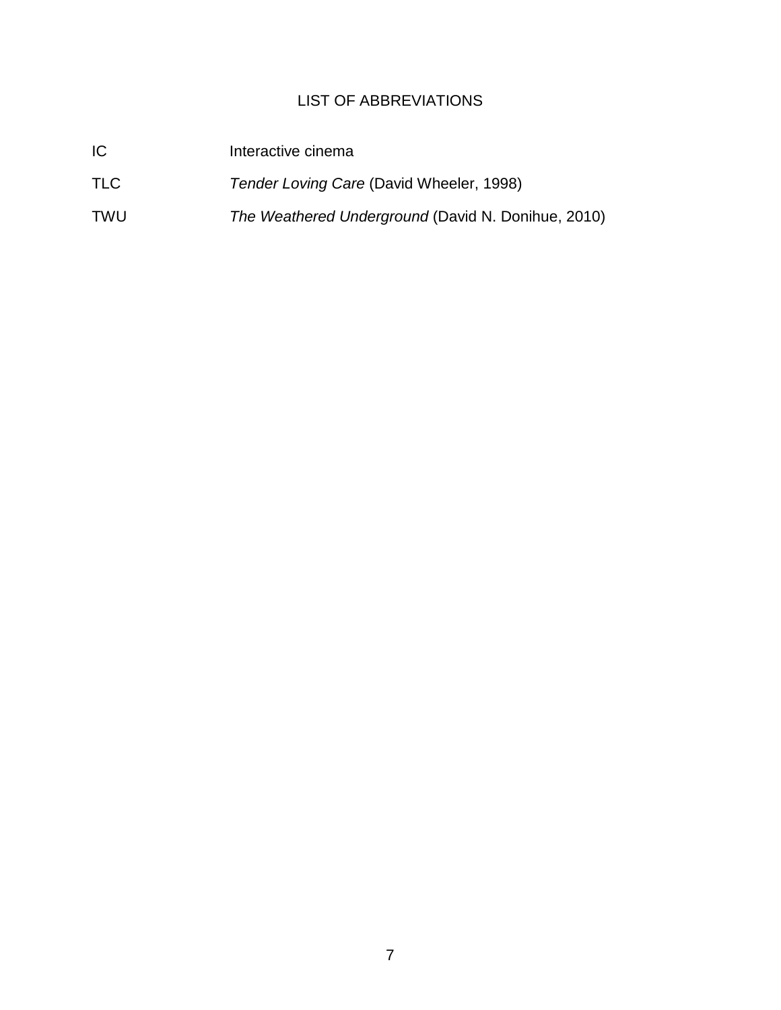# LIST OF ABBREVIATIONS

<span id="page-6-0"></span>

| IC         | Interactive cinema                                 |
|------------|----------------------------------------------------|
| <b>TLC</b> | Tender Loving Care (David Wheeler, 1998)           |
| <b>TWU</b> | The Weathered Underground (David N. Donihue, 2010) |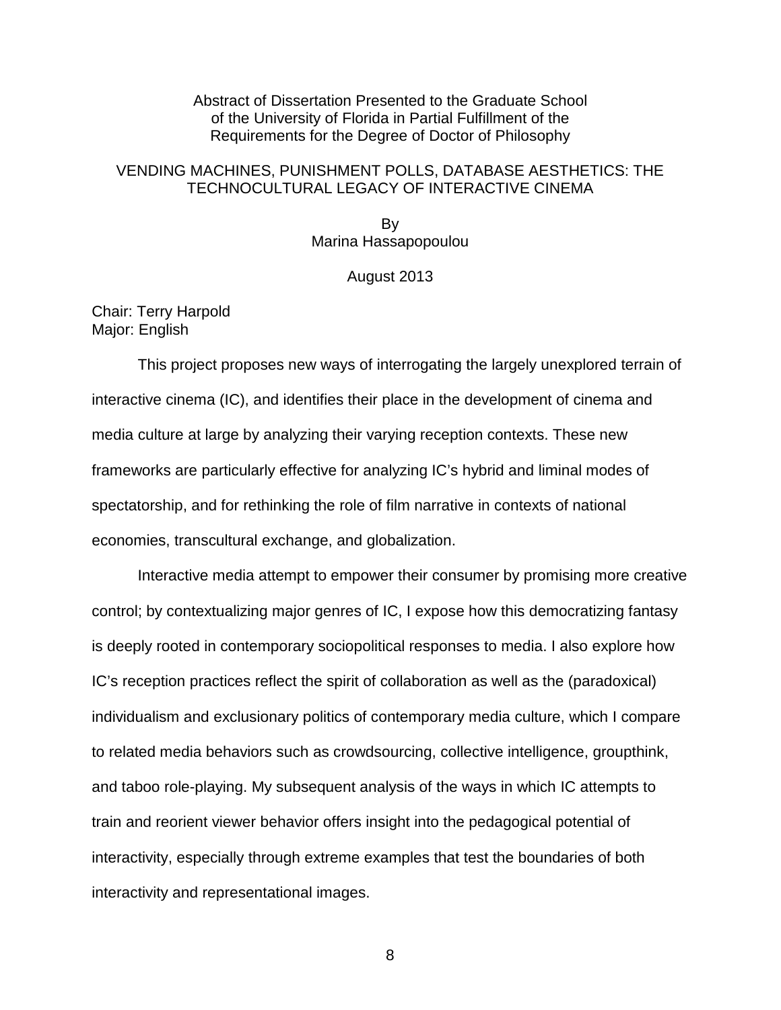Abstract of Dissertation Presented to the Graduate School of the University of Florida in Partial Fulfillment of the Requirements for the Degree of Doctor of Philosophy

### VENDING MACHINES, PUNISHMENT POLLS, DATABASE AESTHETICS: THE TECHNOCULTURAL LEGACY OF INTERACTIVE CINEMA

<span id="page-7-0"></span>By Marina Hassapopoulou

#### August 2013

#### Chair: Terry Harpold Major: English

This project proposes new ways of interrogating the largely unexplored terrain of interactive cinema (IC), and identifies their place in the development of cinema and media culture at large by analyzing their varying reception contexts. These new frameworks are particularly effective for analyzing IC's hybrid and liminal modes of spectatorship, and for rethinking the role of film narrative in contexts of national economies, transcultural exchange, and globalization.

Interactive media attempt to empower their consumer by promising more creative control; by contextualizing major genres of IC, I expose how this democratizing fantasy is deeply rooted in contemporary sociopolitical responses to media. I also explore how IC's reception practices reflect the spirit of collaboration as well as the (paradoxical) individualism and exclusionary politics of contemporary media culture, which I compare to related media behaviors such as crowdsourcing, collective intelligence, groupthink, and taboo role-playing. My subsequent analysis of the ways in which IC attempts to train and reorient viewer behavior offers insight into the pedagogical potential of interactivity, especially through extreme examples that test the boundaries of both interactivity and representational images.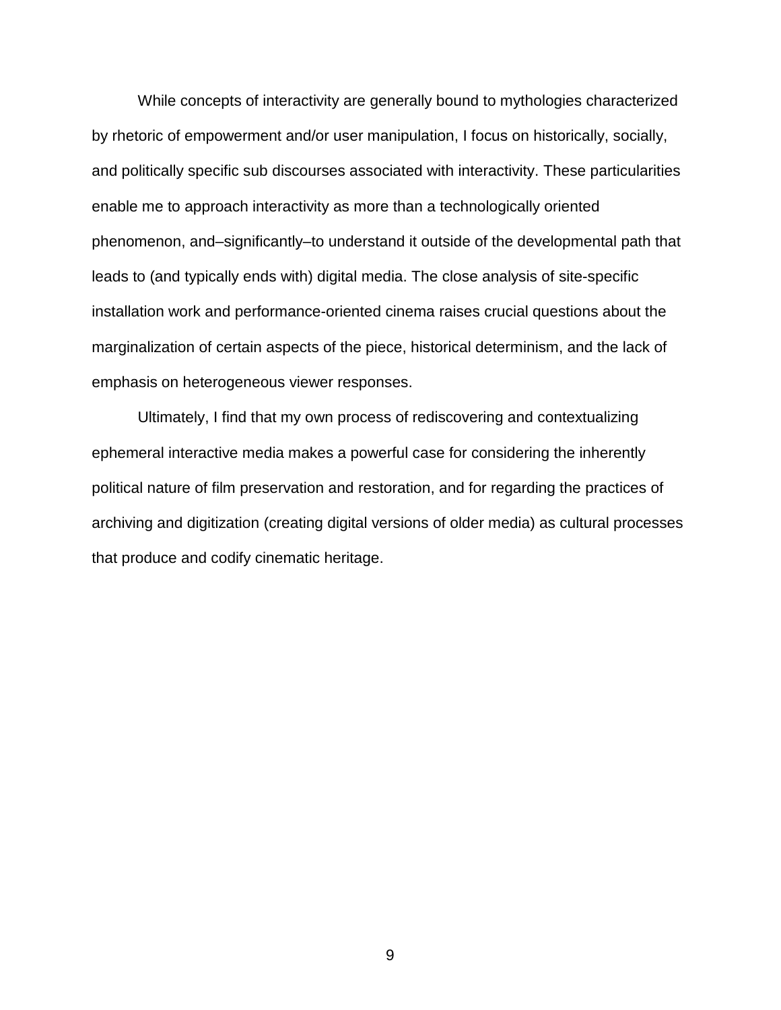While concepts of interactivity are generally bound to mythologies characterized by rhetoric of empowerment and/or user manipulation, I focus on historically, socially, and politically specific sub discourses associated with interactivity. These particularities enable me to approach interactivity as more than a technologically oriented phenomenon, and–significantly–to understand it outside of the developmental path that leads to (and typically ends with) digital media. The close analysis of site-specific installation work and performance-oriented cinema raises crucial questions about the marginalization of certain aspects of the piece, historical determinism, and the lack of emphasis on heterogeneous viewer responses.

Ultimately, I find that my own process of rediscovering and contextualizing ephemeral interactive media makes a powerful case for considering the inherently political nature of film preservation and restoration, and for regarding the practices of archiving and digitization (creating digital versions of older media) as cultural processes that produce and codify cinematic heritage.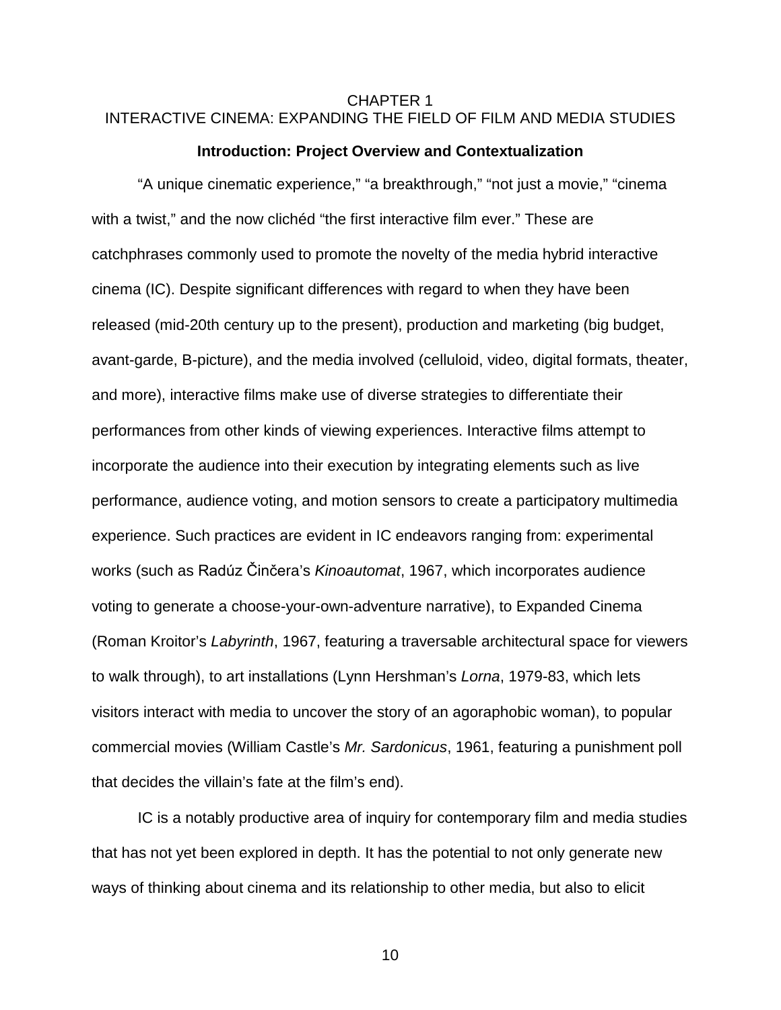### <span id="page-9-0"></span>CHAPTER 1 INTERACTIVE CINEMA: EXPANDING THE FIELD OF FILM AND MEDIA STUDIES

#### **Introduction: Project Overview and Contextualization**

<span id="page-9-1"></span>"A unique cinematic experience," "a breakthrough," "not just a movie," "cinema with a twist," and the now clichéd "the first interactive film ever." These are catchphrases commonly used to promote the novelty of the media hybrid interactive cinema (IC). Despite significant differences with regard to when they have been released (mid-20th century up to the present), production and marketing (big budget, avant-garde, B-picture), and the media involved (celluloid, video, digital formats, theater, and more), interactive films make use of diverse strategies to differentiate their performances from other kinds of viewing experiences. Interactive films attempt to incorporate the audience into their execution by integrating elements such as live performance, audience voting, and motion sensors to create a participatory multimedia experience. Such practices are evident in IC endeavors ranging from: experimental works (such as Radúz Činčera's *Kinoautomat*, 1967, which incorporates audience voting to generate a choose-your-own-adventure narrative), to Expanded Cinema (Roman Kroitor's *Labyrinth*, 1967, featuring a traversable architectural space for viewers to walk through), to art installations (Lynn Hershman's *Lorna*, 1979-83, which lets visitors interact with media to uncover the story of an agoraphobic woman), to popular commercial movies (William Castle's *Mr. Sardonicus*, 1961, featuring a punishment poll that decides the villain's fate at the film's end).

IC is a notably productive area of inquiry for contemporary film and media studies that has not yet been explored in depth. It has the potential to not only generate new ways of thinking about cinema and its relationship to other media, but also to elicit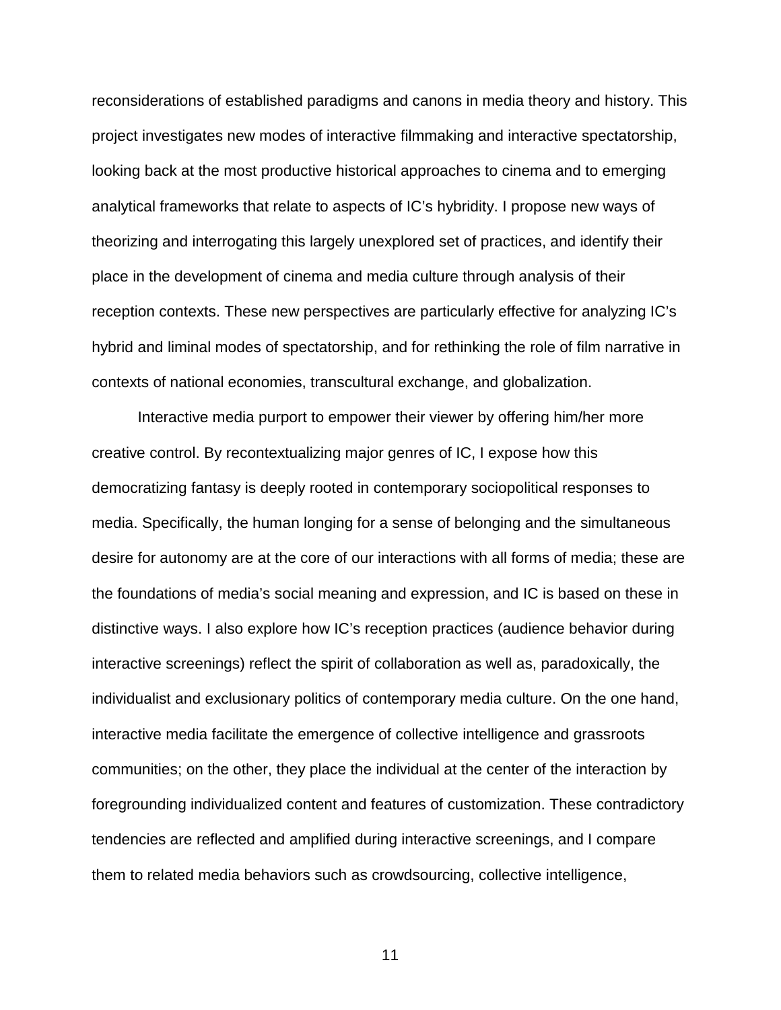reconsiderations of established paradigms and canons in media theory and history. This project investigates new modes of interactive filmmaking and interactive spectatorship, looking back at the most productive historical approaches to cinema and to emerging analytical frameworks that relate to aspects of IC's hybridity. I propose new ways of theorizing and interrogating this largely unexplored set of practices, and identify their place in the development of cinema and media culture through analysis of their reception contexts. These new perspectives are particularly effective for analyzing IC's hybrid and liminal modes of spectatorship, and for rethinking the role of film narrative in contexts of national economies, transcultural exchange, and globalization.

Interactive media purport to empower their viewer by offering him/her more creative control. By recontextualizing major genres of IC, I expose how this democratizing fantasy is deeply rooted in contemporary sociopolitical responses to media. Specifically, the human longing for a sense of belonging and the simultaneous desire for autonomy are at the core of our interactions with all forms of media; these are the foundations of media's social meaning and expression, and IC is based on these in distinctive ways. I also explore how IC's reception practices (audience behavior during interactive screenings) reflect the spirit of collaboration as well as, paradoxically, the individualist and exclusionary politics of contemporary media culture. On the one hand, interactive media facilitate the emergence of collective intelligence and grassroots communities; on the other, they place the individual at the center of the interaction by foregrounding individualized content and features of customization. These contradictory tendencies are reflected and amplified during interactive screenings, and I compare them to related media behaviors such as crowdsourcing, collective intelligence,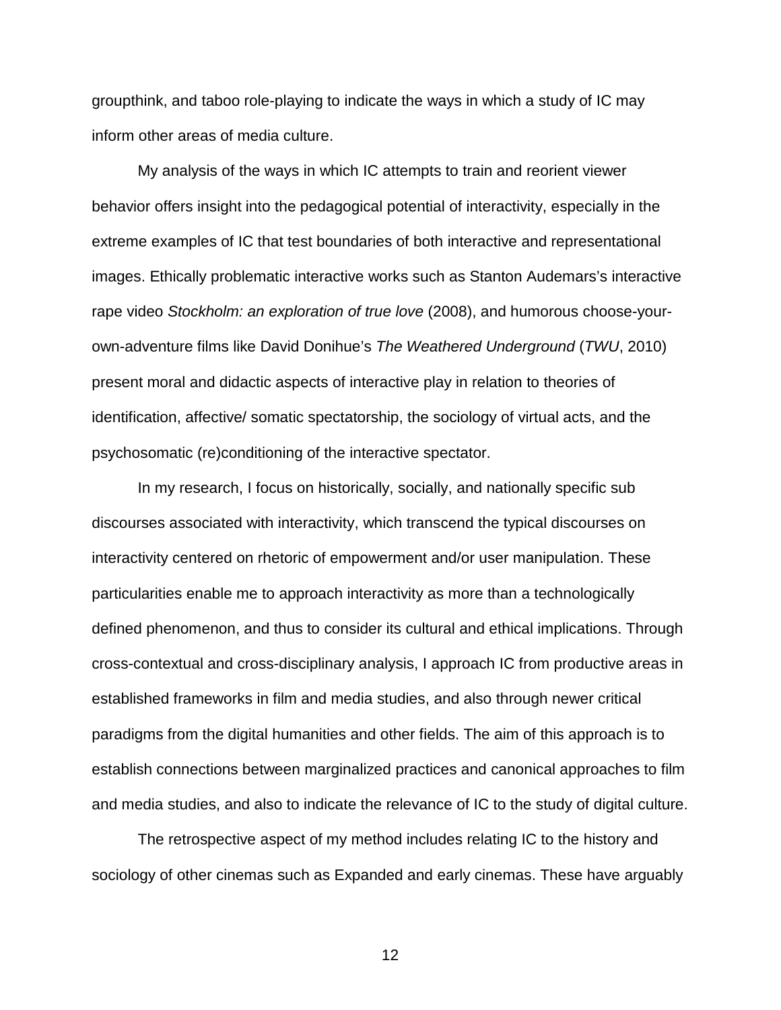groupthink, and taboo role-playing to indicate the ways in which a study of IC may inform other areas of media culture.

My analysis of the ways in which IC attempts to train and reorient viewer behavior offers insight into the pedagogical potential of interactivity, especially in the extreme examples of IC that test boundaries of both interactive and representational images. Ethically problematic interactive works such as Stanton Audemars's interactive rape video *Stockholm: an exploration of true love* (2008), and humorous choose-yourown-adventure films like David Donihue's *The Weathered Underground* (*TWU*, 2010) present moral and didactic aspects of interactive play in relation to theories of identification, affective/ somatic spectatorship, the sociology of virtual acts, and the psychosomatic (re)conditioning of the interactive spectator.

In my research, I focus on historically, socially, and nationally specific sub discourses associated with interactivity, which transcend the typical discourses on interactivity centered on rhetoric of empowerment and/or user manipulation. These particularities enable me to approach interactivity as more than a technologically defined phenomenon, and thus to consider its cultural and ethical implications. Through cross-contextual and cross-disciplinary analysis, I approach IC from productive areas in established frameworks in film and media studies, and also through newer critical paradigms from the digital humanities and other fields. The aim of this approach is to establish connections between marginalized practices and canonical approaches to film and media studies, and also to indicate the relevance of IC to the study of digital culture.

The retrospective aspect of my method includes relating IC to the history and sociology of other cinemas such as Expanded and early cinemas. These have arguably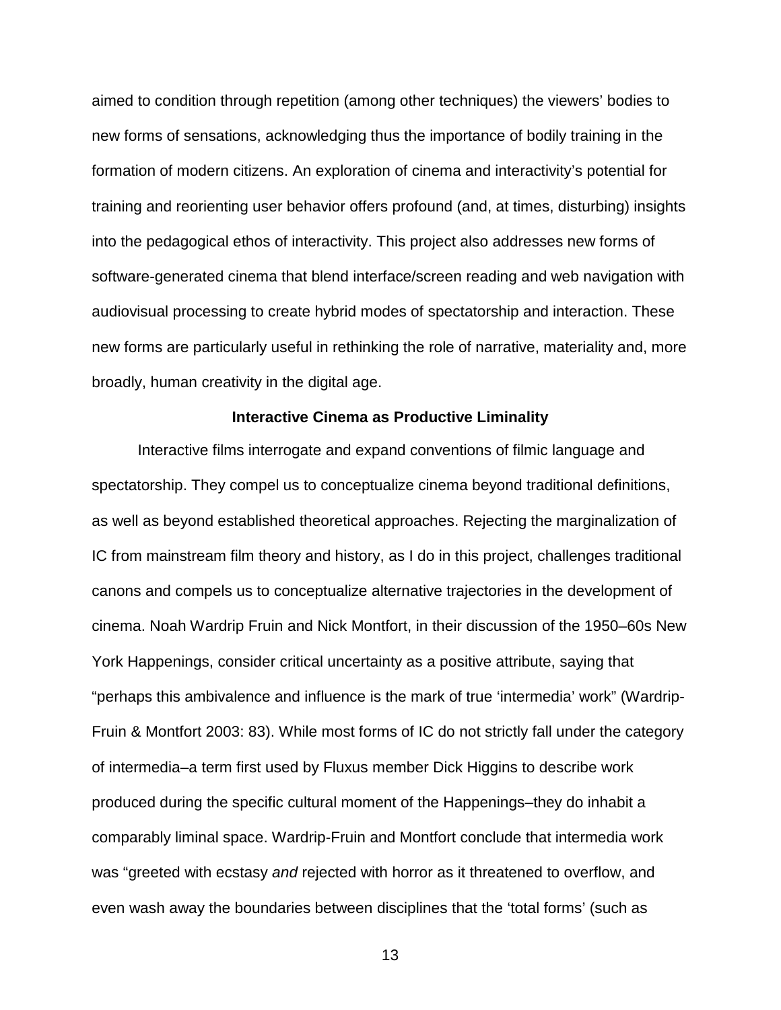aimed to condition through repetition (among other techniques) the viewers' bodies to new forms of sensations, acknowledging thus the importance of bodily training in the formation of modern citizens. An exploration of cinema and interactivity's potential for training and reorienting user behavior offers profound (and, at times, disturbing) insights into the pedagogical ethos of interactivity. This project also addresses new forms of software-generated cinema that blend interface/screen reading and web navigation with audiovisual processing to create hybrid modes of spectatorship and interaction. These new forms are particularly useful in rethinking the role of narrative, materiality and, more broadly, human creativity in the digital age.

#### **Interactive Cinema as Productive Liminality**

<span id="page-12-0"></span>Interactive films interrogate and expand conventions of filmic language and spectatorship. They compel us to conceptualize cinema beyond traditional definitions, as well as beyond established theoretical approaches. Rejecting the marginalization of IC from mainstream film theory and history, as I do in this project, challenges traditional canons and compels us to conceptualize alternative trajectories in the development of cinema. Noah Wardrip Fruin and Nick Montfort, in their discussion of the 1950–60s New York Happenings, consider critical uncertainty as a positive attribute, saying that "perhaps this ambivalence and influence is the mark of true 'intermedia' work" (Wardrip-Fruin & Montfort 2003: 83). While most forms of IC do not strictly fall under the category of intermedia–a term first used by Fluxus member Dick Higgins to describe work produced during the specific cultural moment of the Happenings–they do inhabit a comparably liminal space. Wardrip-Fruin and Montfort conclude that intermedia work was "greeted with ecstasy *and* rejected with horror as it threatened to overflow, and even wash away the boundaries between disciplines that the 'total forms' (such as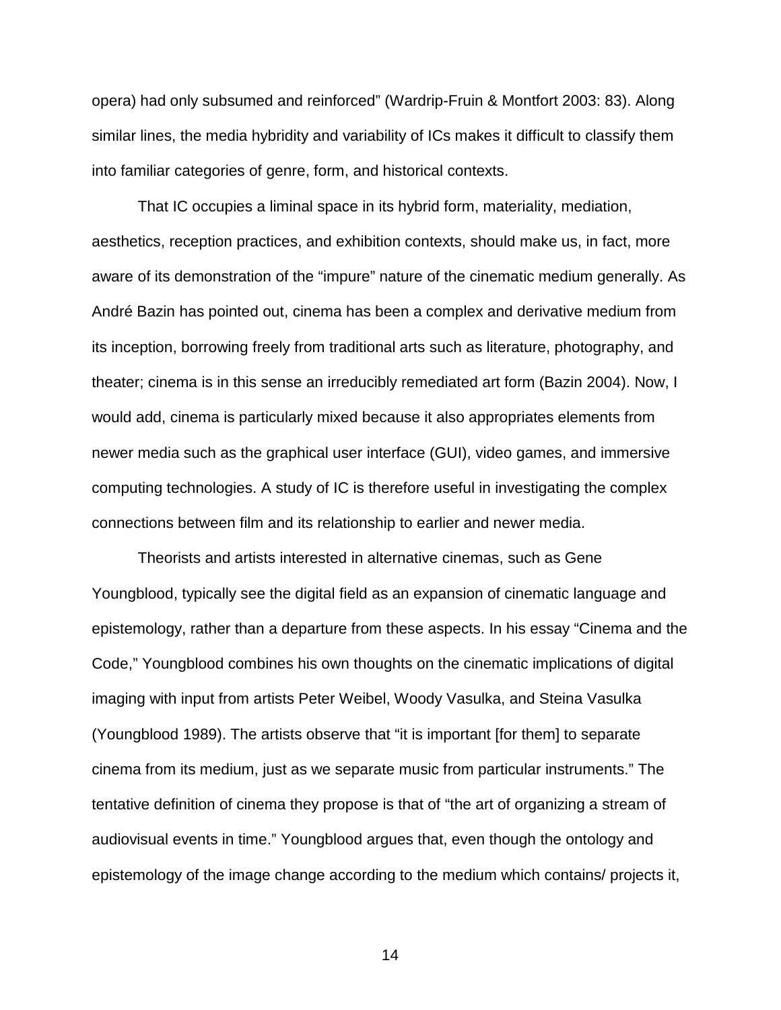opera) had only subsumed and reinforced" (Wardrip-Fruin & Montfort 2003: 83). Along similar lines, the media hybridity and variability of ICs makes it difficult to classify them into familiar categories of genre, form, and historical contexts.

That IC occupies a liminal space in its hybrid form, materiality, mediation, aesthetics, reception practices, and exhibition contexts, should make us, in fact, more aware of its demonstration of the "impure" nature of the cinematic medium generally. As André Bazin has pointed out, cinema has been a complex and derivative medium from its inception, borrowing freely from traditional arts such as literature, photography, and theater; cinema is in this sense an irreducibly remediated art form (Bazin 2004). Now, I would add, cinema is particularly mixed because it also appropriates elements from newer media such as the graphical user interface (GUI), video games, and immersive computing technologies. A study of IC is therefore useful in investigating the complex connections between film and its relationship to earlier and newer media.

Theorists and artists interested in alternative cinemas, such as Gene Youngblood, typically see the digital field as an expansion of cinematic language and epistemology, rather than a departure from these aspects. In his essay "Cinema and the Code," Youngblood combines his own thoughts on the cinematic implications of digital imaging with input from artists Peter Weibel, Woody Vasulka, and Steina Vasulka (Youngblood 1989). The artists observe that "it is important [for them] to separate cinema from its medium, just as we separate music from particular instruments." The tentative definition of cinema they propose is that of "the art of organizing a stream of audiovisual events in time." Youngblood argues that, even though the ontology and epistemology of the image change according to the medium which contains/ projects it,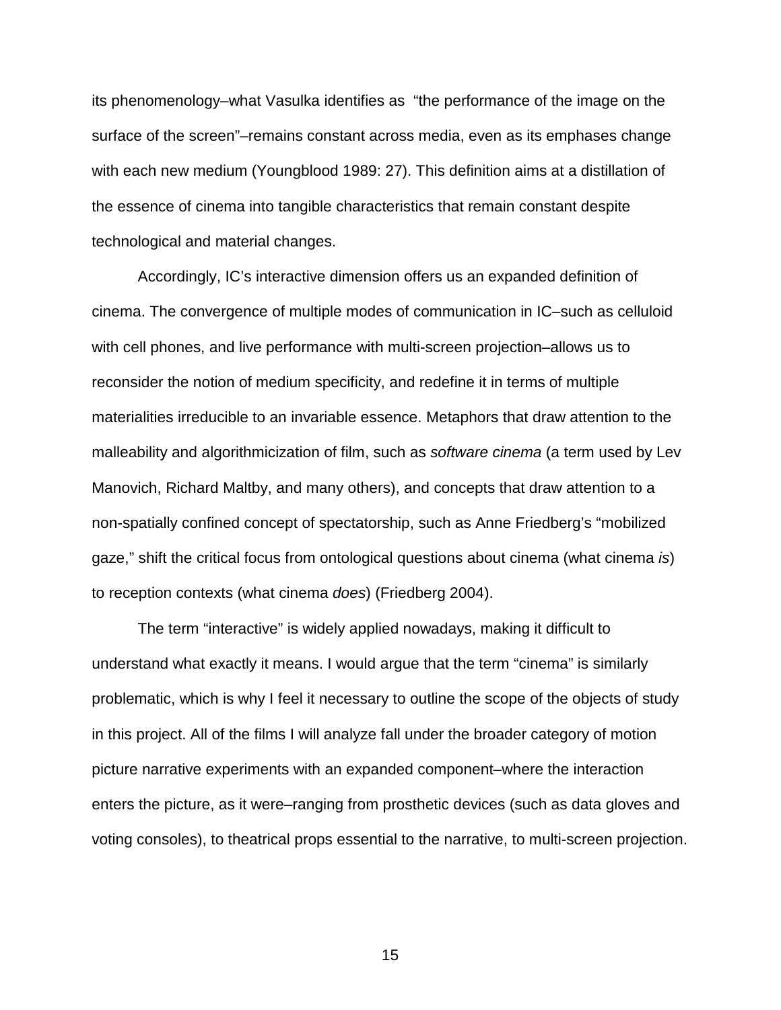its phenomenology–what Vasulka identifies as "the performance of the image on the surface of the screen"–remains constant across media, even as its emphases change with each new medium (Youngblood 1989: 27). This definition aims at a distillation of the essence of cinema into tangible characteristics that remain constant despite technological and material changes.

Accordingly, IC's interactive dimension offers us an expanded definition of cinema. The convergence of multiple modes of communication in IC–such as celluloid with cell phones, and live performance with multi-screen projection–allows us to reconsider the notion of medium specificity, and redefine it in terms of multiple materialities irreducible to an invariable essence. Metaphors that draw attention to the malleability and algorithmicization of film, such as *software cinema* (a term used by Lev Manovich, Richard Maltby, and many others), and concepts that draw attention to a non-spatially confined concept of spectatorship, such as Anne Friedberg's "mobilized gaze," shift the critical focus from ontological questions about cinema (what cinema *is*) to reception contexts (what cinema *does*) (Friedberg 2004).

The term "interactive" is widely applied nowadays, making it difficult to understand what exactly it means. I would argue that the term "cinema" is similarly problematic, which is why I feel it necessary to outline the scope of the objects of study in this project. All of the films I will analyze fall under the broader category of motion picture narrative experiments with an expanded component–where the interaction enters the picture, as it were–ranging from prosthetic devices (such as data gloves and voting consoles), to theatrical props essential to the narrative, to multi-screen projection.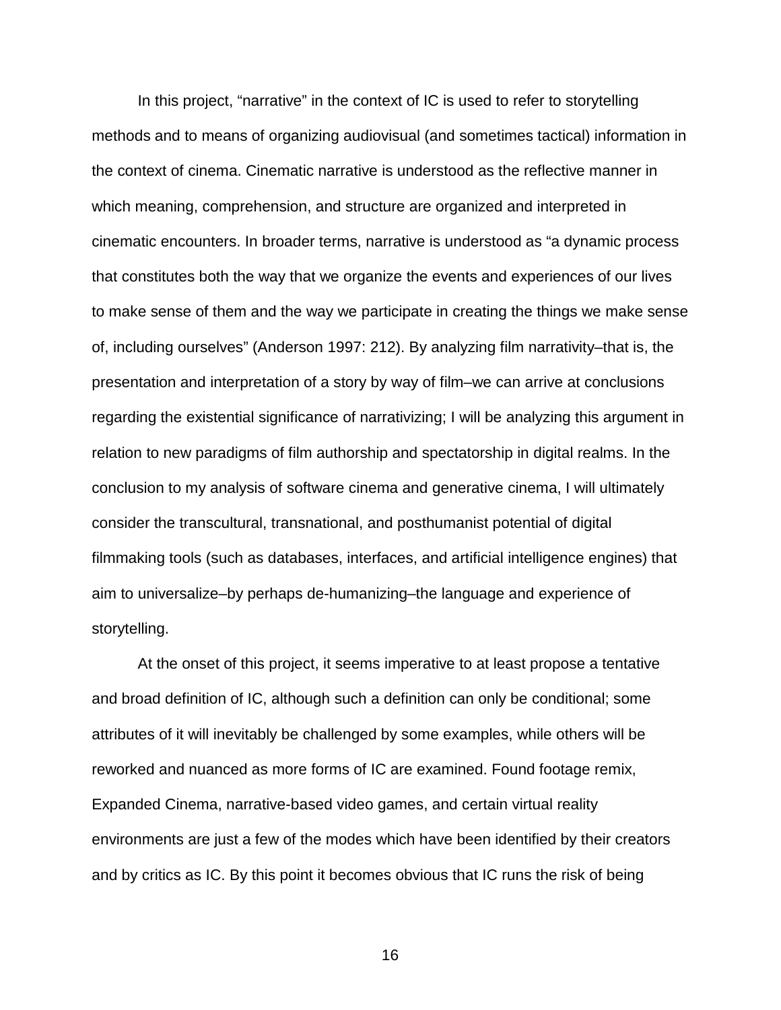In this project, "narrative" in the context of IC is used to refer to storytelling methods and to means of organizing audiovisual (and sometimes tactical) information in the context of cinema. Cinematic narrative is understood as the reflective manner in which meaning, comprehension, and structure are organized and interpreted in cinematic encounters. In broader terms, narrative is understood as "a dynamic process that constitutes both the way that we organize the events and experiences of our lives to make sense of them and the way we participate in creating the things we make sense of, including ourselves" (Anderson 1997: 212). By analyzing film narrativity–that is, the presentation and interpretation of a story by way of film–we can arrive at conclusions regarding the existential significance of narrativizing; I will be analyzing this argument in relation to new paradigms of film authorship and spectatorship in digital realms. In the conclusion to my analysis of software cinema and generative cinema, I will ultimately consider the transcultural, transnational, and posthumanist potential of digital filmmaking tools (such as databases, interfaces, and artificial intelligence engines) that aim to universalize–by perhaps de-humanizing–the language and experience of storytelling.

At the onset of this project, it seems imperative to at least propose a tentative and broad definition of IC, although such a definition can only be conditional; some attributes of it will inevitably be challenged by some examples, while others will be reworked and nuanced as more forms of IC are examined. Found footage remix, Expanded Cinema, narrative-based video games, and certain virtual reality environments are just a few of the modes which have been identified by their creators and by critics as IC. By this point it becomes obvious that IC runs the risk of being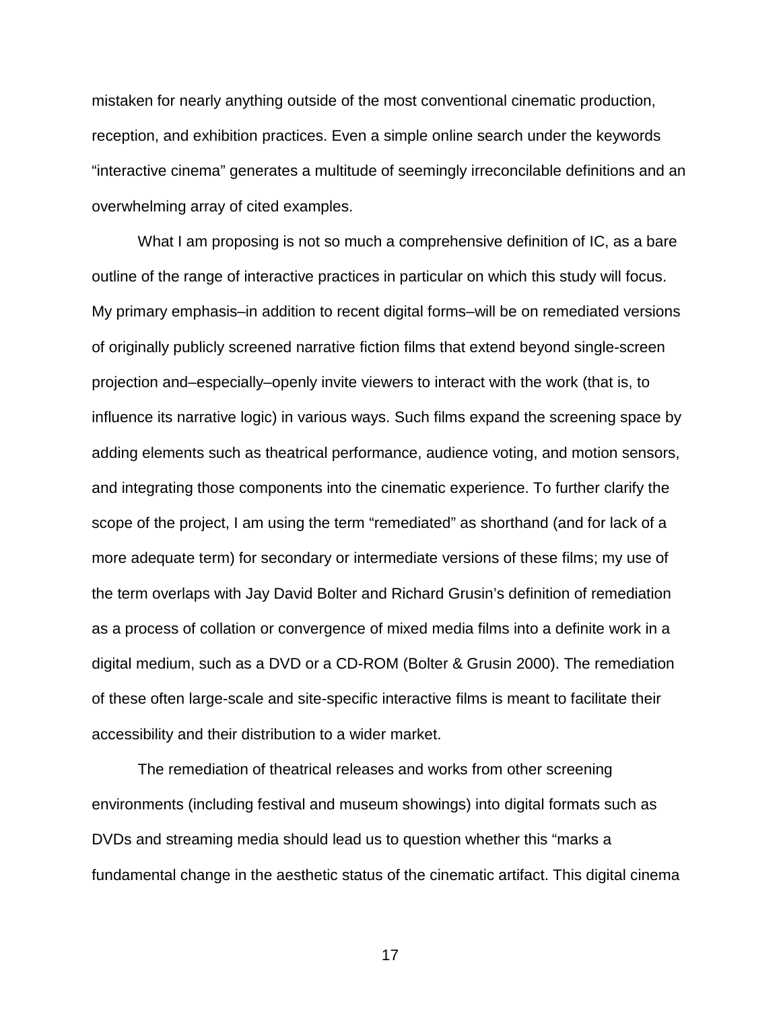mistaken for nearly anything outside of the most conventional cinematic production, reception, and exhibition practices. Even a simple online search under the keywords "interactive cinema" generates a multitude of seemingly irreconcilable definitions and an overwhelming array of cited examples.

What I am proposing is not so much a comprehensive definition of IC, as a bare outline of the range of interactive practices in particular on which this study will focus. My primary emphasis–in addition to recent digital forms–will be on remediated versions of originally publicly screened narrative fiction films that extend beyond single-screen projection and–especially–openly invite viewers to interact with the work (that is, to influence its narrative logic) in various ways. Such films expand the screening space by adding elements such as theatrical performance, audience voting, and motion sensors, and integrating those components into the cinematic experience. To further clarify the scope of the project, I am using the term "remediated" as shorthand (and for lack of a more adequate term) for secondary or intermediate versions of these films; my use of the term overlaps with Jay David Bolter and Richard Grusin's definition of remediation as a process of collation or convergence of mixed media films into a definite work in a digital medium, such as a DVD or a CD-ROM (Bolter & Grusin 2000). The remediation of these often large-scale and site-specific interactive films is meant to facilitate their accessibility and their distribution to a wider market.

The remediation of theatrical releases and works from other screening environments (including festival and museum showings) into digital formats such as DVDs and streaming media should lead us to question whether this "marks a fundamental change in the aesthetic status of the cinematic artifact. This digital cinema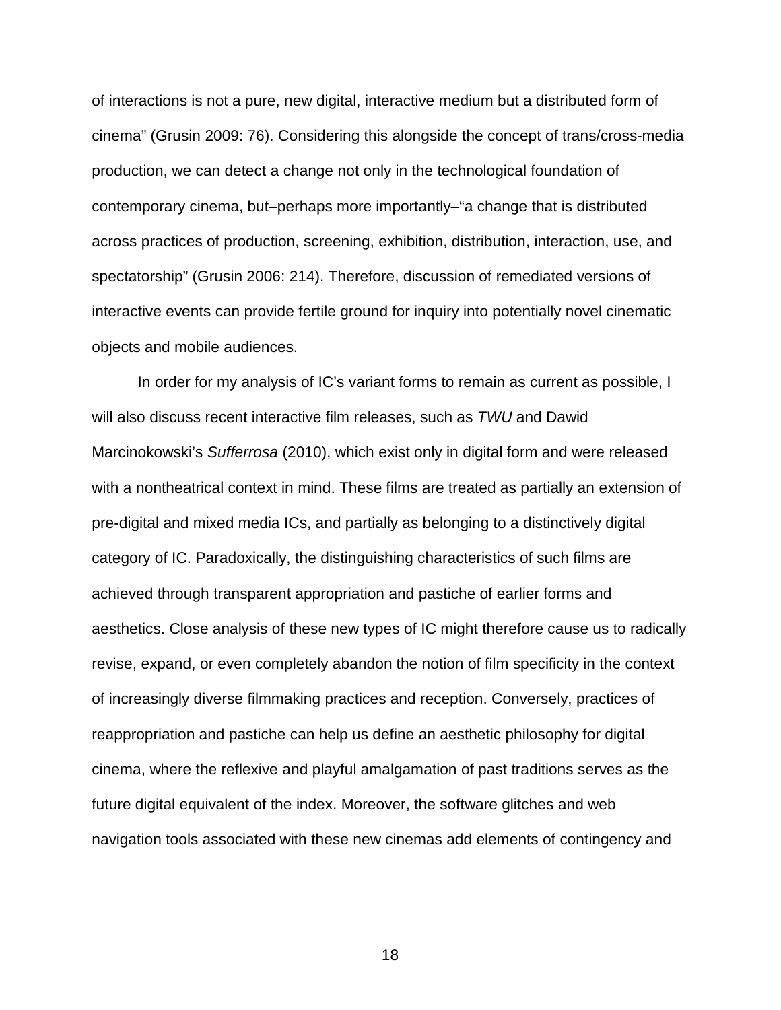of interactions is not a pure, new digital, interactive medium but a distributed form of cinema" (Grusin 2009: 76). Considering this alongside the concept of trans/cross-media production, we can detect a change not only in the technological foundation of contemporary cinema, but–perhaps more importantly–"a change that is distributed across practices of production, screening, exhibition, distribution, interaction, use, and spectatorship" (Grusin 2006: 214). Therefore, discussion of remediated versions of interactive events can provide fertile ground for inquiry into potentially novel cinematic objects and mobile audiences.

In order for my analysis of IC's variant forms to remain as current as possible, I will also discuss recent interactive film releases, such as *TWU* and Dawid Marcinokowski's *Sufferrosa* (2010), which exist only in digital form and were released with a nontheatrical context in mind. These films are treated as partially an extension of pre-digital and mixed media ICs, and partially as belonging to a distinctively digital category of IC. Paradoxically, the distinguishing characteristics of such films are achieved through transparent appropriation and pastiche of earlier forms and aesthetics. Close analysis of these new types of IC might therefore cause us to radically revise, expand, or even completely abandon the notion of film specificity in the context of increasingly diverse filmmaking practices and reception. Conversely, practices of reappropriation and pastiche can help us define an aesthetic philosophy for digital cinema, where the reflexive and playful amalgamation of past traditions serves as the future digital equivalent of the index. Moreover, the software glitches and web navigation tools associated with these new cinemas add elements of contingency and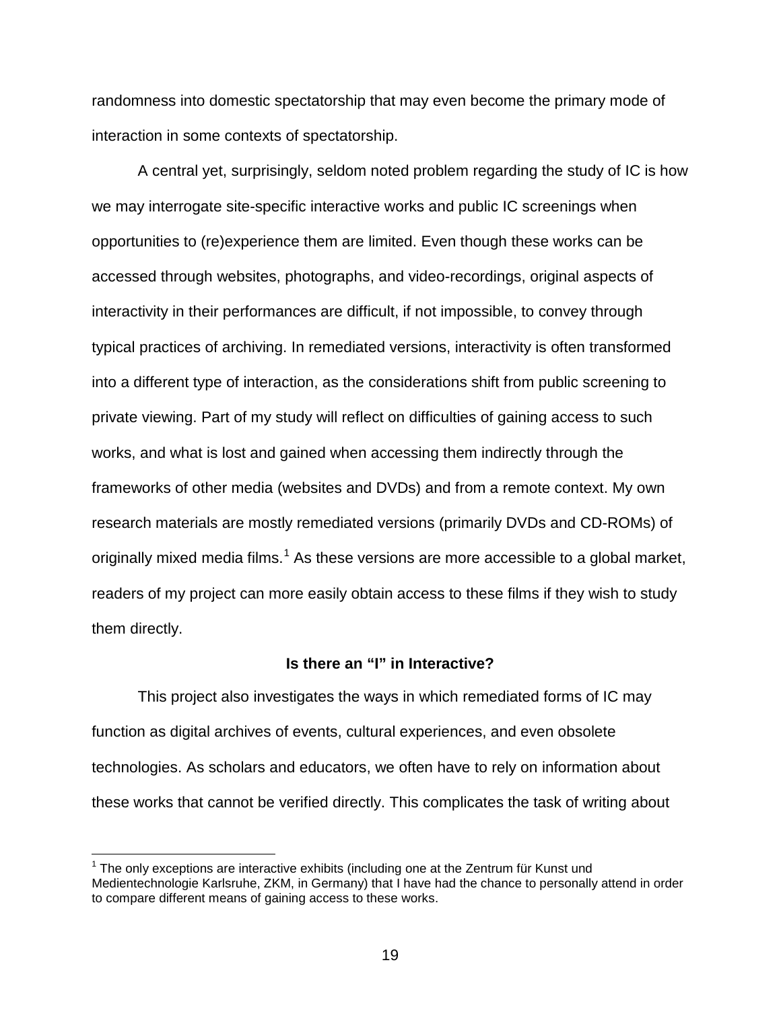randomness into domestic spectatorship that may even become the primary mode of interaction in some contexts of spectatorship.

A central yet, surprisingly, seldom noted problem regarding the study of IC is how we may interrogate site-specific interactive works and public IC screenings when opportunities to (re)experience them are limited. Even though these works can be accessed through websites, photographs, and video-recordings, original aspects of interactivity in their performances are difficult, if not impossible, to convey through typical practices of archiving. In remediated versions, interactivity is often transformed into a different type of interaction, as the considerations shift from public screening to private viewing. Part of my study will reflect on difficulties of gaining access to such works, and what is lost and gained when accessing them indirectly through the frameworks of other media (websites and DVDs) and from a remote context. My own research materials are mostly remediated versions (primarily DVDs and CD-ROMs) of originally mixed media films.<sup>[1](#page-18-1)</sup> As these versions are more accessible to a global market, readers of my project can more easily obtain access to these films if they wish to study them directly.

#### **Is there an "I" in Interactive?**

<span id="page-18-0"></span>This project also investigates the ways in which remediated forms of IC may function as digital archives of events, cultural experiences, and even obsolete technologies. As scholars and educators, we often have to rely on information about these works that cannot be verified directly. This complicates the task of writing about

<span id="page-18-1"></span> $1$  The only exceptions are interactive exhibits (including one at the Zentrum für Kunst und Medientechnologie Karlsruhe, ZKM, in Germany) that I have had the chance to personally attend in order to compare different means of gaining access to these works.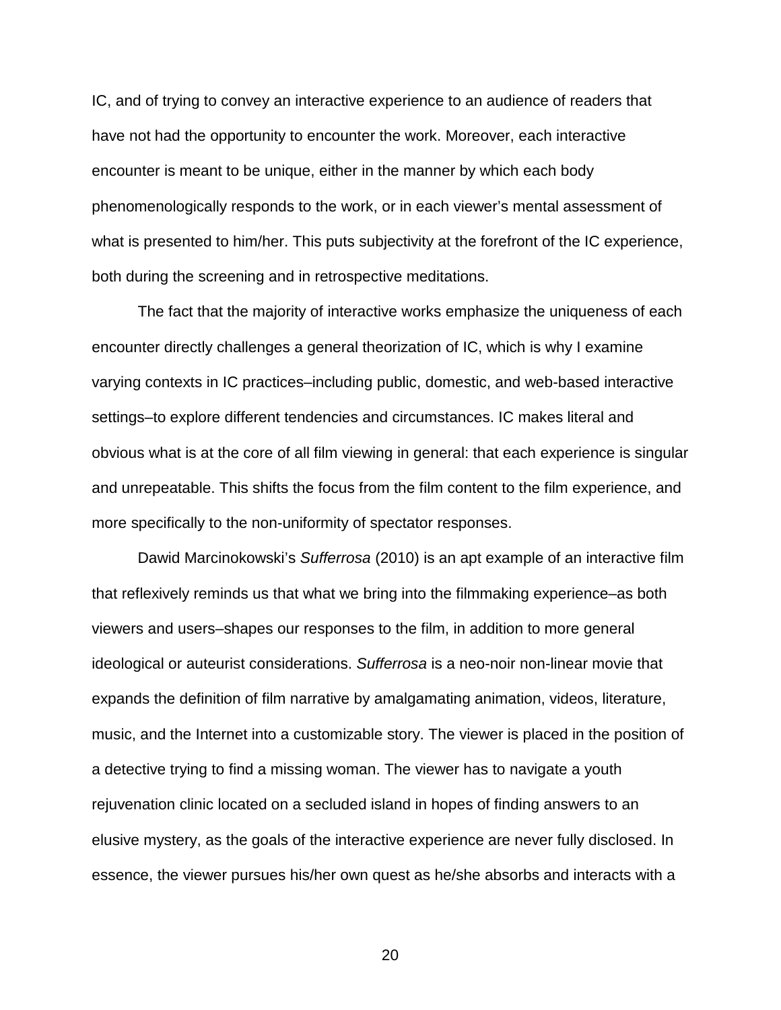IC, and of trying to convey an interactive experience to an audience of readers that have not had the opportunity to encounter the work. Moreover, each interactive encounter is meant to be unique, either in the manner by which each body phenomenologically responds to the work, or in each viewer's mental assessment of what is presented to him/her. This puts subjectivity at the forefront of the IC experience, both during the screening and in retrospective meditations.

The fact that the majority of interactive works emphasize the uniqueness of each encounter directly challenges a general theorization of IC, which is why I examine varying contexts in IC practices–including public, domestic, and web-based interactive settings–to explore different tendencies and circumstances. IC makes literal and obvious what is at the core of all film viewing in general: that each experience is singular and unrepeatable. This shifts the focus from the film content to the film experience, and more specifically to the non-uniformity of spectator responses.

Dawid Marcinokowski's *Sufferrosa* (2010) is an apt example of an interactive film that reflexively reminds us that what we bring into the filmmaking experience–as both viewers and users–shapes our responses to the film, in addition to more general ideological or auteurist considerations. *Sufferrosa* is a neo-noir non-linear movie that expands the definition of film narrative by amalgamating animation, videos, literature, music, and the Internet into a customizable story. The viewer is placed in the position of a detective trying to find a missing woman. The viewer has to navigate a youth rejuvenation clinic located on a secluded island in hopes of finding answers to an elusive mystery, as the goals of the interactive experience are never fully disclosed. In essence, the viewer pursues his/her own quest as he/she absorbs and interacts with a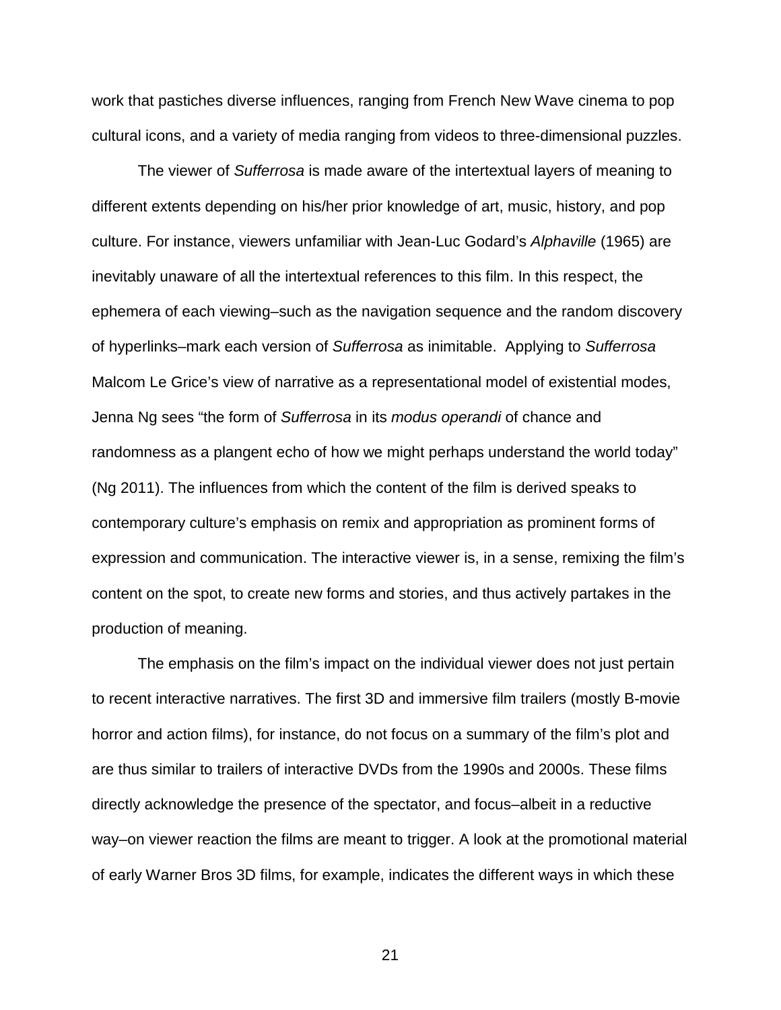work that pastiches diverse influences, ranging from French New Wave cinema to pop cultural icons, and a variety of media ranging from videos to three-dimensional puzzles.

The viewer of *Sufferrosa* is made aware of the intertextual layers of meaning to different extents depending on his/her prior knowledge of art, music, history, and pop culture. For instance, viewers unfamiliar with Jean-Luc Godard's *Alphaville* (1965) are inevitably unaware of all the intertextual references to this film. In this respect, the ephemera of each viewing–such as the navigation sequence and the random discovery of hyperlinks–mark each version of *Sufferrosa* as inimitable. Applying to *Sufferrosa* Malcom Le Grice's view of narrative as a representational model of existential modes, Jenna Ng sees "the form of *Sufferrosa* in its *modus operandi* of chance and randomness as a plangent echo of how we might perhaps understand the world today" (Ng 2011). The influences from which the content of the film is derived speaks to contemporary culture's emphasis on remix and appropriation as prominent forms of expression and communication. The interactive viewer is, in a sense, remixing the film's content on the spot, to create new forms and stories, and thus actively partakes in the production of meaning.

The emphasis on the film's impact on the individual viewer does not just pertain to recent interactive narratives. The first 3D and immersive film trailers (mostly B-movie horror and action films), for instance, do not focus on a summary of the film's plot and are thus similar to trailers of interactive DVDs from the 1990s and 2000s. These films directly acknowledge the presence of the spectator, and focus–albeit in a reductive way–on viewer reaction the films are meant to trigger. A look at the promotional material of early Warner Bros 3D films, for example, indicates the different ways in which these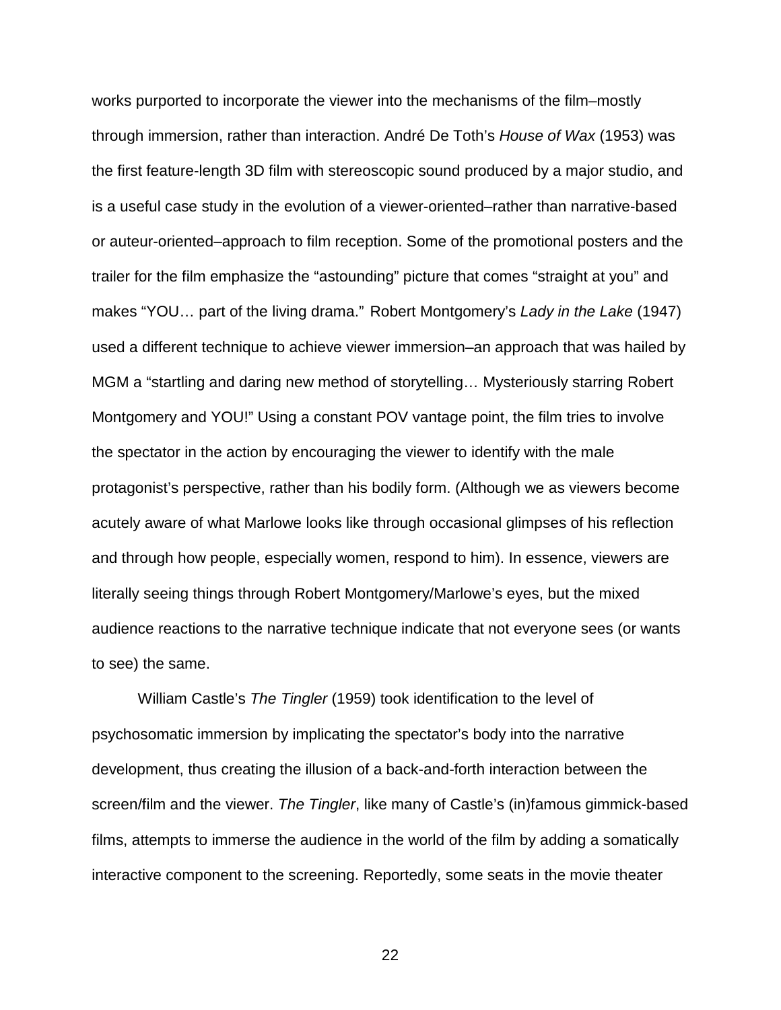works purported to incorporate the viewer into the mechanisms of the film–mostly through immersion, rather than interaction. André De Toth's *House of Wax* (1953) was the first feature-length 3D film with stereoscopic sound produced by a major studio, and is a useful case study in the evolution of a viewer-oriented–rather than narrative-based or auteur-oriented–approach to film reception. Some of the promotional posters and the trailer for the film emphasize the "astounding" picture that comes "straight at you" and makes "YOU… part of the living drama." Robert Montgomery's *Lady in the Lake* (1947) used a different technique to achieve viewer immersion–an approach that was hailed by MGM a "startling and daring new method of storytelling… Mysteriously starring Robert Montgomery and YOU!" Using a constant POV vantage point, the film tries to involve the spectator in the action by encouraging the viewer to identify with the male protagonist's perspective, rather than his bodily form. (Although we as viewers become acutely aware of what Marlowe looks like through occasional glimpses of his reflection and through how people, especially women, respond to him). In essence, viewers are literally seeing things through Robert Montgomery/Marlowe's eyes, but the mixed audience reactions to the narrative technique indicate that not everyone sees (or wants to see) the same.

William Castle's *The Tingler* (1959) took identification to the level of psychosomatic immersion by implicating the spectator's body into the narrative development, thus creating the illusion of a back-and-forth interaction between the screen/film and the viewer. *The Tingler*, like many of Castle's (in)famous gimmick-based films, attempts to immerse the audience in the world of the film by adding a somatically interactive component to the screening. Reportedly, some seats in the movie theater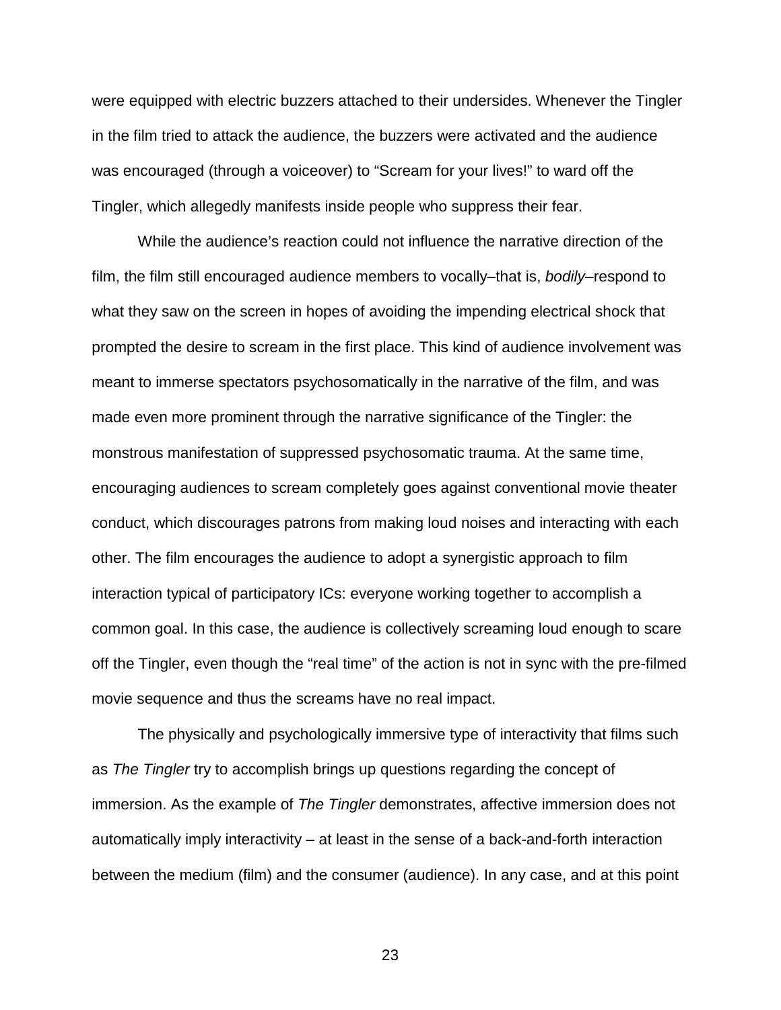were equipped with electric buzzers attached to their undersides. Whenever the Tingler in the film tried to attack the audience, the buzzers were activated and the audience was encouraged (through a voiceover) to "Scream for your lives!" to ward off the Tingler, which allegedly manifests inside people who suppress their fear.

While the audience's reaction could not influence the narrative direction of the film, the film still encouraged audience members to vocally–that is, *bodily*–respond to what they saw on the screen in hopes of avoiding the impending electrical shock that prompted the desire to scream in the first place. This kind of audience involvement was meant to immerse spectators psychosomatically in the narrative of the film, and was made even more prominent through the narrative significance of the Tingler: the monstrous manifestation of suppressed psychosomatic trauma. At the same time, encouraging audiences to scream completely goes against conventional movie theater conduct, which discourages patrons from making loud noises and interacting with each other. The film encourages the audience to adopt a synergistic approach to film interaction typical of participatory ICs: everyone working together to accomplish a common goal. In this case, the audience is collectively screaming loud enough to scare off the Tingler, even though the "real time" of the action is not in sync with the pre-filmed movie sequence and thus the screams have no real impact.

The physically and psychologically immersive type of interactivity that films such as *The Tingler* try to accomplish brings up questions regarding the concept of immersion. As the example of *The Tingler* demonstrates, affective immersion does not automatically imply interactivity – at least in the sense of a back-and-forth interaction between the medium (film) and the consumer (audience). In any case, and at this point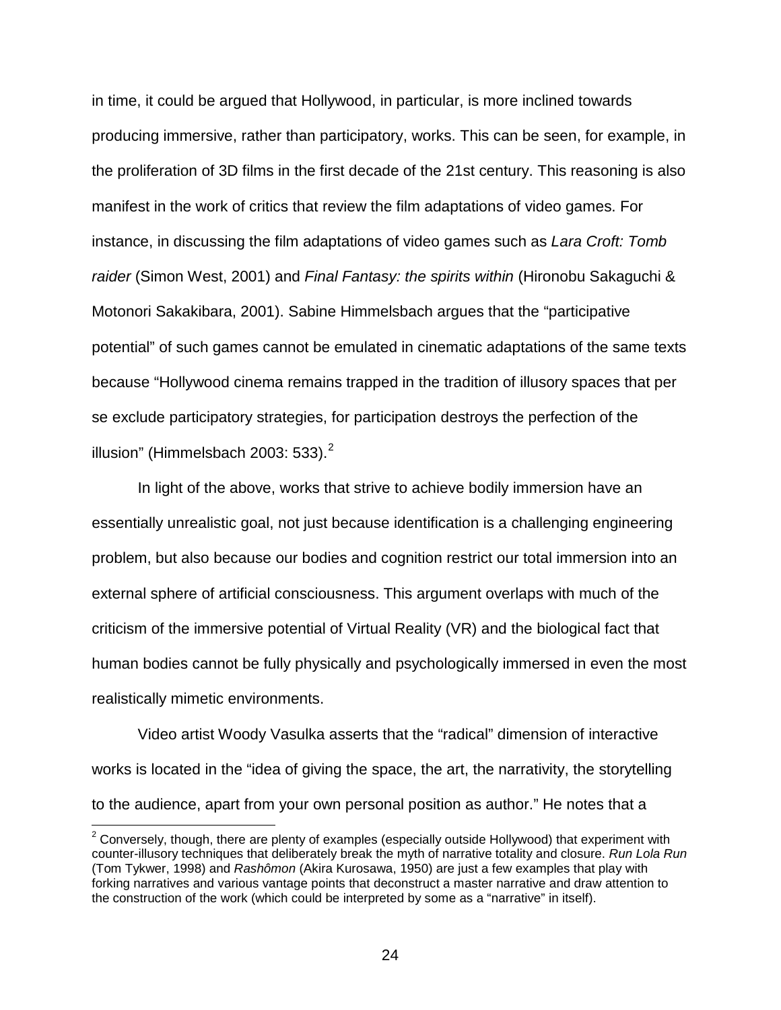in time, it could be argued that Hollywood, in particular, is more inclined towards producing immersive, rather than participatory, works. This can be seen, for example, in the proliferation of 3D films in the first decade of the 21st century. This reasoning is also manifest in the work of critics that review the film adaptations of video games. For instance, in discussing the film adaptations of video games such as *Lara Croft: Tomb raider* (Simon West, 2001) and *Final Fantasy: the spirits within* (Hironobu Sakaguchi & Motonori Sakakibara, 2001). Sabine Himmelsbach argues that the "participative potential" of such games cannot be emulated in cinematic adaptations of the same texts because "Hollywood cinema remains trapped in the tradition of illusory spaces that per se exclude participatory strategies, for participation destroys the perfection of the illusion" (Himmelsbach [2](#page-23-0)003: 533). $<sup>2</sup>$ </sup>

In light of the above, works that strive to achieve bodily immersion have an essentially unrealistic goal, not just because identification is a challenging engineering problem, but also because our bodies and cognition restrict our total immersion into an external sphere of artificial consciousness. This argument overlaps with much of the criticism of the immersive potential of Virtual Reality (VR) and the biological fact that human bodies cannot be fully physically and psychologically immersed in even the most realistically mimetic environments.

Video artist Woody Vasulka asserts that the "radical" dimension of interactive works is located in the "idea of giving the space, the art, the narrativity, the storytelling to the audience, apart from your own personal position as author." He notes that a

<span id="page-23-0"></span> $2$  Conversely, though, there are plenty of examples (especially outside Hollywood) that experiment with counter-illusory techniques that deliberately break the myth of narrative totality and closure. *Run Lola Run*  (Tom Tykwer, 1998) and *Rashômon* (Akira Kurosawa, 1950) are just a few examples that play with forking narratives and various vantage points that deconstruct a master narrative and draw attention to the construction of the work (which could be interpreted by some as a "narrative" in itself).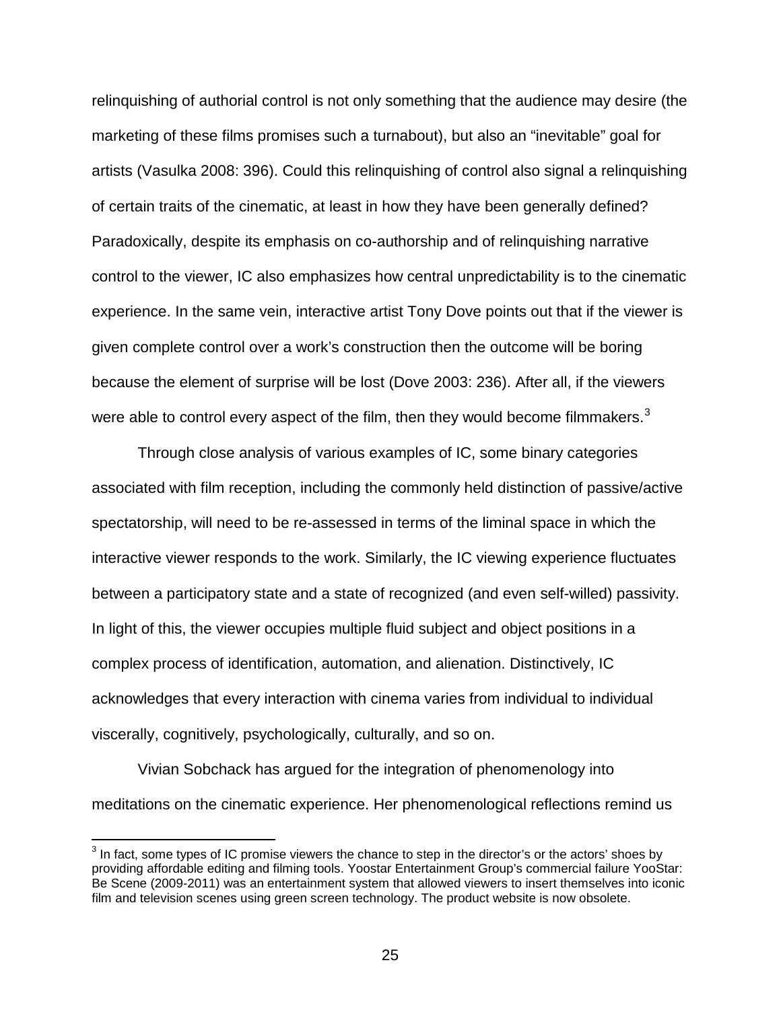relinquishing of authorial control is not only something that the audience may desire (the marketing of these films promises such a turnabout), but also an "inevitable" goal for artists (Vasulka 2008: 396). Could this relinquishing of control also signal a relinquishing of certain traits of the cinematic, at least in how they have been generally defined? Paradoxically, despite its emphasis on co-authorship and of relinquishing narrative control to the viewer, IC also emphasizes how central unpredictability is to the cinematic experience. In the same vein, interactive artist Tony Dove points out that if the viewer is given complete control over a work's construction then the outcome will be boring because the element of surprise will be lost (Dove 2003: 236). After all, if the viewers were able to control every aspect of the film, then they would become filmmakers.<sup>[3](#page-24-0)</sup>

Through close analysis of various examples of IC, some binary categories associated with film reception, including the commonly held distinction of passive/active spectatorship, will need to be re-assessed in terms of the liminal space in which the interactive viewer responds to the work. Similarly, the IC viewing experience fluctuates between a participatory state and a state of recognized (and even self-willed) passivity. In light of this, the viewer occupies multiple fluid subject and object positions in a complex process of identification, automation, and alienation. Distinctively, IC acknowledges that every interaction with cinema varies from individual to individual viscerally, cognitively, psychologically, culturally, and so on.

Vivian Sobchack has argued for the integration of phenomenology into meditations on the cinematic experience. Her phenomenological reflections remind us

<span id="page-24-0"></span> $3$  In fact, some types of IC promise viewers the chance to step in the director's or the actors' shoes by providing affordable editing and filming tools. Yoostar Entertainment Group's commercial failure YooStar: Be Scene (2009-2011) was an entertainment system that allowed viewers to insert themselves into iconic film and television scenes using green screen technology. The product website is now obsolete.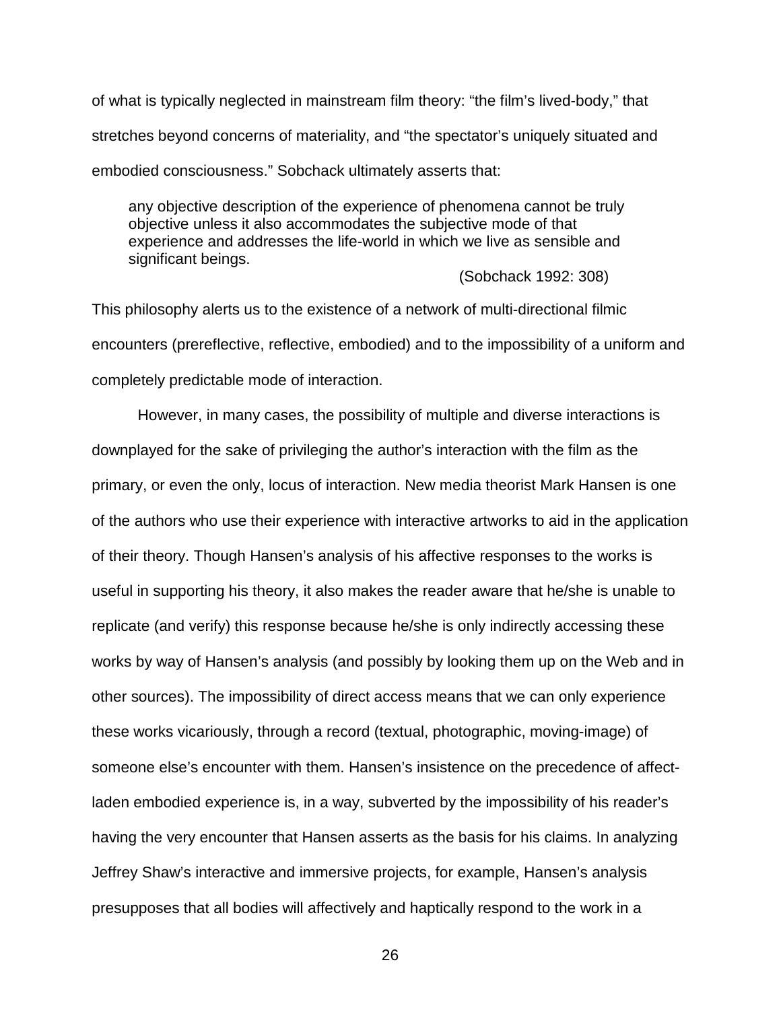of what is typically neglected in mainstream film theory: "the film's lived-body," that stretches beyond concerns of materiality, and "the spectator's uniquely situated and embodied consciousness." Sobchack ultimately asserts that:

any objective description of the experience of phenomena cannot be truly objective unless it also accommodates the subjective mode of that experience and addresses the life-world in which we live as sensible and significant beings.

(Sobchack 1992: 308)

This philosophy alerts us to the existence of a network of multi-directional filmic encounters (prereflective, reflective, embodied) and to the impossibility of a uniform and completely predictable mode of interaction.

However, in many cases, the possibility of multiple and diverse interactions is downplayed for the sake of privileging the author's interaction with the film as the primary, or even the only, locus of interaction. New media theorist Mark Hansen is one of the authors who use their experience with interactive artworks to aid in the application of their theory. Though Hansen's analysis of his affective responses to the works is useful in supporting his theory, it also makes the reader aware that he/she is unable to replicate (and verify) this response because he/she is only indirectly accessing these works by way of Hansen's analysis (and possibly by looking them up on the Web and in other sources). The impossibility of direct access means that we can only experience these works vicariously, through a record (textual, photographic, moving-image) of someone else's encounter with them. Hansen's insistence on the precedence of affectladen embodied experience is, in a way, subverted by the impossibility of his reader's having the very encounter that Hansen asserts as the basis for his claims. In analyzing Jeffrey Shaw's interactive and immersive projects, for example, Hansen's analysis presupposes that all bodies will affectively and haptically respond to the work in a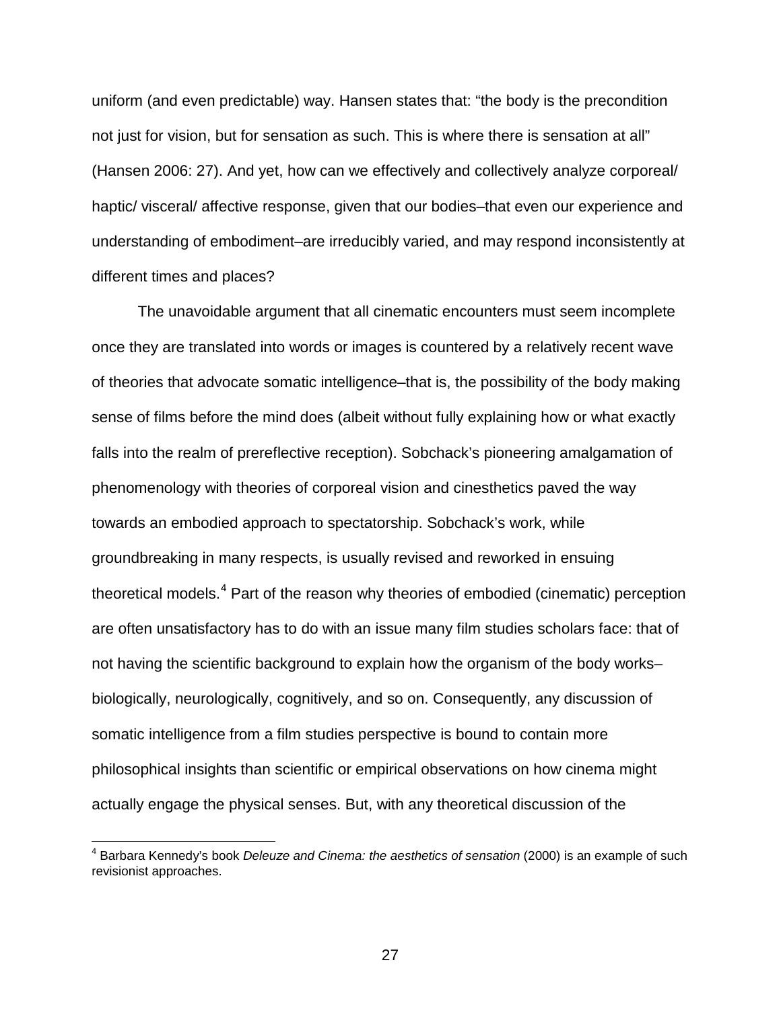uniform (and even predictable) way. Hansen states that: "the body is the precondition not just for vision, but for sensation as such. This is where there is sensation at all" (Hansen 2006: 27). And yet, how can we effectively and collectively analyze corporeal/ haptic/ visceral/ affective response, given that our bodies–that even our experience and understanding of embodiment–are irreducibly varied, and may respond inconsistently at different times and places?

The unavoidable argument that all cinematic encounters must seem incomplete once they are translated into words or images is countered by a relatively recent wave of theories that advocate somatic intelligence–that is, the possibility of the body making sense of films before the mind does (albeit without fully explaining how or what exactly falls into the realm of prereflective reception). Sobchack's pioneering amalgamation of phenomenology with theories of corporeal vision and cinesthetics paved the way towards an embodied approach to spectatorship. Sobchack's work, while groundbreaking in many respects, is usually revised and reworked in ensuing theoretical models.<sup>[4](#page-26-0)</sup> Part of the reason why theories of embodied (cinematic) perception are often unsatisfactory has to do with an issue many film studies scholars face: that of not having the scientific background to explain how the organism of the body works– biologically, neurologically, cognitively, and so on. Consequently, any discussion of somatic intelligence from a film studies perspective is bound to contain more philosophical insights than scientific or empirical observations on how cinema might actually engage the physical senses. But, with any theoretical discussion of the

<span id="page-26-0"></span> <sup>4</sup> Barbara Kennedy's book *Deleuze and Cinema: the aesthetics of sensation* (2000) is an example of such revisionist approaches.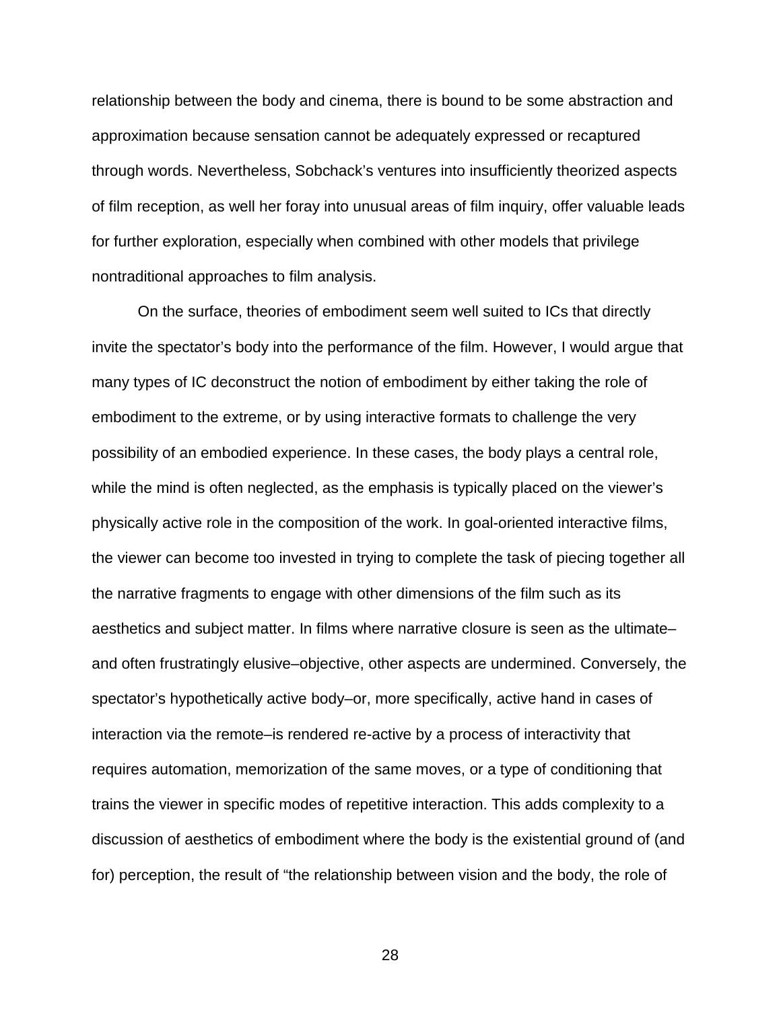relationship between the body and cinema, there is bound to be some abstraction and approximation because sensation cannot be adequately expressed or recaptured through words. Nevertheless, Sobchack's ventures into insufficiently theorized aspects of film reception, as well her foray into unusual areas of film inquiry, offer valuable leads for further exploration, especially when combined with other models that privilege nontraditional approaches to film analysis.

On the surface, theories of embodiment seem well suited to ICs that directly invite the spectator's body into the performance of the film. However, I would argue that many types of IC deconstruct the notion of embodiment by either taking the role of embodiment to the extreme, or by using interactive formats to challenge the very possibility of an embodied experience. In these cases, the body plays a central role, while the mind is often neglected, as the emphasis is typically placed on the viewer's physically active role in the composition of the work. In goal-oriented interactive films, the viewer can become too invested in trying to complete the task of piecing together all the narrative fragments to engage with other dimensions of the film such as its aesthetics and subject matter. In films where narrative closure is seen as the ultimate– and often frustratingly elusive–objective, other aspects are undermined. Conversely, the spectator's hypothetically active body–or, more specifically, active hand in cases of interaction via the remote–is rendered re-active by a process of interactivity that requires automation, memorization of the same moves, or a type of conditioning that trains the viewer in specific modes of repetitive interaction. This adds complexity to a discussion of aesthetics of embodiment where the body is the existential ground of (and for) perception, the result of "the relationship between vision and the body, the role of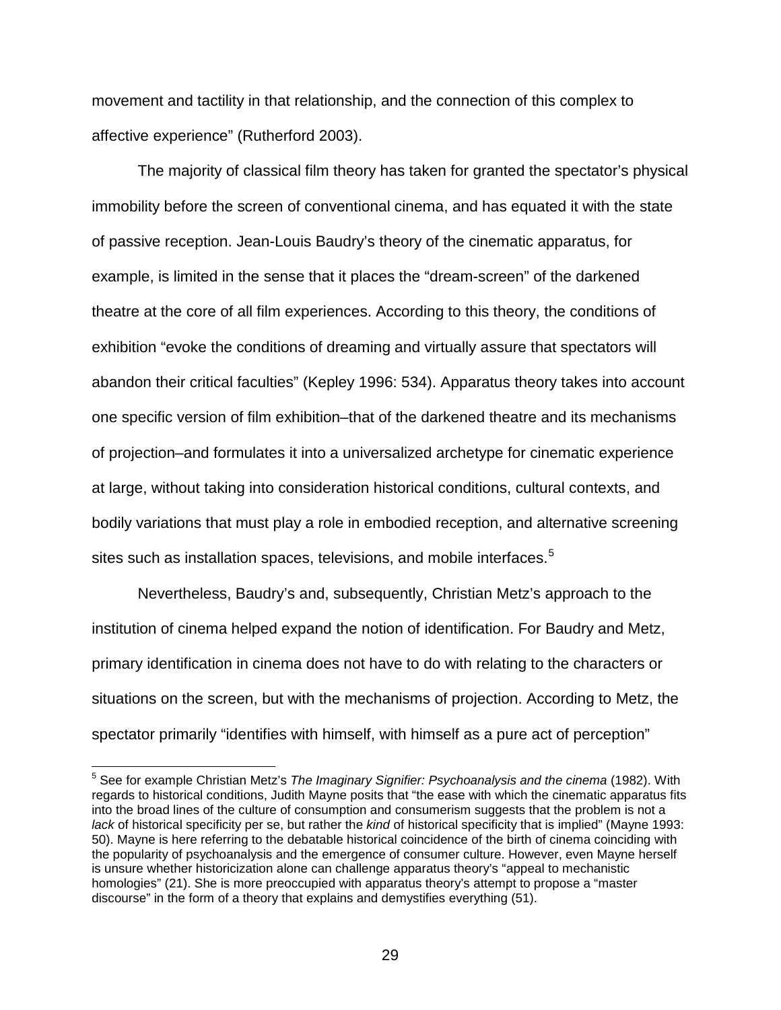movement and tactility in that relationship, and the connection of this complex to affective experience" (Rutherford 2003).

The majority of classical film theory has taken for granted the spectator's physical immobility before the screen of conventional cinema, and has equated it with the state of passive reception. Jean-Louis Baudry's theory of the cinematic apparatus, for example, is limited in the sense that it places the "dream-screen" of the darkened theatre at the core of all film experiences. According to this theory, the conditions of exhibition "evoke the conditions of dreaming and virtually assure that spectators will abandon their critical faculties" (Kepley 1996: 534). Apparatus theory takes into account one specific version of film exhibition–that of the darkened theatre and its mechanisms of projection–and formulates it into a universalized archetype for cinematic experience at large, without taking into consideration historical conditions, cultural contexts, and bodily variations that must play a role in embodied reception, and alternative screening sites such as installation spaces, televisions, and mobile interfaces.<sup>[5](#page-28-0)</sup>

Nevertheless, Baudry's and, subsequently, Christian Metz's approach to the institution of cinema helped expand the notion of identification. For Baudry and Metz, primary identification in cinema does not have to do with relating to the characters or situations on the screen, but with the mechanisms of projection. According to Metz, the spectator primarily "identifies with himself, with himself as a pure act of perception"

<span id="page-28-0"></span> <sup>5</sup> See for example Christian Metz's *The Imaginary Signifier: Psychoanalysis and the cinema* (1982). With regards to historical conditions, Judith Mayne posits that "the ease with which the cinematic apparatus fits into the broad lines of the culture of consumption and consumerism suggests that the problem is not a *lack* of historical specificity per se, but rather the *kind* of historical specificity that is implied" (Mayne 1993: 50). Mayne is here referring to the debatable historical coincidence of the birth of cinema coinciding with the popularity of psychoanalysis and the emergence of consumer culture. However, even Mayne herself is unsure whether historicization alone can challenge apparatus theory's "appeal to mechanistic homologies" (21). She is more preoccupied with apparatus theory's attempt to propose a "master discourse" in the form of a theory that explains and demystifies everything (51).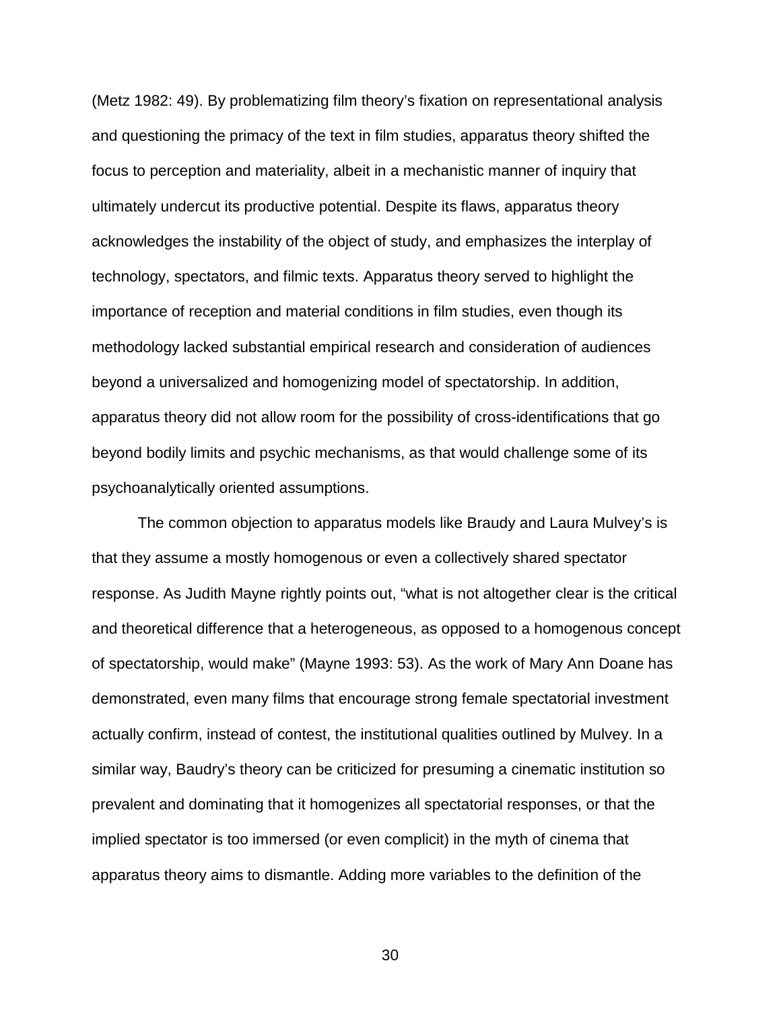(Metz 1982: 49). By problematizing film theory's fixation on representational analysis and questioning the primacy of the text in film studies, apparatus theory shifted the focus to perception and materiality, albeit in a mechanistic manner of inquiry that ultimately undercut its productive potential. Despite its flaws, apparatus theory acknowledges the instability of the object of study, and emphasizes the interplay of technology, spectators, and filmic texts. Apparatus theory served to highlight the importance of reception and material conditions in film studies, even though its methodology lacked substantial empirical research and consideration of audiences beyond a universalized and homogenizing model of spectatorship. In addition, apparatus theory did not allow room for the possibility of cross-identifications that go beyond bodily limits and psychic mechanisms, as that would challenge some of its psychoanalytically oriented assumptions.

The common objection to apparatus models like Braudy and Laura Mulvey's is that they assume a mostly homogenous or even a collectively shared spectator response. As Judith Mayne rightly points out, "what is not altogether clear is the critical and theoretical difference that a heterogeneous, as opposed to a homogenous concept of spectatorship, would make" (Mayne 1993: 53). As the work of Mary Ann Doane has demonstrated, even many films that encourage strong female spectatorial investment actually confirm, instead of contest, the institutional qualities outlined by Mulvey. In a similar way, Baudry's theory can be criticized for presuming a cinematic institution so prevalent and dominating that it homogenizes all spectatorial responses, or that the implied spectator is too immersed (or even complicit) in the myth of cinema that apparatus theory aims to dismantle. Adding more variables to the definition of the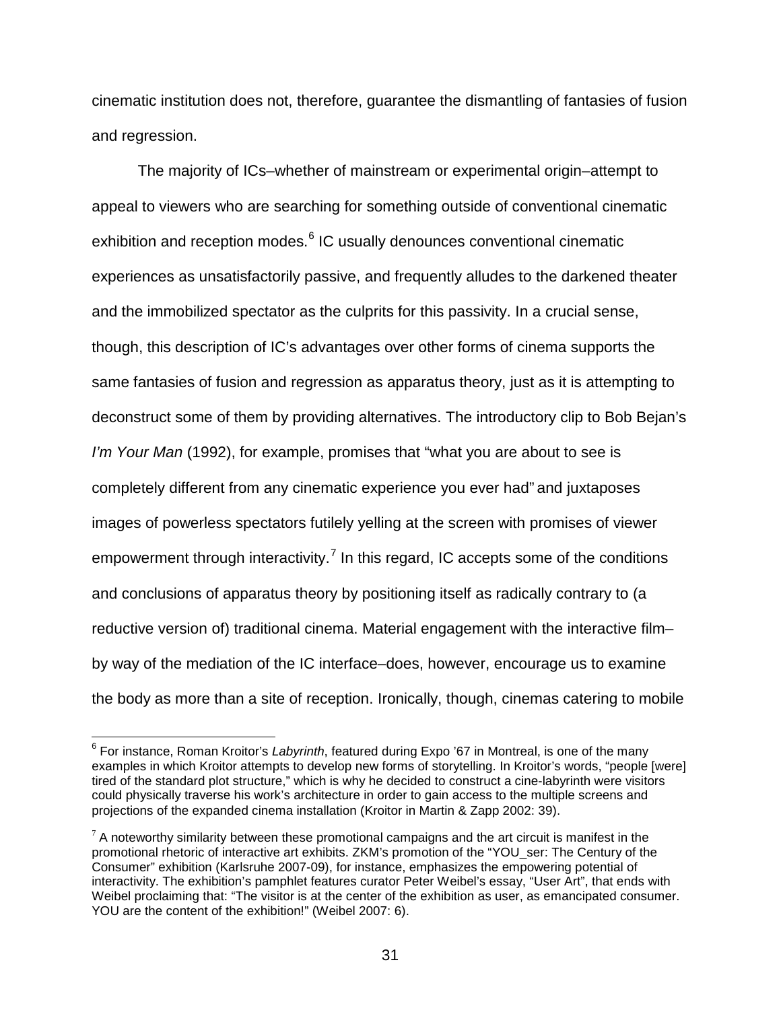cinematic institution does not, therefore, guarantee the dismantling of fantasies of fusion and regression.

The majority of ICs–whether of mainstream or experimental origin–attempt to appeal to viewers who are searching for something outside of conventional cinematic exhibition and reception modes.<sup>[6](#page-30-0)</sup> IC usually denounces conventional cinematic experiences as unsatisfactorily passive, and frequently alludes to the darkened theater and the immobilized spectator as the culprits for this passivity. In a crucial sense, though, this description of IC's advantages over other forms of cinema supports the same fantasies of fusion and regression as apparatus theory, just as it is attempting to deconstruct some of them by providing alternatives. The introductory clip to Bob Bejan's *I'm Your Man* (1992), for example, promises that "what you are about to see is completely different from any cinematic experience you ever had" and juxtaposes images of powerless spectators futilely yelling at the screen with promises of viewer empowerment through interactivity.<sup>[7](#page-30-1)</sup> In this regard, IC accepts some of the conditions and conclusions of apparatus theory by positioning itself as radically contrary to (a reductive version of) traditional cinema. Material engagement with the interactive film– by way of the mediation of the IC interface–does, however, encourage us to examine the body as more than a site of reception. Ironically, though, cinemas catering to mobile

<span id="page-30-0"></span> <sup>6</sup> For instance, Roman Kroitor's *Labyrinth*, featured during Expo '67 in Montreal, is one of the many examples in which Kroitor attempts to develop new forms of storytelling. In Kroitor's words, "people [were] tired of the standard plot structure," which is why he decided to construct a cine-labyrinth were visitors could physically traverse his work's architecture in order to gain access to the multiple screens and projections of the expanded cinema installation (Kroitor in Martin & Zapp 2002: 39).

<span id="page-30-1"></span> $7$  A noteworthy similarity between these promotional campaigns and the art circuit is manifest in the promotional rhetoric of interactive art exhibits. ZKM's promotion of the "YOU\_ser: The Century of the Consumer" exhibition (Karlsruhe 2007-09), for instance, emphasizes the empowering potential of interactivity. The exhibition's pamphlet features curator Peter Weibel's essay, "User Art", that ends with Weibel proclaiming that: "The visitor is at the center of the exhibition as user, as emancipated consumer. YOU are the content of the exhibition!" (Weibel 2007: 6).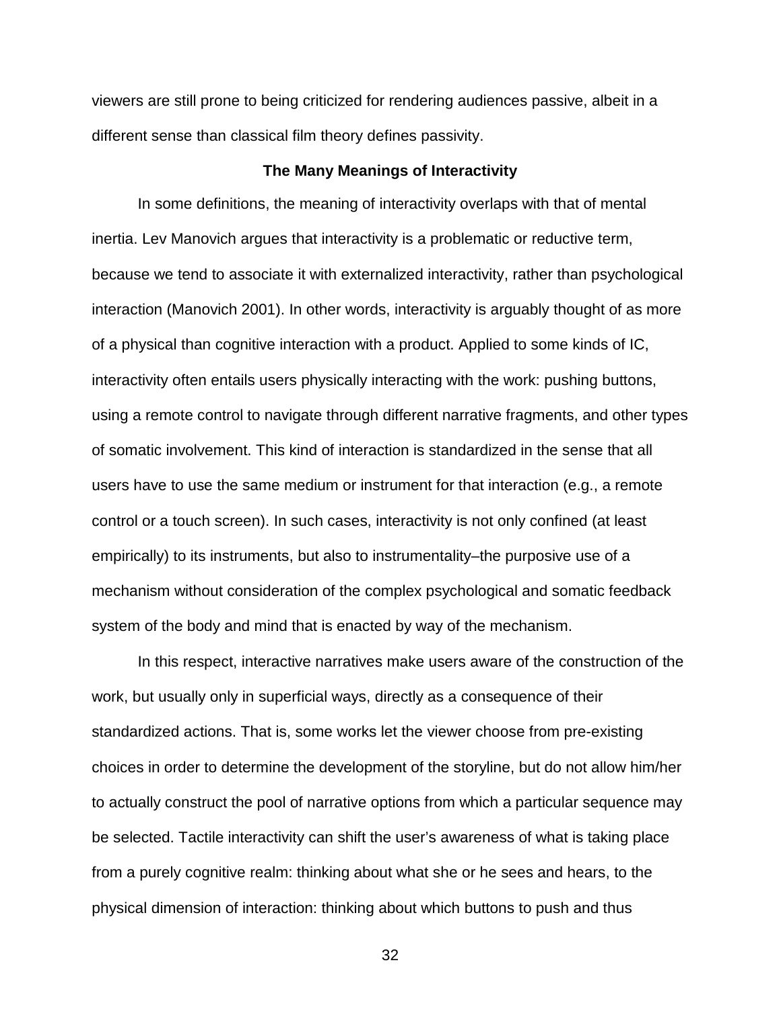viewers are still prone to being criticized for rendering audiences passive, albeit in a different sense than classical film theory defines passivity.

#### **The Many Meanings of Interactivity**

<span id="page-31-0"></span>In some definitions, the meaning of interactivity overlaps with that of mental inertia. Lev Manovich argues that interactivity is a problematic or reductive term, because we tend to associate it with externalized interactivity, rather than psychological interaction (Manovich 2001). In other words, interactivity is arguably thought of as more of a physical than cognitive interaction with a product. Applied to some kinds of IC, interactivity often entails users physically interacting with the work: pushing buttons, using a remote control to navigate through different narrative fragments, and other types of somatic involvement. This kind of interaction is standardized in the sense that all users have to use the same medium or instrument for that interaction (e.g., a remote control or a touch screen). In such cases, interactivity is not only confined (at least empirically) to its instruments, but also to instrumentality–the purposive use of a mechanism without consideration of the complex psychological and somatic feedback system of the body and mind that is enacted by way of the mechanism.

In this respect, interactive narratives make users aware of the construction of the work, but usually only in superficial ways, directly as a consequence of their standardized actions. That is, some works let the viewer choose from pre-existing choices in order to determine the development of the storyline, but do not allow him/her to actually construct the pool of narrative options from which a particular sequence may be selected. Tactile interactivity can shift the user's awareness of what is taking place from a purely cognitive realm: thinking about what she or he sees and hears, to the physical dimension of interaction: thinking about which buttons to push and thus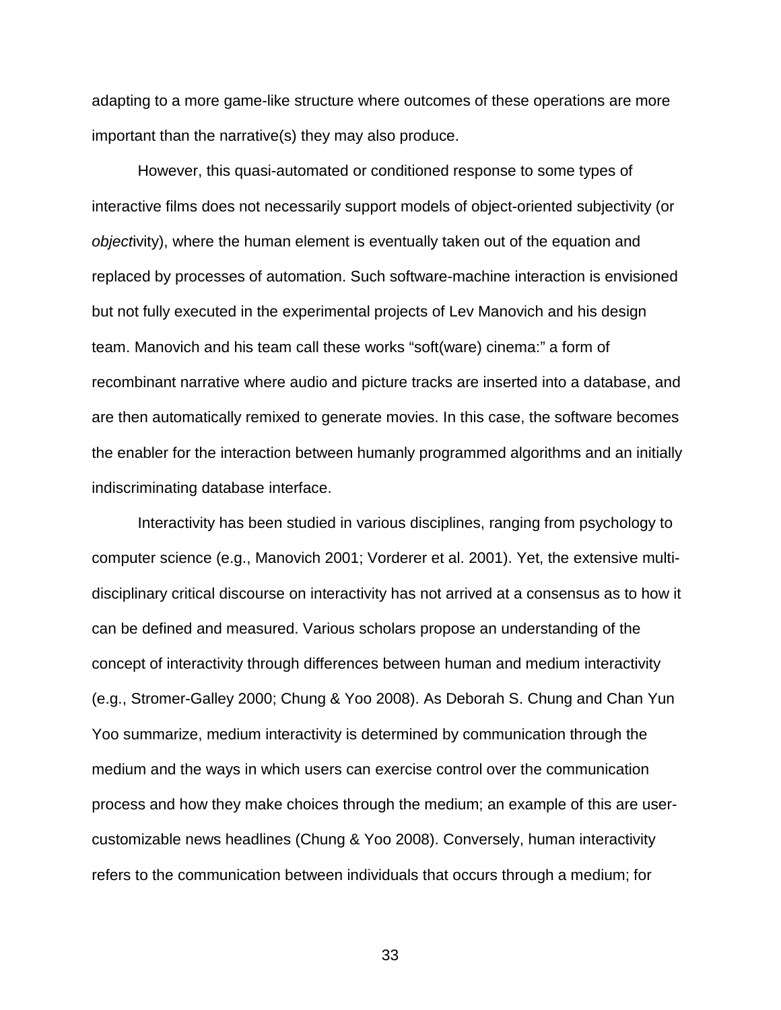adapting to a more game-like structure where outcomes of these operations are more important than the narrative(s) they may also produce.

However, this quasi-automated or conditioned response to some types of interactive films does not necessarily support models of object-oriented subjectivity (or *object*ivity), where the human element is eventually taken out of the equation and replaced by processes of automation. Such software-machine interaction is envisioned but not fully executed in the experimental projects of Lev Manovich and his design team. Manovich and his team call these works "soft(ware) cinema:" a form of recombinant narrative where audio and picture tracks are inserted into a database, and are then automatically remixed to generate movies. In this case, the software becomes the enabler for the interaction between humanly programmed algorithms and an initially indiscriminating database interface.

Interactivity has been studied in various disciplines, ranging from psychology to computer science (e.g., Manovich 2001; Vorderer et al. 2001). Yet, the extensive multidisciplinary critical discourse on interactivity has not arrived at a consensus as to how it can be defined and measured. Various scholars propose an understanding of the concept of interactivity through differences between human and medium interactivity (e.g., Stromer-Galley 2000; Chung & Yoo 2008). As Deborah S. Chung and Chan Yun Yoo summarize, medium interactivity is determined by communication through the medium and the ways in which users can exercise control over the communication process and how they make choices through the medium; an example of this are usercustomizable news headlines (Chung & Yoo 2008). Conversely, human interactivity refers to the communication between individuals that occurs through a medium; for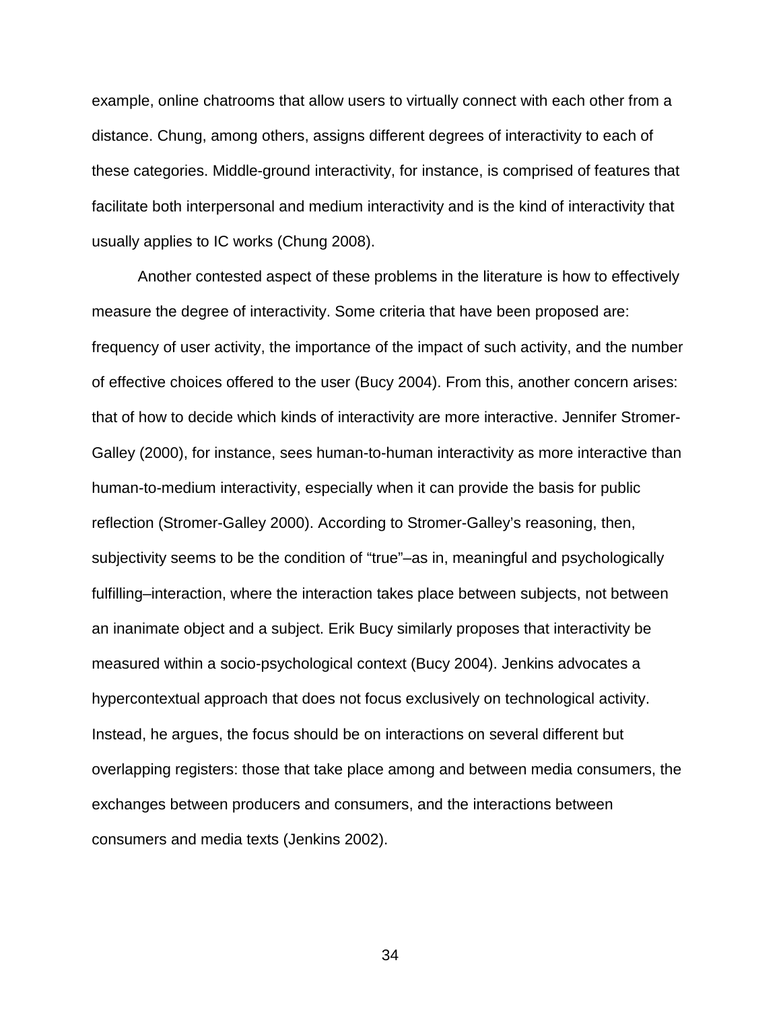example, online chatrooms that allow users to virtually connect with each other from a distance. Chung, among others, assigns different degrees of interactivity to each of these categories. Middle-ground interactivity, for instance, is comprised of features that facilitate both interpersonal and medium interactivity and is the kind of interactivity that usually applies to IC works (Chung 2008).

Another contested aspect of these problems in the literature is how to effectively measure the degree of interactivity. Some criteria that have been proposed are: frequency of user activity, the importance of the impact of such activity, and the number of effective choices offered to the user (Bucy 2004). From this, another concern arises: that of how to decide which kinds of interactivity are more interactive. Jennifer Stromer-Galley (2000), for instance, sees human-to-human interactivity as more interactive than human-to-medium interactivity, especially when it can provide the basis for public reflection (Stromer-Galley 2000). According to Stromer-Galley's reasoning, then, subjectivity seems to be the condition of "true"–as in, meaningful and psychologically fulfilling–interaction, where the interaction takes place between subjects, not between an inanimate object and a subject. Erik Bucy similarly proposes that interactivity be measured within a socio-psychological context (Bucy 2004). Jenkins advocates a hypercontextual approach that does not focus exclusively on technological activity. Instead, he argues, the focus should be on interactions on several different but overlapping registers: those that take place among and between media consumers, the exchanges between producers and consumers, and the interactions between consumers and media texts (Jenkins 2002).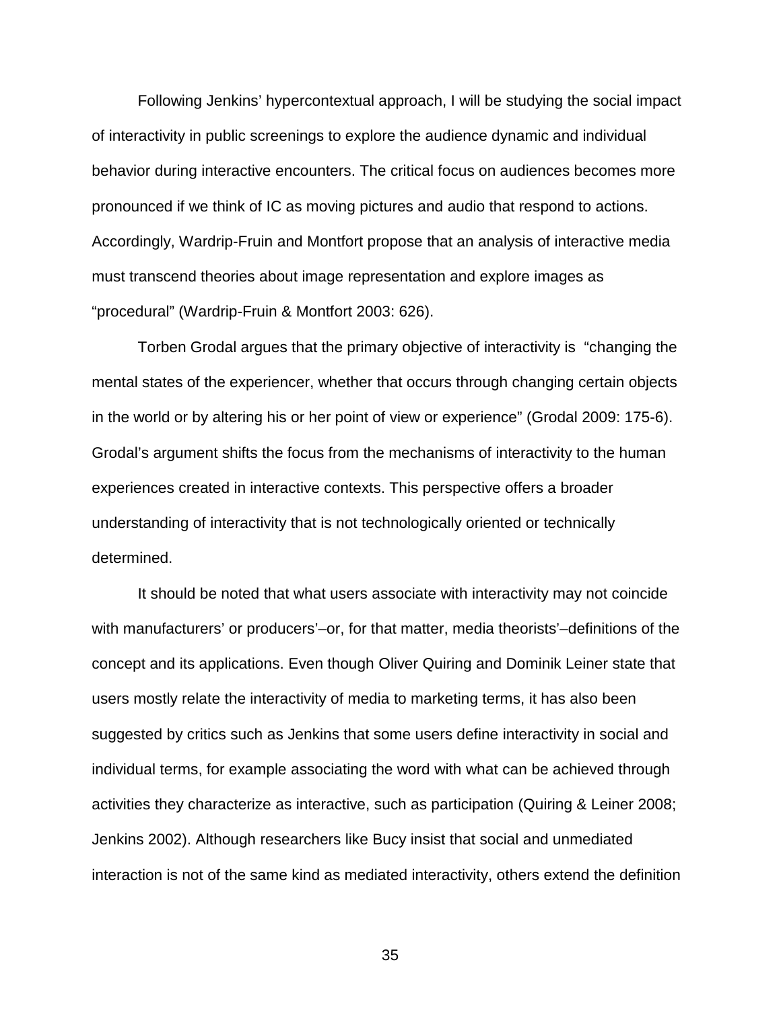Following Jenkins' hypercontextual approach, I will be studying the social impact of interactivity in public screenings to explore the audience dynamic and individual behavior during interactive encounters. The critical focus on audiences becomes more pronounced if we think of IC as moving pictures and audio that respond to actions. Accordingly, Wardrip-Fruin and Montfort propose that an analysis of interactive media must transcend theories about image representation and explore images as "procedural" (Wardrip-Fruin & Montfort 2003: 626).

Torben Grodal argues that the primary objective of interactivity is "changing the mental states of the experiencer, whether that occurs through changing certain objects in the world or by altering his or her point of view or experience" (Grodal 2009: 175-6). Grodal's argument shifts the focus from the mechanisms of interactivity to the human experiences created in interactive contexts. This perspective offers a broader understanding of interactivity that is not technologically oriented or technically determined.

It should be noted that what users associate with interactivity may not coincide with manufacturers' or producers'–or, for that matter, media theorists'–definitions of the concept and its applications. Even though Oliver Quiring and Dominik Leiner state that users mostly relate the interactivity of media to marketing terms, it has also been suggested by critics such as Jenkins that some users define interactivity in social and individual terms, for example associating the word with what can be achieved through activities they characterize as interactive, such as participation (Quiring & Leiner 2008; Jenkins 2002). Although researchers like Bucy insist that social and unmediated interaction is not of the same kind as mediated interactivity, others extend the definition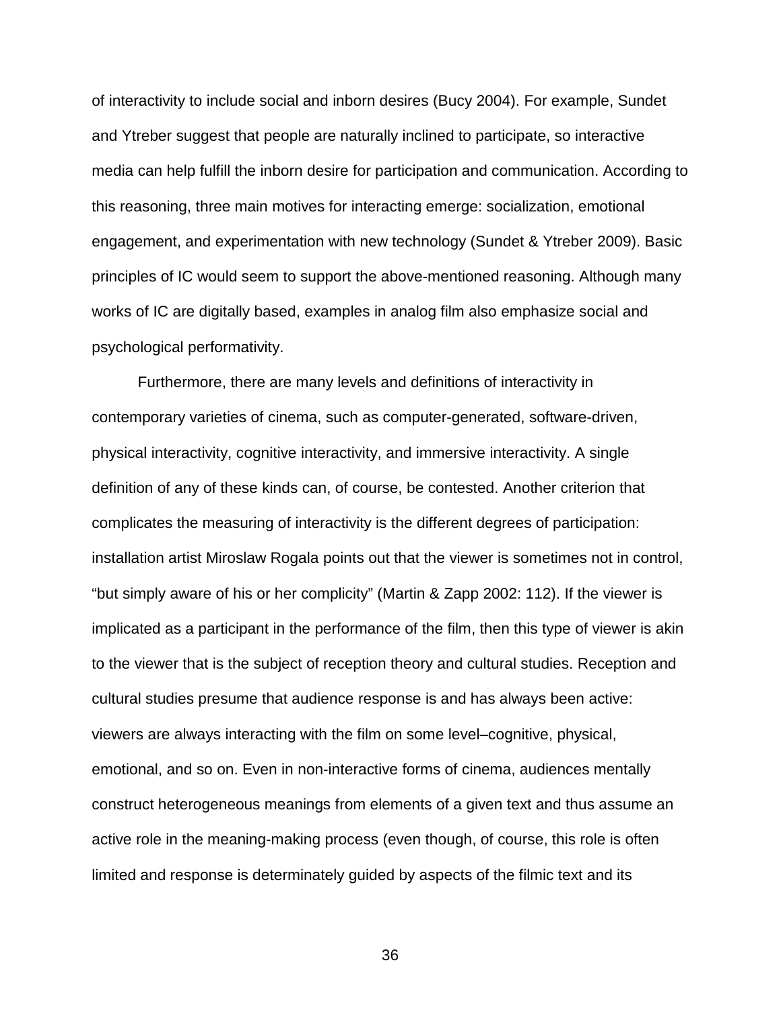of interactivity to include social and inborn desires (Bucy 2004). For example, Sundet and Ytreber suggest that people are naturally inclined to participate, so interactive media can help fulfill the inborn desire for participation and communication. According to this reasoning, three main motives for interacting emerge: socialization, emotional engagement, and experimentation with new technology (Sundet & Ytreber 2009). Basic principles of IC would seem to support the above-mentioned reasoning. Although many works of IC are digitally based, examples in analog film also emphasize social and psychological performativity.

Furthermore, there are many levels and definitions of interactivity in contemporary varieties of cinema, such as computer-generated, software-driven, physical interactivity, cognitive interactivity, and immersive interactivity. A single definition of any of these kinds can, of course, be contested. Another criterion that complicates the measuring of interactivity is the different degrees of participation: installation artist Miroslaw Rogala points out that the viewer is sometimes not in control, "but simply aware of his or her complicity" (Martin & Zapp 2002: 112). If the viewer is implicated as a participant in the performance of the film, then this type of viewer is akin to the viewer that is the subject of reception theory and cultural studies. Reception and cultural studies presume that audience response is and has always been active: viewers are always interacting with the film on some level–cognitive, physical, emotional, and so on. Even in non-interactive forms of cinema, audiences mentally construct heterogeneous meanings from elements of a given text and thus assume an active role in the meaning-making process (even though, of course, this role is often limited and response is determinately guided by aspects of the filmic text and its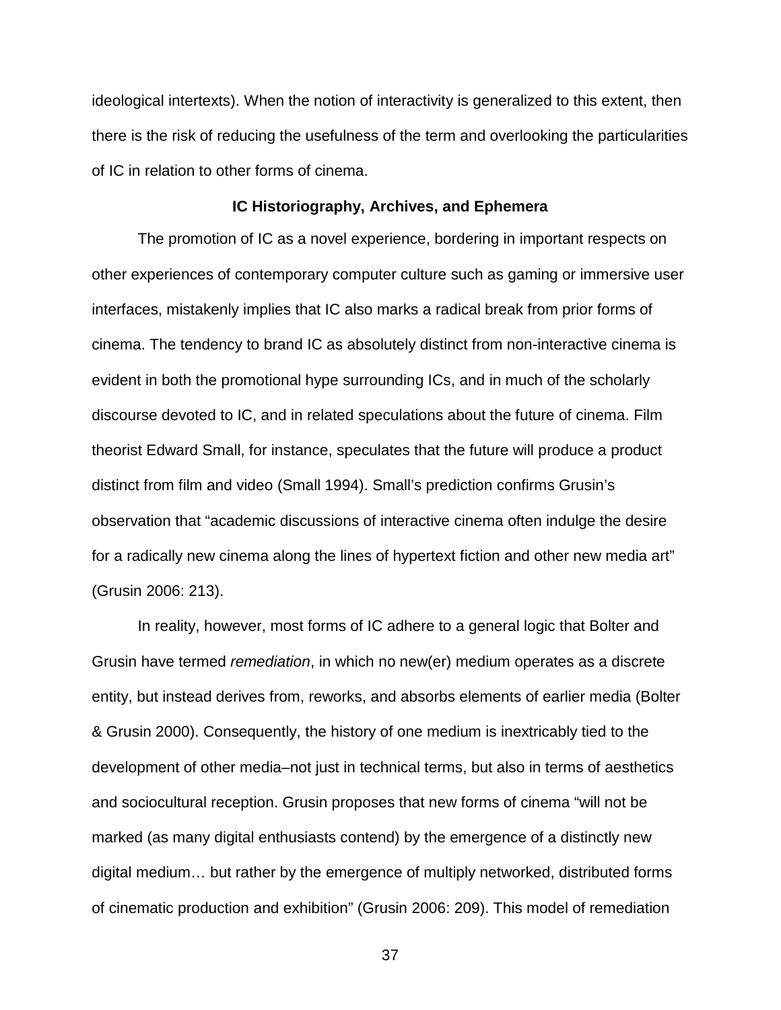ideological intertexts). When the notion of interactivity is generalized to this extent, then there is the risk of reducing the usefulness of the term and overlooking the particularities of IC in relation to other forms of cinema.

# **IC Historiography, Archives, and Ephemera**

The promotion of IC as a novel experience, bordering in important respects on other experiences of contemporary computer culture such as gaming or immersive user interfaces, mistakenly implies that IC also marks a radical break from prior forms of cinema. The tendency to brand IC as absolutely distinct from non-interactive cinema is evident in both the promotional hype surrounding ICs, and in much of the scholarly discourse devoted to IC, and in related speculations about the future of cinema. Film theorist Edward Small, for instance, speculates that the future will produce a product distinct from film and video (Small 1994). Small's prediction confirms Grusin's observation that "academic discussions of interactive cinema often indulge the desire for a radically new cinema along the lines of hypertext fiction and other new media art" (Grusin 2006: 213).

In reality, however, most forms of IC adhere to a general logic that Bolter and Grusin have termed *remediation*, in which no new(er) medium operates as a discrete entity, but instead derives from, reworks, and absorbs elements of earlier media (Bolter & Grusin 2000). Consequently, the history of one medium is inextricably tied to the development of other media–not just in technical terms, but also in terms of aesthetics and sociocultural reception. Grusin proposes that new forms of cinema "will not be marked (as many digital enthusiasts contend) by the emergence of a distinctly new digital medium… but rather by the emergence of multiply networked, distributed forms of cinematic production and exhibition" (Grusin 2006: 209). This model of remediation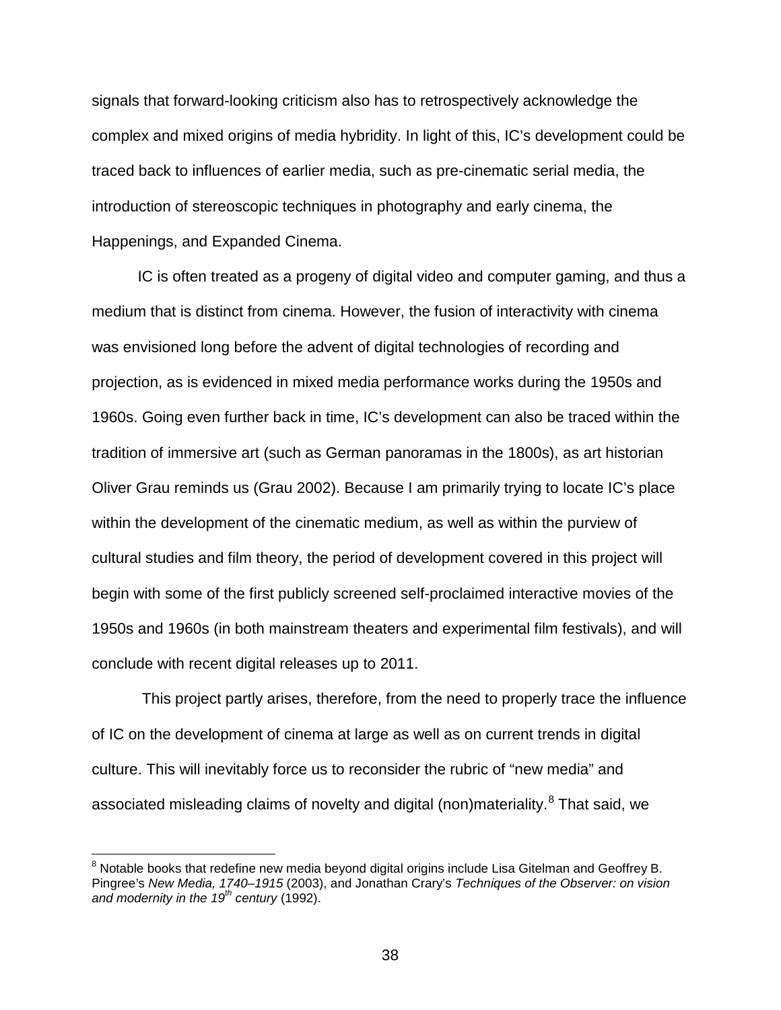signals that forward-looking criticism also has to retrospectively acknowledge the complex and mixed origins of media hybridity. In light of this, IC's development could be traced back to influences of earlier media, such as pre-cinematic serial media, the introduction of stereoscopic techniques in photography and early cinema, the Happenings, and Expanded Cinema.

IC is often treated as a progeny of digital video and computer gaming, and thus a medium that is distinct from cinema. However, the fusion of interactivity with cinema was envisioned long before the advent of digital technologies of recording and projection, as is evidenced in mixed media performance works during the 1950s and 1960s. Going even further back in time, IC's development can also be traced within the tradition of immersive art (such as German panoramas in the 1800s), as art historian Oliver Grau reminds us (Grau 2002). Because I am primarily trying to locate IC's place within the development of the cinematic medium, as well as within the purview of cultural studies and film theory, the period of development covered in this project will begin with some of the first publicly screened self-proclaimed interactive movies of the 1950s and 1960s (in both mainstream theaters and experimental film festivals), and will conclude with recent digital releases up to 2011.

This project partly arises, therefore, from the need to properly trace the influence of IC on the development of cinema at large as well as on current trends in digital culture. This will inevitably force us to reconsider the rubric of "new media" and associated misleading claims of novelty and digital (non)materiality.<sup>[8](#page-37-0)</sup> That said, we

<span id="page-37-0"></span><sup>&</sup>lt;sup>8</sup> Notable books that redefine new media beyond digital origins include Lisa Gitelman and Geoffrey B. Pingree's *New Media, 1740–1915* (2003), and Jonathan Crary's *Techniques of the Observer: on vision and modernity in the 19th century* (1992).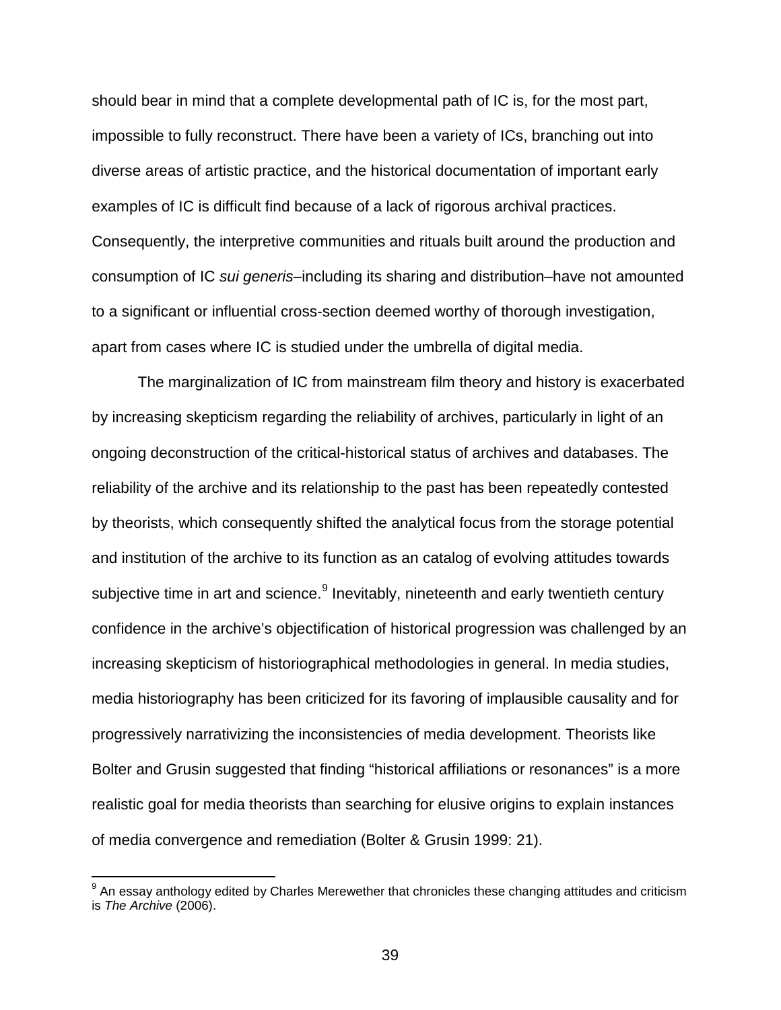should bear in mind that a complete developmental path of IC is, for the most part, impossible to fully reconstruct. There have been a variety of ICs, branching out into diverse areas of artistic practice, and the historical documentation of important early examples of IC is difficult find because of a lack of rigorous archival practices. Consequently, the interpretive communities and rituals built around the production and consumption of IC *sui generis*–including its sharing and distribution–have not amounted to a significant or influential cross-section deemed worthy of thorough investigation, apart from cases where IC is studied under the umbrella of digital media.

The marginalization of IC from mainstream film theory and history is exacerbated by increasing skepticism regarding the reliability of archives, particularly in light of an ongoing deconstruction of the critical-historical status of archives and databases. The reliability of the archive and its relationship to the past has been repeatedly contested by theorists, which consequently shifted the analytical focus from the storage potential and institution of the archive to its function as an catalog of evolving attitudes towards subjective time in art and science. $9$  Inevitably, nineteenth and early twentieth century confidence in the archive's objectification of historical progression was challenged by an increasing skepticism of historiographical methodologies in general. In media studies, media historiography has been criticized for its favoring of implausible causality and for progressively narrativizing the inconsistencies of media development. Theorists like Bolter and Grusin suggested that finding "historical affiliations or resonances" is a more realistic goal for media theorists than searching for elusive origins to explain instances of media convergence and remediation (Bolter & Grusin 1999: 21).

<span id="page-38-0"></span> $9$  An essav anthology edited by Charles Merewether that chronicles these changing attitudes and criticism is *The Archive* (2006).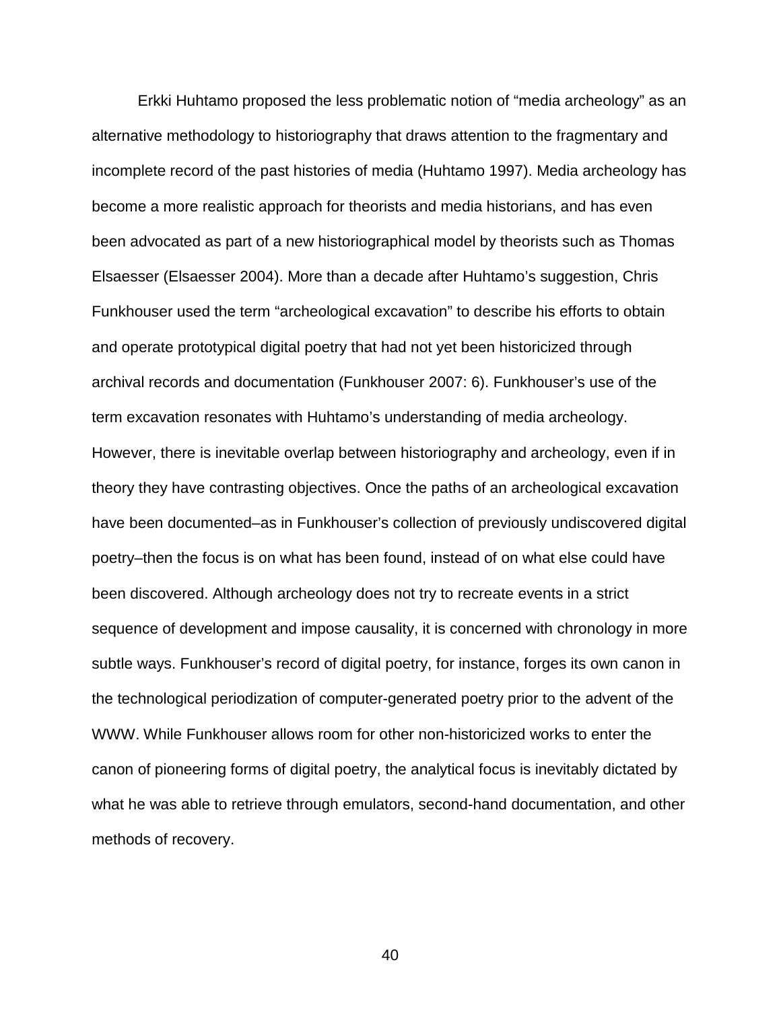Erkki Huhtamo proposed the less problematic notion of "media archeology" as an alternative methodology to historiography that draws attention to the fragmentary and incomplete record of the past histories of media (Huhtamo 1997). Media archeology has become a more realistic approach for theorists and media historians, and has even been advocated as part of a new historiographical model by theorists such as Thomas Elsaesser (Elsaesser 2004). More than a decade after Huhtamo's suggestion, Chris Funkhouser used the term "archeological excavation" to describe his efforts to obtain and operate prototypical digital poetry that had not yet been historicized through archival records and documentation (Funkhouser 2007: 6). Funkhouser's use of the term excavation resonates with Huhtamo's understanding of media archeology. However, there is inevitable overlap between historiography and archeology, even if in theory they have contrasting objectives. Once the paths of an archeological excavation have been documented–as in Funkhouser's collection of previously undiscovered digital poetry–then the focus is on what has been found, instead of on what else could have been discovered. Although archeology does not try to recreate events in a strict sequence of development and impose causality, it is concerned with chronology in more subtle ways. Funkhouser's record of digital poetry, for instance, forges its own canon in the technological periodization of computer-generated poetry prior to the advent of the WWW. While Funkhouser allows room for other non-historicized works to enter the canon of pioneering forms of digital poetry, the analytical focus is inevitably dictated by what he was able to retrieve through emulators, second-hand documentation, and other methods of recovery.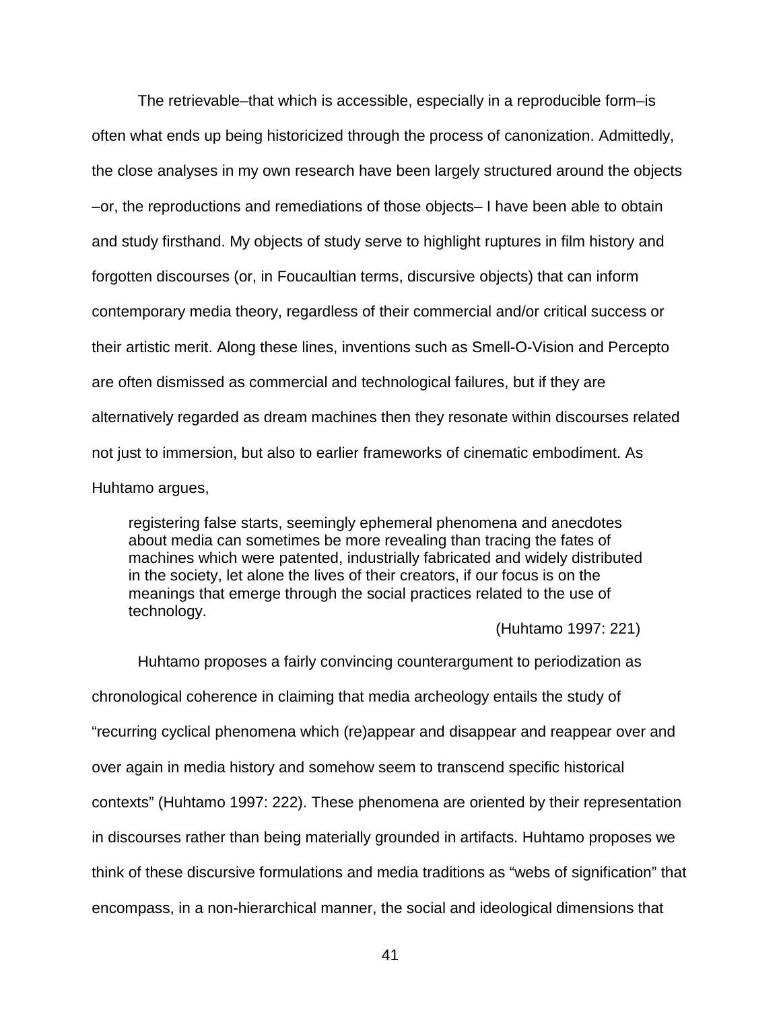The retrievable–that which is accessible, especially in a reproducible form–is often what ends up being historicized through the process of canonization. Admittedly, the close analyses in my own research have been largely structured around the objects –or, the reproductions and remediations of those objects– I have been able to obtain and study firsthand. My objects of study serve to highlight ruptures in film history and forgotten discourses (or, in Foucaultian terms, discursive objects) that can inform contemporary media theory, regardless of their commercial and/or critical success or their artistic merit. Along these lines, inventions such as Smell-O-Vision and Percepto are often dismissed as commercial and technological failures, but if they are alternatively regarded as dream machines then they resonate within discourses related not just to immersion, but also to earlier frameworks of cinematic embodiment. As Huhtamo argues,

registering false starts, seemingly ephemeral phenomena and anecdotes about media can sometimes be more revealing than tracing the fates of machines which were patented, industrially fabricated and widely distributed in the society, let alone the lives of their creators, if our focus is on the meanings that emerge through the social practices related to the use of technology.

(Huhtamo 1997: 221)

Huhtamo proposes a fairly convincing counterargument to periodization as chronological coherence in claiming that media archeology entails the study of "recurring cyclical phenomena which (re)appear and disappear and reappear over and over again in media history and somehow seem to transcend specific historical contexts" (Huhtamo 1997: 222). These phenomena are oriented by their representation in discourses rather than being materially grounded in artifacts. Huhtamo proposes we think of these discursive formulations and media traditions as "webs of signification" that encompass, in a non-hierarchical manner, the social and ideological dimensions that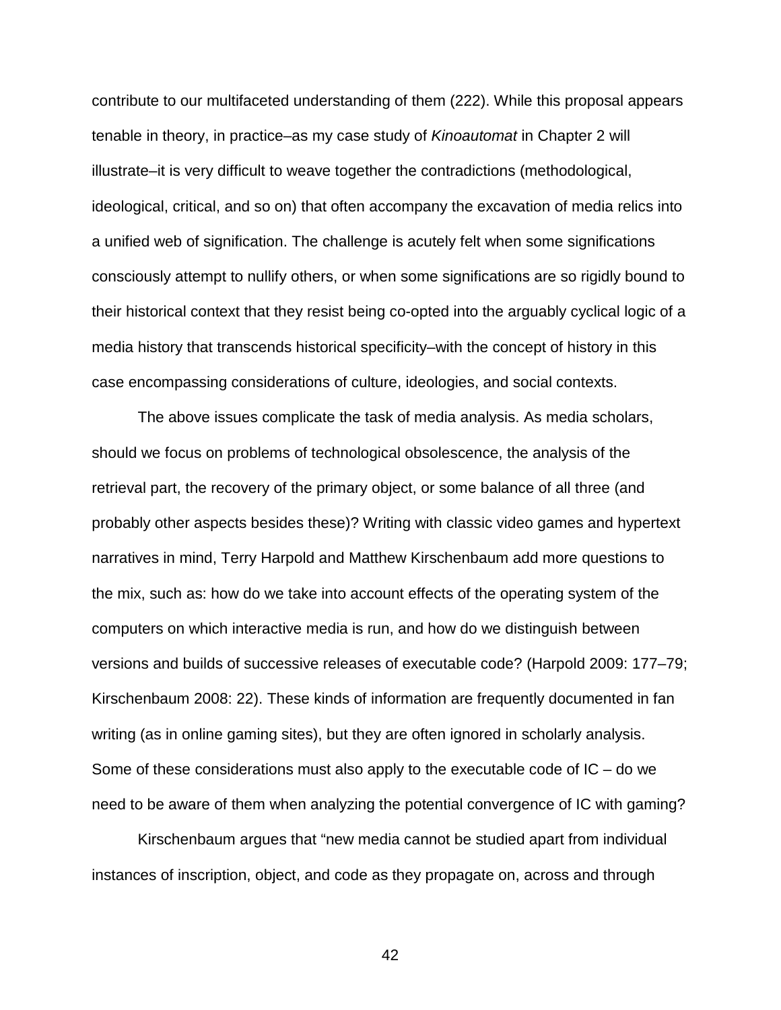contribute to our multifaceted understanding of them (222). While this proposal appears tenable in theory, in practice–as my case study of *Kinoautomat* in Chapter 2 will illustrate–it is very difficult to weave together the contradictions (methodological, ideological, critical, and so on) that often accompany the excavation of media relics into a unified web of signification. The challenge is acutely felt when some significations consciously attempt to nullify others, or when some significations are so rigidly bound to their historical context that they resist being co-opted into the arguably cyclical logic of a media history that transcends historical specificity–with the concept of history in this case encompassing considerations of culture, ideologies, and social contexts.

The above issues complicate the task of media analysis. As media scholars, should we focus on problems of technological obsolescence, the analysis of the retrieval part, the recovery of the primary object, or some balance of all three (and probably other aspects besides these)? Writing with classic video games and hypertext narratives in mind, Terry Harpold and Matthew Kirschenbaum add more questions to the mix, such as: how do we take into account effects of the operating system of the computers on which interactive media is run, and how do we distinguish between versions and builds of successive releases of executable code? (Harpold 2009: 177–79; Kirschenbaum 2008: 22). These kinds of information are frequently documented in fan writing (as in online gaming sites), but they are often ignored in scholarly analysis. Some of these considerations must also apply to the executable code of IC – do we need to be aware of them when analyzing the potential convergence of IC with gaming?

Kirschenbaum argues that "new media cannot be studied apart from individual instances of inscription, object, and code as they propagate on, across and through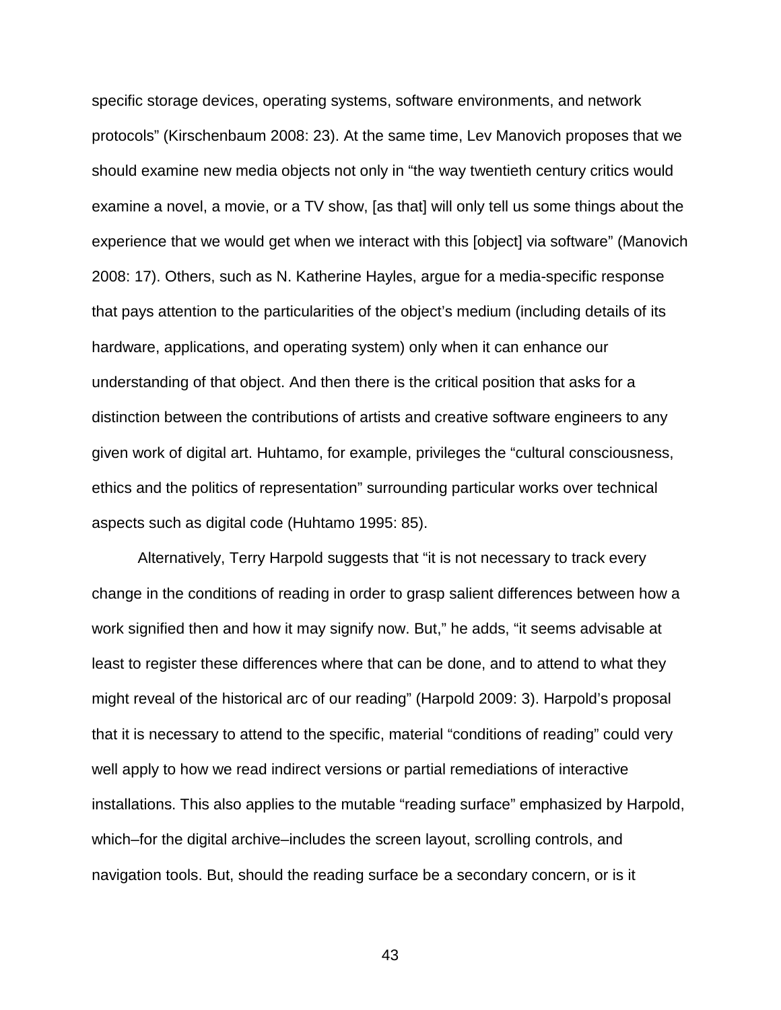specific storage devices, operating systems, software environments, and network protocols" (Kirschenbaum 2008: 23). At the same time, Lev Manovich proposes that we should examine new media objects not only in "the way twentieth century critics would examine a novel, a movie, or a TV show, [as that] will only tell us some things about the experience that we would get when we interact with this [object] via software" (Manovich 2008: 17). Others, such as N. Katherine Hayles, argue for a media-specific response that pays attention to the particularities of the object's medium (including details of its hardware, applications, and operating system) only when it can enhance our understanding of that object. And then there is the critical position that asks for a distinction between the contributions of artists and creative software engineers to any given work of digital art. Huhtamo, for example, privileges the "cultural consciousness, ethics and the politics of representation" surrounding particular works over technical aspects such as digital code (Huhtamo 1995: 85).

Alternatively, Terry Harpold suggests that "it is not necessary to track every change in the conditions of reading in order to grasp salient differences between how a work signified then and how it may signify now. But," he adds, "it seems advisable at least to register these differences where that can be done, and to attend to what they might reveal of the historical arc of our reading" (Harpold 2009: 3). Harpold's proposal that it is necessary to attend to the specific, material "conditions of reading" could very well apply to how we read indirect versions or partial remediations of interactive installations. This also applies to the mutable "reading surface" emphasized by Harpold, which–for the digital archive–includes the screen layout, scrolling controls, and navigation tools. But, should the reading surface be a secondary concern, or is it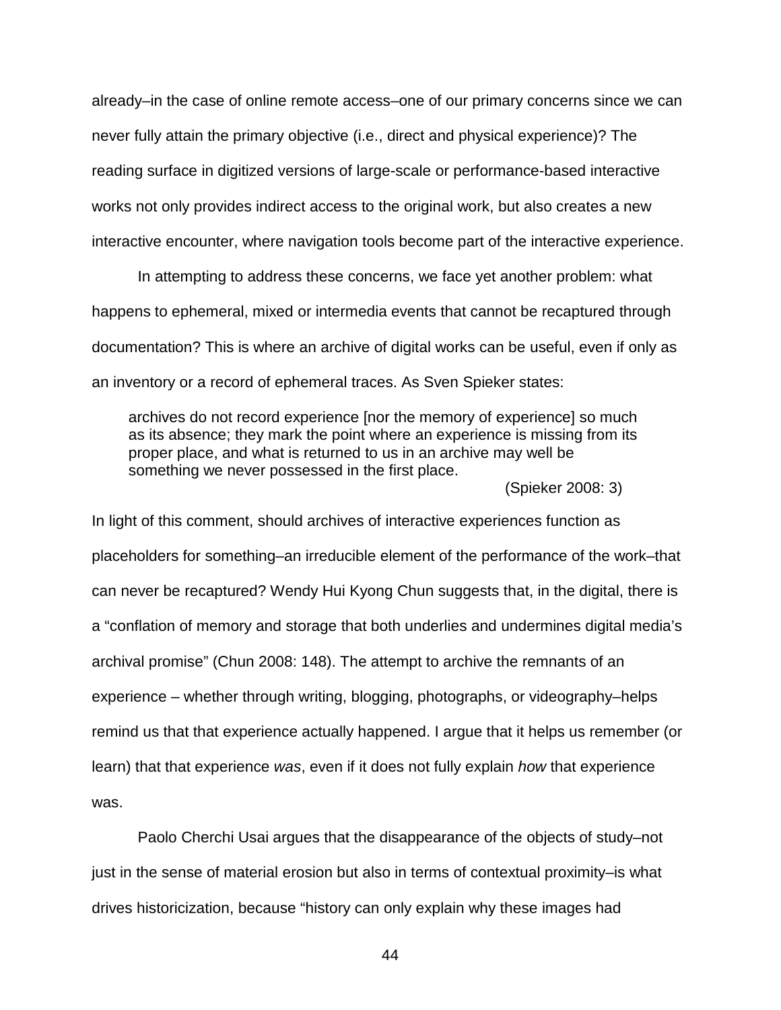already–in the case of online remote access–one of our primary concerns since we can never fully attain the primary objective (i.e., direct and physical experience)? The reading surface in digitized versions of large-scale or performance-based interactive works not only provides indirect access to the original work, but also creates a new interactive encounter, where navigation tools become part of the interactive experience.

In attempting to address these concerns, we face yet another problem: what happens to ephemeral, mixed or intermedia events that cannot be recaptured through documentation? This is where an archive of digital works can be useful, even if only as an inventory or a record of ephemeral traces. As Sven Spieker states:

archives do not record experience [nor the memory of experience] so much as its absence; they mark the point where an experience is missing from its proper place, and what is returned to us in an archive may well be something we never possessed in the first place.

(Spieker 2008: 3)

In light of this comment, should archives of interactive experiences function as placeholders for something–an irreducible element of the performance of the work–that can never be recaptured? Wendy Hui Kyong Chun suggests that, in the digital, there is a "conflation of memory and storage that both underlies and undermines digital media's archival promise" (Chun 2008: 148). The attempt to archive the remnants of an experience – whether through writing, blogging, photographs, or videography–helps remind us that that experience actually happened. I argue that it helps us remember (or learn) that that experience *was*, even if it does not fully explain *how* that experience was.

Paolo Cherchi Usai argues that the disappearance of the objects of study–not just in the sense of material erosion but also in terms of contextual proximity–is what drives historicization, because "history can only explain why these images had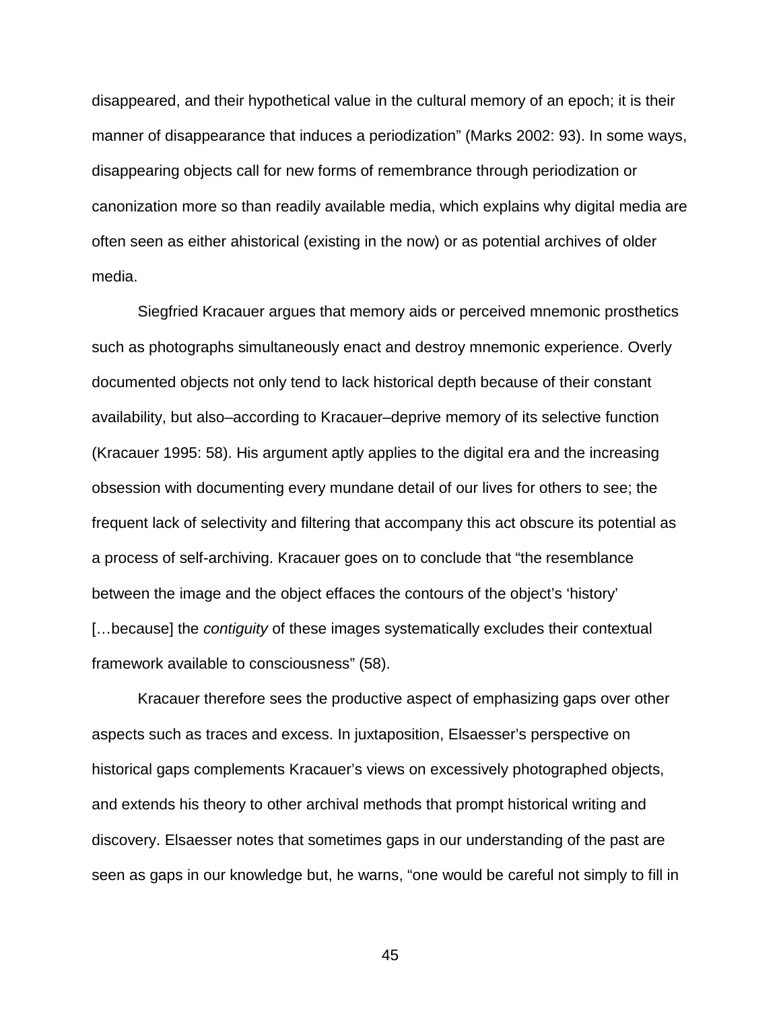disappeared, and their hypothetical value in the cultural memory of an epoch; it is their manner of disappearance that induces a periodization" (Marks 2002: 93). In some ways, disappearing objects call for new forms of remembrance through periodization or canonization more so than readily available media, which explains why digital media are often seen as either ahistorical (existing in the now) or as potential archives of older media.

Siegfried Kracauer argues that memory aids or perceived mnemonic prosthetics such as photographs simultaneously enact and destroy mnemonic experience. Overly documented objects not only tend to lack historical depth because of their constant availability, but also–according to Kracauer–deprive memory of its selective function (Kracauer 1995: 58). His argument aptly applies to the digital era and the increasing obsession with documenting every mundane detail of our lives for others to see; the frequent lack of selectivity and filtering that accompany this act obscure its potential as a process of self-archiving. Kracauer goes on to conclude that "the resemblance between the image and the object effaces the contours of the object's 'history' […because] the *contiguity* of these images systematically excludes their contextual framework available to consciousness" (58).

Kracauer therefore sees the productive aspect of emphasizing gaps over other aspects such as traces and excess. In juxtaposition, Elsaesser's perspective on historical gaps complements Kracauer's views on excessively photographed objects, and extends his theory to other archival methods that prompt historical writing and discovery. Elsaesser notes that sometimes gaps in our understanding of the past are seen as gaps in our knowledge but, he warns, "one would be careful not simply to fill in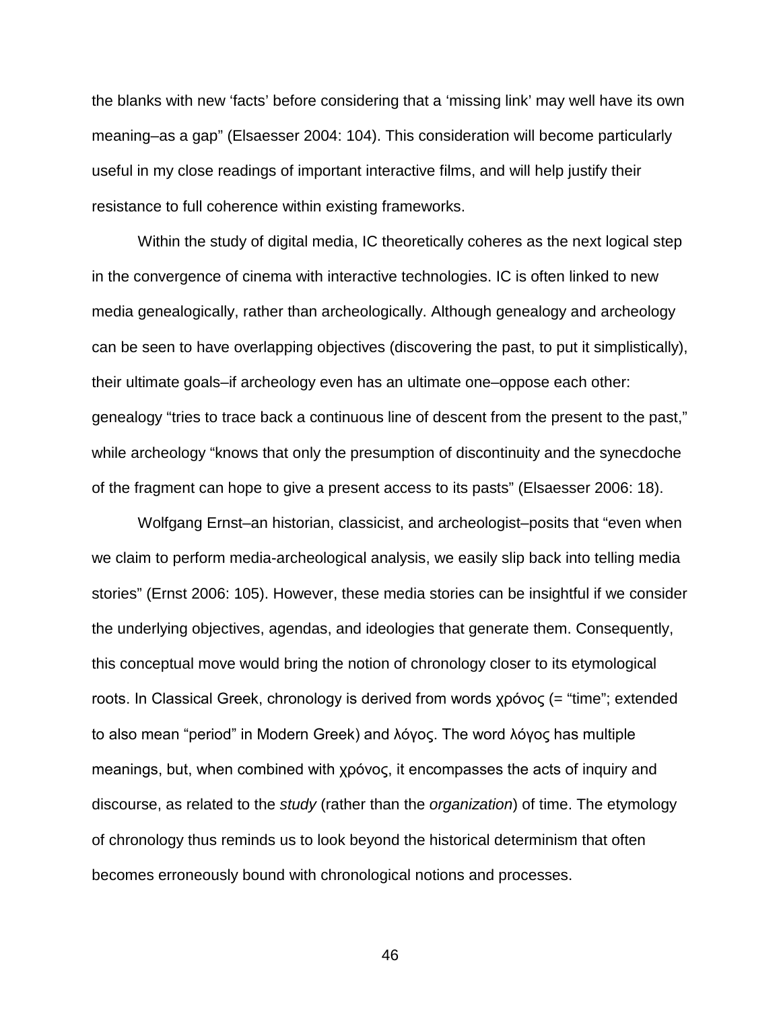the blanks with new 'facts' before considering that a 'missing link' may well have its own meaning–as a gap" (Elsaesser 2004: 104). This consideration will become particularly useful in my close readings of important interactive films, and will help justify their resistance to full coherence within existing frameworks.

Within the study of digital media, IC theoretically coheres as the next logical step in the convergence of cinema with interactive technologies. IC is often linked to new media genealogically, rather than archeologically. Although genealogy and archeology can be seen to have overlapping objectives (discovering the past, to put it simplistically), their ultimate goals–if archeology even has an ultimate one–oppose each other: genealogy "tries to trace back a continuous line of descent from the present to the past," while archeology "knows that only the presumption of discontinuity and the synecdoche of the fragment can hope to give a present access to its pasts" (Elsaesser 2006: 18).

Wolfgang Ernst–an historian, classicist, and archeologist–posits that "even when we claim to perform media-archeological analysis, we easily slip back into telling media stories" (Ernst 2006: 105). However, these media stories can be insightful if we consider the underlying objectives, agendas, and ideologies that generate them. Consequently, this conceptual move would bring the notion of chronology closer to its etymological roots. In Classical Greek, chronology is derived from words χρόνος (= "time"; extended to also mean "period" in Modern Greek) and λόγος. The word λόγος has multiple meanings, but, when combined with χρόνος, it encompasses the acts of inquiry and discourse, as related to the *study* (rather than the *organization*) of time. The etymology of chronology thus reminds us to look beyond the historical determinism that often becomes erroneously bound with chronological notions and processes.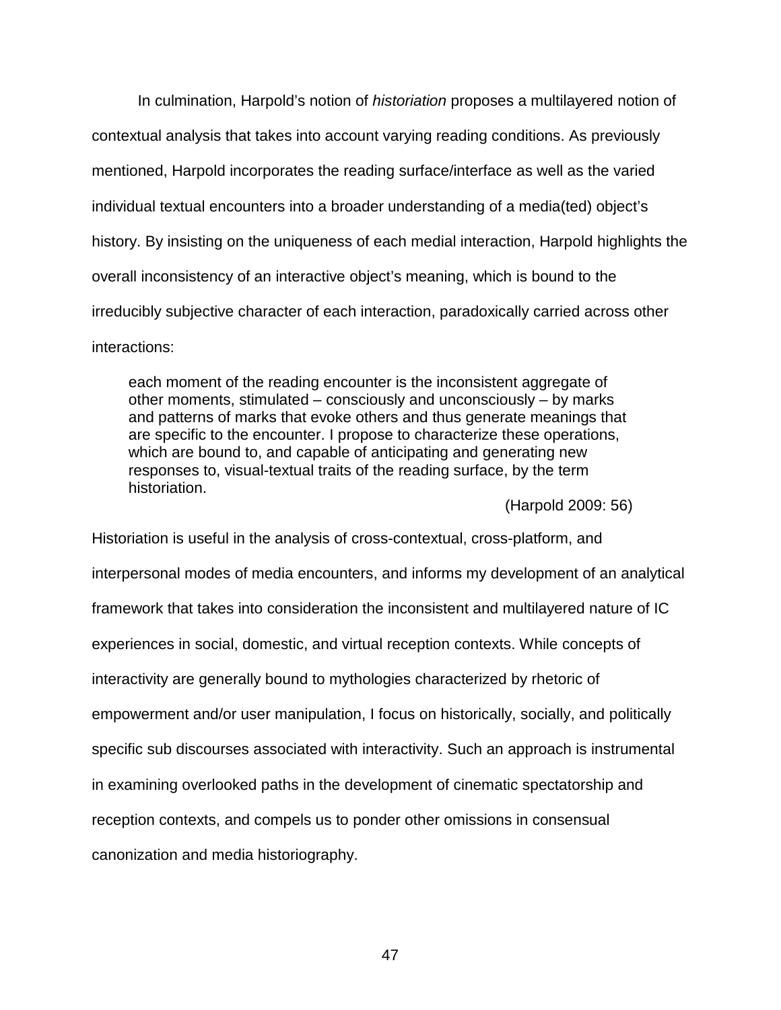In culmination, Harpold's notion of *historiation* proposes a multilayered notion of contextual analysis that takes into account varying reading conditions. As previously mentioned, Harpold incorporates the reading surface/interface as well as the varied individual textual encounters into a broader understanding of a media(ted) object's history. By insisting on the uniqueness of each medial interaction, Harpold highlights the overall inconsistency of an interactive object's meaning, which is bound to the irreducibly subjective character of each interaction, paradoxically carried across other interactions:

each moment of the reading encounter is the inconsistent aggregate of other moments, stimulated – consciously and unconsciously – by marks and patterns of marks that evoke others and thus generate meanings that are specific to the encounter. I propose to characterize these operations, which are bound to, and capable of anticipating and generating new responses to, visual-textual traits of the reading surface, by the term historiation.

(Harpold 2009: 56)

Historiation is useful in the analysis of cross-contextual, cross-platform, and interpersonal modes of media encounters, and informs my development of an analytical framework that takes into consideration the inconsistent and multilayered nature of IC experiences in social, domestic, and virtual reception contexts. While concepts of interactivity are generally bound to mythologies characterized by rhetoric of empowerment and/or user manipulation, I focus on historically, socially, and politically specific sub discourses associated with interactivity. Such an approach is instrumental in examining overlooked paths in the development of cinematic spectatorship and reception contexts, and compels us to ponder other omissions in consensual canonization and media historiography.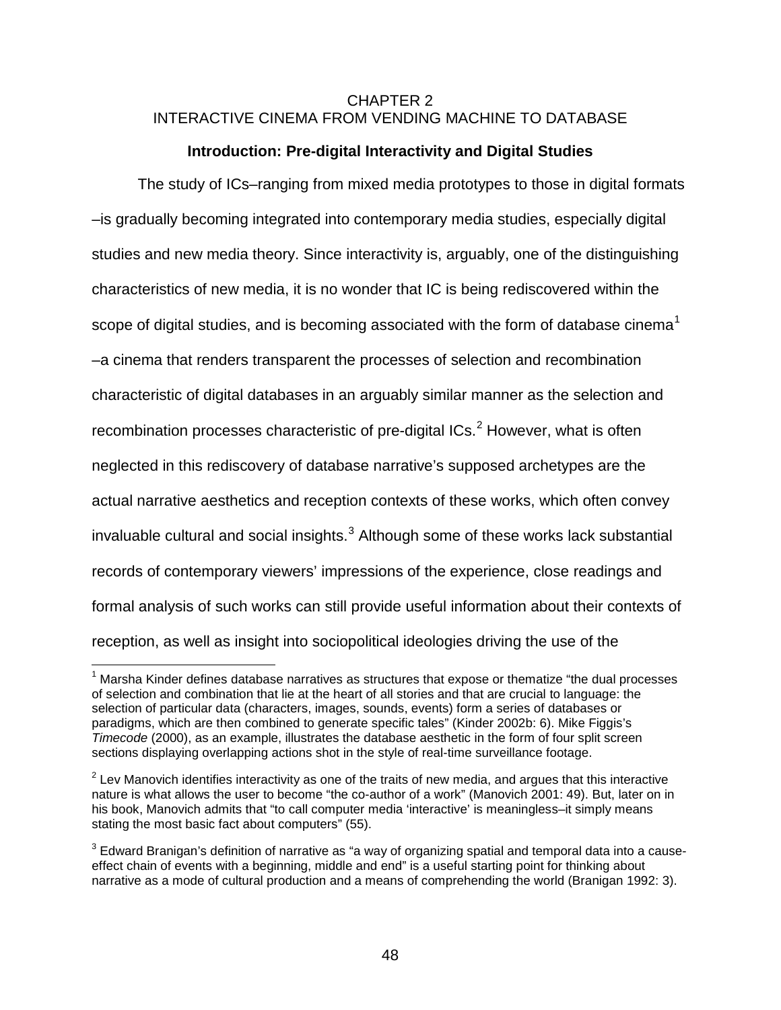# CHAPTER 2 INTERACTIVE CINEMA FROM VENDING MACHINE TO DATABASE

# **Introduction: Pre-digital Interactivity and Digital Studies**

The study of ICs–ranging from mixed media prototypes to those in digital formats –is gradually becoming integrated into contemporary media studies, especially digital studies and new media theory. Since interactivity is, arguably, one of the distinguishing characteristics of new media, it is no wonder that IC is being rediscovered within the scope of digital studies, and is becoming associated with the form of database cinema<sup>[1](#page-47-0)</sup> –a cinema that renders transparent the processes of selection and recombination characteristic of digital databases in an arguably similar manner as the selection and recombination processes characteristic of pre-digital  $\text{ICs.}^2$  $\text{ICs.}^2$  However, what is often neglected in this rediscovery of database narrative's supposed archetypes are the actual narrative aesthetics and reception contexts of these works, which often convey  $invalvable$  cultural and social insights. $3$  Although some of these works lack substantial records of contemporary viewers' impressions of the experience, close readings and formal analysis of such works can still provide useful information about their contexts of reception, as well as insight into sociopolitical ideologies driving the use of the

<span id="page-47-0"></span> $1$  Marsha Kinder defines database narratives as structures that expose or thematize "the dual processes of selection and combination that lie at the heart of all stories and that are crucial to language: the selection of particular data (characters, images, sounds, events) form a series of databases or paradigms, which are then combined to generate specific tales" (Kinder 2002b: 6). Mike Figgis's *Timecode* (2000), as an example, illustrates the database aesthetic in the form of four split screen sections displaying overlapping actions shot in the style of real-time surveillance footage.

<span id="page-47-1"></span> $2$  Lev Manovich identifies interactivity as one of the traits of new media, and argues that this interactive nature is what allows the user to become "the co-author of a work" (Manovich 2001: 49). But, later on in his book, Manovich admits that "to call computer media 'interactive' is meaningless-it simply means stating the most basic fact about computers" (55).

<span id="page-47-2"></span><sup>&</sup>lt;sup>3</sup> Edward Branigan's definition of narrative as "a way of organizing spatial and temporal data into a causeeffect chain of events with a beginning, middle and end" is a useful starting point for thinking about narrative as a mode of cultural production and a means of comprehending the world (Branigan 1992: 3).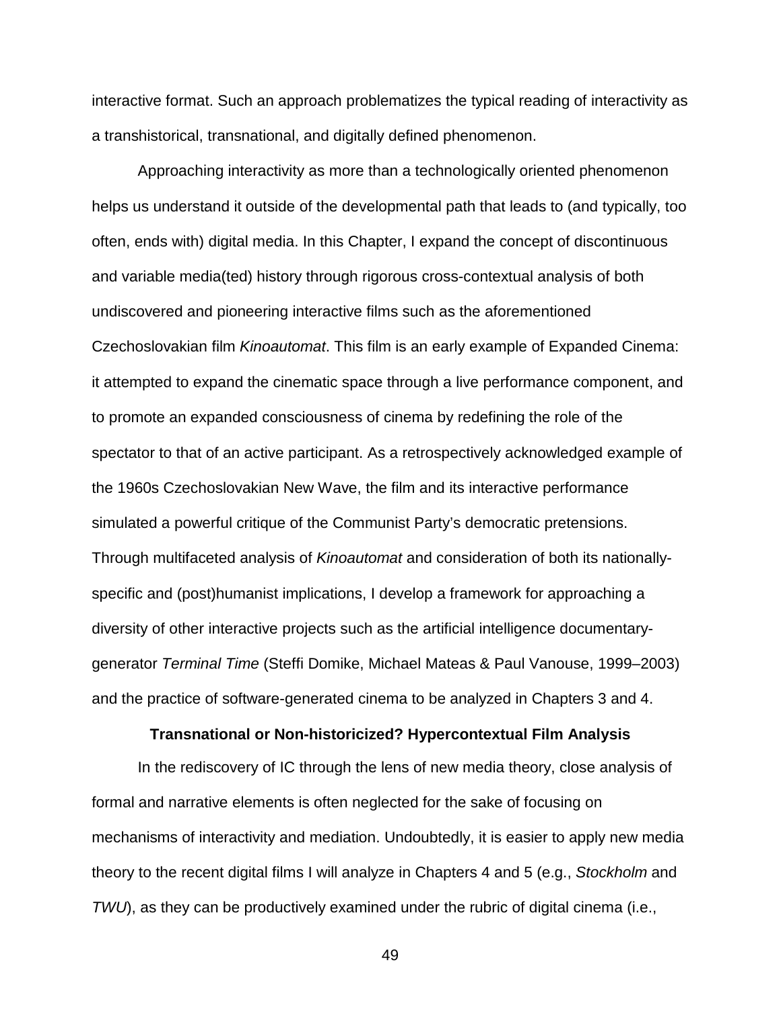interactive format. Such an approach problematizes the typical reading of interactivity as a transhistorical, transnational, and digitally defined phenomenon.

Approaching interactivity as more than a technologically oriented phenomenon helps us understand it outside of the developmental path that leads to (and typically, too often, ends with) digital media. In this Chapter, I expand the concept of discontinuous and variable media(ted) history through rigorous cross-contextual analysis of both undiscovered and pioneering interactive films such as the aforementioned Czechoslovakian film *Kinoautomat*. This film is an early example of Expanded Cinema: it attempted to expand the cinematic space through a live performance component, and to promote an expanded consciousness of cinema by redefining the role of the spectator to that of an active participant. As a retrospectively acknowledged example of the 1960s Czechoslovakian New Wave, the film and its interactive performance simulated a powerful critique of the Communist Party's democratic pretensions. Through multifaceted analysis of *Kinoautomat* and consideration of both its nationallyspecific and (post)humanist implications, I develop a framework for approaching a diversity of other interactive projects such as the artificial intelligence documentarygenerator *Terminal Time* (Steffi Domike, Michael Mateas & Paul Vanouse, 1999–2003) and the practice of software-generated cinema to be analyzed in Chapters 3 and 4.

#### **Transnational or Non-historicized? Hypercontextual Film Analysis**

In the rediscovery of IC through the lens of new media theory, close analysis of formal and narrative elements is often neglected for the sake of focusing on mechanisms of interactivity and mediation. Undoubtedly, it is easier to apply new media theory to the recent digital films I will analyze in Chapters 4 and 5 (e.g., *Stockholm* and *TWU*), as they can be productively examined under the rubric of digital cinema (i.e.,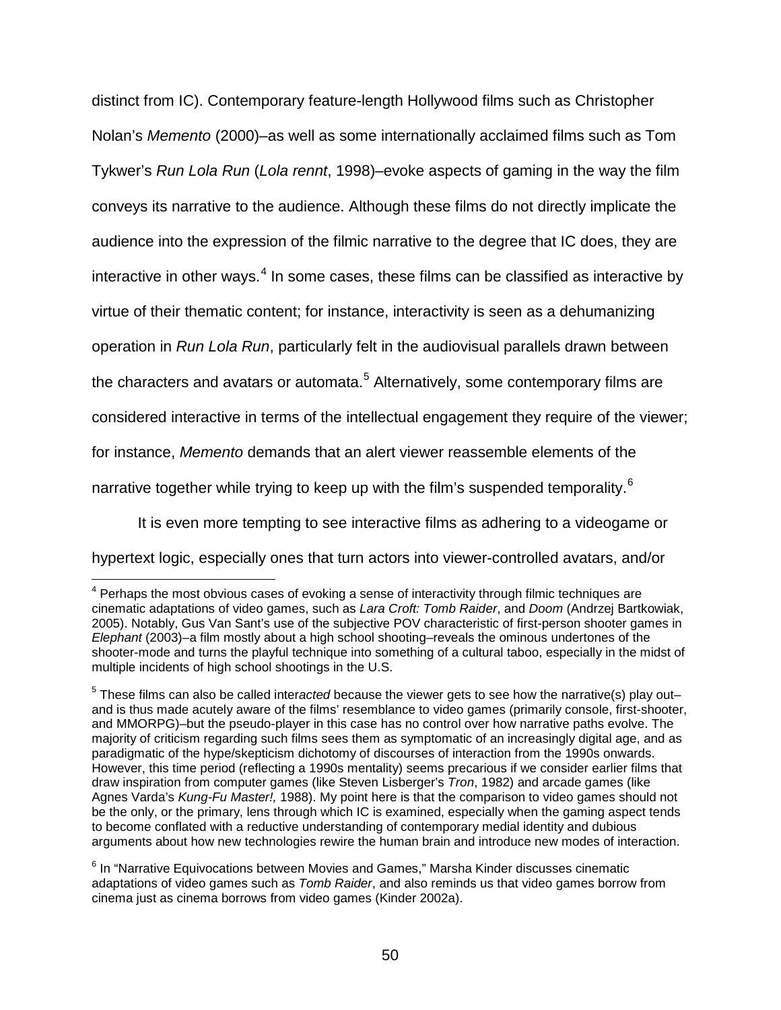distinct from IC). Contemporary feature-length Hollywood films such as Christopher Nolan's *Memento* (2000)–as well as some internationally acclaimed films such as Tom Tykwer's *Run Lola Run* (*Lola rennt*, 1998)–evoke aspects of gaming in the way the film conveys its narrative to the audience. Although these films do not directly implicate the audience into the expression of the filmic narrative to the degree that IC does, they are interactive in other ways. $4$  In some cases, these films can be classified as interactive by virtue of their thematic content; for instance, interactivity is seen as a dehumanizing operation in *Run Lola Run*, particularly felt in the audiovisual parallels drawn between the characters and avatars or automata.<sup>[5](#page-49-1)</sup> Alternatively, some contemporary films are considered interactive in terms of the intellectual engagement they require of the viewer; for instance, *Memento* demands that an alert viewer reassemble elements of the narrative together while trying to keep up with the film's suspended temporality.<sup>[6](#page-49-2)</sup>

It is even more tempting to see interactive films as adhering to a videogame or hypertext logic, especially ones that turn actors into viewer-controlled avatars, and/or

<span id="page-49-0"></span> $4$  Perhaps the most obvious cases of evoking a sense of interactivity through filmic techniques are cinematic adaptations of video games, such as *Lara Croft: Tomb Raider*, and *Doom* (Andrzej Bartkowiak, 2005). Notably, Gus Van Sant's use of the subjective POV characteristic of first-person shooter games in *Elephant* (2003)–a film mostly about a high school shooting–reveals the ominous undertones of the shooter-mode and turns the playful technique into something of a cultural taboo, especially in the midst of multiple incidents of high school shootings in the U.S.

<span id="page-49-1"></span><sup>5</sup> These films can also be called inter*acted* because the viewer gets to see how the narrative(s) play out– and is thus made acutely aware of the films' resemblance to video games (primarily console, first-shooter, and MMORPG)–but the pseudo-player in this case has no control over how narrative paths evolve. The majority of criticism regarding such films sees them as symptomatic of an increasingly digital age, and as paradigmatic of the hype/skepticism dichotomy of discourses of interaction from the 1990s onwards. However, this time period (reflecting a 1990s mentality) seems precarious if we consider earlier films that draw inspiration from computer games (like Steven Lisberger's *Tron*, 1982) and arcade games (like Agnes Varda's *Kung-Fu Master!,* 1988). My point here is that the comparison to video games should not be the only, or the primary, lens through which IC is examined, especially when the gaming aspect tends to become conflated with a reductive understanding of contemporary medial identity and dubious arguments about how new technologies rewire the human brain and introduce new modes of interaction.

<span id="page-49-2"></span> $6$  In "Narrative Equivocations between Movies and Games," Marsha Kinder discusses cinematic adaptations of video games such as *Tomb Raider*, and also reminds us that video games borrow from cinema just as cinema borrows from video games (Kinder 2002a).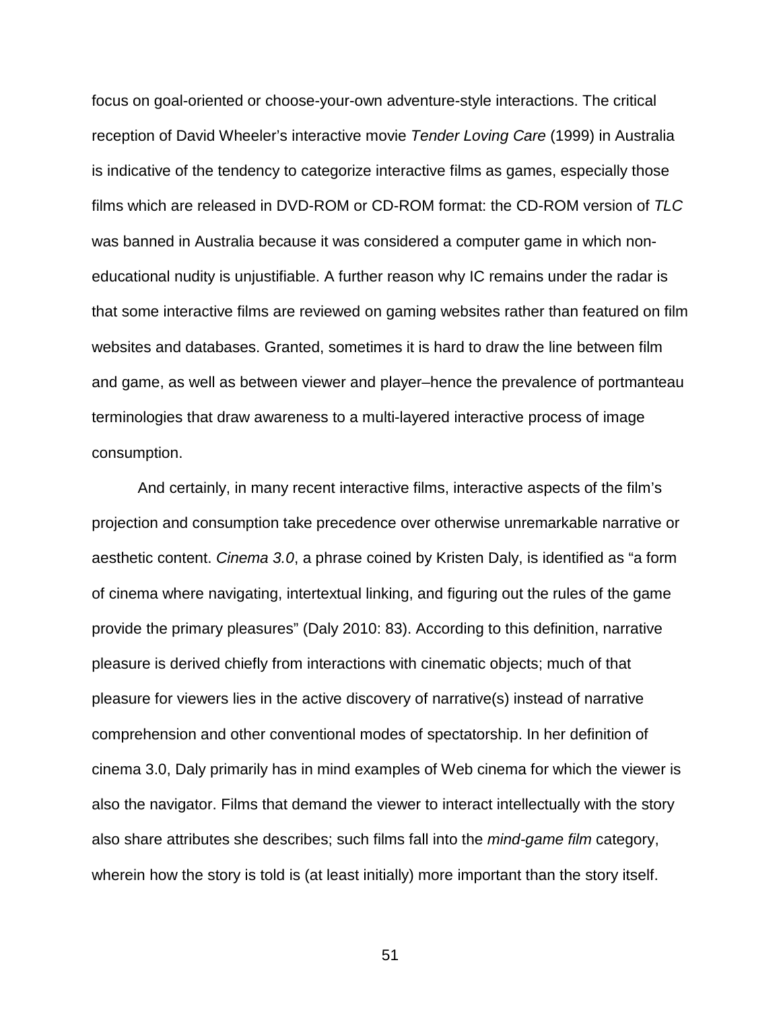focus on goal-oriented or choose-your-own adventure-style interactions. The critical reception of David Wheeler's interactive movie *Tender Loving Care* (1999) in Australia is indicative of the tendency to categorize interactive films as games, especially those films which are released in DVD-ROM or CD-ROM format: the CD-ROM version of *TLC*  was banned in Australia because it was considered a computer game in which noneducational nudity is unjustifiable. A further reason why IC remains under the radar is that some interactive films are reviewed on gaming websites rather than featured on film websites and databases. Granted, sometimes it is hard to draw the line between film and game, as well as between viewer and player–hence the prevalence of portmanteau terminologies that draw awareness to a multi-layered interactive process of image consumption.

And certainly, in many recent interactive films, interactive aspects of the film's projection and consumption take precedence over otherwise unremarkable narrative or aesthetic content. *Cinema 3.0*, a phrase coined by Kristen Daly, is identified as "a form of cinema where navigating, intertextual linking, and figuring out the rules of the game provide the primary pleasures" (Daly 2010: 83). According to this definition, narrative pleasure is derived chiefly from interactions with cinematic objects; much of that pleasure for viewers lies in the active discovery of narrative(s) instead of narrative comprehension and other conventional modes of spectatorship. In her definition of cinema 3.0, Daly primarily has in mind examples of Web cinema for which the viewer is also the navigator. Films that demand the viewer to interact intellectually with the story also share attributes she describes; such films fall into the *mind-game film* category, wherein how the story is told is (at least initially) more important than the story itself.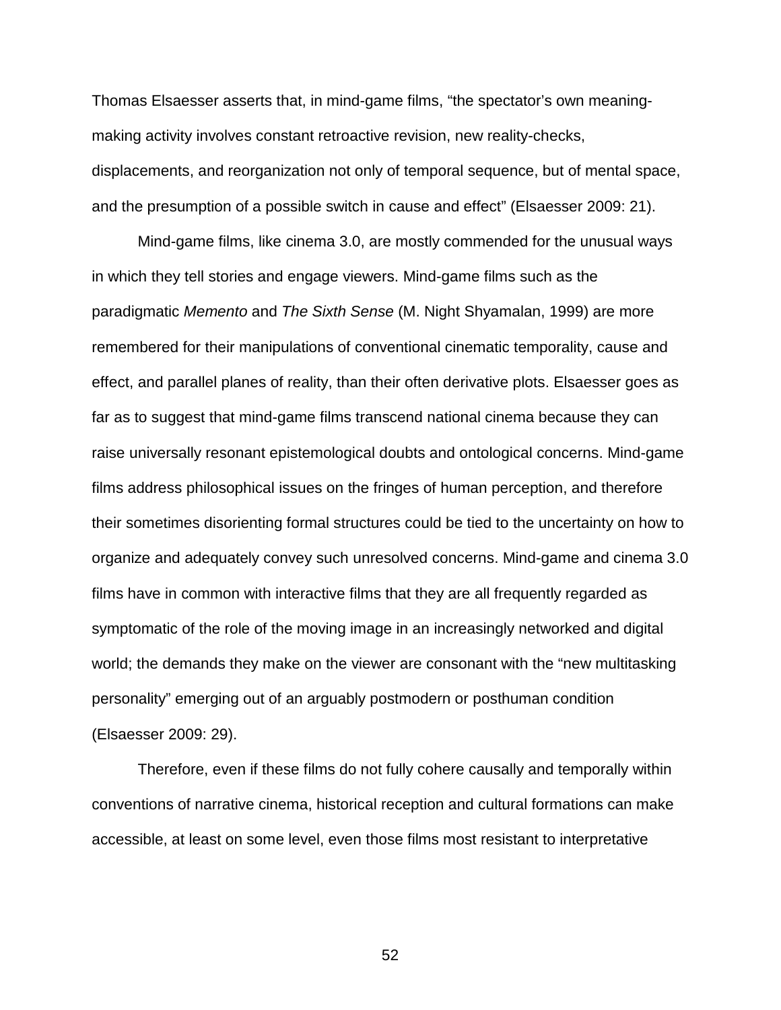Thomas Elsaesser asserts that, in mind-game films, "the spectator's own meaningmaking activity involves constant retroactive revision, new reality-checks, displacements, and reorganization not only of temporal sequence, but of mental space, and the presumption of a possible switch in cause and effect" (Elsaesser 2009: 21).

Mind-game films, like cinema 3.0, are mostly commended for the unusual ways in which they tell stories and engage viewers. Mind-game films such as the paradigmatic *Memento* and *The Sixth Sense* (M. Night Shyamalan, 1999) are more remembered for their manipulations of conventional cinematic temporality, cause and effect, and parallel planes of reality, than their often derivative plots. Elsaesser goes as far as to suggest that mind-game films transcend national cinema because they can raise universally resonant epistemological doubts and ontological concerns. Mind-game films address philosophical issues on the fringes of human perception, and therefore their sometimes disorienting formal structures could be tied to the uncertainty on how to organize and adequately convey such unresolved concerns. Mind-game and cinema 3.0 films have in common with interactive films that they are all frequently regarded as symptomatic of the role of the moving image in an increasingly networked and digital world; the demands they make on the viewer are consonant with the "new multitasking personality" emerging out of an arguably postmodern or posthuman condition (Elsaesser 2009: 29).

Therefore, even if these films do not fully cohere causally and temporally within conventions of narrative cinema, historical reception and cultural formations can make accessible, at least on some level, even those films most resistant to interpretative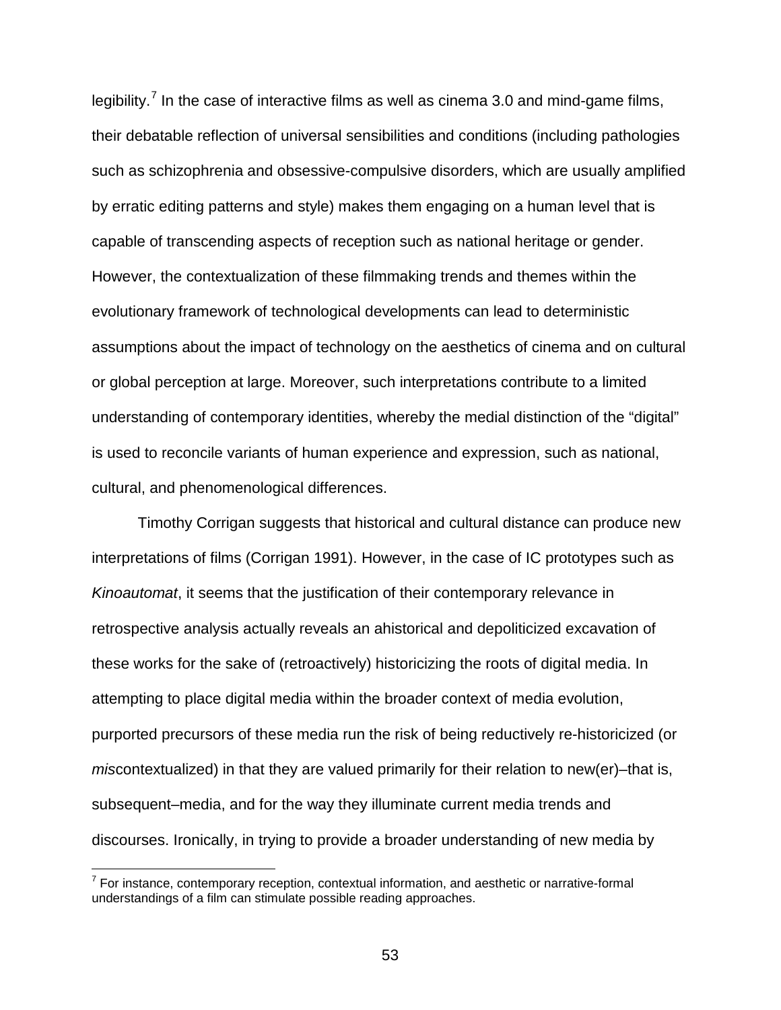legibility.<sup>[7](#page-52-0)</sup> In the case of interactive films as well as cinema 3.0 and mind-game films, their debatable reflection of universal sensibilities and conditions (including pathologies such as schizophrenia and obsessive-compulsive disorders, which are usually amplified by erratic editing patterns and style) makes them engaging on a human level that is capable of transcending aspects of reception such as national heritage or gender. However, the contextualization of these filmmaking trends and themes within the evolutionary framework of technological developments can lead to deterministic assumptions about the impact of technology on the aesthetics of cinema and on cultural or global perception at large. Moreover, such interpretations contribute to a limited understanding of contemporary identities, whereby the medial distinction of the "digital" is used to reconcile variants of human experience and expression, such as national, cultural, and phenomenological differences.

Timothy Corrigan suggests that historical and cultural distance can produce new interpretations of films (Corrigan 1991). However, in the case of IC prototypes such as *Kinoautomat*, it seems that the justification of their contemporary relevance in retrospective analysis actually reveals an ahistorical and depoliticized excavation of these works for the sake of (retroactively) historicizing the roots of digital media. In attempting to place digital media within the broader context of media evolution, purported precursors of these media run the risk of being reductively re-historicized (or *miscontextualized*) in that they are valued primarily for their relation to new(er)–that is, subsequent–media, and for the way they illuminate current media trends and discourses. Ironically, in trying to provide a broader understanding of new media by

<span id="page-52-0"></span> $7$  For instance, contemporary reception, contextual information, and aesthetic or narrative-formal understandings of a film can stimulate possible reading approaches.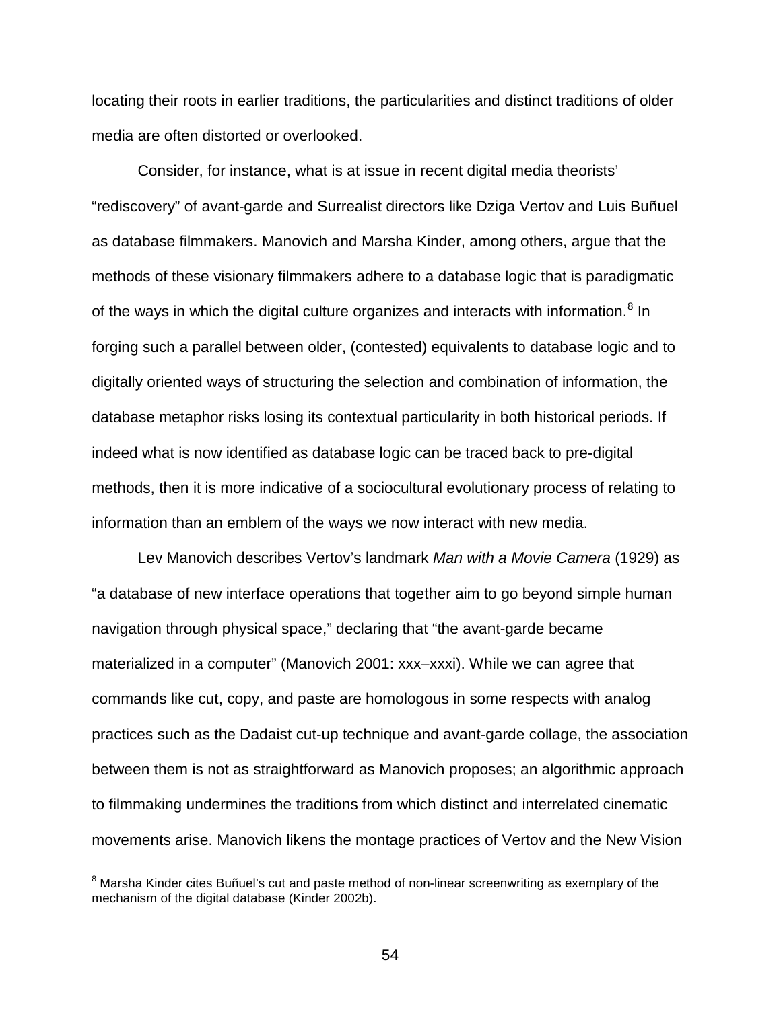locating their roots in earlier traditions, the particularities and distinct traditions of older media are often distorted or overlooked.

Consider, for instance, what is at issue in recent digital media theorists' "rediscovery" of avant-garde and Surrealist directors like Dziga Vertov and Luis Buñuel as database filmmakers. Manovich and Marsha Kinder, among others, argue that the methods of these visionary filmmakers adhere to a database logic that is paradigmatic of the ways in which the digital culture organizes and interacts with information.<sup>[8](#page-53-0)</sup> In forging such a parallel between older, (contested) equivalents to database logic and to digitally oriented ways of structuring the selection and combination of information, the database metaphor risks losing its contextual particularity in both historical periods. If indeed what is now identified as database logic can be traced back to pre-digital methods, then it is more indicative of a sociocultural evolutionary process of relating to information than an emblem of the ways we now interact with new media.

Lev Manovich describes Vertov's landmark *Man with a Movie Camera* (1929) as "a database of new interface operations that together aim to go beyond simple human navigation through physical space," declaring that "the avant-garde became materialized in a computer" (Manovich 2001: xxx–xxxi). While we can agree that commands like cut, copy, and paste are homologous in some respects with analog practices such as the Dadaist cut-up technique and avant-garde collage, the association between them is not as straightforward as Manovich proposes; an algorithmic approach to filmmaking undermines the traditions from which distinct and interrelated cinematic movements arise. Manovich likens the montage practices of Vertov and the New Vision

<span id="page-53-0"></span><sup>&</sup>lt;sup>8</sup> Marsha Kinder cites Buñuel's cut and paste method of non-linear screenwriting as exemplary of the mechanism of the digital database (Kinder 2002b).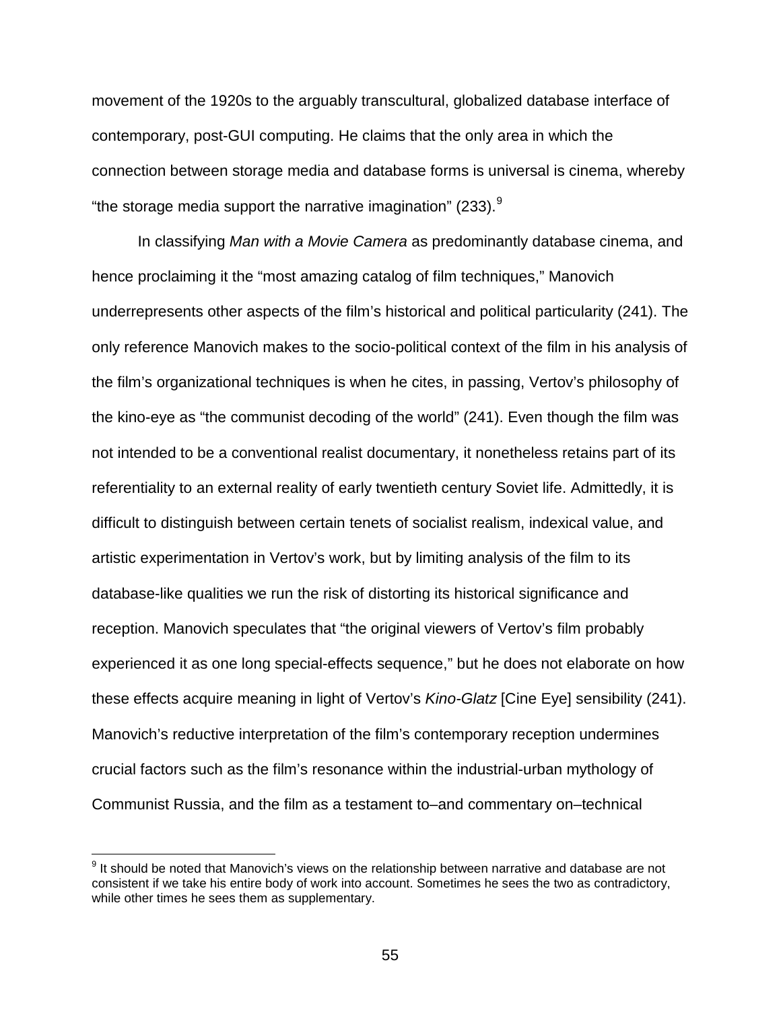movement of the 1920s to the arguably transcultural, globalized database interface of contemporary, post-GUI computing. He claims that the only area in which the connection between storage media and database forms is universal is cinema, whereby "the storage media support the narrative imagination" (233). $9$ 

In classifying *Man with a Movie Camera* as predominantly database cinema, and hence proclaiming it the "most amazing catalog of film techniques," Manovich underrepresents other aspects of the film's historical and political particularity (241). The only reference Manovich makes to the socio-political context of the film in his analysis of the film's organizational techniques is when he cites, in passing, Vertov's philosophy of the kino-eye as "the communist decoding of the world" (241). Even though the film was not intended to be a conventional realist documentary, it nonetheless retains part of its referentiality to an external reality of early twentieth century Soviet life. Admittedly, it is difficult to distinguish between certain tenets of socialist realism, indexical value, and artistic experimentation in Vertov's work, but by limiting analysis of the film to its database-like qualities we run the risk of distorting its historical significance and reception. Manovich speculates that "the original viewers of Vertov's film probably experienced it as one long special-effects sequence," but he does not elaborate on how these effects acquire meaning in light of Vertov's *Kino-Glatz* [Cine Eye] sensibility (241). Manovich's reductive interpretation of the film's contemporary reception undermines crucial factors such as the film's resonance within the industrial-urban mythology of Communist Russia, and the film as a testament to–and commentary on–technical

<span id="page-54-0"></span> $9$  It should be noted that Manovich's views on the relationship between narrative and database are not consistent if we take his entire body of work into account. Sometimes he sees the two as contradictory, while other times he sees them as supplementary.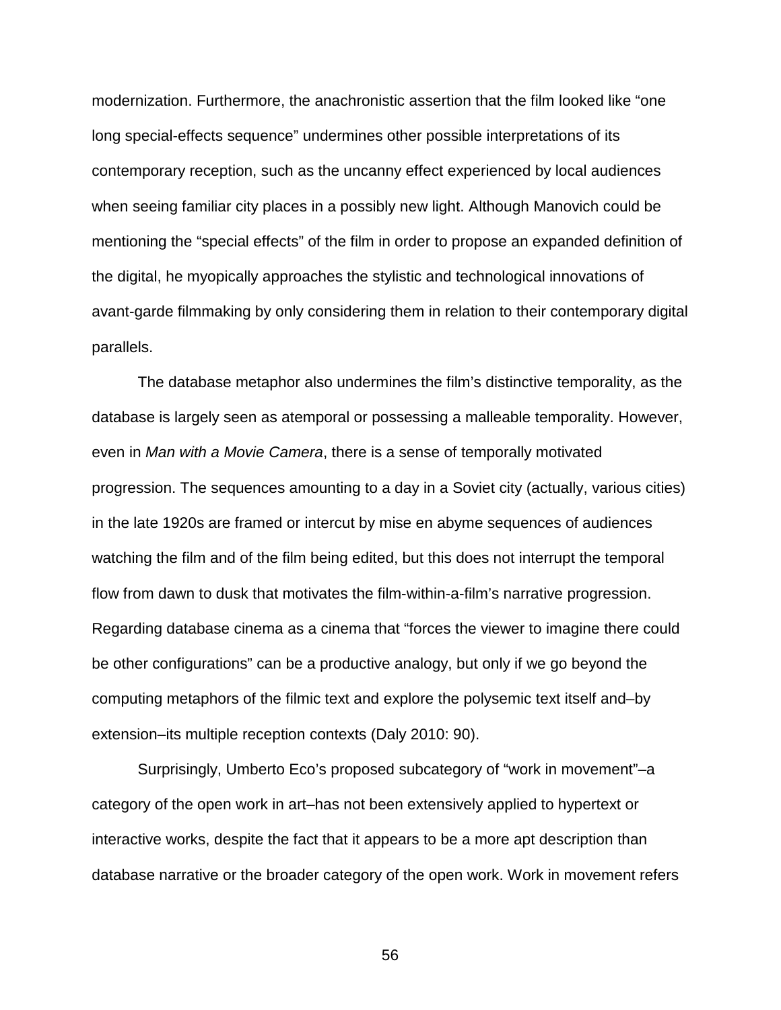modernization. Furthermore, the anachronistic assertion that the film looked like "one long special-effects sequence" undermines other possible interpretations of its contemporary reception, such as the uncanny effect experienced by local audiences when seeing familiar city places in a possibly new light. Although Manovich could be mentioning the "special effects" of the film in order to propose an expanded definition of the digital, he myopically approaches the stylistic and technological innovations of avant-garde filmmaking by only considering them in relation to their contemporary digital parallels.

The database metaphor also undermines the film's distinctive temporality, as the database is largely seen as atemporal or possessing a malleable temporality. However, even in *Man with a Movie Camera*, there is a sense of temporally motivated progression. The sequences amounting to a day in a Soviet city (actually, various cities) in the late 1920s are framed or intercut by mise en abyme sequences of audiences watching the film and of the film being edited, but this does not interrupt the temporal flow from dawn to dusk that motivates the film-within-a-film's narrative progression. Regarding database cinema as a cinema that "forces the viewer to imagine there could be other configurations" can be a productive analogy, but only if we go beyond the computing metaphors of the filmic text and explore the polysemic text itself and–by extension–its multiple reception contexts (Daly 2010: 90).

Surprisingly, Umberto Eco's proposed subcategory of "work in movement"–a category of the open work in art–has not been extensively applied to hypertext or interactive works, despite the fact that it appears to be a more apt description than database narrative or the broader category of the open work. Work in movement refers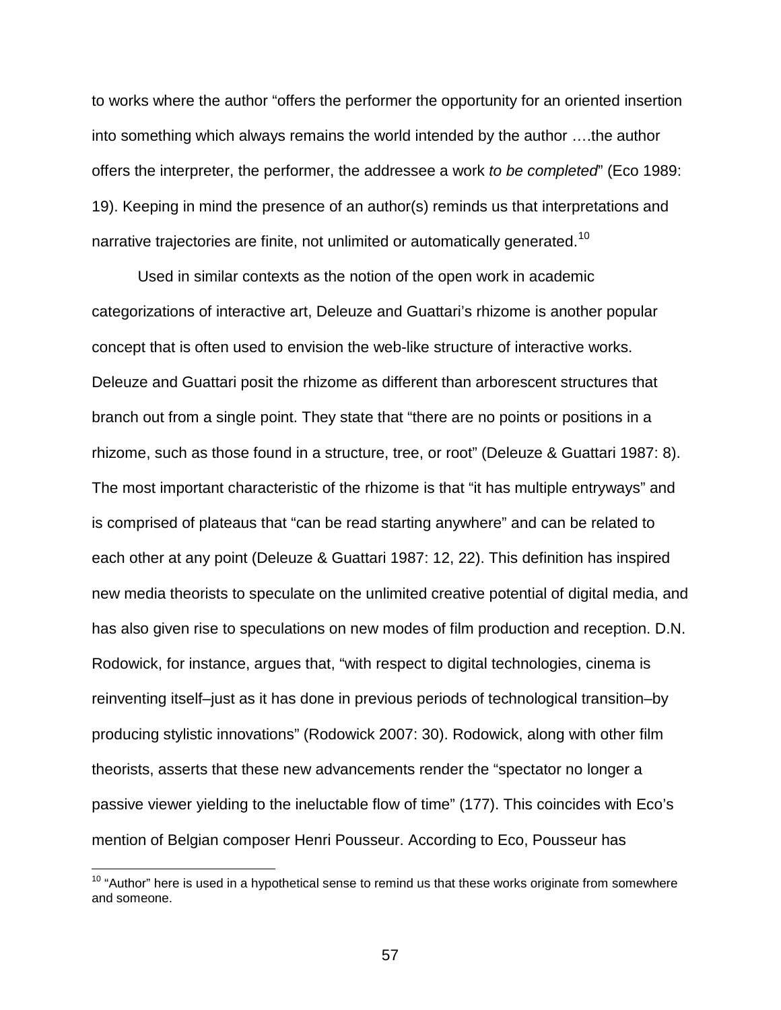to works where the author "offers the performer the opportunity for an oriented insertion into something which always remains the world intended by the author ….the author offers the interpreter, the performer, the addressee a work *to be completed*" (Eco 1989: 19). Keeping in mind the presence of an author(s) reminds us that interpretations and narrative trajectories are finite, not unlimited or automatically generated.<sup>[10](#page-56-0)</sup>

Used in similar contexts as the notion of the open work in academic categorizations of interactive art, Deleuze and Guattari's rhizome is another popular concept that is often used to envision the web-like structure of interactive works. Deleuze and Guattari posit the rhizome as different than arborescent structures that branch out from a single point. They state that "there are no points or positions in a rhizome, such as those found in a structure, tree, or root" (Deleuze & Guattari 1987: 8). The most important characteristic of the rhizome is that "it has multiple entryways" and is comprised of plateaus that "can be read starting anywhere" and can be related to each other at any point (Deleuze & Guattari 1987: 12, 22). This definition has inspired new media theorists to speculate on the unlimited creative potential of digital media, and has also given rise to speculations on new modes of film production and reception. D.N. Rodowick, for instance, argues that, "with respect to digital technologies, cinema is reinventing itself–just as it has done in previous periods of technological transition–by producing stylistic innovations" (Rodowick 2007: 30). Rodowick, along with other film theorists, asserts that these new advancements render the "spectator no longer a passive viewer yielding to the ineluctable flow of time" (177). This coincides with Eco's mention of Belgian composer Henri Pousseur. According to Eco, Pousseur has

<span id="page-56-0"></span> $10$  "Author" here is used in a hypothetical sense to remind us that these works originate from somewhere and someone.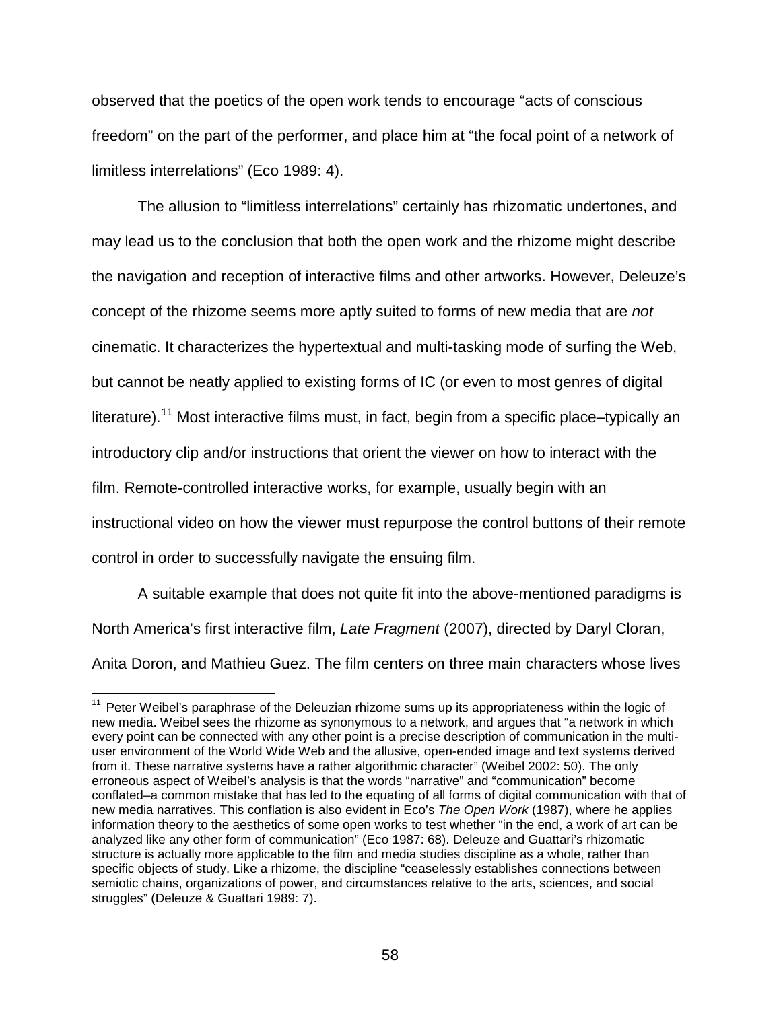observed that the poetics of the open work tends to encourage "acts of conscious freedom" on the part of the performer, and place him at "the focal point of a network of limitless interrelations" (Eco 1989: 4).

The allusion to "limitless interrelations" certainly has rhizomatic undertones, and may lead us to the conclusion that both the open work and the rhizome might describe the navigation and reception of interactive films and other artworks. However, Deleuze's concept of the rhizome seems more aptly suited to forms of new media that are *not* cinematic. It characterizes the hypertextual and multi-tasking mode of surfing the Web, but cannot be neatly applied to existing forms of IC (or even to most genres of digital literature).<sup>[11](#page-57-0)</sup> Most interactive films must, in fact, begin from a specific place–typically an introductory clip and/or instructions that orient the viewer on how to interact with the film. Remote-controlled interactive works, for example, usually begin with an instructional video on how the viewer must repurpose the control buttons of their remote control in order to successfully navigate the ensuing film.

A suitable example that does not quite fit into the above-mentioned paradigms is North America's first interactive film, *Late Fragment* (2007), directed by Daryl Cloran, Anita Doron, and Mathieu Guez. The film centers on three main characters whose lives

<span id="page-57-0"></span><sup>&</sup>lt;sup>11</sup> Peter Weibel's paraphrase of the Deleuzian rhizome sums up its appropriateness within the logic of new media. Weibel sees the rhizome as synonymous to a network, and argues that "a network in which every point can be connected with any other point is a precise description of communication in the multiuser environment of the World Wide Web and the allusive, open-ended image and text systems derived from it. These narrative systems have a rather algorithmic character" (Weibel 2002: 50). The only erroneous aspect of Weibel's analysis is that the words "narrative" and "communication" become conflated–a common mistake that has led to the equating of all forms of digital communication with that of new media narratives. This conflation is also evident in Eco's *The Open Work* (1987), where he applies information theory to the aesthetics of some open works to test whether "in the end, a work of art can be analyzed like any other form of communication" (Eco 1987: 68). Deleuze and Guattari's rhizomatic structure is actually more applicable to the film and media studies discipline as a whole, rather than specific objects of study. Like a rhizome, the discipline "ceaselessly establishes connections between semiotic chains, organizations of power, and circumstances relative to the arts, sciences, and social struggles" (Deleuze & Guattari 1989: 7).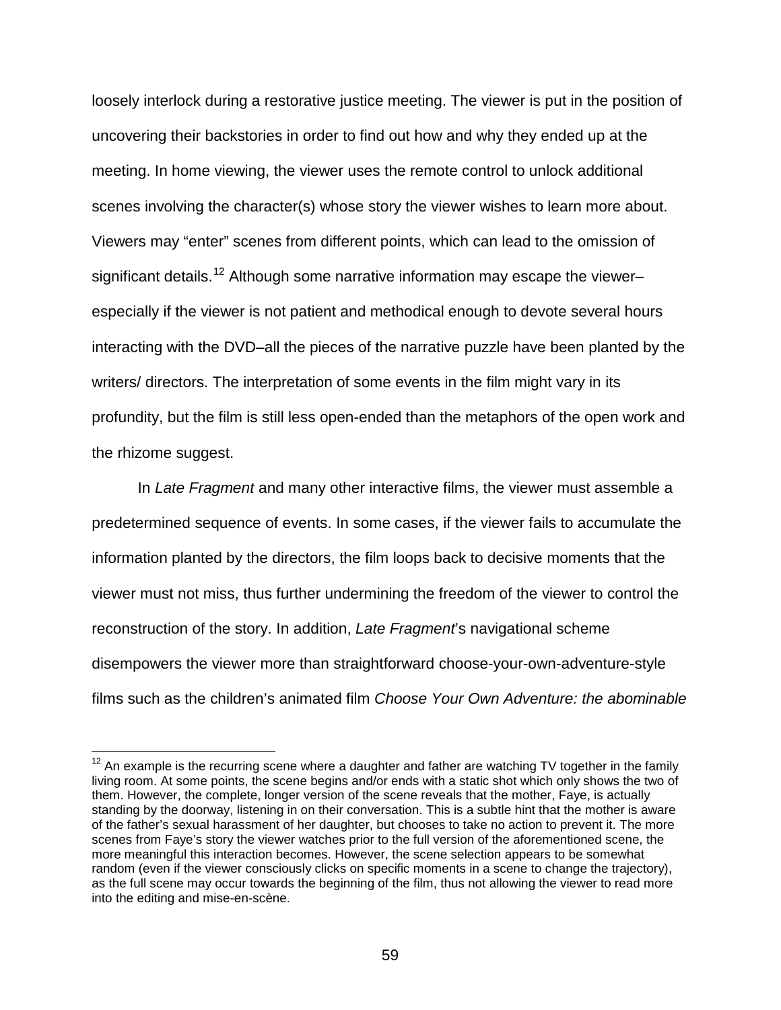loosely interlock during a restorative justice meeting. The viewer is put in the position of uncovering their backstories in order to find out how and why they ended up at the meeting. In home viewing, the viewer uses the remote control to unlock additional scenes involving the character(s) whose story the viewer wishes to learn more about. Viewers may "enter" scenes from different points, which can lead to the omission of significant details.<sup>[12](#page-58-0)</sup> Although some narrative information may escape the viewer– especially if the viewer is not patient and methodical enough to devote several hours interacting with the DVD–all the pieces of the narrative puzzle have been planted by the writers/ directors. The interpretation of some events in the film might vary in its profundity, but the film is still less open-ended than the metaphors of the open work and the rhizome suggest.

In *Late Fragment* and many other interactive films, the viewer must assemble a predetermined sequence of events. In some cases, if the viewer fails to accumulate the information planted by the directors, the film loops back to decisive moments that the viewer must not miss, thus further undermining the freedom of the viewer to control the reconstruction of the story. In addition, *Late Fragment*'s navigational scheme disempowers the viewer more than straightforward choose-your-own-adventure-style films such as the children's animated film *Choose Your Own Adventure: the abominable* 

<span id="page-58-0"></span> $12$  An example is the recurring scene where a daughter and father are watching TV together in the family living room. At some points, the scene begins and/or ends with a static shot which only shows the two of them. However, the complete, longer version of the scene reveals that the mother, Faye, is actually standing by the doorway, listening in on their conversation. This is a subtle hint that the mother is aware of the father's sexual harassment of her daughter, but chooses to take no action to prevent it. The more scenes from Faye's story the viewer watches prior to the full version of the aforementioned scene, the more meaningful this interaction becomes. However, the scene selection appears to be somewhat random (even if the viewer consciously clicks on specific moments in a scene to change the trajectory), as the full scene may occur towards the beginning of the film, thus not allowing the viewer to read more into the editing and mise-en-scène.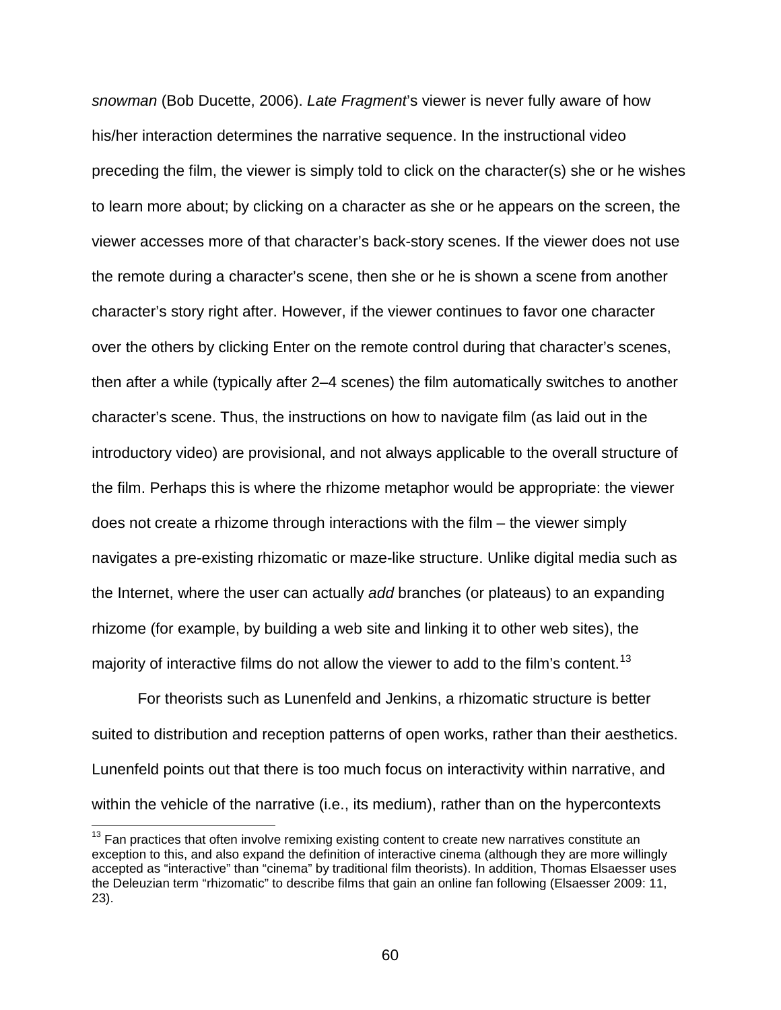*snowman* (Bob Ducette, 2006). *Late Fragment*'s viewer is never fully aware of how his/her interaction determines the narrative sequence. In the instructional video preceding the film, the viewer is simply told to click on the character(s) she or he wishes to learn more about; by clicking on a character as she or he appears on the screen, the viewer accesses more of that character's back-story scenes. If the viewer does not use the remote during a character's scene, then she or he is shown a scene from another character's story right after. However, if the viewer continues to favor one character over the others by clicking Enter on the remote control during that character's scenes, then after a while (typically after 2–4 scenes) the film automatically switches to another character's scene. Thus, the instructions on how to navigate film (as laid out in the introductory video) are provisional, and not always applicable to the overall structure of the film. Perhaps this is where the rhizome metaphor would be appropriate: the viewer does not create a rhizome through interactions with the film – the viewer simply navigates a pre-existing rhizomatic or maze-like structure. Unlike digital media such as the Internet, where the user can actually *add* branches (or plateaus) to an expanding rhizome (for example, by building a web site and linking it to other web sites), the majority of interactive films do not allow the viewer to add to the film's content.<sup>[13](#page-59-0)</sup>

For theorists such as Lunenfeld and Jenkins, a rhizomatic structure is better suited to distribution and reception patterns of open works, rather than their aesthetics. Lunenfeld points out that there is too much focus on interactivity within narrative, and within the vehicle of the narrative (i.e., its medium), rather than on the hypercontexts

<span id="page-59-0"></span> $13$  Fan practices that often involve remixing existing content to create new narratives constitute an exception to this, and also expand the definition of interactive cinema (although they are more willingly accepted as "interactive" than "cinema" by traditional film theorists). In addition, Thomas Elsaesser uses the Deleuzian term "rhizomatic" to describe films that gain an online fan following (Elsaesser 2009: 11, 23).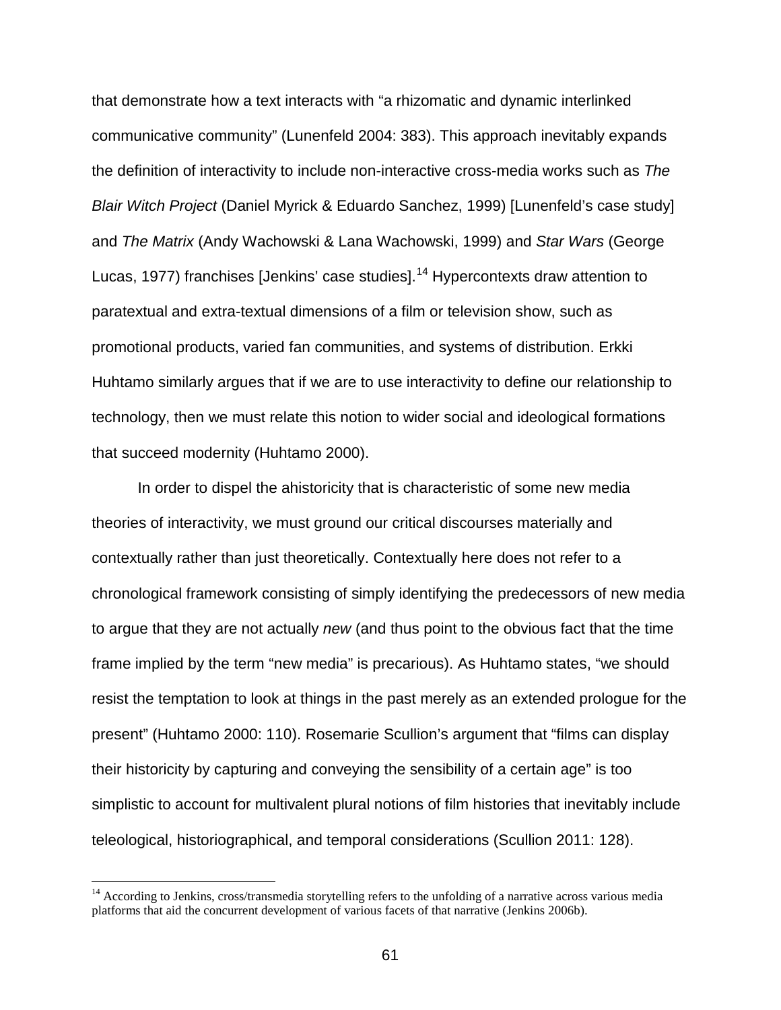that demonstrate how a text interacts with "a rhizomatic and dynamic interlinked communicative community" (Lunenfeld 2004: 383). This approach inevitably expands the definition of interactivity to include non-interactive cross-media works such as *The Blair Witch Project* (Daniel Myrick & Eduardo Sanchez, 1999) [Lunenfeld's case study] and *The Matrix* (Andy Wachowski & Lana Wachowski, 1999) and *Star Wars* (George Lucas, 1977) franchises [Jenkins' case studies].<sup>[14](#page-60-0)</sup> Hypercontexts draw attention to paratextual and extra-textual dimensions of a film or television show, such as promotional products, varied fan communities, and systems of distribution. Erkki Huhtamo similarly argues that if we are to use interactivity to define our relationship to technology, then we must relate this notion to wider social and ideological formations that succeed modernity (Huhtamo 2000).

In order to dispel the ahistoricity that is characteristic of some new media theories of interactivity, we must ground our critical discourses materially and contextually rather than just theoretically. Contextually here does not refer to a chronological framework consisting of simply identifying the predecessors of new media to argue that they are not actually *new* (and thus point to the obvious fact that the time frame implied by the term "new media" is precarious). As Huhtamo states, "we should resist the temptation to look at things in the past merely as an extended prologue for the present" (Huhtamo 2000: 110). Rosemarie Scullion's argument that "films can display their historicity by capturing and conveying the sensibility of a certain age" is too simplistic to account for multivalent plural notions of film histories that inevitably include teleological, historiographical, and temporal considerations (Scullion 2011: 128).

<span id="page-60-0"></span><sup>&</sup>lt;sup>14</sup> According to Jenkins, cross/transmedia storytelling refers to the unfolding of a narrative across various media platforms that aid the concurrent development of various facets of that narrative (Jenkins 2006b).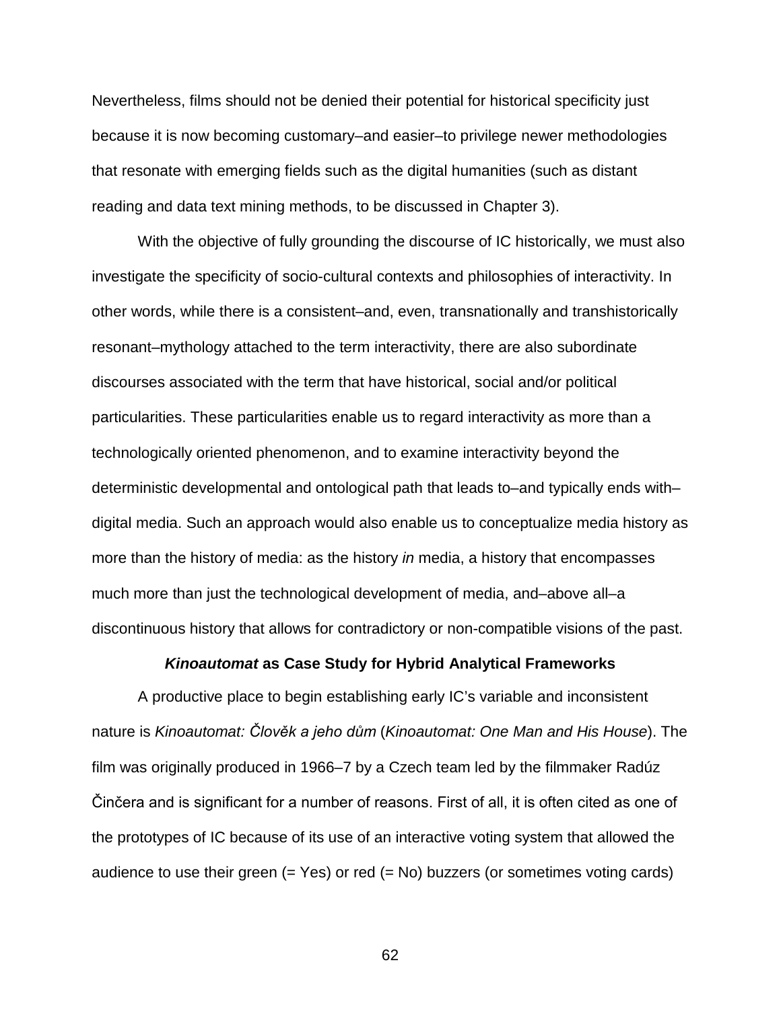Nevertheless, films should not be denied their potential for historical specificity just because it is now becoming customary–and easier–to privilege newer methodologies that resonate with emerging fields such as the digital humanities (such as distant reading and data text mining methods, to be discussed in Chapter 3).

With the objective of fully grounding the discourse of IC historically, we must also investigate the specificity of socio-cultural contexts and philosophies of interactivity. In other words, while there is a consistent–and, even, transnationally and transhistorically resonant–mythology attached to the term interactivity, there are also subordinate discourses associated with the term that have historical, social and/or political particularities. These particularities enable us to regard interactivity as more than a technologically oriented phenomenon, and to examine interactivity beyond the deterministic developmental and ontological path that leads to–and typically ends with– digital media. Such an approach would also enable us to conceptualize media history as more than the history of media: as the history *in* media, a history that encompasses much more than just the technological development of media, and–above all–a discontinuous history that allows for contradictory or non-compatible visions of the past.

# *Kinoautomat* **as Case Study for Hybrid Analytical Frameworks**

A productive place to begin establishing early IC's variable and inconsistent nature is *Kinoautomat: Člověk a jeho dům* (*Kinoautomat: One Man and His House*). The film was originally produced in 1966–7 by a Czech team led by the filmmaker Radúz Činčera and is significant for a number of reasons. First of all, it is often cited as one of the prototypes of IC because of its use of an interactive voting system that allowed the audience to use their green  $(= Yes)$  or red  $(= No)$  buzzers (or sometimes voting cards)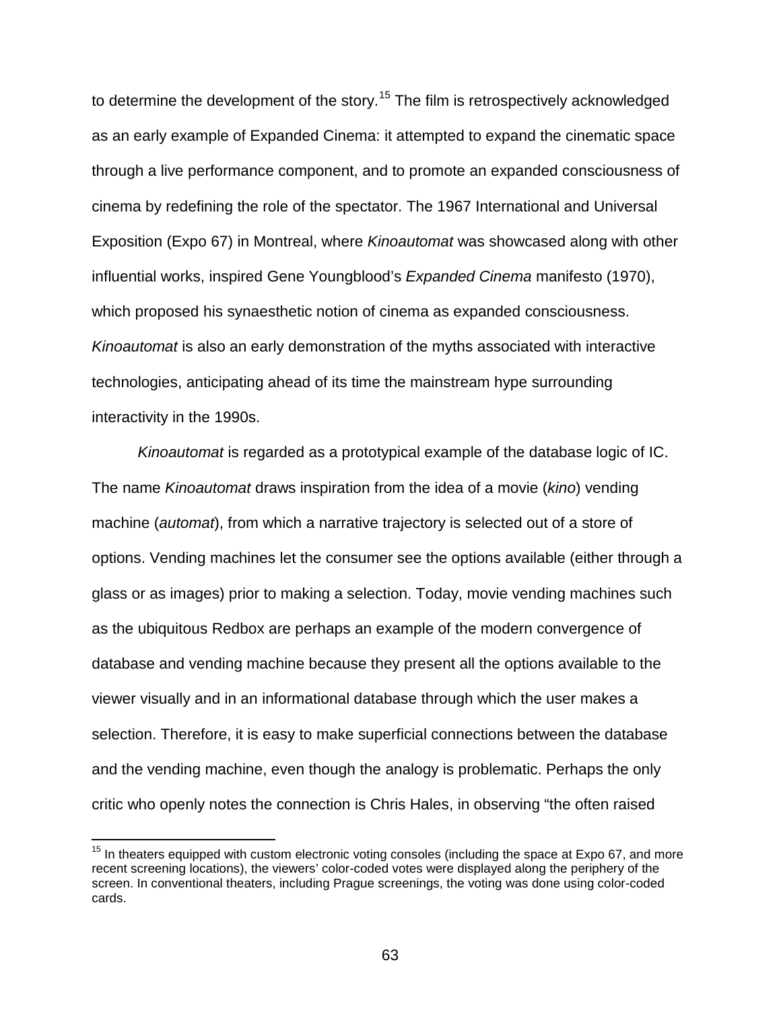to determine the development of the story.<sup>[15](#page-62-0)</sup> The film is retrospectively acknowledged as an early example of Expanded Cinema: it attempted to expand the cinematic space through a live performance component, and to promote an expanded consciousness of cinema by redefining the role of the spectator. The 1967 International and Universal Exposition (Expo 67) in Montreal, where *Kinoautomat* was showcased along with other influential works, inspired Gene Youngblood's *Expanded Cinema* manifesto (1970), which proposed his synaesthetic notion of cinema as expanded consciousness. *Kinoautomat* is also an early demonstration of the myths associated with interactive technologies, anticipating ahead of its time the mainstream hype surrounding interactivity in the 1990s.

*Kinoautomat* is regarded as a prototypical example of the database logic of IC. The name *Kinoautomat* draws inspiration from the idea of a movie (*kino*) vending machine (*automat*), from which a narrative trajectory is selected out of a store of options. Vending machines let the consumer see the options available (either through a glass or as images) prior to making a selection. Today, movie vending machines such as the ubiquitous Redbox are perhaps an example of the modern convergence of database and vending machine because they present all the options available to the viewer visually and in an informational database through which the user makes a selection. Therefore, it is easy to make superficial connections between the database and the vending machine, even though the analogy is problematic. Perhaps the only critic who openly notes the connection is Chris Hales, in observing "the often raised

<span id="page-62-0"></span> $15$  In theaters equipped with custom electronic voting consoles (including the space at Expo 67, and more recent screening locations), the viewers' color-coded votes were displayed along the periphery of the screen. In conventional theaters, including Prague screenings, the voting was done using color-coded cards.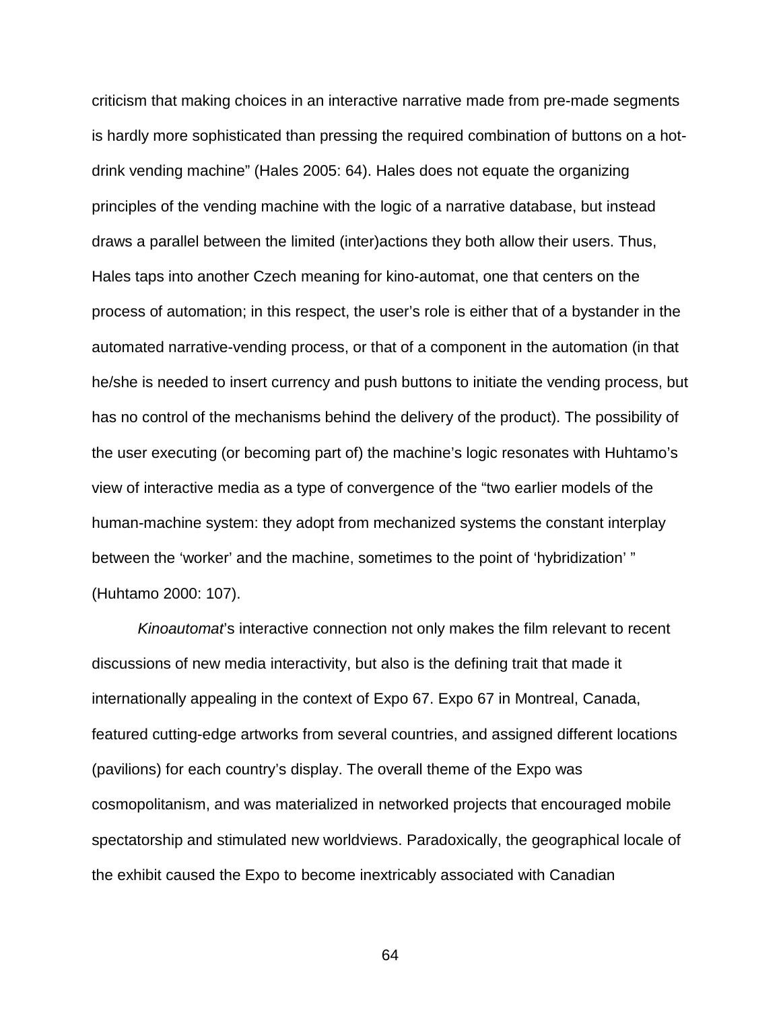criticism that making choices in an interactive narrative made from pre-made segments is hardly more sophisticated than pressing the required combination of buttons on a hotdrink vending machine" (Hales 2005: 64). Hales does not equate the organizing principles of the vending machine with the logic of a narrative database, but instead draws a parallel between the limited (inter)actions they both allow their users. Thus, Hales taps into another Czech meaning for kino-automat, one that centers on the process of automation; in this respect, the user's role is either that of a bystander in the automated narrative-vending process, or that of a component in the automation (in that he/she is needed to insert currency and push buttons to initiate the vending process, but has no control of the mechanisms behind the delivery of the product). The possibility of the user executing (or becoming part of) the machine's logic resonates with Huhtamo's view of interactive media as a type of convergence of the "two earlier models of the human-machine system: they adopt from mechanized systems the constant interplay between the 'worker' and the machine, sometimes to the point of 'hybridization' " (Huhtamo 2000: 107).

*Kinoautomat*'s interactive connection not only makes the film relevant to recent discussions of new media interactivity, but also is the defining trait that made it internationally appealing in the context of Expo 67. Expo 67 in Montreal, Canada, featured cutting-edge artworks from several countries, and assigned different locations (pavilions) for each country's display. The overall theme of the Expo was cosmopolitanism, and was materialized in networked projects that encouraged mobile spectatorship and stimulated new worldviews. Paradoxically, the geographical locale of the exhibit caused the Expo to become inextricably associated with Canadian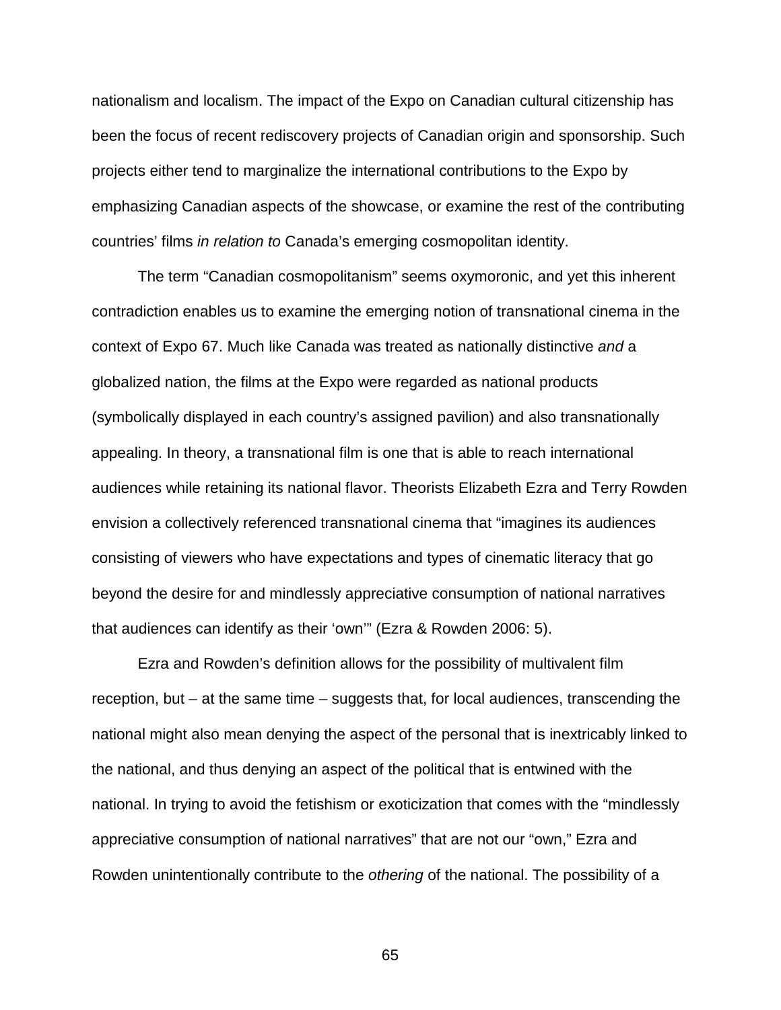nationalism and localism. The impact of the Expo on Canadian cultural citizenship has been the focus of recent rediscovery projects of Canadian origin and sponsorship. Such projects either tend to marginalize the international contributions to the Expo by emphasizing Canadian aspects of the showcase, or examine the rest of the contributing countries' films *in relation to* Canada's emerging cosmopolitan identity.

The term "Canadian cosmopolitanism" seems oxymoronic, and yet this inherent contradiction enables us to examine the emerging notion of transnational cinema in the context of Expo 67. Much like Canada was treated as nationally distinctive *and* a globalized nation, the films at the Expo were regarded as national products (symbolically displayed in each country's assigned pavilion) and also transnationally appealing. In theory, a transnational film is one that is able to reach international audiences while retaining its national flavor. Theorists Elizabeth Ezra and Terry Rowden envision a collectively referenced transnational cinema that "imagines its audiences consisting of viewers who have expectations and types of cinematic literacy that go beyond the desire for and mindlessly appreciative consumption of national narratives that audiences can identify as their 'own'" (Ezra & Rowden 2006: 5).

Ezra and Rowden's definition allows for the possibility of multivalent film reception, but – at the same time – suggests that, for local audiences, transcending the national might also mean denying the aspect of the personal that is inextricably linked to the national, and thus denying an aspect of the political that is entwined with the national. In trying to avoid the fetishism or exoticization that comes with the "mindlessly appreciative consumption of national narratives" that are not our "own," Ezra and Rowden unintentionally contribute to the *othering* of the national. The possibility of a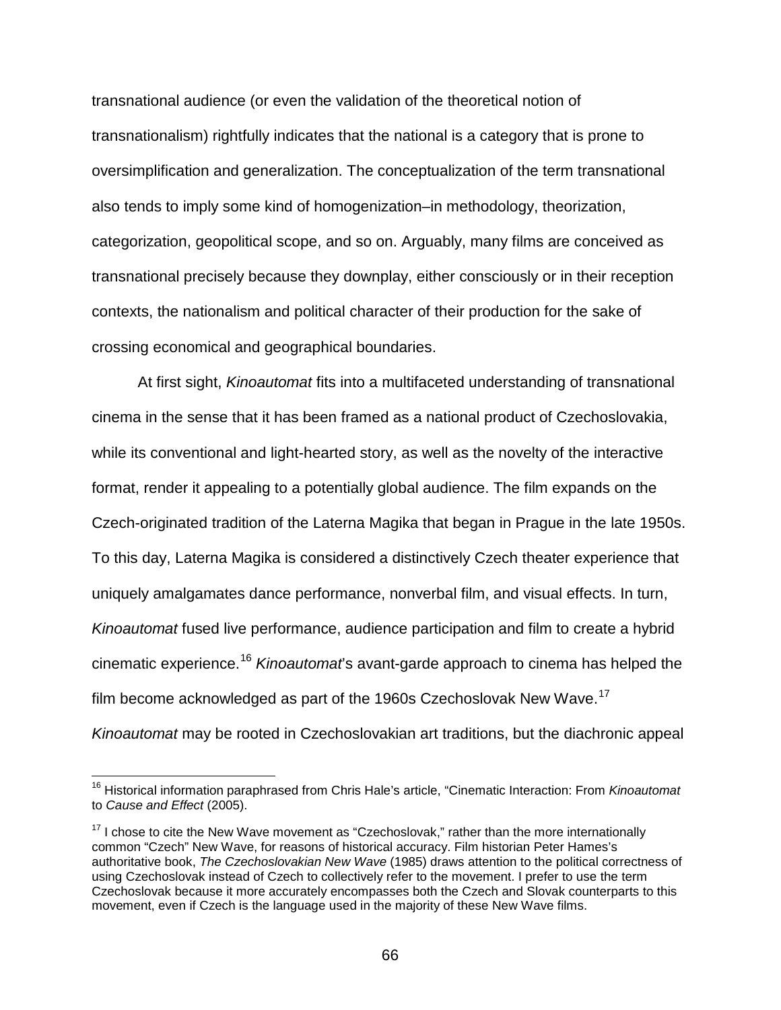transnational audience (or even the validation of the theoretical notion of transnationalism) rightfully indicates that the national is a category that is prone to oversimplification and generalization. The conceptualization of the term transnational also tends to imply some kind of homogenization–in methodology, theorization, categorization, geopolitical scope, and so on. Arguably, many films are conceived as transnational precisely because they downplay, either consciously or in their reception contexts, the nationalism and political character of their production for the sake of crossing economical and geographical boundaries.

At first sight, *Kinoautomat* fits into a multifaceted understanding of transnational cinema in the sense that it has been framed as a national product of Czechoslovakia, while its conventional and light-hearted story, as well as the novelty of the interactive format, render it appealing to a potentially global audience. The film expands on the Czech-originated tradition of the Laterna Magika that began in Prague in the late 1950s. To this day, Laterna Magika is considered a distinctively Czech theater experience that uniquely amalgamates dance performance, nonverbal film, and visual effects. In turn, *Kinoautomat* fused live performance, audience participation and film to create a hybrid cinematic experience.[16](#page-65-0) *Kinoautomat*'s avant-garde approach to cinema has helped the film become acknowledged as part of the 1960s Czechoslovak New Wave.<sup>[17](#page-65-1)</sup> *Kinoautomat* may be rooted in Czechoslovakian art traditions, but the diachronic appeal

<span id="page-65-0"></span> <sup>16</sup> Historical information paraphrased from Chris Hale's article, "Cinematic Interaction: From *Kinoautomat*  to *Cause and Effect* (2005).

<span id="page-65-1"></span> $17$  I chose to cite the New Wave movement as "Czechoslovak," rather than the more internationally common "Czech" New Wave, for reasons of historical accuracy. Film historian Peter Hames's authoritative book, *The Czechoslovakian New Wave* (1985) draws attention to the political correctness of using Czechoslovak instead of Czech to collectively refer to the movement. I prefer to use the term Czechoslovak because it more accurately encompasses both the Czech and Slovak counterparts to this movement, even if Czech is the language used in the majority of these New Wave films.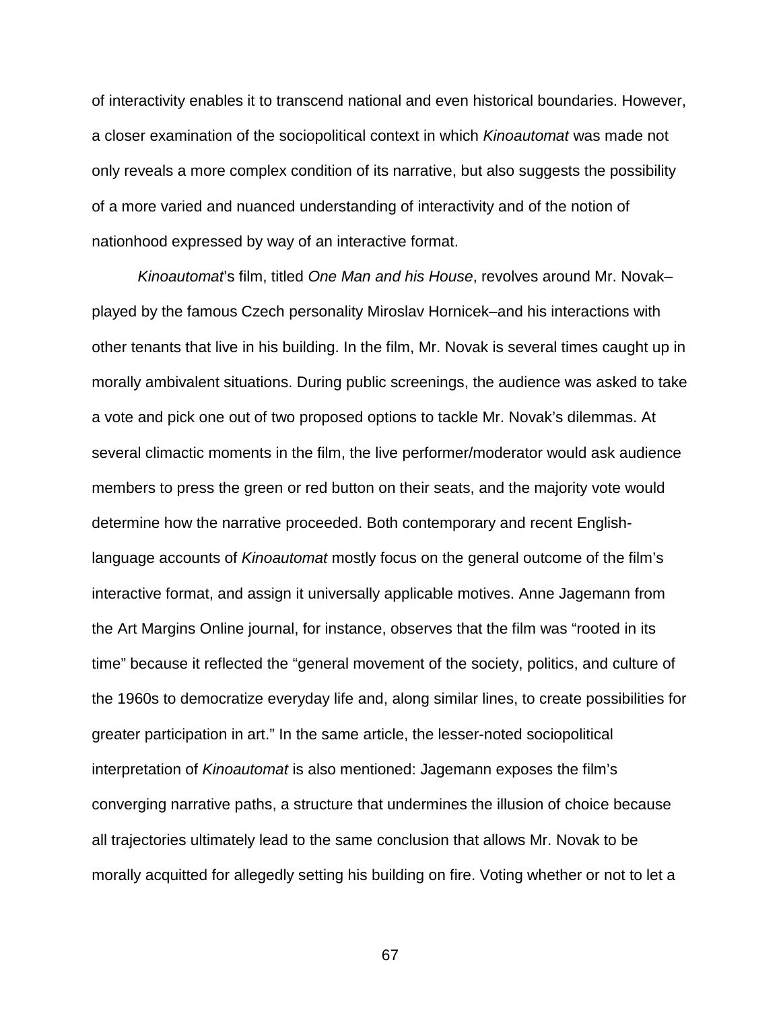of interactivity enables it to transcend national and even historical boundaries. However, a closer examination of the sociopolitical context in which *Kinoautomat* was made not only reveals a more complex condition of its narrative, but also suggests the possibility of a more varied and nuanced understanding of interactivity and of the notion of nationhood expressed by way of an interactive format.

*Kinoautomat*'s film, titled *One Man and his House*, revolves around Mr. Novak– played by the famous Czech personality Miroslav Hornicek–and his interactions with other tenants that live in his building. In the film, Mr. Novak is several times caught up in morally ambivalent situations. During public screenings, the audience was asked to take a vote and pick one out of two proposed options to tackle Mr. Novak's dilemmas. At several climactic moments in the film, the live performer/moderator would ask audience members to press the green or red button on their seats, and the majority vote would determine how the narrative proceeded. Both contemporary and recent Englishlanguage accounts of *Kinoautomat* mostly focus on the general outcome of the film's interactive format, and assign it universally applicable motives. Anne Jagemann from the Art Margins Online journal, for instance, observes that the film was "rooted in its time" because it reflected the "general movement of the society, politics, and culture of the 1960s to democratize everyday life and, along similar lines, to create possibilities for greater participation in art." In the same article, the lesser-noted sociopolitical interpretation of *Kinoautomat* is also mentioned: Jagemann exposes the film's converging narrative paths, a structure that undermines the illusion of choice because all trajectories ultimately lead to the same conclusion that allows Mr. Novak to be morally acquitted for allegedly setting his building on fire. Voting whether or not to let a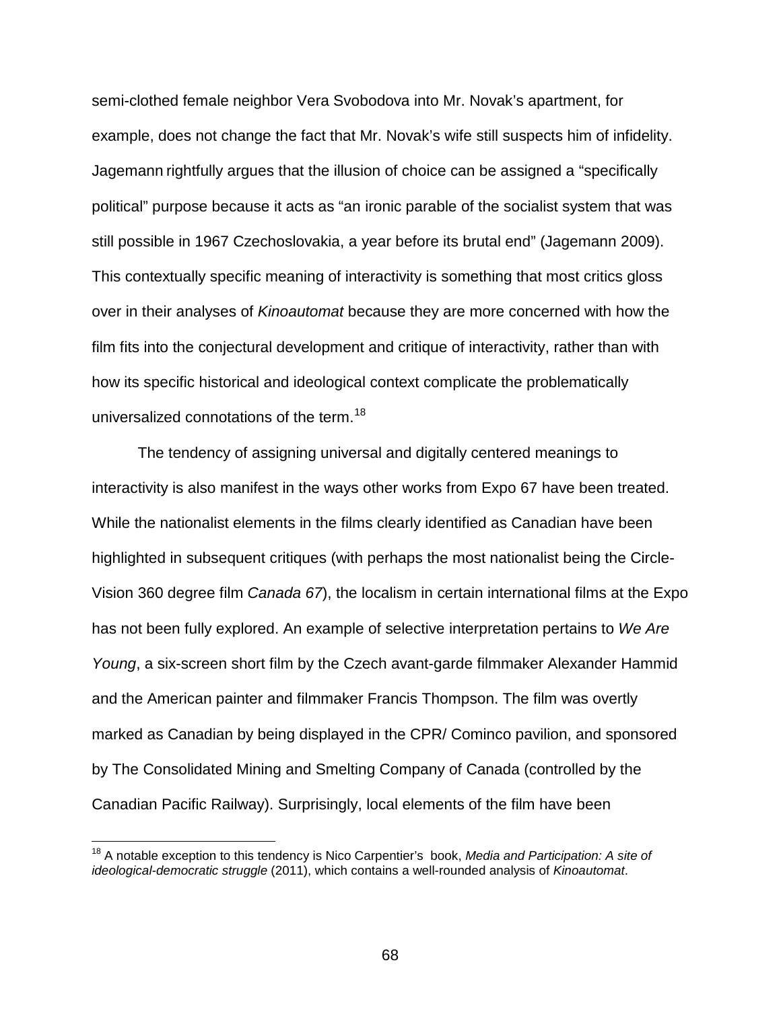semi-clothed female neighbor Vera Svobodova into Mr. Novak's apartment, for example, does not change the fact that Mr. Novak's wife still suspects him of infidelity. Jagemann rightfully argues that the illusion of choice can be assigned a "specifically political" purpose because it acts as "an ironic parable of the socialist system that was still possible in 1967 Czechoslovakia, a year before its brutal end" (Jagemann 2009). This contextually specific meaning of interactivity is something that most critics gloss over in their analyses of *Kinoautomat* because they are more concerned with how the film fits into the conjectural development and critique of interactivity, rather than with how its specific historical and ideological context complicate the problematically universalized connotations of the term.<sup>[18](#page-67-0)</sup>

The tendency of assigning universal and digitally centered meanings to interactivity is also manifest in the ways other works from Expo 67 have been treated. While the nationalist elements in the films clearly identified as Canadian have been highlighted in subsequent critiques (with perhaps the most nationalist being the Circle-Vision 360 degree film *Canada 67*), the localism in certain international films at the Expo has not been fully explored. An example of selective interpretation pertains to *We Are Young*, a six-screen short film by the Czech avant-garde filmmaker Alexander Hammid and the American painter and filmmaker Francis Thompson. The film was overtly marked as Canadian by being displayed in the CPR/ Cominco pavilion, and sponsored by The Consolidated Mining and Smelting Company of Canada (controlled by the Canadian Pacific Railway). Surprisingly, local elements of the film have been

<span id="page-67-0"></span> <sup>18</sup> A notable exception to this tendency is Nico Carpentier's book, *Media and Participation: A site of ideological-democratic struggle* (2011), which contains a well-rounded analysis of *Kinoautomat*.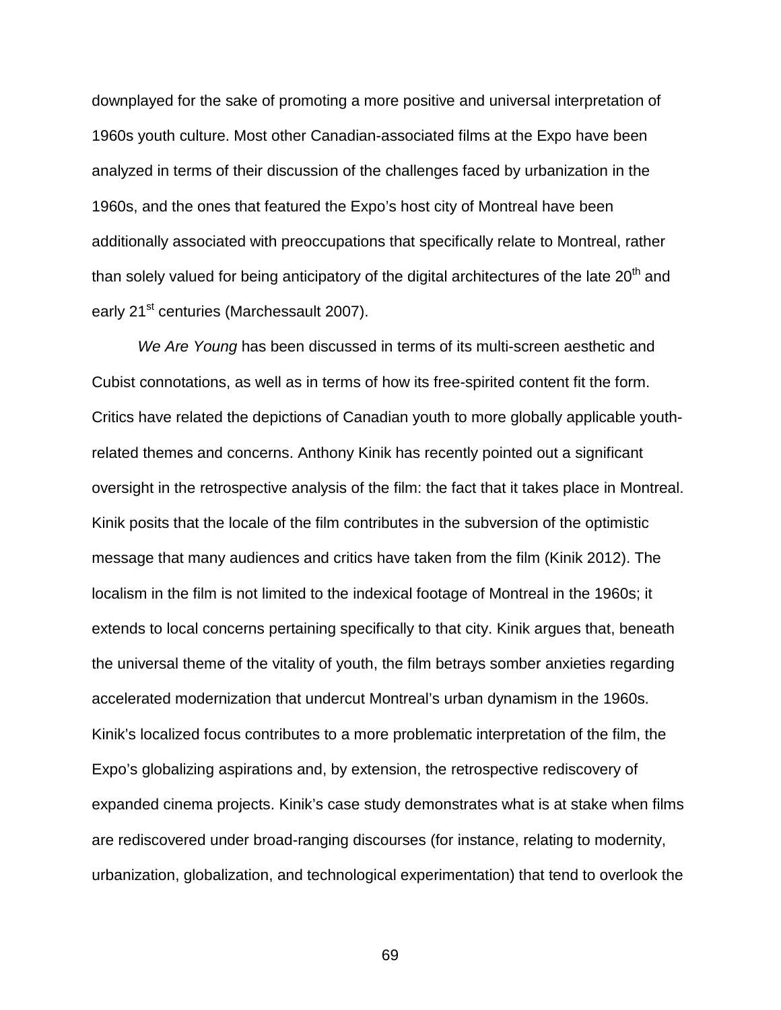downplayed for the sake of promoting a more positive and universal interpretation of 1960s youth culture. Most other Canadian-associated films at the Expo have been analyzed in terms of their discussion of the challenges faced by urbanization in the 1960s, and the ones that featured the Expo's host city of Montreal have been additionally associated with preoccupations that specifically relate to Montreal, rather than solely valued for being anticipatory of the digital architectures of the late  $20<sup>th</sup>$  and early 21<sup>st</sup> centuries (Marchessault 2007).

*We Are Young* has been discussed in terms of its multi-screen aesthetic and Cubist connotations, as well as in terms of how its free-spirited content fit the form. Critics have related the depictions of Canadian youth to more globally applicable youthrelated themes and concerns. Anthony Kinik has recently pointed out a significant oversight in the retrospective analysis of the film: the fact that it takes place in Montreal. Kinik posits that the locale of the film contributes in the subversion of the optimistic message that many audiences and critics have taken from the film (Kinik 2012). The localism in the film is not limited to the indexical footage of Montreal in the 1960s; it extends to local concerns pertaining specifically to that city. Kinik argues that, beneath the universal theme of the vitality of youth, the film betrays somber anxieties regarding accelerated modernization that undercut Montreal's urban dynamism in the 1960s. Kinik's localized focus contributes to a more problematic interpretation of the film, the Expo's globalizing aspirations and, by extension, the retrospective rediscovery of expanded cinema projects. Kinik's case study demonstrates what is at stake when films are rediscovered under broad-ranging discourses (for instance, relating to modernity, urbanization, globalization, and technological experimentation) that tend to overlook the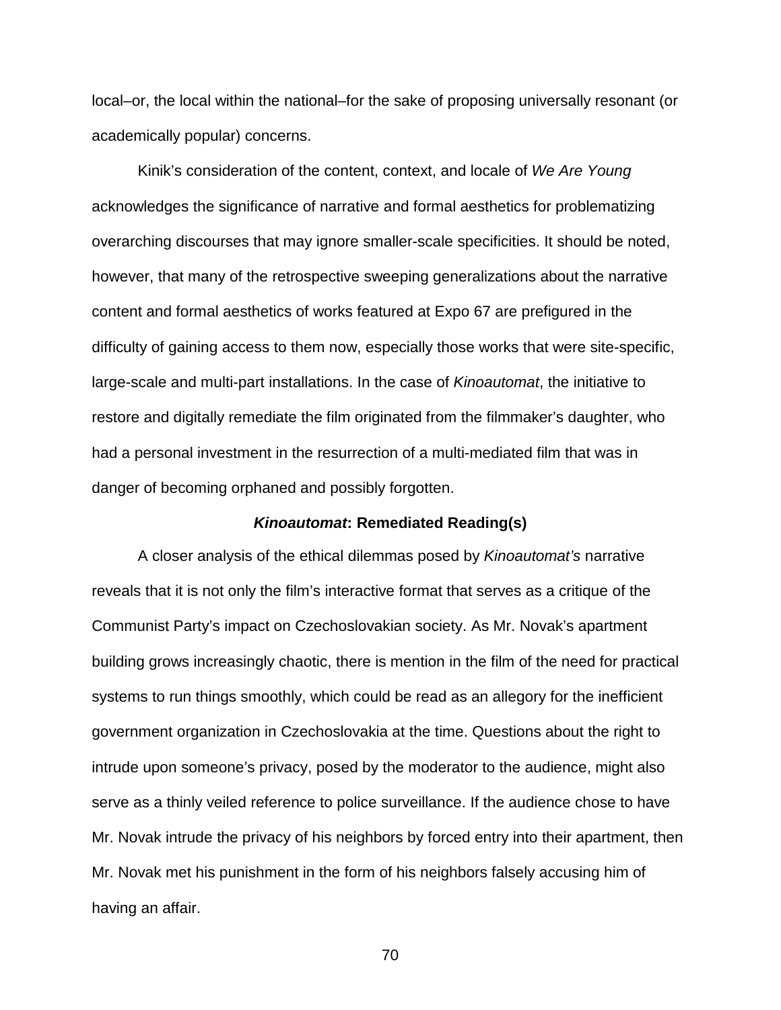local–or, the local within the national–for the sake of proposing universally resonant (or academically popular) concerns.

Kinik's consideration of the content, context, and locale of *We Are Young* acknowledges the significance of narrative and formal aesthetics for problematizing overarching discourses that may ignore smaller-scale specificities. It should be noted, however, that many of the retrospective sweeping generalizations about the narrative content and formal aesthetics of works featured at Expo 67 are prefigured in the difficulty of gaining access to them now, especially those works that were site-specific, large-scale and multi-part installations. In the case of *Kinoautomat*, the initiative to restore and digitally remediate the film originated from the filmmaker's daughter, who had a personal investment in the resurrection of a multi-mediated film that was in danger of becoming orphaned and possibly forgotten.

# *Kinoautomat***: Remediated Reading(s)**

A closer analysis of the ethical dilemmas posed by *Kinoautomat's* narrative reveals that it is not only the film's interactive format that serves as a critique of the Communist Party's impact on Czechoslovakian society. As Mr. Novak's apartment building grows increasingly chaotic, there is mention in the film of the need for practical systems to run things smoothly, which could be read as an allegory for the inefficient government organization in Czechoslovakia at the time. Questions about the right to intrude upon someone's privacy, posed by the moderator to the audience, might also serve as a thinly veiled reference to police surveillance. If the audience chose to have Mr. Novak intrude the privacy of his neighbors by forced entry into their apartment, then Mr. Novak met his punishment in the form of his neighbors falsely accusing him of having an affair.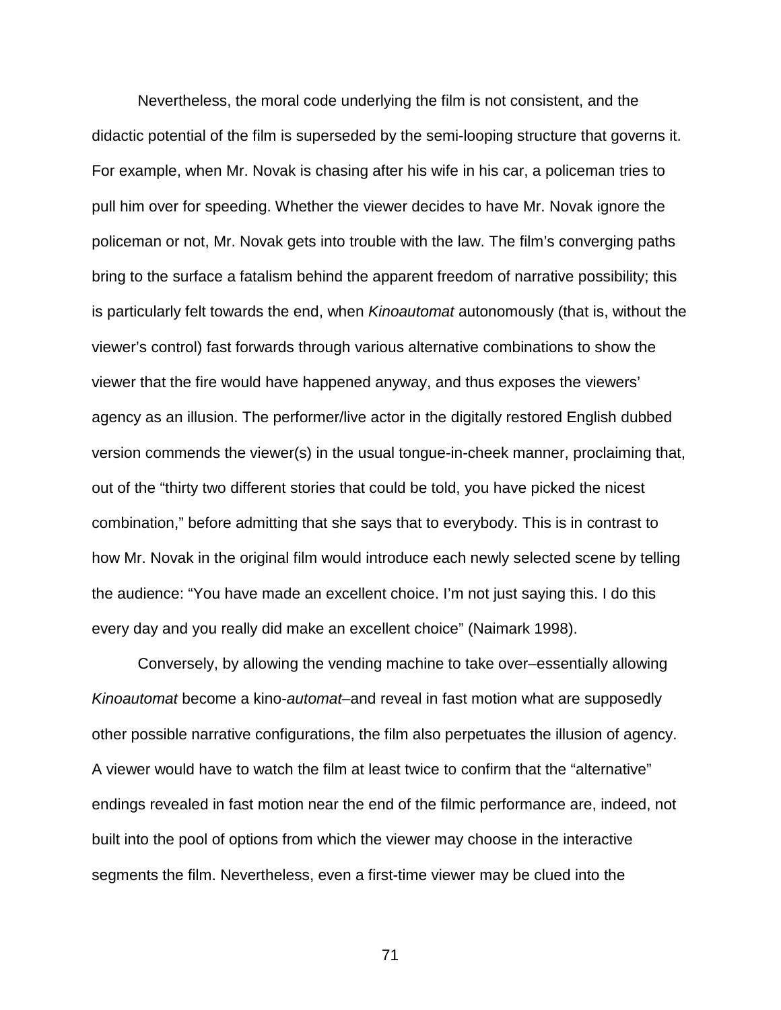Nevertheless, the moral code underlying the film is not consistent, and the didactic potential of the film is superseded by the semi-looping structure that governs it. For example, when Mr. Novak is chasing after his wife in his car, a policeman tries to pull him over for speeding. Whether the viewer decides to have Mr. Novak ignore the policeman or not, Mr. Novak gets into trouble with the law. The film's converging paths bring to the surface a fatalism behind the apparent freedom of narrative possibility; this is particularly felt towards the end, when *Kinoautomat* autonomously (that is, without the viewer's control) fast forwards through various alternative combinations to show the viewer that the fire would have happened anyway, and thus exposes the viewers' agency as an illusion. The performer/live actor in the digitally restored English dubbed version commends the viewer(s) in the usual tongue-in-cheek manner, proclaiming that, out of the "thirty two different stories that could be told, you have picked the nicest combination," before admitting that she says that to everybody. This is in contrast to how Mr. Novak in the original film would introduce each newly selected scene by telling the audience: "You have made an excellent choice. I'm not just saying this. I do this every day and you really did make an excellent choice" (Naimark 1998).

Conversely, by allowing the vending machine to take over–essentially allowing *Kinoautomat* become a kino-*automat*–and reveal in fast motion what are supposedly other possible narrative configurations, the film also perpetuates the illusion of agency. A viewer would have to watch the film at least twice to confirm that the "alternative" endings revealed in fast motion near the end of the filmic performance are, indeed, not built into the pool of options from which the viewer may choose in the interactive segments the film. Nevertheless, even a first-time viewer may be clued into the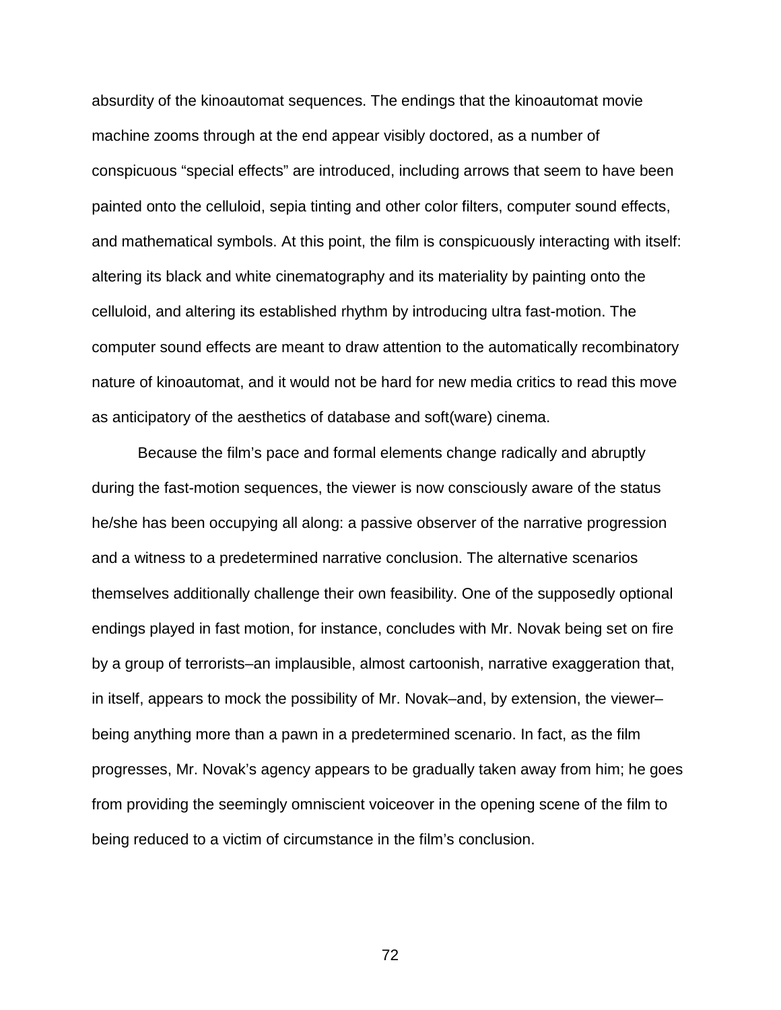absurdity of the kinoautomat sequences. The endings that the kinoautomat movie machine zooms through at the end appear visibly doctored, as a number of conspicuous "special effects" are introduced, including arrows that seem to have been painted onto the celluloid, sepia tinting and other color filters, computer sound effects, and mathematical symbols. At this point, the film is conspicuously interacting with itself: altering its black and white cinematography and its materiality by painting onto the celluloid, and altering its established rhythm by introducing ultra fast-motion. The computer sound effects are meant to draw attention to the automatically recombinatory nature of kinoautomat, and it would not be hard for new media critics to read this move as anticipatory of the aesthetics of database and soft(ware) cinema.

Because the film's pace and formal elements change radically and abruptly during the fast-motion sequences, the viewer is now consciously aware of the status he/she has been occupying all along: a passive observer of the narrative progression and a witness to a predetermined narrative conclusion. The alternative scenarios themselves additionally challenge their own feasibility. One of the supposedly optional endings played in fast motion, for instance, concludes with Mr. Novak being set on fire by a group of terrorists–an implausible, almost cartoonish, narrative exaggeration that, in itself, appears to mock the possibility of Mr. Novak–and, by extension, the viewer– being anything more than a pawn in a predetermined scenario. In fact, as the film progresses, Mr. Novak's agency appears to be gradually taken away from him; he goes from providing the seemingly omniscient voiceover in the opening scene of the film to being reduced to a victim of circumstance in the film's conclusion.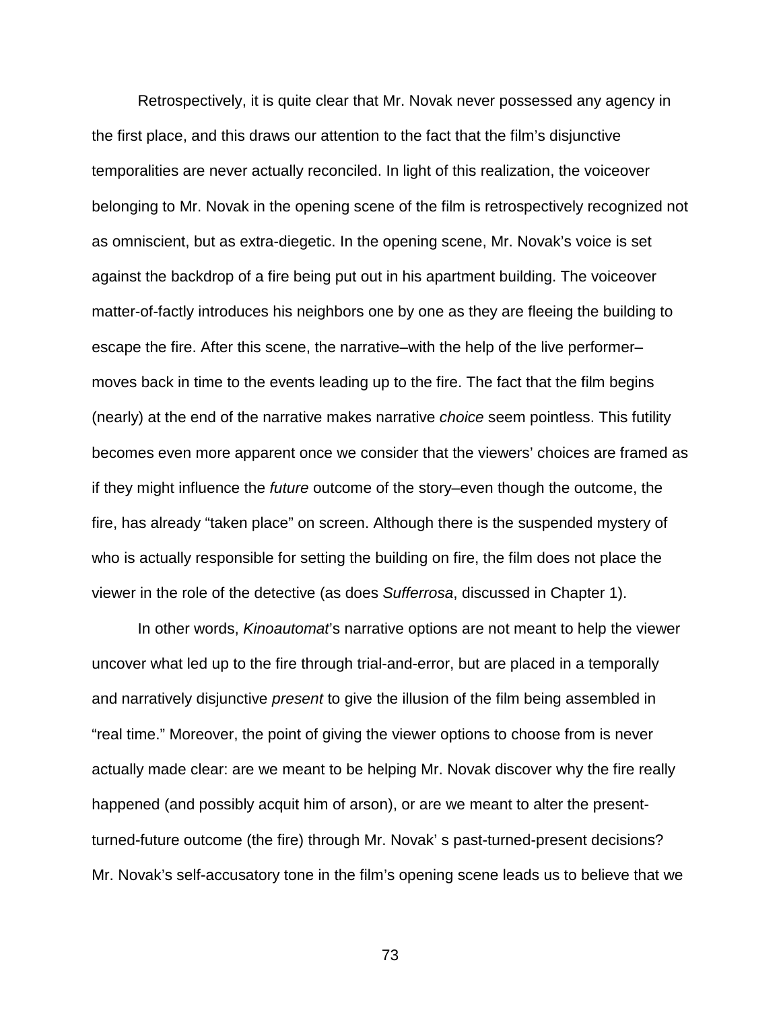Retrospectively, it is quite clear that Mr. Novak never possessed any agency in the first place, and this draws our attention to the fact that the film's disjunctive temporalities are never actually reconciled. In light of this realization, the voiceover belonging to Mr. Novak in the opening scene of the film is retrospectively recognized not as omniscient, but as extra-diegetic. In the opening scene, Mr. Novak's voice is set against the backdrop of a fire being put out in his apartment building. The voiceover matter-of-factly introduces his neighbors one by one as they are fleeing the building to escape the fire. After this scene, the narrative–with the help of the live performer– moves back in time to the events leading up to the fire. The fact that the film begins (nearly) at the end of the narrative makes narrative *choice* seem pointless. This futility becomes even more apparent once we consider that the viewers' choices are framed as if they might influence the *future* outcome of the story–even though the outcome, the fire, has already "taken place" on screen. Although there is the suspended mystery of who is actually responsible for setting the building on fire, the film does not place the viewer in the role of the detective (as does *Sufferrosa*, discussed in Chapter 1).

In other words, *Kinoautomat*'s narrative options are not meant to help the viewer uncover what led up to the fire through trial-and-error, but are placed in a temporally and narratively disjunctive *present* to give the illusion of the film being assembled in "real time." Moreover, the point of giving the viewer options to choose from is never actually made clear: are we meant to be helping Mr. Novak discover why the fire really happened (and possibly acquit him of arson), or are we meant to alter the presentturned-future outcome (the fire) through Mr. Novak' s past-turned-present decisions? Mr. Novak's self-accusatory tone in the film's opening scene leads us to believe that we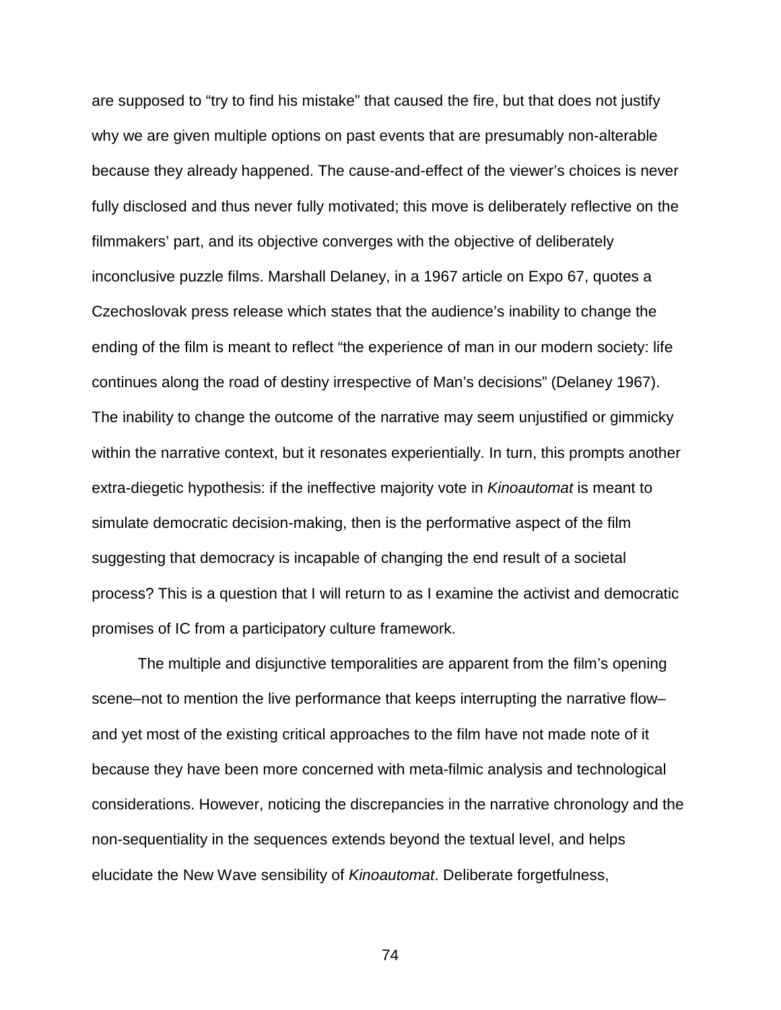are supposed to "try to find his mistake" that caused the fire, but that does not justify why we are given multiple options on past events that are presumably non-alterable because they already happened. The cause-and-effect of the viewer's choices is never fully disclosed and thus never fully motivated; this move is deliberately reflective on the filmmakers' part, and its objective converges with the objective of deliberately inconclusive puzzle films. Marshall Delaney, in a 1967 article on Expo 67, quotes a Czechoslovak press release which states that the audience's inability to change the ending of the film is meant to reflect "the experience of man in our modern society: life continues along the road of destiny irrespective of Man's decisions" (Delaney 1967). The inability to change the outcome of the narrative may seem unjustified or gimmicky within the narrative context, but it resonates experientially. In turn, this prompts another extra-diegetic hypothesis: if the ineffective majority vote in *Kinoautomat* is meant to simulate democratic decision-making, then is the performative aspect of the film suggesting that democracy is incapable of changing the end result of a societal process? This is a question that I will return to as I examine the activist and democratic promises of IC from a participatory culture framework.

The multiple and disjunctive temporalities are apparent from the film's opening scene–not to mention the live performance that keeps interrupting the narrative flow– and yet most of the existing critical approaches to the film have not made note of it because they have been more concerned with meta-filmic analysis and technological considerations. However, noticing the discrepancies in the narrative chronology and the non-sequentiality in the sequences extends beyond the textual level, and helps elucidate the New Wave sensibility of *Kinoautomat*. Deliberate forgetfulness,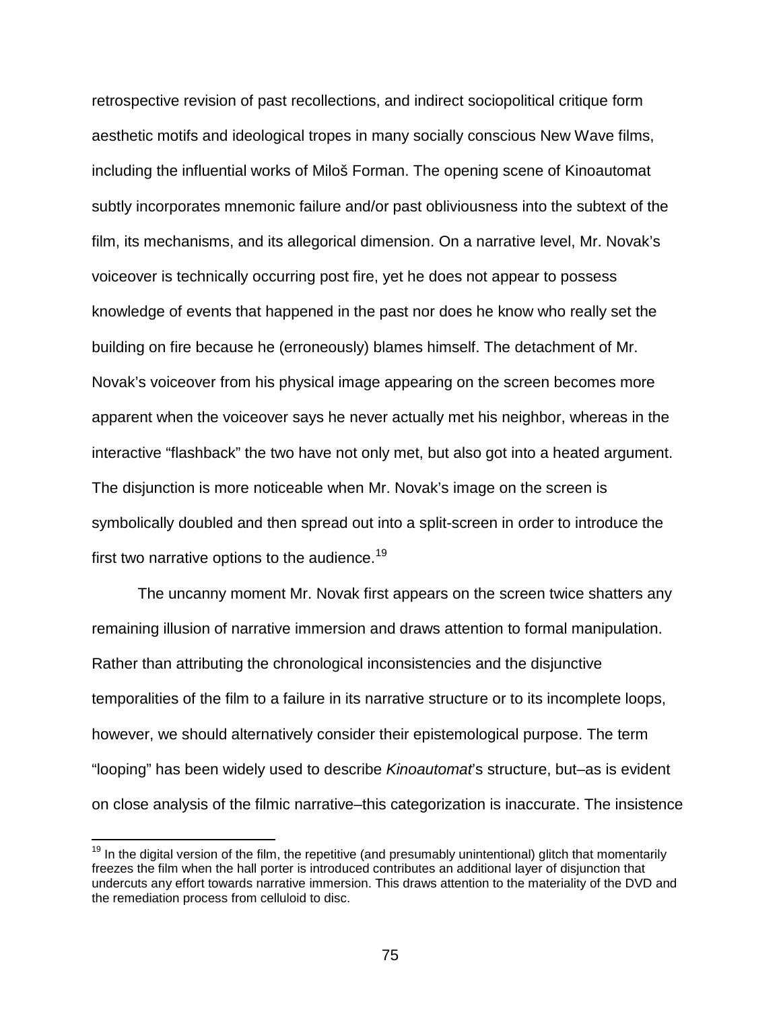retrospective revision of past recollections, and indirect sociopolitical critique form aesthetic motifs and ideological tropes in many socially conscious New Wave films, including the influential works of Miloš Forman. The opening scene of Kinoautomat subtly incorporates mnemonic failure and/or past obliviousness into the subtext of the film, its mechanisms, and its allegorical dimension. On a narrative level, Mr. Novak's voiceover is technically occurring post fire, yet he does not appear to possess knowledge of events that happened in the past nor does he know who really set the building on fire because he (erroneously) blames himself. The detachment of Mr. Novak's voiceover from his physical image appearing on the screen becomes more apparent when the voiceover says he never actually met his neighbor, whereas in the interactive "flashback" the two have not only met, but also got into a heated argument. The disjunction is more noticeable when Mr. Novak's image on the screen is symbolically doubled and then spread out into a split-screen in order to introduce the first two narrative options to the audience.<sup>[19](#page-74-0)</sup>

The uncanny moment Mr. Novak first appears on the screen twice shatters any remaining illusion of narrative immersion and draws attention to formal manipulation. Rather than attributing the chronological inconsistencies and the disjunctive temporalities of the film to a failure in its narrative structure or to its incomplete loops, however, we should alternatively consider their epistemological purpose. The term "looping" has been widely used to describe *Kinoautomat*'s structure, but–as is evident on close analysis of the filmic narrative–this categorization is inaccurate. The insistence

<span id="page-74-0"></span><sup>&</sup>lt;sup>19</sup> In the digital version of the film, the repetitive (and presumably unintentional) glitch that momentarily freezes the film when the hall porter is introduced contributes an additional layer of disjunction that undercuts any effort towards narrative immersion. This draws attention to the materiality of the DVD and the remediation process from celluloid to disc.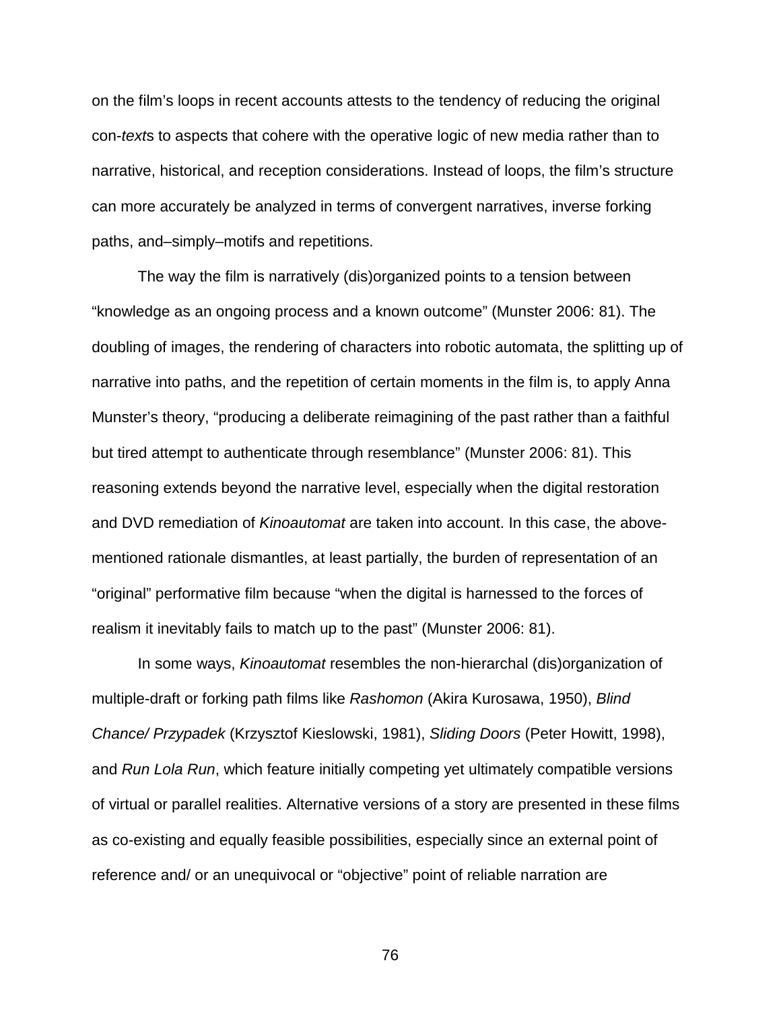on the film's loops in recent accounts attests to the tendency of reducing the original con-*text*s to aspects that cohere with the operative logic of new media rather than to narrative, historical, and reception considerations. Instead of loops, the film's structure can more accurately be analyzed in terms of convergent narratives, inverse forking paths, and–simply–motifs and repetitions.

The way the film is narratively (dis)organized points to a tension between "knowledge as an ongoing process and a known outcome" (Munster 2006: 81). The doubling of images, the rendering of characters into robotic automata, the splitting up of narrative into paths, and the repetition of certain moments in the film is, to apply Anna Munster's theory, "producing a deliberate reimagining of the past rather than a faithful but tired attempt to authenticate through resemblance" (Munster 2006: 81). This reasoning extends beyond the narrative level, especially when the digital restoration and DVD remediation of *Kinoautomat* are taken into account. In this case, the abovementioned rationale dismantles, at least partially, the burden of representation of an "original" performative film because "when the digital is harnessed to the forces of realism it inevitably fails to match up to the past" (Munster 2006: 81).

In some ways, *Kinoautomat* resembles the non-hierarchal (dis)organization of multiple-draft or forking path films like *Rashomon* (Akira Kurosawa, 1950), *Blind Chance/ Przypadek* (Krzysztof Kieslowski, 1981), *Sliding Doors* (Peter Howitt, 1998), and *Run Lola Run*, which feature initially competing yet ultimately compatible versions of virtual or parallel realities. Alternative versions of a story are presented in these films as co-existing and equally feasible possibilities, especially since an external point of reference and/ or an unequivocal or "objective" point of reliable narration are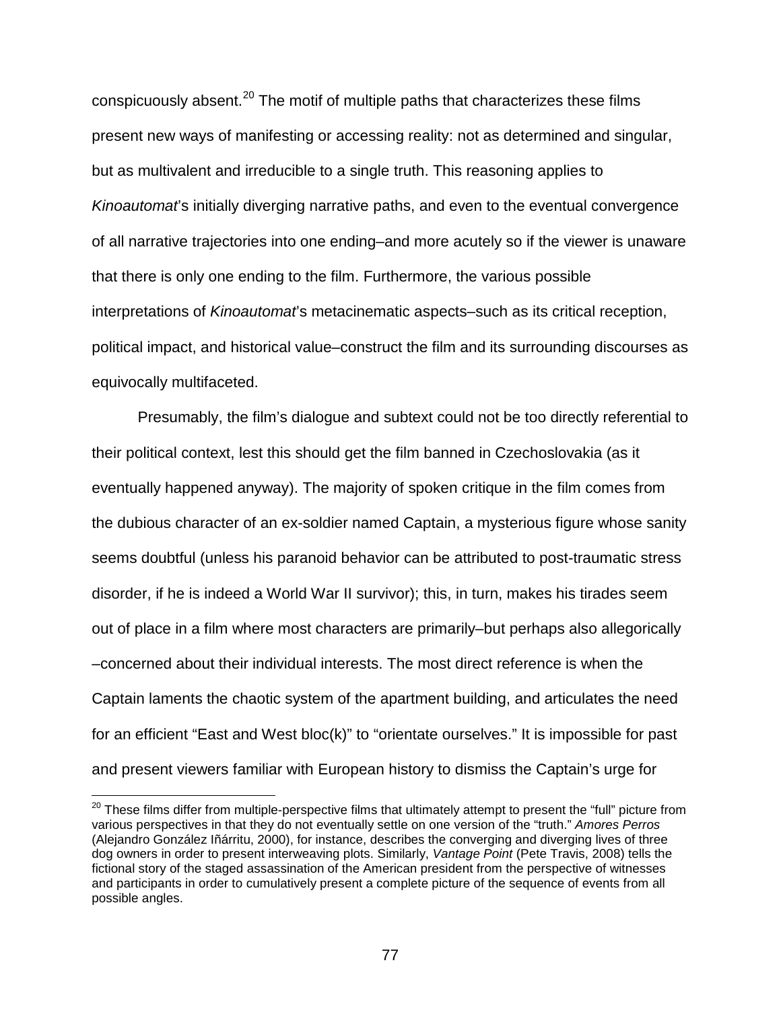conspicuously absent. $^{20}$  $^{20}$  $^{20}$  The motif of multiple paths that characterizes these films present new ways of manifesting or accessing reality: not as determined and singular, but as multivalent and irreducible to a single truth. This reasoning applies to *Kinoautomat*'s initially diverging narrative paths, and even to the eventual convergence of all narrative trajectories into one ending–and more acutely so if the viewer is unaware that there is only one ending to the film. Furthermore, the various possible interpretations of *Kinoautomat*'s metacinematic aspects–such as its critical reception, political impact, and historical value–construct the film and its surrounding discourses as equivocally multifaceted.

Presumably, the film's dialogue and subtext could not be too directly referential to their political context, lest this should get the film banned in Czechoslovakia (as it eventually happened anyway). The majority of spoken critique in the film comes from the dubious character of an ex-soldier named Captain, a mysterious figure whose sanity seems doubtful (unless his paranoid behavior can be attributed to post-traumatic stress disorder, if he is indeed a World War II survivor); this, in turn, makes his tirades seem out of place in a film where most characters are primarily–but perhaps also allegorically –concerned about their individual interests. The most direct reference is when the Captain laments the chaotic system of the apartment building, and articulates the need for an efficient "East and West bloc(k)" to "orientate ourselves." It is impossible for past and present viewers familiar with European history to dismiss the Captain's urge for

<span id="page-76-0"></span><sup>&</sup>lt;sup>20</sup> These films differ from multiple-perspective films that ultimately attempt to present the "full" picture from various perspectives in that they do not eventually settle on one version of the "truth." *Amores Perros* (Alejandro González Iñárritu, 2000), for instance, describes the converging and diverging lives of three dog owners in order to present interweaving plots. Similarly, *Vantage Point* (Pete Travis, 2008) tells the fictional story of the staged assassination of the American president from the perspective of witnesses and participants in order to cumulatively present a complete picture of the sequence of events from all possible angles.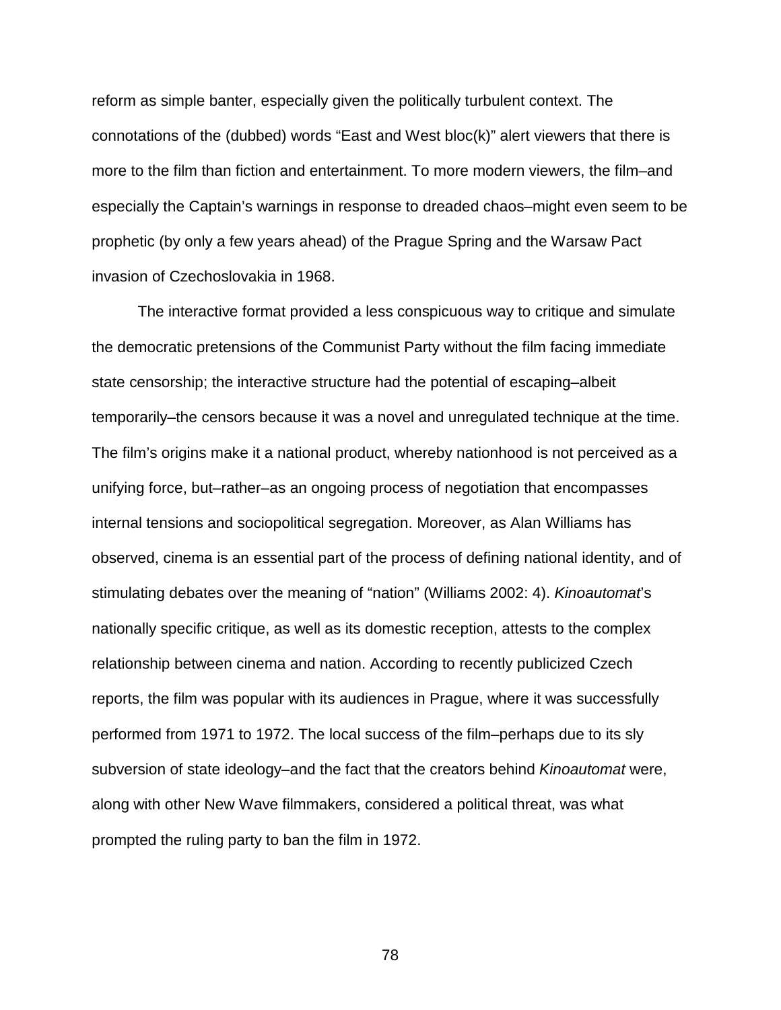reform as simple banter, especially given the politically turbulent context. The connotations of the (dubbed) words "East and West bloc(k)" alert viewers that there is more to the film than fiction and entertainment. To more modern viewers, the film–and especially the Captain's warnings in response to dreaded chaos–might even seem to be prophetic (by only a few years ahead) of the Prague Spring and the Warsaw Pact invasion of Czechoslovakia in 1968.

The interactive format provided a less conspicuous way to critique and simulate the democratic pretensions of the Communist Party without the film facing immediate state censorship; the interactive structure had the potential of escaping–albeit temporarily–the censors because it was a novel and unregulated technique at the time. The film's origins make it a national product, whereby nationhood is not perceived as a unifying force, but–rather–as an ongoing process of negotiation that encompasses internal tensions and sociopolitical segregation. Moreover, as Alan Williams has observed, cinema is an essential part of the process of defining national identity, and of stimulating debates over the meaning of "nation" (Williams 2002: 4). *Kinoautomat*'s nationally specific critique, as well as its domestic reception, attests to the complex relationship between cinema and nation. According to recently publicized Czech reports, the film was popular with its audiences in Prague, where it was successfully performed from 1971 to 1972. The local success of the film–perhaps due to its sly subversion of state ideology–and the fact that the creators behind *Kinoautomat* were, along with other New Wave filmmakers, considered a political threat, was what prompted the ruling party to ban the film in 1972.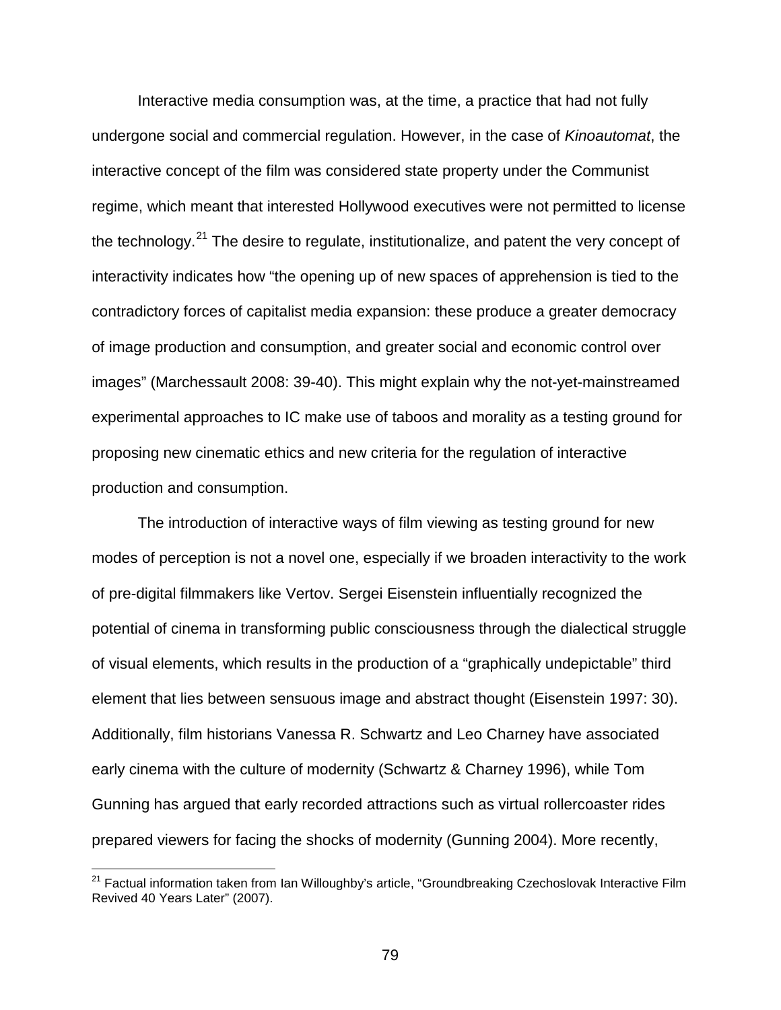Interactive media consumption was, at the time, a practice that had not fully undergone social and commercial regulation. However, in the case of *Kinoautomat*, the interactive concept of the film was considered state property under the Communist regime, which meant that interested Hollywood executives were not permitted to license the technology.<sup>[21](#page-78-0)</sup> The desire to regulate, institutionalize, and patent the very concept of interactivity indicates how "the opening up of new spaces of apprehension is tied to the contradictory forces of capitalist media expansion: these produce a greater democracy of image production and consumption, and greater social and economic control over images" (Marchessault 2008: 39-40). This might explain why the not-yet-mainstreamed experimental approaches to IC make use of taboos and morality as a testing ground for proposing new cinematic ethics and new criteria for the regulation of interactive production and consumption.

The introduction of interactive ways of film viewing as testing ground for new modes of perception is not a novel one, especially if we broaden interactivity to the work of pre-digital filmmakers like Vertov. Sergei Eisenstein influentially recognized the potential of cinema in transforming public consciousness through the dialectical struggle of visual elements, which results in the production of a "graphically undepictable" third element that lies between sensuous image and abstract thought (Eisenstein 1997: 30). Additionally, film historians Vanessa R. Schwartz and Leo Charney have associated early cinema with the culture of modernity (Schwartz & Charney 1996), while Tom Gunning has argued that early recorded attractions such as virtual rollercoaster rides prepared viewers for facing the shocks of modernity (Gunning 2004). More recently,

<span id="page-78-0"></span> $21$  Factual information taken from Ian Willoughby's article, "Groundbreaking Czechoslovak Interactive Film Revived 40 Years Later" (2007).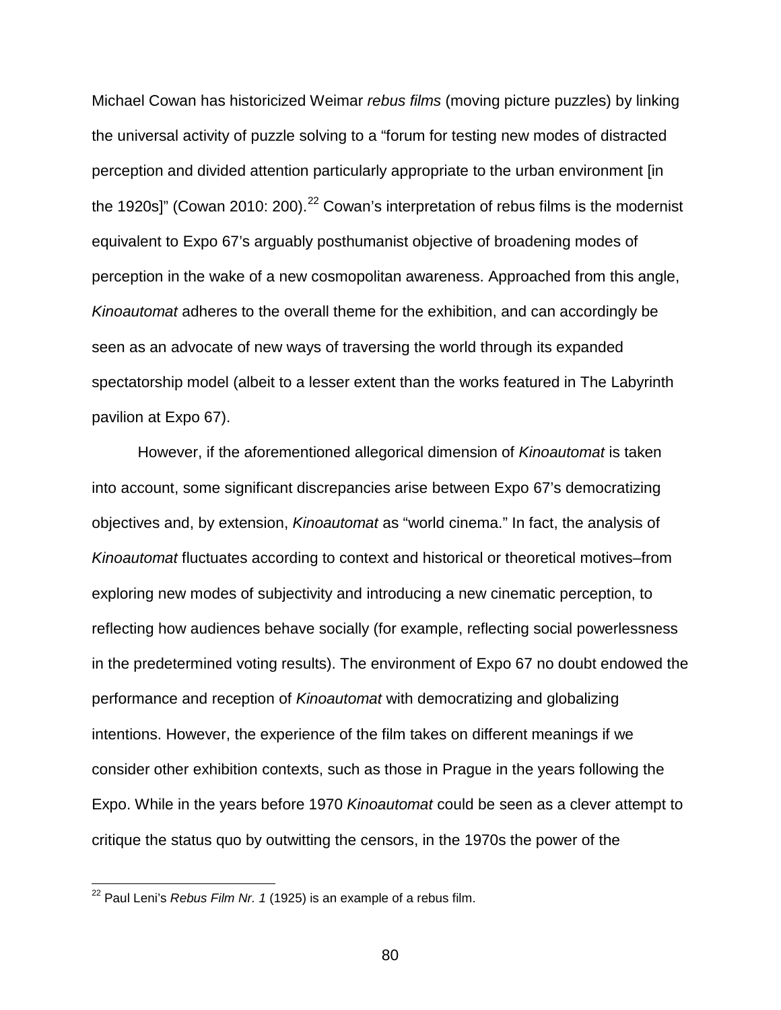Michael Cowan has historicized Weimar *rebus films* (moving picture puzzles) by linking the universal activity of puzzle solving to a "forum for testing new modes of distracted perception and divided attention particularly appropriate to the urban environment [in the 1920s]" (Cowan 2010: 200).<sup>[22](#page-79-0)</sup> Cowan's interpretation of rebus films is the modernist equivalent to Expo 67's arguably posthumanist objective of broadening modes of perception in the wake of a new cosmopolitan awareness. Approached from this angle, *Kinoautomat* adheres to the overall theme for the exhibition, and can accordingly be seen as an advocate of new ways of traversing the world through its expanded spectatorship model (albeit to a lesser extent than the works featured in The Labyrinth pavilion at Expo 67).

However, if the aforementioned allegorical dimension of *Kinoautomat* is taken into account, some significant discrepancies arise between Expo 67's democratizing objectives and, by extension, *Kinoautomat* as "world cinema." In fact, the analysis of *Kinoautomat* fluctuates according to context and historical or theoretical motives–from exploring new modes of subjectivity and introducing a new cinematic perception, to reflecting how audiences behave socially (for example, reflecting social powerlessness in the predetermined voting results). The environment of Expo 67 no doubt endowed the performance and reception of *Kinoautomat* with democratizing and globalizing intentions. However, the experience of the film takes on different meanings if we consider other exhibition contexts, such as those in Prague in the years following the Expo. While in the years before 1970 *Kinoautomat* could be seen as a clever attempt to critique the status quo by outwitting the censors, in the 1970s the power of the

<span id="page-79-0"></span> <sup>22</sup> Paul Leni's *Rebus Film Nr. 1* (1925) is an example of a rebus film.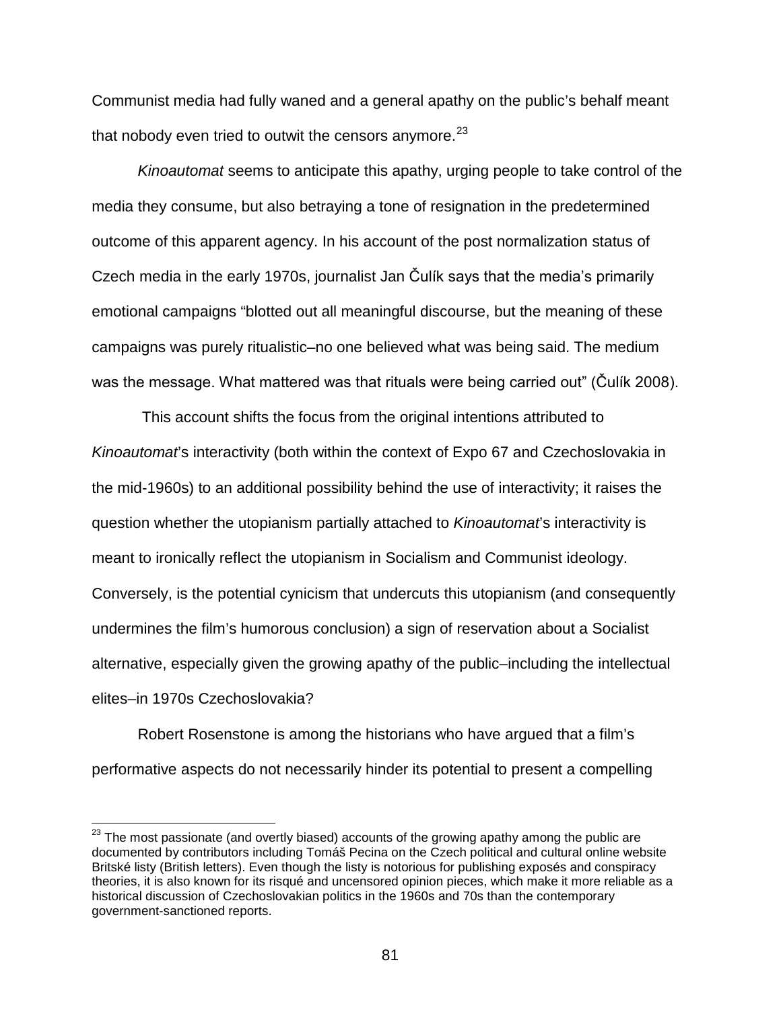Communist media had fully waned and a general apathy on the public's behalf meant that nobody even tried to outwit the censors anymore. $^{23}$  $^{23}$  $^{23}$ 

*Kinoautomat* seems to anticipate this apathy, urging people to take control of the media they consume, but also betraying a tone of resignation in the predetermined outcome of this apparent agency. In his account of the post normalization status of Czech media in the early 1970s, journalist Jan Čulík says that the media's primarily emotional campaigns "blotted out all meaningful discourse, but the meaning of these campaigns was purely ritualistic–no one believed what was being said. The medium was the message. What mattered was that rituals were being carried out" (Čulík 2008).

This account shifts the focus from the original intentions attributed to *Kinoautomat*'s interactivity (both within the context of Expo 67 and Czechoslovakia in the mid-1960s) to an additional possibility behind the use of interactivity; it raises the question whether the utopianism partially attached to *Kinoautomat*'s interactivity is meant to ironically reflect the utopianism in Socialism and Communist ideology. Conversely, is the potential cynicism that undercuts this utopianism (and consequently undermines the film's humorous conclusion) a sign of reservation about a Socialist alternative, especially given the growing apathy of the public–including the intellectual elites–in 1970s Czechoslovakia?

Robert Rosenstone is among the historians who have argued that a film's performative aspects do not necessarily hinder its potential to present a compelling

<span id="page-80-0"></span> $23$  The most passionate (and overtly biased) accounts of the growing apathy among the public are documented by contributors including Tomáš Pecina on the Czech political and cultural online website Britské listy (British letters). Even though the listy is notorious for publishing exposés and conspiracy theories, it is also known for its risqué and uncensored opinion pieces, which make it more reliable as a historical discussion of Czechoslovakian politics in the 1960s and 70s than the contemporary government-sanctioned reports.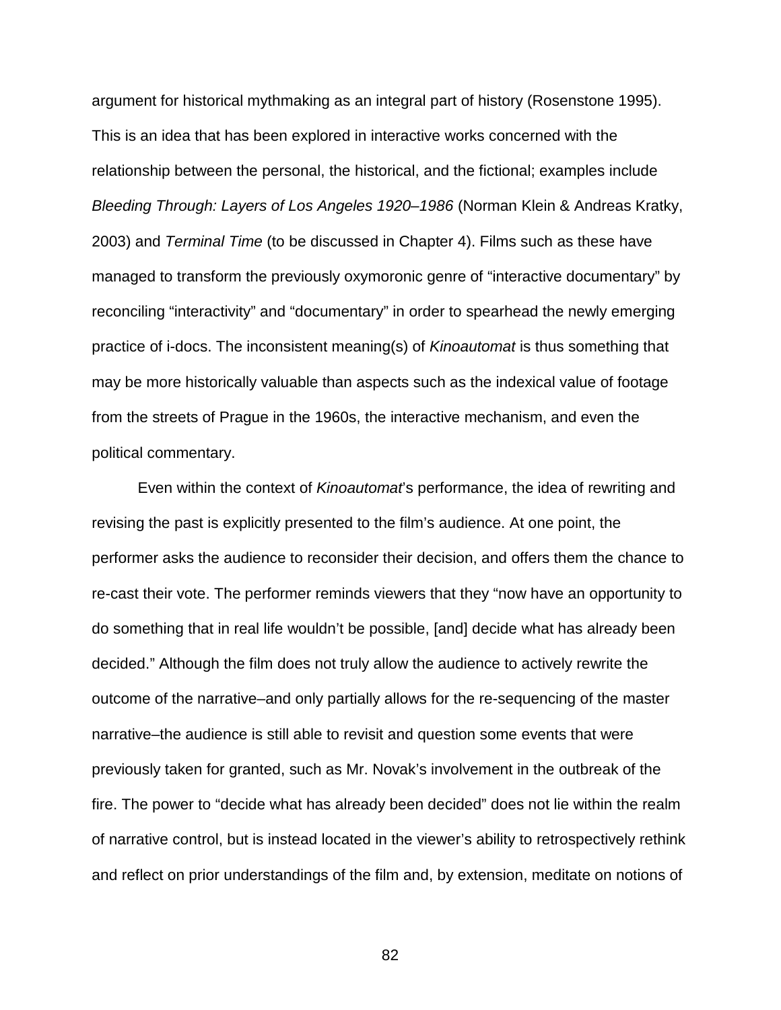argument for historical mythmaking as an integral part of history (Rosenstone 1995). This is an idea that has been explored in interactive works concerned with the relationship between the personal, the historical, and the fictional; examples include *Bleeding Through: Layers of Los Angeles 1920–1986* (Norman Klein & Andreas Kratky, 2003) and *Terminal Time* (to be discussed in Chapter 4). Films such as these have managed to transform the previously oxymoronic genre of "interactive documentary" by reconciling "interactivity" and "documentary" in order to spearhead the newly emerging practice of i-docs. The inconsistent meaning(s) of *Kinoautomat* is thus something that may be more historically valuable than aspects such as the indexical value of footage from the streets of Prague in the 1960s, the interactive mechanism, and even the political commentary.

Even within the context of *Kinoautomat*'s performance, the idea of rewriting and revising the past is explicitly presented to the film's audience. At one point, the performer asks the audience to reconsider their decision, and offers them the chance to re-cast their vote. The performer reminds viewers that they "now have an opportunity to do something that in real life wouldn't be possible, [and] decide what has already been decided." Although the film does not truly allow the audience to actively rewrite the outcome of the narrative–and only partially allows for the re-sequencing of the master narrative–the audience is still able to revisit and question some events that were previously taken for granted, such as Mr. Novak's involvement in the outbreak of the fire. The power to "decide what has already been decided" does not lie within the realm of narrative control, but is instead located in the viewer's ability to retrospectively rethink and reflect on prior understandings of the film and, by extension, meditate on notions of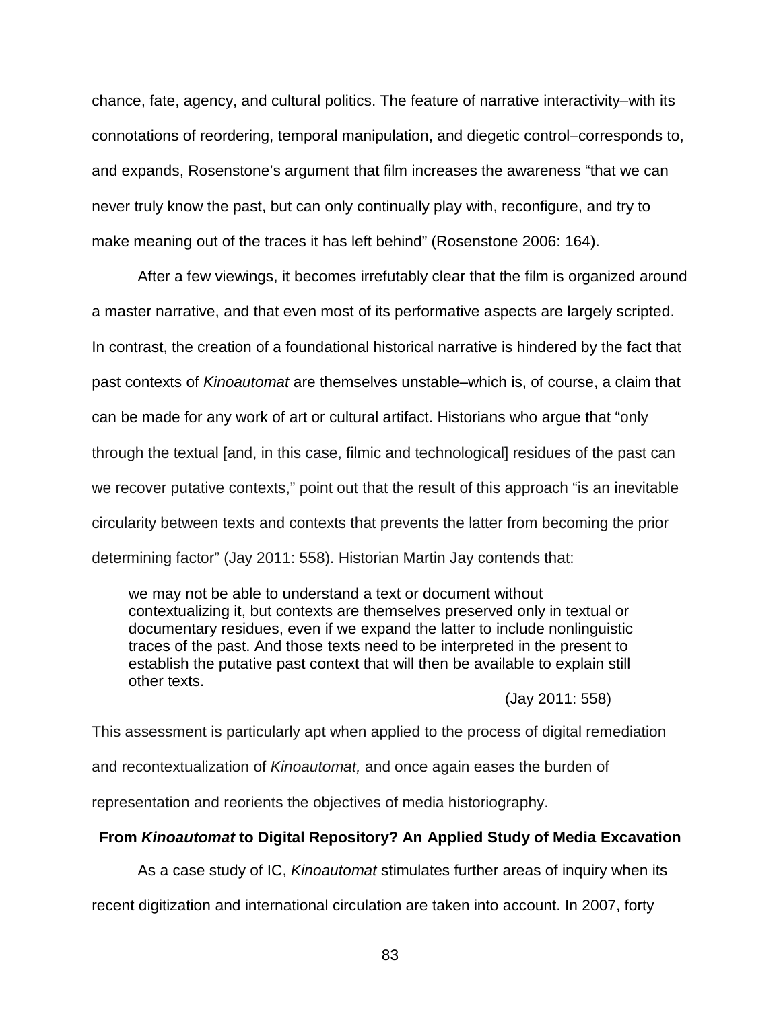chance, fate, agency, and cultural politics. The feature of narrative interactivity–with its connotations of reordering, temporal manipulation, and diegetic control–corresponds to, and expands, Rosenstone's argument that film increases the awareness "that we can never truly know the past, but can only continually play with, reconfigure, and try to make meaning out of the traces it has left behind" (Rosenstone 2006: 164).

After a few viewings, it becomes irrefutably clear that the film is organized around a master narrative, and that even most of its performative aspects are largely scripted. In contrast, the creation of a foundational historical narrative is hindered by the fact that past contexts of *Kinoautomat* are themselves unstable–which is, of course, a claim that can be made for any work of art or cultural artifact. Historians who argue that "only through the textual [and, in this case, filmic and technological] residues of the past can we recover putative contexts," point out that the result of this approach "is an inevitable circularity between texts and contexts that prevents the latter from becoming the prior determining factor" (Jay 2011: 558). Historian Martin Jay contends that:

we may not be able to understand a text or document without contextualizing it, but contexts are themselves preserved only in textual or documentary residues, even if we expand the latter to include nonlinguistic traces of the past. And those texts need to be interpreted in the present to establish the putative past context that will then be available to explain still other texts.

(Jay 2011: 558)

This assessment is particularly apt when applied to the process of digital remediation and recontextualization of *Kinoautomat,* and once again eases the burden of representation and reorients the objectives of media historiography.

## **From** *Kinoautomat* **to Digital Repository? An Applied Study of Media Excavation**

As a case study of IC, *Kinoautomat* stimulates further areas of inquiry when its

recent digitization and international circulation are taken into account. In 2007, forty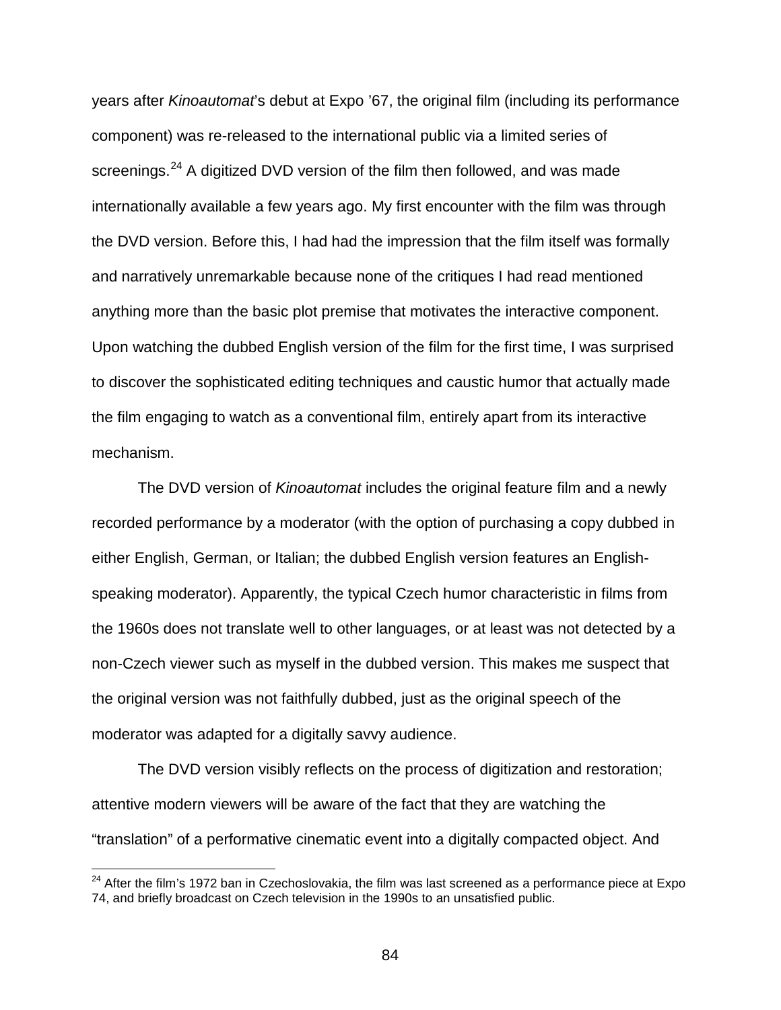years after *Kinoautomat*'s debut at Expo '67, the original film (including its performance component) was re-released to the international public via a limited series of screenings.<sup>[24](#page-83-0)</sup> A digitized DVD version of the film then followed, and was made internationally available a few years ago. My first encounter with the film was through the DVD version. Before this, I had had the impression that the film itself was formally and narratively unremarkable because none of the critiques I had read mentioned anything more than the basic plot premise that motivates the interactive component. Upon watching the dubbed English version of the film for the first time, I was surprised to discover the sophisticated editing techniques and caustic humor that actually made the film engaging to watch as a conventional film, entirely apart from its interactive mechanism.

The DVD version of *Kinoautomat* includes the original feature film and a newly recorded performance by a moderator (with the option of purchasing a copy dubbed in either English, German, or Italian; the dubbed English version features an Englishspeaking moderator). Apparently, the typical Czech humor characteristic in films from the 1960s does not translate well to other languages, or at least was not detected by a non-Czech viewer such as myself in the dubbed version. This makes me suspect that the original version was not faithfully dubbed, just as the original speech of the moderator was adapted for a digitally savvy audience.

The DVD version visibly reflects on the process of digitization and restoration; attentive modern viewers will be aware of the fact that they are watching the "translation" of a performative cinematic event into a digitally compacted object. And

<span id="page-83-0"></span> $24$  After the film's 1972 ban in Czechoslovakia, the film was last screened as a performance piece at Expo 74, and briefly broadcast on Czech television in the 1990s to an unsatisfied public.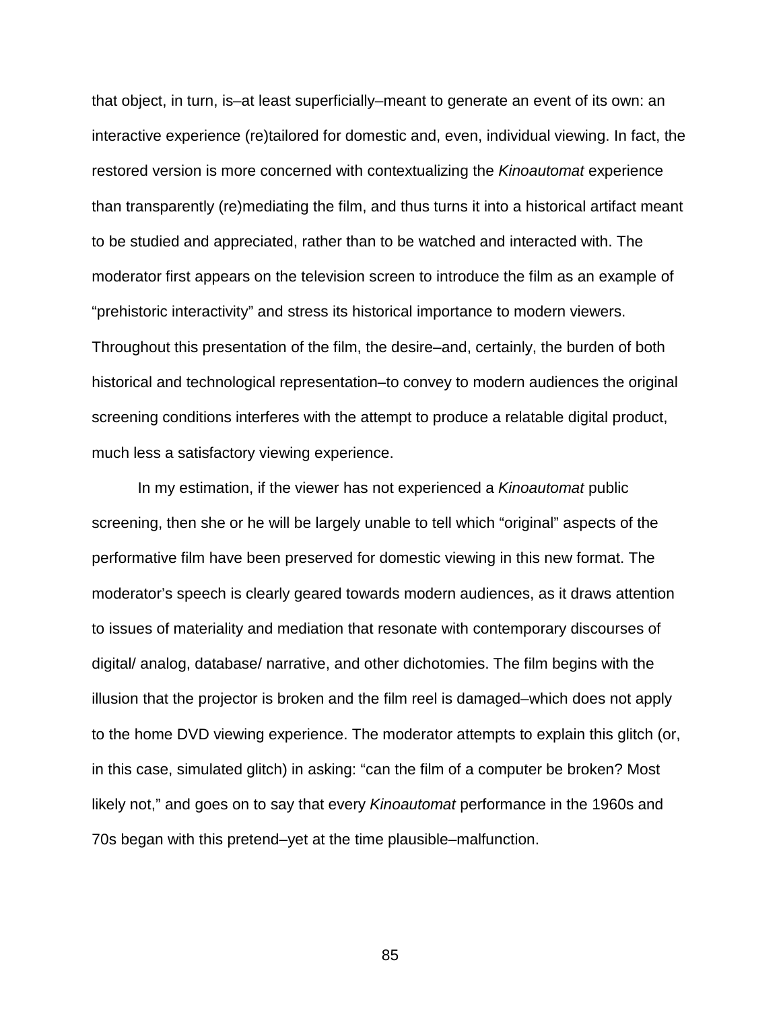that object, in turn, is–at least superficially–meant to generate an event of its own: an interactive experience (re)tailored for domestic and, even, individual viewing. In fact, the restored version is more concerned with contextualizing the *Kinoautomat* experience than transparently (re)mediating the film, and thus turns it into a historical artifact meant to be studied and appreciated, rather than to be watched and interacted with. The moderator first appears on the television screen to introduce the film as an example of "prehistoric interactivity" and stress its historical importance to modern viewers. Throughout this presentation of the film, the desire–and, certainly, the burden of both historical and technological representation–to convey to modern audiences the original screening conditions interferes with the attempt to produce a relatable digital product, much less a satisfactory viewing experience.

In my estimation, if the viewer has not experienced a *Kinoautomat* public screening, then she or he will be largely unable to tell which "original" aspects of the performative film have been preserved for domestic viewing in this new format. The moderator's speech is clearly geared towards modern audiences, as it draws attention to issues of materiality and mediation that resonate with contemporary discourses of digital/ analog, database/ narrative, and other dichotomies. The film begins with the illusion that the projector is broken and the film reel is damaged–which does not apply to the home DVD viewing experience. The moderator attempts to explain this glitch (or, in this case, simulated glitch) in asking: "can the film of a computer be broken? Most likely not," and goes on to say that every *Kinoautomat* performance in the 1960s and 70s began with this pretend–yet at the time plausible–malfunction.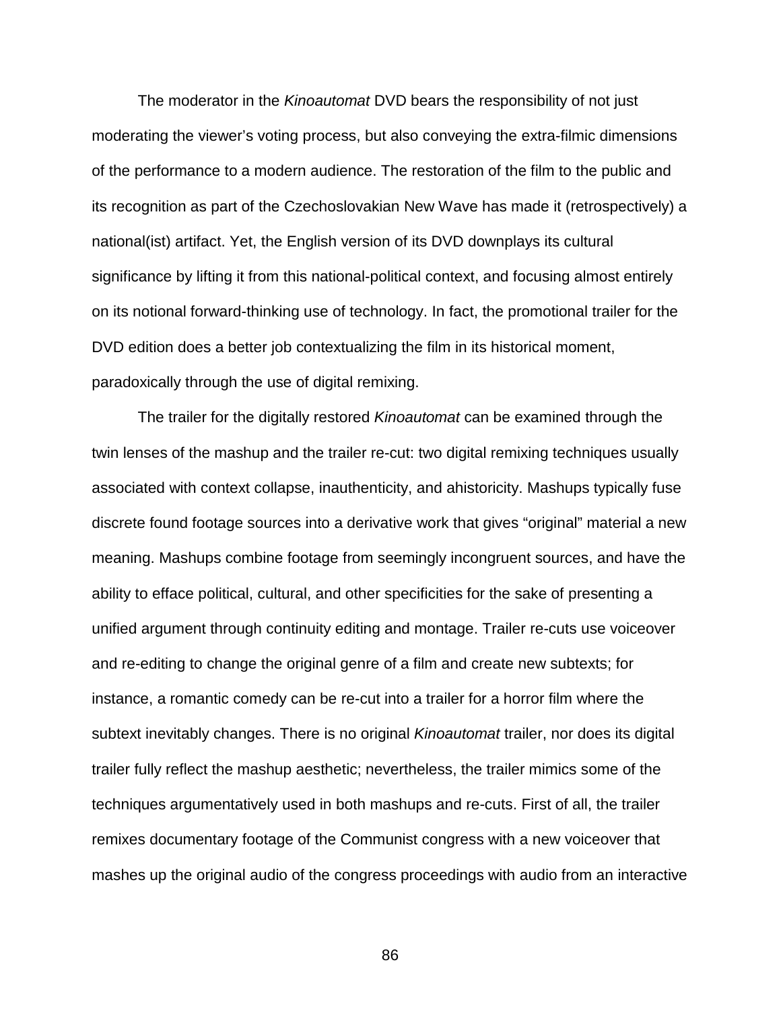The moderator in the *Kinoautomat* DVD bears the responsibility of not just moderating the viewer's voting process, but also conveying the extra-filmic dimensions of the performance to a modern audience. The restoration of the film to the public and its recognition as part of the Czechoslovakian New Wave has made it (retrospectively) a national(ist) artifact. Yet, the English version of its DVD downplays its cultural significance by lifting it from this national-political context, and focusing almost entirely on its notional forward-thinking use of technology. In fact, the promotional trailer for the DVD edition does a better job contextualizing the film in its historical moment, paradoxically through the use of digital remixing.

The trailer for the digitally restored *Kinoautomat* can be examined through the twin lenses of the mashup and the trailer re-cut: two digital remixing techniques usually associated with context collapse, inauthenticity, and ahistoricity. Mashups typically fuse discrete found footage sources into a derivative work that gives "original" material a new meaning. Mashups combine footage from seemingly incongruent sources, and have the ability to efface political, cultural, and other specificities for the sake of presenting a unified argument through continuity editing and montage. Trailer re-cuts use voiceover and re-editing to change the original genre of a film and create new subtexts; for instance, a romantic comedy can be re-cut into a trailer for a horror film where the subtext inevitably changes. There is no original *Kinoautomat* trailer, nor does its digital trailer fully reflect the mashup aesthetic; nevertheless, the trailer mimics some of the techniques argumentatively used in both mashups and re-cuts. First of all, the trailer remixes documentary footage of the Communist congress with a new voiceover that mashes up the original audio of the congress proceedings with audio from an interactive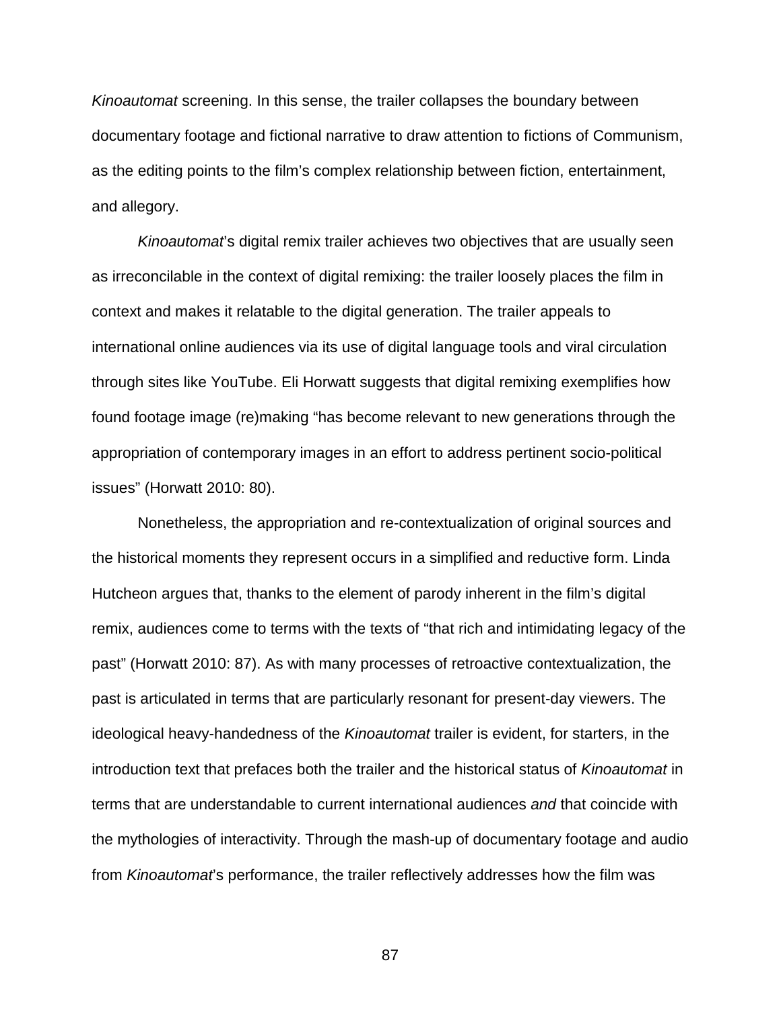*Kinoautomat* screening. In this sense, the trailer collapses the boundary between documentary footage and fictional narrative to draw attention to fictions of Communism, as the editing points to the film's complex relationship between fiction, entertainment, and allegory.

*Kinoautomat*'s digital remix trailer achieves two objectives that are usually seen as irreconcilable in the context of digital remixing: the trailer loosely places the film in context and makes it relatable to the digital generation. The trailer appeals to international online audiences via its use of digital language tools and viral circulation through sites like YouTube. Eli Horwatt suggests that digital remixing exemplifies how found footage image (re)making "has become relevant to new generations through the appropriation of contemporary images in an effort to address pertinent socio-political issues" (Horwatt 2010: 80).

Nonetheless, the appropriation and re-contextualization of original sources and the historical moments they represent occurs in a simplified and reductive form. Linda Hutcheon argues that, thanks to the element of parody inherent in the film's digital remix, audiences come to terms with the texts of "that rich and intimidating legacy of the past" (Horwatt 2010: 87). As with many processes of retroactive contextualization, the past is articulated in terms that are particularly resonant for present-day viewers. The ideological heavy-handedness of the *Kinoautomat* trailer is evident, for starters, in the introduction text that prefaces both the trailer and the historical status of *Kinoautomat* in terms that are understandable to current international audiences *and* that coincide with the mythologies of interactivity. Through the mash-up of documentary footage and audio from *Kinoautomat*'s performance, the trailer reflectively addresses how the film was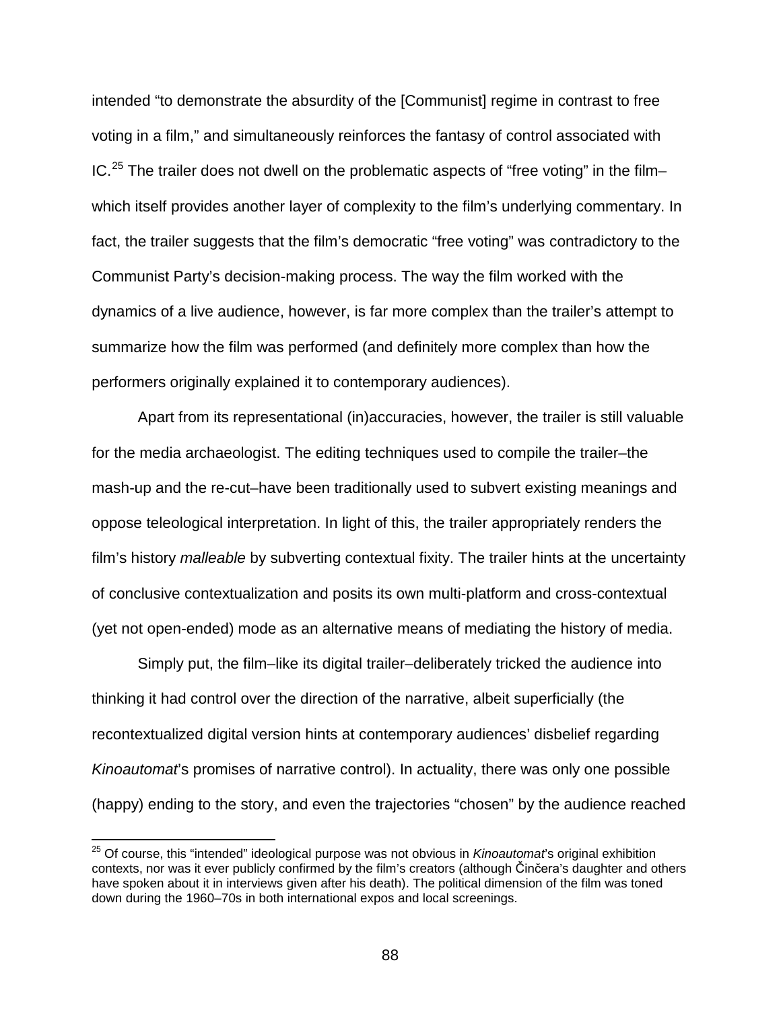intended "to demonstrate the absurdity of the [Communist] regime in contrast to free voting in a film," and simultaneously reinforces the fantasy of control associated with  $IC.<sup>25</sup>$  $IC.<sup>25</sup>$  $IC.<sup>25</sup>$  The trailer does not dwell on the problematic aspects of "free voting" in the film– which itself provides another layer of complexity to the film's underlying commentary. In fact, the trailer suggests that the film's democratic "free voting" was contradictory to the Communist Party's decision-making process. The way the film worked with the dynamics of a live audience, however, is far more complex than the trailer's attempt to summarize how the film was performed (and definitely more complex than how the performers originally explained it to contemporary audiences).

Apart from its representational (in)accuracies, however, the trailer is still valuable for the media archaeologist. The editing techniques used to compile the trailer–the mash-up and the re-cut–have been traditionally used to subvert existing meanings and oppose teleological interpretation. In light of this, the trailer appropriately renders the film's history *malleable* by subverting contextual fixity. The trailer hints at the uncertainty of conclusive contextualization and posits its own multi-platform and cross-contextual (yet not open-ended) mode as an alternative means of mediating the history of media.

Simply put, the film–like its digital trailer–deliberately tricked the audience into thinking it had control over the direction of the narrative, albeit superficially (the recontextualized digital version hints at contemporary audiences' disbelief regarding *Kinoautomat*'s promises of narrative control). In actuality, there was only one possible (happy) ending to the story, and even the trajectories "chosen" by the audience reached

<span id="page-87-0"></span> <sup>25</sup> Of course, this "intended" ideological purpose was not obvious in *Kinoautomat*'s original exhibition contexts, nor was it ever publicly confirmed by the film's creators (although Činčera's daughter and others have spoken about it in interviews given after his death). The political dimension of the film was toned down during the 1960–70s in both international expos and local screenings.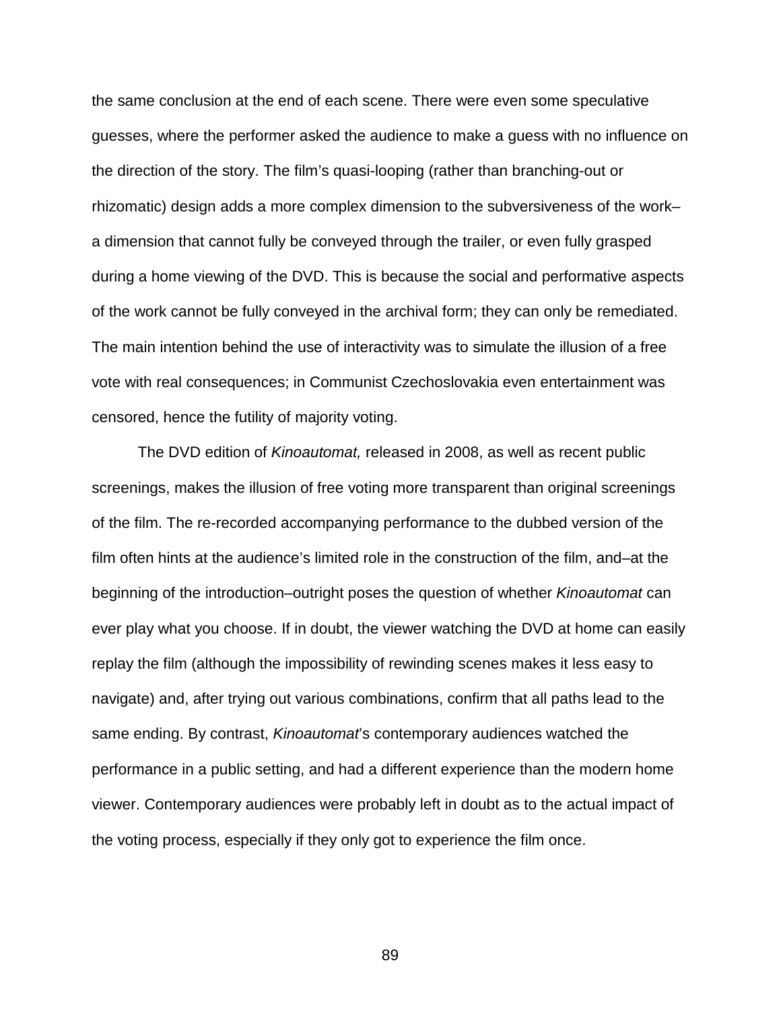the same conclusion at the end of each scene. There were even some speculative guesses, where the performer asked the audience to make a guess with no influence on the direction of the story. The film's quasi-looping (rather than branching-out or rhizomatic) design adds a more complex dimension to the subversiveness of the work– a dimension that cannot fully be conveyed through the trailer, or even fully grasped during a home viewing of the DVD. This is because the social and performative aspects of the work cannot be fully conveyed in the archival form; they can only be remediated. The main intention behind the use of interactivity was to simulate the illusion of a free vote with real consequences; in Communist Czechoslovakia even entertainment was censored, hence the futility of majority voting.

The DVD edition of *Kinoautomat,* released in 2008, as well as recent public screenings, makes the illusion of free voting more transparent than original screenings of the film. The re-recorded accompanying performance to the dubbed version of the film often hints at the audience's limited role in the construction of the film, and–at the beginning of the introduction–outright poses the question of whether *Kinoautomat* can ever play what you choose. If in doubt, the viewer watching the DVD at home can easily replay the film (although the impossibility of rewinding scenes makes it less easy to navigate) and, after trying out various combinations, confirm that all paths lead to the same ending. By contrast, *Kinoautomat*'s contemporary audiences watched the performance in a public setting, and had a different experience than the modern home viewer. Contemporary audiences were probably left in doubt as to the actual impact of the voting process, especially if they only got to experience the film once.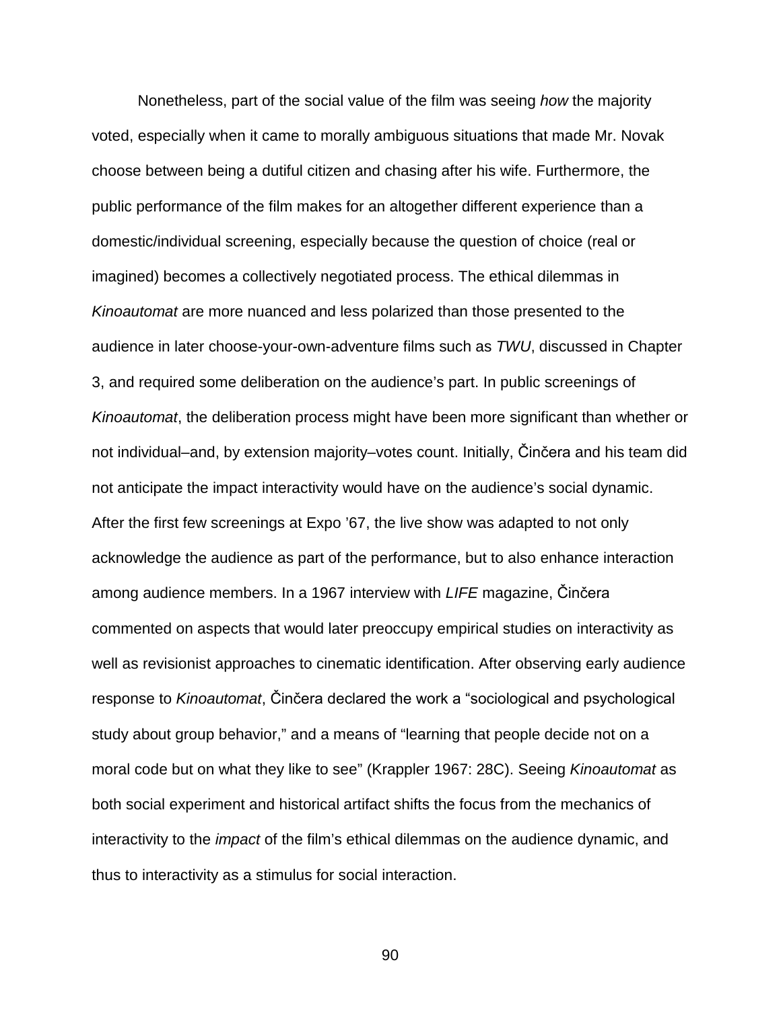Nonetheless, part of the social value of the film was seeing *how* the majority voted, especially when it came to morally ambiguous situations that made Mr. Novak choose between being a dutiful citizen and chasing after his wife. Furthermore, the public performance of the film makes for an altogether different experience than a domestic/individual screening, especially because the question of choice (real or imagined) becomes a collectively negotiated process. The ethical dilemmas in *Kinoautomat* are more nuanced and less polarized than those presented to the audience in later choose-your-own-adventure films such as *TWU*, discussed in Chapter 3, and required some deliberation on the audience's part. In public screenings of *Kinoautomat*, the deliberation process might have been more significant than whether or not individual–and, by extension majority–votes count. Initially, Činčera and his team did not anticipate the impact interactivity would have on the audience's social dynamic. After the first few screenings at Expo '67, the live show was adapted to not only acknowledge the audience as part of the performance, but to also enhance interaction among audience members. In a 1967 interview with *LIFE* magazine, Činčera commented on aspects that would later preoccupy empirical studies on interactivity as well as revisionist approaches to cinematic identification. After observing early audience response to *Kinoautomat*, Činčera declared the work a "sociological and psychological study about group behavior," and a means of "learning that people decide not on a moral code but on what they like to see" (Krappler 1967: 28C). Seeing *Kinoautomat* as both social experiment and historical artifact shifts the focus from the mechanics of interactivity to the *impact* of the film's ethical dilemmas on the audience dynamic, and thus to interactivity as a stimulus for social interaction.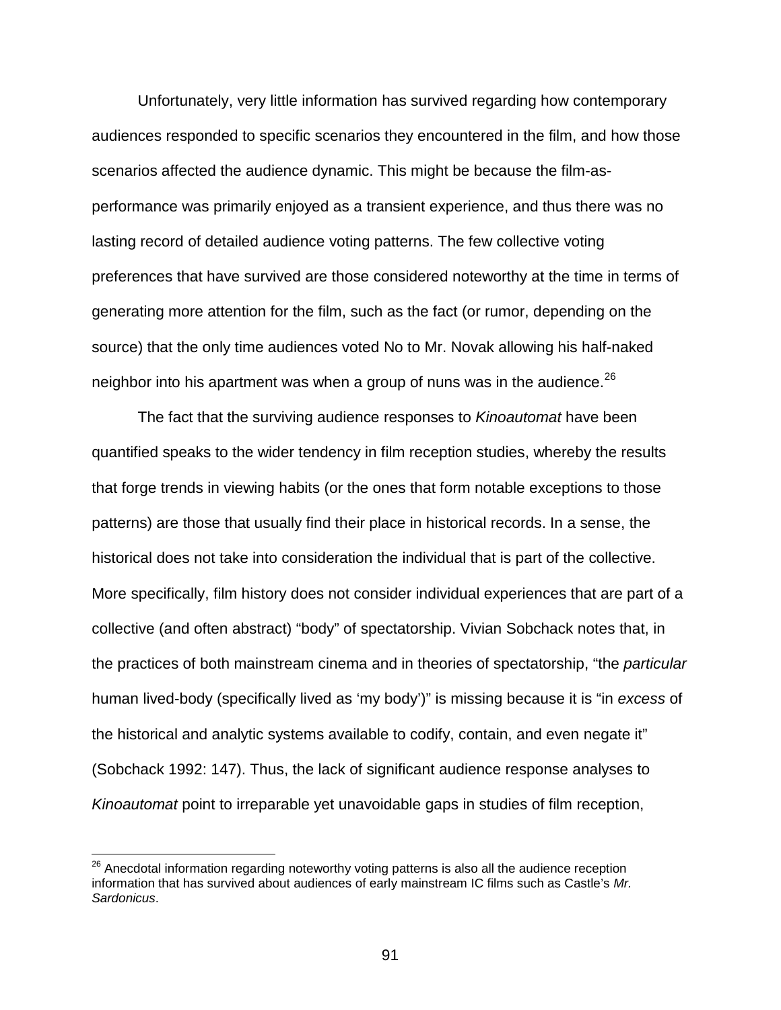Unfortunately, very little information has survived regarding how contemporary audiences responded to specific scenarios they encountered in the film, and how those scenarios affected the audience dynamic. This might be because the film-asperformance was primarily enjoyed as a transient experience, and thus there was no lasting record of detailed audience voting patterns. The few collective voting preferences that have survived are those considered noteworthy at the time in terms of generating more attention for the film, such as the fact (or rumor, depending on the source) that the only time audiences voted No to Mr. Novak allowing his half-naked neighbor into his apartment was when a group of nuns was in the audience.  $26$ 

The fact that the surviving audience responses to *Kinoautomat* have been quantified speaks to the wider tendency in film reception studies, whereby the results that forge trends in viewing habits (or the ones that form notable exceptions to those patterns) are those that usually find their place in historical records. In a sense, the historical does not take into consideration the individual that is part of the collective. More specifically, film history does not consider individual experiences that are part of a collective (and often abstract) "body" of spectatorship. Vivian Sobchack notes that, in the practices of both mainstream cinema and in theories of spectatorship, "the *particular* human lived-body (specifically lived as 'my body')" is missing because it is "in *excess* of the historical and analytic systems available to codify, contain, and even negate it" (Sobchack 1992: 147). Thus, the lack of significant audience response analyses to *Kinoautomat* point to irreparable yet unavoidable gaps in studies of film reception,

<span id="page-90-0"></span><sup>&</sup>lt;sup>26</sup> Anecdotal information regarding noteworthy voting patterns is also all the audience reception information that has survived about audiences of early mainstream IC films such as Castle's *Mr. Sardonicus*.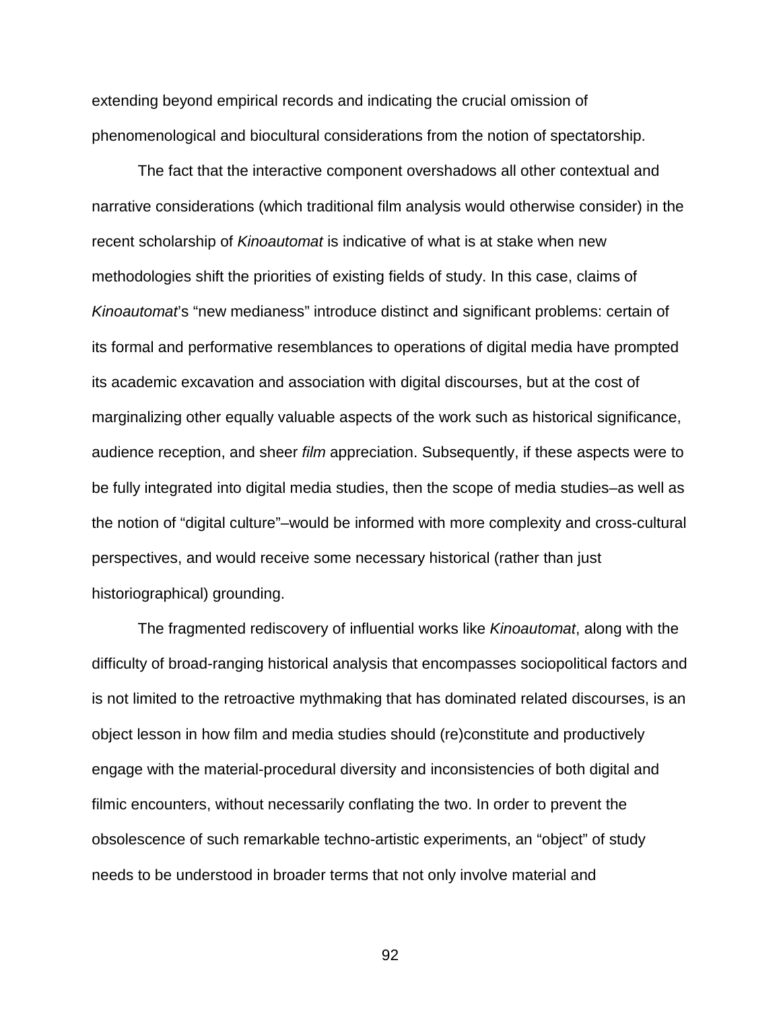extending beyond empirical records and indicating the crucial omission of phenomenological and biocultural considerations from the notion of spectatorship.

The fact that the interactive component overshadows all other contextual and narrative considerations (which traditional film analysis would otherwise consider) in the recent scholarship of *Kinoautomat* is indicative of what is at stake when new methodologies shift the priorities of existing fields of study. In this case, claims of *Kinoautomat*'s "new medianess" introduce distinct and significant problems: certain of its formal and performative resemblances to operations of digital media have prompted its academic excavation and association with digital discourses, but at the cost of marginalizing other equally valuable aspects of the work such as historical significance, audience reception, and sheer *film* appreciation. Subsequently, if these aspects were to be fully integrated into digital media studies, then the scope of media studies–as well as the notion of "digital culture"–would be informed with more complexity and cross-cultural perspectives, and would receive some necessary historical (rather than just historiographical) grounding.

The fragmented rediscovery of influential works like *Kinoautomat*, along with the difficulty of broad-ranging historical analysis that encompasses sociopolitical factors and is not limited to the retroactive mythmaking that has dominated related discourses, is an object lesson in how film and media studies should (re)constitute and productively engage with the material-procedural diversity and inconsistencies of both digital and filmic encounters, without necessarily conflating the two. In order to prevent the obsolescence of such remarkable techno-artistic experiments, an "object" of study needs to be understood in broader terms that not only involve material and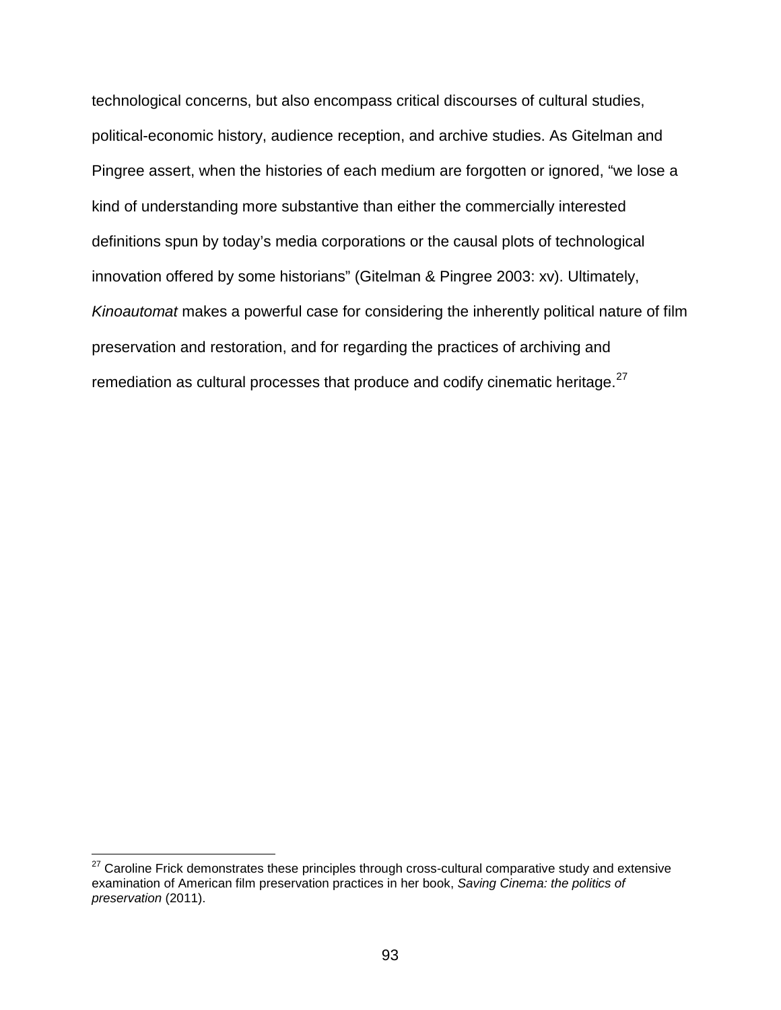technological concerns, but also encompass critical discourses of cultural studies, political-economic history, audience reception, and archive studies. As Gitelman and Pingree assert, when the histories of each medium are forgotten or ignored, "we lose a kind of understanding more substantive than either the commercially interested definitions spun by today's media corporations or the causal plots of technological innovation offered by some historians" (Gitelman & Pingree 2003: xv). Ultimately, *Kinoautomat* makes a powerful case for considering the inherently political nature of film preservation and restoration, and for regarding the practices of archiving and remediation as cultural processes that produce and codify cinematic heritage. $^{27}$  $^{27}$  $^{27}$ 

<span id="page-92-0"></span> $27$  Caroline Frick demonstrates these principles through cross-cultural comparative study and extensive examination of American film preservation practices in her book, *Saving Cinema: the politics of preservation* (2011).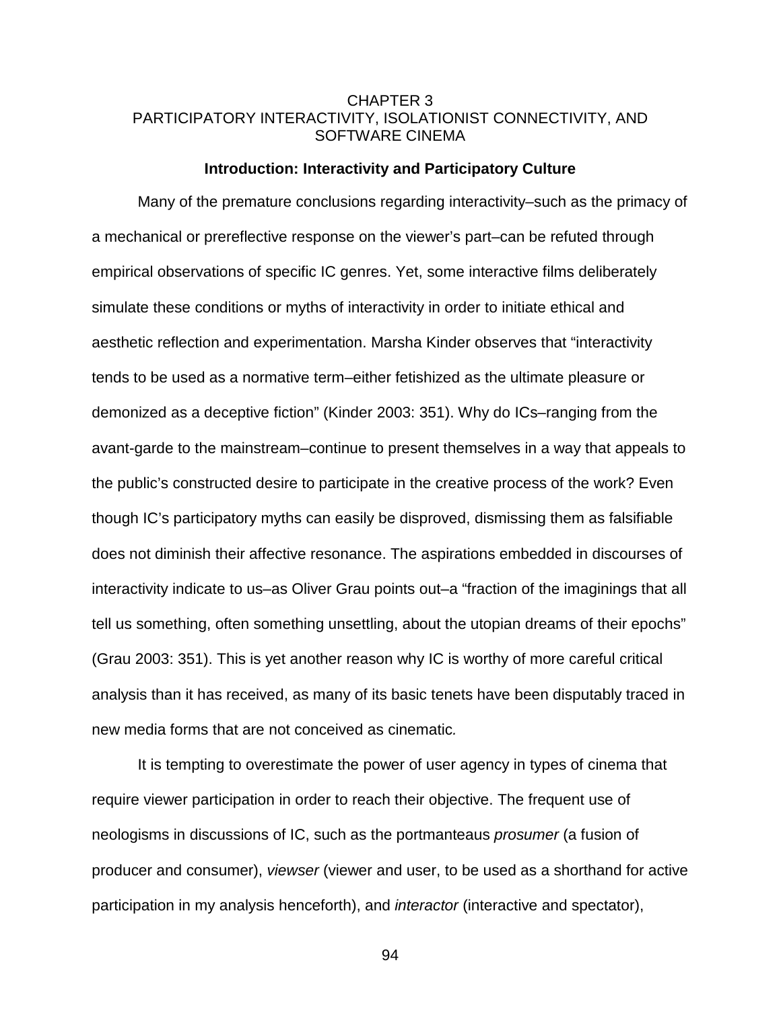## CHAPTER 3 PARTICIPATORY INTERACTIVITY, ISOLATIONIST CONNECTIVITY, AND SOFTWARE CINEMA

## **Introduction: Interactivity and Participatory Culture**

Many of the premature conclusions regarding interactivity–such as the primacy of a mechanical or prereflective response on the viewer's part–can be refuted through empirical observations of specific IC genres. Yet, some interactive films deliberately simulate these conditions or myths of interactivity in order to initiate ethical and aesthetic reflection and experimentation. Marsha Kinder observes that "interactivity tends to be used as a normative term–either fetishized as the ultimate pleasure or demonized as a deceptive fiction" (Kinder 2003: 351). Why do ICs–ranging from the avant-garde to the mainstream–continue to present themselves in a way that appeals to the public's constructed desire to participate in the creative process of the work? Even though IC's participatory myths can easily be disproved, dismissing them as falsifiable does not diminish their affective resonance. The aspirations embedded in discourses of interactivity indicate to us–as Oliver Grau points out–a "fraction of the imaginings that all tell us something, often something unsettling, about the utopian dreams of their epochs" (Grau 2003: 351). This is yet another reason why IC is worthy of more careful critical analysis than it has received, as many of its basic tenets have been disputably traced in new media forms that are not conceived as cinematic*.*

It is tempting to overestimate the power of user agency in types of cinema that require viewer participation in order to reach their objective. The frequent use of neologisms in discussions of IC, such as the portmanteaus *prosumer* (a fusion of producer and consumer), *viewser* (viewer and user, to be used as a shorthand for active participation in my analysis henceforth), and *interactor* (interactive and spectator),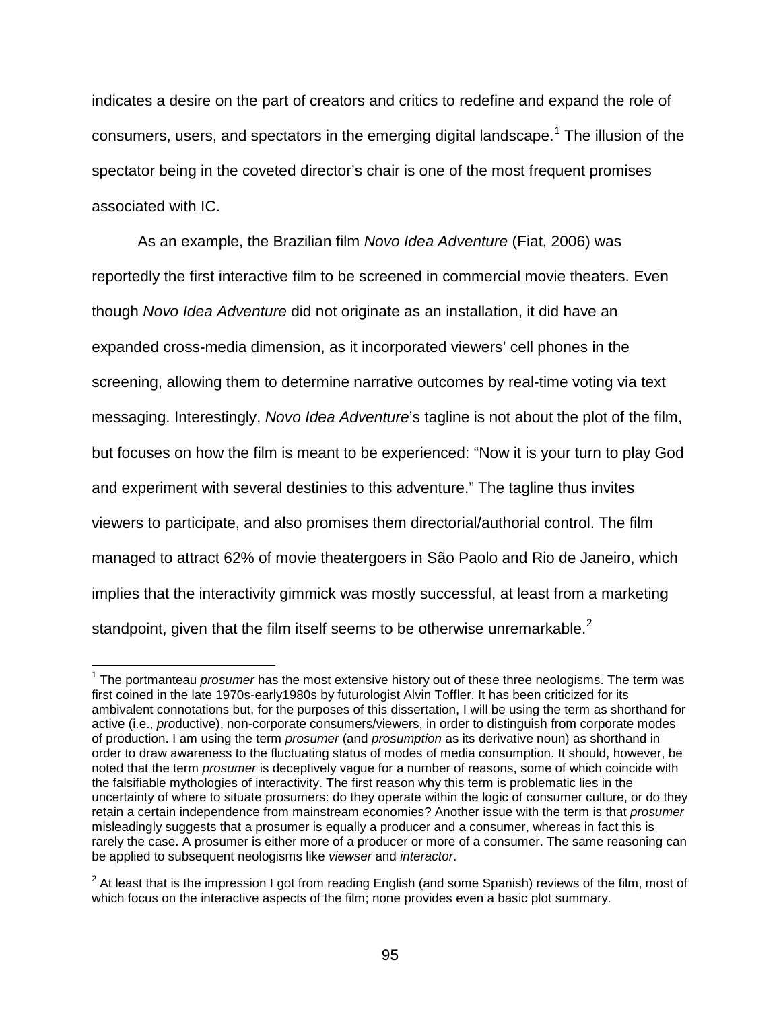indicates a desire on the part of creators and critics to redefine and expand the role of consumers, users, and spectators in the emerging digital landscape.<sup>[1](#page-94-0)</sup> The illusion of the spectator being in the coveted director's chair is one of the most frequent promises associated with IC.

As an example, the Brazilian film *Novo Idea Adventure* (Fiat, 2006) was reportedly the first interactive film to be screened in commercial movie theaters. Even though *Novo Idea Adventure* did not originate as an installation, it did have an expanded cross-media dimension, as it incorporated viewers' cell phones in the screening, allowing them to determine narrative outcomes by real-time voting via text messaging. Interestingly, *Novo Idea Adventure*'s tagline is not about the plot of the film, but focuses on how the film is meant to be experienced: "Now it is your turn to play God and experiment with several destinies to this adventure." The tagline thus invites viewers to participate, and also promises them directorial/authorial control. The film managed to attract 62% of movie theatergoers in São Paolo and Rio de Janeiro, which implies that the interactivity gimmick was mostly successful, at least from a marketing standpoint, given that the film itself seems to be otherwise unremarkable.<sup>[2](#page-94-1)</sup>

<span id="page-94-0"></span> <sup>1</sup> The portmanteau *prosumer* has the most extensive history out of these three neologisms. The term was first coined in the late 1970s-early1980s by futurologist Alvin Toffler. It has been criticized for its ambivalent connotations but, for the purposes of this dissertation, I will be using the term as shorthand for active (i.e., *pro*ductive), non-corporate consumers/viewers, in order to distinguish from corporate modes of production. I am using the term *prosumer* (and *prosumption* as its derivative noun) as shorthand in order to draw awareness to the fluctuating status of modes of media consumption. It should, however, be noted that the term *prosumer* is deceptively vague for a number of reasons, some of which coincide with the falsifiable mythologies of interactivity. The first reason why this term is problematic lies in the uncertainty of where to situate prosumers: do they operate within the logic of consumer culture, or do they retain a certain independence from mainstream economies? Another issue with the term is that *prosumer* misleadingly suggests that a prosumer is equally a producer and a consumer, whereas in fact this is rarely the case. A prosumer is either more of a producer or more of a consumer. The same reasoning can be applied to subsequent neologisms like *viewser* and *interactor*.

<span id="page-94-1"></span> $2$  At least that is the impression I got from reading English (and some Spanish) reviews of the film, most of which focus on the interactive aspects of the film; none provides even a basic plot summary.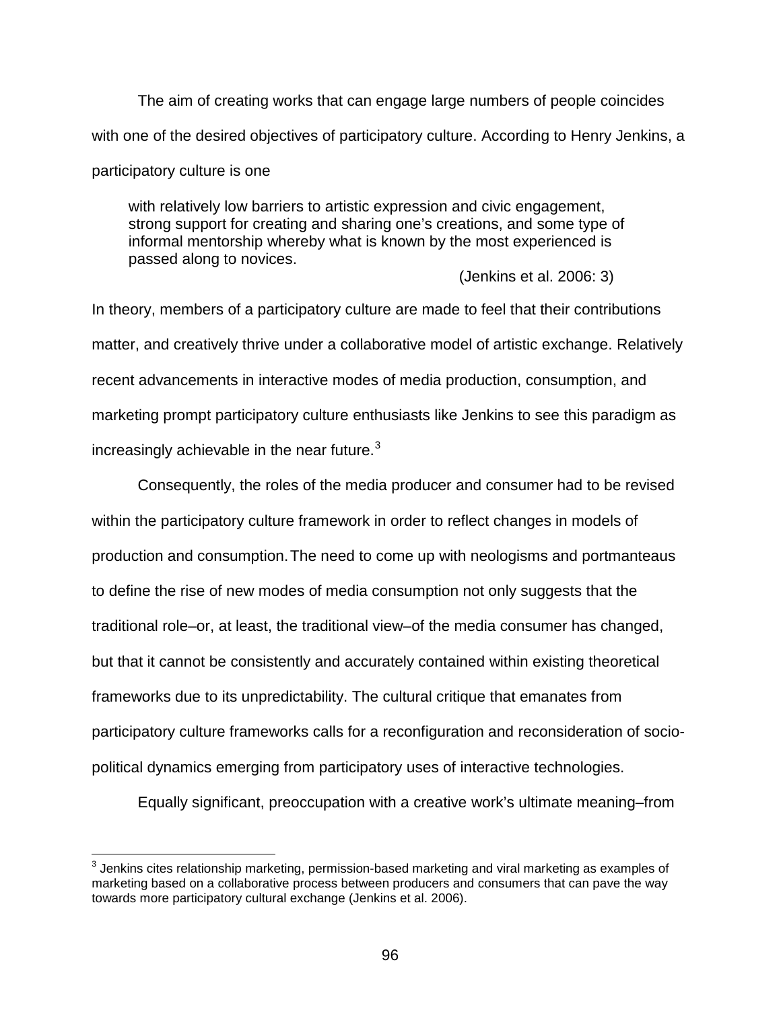The aim of creating works that can engage large numbers of people coincides with one of the desired objectives of participatory culture. According to Henry Jenkins, a participatory culture is one

with relatively low barriers to artistic expression and civic engagement, strong support for creating and sharing one's creations, and some type of informal mentorship whereby what is known by the most experienced is passed along to novices.

(Jenkins et al. 2006: 3)

In theory, members of a participatory culture are made to feel that their contributions matter, and creatively thrive under a collaborative model of artistic exchange. Relatively recent advancements in interactive modes of media production, consumption, and marketing prompt participatory culture enthusiasts like Jenkins to see this paradigm as increasingly achievable in the near future. $3$ 

Consequently, the roles of the media producer and consumer had to be revised within the participatory culture framework in order to reflect changes in models of production and consumption.The need to come up with neologisms and portmanteaus to define the rise of new modes of media consumption not only suggests that the traditional role–or, at least, the traditional view–of the media consumer has changed, but that it cannot be consistently and accurately contained within existing theoretical frameworks due to its unpredictability. The cultural critique that emanates from participatory culture frameworks calls for a reconfiguration and reconsideration of sociopolitical dynamics emerging from participatory uses of interactive technologies.

Equally significant, preoccupation with a creative work's ultimate meaning–from

<span id="page-95-0"></span> $3$  Jenkins cites relationship marketing, permission-based marketing and viral marketing as examples of marketing based on a collaborative process between producers and consumers that can pave the way towards more participatory cultural exchange (Jenkins et al. 2006).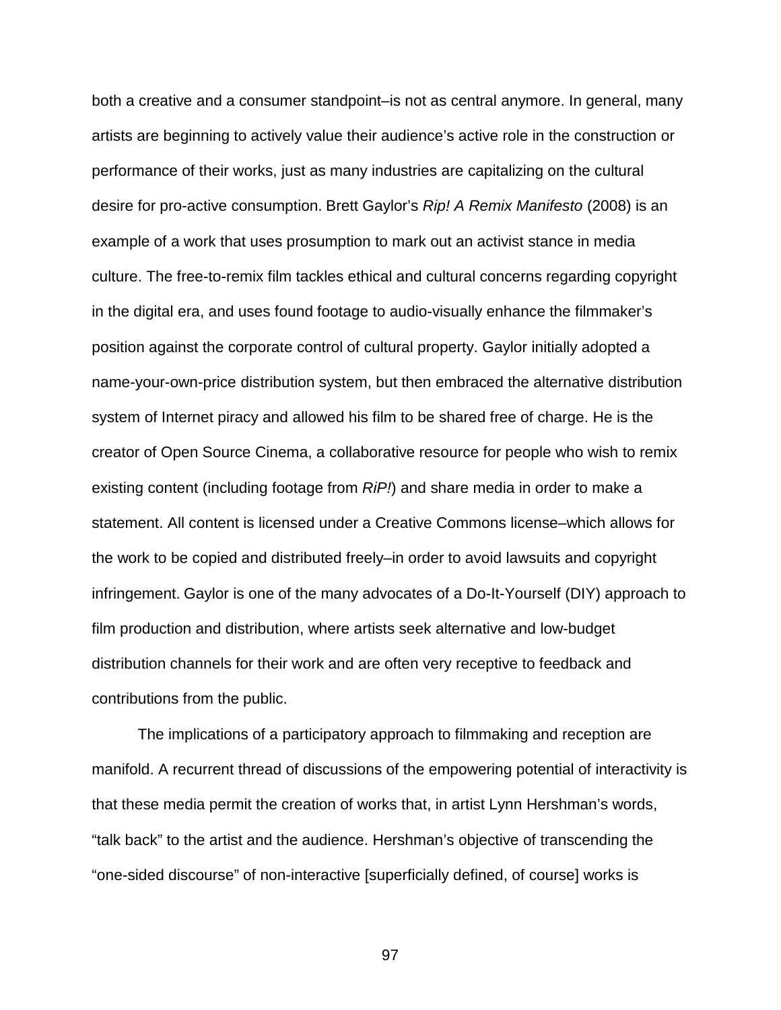both a creative and a consumer standpoint–is not as central anymore. In general, many artists are beginning to actively value their audience's active role in the construction or performance of their works, just as many industries are capitalizing on the cultural desire for pro-active consumption. Brett Gaylor's *Rip! A Remix Manifesto* (2008) is an example of a work that uses prosumption to mark out an activist stance in media culture. The free-to-remix film tackles ethical and cultural concerns regarding copyright in the digital era, and uses found footage to audio-visually enhance the filmmaker's position against the corporate control of cultural property. Gaylor initially adopted a name-your-own-price distribution system, but then embraced the alternative distribution system of Internet piracy and allowed his film to be shared free of charge. He is the creator of Open Source Cinema, a collaborative resource for people who wish to remix existing content (including footage from *RiP!*) and share media in order to make a statement. All content is licensed under a Creative Commons license–which allows for the work to be copied and distributed freely–in order to avoid lawsuits and copyright infringement. Gaylor is one of the many advocates of a Do-It-Yourself (DIY) approach to film production and distribution, where artists seek alternative and low-budget distribution channels for their work and are often very receptive to feedback and contributions from the public.

The implications of a participatory approach to filmmaking and reception are manifold. A recurrent thread of discussions of the empowering potential of interactivity is that these media permit the creation of works that, in artist Lynn Hershman's words, "talk back" to the artist and the audience. Hershman's objective of transcending the "one-sided discourse" of non-interactive [superficially defined, of course] works is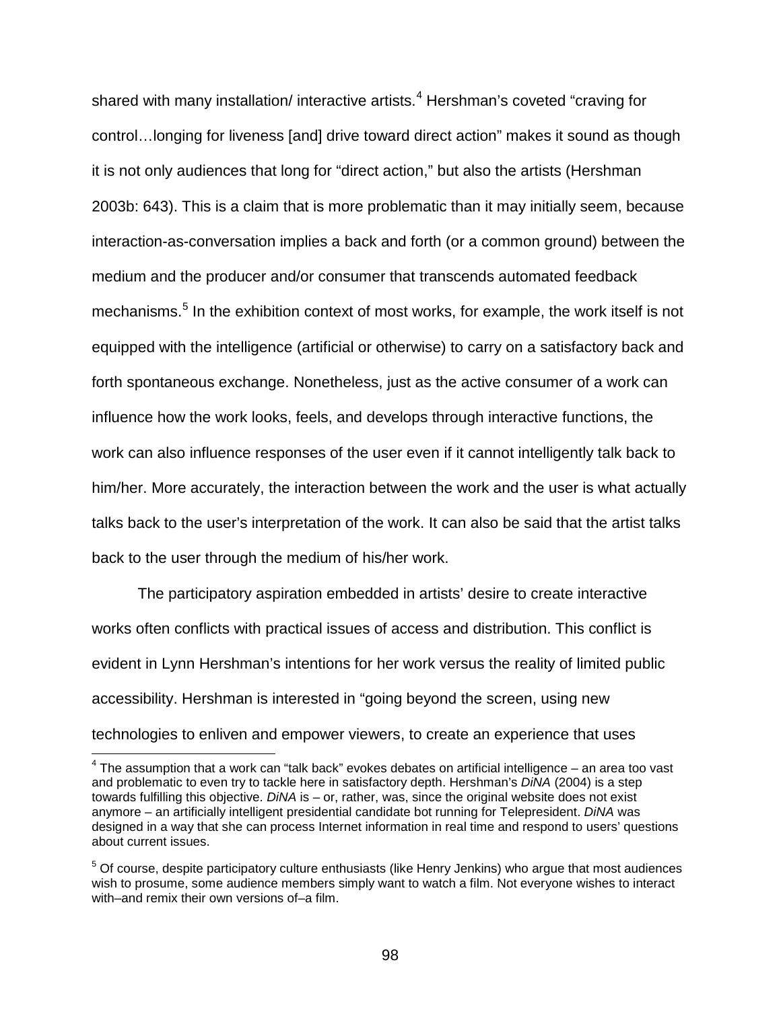shared with many installation/ interactive artists.<sup>[4](#page-97-0)</sup> Hershman's coveted "craving for control…longing for liveness [and] drive toward direct action" makes it sound as though it is not only audiences that long for "direct action," but also the artists (Hershman 2003b: 643). This is a claim that is more problematic than it may initially seem, because interaction-as-conversation implies a back and forth (or a common ground) between the medium and the producer and/or consumer that transcends automated feedback mechanisms.<sup>[5](#page-97-1)</sup> In the exhibition context of most works, for example, the work itself is not equipped with the intelligence (artificial or otherwise) to carry on a satisfactory back and forth spontaneous exchange. Nonetheless, just as the active consumer of a work can influence how the work looks, feels, and develops through interactive functions, the work can also influence responses of the user even if it cannot intelligently talk back to him/her. More accurately, the interaction between the work and the user is what actually talks back to the user's interpretation of the work. It can also be said that the artist talks back to the user through the medium of his/her work.

The participatory aspiration embedded in artists' desire to create interactive works often conflicts with practical issues of access and distribution. This conflict is evident in Lynn Hershman's intentions for her work versus the reality of limited public accessibility. Hershman is interested in "going beyond the screen, using new technologies to enliven and empower viewers, to create an experience that uses

<span id="page-97-0"></span> $4$  The assumption that a work can "talk back" evokes debates on artificial intelligence  $-$  an area too vast and problematic to even try to tackle here in satisfactory depth. Hershman's *DiNA* (2004) is a step towards fulfilling this objective. *DiNA* is – or, rather, was, since the original website does not exist anymore – an artificially intelligent presidential candidate bot running for Telepresident. *DiNA* was designed in a way that she can process Internet information in real time and respond to users' questions about current issues.

<span id="page-97-1"></span><sup>&</sup>lt;sup>5</sup> Of course, despite participatory culture enthusiasts (like Henry Jenkins) who argue that most audiences wish to prosume, some audience members simply want to watch a film. Not everyone wishes to interact with–and remix their own versions of–a film.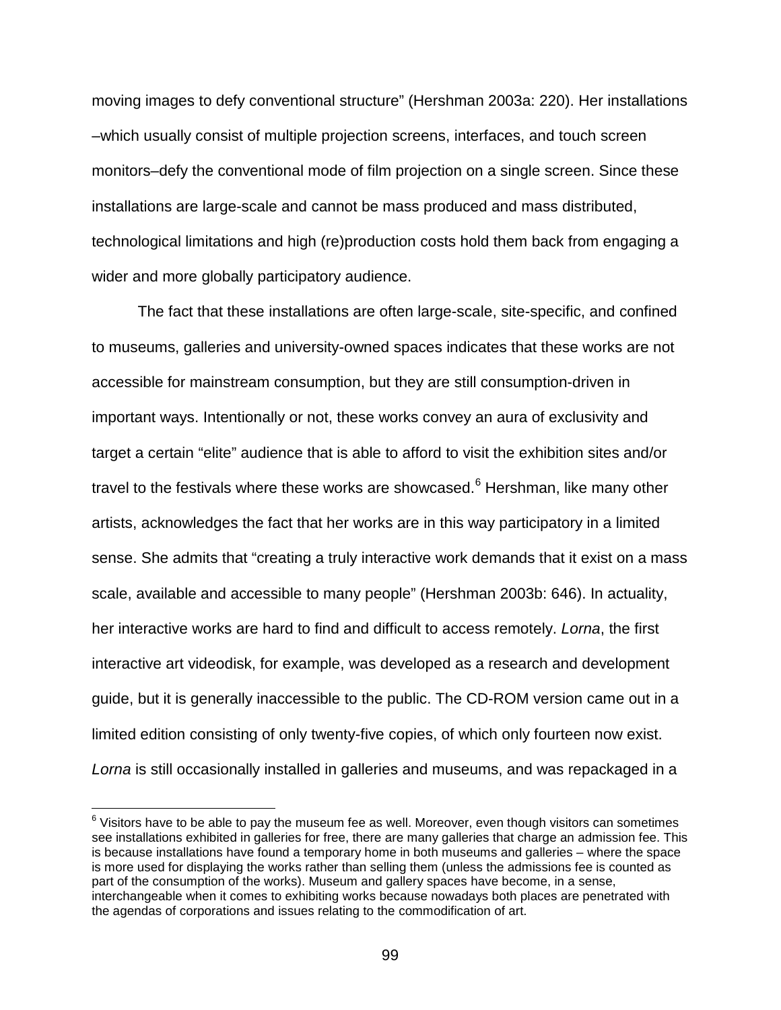moving images to defy conventional structure" (Hershman 2003a: 220). Her installations –which usually consist of multiple projection screens, interfaces, and touch screen monitors–defy the conventional mode of film projection on a single screen. Since these installations are large-scale and cannot be mass produced and mass distributed, technological limitations and high (re)production costs hold them back from engaging a wider and more globally participatory audience.

The fact that these installations are often large-scale, site-specific, and confined to museums, galleries and university-owned spaces indicates that these works are not accessible for mainstream consumption, but they are still consumption-driven in important ways. Intentionally or not, these works convey an aura of exclusivity and target a certain "elite" audience that is able to afford to visit the exhibition sites and/or travel to the festivals where these works are showcased. $6$  Hershman, like many other artists, acknowledges the fact that her works are in this way participatory in a limited sense. She admits that "creating a truly interactive work demands that it exist on a mass scale, available and accessible to many people" (Hershman 2003b: 646). In actuality, her interactive works are hard to find and difficult to access remotely. *Lorna*, the first interactive art videodisk, for example, was developed as a research and development guide, but it is generally inaccessible to the public. The CD-ROM version came out in a limited edition consisting of only twenty-five copies, of which only fourteen now exist. Lorna is still occasionally installed in galleries and museums, and was repackaged in a

<span id="page-98-0"></span> $6$  Visitors have to be able to pay the museum fee as well. Moreover, even though visitors can sometimes see installations exhibited in galleries for free, there are many galleries that charge an admission fee. This is because installations have found a temporary home in both museums and galleries – where the space is more used for displaying the works rather than selling them (unless the admissions fee is counted as part of the consumption of the works). Museum and gallery spaces have become, in a sense, interchangeable when it comes to exhibiting works because nowadays both places are penetrated with the agendas of corporations and issues relating to the commodification of art.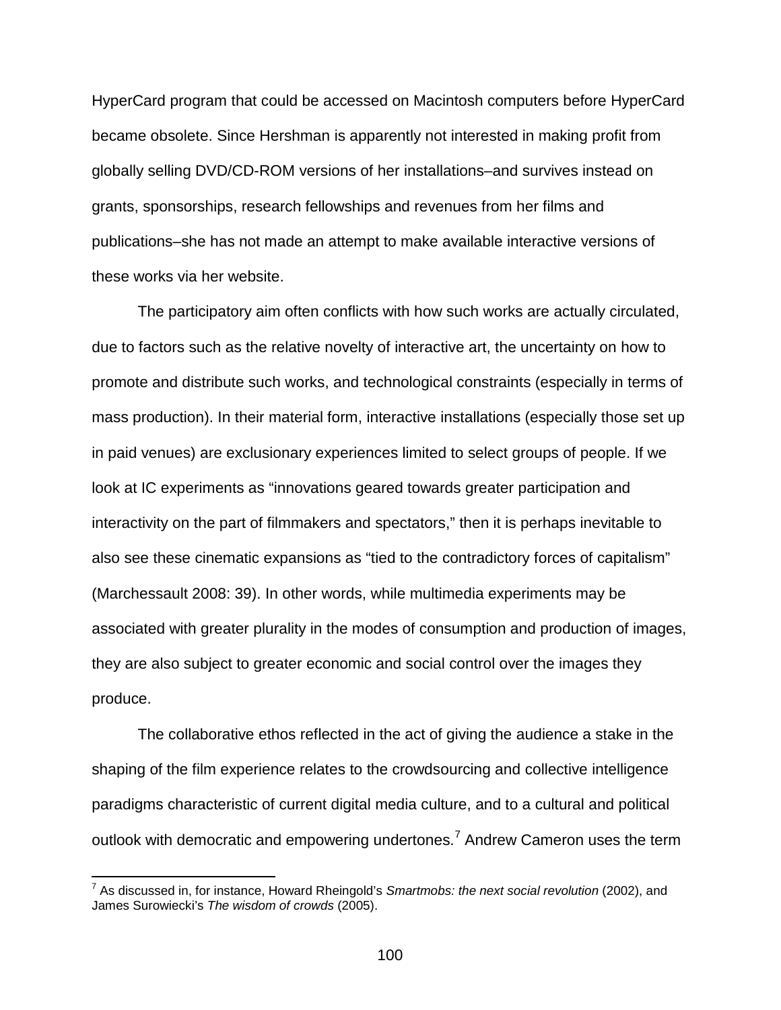HyperCard program that could be accessed on Macintosh computers before HyperCard became obsolete. Since Hershman is apparently not interested in making profit from globally selling DVD/CD-ROM versions of her installations–and survives instead on grants, sponsorships, research fellowships and revenues from her films and publications–she has not made an attempt to make available interactive versions of these works via her website.

The participatory aim often conflicts with how such works are actually circulated, due to factors such as the relative novelty of interactive art, the uncertainty on how to promote and distribute such works, and technological constraints (especially in terms of mass production). In their material form, interactive installations (especially those set up in paid venues) are exclusionary experiences limited to select groups of people. If we look at IC experiments as "innovations geared towards greater participation and interactivity on the part of filmmakers and spectators," then it is perhaps inevitable to also see these cinematic expansions as "tied to the contradictory forces of capitalism" (Marchessault 2008: 39). In other words, while multimedia experiments may be associated with greater plurality in the modes of consumption and production of images, they are also subject to greater economic and social control over the images they produce.

The collaborative ethos reflected in the act of giving the audience a stake in the shaping of the film experience relates to the crowdsourcing and collective intelligence paradigms characteristic of current digital media culture, and to a cultural and political outlook with democratic and empowering undertones.<sup>[7](#page-99-0)</sup> Andrew Cameron uses the term

<span id="page-99-0"></span> <sup>7</sup> As discussed in, for instance, Howard Rheingold's *Smartmobs: the next social revolution* (2002), and James Surowiecki's *The wisdom of crowds* (2005).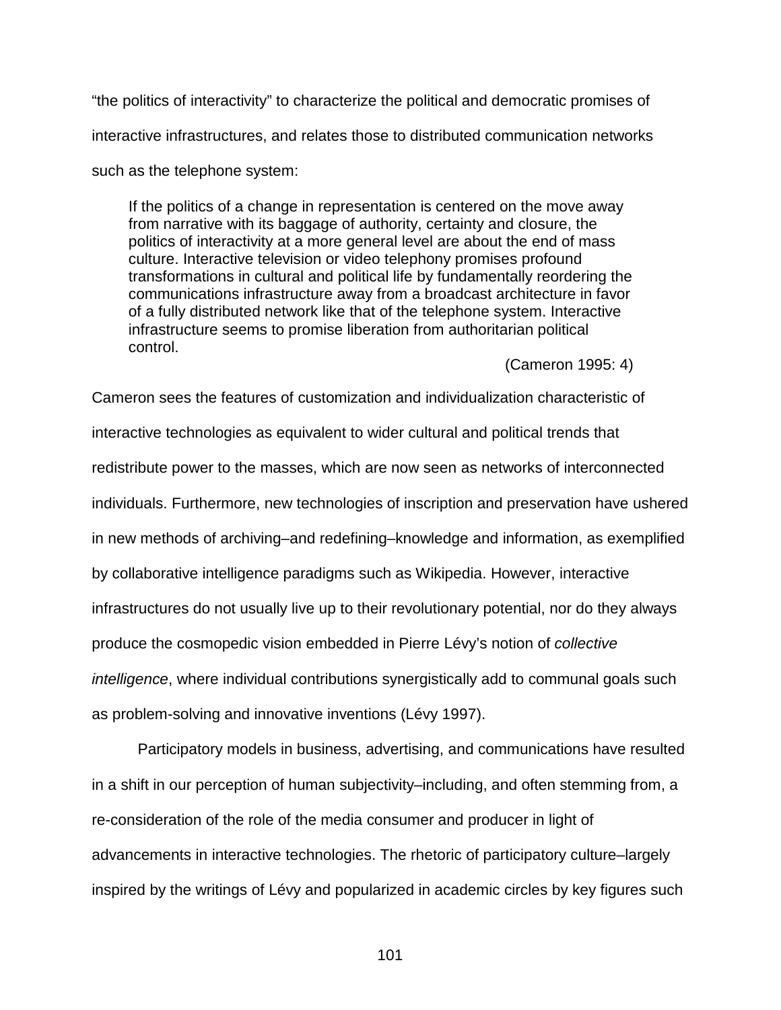"the politics of interactivity" to characterize the political and democratic promises of interactive infrastructures, and relates those to distributed communication networks such as the telephone system:

If the politics of a change in representation is centered on the move away from narrative with its baggage of authority, certainty and closure, the politics of interactivity at a more general level are about the end of mass culture. Interactive television or video telephony promises profound transformations in cultural and political life by fundamentally reordering the communications infrastructure away from a broadcast architecture in favor of a fully distributed network like that of the telephone system. Interactive infrastructure seems to promise liberation from authoritarian political control.

(Cameron 1995: 4)

Cameron sees the features of customization and individualization characteristic of interactive technologies as equivalent to wider cultural and political trends that redistribute power to the masses, which are now seen as networks of interconnected individuals. Furthermore, new technologies of inscription and preservation have ushered in new methods of archiving–and redefining–knowledge and information, as exemplified by collaborative intelligence paradigms such as Wikipedia. However, interactive infrastructures do not usually live up to their revolutionary potential, nor do they always produce the cosmopedic vision embedded in Pierre Lévy's notion of *collective intelligence*, where individual contributions synergistically add to communal goals such as problem-solving and innovative inventions (Lévy 1997).

Participatory models in business, advertising, and communications have resulted in a shift in our perception of human subjectivity–including, and often stemming from, a re-consideration of the role of the media consumer and producer in light of advancements in interactive technologies. The rhetoric of participatory culture–largely inspired by the writings of Lévy and popularized in academic circles by key figures such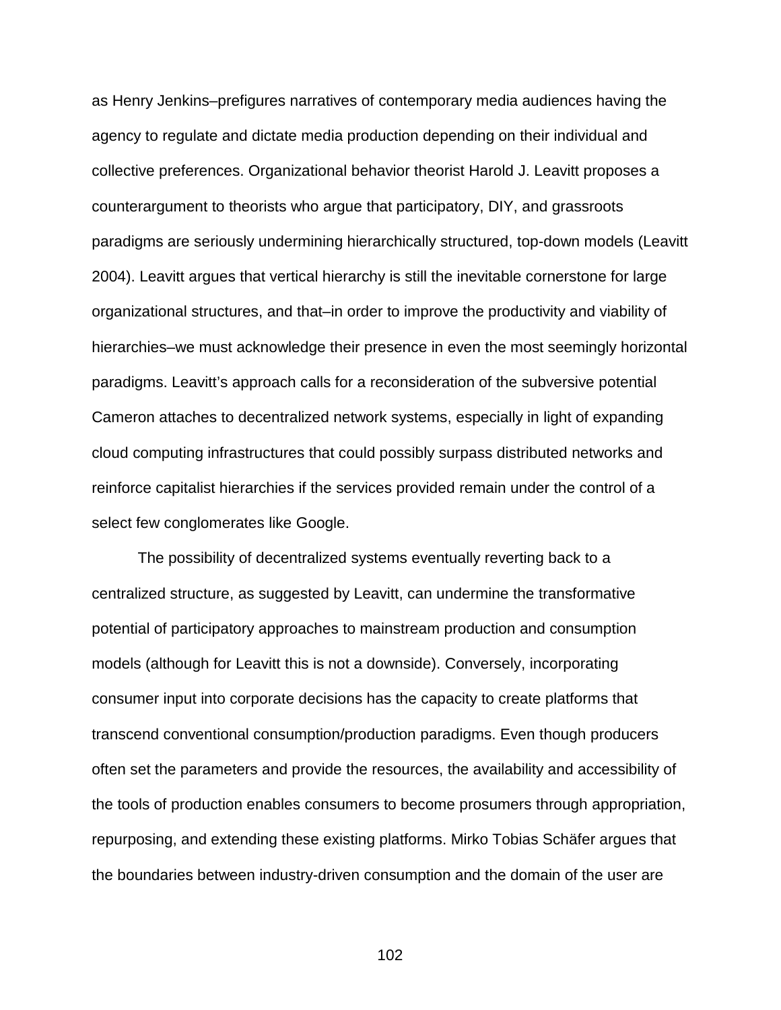as Henry Jenkins–prefigures narratives of contemporary media audiences having the agency to regulate and dictate media production depending on their individual and collective preferences. Organizational behavior theorist Harold J. Leavitt proposes a counterargument to theorists who argue that participatory, DIY, and grassroots paradigms are seriously undermining hierarchically structured, top-down models (Leavitt 2004). Leavitt argues that vertical hierarchy is still the inevitable cornerstone for large organizational structures, and that–in order to improve the productivity and viability of hierarchies–we must acknowledge their presence in even the most seemingly horizontal paradigms. Leavitt's approach calls for a reconsideration of the subversive potential Cameron attaches to decentralized network systems, especially in light of expanding cloud computing infrastructures that could possibly surpass distributed networks and reinforce capitalist hierarchies if the services provided remain under the control of a select few conglomerates like Google.

The possibility of decentralized systems eventually reverting back to a centralized structure, as suggested by Leavitt, can undermine the transformative potential of participatory approaches to mainstream production and consumption models (although for Leavitt this is not a downside). Conversely, incorporating consumer input into corporate decisions has the capacity to create platforms that transcend conventional consumption/production paradigms. Even though producers often set the parameters and provide the resources, the availability and accessibility of the tools of production enables consumers to become prosumers through appropriation, repurposing, and extending these existing platforms. Mirko Tobias Schäfer argues that the boundaries between industry-driven consumption and the domain of the user are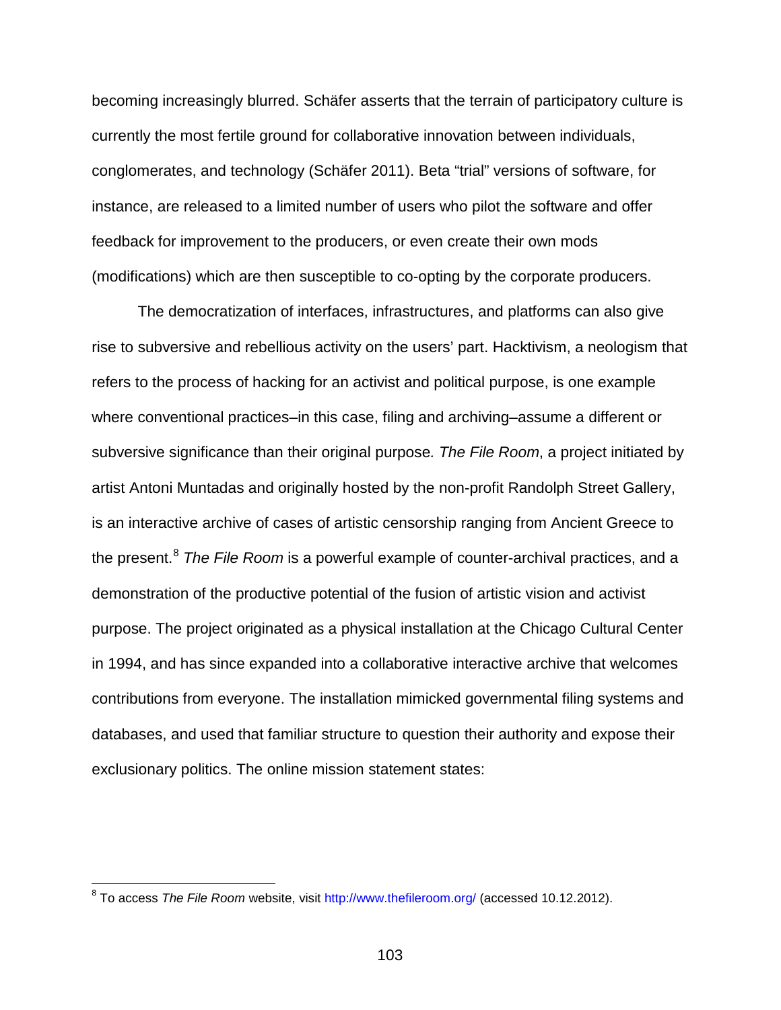becoming increasingly blurred. Schäfer asserts that the terrain of participatory culture is currently the most fertile ground for collaborative innovation between individuals, conglomerates, and technology (Schäfer 2011). Beta "trial" versions of software, for instance, are released to a limited number of users who pilot the software and offer feedback for improvement to the producers, or even create their own mods (modifications) which are then susceptible to co-opting by the corporate producers.

The democratization of interfaces, infrastructures, and platforms can also give rise to subversive and rebellious activity on the users' part. Hacktivism, a neologism that refers to the process of hacking for an activist and political purpose, is one example where conventional practices–in this case, filing and archiving–assume a different or subversive significance than their original purpose*. The File Room*, a project initiated by artist Antoni Muntadas and originally hosted by the non-profit Randolph Street Gallery, is an interactive archive of cases of artistic censorship ranging from Ancient Greece to the present.[8](#page-102-0) *The File Room* is a powerful example of counter-archival practices, and a demonstration of the productive potential of the fusion of artistic vision and activist purpose. The project originated as a physical installation at the Chicago Cultural Center in 1994, and has since expanded into a collaborative interactive archive that welcomes contributions from everyone. The installation mimicked governmental filing systems and databases, and used that familiar structure to question their authority and expose their exclusionary politics. The online mission statement states:

<span id="page-102-0"></span> <sup>8</sup> To access *The File Room* website, visit<http://www.thefileroom.org/> (accessed 10.12.2012).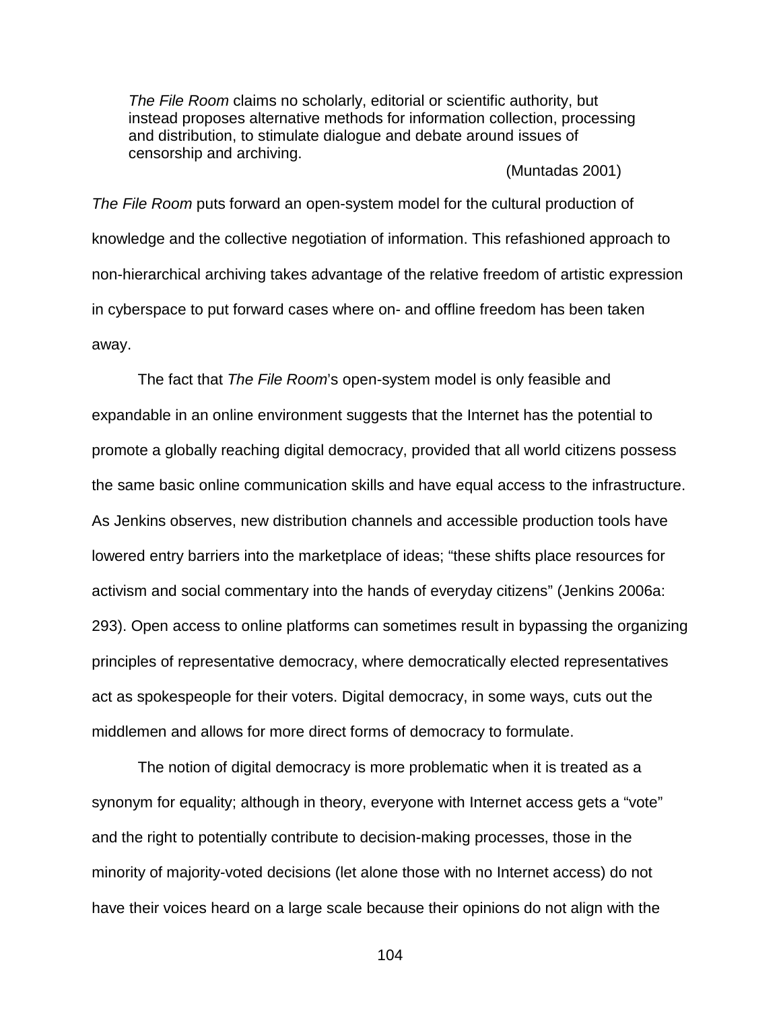*The File Room* claims no scholarly, editorial or scientific authority, but instead proposes alternative methods for information collection, processing and distribution, to stimulate dialogue and debate around issues of censorship and archiving.

(Muntadas 2001)

*The File Room* puts forward an open-system model for the cultural production of knowledge and the collective negotiation of information. This refashioned approach to non-hierarchical archiving takes advantage of the relative freedom of artistic expression in cyberspace to put forward cases where on- and offline freedom has been taken away.

The fact that *The File Room*'s open-system model is only feasible and expandable in an online environment suggests that the Internet has the potential to promote a globally reaching digital democracy, provided that all world citizens possess the same basic online communication skills and have equal access to the infrastructure. As Jenkins observes, new distribution channels and accessible production tools have lowered entry barriers into the marketplace of ideas; "these shifts place resources for activism and social commentary into the hands of everyday citizens" (Jenkins 2006a: 293). Open access to online platforms can sometimes result in bypassing the organizing principles of representative democracy, where democratically elected representatives act as spokespeople for their voters. Digital democracy, in some ways, cuts out the middlemen and allows for more direct forms of democracy to formulate.

The notion of digital democracy is more problematic when it is treated as a synonym for equality; although in theory, everyone with Internet access gets a "vote" and the right to potentially contribute to decision-making processes, those in the minority of majority-voted decisions (let alone those with no Internet access) do not have their voices heard on a large scale because their opinions do not align with the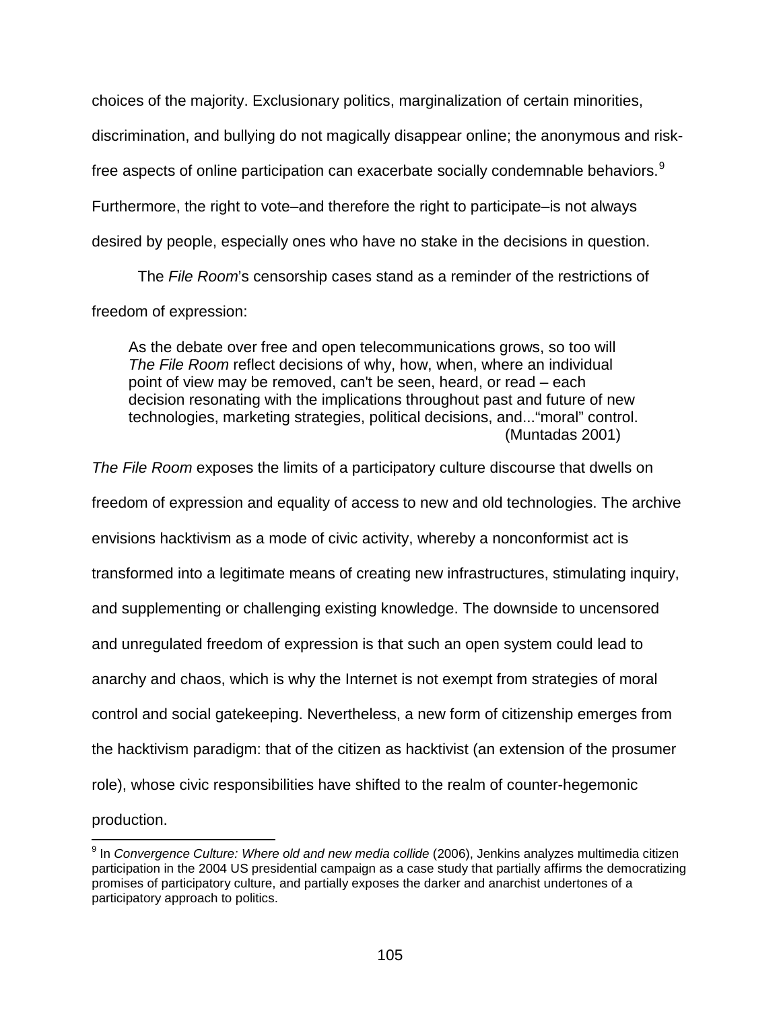choices of the majority. Exclusionary politics, marginalization of certain minorities, discrimination, and bullying do not magically disappear online; the anonymous and risk-free aspects of online participation can exacerbate socially condemnable behaviors.<sup>[9](#page-104-0)</sup> Furthermore, the right to vote–and therefore the right to participate–is not always desired by people, especially ones who have no stake in the decisions in question.

The *File Room*'s censorship cases stand as a reminder of the restrictions of freedom of expression:

As the debate over free and open telecommunications grows, so too will *The File Room* reflect decisions of why, how, when, where an individual point of view may be removed, can't be seen, heard, or read – each decision resonating with the implications throughout past and future of new technologies, marketing strategies, political decisions, and..."moral" control. (Muntadas 2001)

*The File Room* exposes the limits of a participatory culture discourse that dwells on freedom of expression and equality of access to new and old technologies. The archive envisions hacktivism as a mode of civic activity, whereby a nonconformist act is transformed into a legitimate means of creating new infrastructures, stimulating inquiry, and supplementing or challenging existing knowledge. The downside to uncensored and unregulated freedom of expression is that such an open system could lead to anarchy and chaos, which is why the Internet is not exempt from strategies of moral control and social gatekeeping. Nevertheless, a new form of citizenship emerges from the hacktivism paradigm: that of the citizen as hacktivist (an extension of the prosumer role), whose civic responsibilities have shifted to the realm of counter-hegemonic production.

<span id="page-104-0"></span> <sup>9</sup> In *Convergence Culture: Where old and new media collide* (2006), Jenkins analyzes multimedia citizen participation in the 2004 US presidential campaign as a case study that partially affirms the democratizing promises of participatory culture, and partially exposes the darker and anarchist undertones of a participatory approach to politics.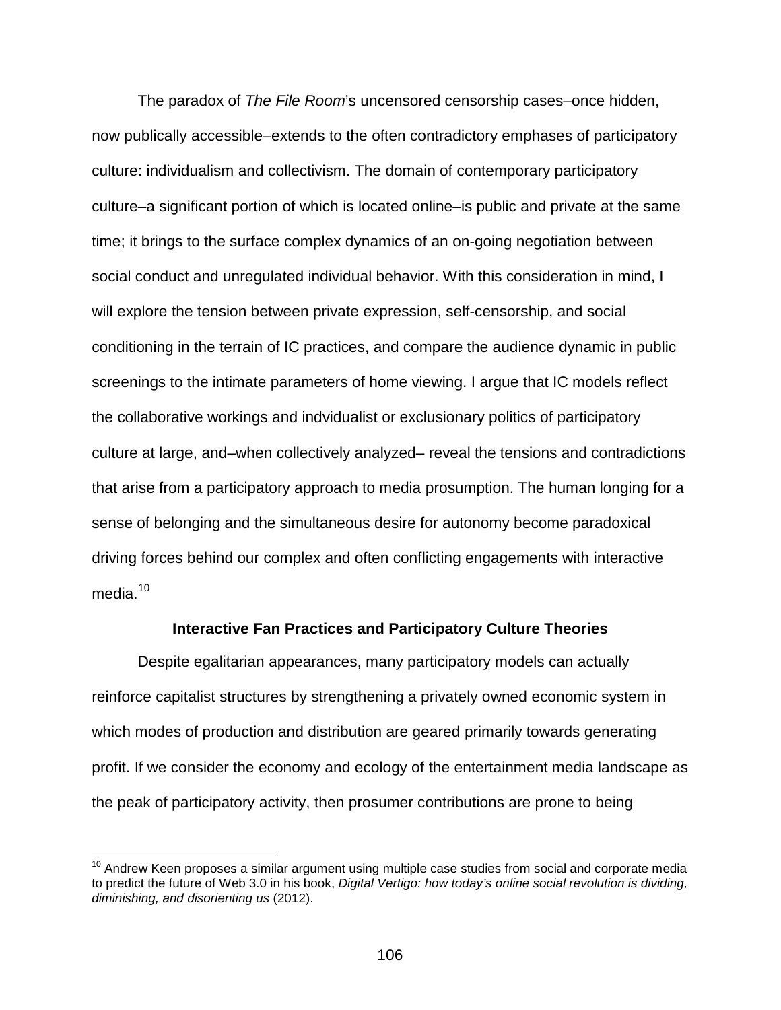The paradox of *The File Room*'s uncensored censorship cases–once hidden, now publically accessible–extends to the often contradictory emphases of participatory culture: individualism and collectivism. The domain of contemporary participatory culture–a significant portion of which is located online–is public and private at the same time; it brings to the surface complex dynamics of an on-going negotiation between social conduct and unregulated individual behavior. With this consideration in mind, I will explore the tension between private expression, self-censorship, and social conditioning in the terrain of IC practices, and compare the audience dynamic in public screenings to the intimate parameters of home viewing. I argue that IC models reflect the collaborative workings and indvidualist or exclusionary politics of participatory culture at large, and–when collectively analyzed– reveal the tensions and contradictions that arise from a participatory approach to media prosumption. The human longing for a sense of belonging and the simultaneous desire for autonomy become paradoxical driving forces behind our complex and often conflicting engagements with interactive media $10$ 

## **Interactive Fan Practices and Participatory Culture Theories**

Despite egalitarian appearances, many participatory models can actually reinforce capitalist structures by strengthening a privately owned economic system in which modes of production and distribution are geared primarily towards generating profit. If we consider the economy and ecology of the entertainment media landscape as the peak of participatory activity, then prosumer contributions are prone to being

<span id="page-105-0"></span> $10$  Andrew Keen proposes a similar argument using multiple case studies from social and corporate media to predict the future of Web 3.0 in his book, *Digital Vertigo: how today's online social revolution is dividing, diminishing, and disorienting us* (2012).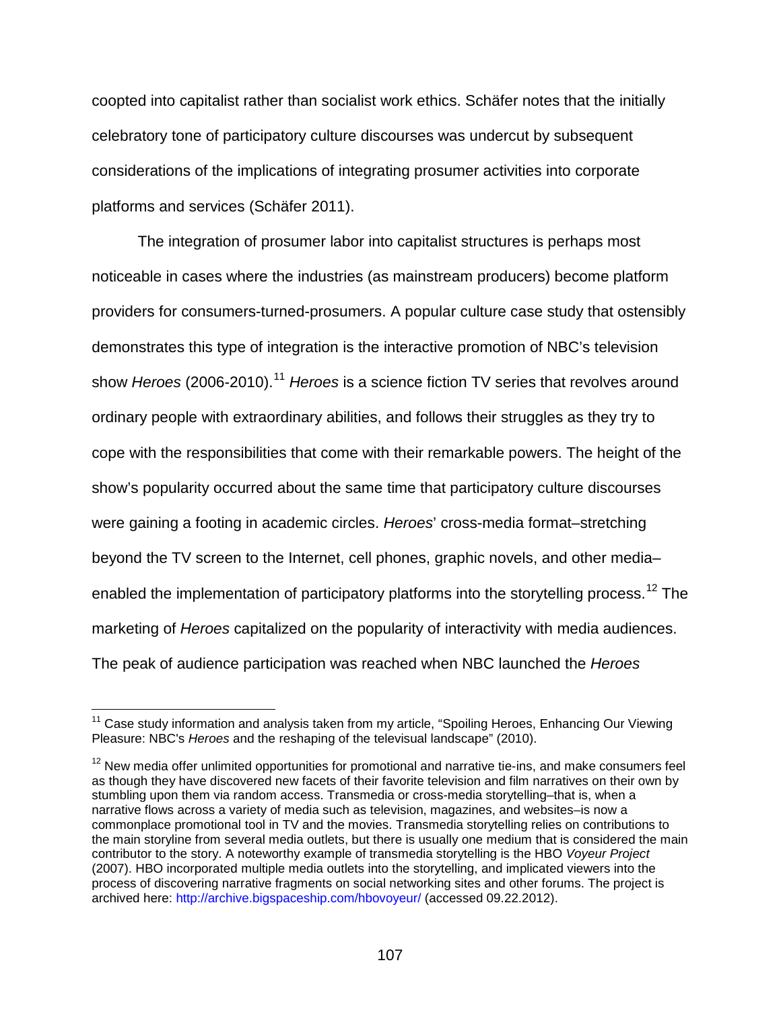coopted into capitalist rather than socialist work ethics. Schäfer notes that the initially celebratory tone of participatory culture discourses was undercut by subsequent considerations of the implications of integrating prosumer activities into corporate platforms and services (Schäfer 2011).

The integration of prosumer labor into capitalist structures is perhaps most noticeable in cases where the industries (as mainstream producers) become platform providers for consumers-turned-prosumers. A popular culture case study that ostensibly demonstrates this type of integration is the interactive promotion of NBC's television show *Heroes* (2006-2010).<sup>[11](#page-106-0)</sup> *Heroes* is a science fiction TV series that revolves around ordinary people with extraordinary abilities, and follows their struggles as they try to cope with the responsibilities that come with their remarkable powers. The height of the show's popularity occurred about the same time that participatory culture discourses were gaining a footing in academic circles. *Heroes*' cross-media format–stretching beyond the TV screen to the Internet, cell phones, graphic novels, and other media– enabled the implementation of participatory platforms into the storytelling process.<sup>[12](#page-106-1)</sup> The marketing of *Heroes* capitalized on the popularity of interactivity with media audiences. The peak of audience participation was reached when NBC launched the *Heroes* 

<span id="page-106-0"></span><sup>&</sup>lt;sup>11</sup> Case study information and analysis taken from my article, "Spoiling Heroes, Enhancing Our Viewing Pleasure: NBC's *Heroes* and the reshaping of the televisual landscape" (2010).

<span id="page-106-1"></span> $12$  New media offer unlimited opportunities for promotional and narrative tie-ins, and make consumers feel as though they have discovered new facets of their favorite television and film narratives on their own by stumbling upon them via random access. Transmedia or cross-media storytelling–that is, when a narrative flows across a variety of media such as television, magazines, and websites–is now a commonplace promotional tool in TV and the movies. Transmedia storytelling relies on contributions to the main storyline from several media outlets, but there is usually one medium that is considered the main contributor to the story. A noteworthy example of transmedia storytelling is the HBO *Voyeur Project*  (2007). HBO incorporated multiple media outlets into the storytelling, and implicated viewers into the process of discovering narrative fragments on social networking sites and other forums. The project is archived here:<http://archive.bigspaceship.com/hbovoyeur/> (accessed 09.22.2012).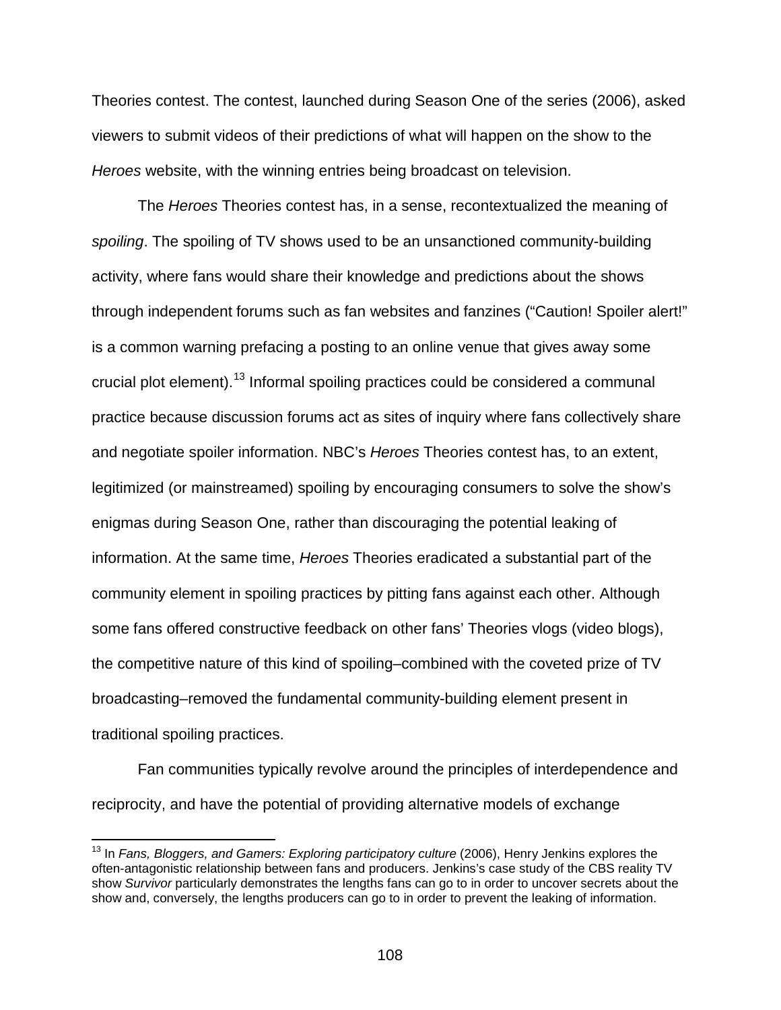Theories contest. The contest, launched during Season One of the series (2006), asked viewers to submit videos of their predictions of what will happen on the show to the *Heroes* website, with the winning entries being broadcast on television.

The *Heroes* Theories contest has, in a sense, recontextualized the meaning of *spoiling*. The spoiling of TV shows used to be an unsanctioned community-building activity, where fans would share their knowledge and predictions about the shows through independent forums such as fan websites and fanzines ("Caution! Spoiler alert!" is a common warning prefacing a posting to an online venue that gives away some crucial plot element).[13](#page-107-0) Informal spoiling practices could be considered a communal practice because discussion forums act as sites of inquiry where fans collectively share and negotiate spoiler information. NBC's *Heroes* Theories contest has, to an extent, legitimized (or mainstreamed) spoiling by encouraging consumers to solve the show's enigmas during Season One, rather than discouraging the potential leaking of information. At the same time, *Heroes* Theories eradicated a substantial part of the community element in spoiling practices by pitting fans against each other. Although some fans offered constructive feedback on other fans' Theories vlogs (video blogs), the competitive nature of this kind of spoiling–combined with the coveted prize of TV broadcasting–removed the fundamental community-building element present in traditional spoiling practices.

Fan communities typically revolve around the principles of interdependence and reciprocity, and have the potential of providing alternative models of exchange

<span id="page-107-0"></span><sup>&</sup>lt;sup>13</sup> In *Fans, Bloggers, and Gamers: Exploring participatory culture* (2006), Henry Jenkins explores the often-antagonistic relationship between fans and producers. Jenkins's case study of the CBS reality TV show *Survivor* particularly demonstrates the lengths fans can go to in order to uncover secrets about the show and, conversely, the lengths producers can go to in order to prevent the leaking of information.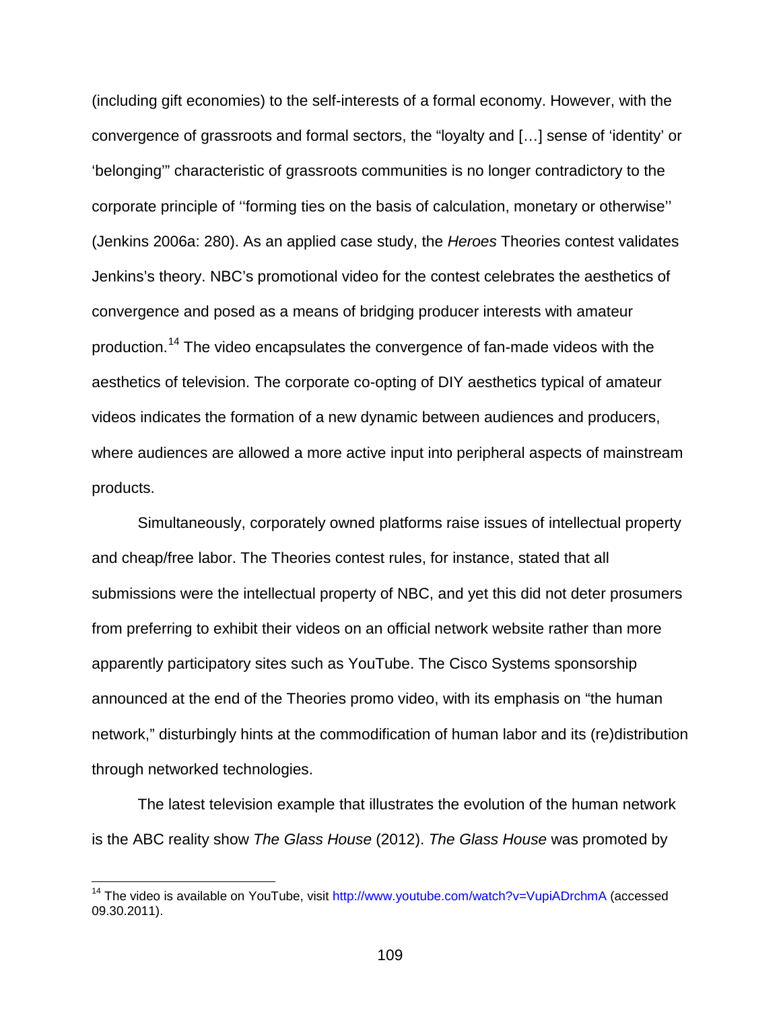(including gift economies) to the self-interests of a formal economy. However, with the convergence of grassroots and formal sectors, the "loyalty and […] sense of 'identity' or 'belonging'" characteristic of grassroots communities is no longer contradictory to the corporate principle of ''forming ties on the basis of calculation, monetary or otherwise'' (Jenkins 2006a: 280). As an applied case study, the *Heroes* Theories contest validates Jenkins's theory. NBC's promotional video for the contest celebrates the aesthetics of convergence and posed as a means of bridging producer interests with amateur production.[14](#page-108-0) The video encapsulates the convergence of fan-made videos with the aesthetics of television. The corporate co-opting of DIY aesthetics typical of amateur videos indicates the formation of a new dynamic between audiences and producers, where audiences are allowed a more active input into peripheral aspects of mainstream products.

Simultaneously, corporately owned platforms raise issues of intellectual property and cheap/free labor. The Theories contest rules, for instance, stated that all submissions were the intellectual property of NBC, and yet this did not deter prosumers from preferring to exhibit their videos on an official network website rather than more apparently participatory sites such as YouTube. The Cisco Systems sponsorship announced at the end of the Theories promo video, with its emphasis on "the human network," disturbingly hints at the commodification of human labor and its (re)distribution through networked technologies.

The latest television example that illustrates the evolution of the human network is the ABC reality show *The Glass House* (2012). *The Glass House* was promoted by

<span id="page-108-0"></span><sup>&</sup>lt;sup>14</sup> The video is available on YouTube, visit <http://www.youtube.com/watch?v=VupiADrchmA> (accessed 09.30.2011).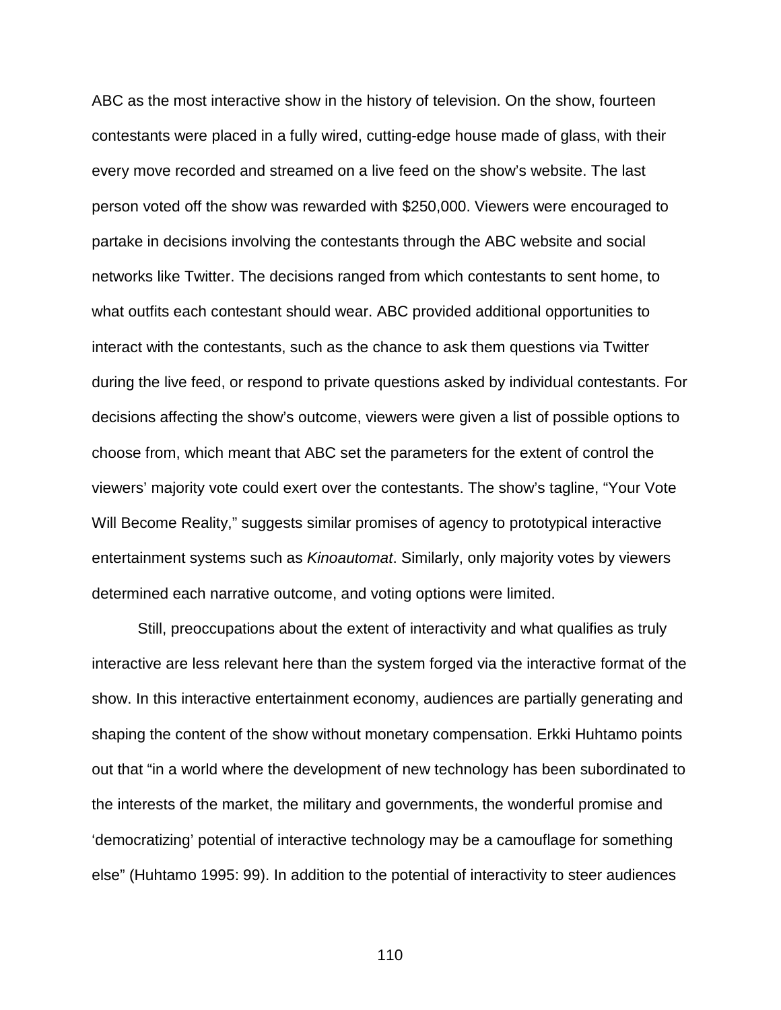ABC as the most interactive show in the history of television. On the show, fourteen contestants were placed in a fully wired, cutting-edge house made of glass, with their every move recorded and streamed on a live feed on the show's website. The last person voted off the show was rewarded with \$250,000. Viewers were encouraged to partake in decisions involving the contestants through the ABC website and social networks like Twitter. The decisions ranged from which contestants to sent home, to what outfits each contestant should wear. ABC provided additional opportunities to interact with the contestants, such as the chance to ask them questions via Twitter during the live feed, or respond to private questions asked by individual contestants. For decisions affecting the show's outcome, viewers were given a list of possible options to choose from, which meant that ABC set the parameters for the extent of control the viewers' majority vote could exert over the contestants. The show's tagline, "Your Vote Will Become Reality," suggests similar promises of agency to prototypical interactive entertainment systems such as *Kinoautomat*. Similarly, only majority votes by viewers determined each narrative outcome, and voting options were limited.

Still, preoccupations about the extent of interactivity and what qualifies as truly interactive are less relevant here than the system forged via the interactive format of the show. In this interactive entertainment economy, audiences are partially generating and shaping the content of the show without monetary compensation. Erkki Huhtamo points out that "in a world where the development of new technology has been subordinated to the interests of the market, the military and governments, the wonderful promise and 'democratizing' potential of interactive technology may be a camouflage for something else" (Huhtamo 1995: 99). In addition to the potential of interactivity to steer audiences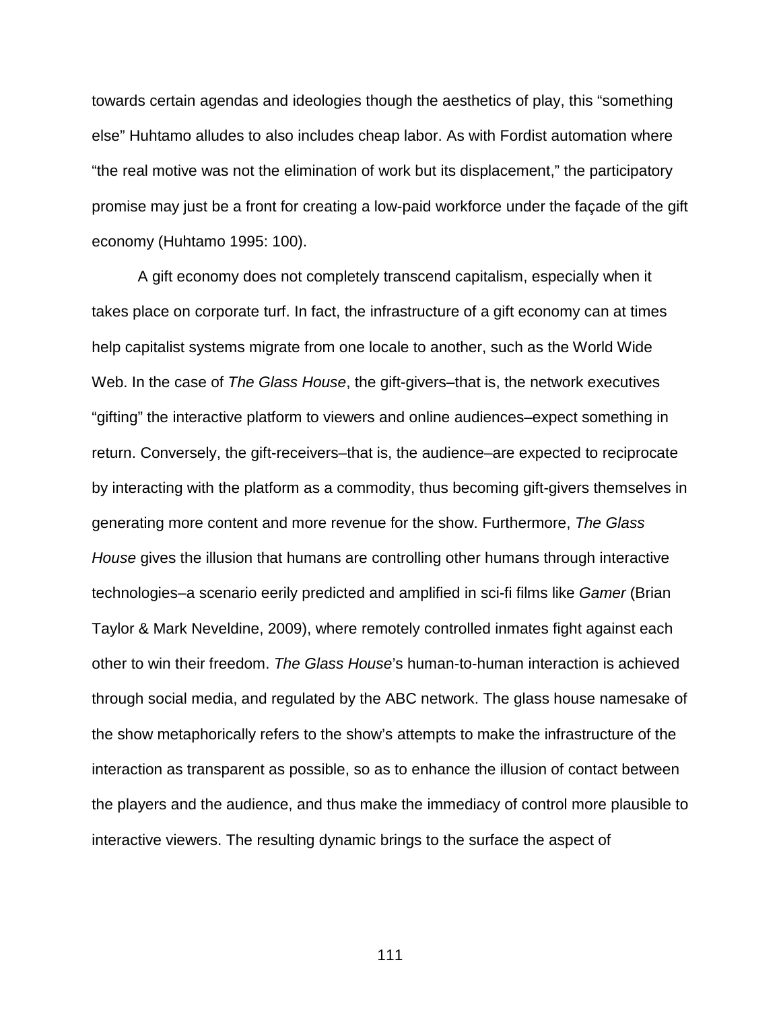towards certain agendas and ideologies though the aesthetics of play, this "something else" Huhtamo alludes to also includes cheap labor. As with Fordist automation where "the real motive was not the elimination of work but its displacement," the participatory promise may just be a front for creating a low-paid workforce under the façade of the gift economy (Huhtamo 1995: 100).

A gift economy does not completely transcend capitalism, especially when it takes place on corporate turf. In fact, the infrastructure of a gift economy can at times help capitalist systems migrate from one locale to another, such as the World Wide Web. In the case of *The Glass House*, the gift-givers–that is, the network executives "gifting" the interactive platform to viewers and online audiences–expect something in return. Conversely, the gift-receivers–that is, the audience–are expected to reciprocate by interacting with the platform as a commodity, thus becoming gift-givers themselves in generating more content and more revenue for the show. Furthermore, *The Glass House* gives the illusion that humans are controlling other humans through interactive technologies–a scenario eerily predicted and amplified in sci-fi films like *Gamer* (Brian Taylor & Mark Neveldine, 2009), where remotely controlled inmates fight against each other to win their freedom. *The Glass House*'s human-to-human interaction is achieved through social media, and regulated by the ABC network. The glass house namesake of the show metaphorically refers to the show's attempts to make the infrastructure of the interaction as transparent as possible, so as to enhance the illusion of contact between the players and the audience, and thus make the immediacy of control more plausible to interactive viewers. The resulting dynamic brings to the surface the aspect of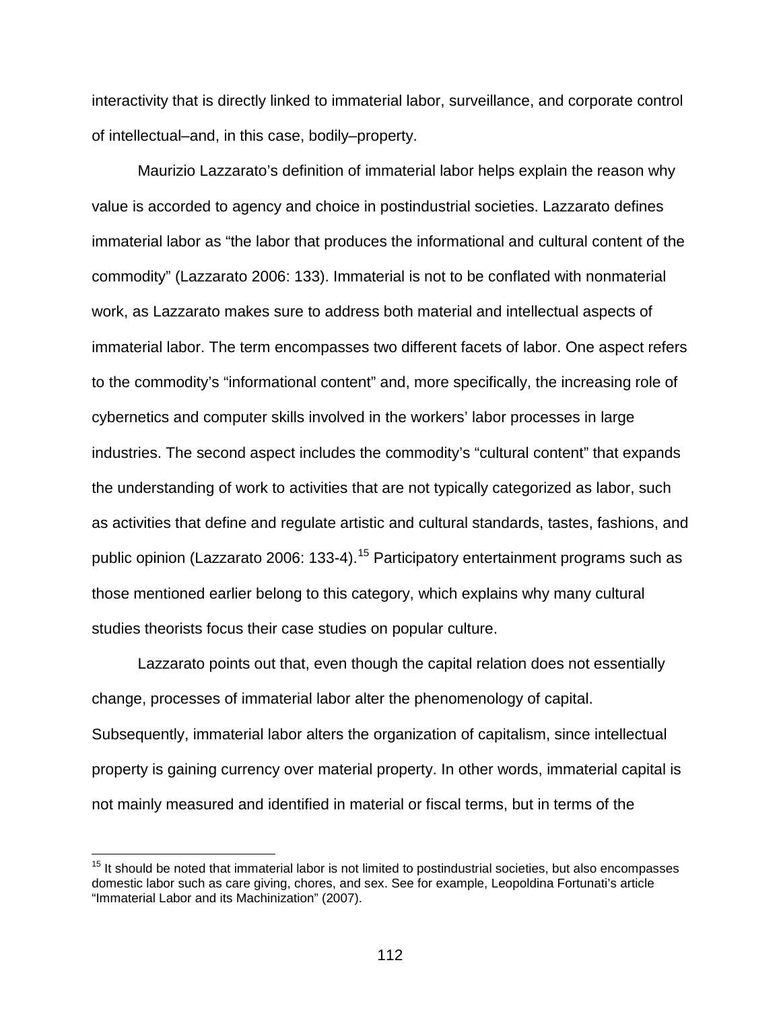interactivity that is directly linked to immaterial labor, surveillance, and corporate control of intellectual–and, in this case, bodily–property.

Maurizio Lazzarato's definition of immaterial labor helps explain the reason why value is accorded to agency and choice in postindustrial societies. Lazzarato defines immaterial labor as "the labor that produces the informational and cultural content of the commodity" (Lazzarato 2006: 133). Immaterial is not to be conflated with nonmaterial work, as Lazzarato makes sure to address both material and intellectual aspects of immaterial labor. The term encompasses two different facets of labor. One aspect refers to the commodity's "informational content" and, more specifically, the increasing role of cybernetics and computer skills involved in the workers' labor processes in large industries. The second aspect includes the commodity's "cultural content" that expands the understanding of work to activities that are not typically categorized as labor, such as activities that define and regulate artistic and cultural standards, tastes, fashions, and public opinion (Lazzarato 2006: 133-4).<sup>[15](#page-111-0)</sup> Participatory entertainment programs such as those mentioned earlier belong to this category, which explains why many cultural studies theorists focus their case studies on popular culture.

Lazzarato points out that, even though the capital relation does not essentially change, processes of immaterial labor alter the phenomenology of capital. Subsequently, immaterial labor alters the organization of capitalism, since intellectual property is gaining currency over material property. In other words, immaterial capital is not mainly measured and identified in material or fiscal terms, but in terms of the

<span id="page-111-0"></span> $15$  It should be noted that immaterial labor is not limited to postindustrial societies, but also encompasses domestic labor such as care giving, chores, and sex. See for example, Leopoldina Fortunati's article "Immaterial Labor and its Machinization" (2007).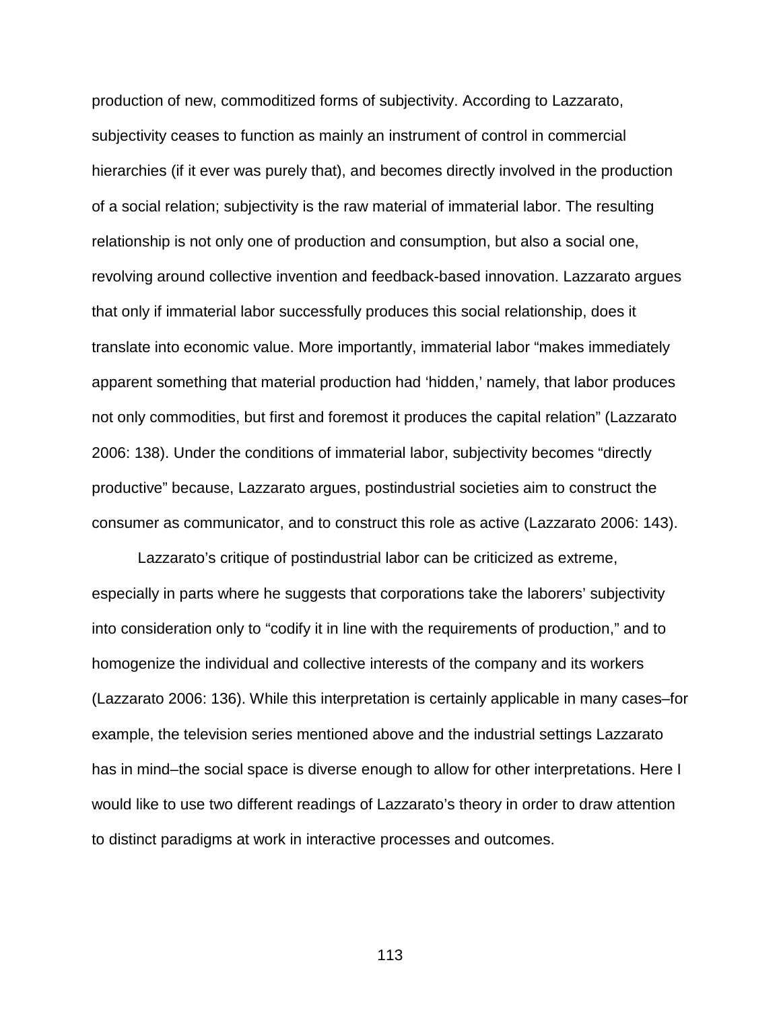production of new, commoditized forms of subjectivity. According to Lazzarato, subjectivity ceases to function as mainly an instrument of control in commercial hierarchies (if it ever was purely that), and becomes directly involved in the production of a social relation; subjectivity is the raw material of immaterial labor. The resulting relationship is not only one of production and consumption, but also a social one, revolving around collective invention and feedback-based innovation. Lazzarato argues that only if immaterial labor successfully produces this social relationship, does it translate into economic value. More importantly, immaterial labor "makes immediately apparent something that material production had 'hidden,' namely, that labor produces not only commodities, but first and foremost it produces the capital relation" (Lazzarato 2006: 138). Under the conditions of immaterial labor, subjectivity becomes "directly productive" because, Lazzarato argues, postindustrial societies aim to construct the consumer as communicator, and to construct this role as active (Lazzarato 2006: 143).

Lazzarato's critique of postindustrial labor can be criticized as extreme, especially in parts where he suggests that corporations take the laborers' subjectivity into consideration only to "codify it in line with the requirements of production," and to homogenize the individual and collective interests of the company and its workers (Lazzarato 2006: 136). While this interpretation is certainly applicable in many cases–for example, the television series mentioned above and the industrial settings Lazzarato has in mind–the social space is diverse enough to allow for other interpretations. Here I would like to use two different readings of Lazzarato's theory in order to draw attention to distinct paradigms at work in interactive processes and outcomes.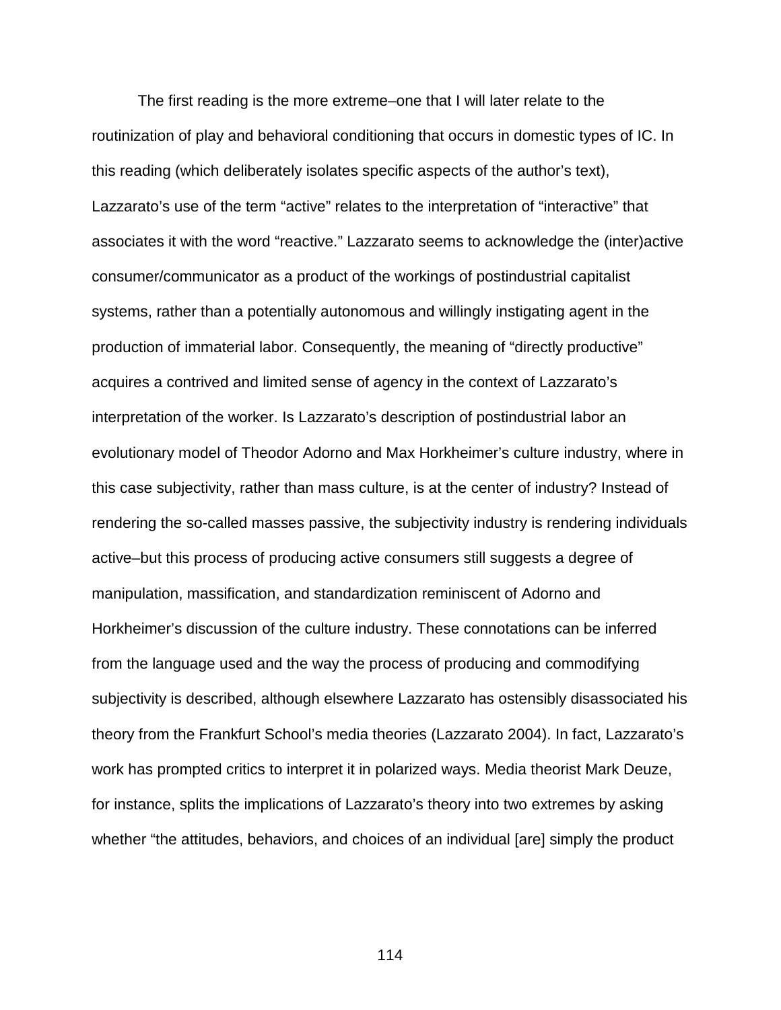The first reading is the more extreme–one that I will later relate to the routinization of play and behavioral conditioning that occurs in domestic types of IC. In this reading (which deliberately isolates specific aspects of the author's text), Lazzarato's use of the term "active" relates to the interpretation of "interactive" that associates it with the word "reactive." Lazzarato seems to acknowledge the (inter)active consumer/communicator as a product of the workings of postindustrial capitalist systems, rather than a potentially autonomous and willingly instigating agent in the production of immaterial labor. Consequently, the meaning of "directly productive" acquires a contrived and limited sense of agency in the context of Lazzarato's interpretation of the worker. Is Lazzarato's description of postindustrial labor an evolutionary model of Theodor Adorno and Max Horkheimer's culture industry, where in this case subjectivity, rather than mass culture, is at the center of industry? Instead of rendering the so-called masses passive, the subjectivity industry is rendering individuals active–but this process of producing active consumers still suggests a degree of manipulation, massification, and standardization reminiscent of Adorno and Horkheimer's discussion of the culture industry. These connotations can be inferred from the language used and the way the process of producing and commodifying subjectivity is described, although elsewhere Lazzarato has ostensibly disassociated his theory from the Frankfurt School's media theories (Lazzarato 2004). In fact, Lazzarato's work has prompted critics to interpret it in polarized ways. Media theorist Mark Deuze, for instance, splits the implications of Lazzarato's theory into two extremes by asking whether "the attitudes, behaviors, and choices of an individual [are] simply the product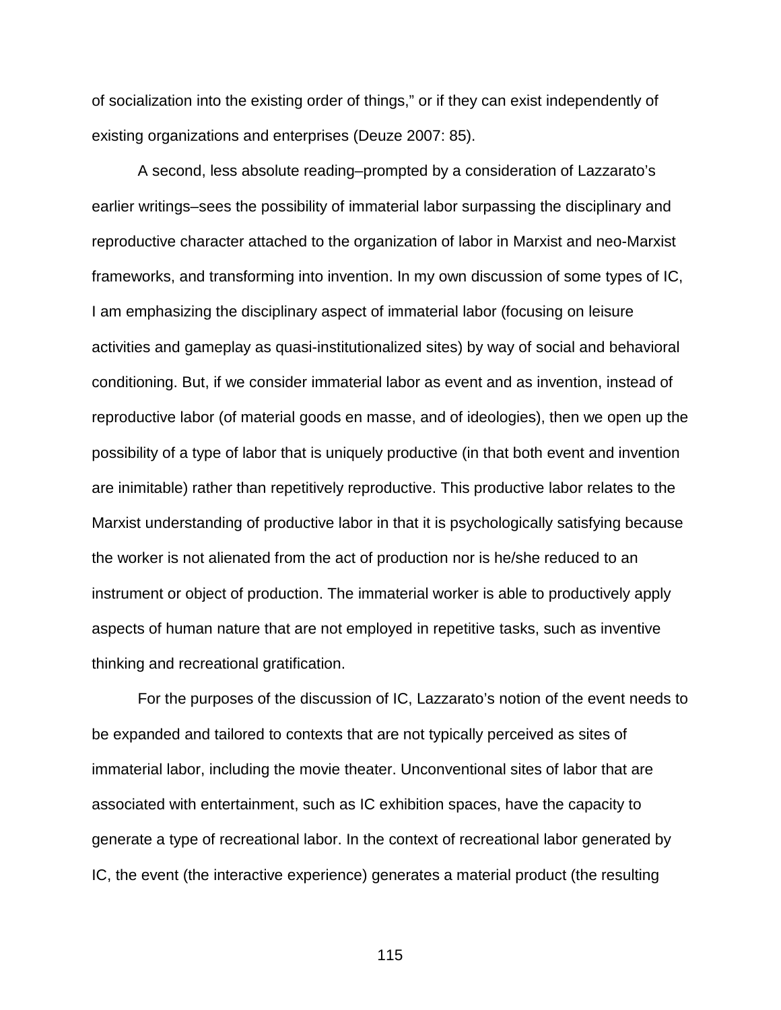of socialization into the existing order of things," or if they can exist independently of existing organizations and enterprises (Deuze 2007: 85).

A second, less absolute reading–prompted by a consideration of Lazzarato's earlier writings–sees the possibility of immaterial labor surpassing the disciplinary and reproductive character attached to the organization of labor in Marxist and neo-Marxist frameworks, and transforming into invention. In my own discussion of some types of IC, I am emphasizing the disciplinary aspect of immaterial labor (focusing on leisure activities and gameplay as quasi-institutionalized sites) by way of social and behavioral conditioning. But, if we consider immaterial labor as event and as invention, instead of reproductive labor (of material goods en masse, and of ideologies), then we open up the possibility of a type of labor that is uniquely productive (in that both event and invention are inimitable) rather than repetitively reproductive. This productive labor relates to the Marxist understanding of productive labor in that it is psychologically satisfying because the worker is not alienated from the act of production nor is he/she reduced to an instrument or object of production. The immaterial worker is able to productively apply aspects of human nature that are not employed in repetitive tasks, such as inventive thinking and recreational gratification.

For the purposes of the discussion of IC, Lazzarato's notion of the event needs to be expanded and tailored to contexts that are not typically perceived as sites of immaterial labor, including the movie theater. Unconventional sites of labor that are associated with entertainment, such as IC exhibition spaces, have the capacity to generate a type of recreational labor. In the context of recreational labor generated by IC, the event (the interactive experience) generates a material product (the resulting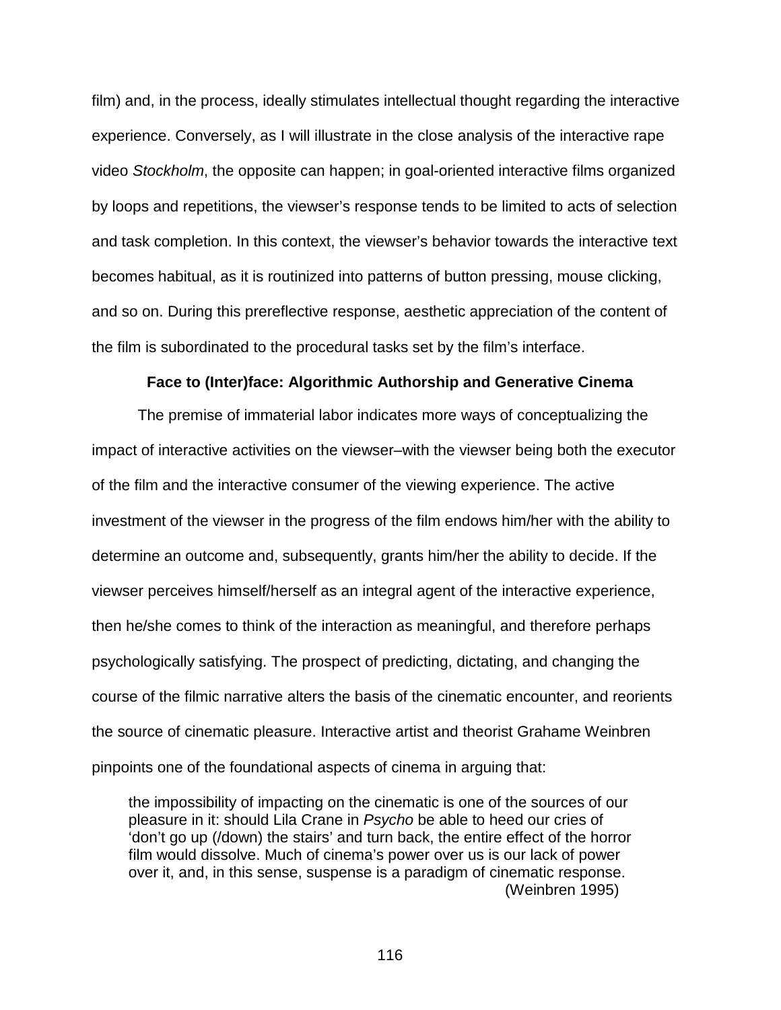film) and, in the process, ideally stimulates intellectual thought regarding the interactive experience. Conversely, as I will illustrate in the close analysis of the interactive rape video *Stockholm*, the opposite can happen; in goal-oriented interactive films organized by loops and repetitions, the viewser's response tends to be limited to acts of selection and task completion. In this context, the viewser's behavior towards the interactive text becomes habitual, as it is routinized into patterns of button pressing, mouse clicking, and so on. During this prereflective response, aesthetic appreciation of the content of the film is subordinated to the procedural tasks set by the film's interface.

## **Face to (Inter)face: Algorithmic Authorship and Generative Cinema**

The premise of immaterial labor indicates more ways of conceptualizing the impact of interactive activities on the viewser–with the viewser being both the executor of the film and the interactive consumer of the viewing experience. The active investment of the viewser in the progress of the film endows him/her with the ability to determine an outcome and, subsequently, grants him/her the ability to decide. If the viewser perceives himself/herself as an integral agent of the interactive experience, then he/she comes to think of the interaction as meaningful, and therefore perhaps psychologically satisfying. The prospect of predicting, dictating, and changing the course of the filmic narrative alters the basis of the cinematic encounter, and reorients the source of cinematic pleasure. Interactive artist and theorist Grahame Weinbren pinpoints one of the foundational aspects of cinema in arguing that:

the impossibility of impacting on the cinematic is one of the sources of our pleasure in it: should Lila Crane in *Psycho* be able to heed our cries of 'don't go up (/down) the stairs' and turn back, the entire effect of the horror film would dissolve. Much of cinema's power over us is our lack of power over it, and, in this sense, suspense is a paradigm of cinematic response. (Weinbren 1995)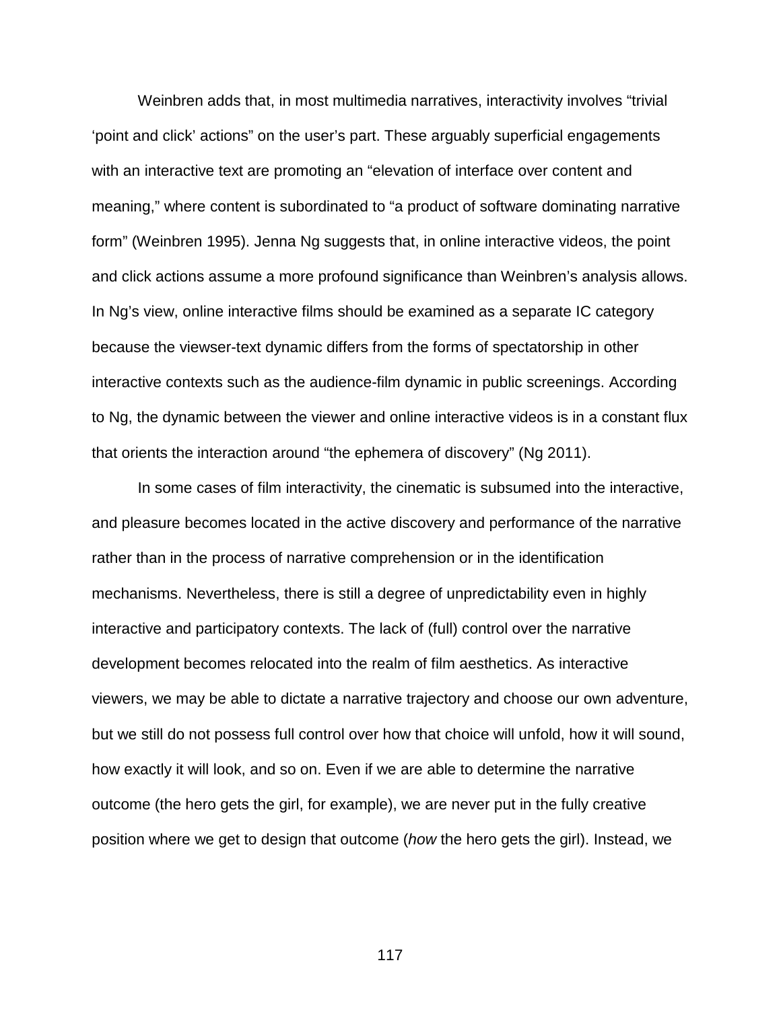Weinbren adds that, in most multimedia narratives, interactivity involves "trivial 'point and click' actions" on the user's part. These arguably superficial engagements with an interactive text are promoting an "elevation of interface over content and meaning," where content is subordinated to "a product of software dominating narrative form" (Weinbren 1995). Jenna Ng suggests that, in online interactive videos, the point and click actions assume a more profound significance than Weinbren's analysis allows. In Ng's view, online interactive films should be examined as a separate IC category because the viewser-text dynamic differs from the forms of spectatorship in other interactive contexts such as the audience-film dynamic in public screenings. According to Ng, the dynamic between the viewer and online interactive videos is in a constant flux that orients the interaction around "the ephemera of discovery" (Ng 2011).

In some cases of film interactivity, the cinematic is subsumed into the interactive, and pleasure becomes located in the active discovery and performance of the narrative rather than in the process of narrative comprehension or in the identification mechanisms. Nevertheless, there is still a degree of unpredictability even in highly interactive and participatory contexts. The lack of (full) control over the narrative development becomes relocated into the realm of film aesthetics. As interactive viewers, we may be able to dictate a narrative trajectory and choose our own adventure, but we still do not possess full control over how that choice will unfold, how it will sound, how exactly it will look, and so on. Even if we are able to determine the narrative outcome (the hero gets the girl, for example), we are never put in the fully creative position where we get to design that outcome (*how* the hero gets the girl). Instead, we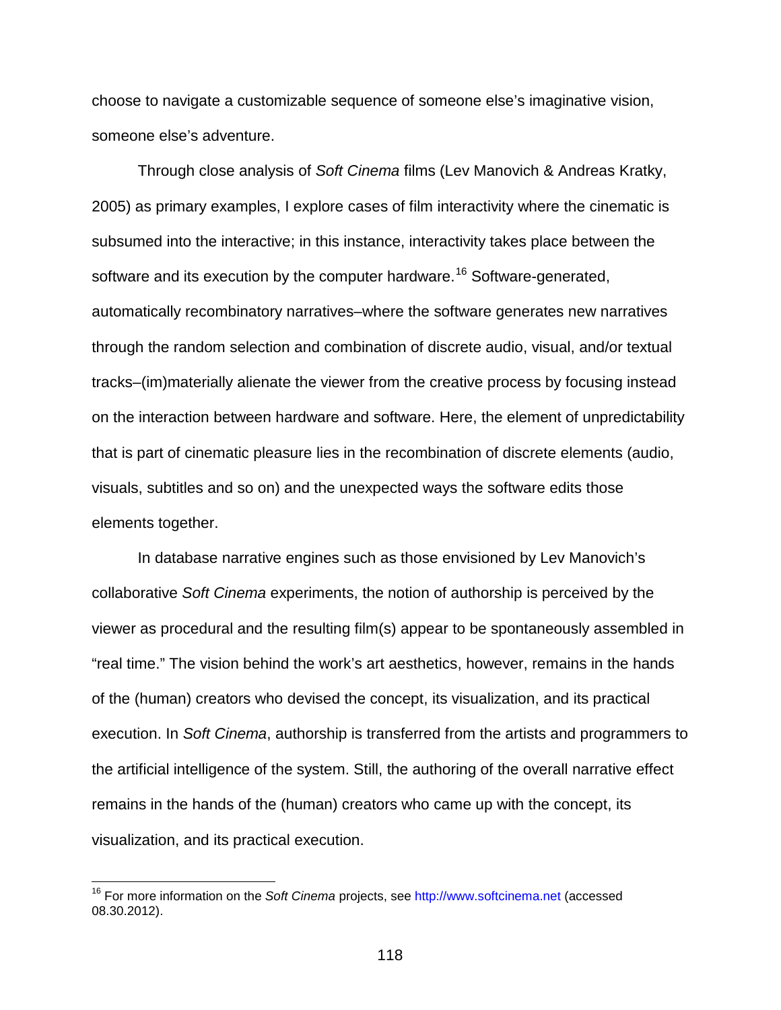choose to navigate a customizable sequence of someone else's imaginative vision, someone else's adventure.

Through close analysis of *Soft Cinema* films (Lev Manovich & Andreas Kratky, 2005) as primary examples, I explore cases of film interactivity where the cinematic is subsumed into the interactive; in this instance, interactivity takes place between the software and its execution by the computer hardware.<sup>[16](#page-117-0)</sup> Software-generated, automatically recombinatory narratives–where the software generates new narratives through the random selection and combination of discrete audio, visual, and/or textual tracks–(im)materially alienate the viewer from the creative process by focusing instead on the interaction between hardware and software. Here, the element of unpredictability that is part of cinematic pleasure lies in the recombination of discrete elements (audio, visuals, subtitles and so on) and the unexpected ways the software edits those elements together.

In database narrative engines such as those envisioned by Lev Manovich's collaborative *Soft Cinema* experiments, the notion of authorship is perceived by the viewer as procedural and the resulting film(s) appear to be spontaneously assembled in "real time." The vision behind the work's art aesthetics, however, remains in the hands of the (human) creators who devised the concept, its visualization, and its practical execution. In *Soft Cinema*, authorship is transferred from the artists and programmers to the artificial intelligence of the system. Still, the authoring of the overall narrative effect remains in the hands of the (human) creators who came up with the concept, its visualization, and its practical execution.

<span id="page-117-0"></span> <sup>16</sup> For more information on the *Soft Cinema* projects, see [http://www.softcinema.net](http://www.softcinema.net/) (accessed 08.30.2012).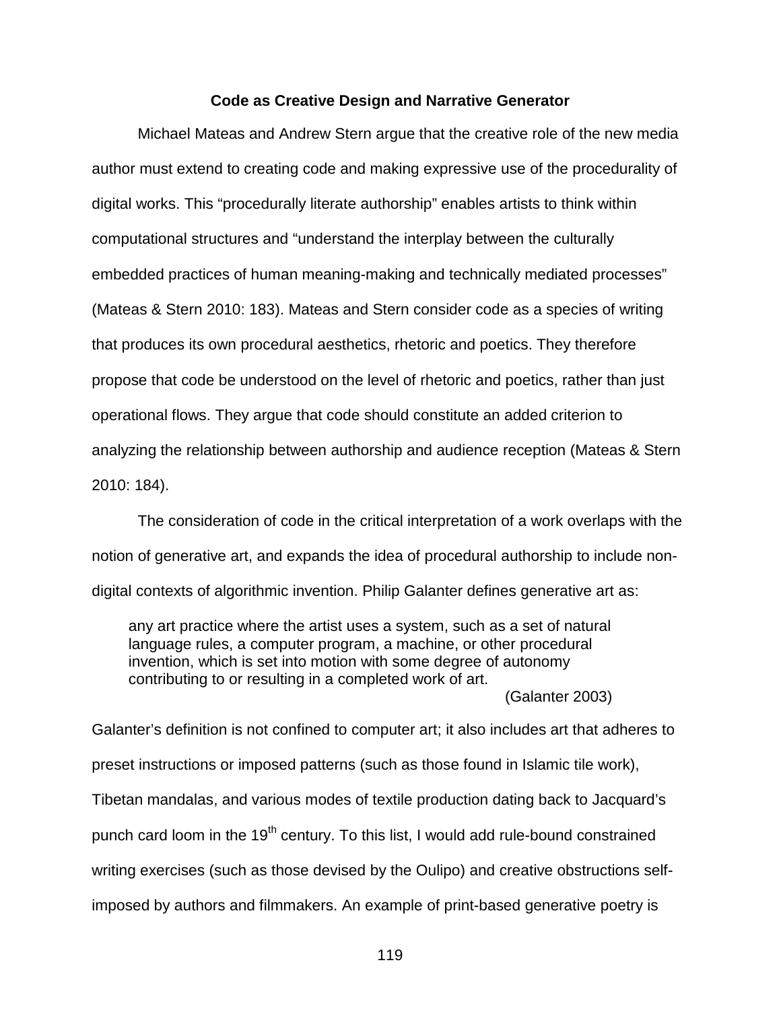#### **Code as Creative Design and Narrative Generator**

Michael Mateas and Andrew Stern argue that the creative role of the new media author must extend to creating code and making expressive use of the procedurality of digital works. This "procedurally literate authorship" enables artists to think within computational structures and "understand the interplay between the culturally embedded practices of human meaning-making and technically mediated processes" (Mateas & Stern 2010: 183). Mateas and Stern consider code as a species of writing that produces its own procedural aesthetics, rhetoric and poetics. They therefore propose that code be understood on the level of rhetoric and poetics, rather than just operational flows. They argue that code should constitute an added criterion to analyzing the relationship between authorship and audience reception (Mateas & Stern 2010: 184).

The consideration of code in the critical interpretation of a work overlaps with the notion of generative art, and expands the idea of procedural authorship to include nondigital contexts of algorithmic invention. Philip Galanter defines generative art as:

any art practice where the artist uses a system, such as a set of natural language rules, a computer program, a machine, or other procedural invention, which is set into motion with some degree of autonomy contributing to or resulting in a completed work of art.

(Galanter 2003)

Galanter's definition is not confined to computer art; it also includes art that adheres to preset instructions or imposed patterns (such as those found in Islamic tile work), Tibetan mandalas, and various modes of textile production dating back to Jacquard's punch card loom in the 19<sup>th</sup> century. To this list, I would add rule-bound constrained writing exercises (such as those devised by the Oulipo) and creative obstructions selfimposed by authors and filmmakers. An example of print-based generative poetry is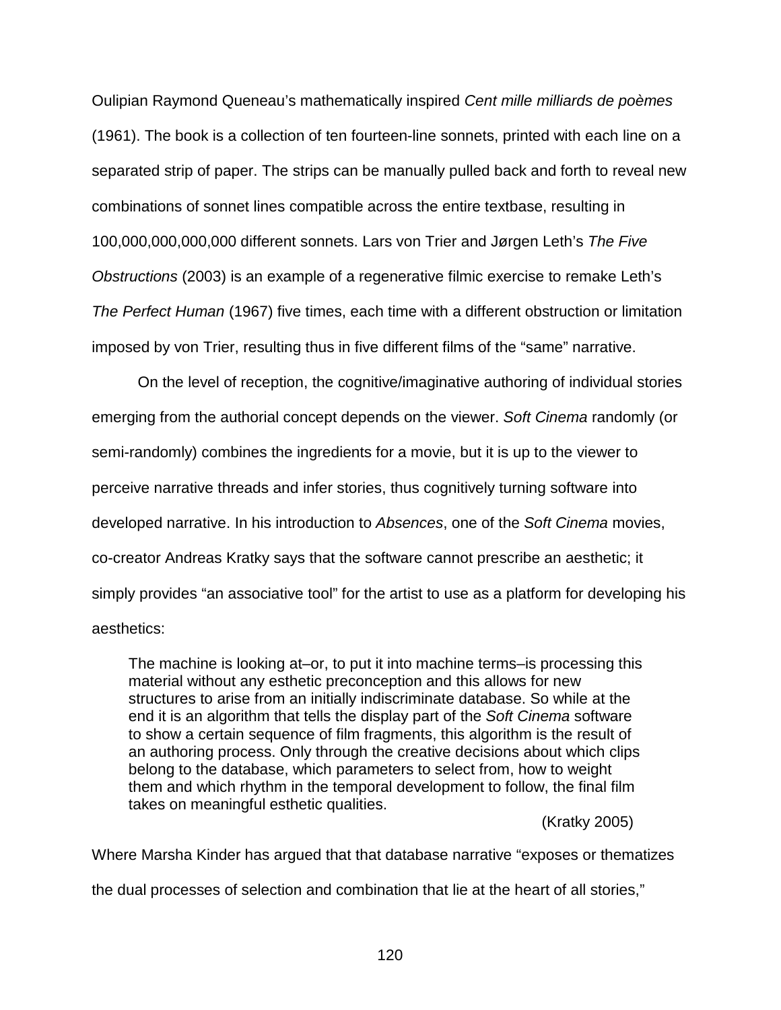Oulipian Raymond Queneau's mathematically inspired *Cent mille milliards de poèmes*  (1961). The book is a collection of ten fourteen-line sonnets, printed with each line on a separated strip of paper. The strips can be manually pulled back and forth to reveal new combinations of sonnet lines compatible across the entire textbase, resulting in 100,000,000,000,000 different sonnets. Lars von Trier and Jørgen Leth's *The Five Obstructions* (2003) is an example of a regenerative filmic exercise to remake Leth's *The Perfect Human* (1967) five times, each time with a different obstruction or limitation imposed by von Trier, resulting thus in five different films of the "same" narrative.

On the level of reception, the cognitive/imaginative authoring of individual stories emerging from the authorial concept depends on the viewer. *Soft Cinema* randomly (or semi-randomly) combines the ingredients for a movie, but it is up to the viewer to perceive narrative threads and infer stories, thus cognitively turning software into developed narrative. In his introduction to *Absences*, one of the *Soft Cinema* movies, co-creator Andreas Kratky says that the software cannot prescribe an aesthetic; it simply provides "an associative tool" for the artist to use as a platform for developing his aesthetics:

The machine is looking at–or, to put it into machine terms–is processing this material without any esthetic preconception and this allows for new structures to arise from an initially indiscriminate database. So while at the end it is an algorithm that tells the display part of the *Soft Cinema* software to show a certain sequence of film fragments, this algorithm is the result of an authoring process. Only through the creative decisions about which clips belong to the database, which parameters to select from, how to weight them and which rhythm in the temporal development to follow, the final film takes on meaningful esthetic qualities.

### (Kratky 2005)

Where Marsha Kinder has argued that that database narrative "exposes or thematizes the dual processes of selection and combination that lie at the heart of all stories,"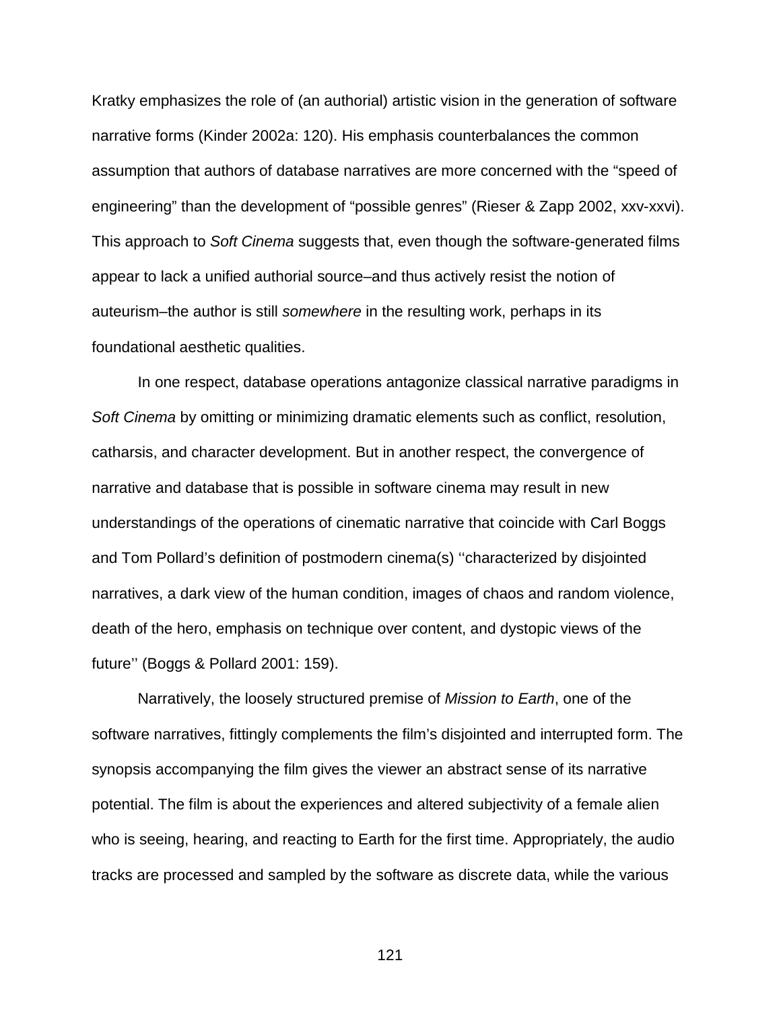Kratky emphasizes the role of (an authorial) artistic vision in the generation of software narrative forms (Kinder 2002a: 120). His emphasis counterbalances the common assumption that authors of database narratives are more concerned with the "speed of engineering" than the development of "possible genres" (Rieser & Zapp 2002, xxv-xxvi). This approach to *Soft Cinema* suggests that, even though the software-generated films appear to lack a unified authorial source–and thus actively resist the notion of auteurism–the author is still *somewhere* in the resulting work, perhaps in its foundational aesthetic qualities.

In one respect, database operations antagonize classical narrative paradigms in *Soft Cinema* by omitting or minimizing dramatic elements such as conflict, resolution, catharsis, and character development. But in another respect, the convergence of narrative and database that is possible in software cinema may result in new understandings of the operations of cinematic narrative that coincide with Carl Boggs and Tom Pollard's definition of postmodern cinema(s) ''characterized by disjointed narratives, a dark view of the human condition, images of chaos and random violence, death of the hero, emphasis on technique over content, and dystopic views of the future'' (Boggs & Pollard 2001: 159).

Narratively, the loosely structured premise of *Mission to Earth*, one of the software narratives, fittingly complements the film's disjointed and interrupted form. The synopsis accompanying the film gives the viewer an abstract sense of its narrative potential. The film is about the experiences and altered subjectivity of a female alien who is seeing, hearing, and reacting to Earth for the first time. Appropriately, the audio tracks are processed and sampled by the software as discrete data, while the various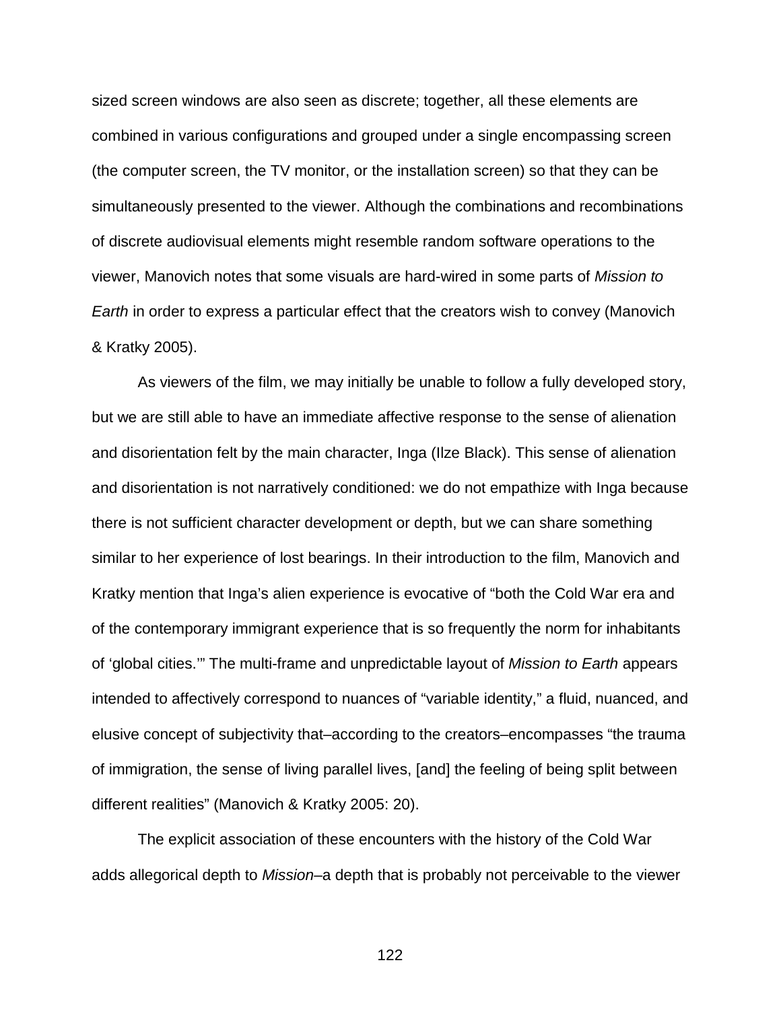sized screen windows are also seen as discrete; together, all these elements are combined in various configurations and grouped under a single encompassing screen (the computer screen, the TV monitor, or the installation screen) so that they can be simultaneously presented to the viewer. Although the combinations and recombinations of discrete audiovisual elements might resemble random software operations to the viewer, Manovich notes that some visuals are hard-wired in some parts of *Mission to Earth* in order to express a particular effect that the creators wish to convey (Manovich & Kratky 2005).

As viewers of the film, we may initially be unable to follow a fully developed story, but we are still able to have an immediate affective response to the sense of alienation and disorientation felt by the main character, Inga (Ilze Black). This sense of alienation and disorientation is not narratively conditioned: we do not empathize with Inga because there is not sufficient character development or depth, but we can share something similar to her experience of lost bearings. In their introduction to the film, Manovich and Kratky mention that Inga's alien experience is evocative of "both the Cold War era and of the contemporary immigrant experience that is so frequently the norm for inhabitants of 'global cities.'" The multi-frame and unpredictable layout of *Mission to Earth* appears intended to affectively correspond to nuances of "variable identity," a fluid, nuanced, and elusive concept of subjectivity that–according to the creators–encompasses "the trauma of immigration, the sense of living parallel lives, [and] the feeling of being split between different realities" (Manovich & Kratky 2005: 20).

The explicit association of these encounters with the history of the Cold War adds allegorical depth to *Mission*–a depth that is probably not perceivable to the viewer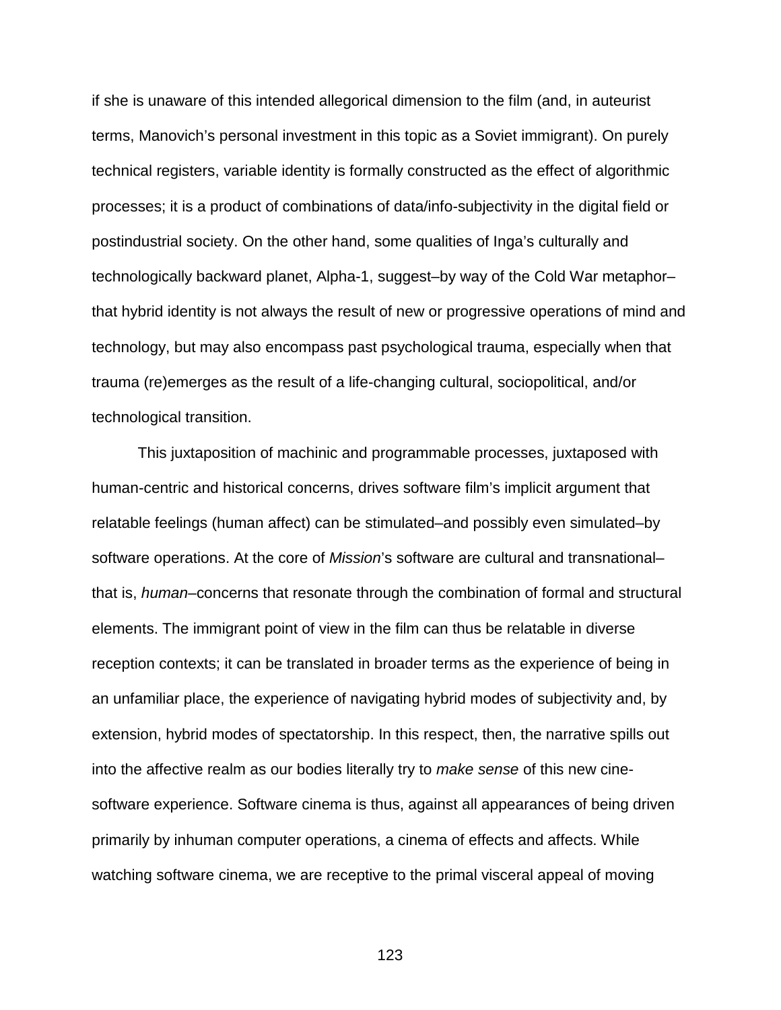if she is unaware of this intended allegorical dimension to the film (and, in auteurist terms, Manovich's personal investment in this topic as a Soviet immigrant). On purely technical registers, variable identity is formally constructed as the effect of algorithmic processes; it is a product of combinations of data/info-subjectivity in the digital field or postindustrial society. On the other hand, some qualities of Inga's culturally and technologically backward planet, Alpha-1, suggest–by way of the Cold War metaphor– that hybrid identity is not always the result of new or progressive operations of mind and technology, but may also encompass past psychological trauma, especially when that trauma (re)emerges as the result of a life-changing cultural, sociopolitical, and/or technological transition.

This juxtaposition of machinic and programmable processes, juxtaposed with human-centric and historical concerns, drives software film's implicit argument that relatable feelings (human affect) can be stimulated–and possibly even simulated–by software operations. At the core of *Mission*'s software are cultural and transnational– that is, *human*–concerns that resonate through the combination of formal and structural elements. The immigrant point of view in the film can thus be relatable in diverse reception contexts; it can be translated in broader terms as the experience of being in an unfamiliar place, the experience of navigating hybrid modes of subjectivity and, by extension, hybrid modes of spectatorship. In this respect, then, the narrative spills out into the affective realm as our bodies literally try to *make sense* of this new cinesoftware experience. Software cinema is thus, against all appearances of being driven primarily by inhuman computer operations, a cinema of effects and affects. While watching software cinema, we are receptive to the primal visceral appeal of moving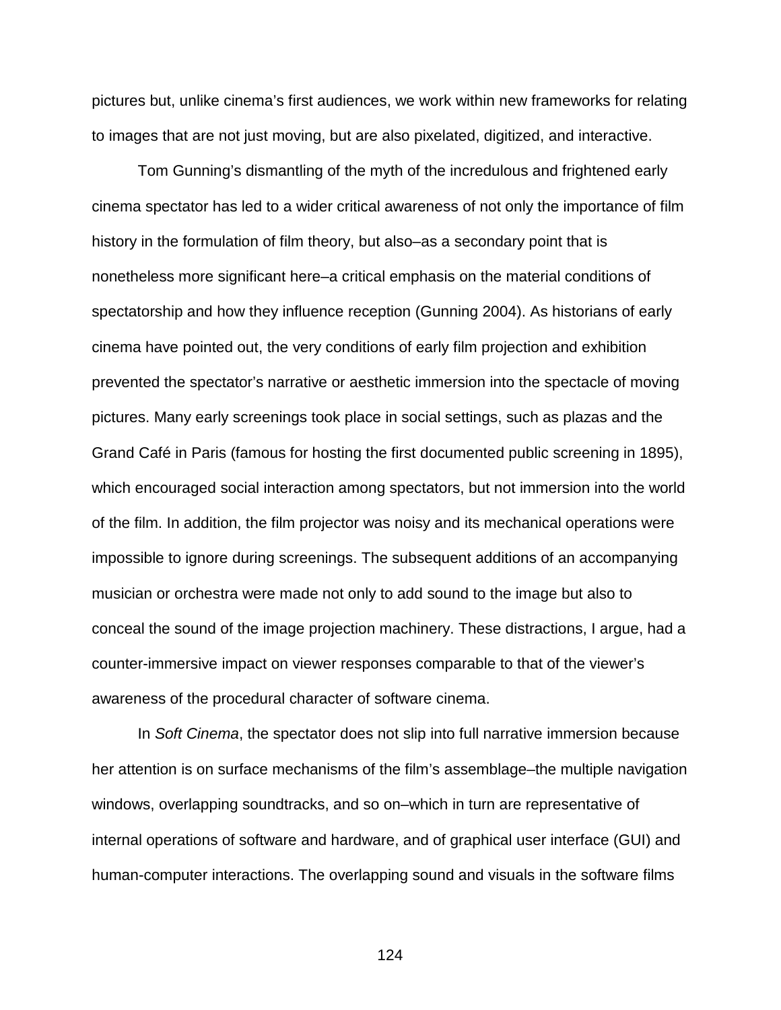pictures but, unlike cinema's first audiences, we work within new frameworks for relating to images that are not just moving, but are also pixelated, digitized, and interactive.

Tom Gunning's dismantling of the myth of the incredulous and frightened early cinema spectator has led to a wider critical awareness of not only the importance of film history in the formulation of film theory, but also–as a secondary point that is nonetheless more significant here–a critical emphasis on the material conditions of spectatorship and how they influence reception (Gunning 2004). As historians of early cinema have pointed out, the very conditions of early film projection and exhibition prevented the spectator's narrative or aesthetic immersion into the spectacle of moving pictures. Many early screenings took place in social settings, such as plazas and the Grand Café in Paris (famous for hosting the first documented public screening in 1895), which encouraged social interaction among spectators, but not immersion into the world of the film. In addition, the film projector was noisy and its mechanical operations were impossible to ignore during screenings. The subsequent additions of an accompanying musician or orchestra were made not only to add sound to the image but also to conceal the sound of the image projection machinery. These distractions, I argue, had a counter-immersive impact on viewer responses comparable to that of the viewer's awareness of the procedural character of software cinema.

In *Soft Cinema*, the spectator does not slip into full narrative immersion because her attention is on surface mechanisms of the film's assemblage–the multiple navigation windows, overlapping soundtracks, and so on–which in turn are representative of internal operations of software and hardware, and of graphical user interface (GUI) and human-computer interactions. The overlapping sound and visuals in the software films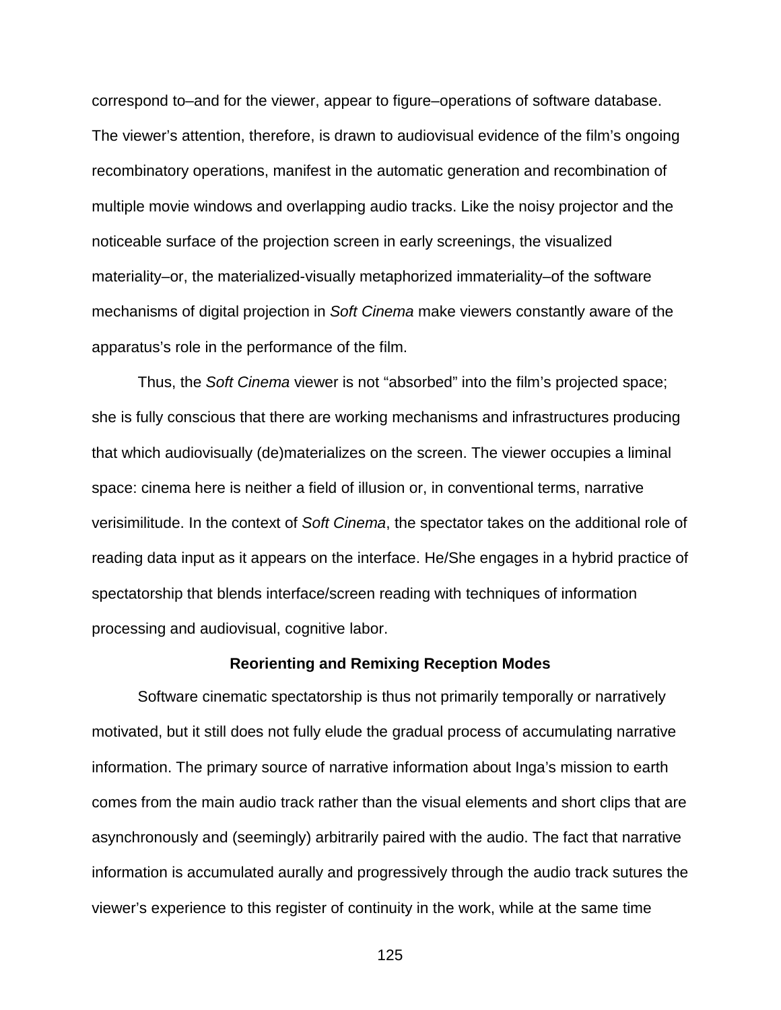correspond to–and for the viewer, appear to figure–operations of software database. The viewer's attention, therefore, is drawn to audiovisual evidence of the film's ongoing recombinatory operations, manifest in the automatic generation and recombination of multiple movie windows and overlapping audio tracks. Like the noisy projector and the noticeable surface of the projection screen in early screenings, the visualized materiality–or, the materialized-visually metaphorized immateriality–of the software mechanisms of digital projection in *Soft Cinema* make viewers constantly aware of the apparatus's role in the performance of the film.

Thus, the *Soft Cinema* viewer is not "absorbed" into the film's projected space; she is fully conscious that there are working mechanisms and infrastructures producing that which audiovisually (de)materializes on the screen. The viewer occupies a liminal space: cinema here is neither a field of illusion or, in conventional terms, narrative verisimilitude. In the context of *Soft Cinema*, the spectator takes on the additional role of reading data input as it appears on the interface. He/She engages in a hybrid practice of spectatorship that blends interface/screen reading with techniques of information processing and audiovisual, cognitive labor.

#### **Reorienting and Remixing Reception Modes**

Software cinematic spectatorship is thus not primarily temporally or narratively motivated, but it still does not fully elude the gradual process of accumulating narrative information. The primary source of narrative information about Inga's mission to earth comes from the main audio track rather than the visual elements and short clips that are asynchronously and (seemingly) arbitrarily paired with the audio. The fact that narrative information is accumulated aurally and progressively through the audio track sutures the viewer's experience to this register of continuity in the work, while at the same time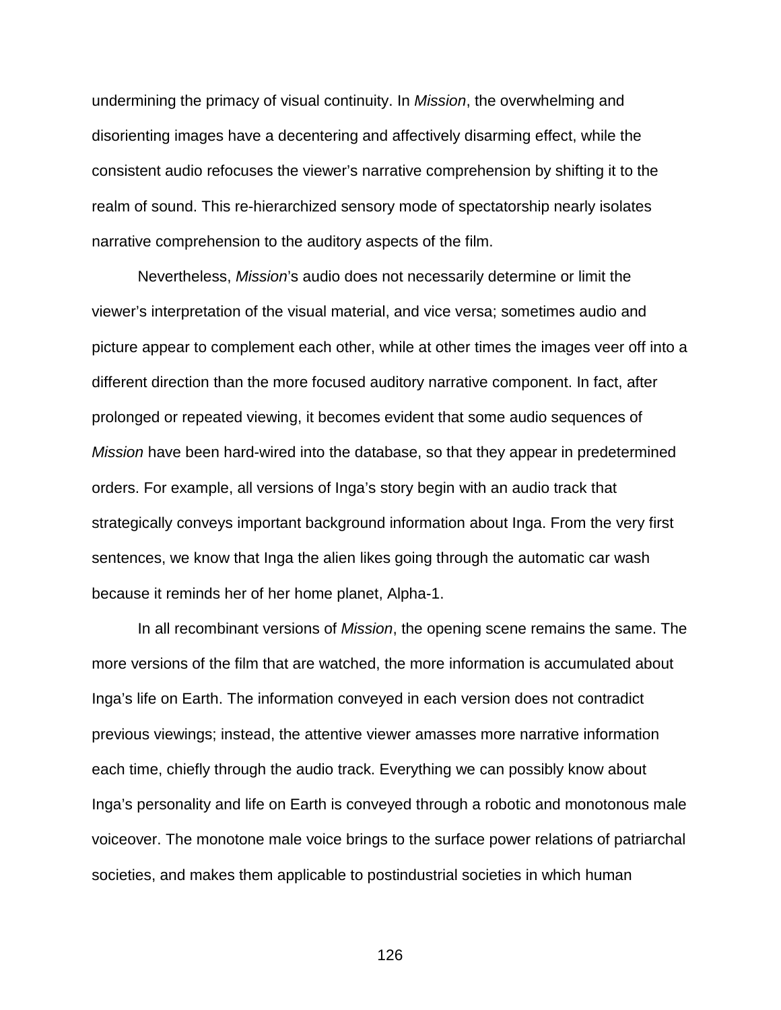undermining the primacy of visual continuity. In *Mission*, the overwhelming and disorienting images have a decentering and affectively disarming effect, while the consistent audio refocuses the viewer's narrative comprehension by shifting it to the realm of sound. This re-hierarchized sensory mode of spectatorship nearly isolates narrative comprehension to the auditory aspects of the film.

Nevertheless, *Mission*'s audio does not necessarily determine or limit the viewer's interpretation of the visual material, and vice versa; sometimes audio and picture appear to complement each other, while at other times the images veer off into a different direction than the more focused auditory narrative component. In fact, after prolonged or repeated viewing, it becomes evident that some audio sequences of *Mission* have been hard-wired into the database, so that they appear in predetermined orders. For example, all versions of Inga's story begin with an audio track that strategically conveys important background information about Inga. From the very first sentences, we know that Inga the alien likes going through the automatic car wash because it reminds her of her home planet, Alpha-1.

In all recombinant versions of *Mission*, the opening scene remains the same. The more versions of the film that are watched, the more information is accumulated about Inga's life on Earth. The information conveyed in each version does not contradict previous viewings; instead, the attentive viewer amasses more narrative information each time, chiefly through the audio track. Everything we can possibly know about Inga's personality and life on Earth is conveyed through a robotic and monotonous male voiceover. The monotone male voice brings to the surface power relations of patriarchal societies, and makes them applicable to postindustrial societies in which human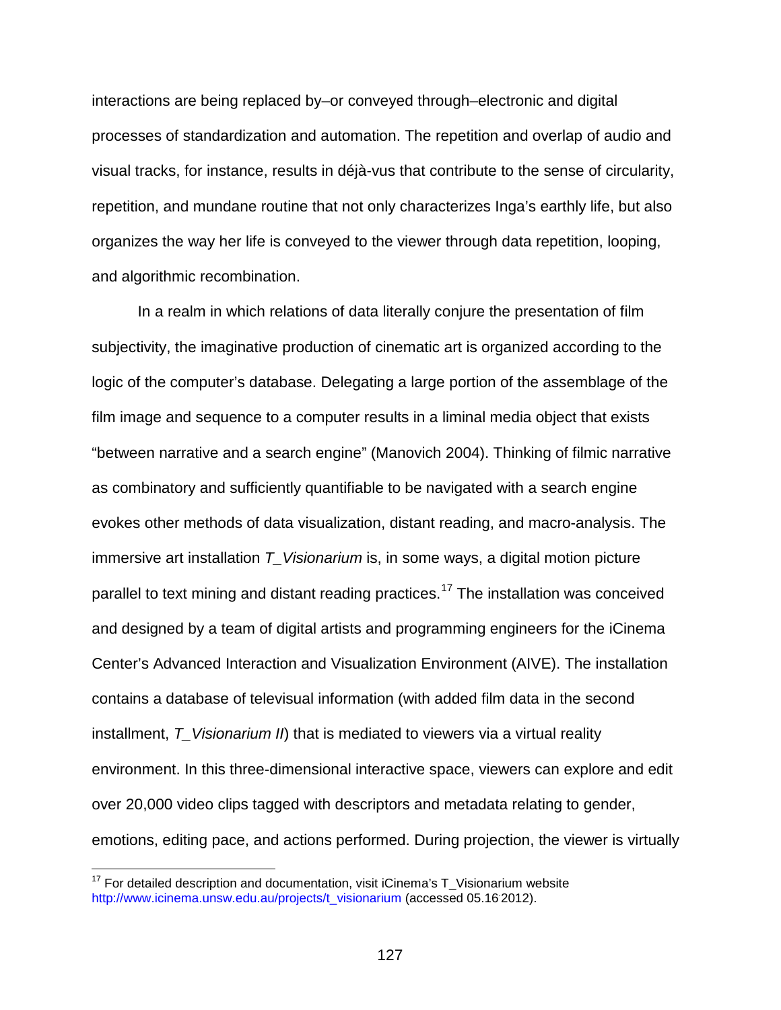interactions are being replaced by–or conveyed through–electronic and digital processes of standardization and automation. The repetition and overlap of audio and visual tracks, for instance, results in déjà-vus that contribute to the sense of circularity, repetition, and mundane routine that not only characterizes Inga's earthly life, but also organizes the way her life is conveyed to the viewer through data repetition, looping, and algorithmic recombination.

In a realm in which relations of data literally conjure the presentation of film subjectivity, the imaginative production of cinematic art is organized according to the logic of the computer's database. Delegating a large portion of the assemblage of the film image and sequence to a computer results in a liminal media object that exists "between narrative and a search engine" (Manovich 2004). Thinking of filmic narrative as combinatory and sufficiently quantifiable to be navigated with a search engine evokes other methods of data visualization, distant reading, and macro-analysis. The immersive art installation *T\_Visionarium* is, in some ways, a digital motion picture parallel to text mining and distant reading practices.<sup>[17](#page-126-0)</sup> The installation was conceived and designed by a team of digital artists and programming engineers for the iCinema Center's Advanced Interaction and Visualization Environment (AIVE). The installation contains a database of televisual information (with added film data in the second installment, *T\_Visionarium II*) that is mediated to viewers via a virtual reality environment. In this three-dimensional interactive space, viewers can explore and edit over 20,000 video clips tagged with descriptors and metadata relating to gender, emotions, editing pace, and actions performed. During projection, the viewer is virtually

<span id="page-126-0"></span> $17$  For detailed description and documentation, visit iCinema's T\_Visionarium website [http://www.icinema.unsw.edu.au/projects/t\\_visionarium](http://www.icinema.unsw.edu.au/projects/t_visionarium) (accessed 05.16 2012).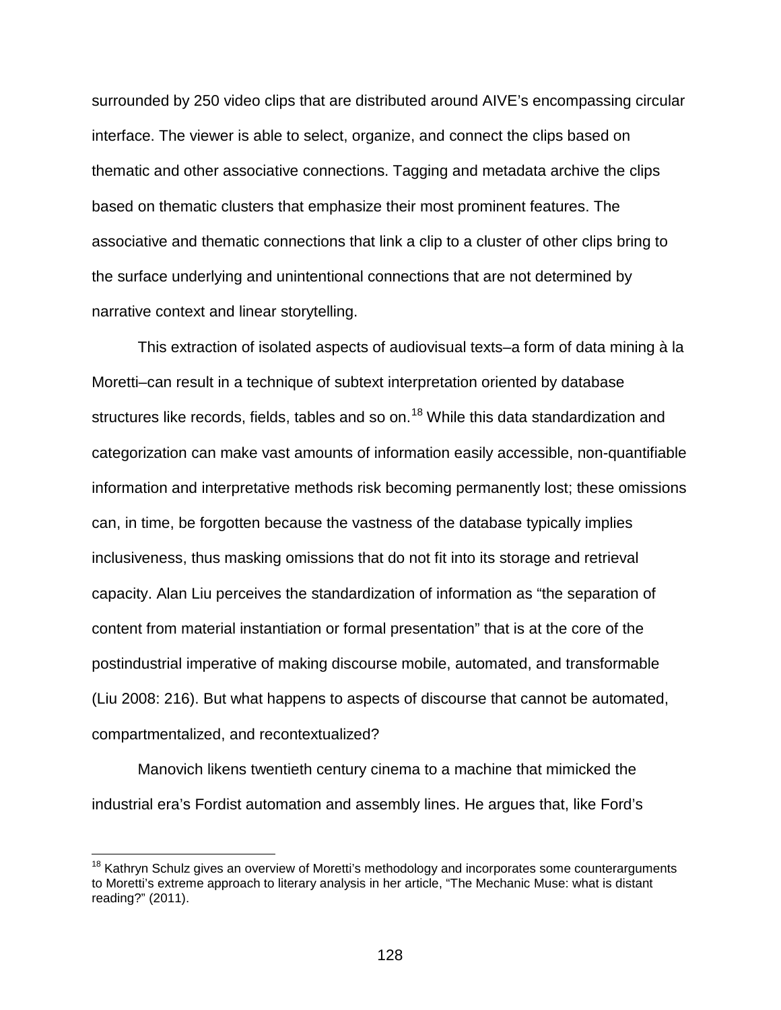surrounded by 250 video clips that are distributed around AIVE's encompassing circular interface. The viewer is able to select, organize, and connect the clips based on thematic and other associative connections. Tagging and metadata archive the clips based on thematic clusters that emphasize their most prominent features. The associative and thematic connections that link a clip to a cluster of other clips bring to the surface underlying and unintentional connections that are not determined by narrative context and linear storytelling.

This extraction of isolated aspects of audiovisual texts–a form of data mining à la Moretti–can result in a technique of subtext interpretation oriented by database structures like records, fields, tables and so on.<sup>[18](#page-127-0)</sup> While this data standardization and categorization can make vast amounts of information easily accessible, non-quantifiable information and interpretative methods risk becoming permanently lost; these omissions can, in time, be forgotten because the vastness of the database typically implies inclusiveness, thus masking omissions that do not fit into its storage and retrieval capacity. Alan Liu perceives the standardization of information as "the separation of content from material instantiation or formal presentation" that is at the core of the postindustrial imperative of making discourse mobile, automated, and transformable (Liu 2008: 216). But what happens to aspects of discourse that cannot be automated, compartmentalized, and recontextualized?

Manovich likens twentieth century cinema to a machine that mimicked the industrial era's Fordist automation and assembly lines. He argues that, like Ford's

<span id="page-127-0"></span><sup>&</sup>lt;sup>18</sup> Kathryn Schulz gives an overview of Moretti's methodology and incorporates some counterarguments to Moretti's extreme approach to literary analysis in her article, "The Mechanic Muse: what is distant reading?" (2011).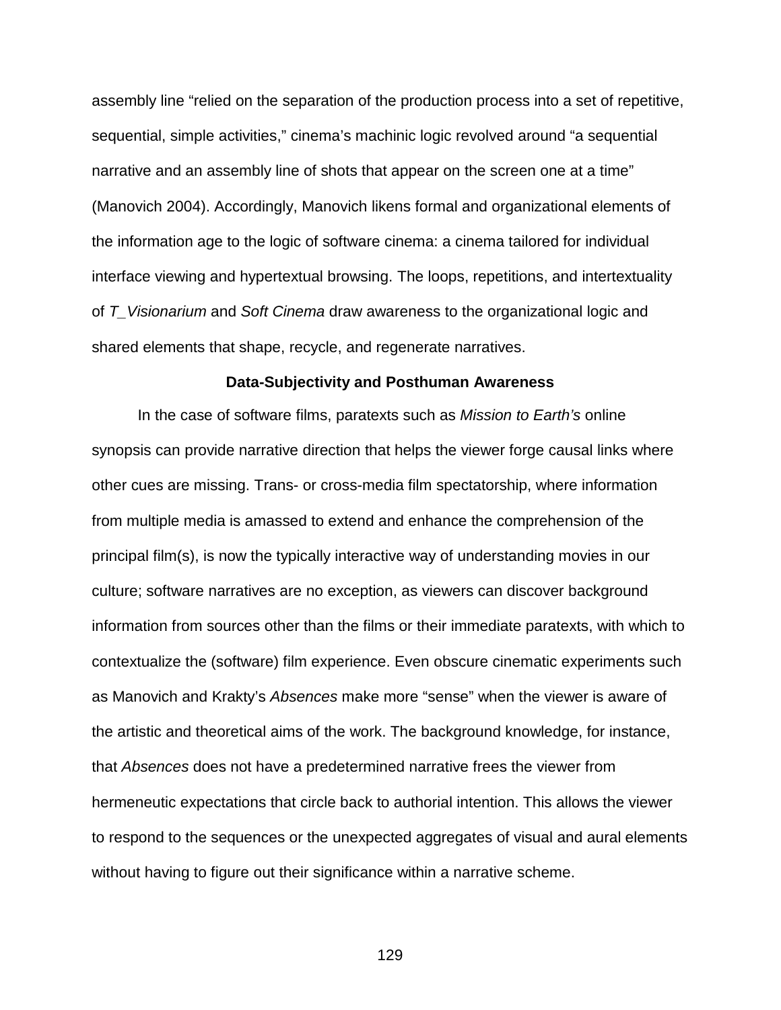assembly line "relied on the separation of the production process into a set of repetitive, sequential, simple activities," cinema's machinic logic revolved around "a sequential narrative and an assembly line of shots that appear on the screen one at a time" (Manovich 2004). Accordingly, Manovich likens formal and organizational elements of the information age to the logic of software cinema: a cinema tailored for individual interface viewing and hypertextual browsing. The loops, repetitions, and intertextuality of *T\_Visionarium* and *Soft Cinema* draw awareness to the organizational logic and shared elements that shape, recycle, and regenerate narratives.

#### **Data-Subjectivity and Posthuman Awareness**

In the case of software films, paratexts such as *Mission to Earth's* online synopsis can provide narrative direction that helps the viewer forge causal links where other cues are missing. Trans- or cross-media film spectatorship, where information from multiple media is amassed to extend and enhance the comprehension of the principal film(s), is now the typically interactive way of understanding movies in our culture; software narratives are no exception, as viewers can discover background information from sources other than the films or their immediate paratexts, with which to contextualize the (software) film experience. Even obscure cinematic experiments such as Manovich and Krakty's *Absences* make more "sense" when the viewer is aware of the artistic and theoretical aims of the work. The background knowledge, for instance, that *Absences* does not have a predetermined narrative frees the viewer from hermeneutic expectations that circle back to authorial intention. This allows the viewer to respond to the sequences or the unexpected aggregates of visual and aural elements without having to figure out their significance within a narrative scheme.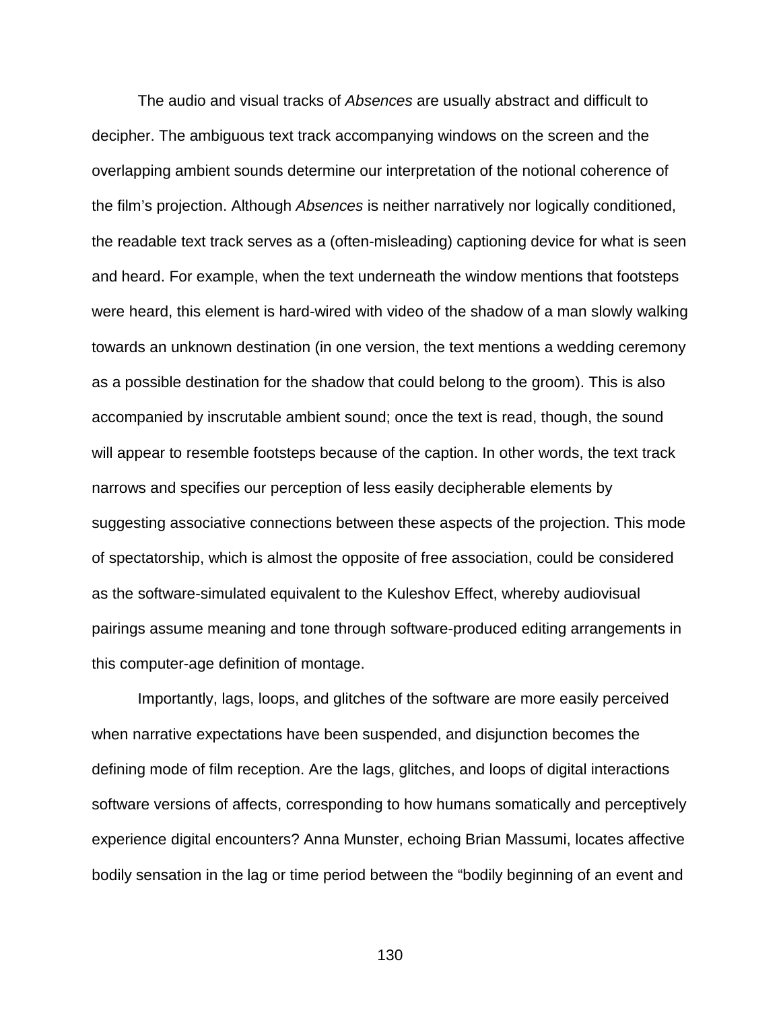The audio and visual tracks of *Absences* are usually abstract and difficult to decipher. The ambiguous text track accompanying windows on the screen and the overlapping ambient sounds determine our interpretation of the notional coherence of the film's projection. Although *Absences* is neither narratively nor logically conditioned, the readable text track serves as a (often-misleading) captioning device for what is seen and heard. For example, when the text underneath the window mentions that footsteps were heard, this element is hard-wired with video of the shadow of a man slowly walking towards an unknown destination (in one version, the text mentions a wedding ceremony as a possible destination for the shadow that could belong to the groom). This is also accompanied by inscrutable ambient sound; once the text is read, though, the sound will appear to resemble footsteps because of the caption. In other words, the text track narrows and specifies our perception of less easily decipherable elements by suggesting associative connections between these aspects of the projection. This mode of spectatorship, which is almost the opposite of free association, could be considered as the software-simulated equivalent to the Kuleshov Effect, whereby audiovisual pairings assume meaning and tone through software-produced editing arrangements in this computer-age definition of montage.

Importantly, lags, loops, and glitches of the software are more easily perceived when narrative expectations have been suspended, and disjunction becomes the defining mode of film reception. Are the lags, glitches, and loops of digital interactions software versions of affects, corresponding to how humans somatically and perceptively experience digital encounters? Anna Munster, echoing Brian Massumi, locates affective bodily sensation in the lag or time period between the "bodily beginning of an event and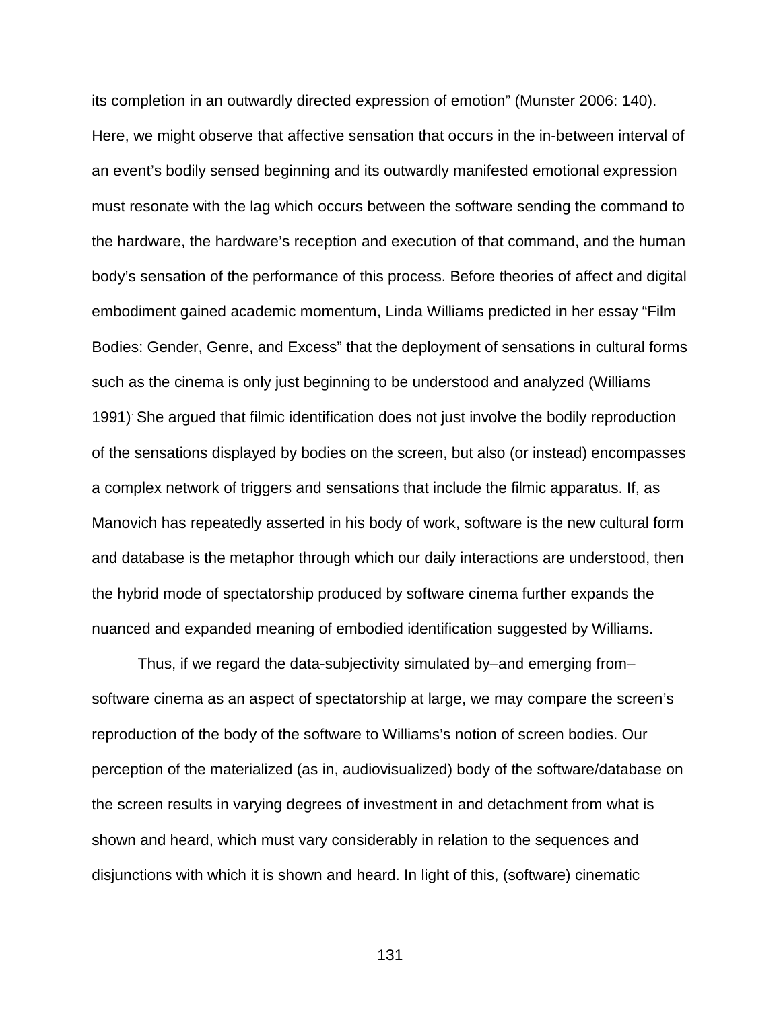its completion in an outwardly directed expression of emotion" (Munster 2006: 140). Here, we might observe that affective sensation that occurs in the in-between interval of an event's bodily sensed beginning and its outwardly manifested emotional expression must resonate with the lag which occurs between the software sending the command to the hardware, the hardware's reception and execution of that command, and the human body's sensation of the performance of this process. Before theories of affect and digital embodiment gained academic momentum, Linda Williams predicted in her essay "Film Bodies: Gender, Genre, and Excess" that the deployment of sensations in cultural forms such as the cinema is only just beginning to be understood and analyzed (Williams 1991). She argued that filmic identification does not just involve the bodily reproduction of the sensations displayed by bodies on the screen, but also (or instead) encompasses a complex network of triggers and sensations that include the filmic apparatus. If, as Manovich has repeatedly asserted in his body of work, software is the new cultural form and database is the metaphor through which our daily interactions are understood, then the hybrid mode of spectatorship produced by software cinema further expands the nuanced and expanded meaning of embodied identification suggested by Williams.

Thus, if we regard the data-subjectivity simulated by–and emerging from– software cinema as an aspect of spectatorship at large, we may compare the screen's reproduction of the body of the software to Williams's notion of screen bodies. Our perception of the materialized (as in, audiovisualized) body of the software/database on the screen results in varying degrees of investment in and detachment from what is shown and heard, which must vary considerably in relation to the sequences and disjunctions with which it is shown and heard. In light of this, (software) cinematic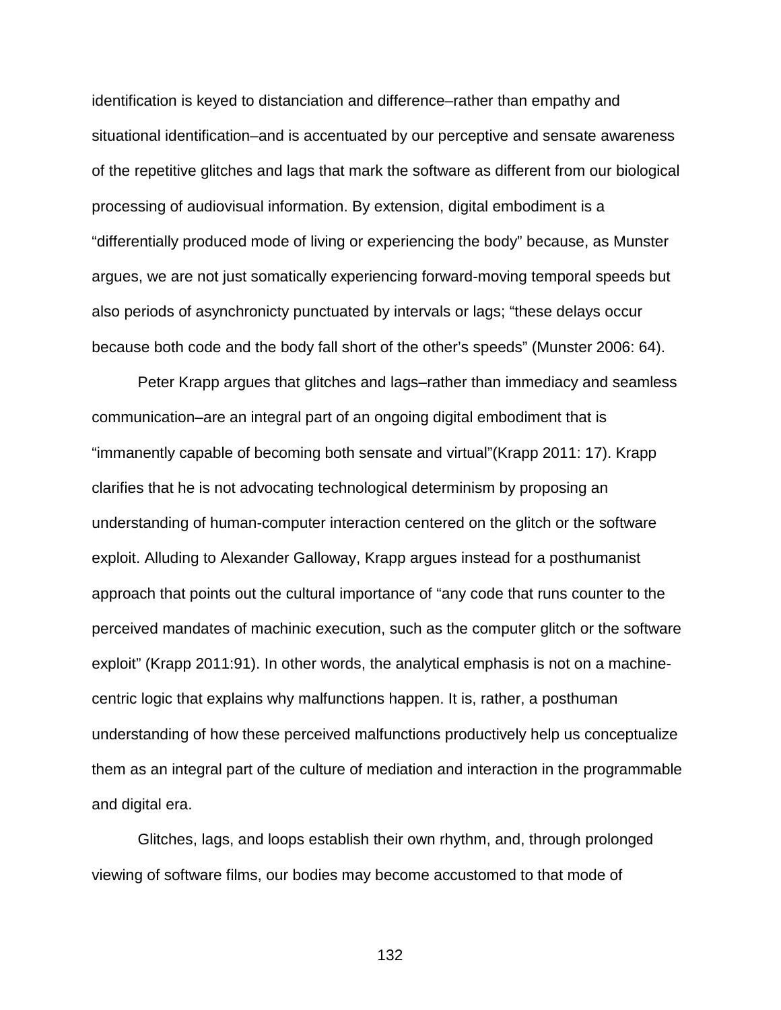identification is keyed to distanciation and difference–rather than empathy and situational identification–and is accentuated by our perceptive and sensate awareness of the repetitive glitches and lags that mark the software as different from our biological processing of audiovisual information. By extension, digital embodiment is a "differentially produced mode of living or experiencing the body" because, as Munster argues, we are not just somatically experiencing forward-moving temporal speeds but also periods of asynchronicty punctuated by intervals or lags; "these delays occur because both code and the body fall short of the other's speeds" (Munster 2006: 64).

Peter Krapp argues that glitches and lags–rather than immediacy and seamless communication–are an integral part of an ongoing digital embodiment that is "immanently capable of becoming both sensate and virtual"(Krapp 2011: 17). Krapp clarifies that he is not advocating technological determinism by proposing an understanding of human-computer interaction centered on the glitch or the software exploit. Alluding to Alexander Galloway, Krapp argues instead for a posthumanist approach that points out the cultural importance of "any code that runs counter to the perceived mandates of machinic execution, such as the computer glitch or the software exploit" (Krapp 2011:91). In other words, the analytical emphasis is not on a machinecentric logic that explains why malfunctions happen. It is, rather, a posthuman understanding of how these perceived malfunctions productively help us conceptualize them as an integral part of the culture of mediation and interaction in the programmable and digital era.

Glitches, lags, and loops establish their own rhythm, and, through prolonged viewing of software films, our bodies may become accustomed to that mode of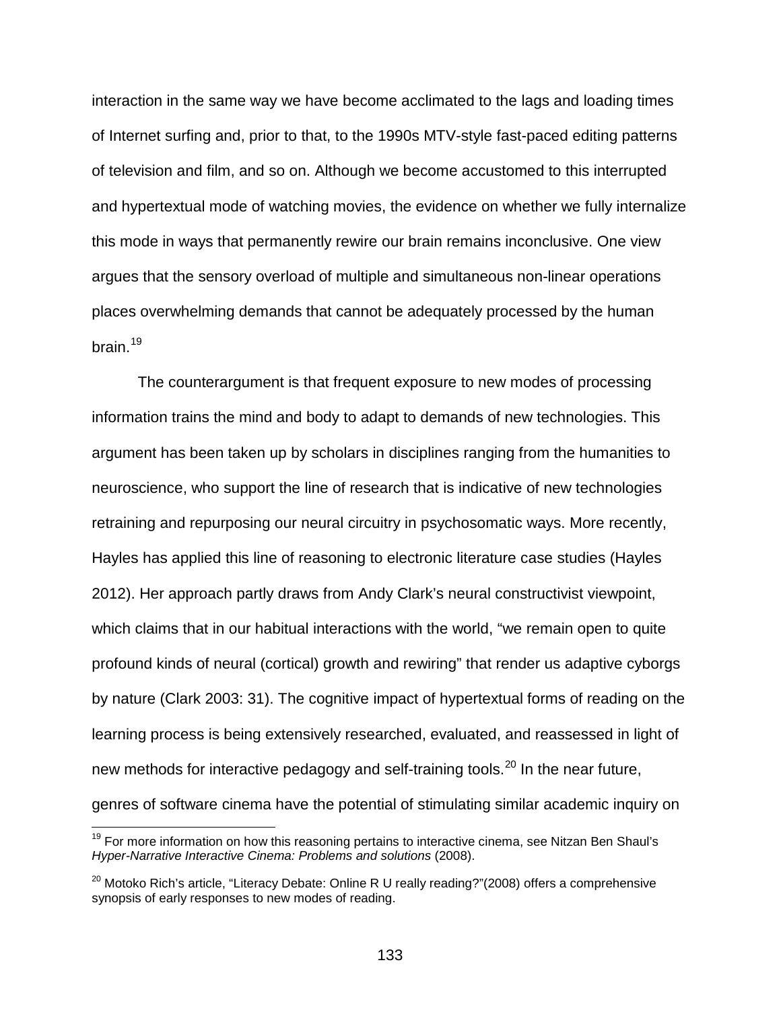interaction in the same way we have become acclimated to the lags and loading times of Internet surfing and, prior to that, to the 1990s MTV-style fast-paced editing patterns of television and film, and so on. Although we become accustomed to this interrupted and hypertextual mode of watching movies, the evidence on whether we fully internalize this mode in ways that permanently rewire our brain remains inconclusive. One view argues that the sensory overload of multiple and simultaneous non-linear operations places overwhelming demands that cannot be adequately processed by the human hrain $19$ 

The counterargument is that frequent exposure to new modes of processing information trains the mind and body to adapt to demands of new technologies. This argument has been taken up by scholars in disciplines ranging from the humanities to neuroscience, who support the line of research that is indicative of new technologies retraining and repurposing our neural circuitry in psychosomatic ways. More recently, Hayles has applied this line of reasoning to electronic literature case studies (Hayles 2012). Her approach partly draws from Andy Clark's neural constructivist viewpoint, which claims that in our habitual interactions with the world, "we remain open to quite profound kinds of neural (cortical) growth and rewiring" that render us adaptive cyborgs by nature (Clark 2003: 31). The cognitive impact of hypertextual forms of reading on the learning process is being extensively researched, evaluated, and reassessed in light of new methods for interactive pedagogy and self-training tools.<sup>[20](#page-132-1)</sup> In the near future, genres of software cinema have the potential of stimulating similar academic inquiry on

<span id="page-132-0"></span><sup>&</sup>lt;sup>19</sup> For more information on how this reasoning pertains to interactive cinema, see Nitzan Ben Shaul's *Hyper-Narrative Interactive Cinema: Problems and solutions* (2008).

<span id="page-132-1"></span> $20$  Motoko Rich's article, "Literacy Debate: Online R U really reading?"(2008) offers a comprehensive synopsis of early responses to new modes of reading.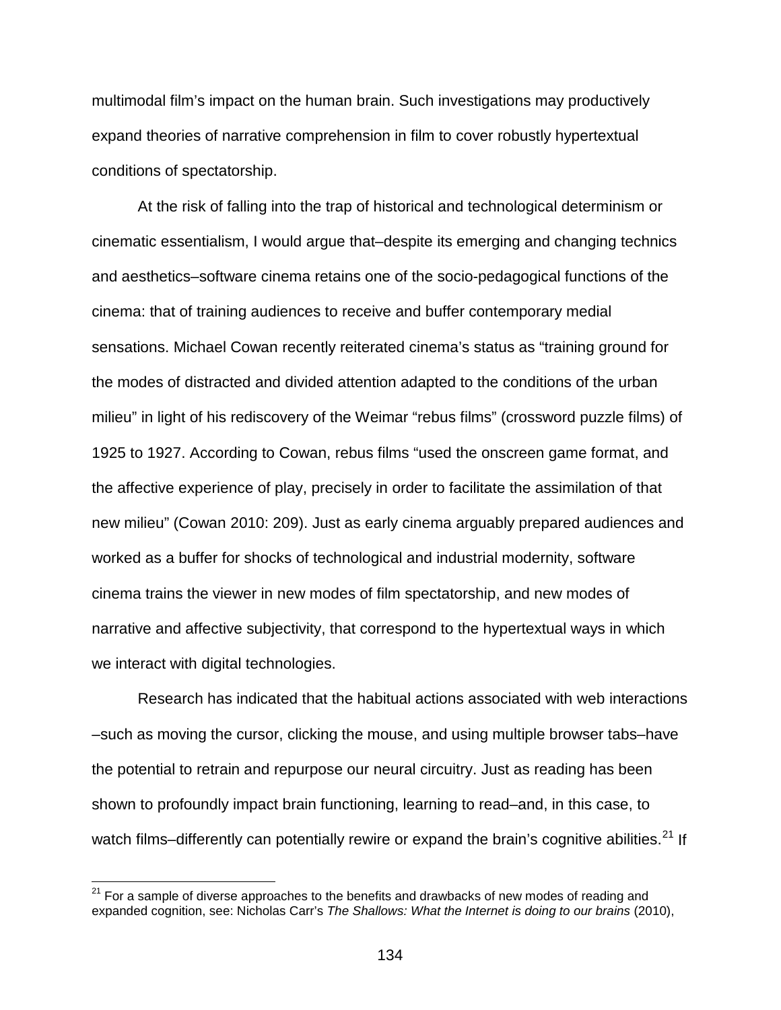multimodal film's impact on the human brain. Such investigations may productively expand theories of narrative comprehension in film to cover robustly hypertextual conditions of spectatorship.

At the risk of falling into the trap of historical and technological determinism or cinematic essentialism, I would argue that–despite its emerging and changing technics and aesthetics–software cinema retains one of the socio-pedagogical functions of the cinema: that of training audiences to receive and buffer contemporary medial sensations. Michael Cowan recently reiterated cinema's status as "training ground for the modes of distracted and divided attention adapted to the conditions of the urban milieu" in light of his rediscovery of the Weimar "rebus films" (crossword puzzle films) of 1925 to 1927. According to Cowan, rebus films "used the onscreen game format, and the affective experience of play, precisely in order to facilitate the assimilation of that new milieu" (Cowan 2010: 209). Just as early cinema arguably prepared audiences and worked as a buffer for shocks of technological and industrial modernity, software cinema trains the viewer in new modes of film spectatorship, and new modes of narrative and affective subjectivity, that correspond to the hypertextual ways in which we interact with digital technologies.

Research has indicated that the habitual actions associated with web interactions –such as moving the cursor, clicking the mouse, and using multiple browser tabs–have the potential to retrain and repurpose our neural circuitry. Just as reading has been shown to profoundly impact brain functioning, learning to read–and, in this case, to watch films-differently can potentially rewire or expand the brain's cognitive abilities.<sup>[21](#page-133-0)</sup> If

<span id="page-133-0"></span> $21$  For a sample of diverse approaches to the benefits and drawbacks of new modes of reading and expanded cognition, see: Nicholas Carr's *The Shallows: What the Internet is doing to our brains* (2010),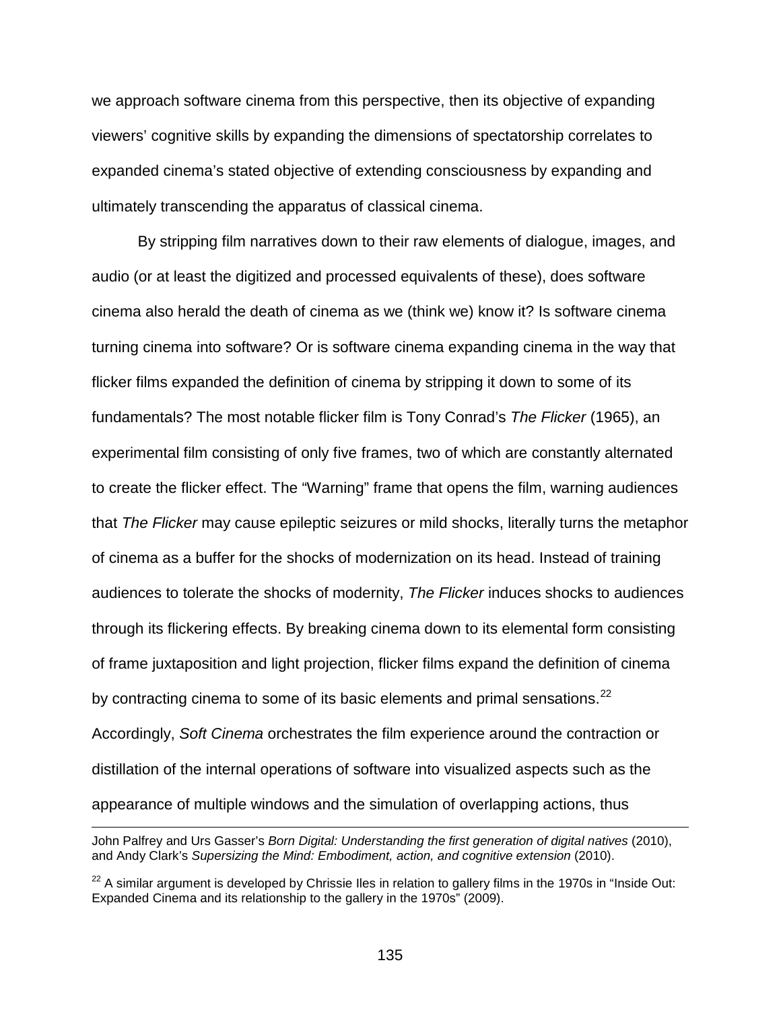we approach software cinema from this perspective, then its objective of expanding viewers' cognitive skills by expanding the dimensions of spectatorship correlates to expanded cinema's stated objective of extending consciousness by expanding and ultimately transcending the apparatus of classical cinema.

By stripping film narratives down to their raw elements of dialogue, images, and audio (or at least the digitized and processed equivalents of these), does software cinema also herald the death of cinema as we (think we) know it? Is software cinema turning cinema into software? Or is software cinema expanding cinema in the way that flicker films expanded the definition of cinema by stripping it down to some of its fundamentals? The most notable flicker film is Tony Conrad's *The Flicker* (1965), an experimental film consisting of only five frames, two of which are constantly alternated to create the flicker effect. The "Warning" frame that opens the film, warning audiences that *The Flicker* may cause epileptic seizures or mild shocks, literally turns the metaphor of cinema as a buffer for the shocks of modernization on its head. Instead of training audiences to tolerate the shocks of modernity, *The Flicker* induces shocks to audiences through its flickering effects. By breaking cinema down to its elemental form consisting of frame juxtaposition and light projection, flicker films expand the definition of cinema by contracting cinema to some of its basic elements and primal sensations. $^{22}$  $^{22}$  $^{22}$ Accordingly, *Soft Cinema* orchestrates the film experience around the contraction or distillation of the internal operations of software into visualized aspects such as the appearance of multiple windows and the simulation of overlapping actions, thus

John Palfrey and Urs Gasser's *Born Digital: Understanding the first generation of digital natives* (2010), and Andy Clark's Supersizing the Mind: Embodiment, action, and cognitive extension (2010).

<span id="page-134-0"></span> $22$  A similar argument is developed by Chrissie Iles in relation to gallery films in the 1970s in "Inside Out: Expanded Cinema and its relationship to the gallery in the 1970s" (2009).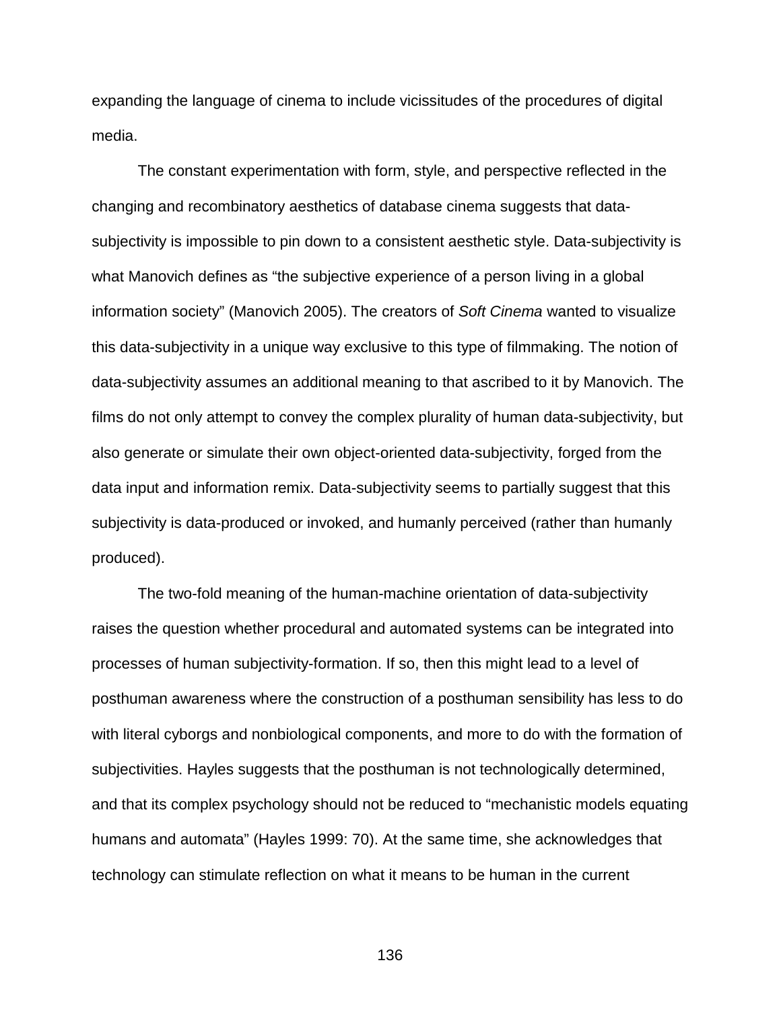expanding the language of cinema to include vicissitudes of the procedures of digital media.

The constant experimentation with form, style, and perspective reflected in the changing and recombinatory aesthetics of database cinema suggests that datasubjectivity is impossible to pin down to a consistent aesthetic style. Data-subjectivity is what Manovich defines as "the subjective experience of a person living in a global information society" (Manovich 2005). The creators of *Soft Cinema* wanted to visualize this data-subjectivity in a unique way exclusive to this type of filmmaking. The notion of data-subjectivity assumes an additional meaning to that ascribed to it by Manovich. The films do not only attempt to convey the complex plurality of human data-subjectivity, but also generate or simulate their own object-oriented data-subjectivity, forged from the data input and information remix. Data-subjectivity seems to partially suggest that this subjectivity is data-produced or invoked, and humanly perceived (rather than humanly produced).

The two-fold meaning of the human-machine orientation of data-subjectivity raises the question whether procedural and automated systems can be integrated into processes of human subjectivity-formation. If so, then this might lead to a level of posthuman awareness where the construction of a posthuman sensibility has less to do with literal cyborgs and nonbiological components, and more to do with the formation of subjectivities. Hayles suggests that the posthuman is not technologically determined, and that its complex psychology should not be reduced to "mechanistic models equating humans and automata" (Hayles 1999: 70). At the same time, she acknowledges that technology can stimulate reflection on what it means to be human in the current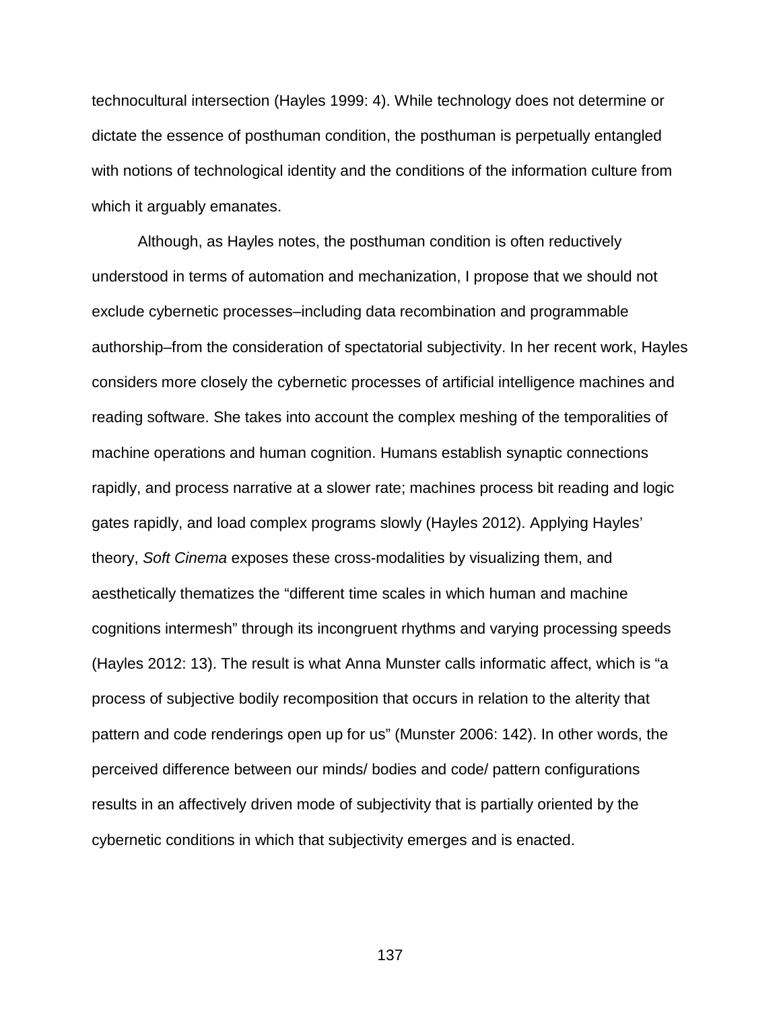technocultural intersection (Hayles 1999: 4). While technology does not determine or dictate the essence of posthuman condition, the posthuman is perpetually entangled with notions of technological identity and the conditions of the information culture from which it arguably emanates.

Although, as Hayles notes, the posthuman condition is often reductively understood in terms of automation and mechanization, I propose that we should not exclude cybernetic processes–including data recombination and programmable authorship–from the consideration of spectatorial subjectivity. In her recent work, Hayles considers more closely the cybernetic processes of artificial intelligence machines and reading software. She takes into account the complex meshing of the temporalities of machine operations and human cognition. Humans establish synaptic connections rapidly, and process narrative at a slower rate; machines process bit reading and logic gates rapidly, and load complex programs slowly (Hayles 2012). Applying Hayles' theory, *Soft Cinema* exposes these cross-modalities by visualizing them, and aesthetically thematizes the "different time scales in which human and machine cognitions intermesh" through its incongruent rhythms and varying processing speeds (Hayles 2012: 13). The result is what Anna Munster calls informatic affect, which is "a process of subjective bodily recomposition that occurs in relation to the alterity that pattern and code renderings open up for us" (Munster 2006: 142). In other words, the perceived difference between our minds/ bodies and code/ pattern configurations results in an affectively driven mode of subjectivity that is partially oriented by the cybernetic conditions in which that subjectivity emerges and is enacted.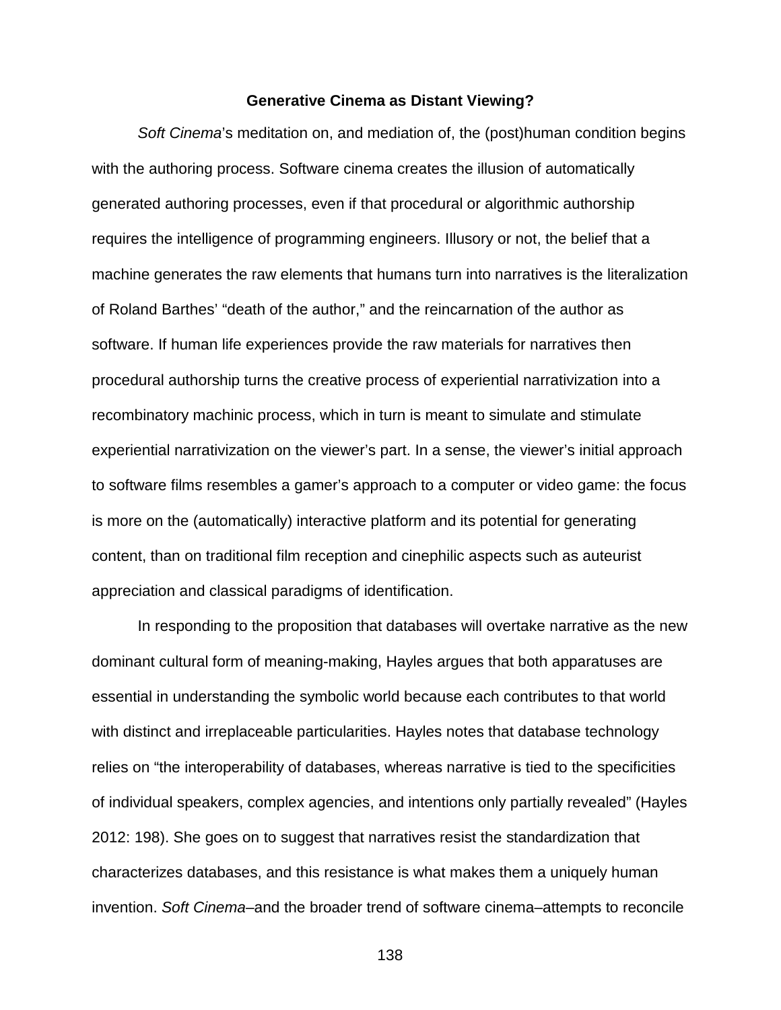#### **Generative Cinema as Distant Viewing?**

*Soft Cinema*'s meditation on, and mediation of, the (post)human condition begins with the authoring process. Software cinema creates the illusion of automatically generated authoring processes, even if that procedural or algorithmic authorship requires the intelligence of programming engineers. Illusory or not, the belief that a machine generates the raw elements that humans turn into narratives is the literalization of Roland Barthes' "death of the author," and the reincarnation of the author as software. If human life experiences provide the raw materials for narratives then procedural authorship turns the creative process of experiential narrativization into a recombinatory machinic process, which in turn is meant to simulate and stimulate experiential narrativization on the viewer's part. In a sense, the viewer's initial approach to software films resembles a gamer's approach to a computer or video game: the focus is more on the (automatically) interactive platform and its potential for generating content, than on traditional film reception and cinephilic aspects such as auteurist appreciation and classical paradigms of identification.

In responding to the proposition that databases will overtake narrative as the new dominant cultural form of meaning-making, Hayles argues that both apparatuses are essential in understanding the symbolic world because each contributes to that world with distinct and irreplaceable particularities. Hayles notes that database technology relies on "the interoperability of databases, whereas narrative is tied to the specificities of individual speakers, complex agencies, and intentions only partially revealed" (Hayles 2012: 198). She goes on to suggest that narratives resist the standardization that characterizes databases, and this resistance is what makes them a uniquely human invention. *Soft Cinema*–and the broader trend of software cinema–attempts to reconcile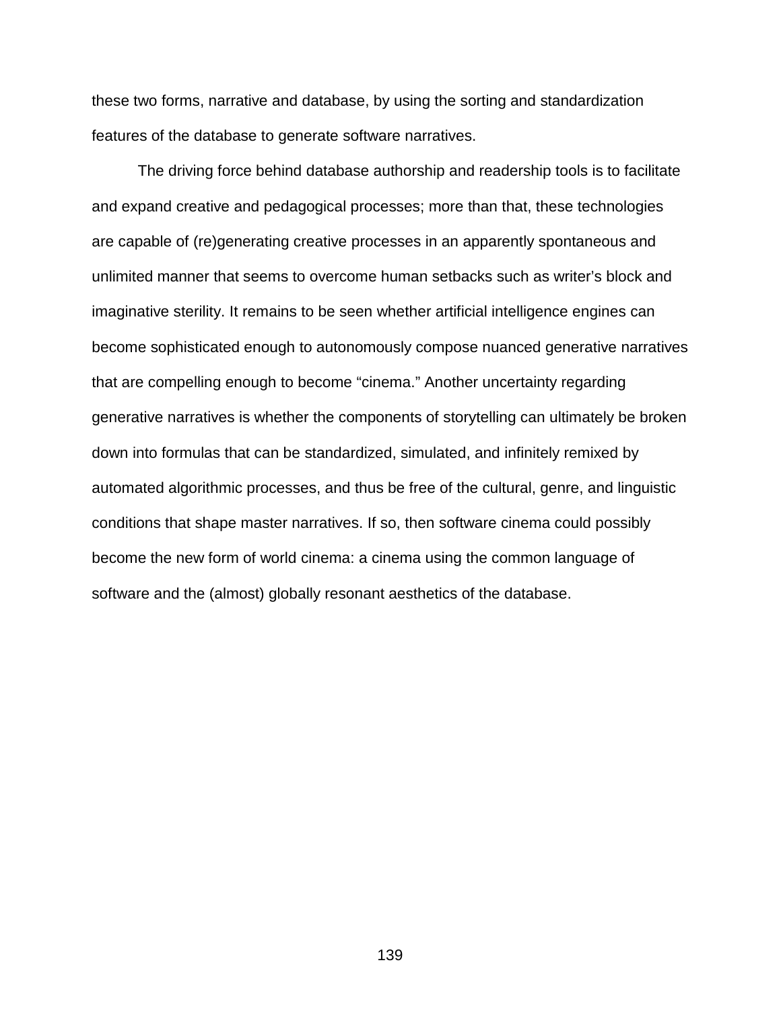these two forms, narrative and database, by using the sorting and standardization features of the database to generate software narratives.

The driving force behind database authorship and readership tools is to facilitate and expand creative and pedagogical processes; more than that, these technologies are capable of (re)generating creative processes in an apparently spontaneous and unlimited manner that seems to overcome human setbacks such as writer's block and imaginative sterility. It remains to be seen whether artificial intelligence engines can become sophisticated enough to autonomously compose nuanced generative narratives that are compelling enough to become "cinema." Another uncertainty regarding generative narratives is whether the components of storytelling can ultimately be broken down into formulas that can be standardized, simulated, and infinitely remixed by automated algorithmic processes, and thus be free of the cultural, genre, and linguistic conditions that shape master narratives. If so, then software cinema could possibly become the new form of world cinema: a cinema using the common language of software and the (almost) globally resonant aesthetics of the database.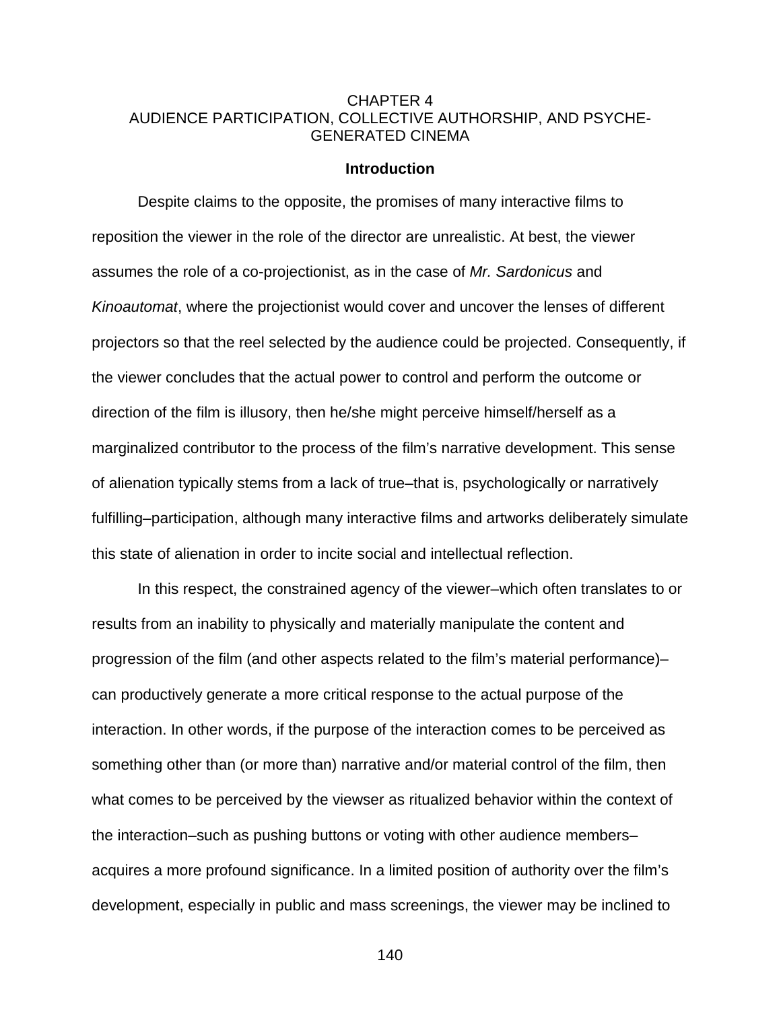# CHAPTER 4 AUDIENCE PARTICIPATION, COLLECTIVE AUTHORSHIP, AND PSYCHE-GENERATED CINEMA

### **Introduction**

Despite claims to the opposite, the promises of many interactive films to reposition the viewer in the role of the director are unrealistic. At best, the viewer assumes the role of a co-projectionist, as in the case of *Mr. Sardonicus* and *Kinoautomat*, where the projectionist would cover and uncover the lenses of different projectors so that the reel selected by the audience could be projected. Consequently, if the viewer concludes that the actual power to control and perform the outcome or direction of the film is illusory, then he/she might perceive himself/herself as a marginalized contributor to the process of the film's narrative development. This sense of alienation typically stems from a lack of true–that is, psychologically or narratively fulfilling–participation, although many interactive films and artworks deliberately simulate this state of alienation in order to incite social and intellectual reflection.

In this respect, the constrained agency of the viewer–which often translates to or results from an inability to physically and materially manipulate the content and progression of the film (and other aspects related to the film's material performance)– can productively generate a more critical response to the actual purpose of the interaction. In other words, if the purpose of the interaction comes to be perceived as something other than (or more than) narrative and/or material control of the film, then what comes to be perceived by the viewser as ritualized behavior within the context of the interaction–such as pushing buttons or voting with other audience members– acquires a more profound significance. In a limited position of authority over the film's development, especially in public and mass screenings, the viewer may be inclined to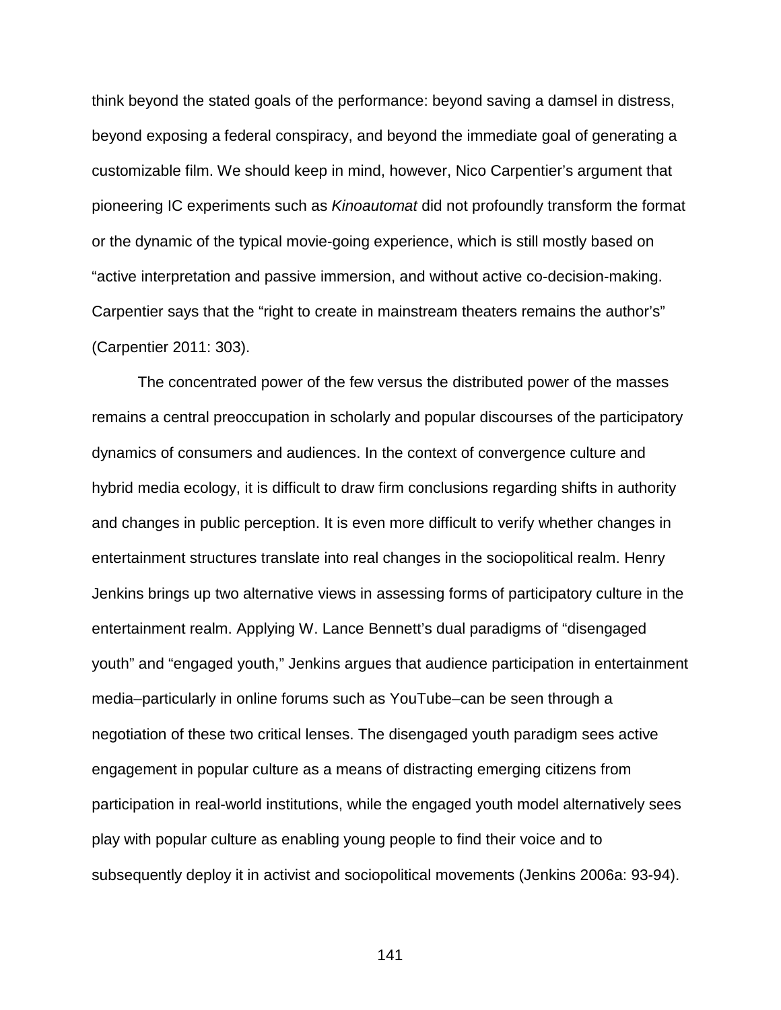think beyond the stated goals of the performance: beyond saving a damsel in distress, beyond exposing a federal conspiracy, and beyond the immediate goal of generating a customizable film. We should keep in mind, however, Nico Carpentier's argument that pioneering IC experiments such as *Kinoautomat* did not profoundly transform the format or the dynamic of the typical movie-going experience, which is still mostly based on "active interpretation and passive immersion, and without active co-decision-making. Carpentier says that the "right to create in mainstream theaters remains the author's" (Carpentier 2011: 303).

The concentrated power of the few versus the distributed power of the masses remains a central preoccupation in scholarly and popular discourses of the participatory dynamics of consumers and audiences. In the context of convergence culture and hybrid media ecology, it is difficult to draw firm conclusions regarding shifts in authority and changes in public perception. It is even more difficult to verify whether changes in entertainment structures translate into real changes in the sociopolitical realm. Henry Jenkins brings up two alternative views in assessing forms of participatory culture in the entertainment realm. Applying W. Lance Bennett's dual paradigms of "disengaged youth" and "engaged youth," Jenkins argues that audience participation in entertainment media–particularly in online forums such as YouTube–can be seen through a negotiation of these two critical lenses. The disengaged youth paradigm sees active engagement in popular culture as a means of distracting emerging citizens from participation in real-world institutions, while the engaged youth model alternatively sees play with popular culture as enabling young people to find their voice and to subsequently deploy it in activist and sociopolitical movements (Jenkins 2006a: 93-94).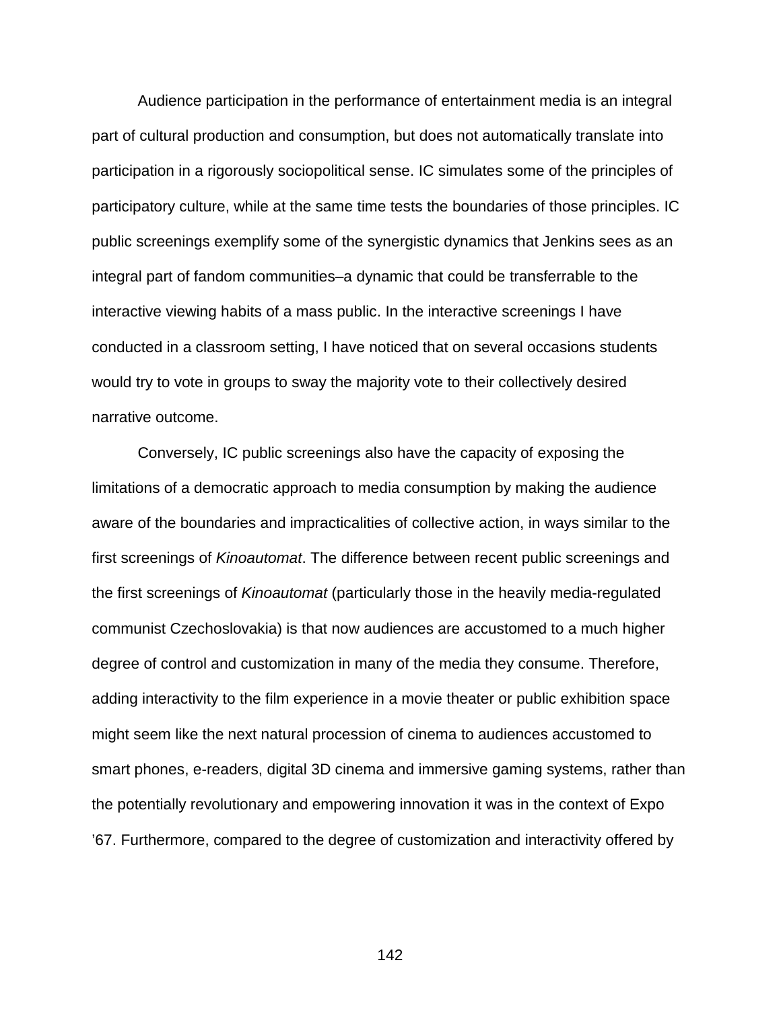Audience participation in the performance of entertainment media is an integral part of cultural production and consumption, but does not automatically translate into participation in a rigorously sociopolitical sense. IC simulates some of the principles of participatory culture, while at the same time tests the boundaries of those principles. IC public screenings exemplify some of the synergistic dynamics that Jenkins sees as an integral part of fandom communities–a dynamic that could be transferrable to the interactive viewing habits of a mass public. In the interactive screenings I have conducted in a classroom setting, I have noticed that on several occasions students would try to vote in groups to sway the majority vote to their collectively desired narrative outcome.

Conversely, IC public screenings also have the capacity of exposing the limitations of a democratic approach to media consumption by making the audience aware of the boundaries and impracticalities of collective action, in ways similar to the first screenings of *Kinoautomat*. The difference between recent public screenings and the first screenings of *Kinoautomat* (particularly those in the heavily media-regulated communist Czechoslovakia) is that now audiences are accustomed to a much higher degree of control and customization in many of the media they consume. Therefore, adding interactivity to the film experience in a movie theater or public exhibition space might seem like the next natural procession of cinema to audiences accustomed to smart phones, e-readers, digital 3D cinema and immersive gaming systems, rather than the potentially revolutionary and empowering innovation it was in the context of Expo '67. Furthermore, compared to the degree of customization and interactivity offered by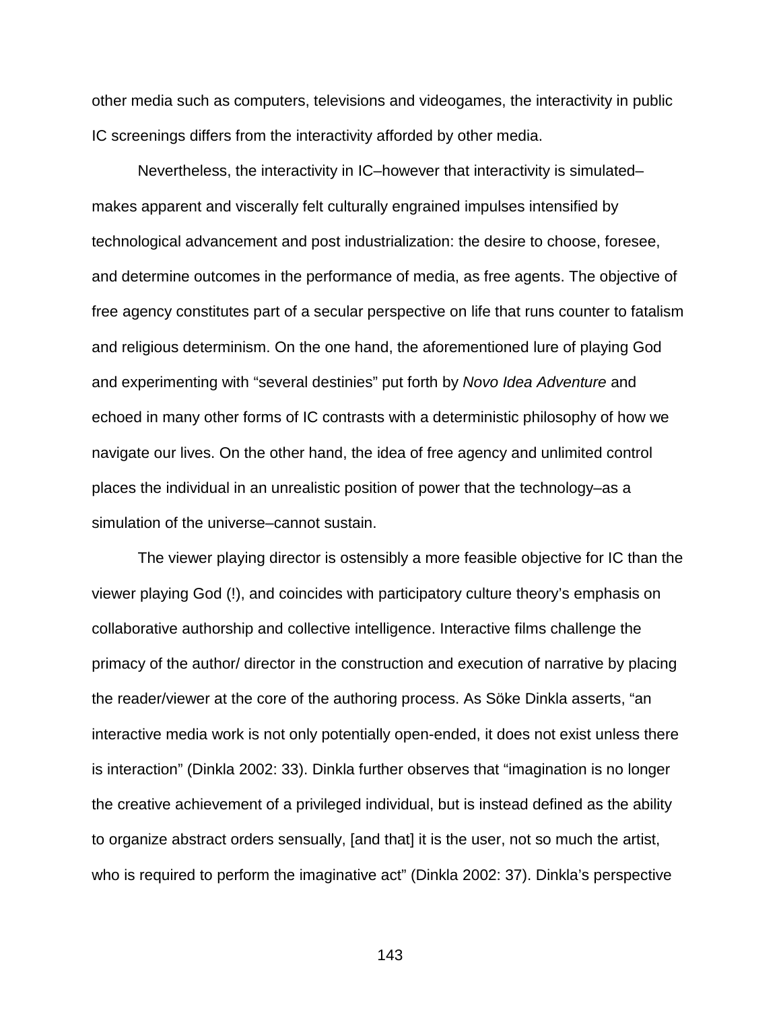other media such as computers, televisions and videogames, the interactivity in public IC screenings differs from the interactivity afforded by other media.

Nevertheless, the interactivity in IC–however that interactivity is simulated– makes apparent and viscerally felt culturally engrained impulses intensified by technological advancement and post industrialization: the desire to choose, foresee, and determine outcomes in the performance of media, as free agents. The objective of free agency constitutes part of a secular perspective on life that runs counter to fatalism and religious determinism. On the one hand, the aforementioned lure of playing God and experimenting with "several destinies" put forth by *Novo Idea Adventure* and echoed in many other forms of IC contrasts with a deterministic philosophy of how we navigate our lives. On the other hand, the idea of free agency and unlimited control places the individual in an unrealistic position of power that the technology–as a simulation of the universe–cannot sustain.

The viewer playing director is ostensibly a more feasible objective for IC than the viewer playing God (!), and coincides with participatory culture theory's emphasis on collaborative authorship and collective intelligence. Interactive films challenge the primacy of the author/ director in the construction and execution of narrative by placing the reader/viewer at the core of the authoring process. As Söke Dinkla asserts, "an interactive media work is not only potentially open-ended, it does not exist unless there is interaction" (Dinkla 2002: 33). Dinkla further observes that "imagination is no longer the creative achievement of a privileged individual, but is instead defined as the ability to organize abstract orders sensually, [and that] it is the user, not so much the artist, who is required to perform the imaginative act" (Dinkla 2002: 37). Dinkla's perspective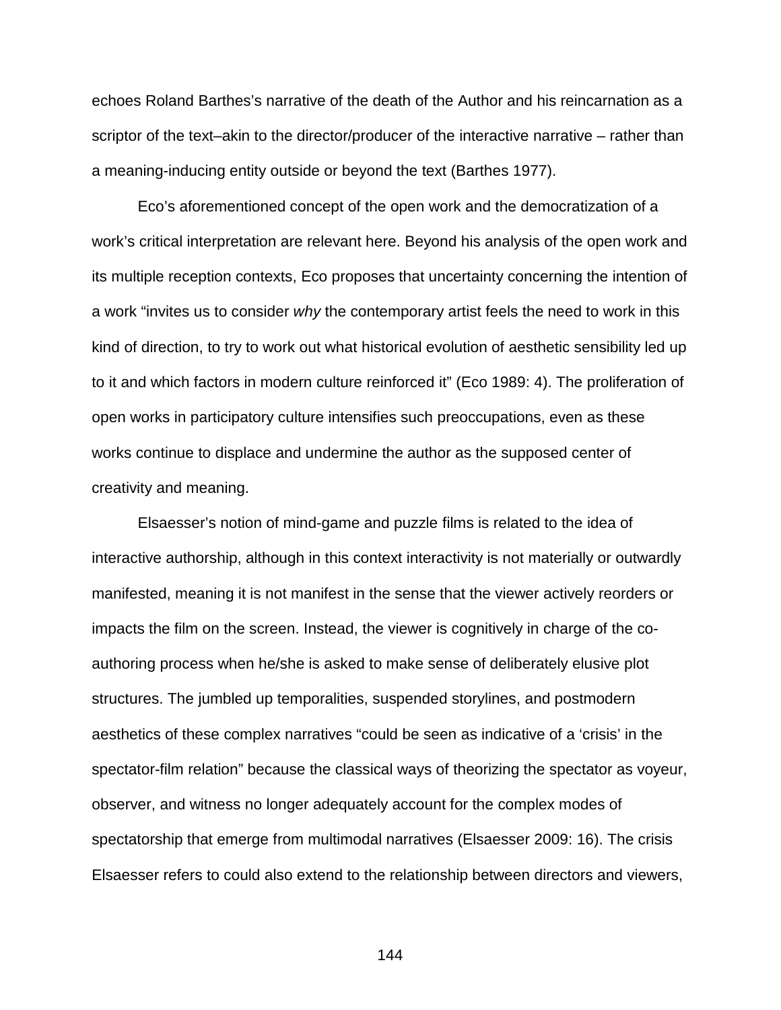echoes Roland Barthes's narrative of the death of the Author and his reincarnation as a scriptor of the text–akin to the director/producer of the interactive narrative – rather than a meaning-inducing entity outside or beyond the text (Barthes 1977).

Eco's aforementioned concept of the open work and the democratization of a work's critical interpretation are relevant here. Beyond his analysis of the open work and its multiple reception contexts, Eco proposes that uncertainty concerning the intention of a work "invites us to consider *why* the contemporary artist feels the need to work in this kind of direction, to try to work out what historical evolution of aesthetic sensibility led up to it and which factors in modern culture reinforced it" (Eco 1989: 4). The proliferation of open works in participatory culture intensifies such preoccupations, even as these works continue to displace and undermine the author as the supposed center of creativity and meaning.

Elsaesser's notion of mind-game and puzzle films is related to the idea of interactive authorship, although in this context interactivity is not materially or outwardly manifested, meaning it is not manifest in the sense that the viewer actively reorders or impacts the film on the screen. Instead, the viewer is cognitively in charge of the coauthoring process when he/she is asked to make sense of deliberately elusive plot structures. The jumbled up temporalities, suspended storylines, and postmodern aesthetics of these complex narratives "could be seen as indicative of a 'crisis' in the spectator-film relation" because the classical ways of theorizing the spectator as voyeur, observer, and witness no longer adequately account for the complex modes of spectatorship that emerge from multimodal narratives (Elsaesser 2009: 16). The crisis Elsaesser refers to could also extend to the relationship between directors and viewers,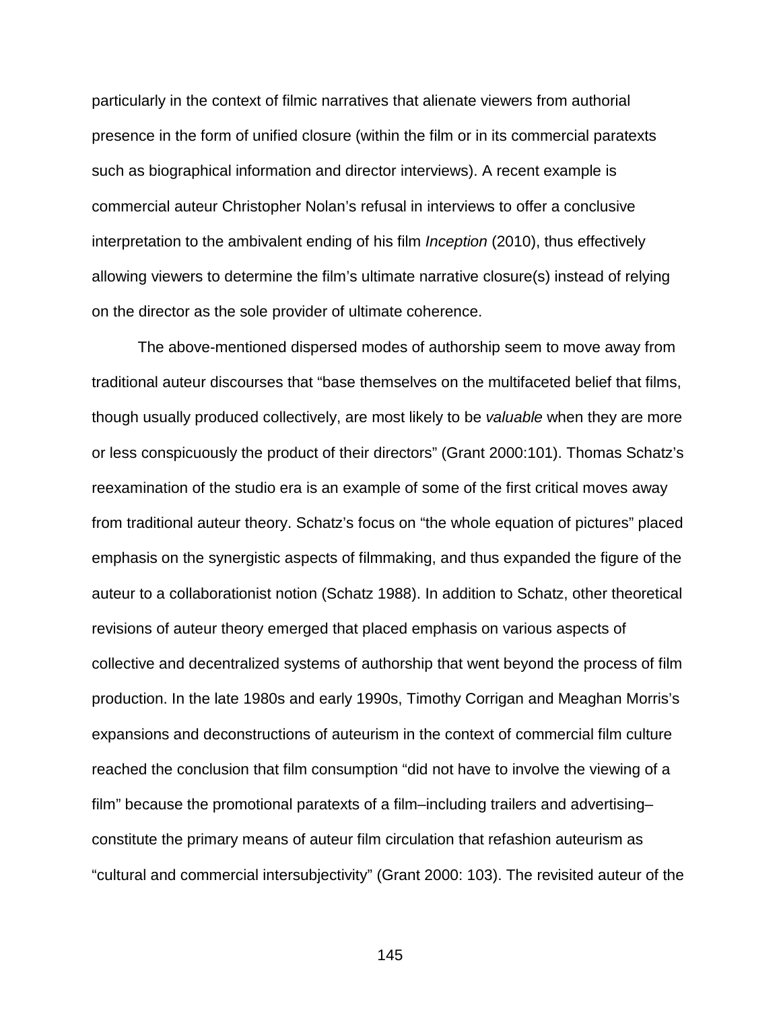particularly in the context of filmic narratives that alienate viewers from authorial presence in the form of unified closure (within the film or in its commercial paratexts such as biographical information and director interviews). A recent example is commercial auteur Christopher Nolan's refusal in interviews to offer a conclusive interpretation to the ambivalent ending of his film *Inception* (2010), thus effectively allowing viewers to determine the film's ultimate narrative closure(s) instead of relying on the director as the sole provider of ultimate coherence.

The above-mentioned dispersed modes of authorship seem to move away from traditional auteur discourses that "base themselves on the multifaceted belief that films, though usually produced collectively, are most likely to be *valuable* when they are more or less conspicuously the product of their directors" (Grant 2000:101). Thomas Schatz's reexamination of the studio era is an example of some of the first critical moves away from traditional auteur theory. Schatz's focus on "the whole equation of pictures" placed emphasis on the synergistic aspects of filmmaking, and thus expanded the figure of the auteur to a collaborationist notion (Schatz 1988). In addition to Schatz, other theoretical revisions of auteur theory emerged that placed emphasis on various aspects of collective and decentralized systems of authorship that went beyond the process of film production. In the late 1980s and early 1990s, Timothy Corrigan and Meaghan Morris's expansions and deconstructions of auteurism in the context of commercial film culture reached the conclusion that film consumption "did not have to involve the viewing of a film" because the promotional paratexts of a film–including trailers and advertising– constitute the primary means of auteur film circulation that refashion auteurism as "cultural and commercial intersubjectivity" (Grant 2000: 103). The revisited auteur of the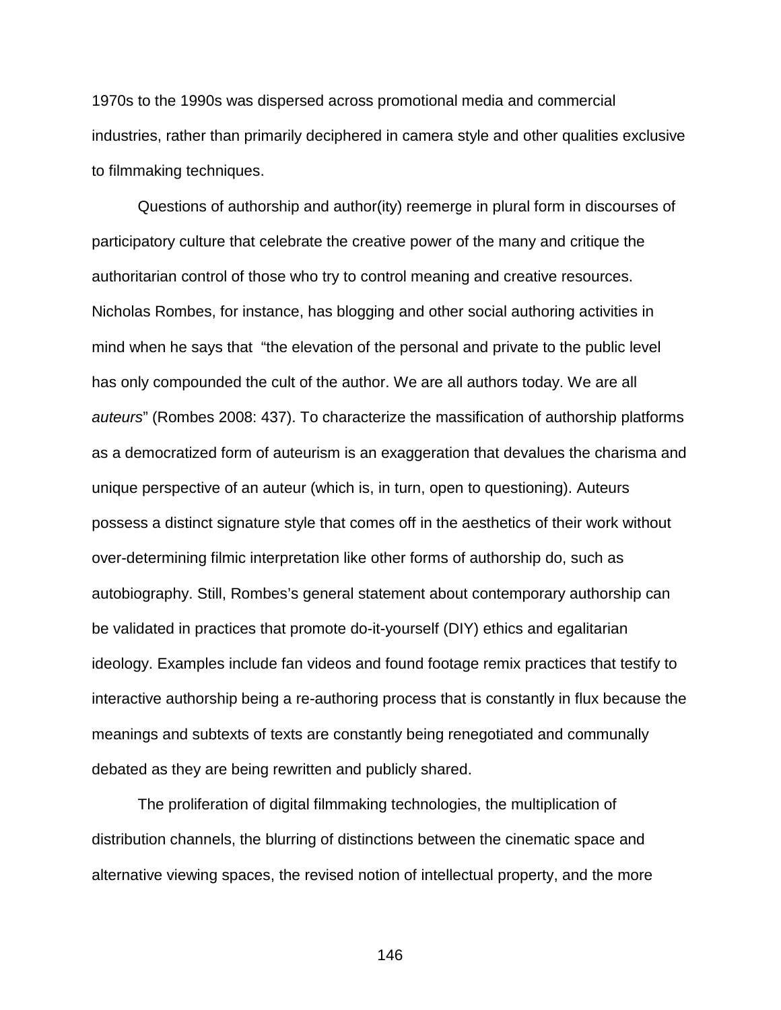1970s to the 1990s was dispersed across promotional media and commercial industries, rather than primarily deciphered in camera style and other qualities exclusive to filmmaking techniques.

Questions of authorship and author(ity) reemerge in plural form in discourses of participatory culture that celebrate the creative power of the many and critique the authoritarian control of those who try to control meaning and creative resources. Nicholas Rombes, for instance, has blogging and other social authoring activities in mind when he says that "the elevation of the personal and private to the public level has only compounded the cult of the author. We are all authors today. We are all *auteurs*" (Rombes 2008: 437). To characterize the massification of authorship platforms as a democratized form of auteurism is an exaggeration that devalues the charisma and unique perspective of an auteur (which is, in turn, open to questioning). Auteurs possess a distinct signature style that comes off in the aesthetics of their work without over-determining filmic interpretation like other forms of authorship do, such as autobiography. Still, Rombes's general statement about contemporary authorship can be validated in practices that promote do-it-yourself (DIY) ethics and egalitarian ideology. Examples include fan videos and found footage remix practices that testify to interactive authorship being a re-authoring process that is constantly in flux because the meanings and subtexts of texts are constantly being renegotiated and communally debated as they are being rewritten and publicly shared.

The proliferation of digital filmmaking technologies, the multiplication of distribution channels, the blurring of distinctions between the cinematic space and alternative viewing spaces, the revised notion of intellectual property, and the more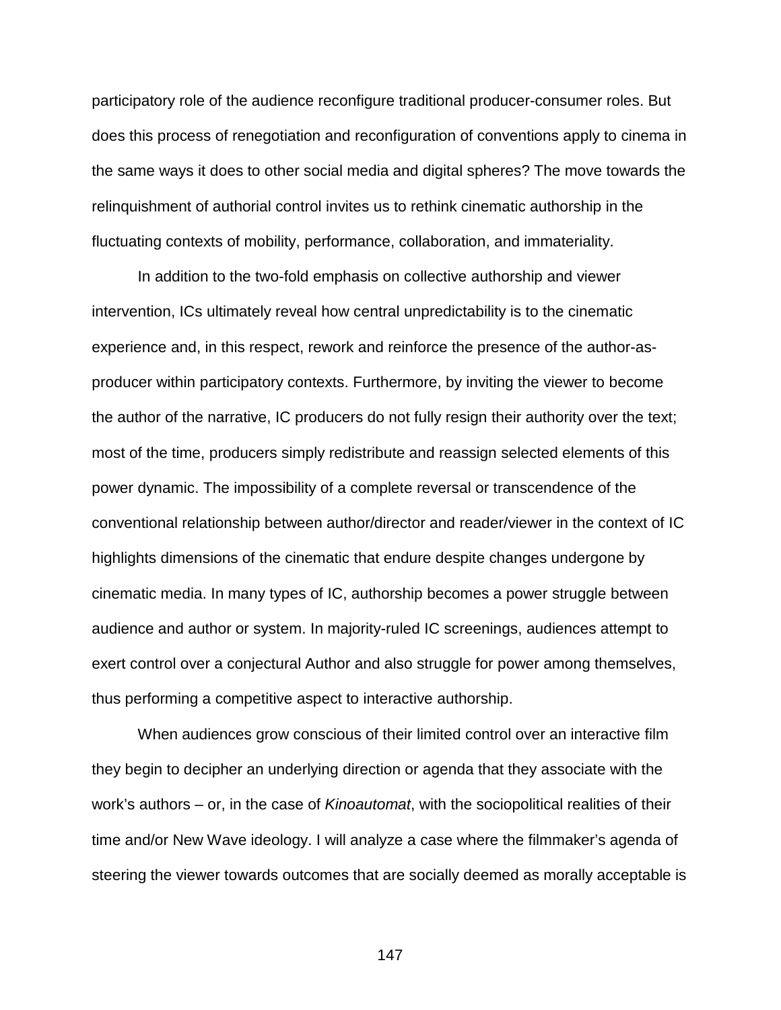participatory role of the audience reconfigure traditional producer-consumer roles. But does this process of renegotiation and reconfiguration of conventions apply to cinema in the same ways it does to other social media and digital spheres? The move towards the relinquishment of authorial control invites us to rethink cinematic authorship in the fluctuating contexts of mobility, performance, collaboration, and immateriality.

In addition to the two-fold emphasis on collective authorship and viewer intervention, ICs ultimately reveal how central unpredictability is to the cinematic experience and, in this respect, rework and reinforce the presence of the author-asproducer within participatory contexts. Furthermore, by inviting the viewer to become the author of the narrative, IC producers do not fully resign their authority over the text; most of the time, producers simply redistribute and reassign selected elements of this power dynamic. The impossibility of a complete reversal or transcendence of the conventional relationship between author/director and reader/viewer in the context of IC highlights dimensions of the cinematic that endure despite changes undergone by cinematic media. In many types of IC, authorship becomes a power struggle between audience and author or system. In majority-ruled IC screenings, audiences attempt to exert control over a conjectural Author and also struggle for power among themselves, thus performing a competitive aspect to interactive authorship.

When audiences grow conscious of their limited control over an interactive film they begin to decipher an underlying direction or agenda that they associate with the work's authors – or, in the case of *Kinoautomat*, with the sociopolitical realities of their time and/or New Wave ideology. I will analyze a case where the filmmaker's agenda of steering the viewer towards outcomes that are socially deemed as morally acceptable is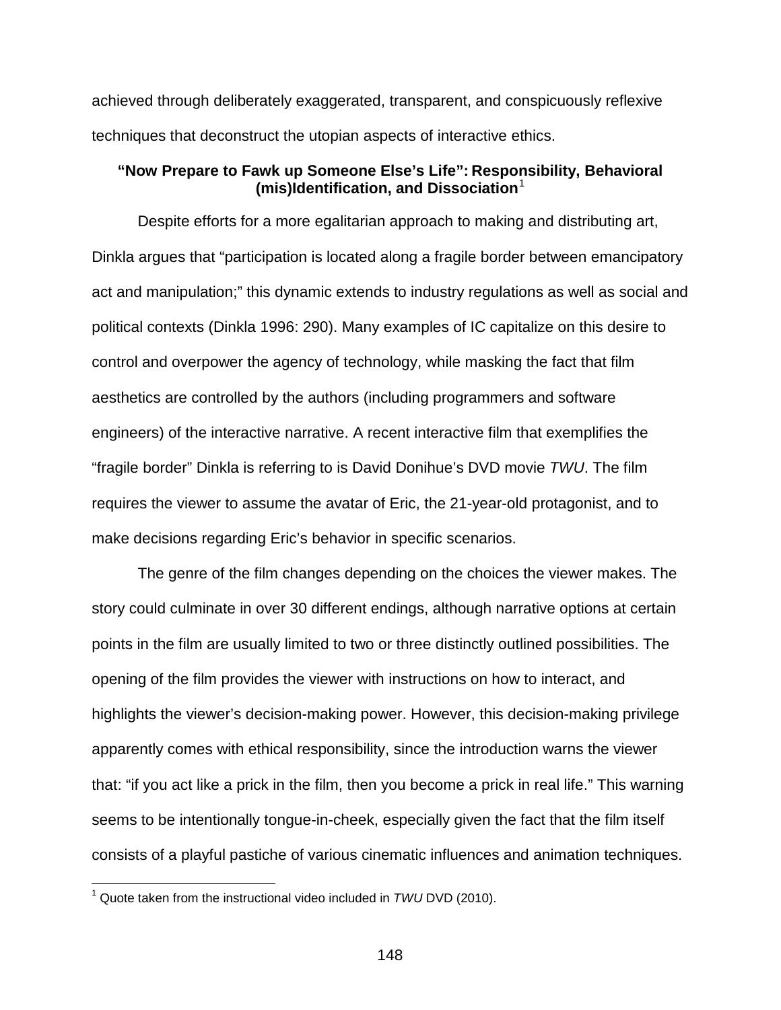achieved through deliberately exaggerated, transparent, and conspicuously reflexive techniques that deconstruct the utopian aspects of interactive ethics.

# **"Now Prepare to Fawk up Someone Else's Life": Responsibility, Behavioral (mis)Identification, and Dissociation**[1](#page-147-0)

Despite efforts for a more egalitarian approach to making and distributing art, Dinkla argues that "participation is located along a fragile border between emancipatory act and manipulation;" this dynamic extends to industry regulations as well as social and political contexts (Dinkla 1996: 290). Many examples of IC capitalize on this desire to control and overpower the agency of technology, while masking the fact that film aesthetics are controlled by the authors (including programmers and software engineers) of the interactive narrative. A recent interactive film that exemplifies the "fragile border" Dinkla is referring to is David Donihue's DVD movie *TWU*. The film requires the viewer to assume the avatar of Eric, the 21-year-old protagonist, and to make decisions regarding Eric's behavior in specific scenarios.

The genre of the film changes depending on the choices the viewer makes. The story could culminate in over 30 different endings, although narrative options at certain points in the film are usually limited to two or three distinctly outlined possibilities. The opening of the film provides the viewer with instructions on how to interact, and highlights the viewer's decision-making power. However, this decision-making privilege apparently comes with ethical responsibility, since the introduction warns the viewer that: "if you act like a prick in the film, then you become a prick in real life." This warning seems to be intentionally tongue-in-cheek, especially given the fact that the film itself consists of a playful pastiche of various cinematic influences and animation techniques.

<span id="page-147-0"></span> <sup>1</sup> Quote taken from the instructional video included in *TWU* DVD (2010).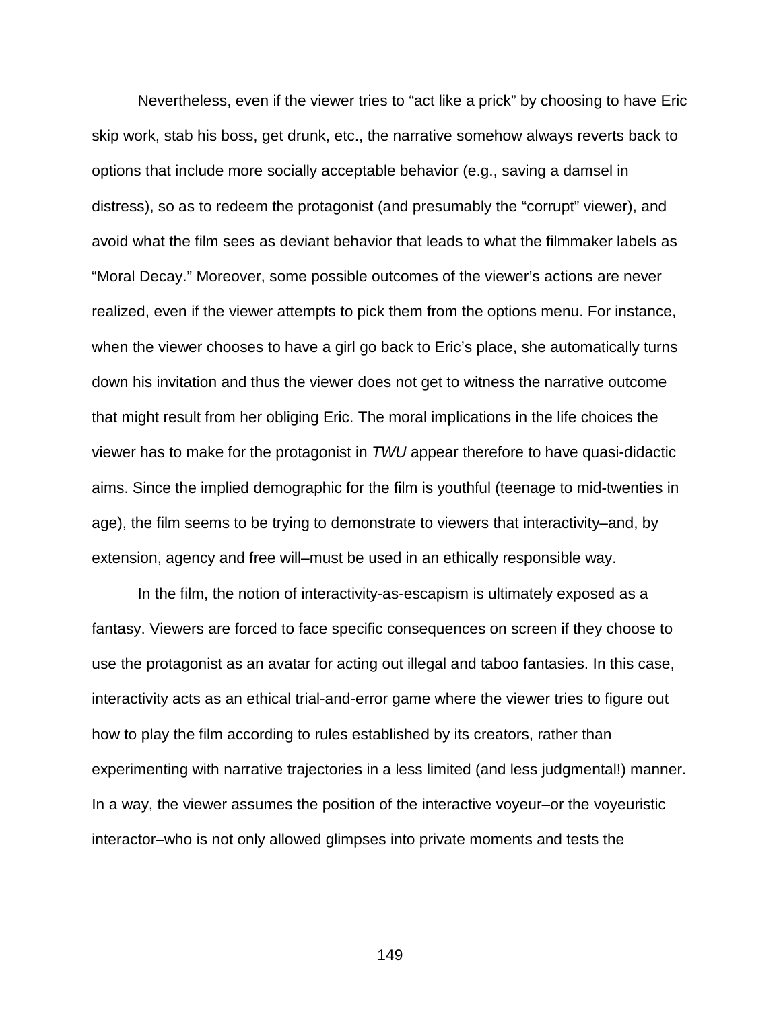Nevertheless, even if the viewer tries to "act like a prick" by choosing to have Eric skip work, stab his boss, get drunk, etc., the narrative somehow always reverts back to options that include more socially acceptable behavior (e.g., saving a damsel in distress), so as to redeem the protagonist (and presumably the "corrupt" viewer), and avoid what the film sees as deviant behavior that leads to what the filmmaker labels as "Moral Decay." Moreover, some possible outcomes of the viewer's actions are never realized, even if the viewer attempts to pick them from the options menu. For instance, when the viewer chooses to have a girl go back to Eric's place, she automatically turns down his invitation and thus the viewer does not get to witness the narrative outcome that might result from her obliging Eric. The moral implications in the life choices the viewer has to make for the protagonist in *TWU* appear therefore to have quasi-didactic aims. Since the implied demographic for the film is youthful (teenage to mid-twenties in age), the film seems to be trying to demonstrate to viewers that interactivity–and, by extension, agency and free will–must be used in an ethically responsible way.

In the film, the notion of interactivity-as-escapism is ultimately exposed as a fantasy. Viewers are forced to face specific consequences on screen if they choose to use the protagonist as an avatar for acting out illegal and taboo fantasies. In this case, interactivity acts as an ethical trial-and-error game where the viewer tries to figure out how to play the film according to rules established by its creators, rather than experimenting with narrative trajectories in a less limited (and less judgmental!) manner. In a way, the viewer assumes the position of the interactive voyeur–or the voyeuristic interactor–who is not only allowed glimpses into private moments and tests the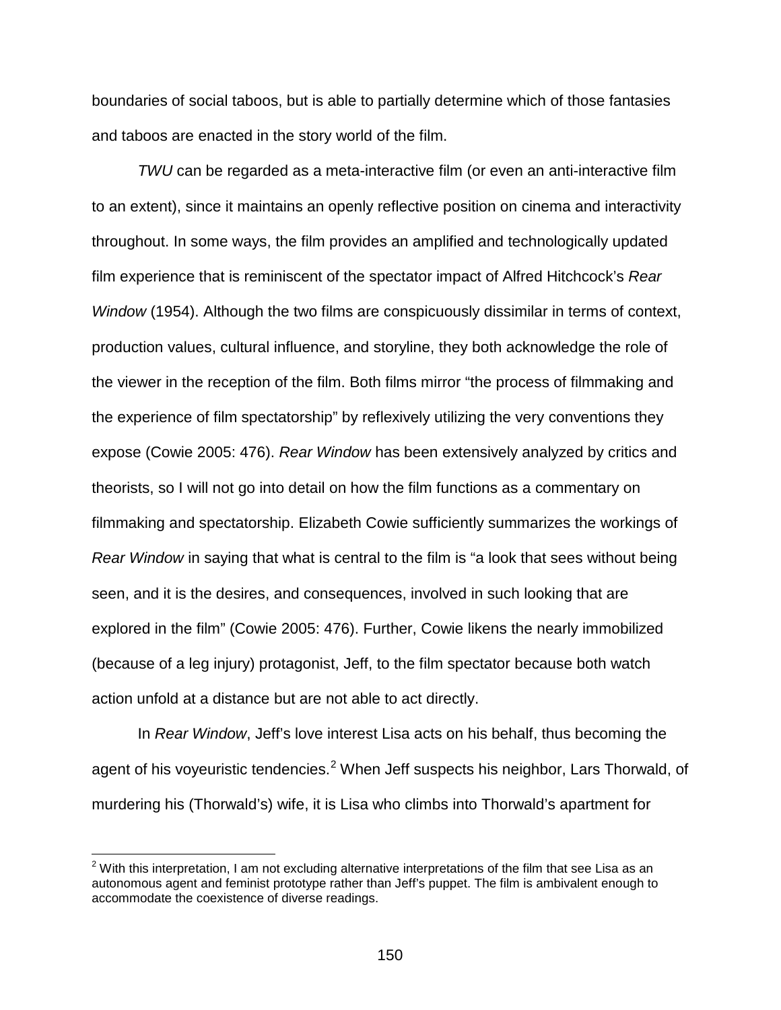boundaries of social taboos, but is able to partially determine which of those fantasies and taboos are enacted in the story world of the film.

*TWU* can be regarded as a meta-interactive film (or even an anti-interactive film to an extent), since it maintains an openly reflective position on cinema and interactivity throughout. In some ways, the film provides an amplified and technologically updated film experience that is reminiscent of the spectator impact of Alfred Hitchcock's *Rear Window* (1954). Although the two films are conspicuously dissimilar in terms of context, production values, cultural influence, and storyline, they both acknowledge the role of the viewer in the reception of the film. Both films mirror "the process of filmmaking and the experience of film spectatorship" by reflexively utilizing the very conventions they expose (Cowie 2005: 476). *Rear Window* has been extensively analyzed by critics and theorists, so I will not go into detail on how the film functions as a commentary on filmmaking and spectatorship. Elizabeth Cowie sufficiently summarizes the workings of *Rear Window* in saying that what is central to the film is "a look that sees without being seen, and it is the desires, and consequences, involved in such looking that are explored in the film" (Cowie 2005: 476). Further, Cowie likens the nearly immobilized (because of a leg injury) protagonist, Jeff, to the film spectator because both watch action unfold at a distance but are not able to act directly.

In *Rear Window*, Jeff's love interest Lisa acts on his behalf, thus becoming the agent of his voyeuristic tendencies.<sup>[2](#page-149-0)</sup> When Jeff suspects his neighbor, Lars Thorwald, of murdering his (Thorwald's) wife, it is Lisa who climbs into Thorwald's apartment for

<span id="page-149-0"></span> $2$  With this interpretation, I am not excluding alternative interpretations of the film that see Lisa as an autonomous agent and feminist prototype rather than Jeff's puppet. The film is ambivalent enough to accommodate the coexistence of diverse readings.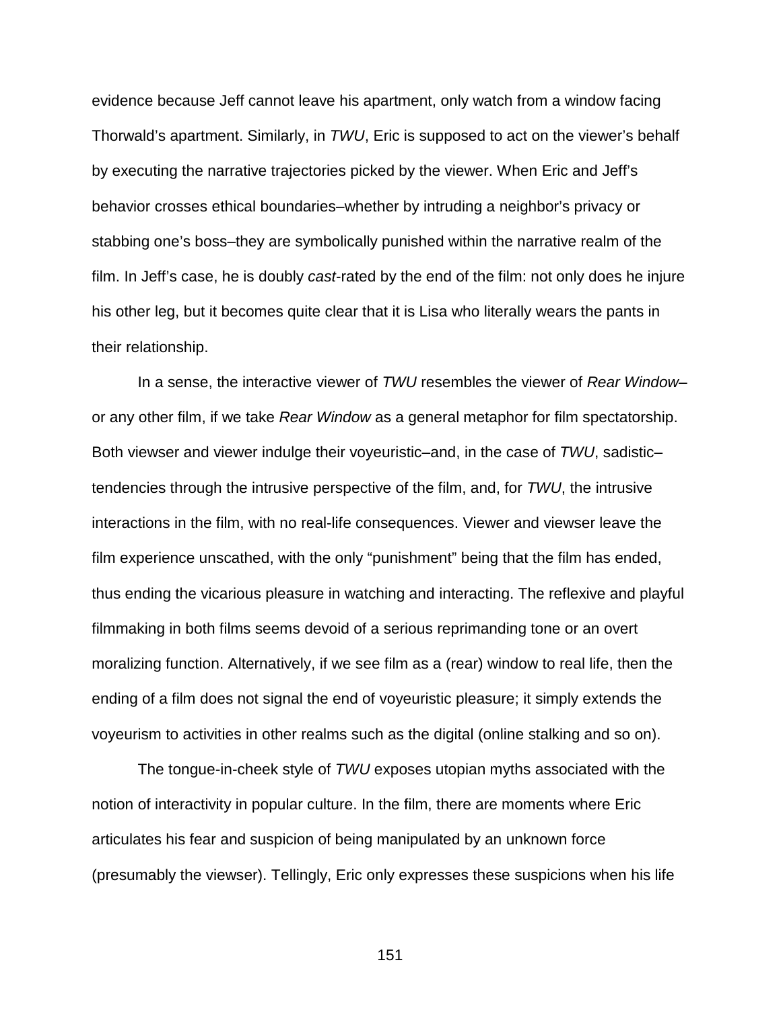evidence because Jeff cannot leave his apartment, only watch from a window facing Thorwald's apartment. Similarly, in *TWU*, Eric is supposed to act on the viewer's behalf by executing the narrative trajectories picked by the viewer. When Eric and Jeff's behavior crosses ethical boundaries–whether by intruding a neighbor's privacy or stabbing one's boss–they are symbolically punished within the narrative realm of the film. In Jeff's case, he is doubly *cast*-rated by the end of the film: not only does he injure his other leg, but it becomes quite clear that it is Lisa who literally wears the pants in their relationship.

In a sense, the interactive viewer of *TWU* resembles the viewer of *Rear Window*– or any other film, if we take *Rear Window* as a general metaphor for film spectatorship. Both viewser and viewer indulge their voyeuristic–and, in the case of *TWU*, sadistic– tendencies through the intrusive perspective of the film, and, for *TWU*, the intrusive interactions in the film, with no real-life consequences. Viewer and viewser leave the film experience unscathed, with the only "punishment" being that the film has ended, thus ending the vicarious pleasure in watching and interacting. The reflexive and playful filmmaking in both films seems devoid of a serious reprimanding tone or an overt moralizing function. Alternatively, if we see film as a (rear) window to real life, then the ending of a film does not signal the end of voyeuristic pleasure; it simply extends the voyeurism to activities in other realms such as the digital (online stalking and so on).

The tongue-in-cheek style of *TWU* exposes utopian myths associated with the notion of interactivity in popular culture. In the film, there are moments where Eric articulates his fear and suspicion of being manipulated by an unknown force (presumably the viewser). Tellingly, Eric only expresses these suspicions when his life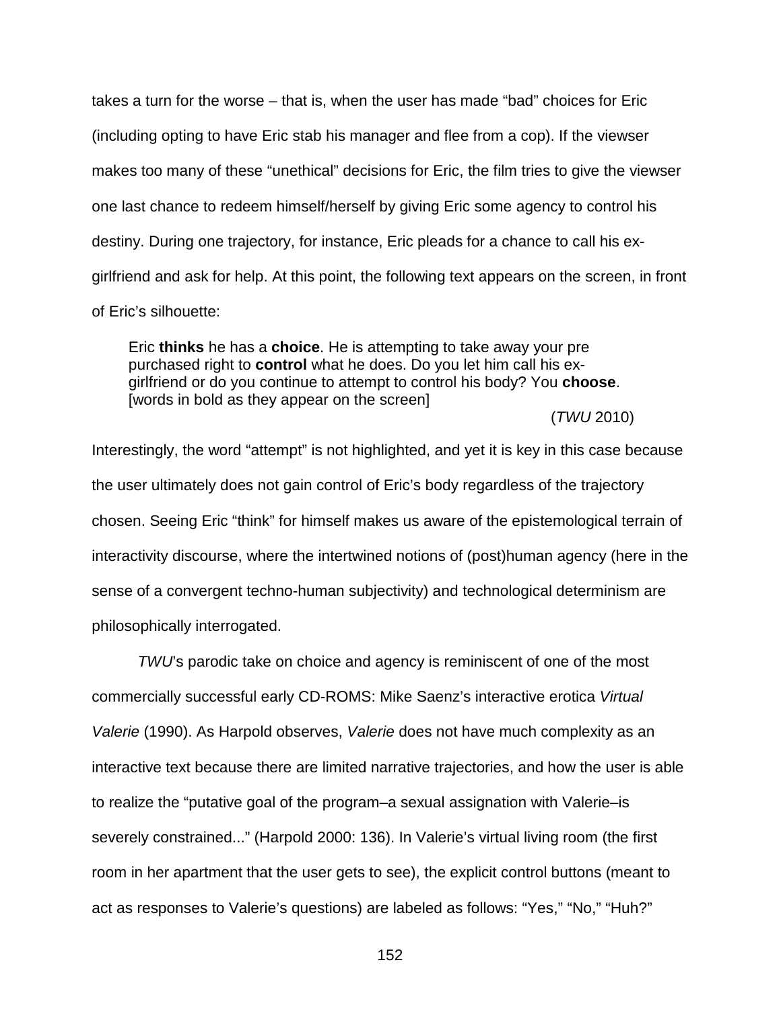takes a turn for the worse – that is, when the user has made "bad" choices for Eric (including opting to have Eric stab his manager and flee from a cop). If the viewser makes too many of these "unethical" decisions for Eric, the film tries to give the viewser one last chance to redeem himself/herself by giving Eric some agency to control his destiny. During one trajectory, for instance, Eric pleads for a chance to call his exgirlfriend and ask for help. At this point, the following text appears on the screen, in front of Eric's silhouette:

Eric **thinks** he has a **choice**. He is attempting to take away your pre purchased right to **control** what he does. Do you let him call his exgirlfriend or do you continue to attempt to control his body? You **choose**. [words in bold as they appear on the screen]

#### (*TWU* 2010)

Interestingly, the word "attempt" is not highlighted, and yet it is key in this case because the user ultimately does not gain control of Eric's body regardless of the trajectory chosen. Seeing Eric "think" for himself makes us aware of the epistemological terrain of interactivity discourse, where the intertwined notions of (post)human agency (here in the sense of a convergent techno-human subjectivity) and technological determinism are philosophically interrogated.

*TWU*'s parodic take on choice and agency is reminiscent of one of the most commercially successful early CD-ROMS: Mike Saenz's interactive erotica *Virtual Valerie* (1990). As Harpold observes, *Valerie* does not have much complexity as an interactive text because there are limited narrative trajectories, and how the user is able to realize the "putative goal of the program–a sexual assignation with Valerie–is severely constrained..." (Harpold 2000: 136). In Valerie's virtual living room (the first room in her apartment that the user gets to see), the explicit control buttons (meant to act as responses to Valerie's questions) are labeled as follows: "Yes," "No," "Huh?"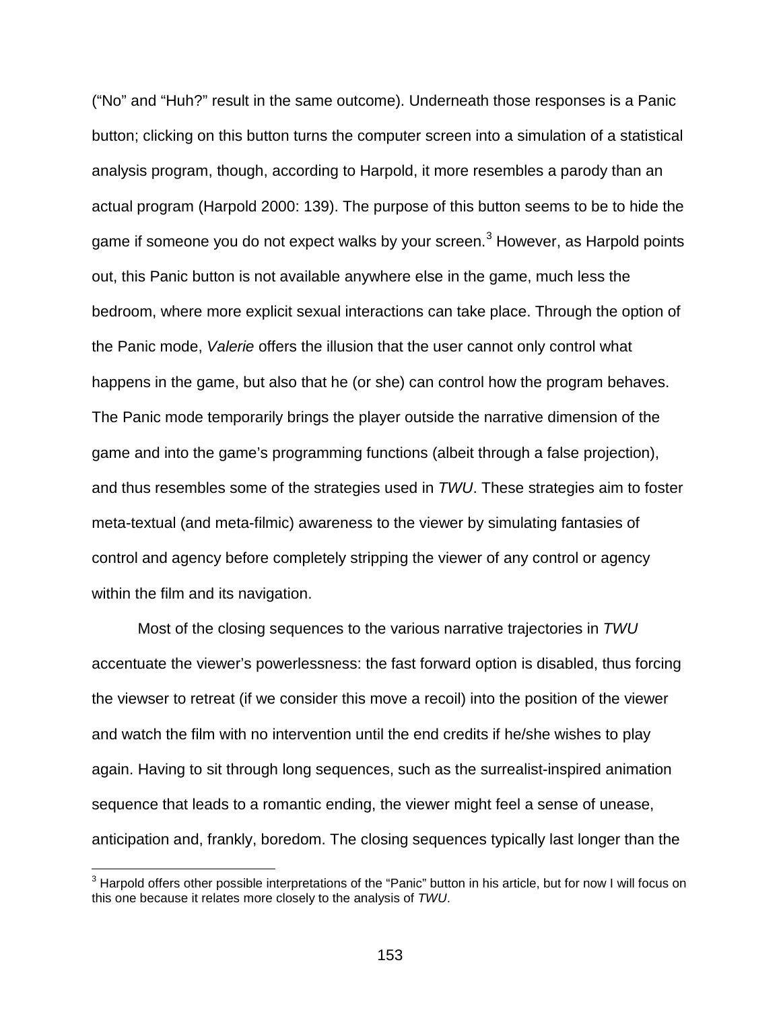("No" and "Huh?" result in the same outcome). Underneath those responses is a Panic button; clicking on this button turns the computer screen into a simulation of a statistical analysis program, though, according to Harpold, it more resembles a parody than an actual program (Harpold 2000: 139). The purpose of this button seems to be to hide the game if someone you do not expect walks by your screen.<sup>[3](#page-152-0)</sup> However, as Harpold points out, this Panic button is not available anywhere else in the game, much less the bedroom, where more explicit sexual interactions can take place. Through the option of the Panic mode, *Valerie* offers the illusion that the user cannot only control what happens in the game, but also that he (or she) can control how the program behaves. The Panic mode temporarily brings the player outside the narrative dimension of the game and into the game's programming functions (albeit through a false projection), and thus resembles some of the strategies used in *TWU*. These strategies aim to foster meta-textual (and meta-filmic) awareness to the viewer by simulating fantasies of control and agency before completely stripping the viewer of any control or agency within the film and its navigation.

Most of the closing sequences to the various narrative trajectories in *TWU*  accentuate the viewer's powerlessness: the fast forward option is disabled, thus forcing the viewser to retreat (if we consider this move a recoil) into the position of the viewer and watch the film with no intervention until the end credits if he/she wishes to play again. Having to sit through long sequences, such as the surrealist-inspired animation sequence that leads to a romantic ending, the viewer might feel a sense of unease, anticipation and, frankly, boredom. The closing sequences typically last longer than the

<span id="page-152-0"></span> $3$  Harpold offers other possible interpretations of the "Panic" button in his article, but for now I will focus on this one because it relates more closely to the analysis of *TWU*.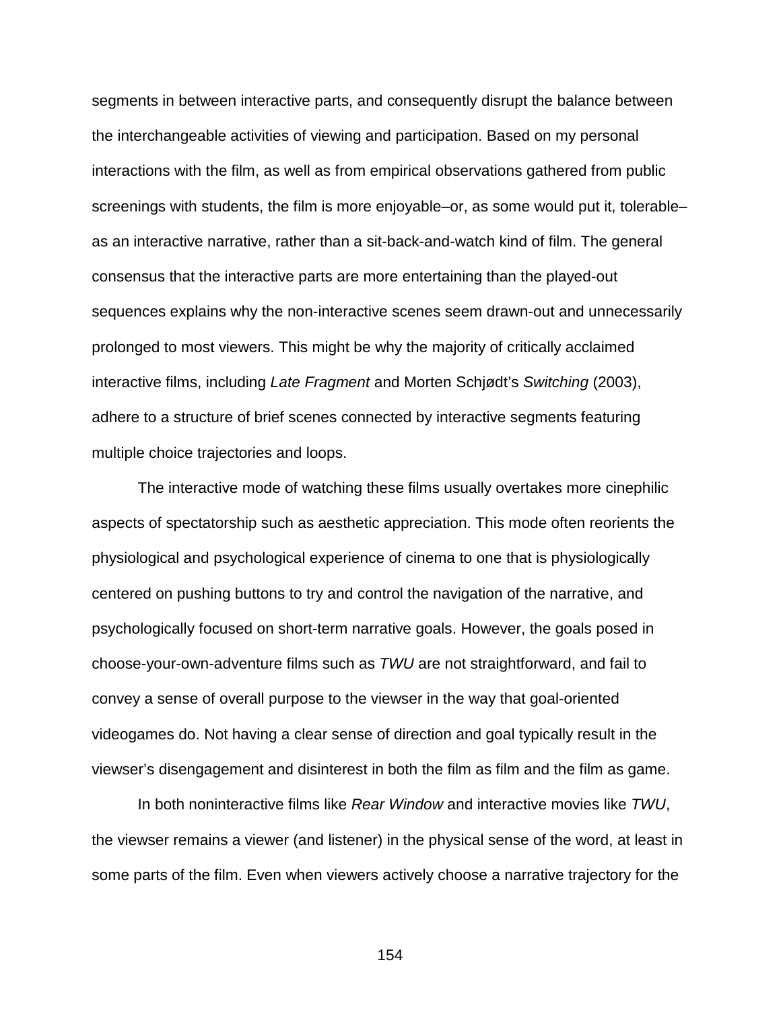segments in between interactive parts, and consequently disrupt the balance between the interchangeable activities of viewing and participation. Based on my personal interactions with the film, as well as from empirical observations gathered from public screenings with students, the film is more enjoyable–or, as some would put it, tolerable– as an interactive narrative, rather than a sit-back-and-watch kind of film. The general consensus that the interactive parts are more entertaining than the played-out sequences explains why the non-interactive scenes seem drawn-out and unnecessarily prolonged to most viewers. This might be why the majority of critically acclaimed interactive films, including *Late Fragment* and Morten Schjødt's *Switching* (2003), adhere to a structure of brief scenes connected by interactive segments featuring multiple choice trajectories and loops.

The interactive mode of watching these films usually overtakes more cinephilic aspects of spectatorship such as aesthetic appreciation. This mode often reorients the physiological and psychological experience of cinema to one that is physiologically centered on pushing buttons to try and control the navigation of the narrative, and psychologically focused on short-term narrative goals. However, the goals posed in choose-your-own-adventure films such as *TWU* are not straightforward, and fail to convey a sense of overall purpose to the viewser in the way that goal-oriented videogames do. Not having a clear sense of direction and goal typically result in the viewser's disengagement and disinterest in both the film as film and the film as game.

In both noninteractive films like *Rear Window* and interactive movies like *TWU*, the viewser remains a viewer (and listener) in the physical sense of the word, at least in some parts of the film. Even when viewers actively choose a narrative trajectory for the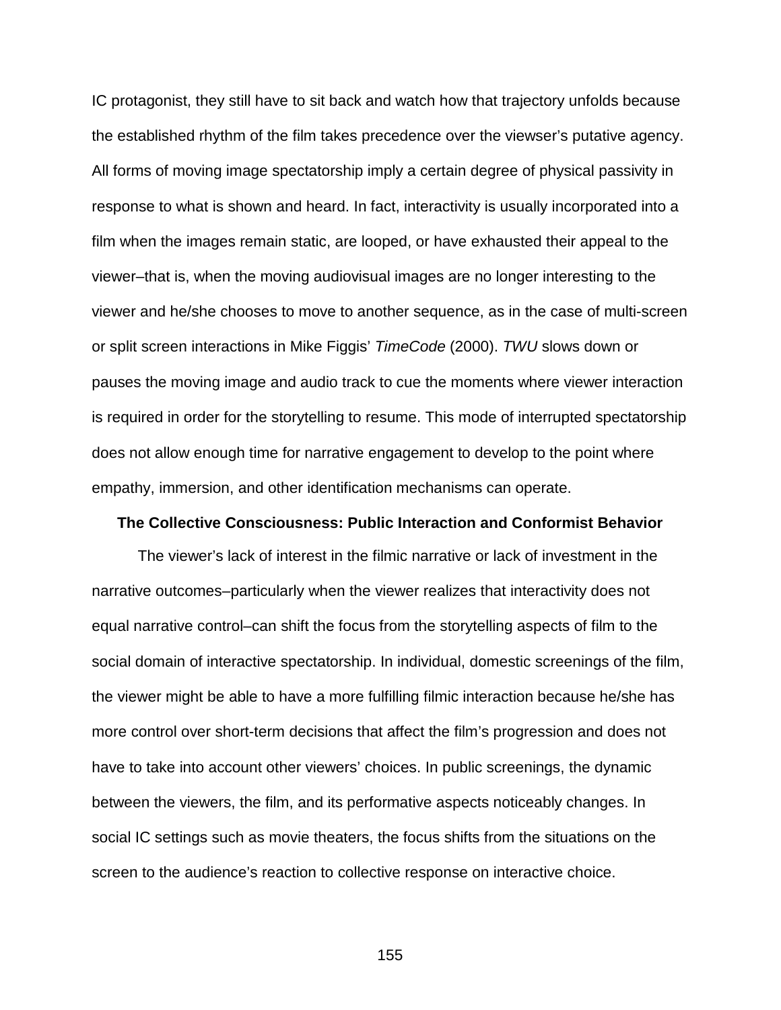IC protagonist, they still have to sit back and watch how that trajectory unfolds because the established rhythm of the film takes precedence over the viewser's putative agency. All forms of moving image spectatorship imply a certain degree of physical passivity in response to what is shown and heard. In fact, interactivity is usually incorporated into a film when the images remain static, are looped, or have exhausted their appeal to the viewer–that is, when the moving audiovisual images are no longer interesting to the viewer and he/she chooses to move to another sequence, as in the case of multi-screen or split screen interactions in Mike Figgis' *TimeCode* (2000). *TWU* slows down or pauses the moving image and audio track to cue the moments where viewer interaction is required in order for the storytelling to resume. This mode of interrupted spectatorship does not allow enough time for narrative engagement to develop to the point where empathy, immersion, and other identification mechanisms can operate.

#### **The Collective Consciousness: Public Interaction and Conformist Behavior**

The viewer's lack of interest in the filmic narrative or lack of investment in the narrative outcomes–particularly when the viewer realizes that interactivity does not equal narrative control–can shift the focus from the storytelling aspects of film to the social domain of interactive spectatorship. In individual, domestic screenings of the film, the viewer might be able to have a more fulfilling filmic interaction because he/she has more control over short-term decisions that affect the film's progression and does not have to take into account other viewers' choices. In public screenings, the dynamic between the viewers, the film, and its performative aspects noticeably changes. In social IC settings such as movie theaters, the focus shifts from the situations on the screen to the audience's reaction to collective response on interactive choice.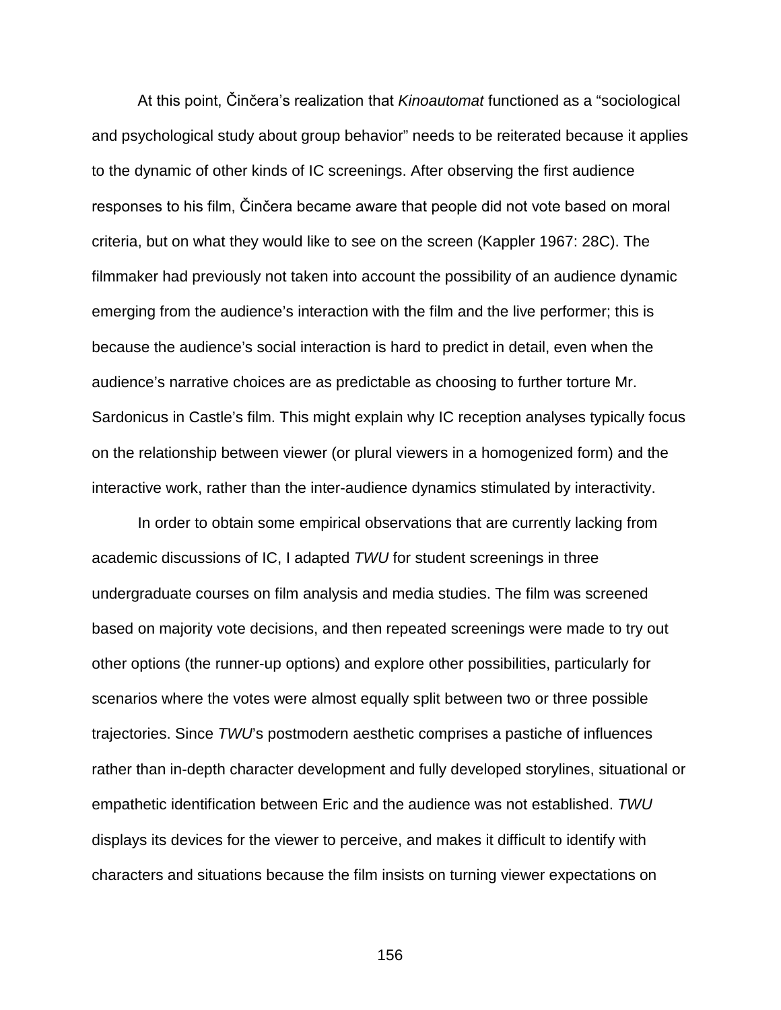At this point, Činčera's realization that *Kinoautomat* functioned as a "sociological and psychological study about group behavior" needs to be reiterated because it applies to the dynamic of other kinds of IC screenings. After observing the first audience responses to his film, Činčera became aware that people did not vote based on moral criteria, but on what they would like to see on the screen (Kappler 1967: 28C). The filmmaker had previously not taken into account the possibility of an audience dynamic emerging from the audience's interaction with the film and the live performer; this is because the audience's social interaction is hard to predict in detail, even when the audience's narrative choices are as predictable as choosing to further torture Mr. Sardonicus in Castle's film. This might explain why IC reception analyses typically focus on the relationship between viewer (or plural viewers in a homogenized form) and the interactive work, rather than the inter-audience dynamics stimulated by interactivity.

In order to obtain some empirical observations that are currently lacking from academic discussions of IC, I adapted *TWU* for student screenings in three undergraduate courses on film analysis and media studies. The film was screened based on majority vote decisions, and then repeated screenings were made to try out other options (the runner-up options) and explore other possibilities, particularly for scenarios where the votes were almost equally split between two or three possible trajectories. Since *TWU*'s postmodern aesthetic comprises a pastiche of influences rather than in-depth character development and fully developed storylines, situational or empathetic identification between Eric and the audience was not established. *TWU* displays its devices for the viewer to perceive, and makes it difficult to identify with characters and situations because the film insists on turning viewer expectations on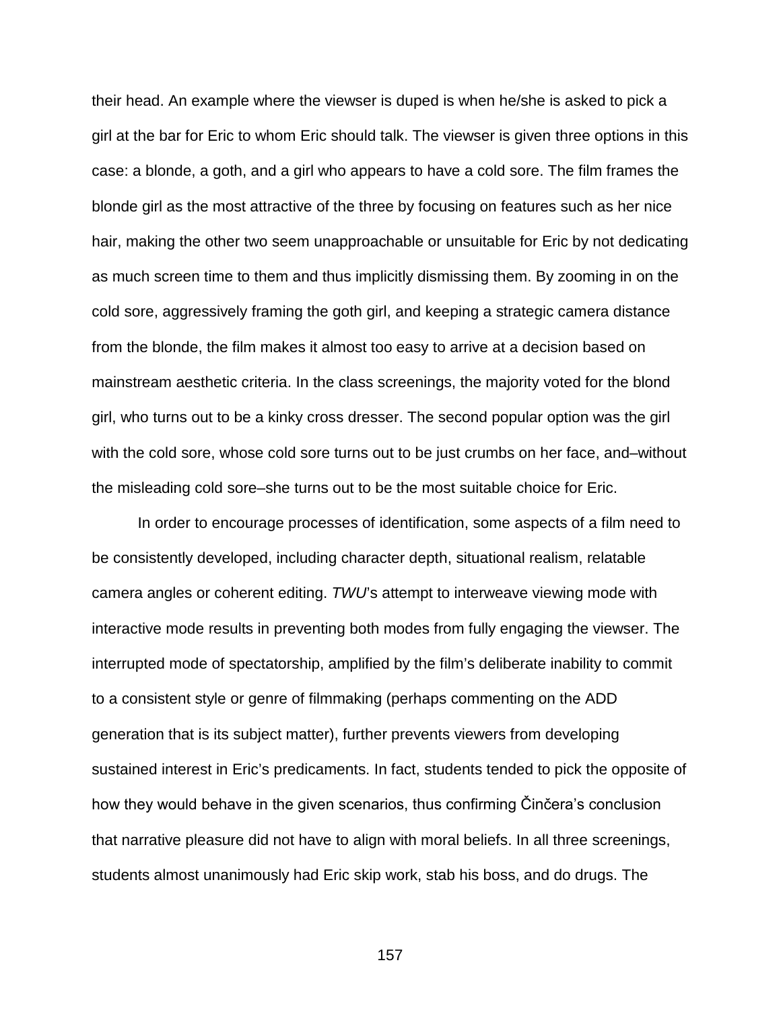their head. An example where the viewser is duped is when he/she is asked to pick a girl at the bar for Eric to whom Eric should talk. The viewser is given three options in this case: a blonde, a goth, and a girl who appears to have a cold sore. The film frames the blonde girl as the most attractive of the three by focusing on features such as her nice hair, making the other two seem unapproachable or unsuitable for Eric by not dedicating as much screen time to them and thus implicitly dismissing them. By zooming in on the cold sore, aggressively framing the goth girl, and keeping a strategic camera distance from the blonde, the film makes it almost too easy to arrive at a decision based on mainstream aesthetic criteria. In the class screenings, the majority voted for the blond girl, who turns out to be a kinky cross dresser. The second popular option was the girl with the cold sore, whose cold sore turns out to be just crumbs on her face, and–without the misleading cold sore–she turns out to be the most suitable choice for Eric.

In order to encourage processes of identification, some aspects of a film need to be consistently developed, including character depth, situational realism, relatable camera angles or coherent editing. *TWU*'s attempt to interweave viewing mode with interactive mode results in preventing both modes from fully engaging the viewser. The interrupted mode of spectatorship, amplified by the film's deliberate inability to commit to a consistent style or genre of filmmaking (perhaps commenting on the ADD generation that is its subject matter), further prevents viewers from developing sustained interest in Eric's predicaments. In fact, students tended to pick the opposite of how they would behave in the given scenarios, thus confirming Činčera's conclusion that narrative pleasure did not have to align with moral beliefs. In all three screenings, students almost unanimously had Eric skip work, stab his boss, and do drugs. The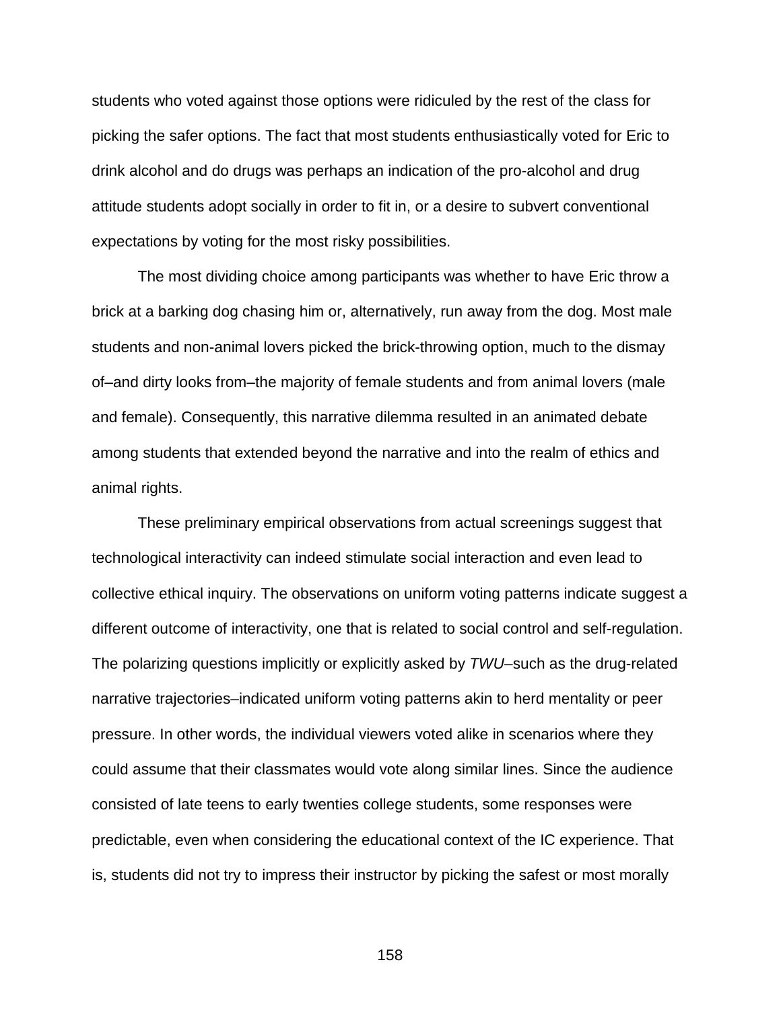students who voted against those options were ridiculed by the rest of the class for picking the safer options. The fact that most students enthusiastically voted for Eric to drink alcohol and do drugs was perhaps an indication of the pro-alcohol and drug attitude students adopt socially in order to fit in, or a desire to subvert conventional expectations by voting for the most risky possibilities.

The most dividing choice among participants was whether to have Eric throw a brick at a barking dog chasing him or, alternatively, run away from the dog. Most male students and non-animal lovers picked the brick-throwing option, much to the dismay of–and dirty looks from–the majority of female students and from animal lovers (male and female). Consequently, this narrative dilemma resulted in an animated debate among students that extended beyond the narrative and into the realm of ethics and animal rights.

These preliminary empirical observations from actual screenings suggest that technological interactivity can indeed stimulate social interaction and even lead to collective ethical inquiry. The observations on uniform voting patterns indicate suggest a different outcome of interactivity, one that is related to social control and self-regulation. The polarizing questions implicitly or explicitly asked by *TWU*–such as the drug-related narrative trajectories–indicated uniform voting patterns akin to herd mentality or peer pressure. In other words, the individual viewers voted alike in scenarios where they could assume that their classmates would vote along similar lines. Since the audience consisted of late teens to early twenties college students, some responses were predictable, even when considering the educational context of the IC experience. That is, students did not try to impress their instructor by picking the safest or most morally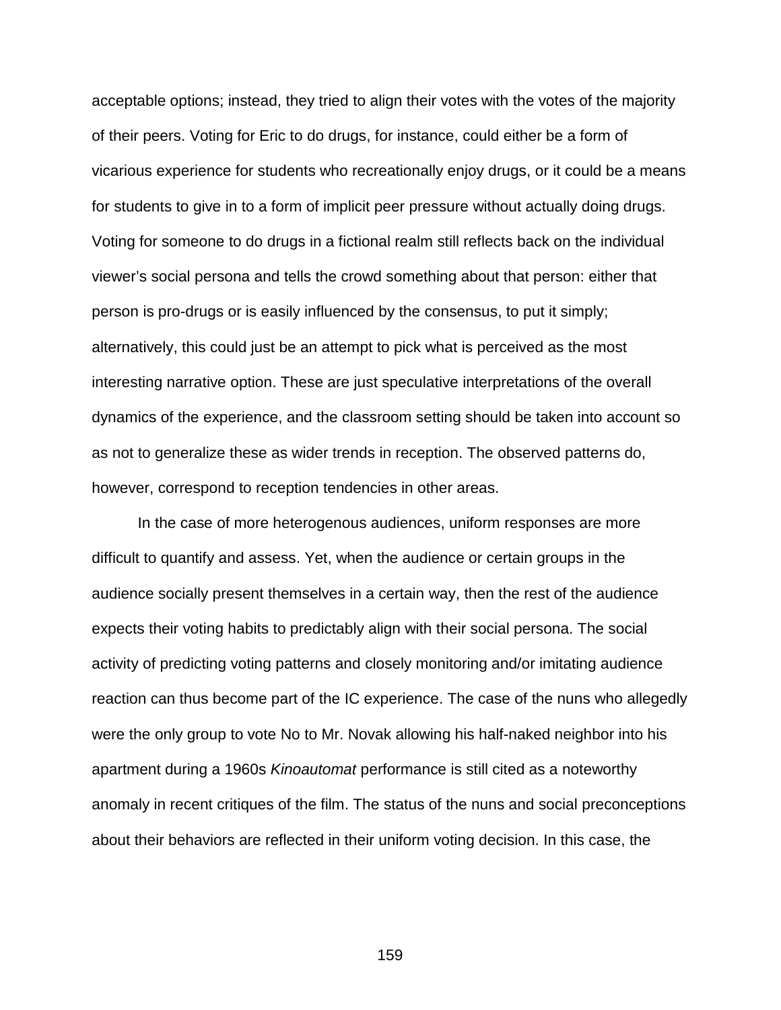acceptable options; instead, they tried to align their votes with the votes of the majority of their peers. Voting for Eric to do drugs, for instance, could either be a form of vicarious experience for students who recreationally enjoy drugs, or it could be a means for students to give in to a form of implicit peer pressure without actually doing drugs. Voting for someone to do drugs in a fictional realm still reflects back on the individual viewer's social persona and tells the crowd something about that person: either that person is pro-drugs or is easily influenced by the consensus, to put it simply; alternatively, this could just be an attempt to pick what is perceived as the most interesting narrative option. These are just speculative interpretations of the overall dynamics of the experience, and the classroom setting should be taken into account so as not to generalize these as wider trends in reception. The observed patterns do, however, correspond to reception tendencies in other areas.

In the case of more heterogenous audiences, uniform responses are more difficult to quantify and assess. Yet, when the audience or certain groups in the audience socially present themselves in a certain way, then the rest of the audience expects their voting habits to predictably align with their social persona. The social activity of predicting voting patterns and closely monitoring and/or imitating audience reaction can thus become part of the IC experience. The case of the nuns who allegedly were the only group to vote No to Mr. Novak allowing his half-naked neighbor into his apartment during a 1960s *Kinoautomat* performance is still cited as a noteworthy anomaly in recent critiques of the film. The status of the nuns and social preconceptions about their behaviors are reflected in their uniform voting decision. In this case, the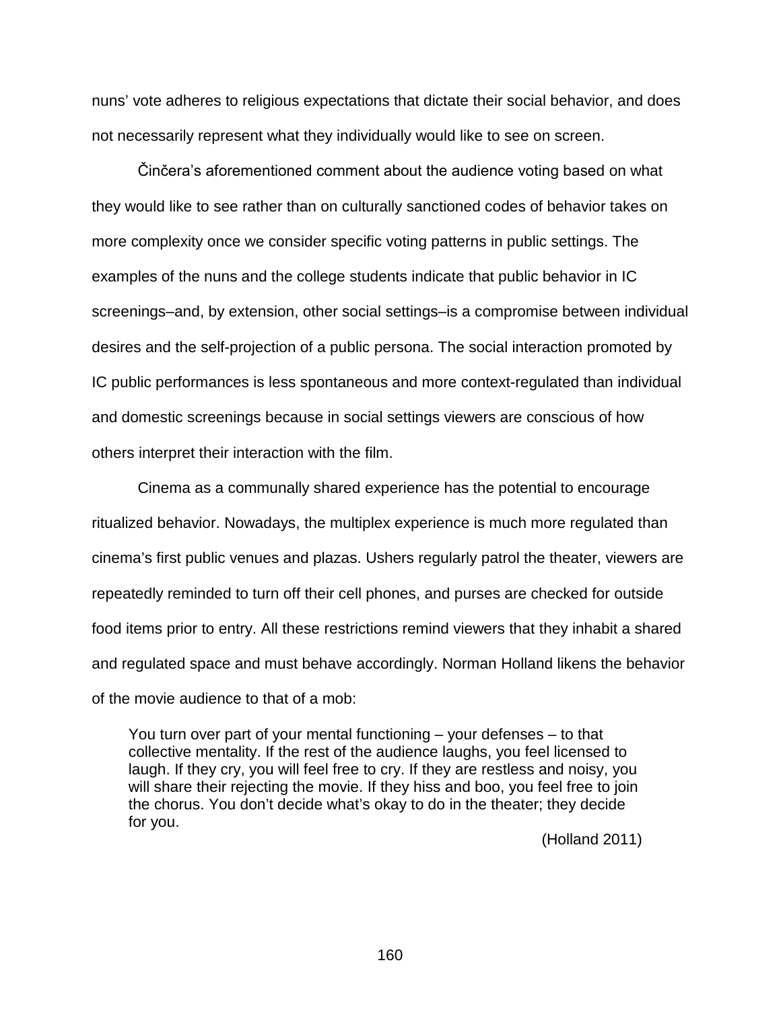nuns' vote adheres to religious expectations that dictate their social behavior, and does not necessarily represent what they individually would like to see on screen.

Činčera's aforementioned comment about the audience voting based on what they would like to see rather than on culturally sanctioned codes of behavior takes on more complexity once we consider specific voting patterns in public settings. The examples of the nuns and the college students indicate that public behavior in IC screenings–and, by extension, other social settings–is a compromise between individual desires and the self-projection of a public persona. The social interaction promoted by IC public performances is less spontaneous and more context-regulated than individual and domestic screenings because in social settings viewers are conscious of how others interpret their interaction with the film.

Cinema as a communally shared experience has the potential to encourage ritualized behavior. Nowadays, the multiplex experience is much more regulated than cinema's first public venues and plazas. Ushers regularly patrol the theater, viewers are repeatedly reminded to turn off their cell phones, and purses are checked for outside food items prior to entry. All these restrictions remind viewers that they inhabit a shared and regulated space and must behave accordingly. Norman Holland likens the behavior of the movie audience to that of a mob:

You turn over part of your mental functioning – your defenses – to that collective mentality. If the rest of the audience laughs, you feel licensed to laugh. If they cry, you will feel free to cry. If they are restless and noisy, you will share their rejecting the movie. If they hiss and boo, you feel free to join the chorus. You don't decide what's okay to do in the theater; they decide for you.

(Holland 2011)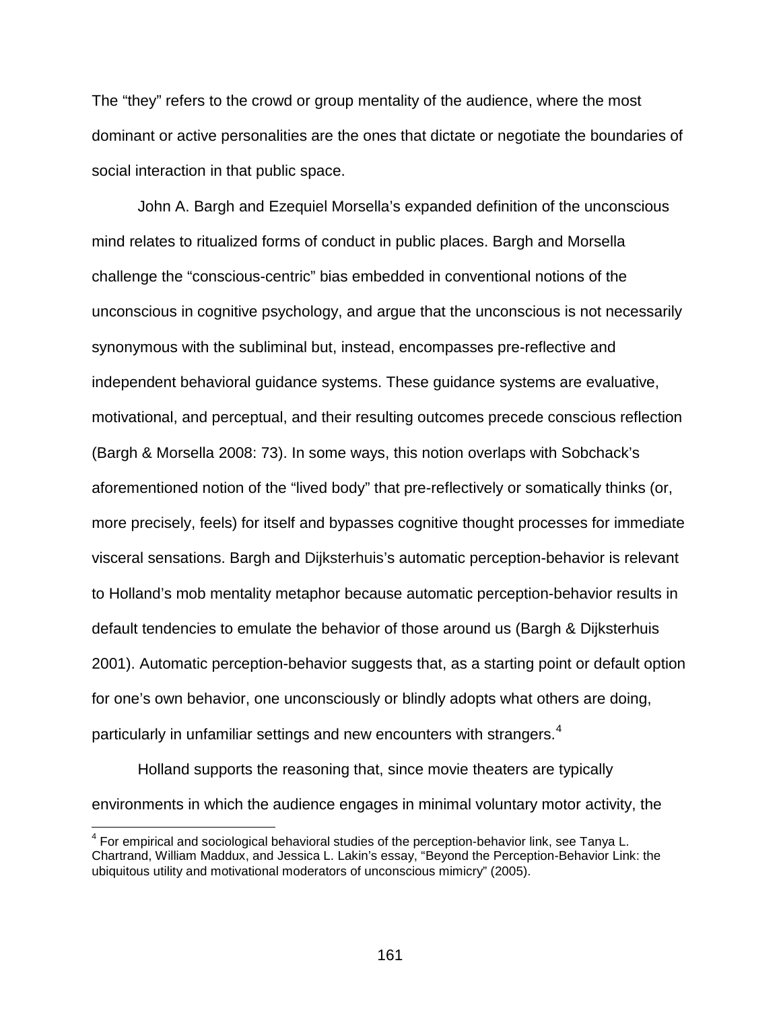The "they" refers to the crowd or group mentality of the audience, where the most dominant or active personalities are the ones that dictate or negotiate the boundaries of social interaction in that public space.

John A. Bargh and Ezequiel Morsella's expanded definition of the unconscious mind relates to ritualized forms of conduct in public places. Bargh and Morsella challenge the "conscious-centric" bias embedded in conventional notions of the unconscious in cognitive psychology, and argue that the unconscious is not necessarily synonymous with the subliminal but, instead, encompasses pre-reflective and independent behavioral guidance systems. These guidance systems are evaluative, motivational, and perceptual, and their resulting outcomes precede conscious reflection (Bargh & Morsella 2008: 73). In some ways, this notion overlaps with Sobchack's aforementioned notion of the "lived body" that pre-reflectively or somatically thinks (or, more precisely, feels) for itself and bypasses cognitive thought processes for immediate visceral sensations. Bargh and Dijksterhuis's automatic perception-behavior is relevant to Holland's mob mentality metaphor because automatic perception-behavior results in default tendencies to emulate the behavior of those around us (Bargh & Dijksterhuis 2001). Automatic perception-behavior suggests that, as a starting point or default option for one's own behavior, one unconsciously or blindly adopts what others are doing, particularly in unfamiliar settings and new encounters with strangers.<sup>[4](#page-160-0)</sup>

Holland supports the reasoning that, since movie theaters are typically environments in which the audience engages in minimal voluntary motor activity, the

<span id="page-160-0"></span> <sup>4</sup> For empirical and sociological behavioral studies of the perception-behavior link, see Tanya L. Chartrand, William Maddux, and Jessica L. Lakin's essay, "Beyond the Perception-Behavior Link: the ubiquitous utility and motivational moderators of unconscious mimicry" (2005).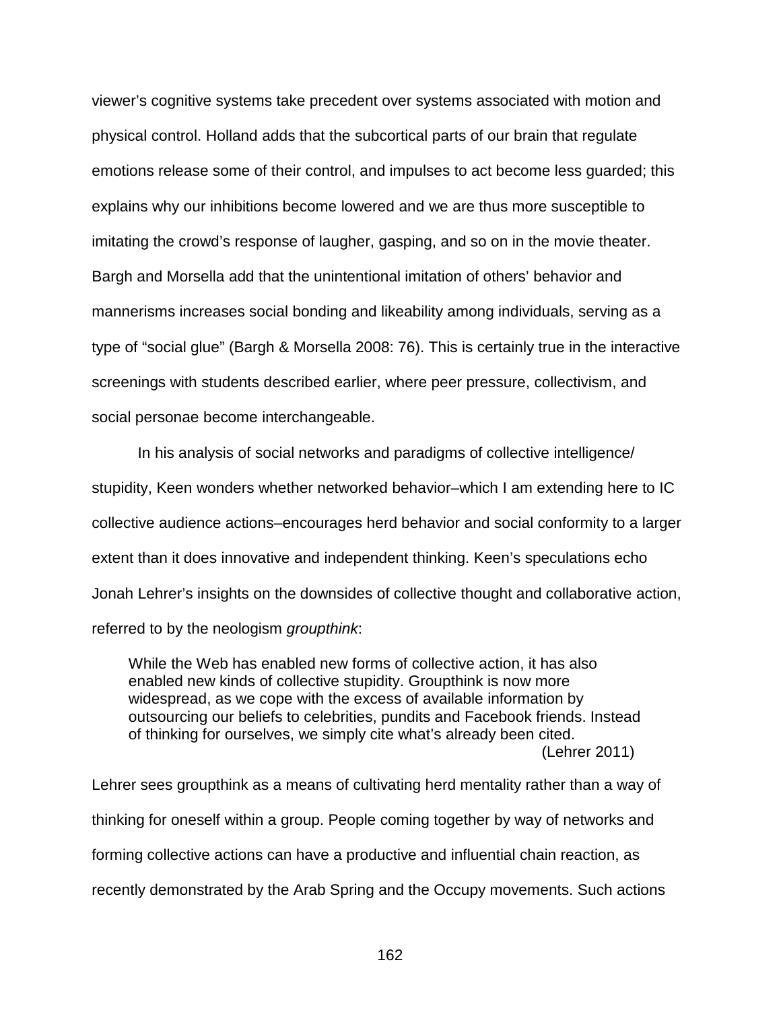viewer's cognitive systems take precedent over systems associated with motion and physical control. Holland adds that the subcortical parts of our brain that regulate emotions release some of their control, and impulses to act become less guarded; this explains why our inhibitions become lowered and we are thus more susceptible to imitating the crowd's response of laugher, gasping, and so on in the movie theater. Bargh and Morsella add that the unintentional imitation of others' behavior and mannerisms increases social bonding and likeability among individuals, serving as a type of "social glue" (Bargh & Morsella 2008: 76). This is certainly true in the interactive screenings with students described earlier, where peer pressure, collectivism, and social personae become interchangeable.

In his analysis of social networks and paradigms of collective intelligence/ stupidity, Keen wonders whether networked behavior–which I am extending here to IC collective audience actions–encourages herd behavior and social conformity to a larger extent than it does innovative and independent thinking. Keen's speculations echo Jonah Lehrer's insights on the downsides of collective thought and collaborative action, referred to by the neologism *groupthink*:

While the Web has enabled new forms of collective action, it has also enabled new kinds of collective stupidity. Groupthink is now more widespread, as we cope with the excess of available information by outsourcing our beliefs to celebrities, pundits and Facebook friends. Instead of thinking for ourselves, we simply cite what's already been cited. (Lehrer 2011)

Lehrer sees groupthink as a means of cultivating herd mentality rather than a way of thinking for oneself within a group. People coming together by way of networks and forming collective actions can have a productive and influential chain reaction, as recently demonstrated by the Arab Spring and the Occupy movements. Such actions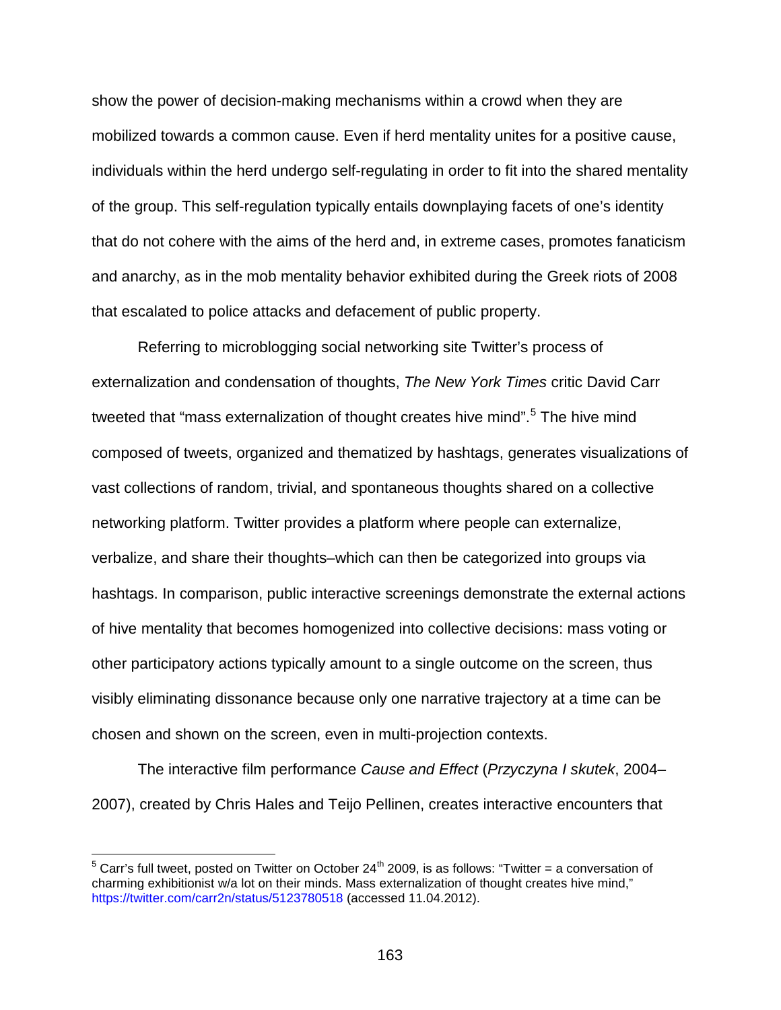show the power of decision-making mechanisms within a crowd when they are mobilized towards a common cause. Even if herd mentality unites for a positive cause, individuals within the herd undergo self-regulating in order to fit into the shared mentality of the group. This self-regulation typically entails downplaying facets of one's identity that do not cohere with the aims of the herd and, in extreme cases, promotes fanaticism and anarchy, as in the mob mentality behavior exhibited during the Greek riots of 2008 that escalated to police attacks and defacement of public property.

Referring to microblogging social networking site Twitter's process of externalization and condensation of thoughts, *The New York Times* critic David Carr tweeted that "mass externalization of thought creates hive mind".<sup>[5](#page-162-0)</sup> The hive mind composed of tweets, organized and thematized by hashtags, generates visualizations of vast collections of random, trivial, and spontaneous thoughts shared on a collective networking platform. Twitter provides a platform where people can externalize, verbalize, and share their thoughts–which can then be categorized into groups via hashtags. In comparison, public interactive screenings demonstrate the external actions of hive mentality that becomes homogenized into collective decisions: mass voting or other participatory actions typically amount to a single outcome on the screen, thus visibly eliminating dissonance because only one narrative trajectory at a time can be chosen and shown on the screen, even in multi-projection contexts.

The interactive film performance *Cause and Effect* (*Przyczyna I skutek*, 2004– 2007), created by Chris Hales and Teijo Pellinen, creates interactive encounters that

<span id="page-162-0"></span> $5$  Carr's full tweet, posted on Twitter on October 24<sup>th</sup> 2009, is as follows: "Twitter = a conversation of charming exhibitionist w/a lot on their minds. Mass externalization of thought creates hive mind," <https://twitter.com/carr2n/status/5123780518> (accessed 11.04.2012).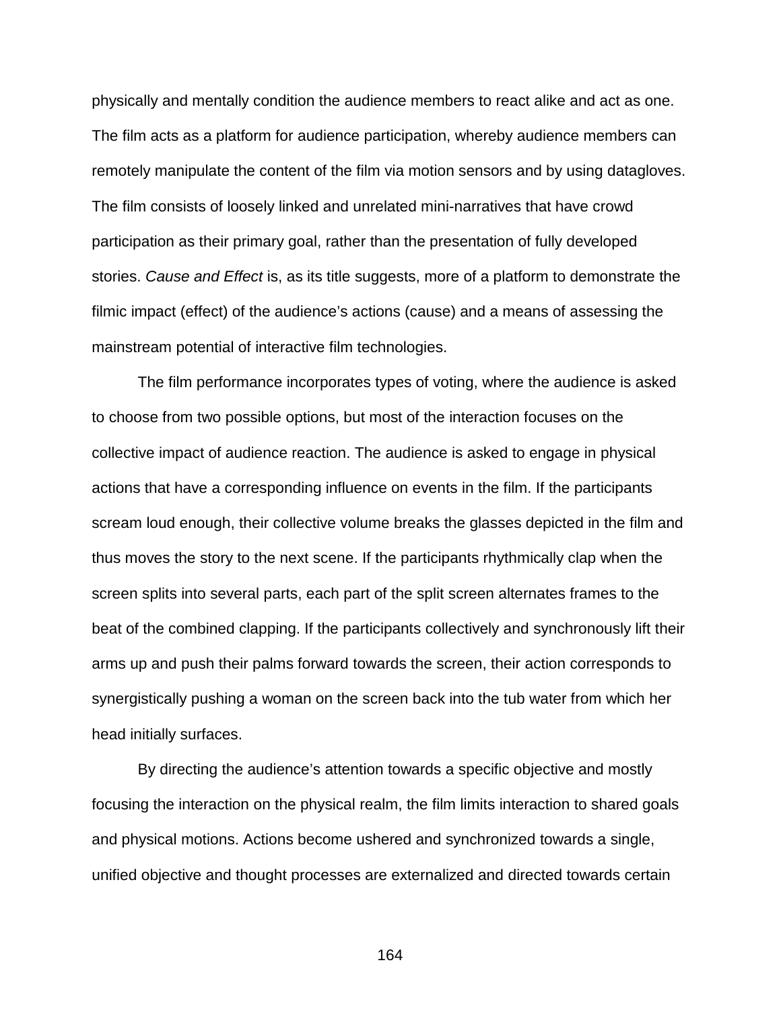physically and mentally condition the audience members to react alike and act as one. The film acts as a platform for audience participation, whereby audience members can remotely manipulate the content of the film via motion sensors and by using datagloves. The film consists of loosely linked and unrelated mini-narratives that have crowd participation as their primary goal, rather than the presentation of fully developed stories. *Cause and Effect* is, as its title suggests, more of a platform to demonstrate the filmic impact (effect) of the audience's actions (cause) and a means of assessing the mainstream potential of interactive film technologies.

The film performance incorporates types of voting, where the audience is asked to choose from two possible options, but most of the interaction focuses on the collective impact of audience reaction. The audience is asked to engage in physical actions that have a corresponding influence on events in the film. If the participants scream loud enough, their collective volume breaks the glasses depicted in the film and thus moves the story to the next scene. If the participants rhythmically clap when the screen splits into several parts, each part of the split screen alternates frames to the beat of the combined clapping. If the participants collectively and synchronously lift their arms up and push their palms forward towards the screen, their action corresponds to synergistically pushing a woman on the screen back into the tub water from which her head initially surfaces.

By directing the audience's attention towards a specific objective and mostly focusing the interaction on the physical realm, the film limits interaction to shared goals and physical motions. Actions become ushered and synchronized towards a single, unified objective and thought processes are externalized and directed towards certain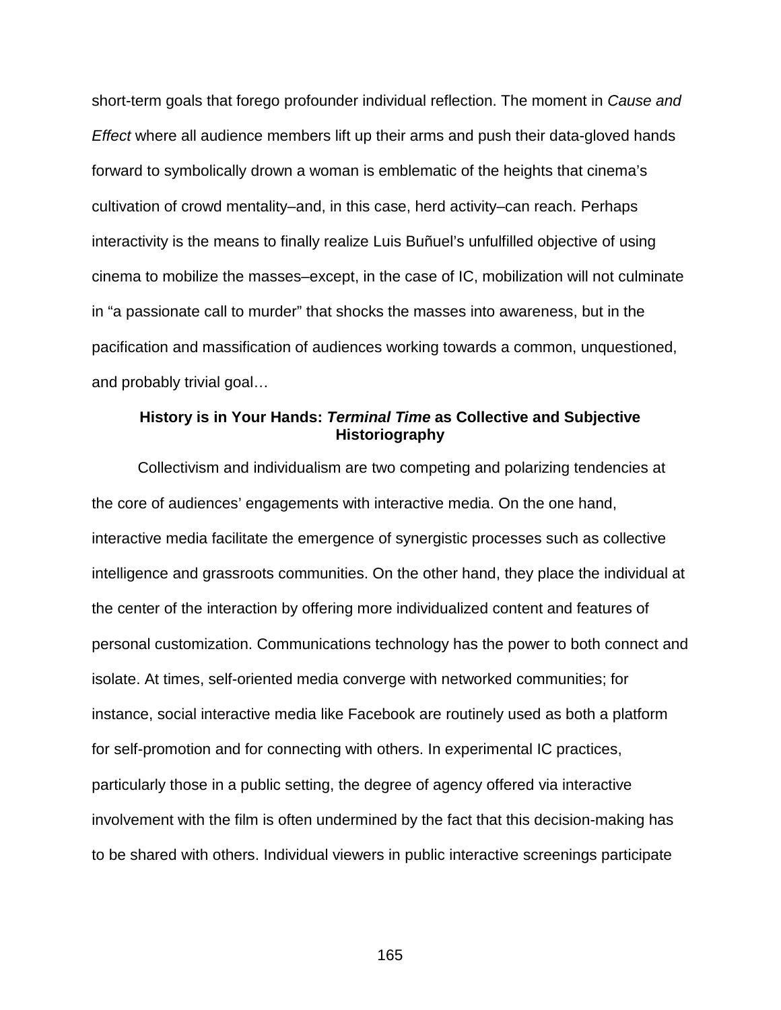short-term goals that forego profounder individual reflection. The moment in *Cause and Effect* where all audience members lift up their arms and push their data-gloved hands forward to symbolically drown a woman is emblematic of the heights that cinema's cultivation of crowd mentality–and, in this case, herd activity–can reach. Perhaps interactivity is the means to finally realize Luis Buñuel's unfulfilled objective of using cinema to mobilize the masses–except, in the case of IC, mobilization will not culminate in "a passionate call to murder" that shocks the masses into awareness, but in the pacification and massification of audiences working towards a common, unquestioned, and probably trivial goal…

## **History is in Your Hands:** *Terminal Time* **as Collective and Subjective Historiography**

Collectivism and individualism are two competing and polarizing tendencies at the core of audiences' engagements with interactive media. On the one hand, interactive media facilitate the emergence of synergistic processes such as collective intelligence and grassroots communities. On the other hand, they place the individual at the center of the interaction by offering more individualized content and features of personal customization. Communications technology has the power to both connect and isolate. At times, self-oriented media converge with networked communities; for instance, social interactive media like Facebook are routinely used as both a platform for self-promotion and for connecting with others. In experimental IC practices, particularly those in a public setting, the degree of agency offered via interactive involvement with the film is often undermined by the fact that this decision-making has to be shared with others. Individual viewers in public interactive screenings participate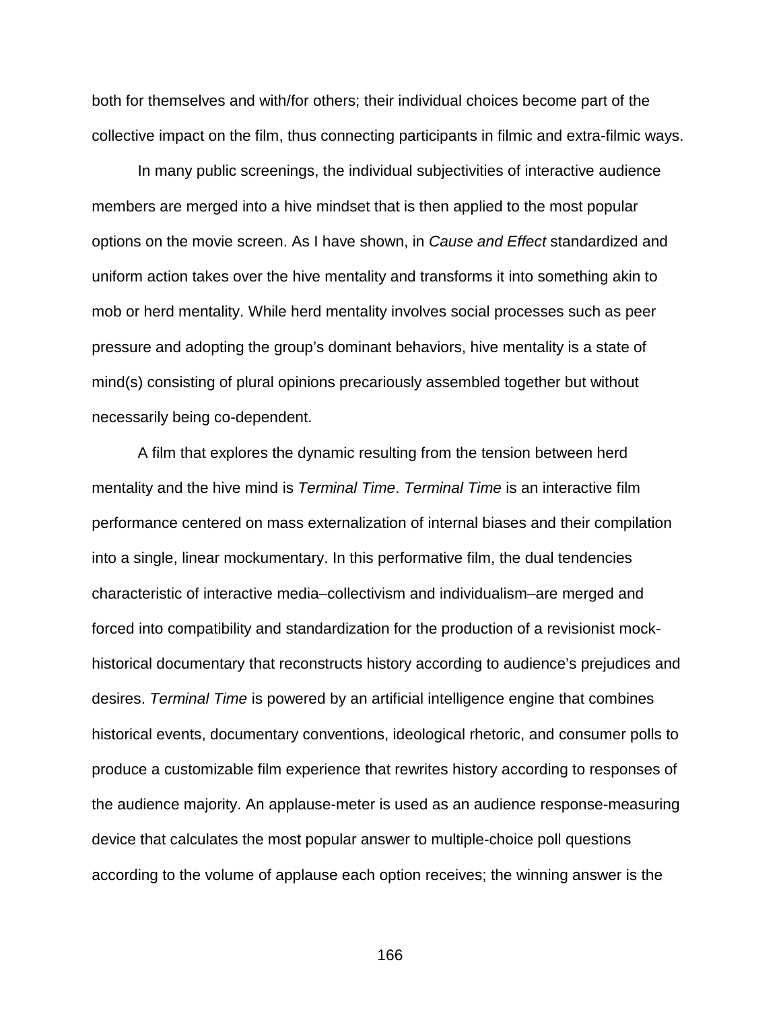both for themselves and with/for others; their individual choices become part of the collective impact on the film, thus connecting participants in filmic and extra-filmic ways.

In many public screenings, the individual subjectivities of interactive audience members are merged into a hive mindset that is then applied to the most popular options on the movie screen. As I have shown, in *Cause and Effect* standardized and uniform action takes over the hive mentality and transforms it into something akin to mob or herd mentality. While herd mentality involves social processes such as peer pressure and adopting the group's dominant behaviors, hive mentality is a state of mind(s) consisting of plural opinions precariously assembled together but without necessarily being co-dependent.

A film that explores the dynamic resulting from the tension between herd mentality and the hive mind is *Terminal Time*. *Terminal Time* is an interactive film performance centered on mass externalization of internal biases and their compilation into a single, linear mockumentary. In this performative film, the dual tendencies characteristic of interactive media–collectivism and individualism–are merged and forced into compatibility and standardization for the production of a revisionist mockhistorical documentary that reconstructs history according to audience's prejudices and desires. *Terminal Time* is powered by an artificial intelligence engine that combines historical events, documentary conventions, ideological rhetoric, and consumer polls to produce a customizable film experience that rewrites history according to responses of the audience majority. An applause-meter is used as an audience response-measuring device that calculates the most popular answer to multiple-choice poll questions according to the volume of applause each option receives; the winning answer is the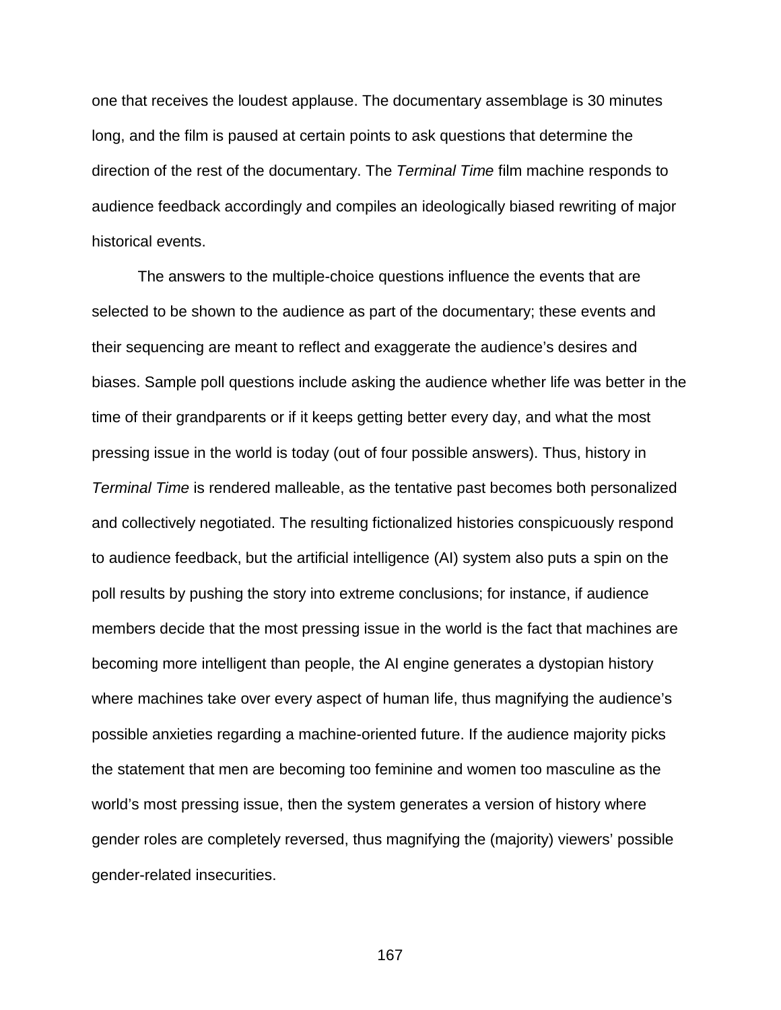one that receives the loudest applause. The documentary assemblage is 30 minutes long, and the film is paused at certain points to ask questions that determine the direction of the rest of the documentary. The *Terminal Time* film machine responds to audience feedback accordingly and compiles an ideologically biased rewriting of major historical events.

The answers to the multiple-choice questions influence the events that are selected to be shown to the audience as part of the documentary; these events and their sequencing are meant to reflect and exaggerate the audience's desires and biases. Sample poll questions include asking the audience whether life was better in the time of their grandparents or if it keeps getting better every day, and what the most pressing issue in the world is today (out of four possible answers). Thus, history in *Terminal Time* is rendered malleable, as the tentative past becomes both personalized and collectively negotiated. The resulting fictionalized histories conspicuously respond to audience feedback, but the artificial intelligence (AI) system also puts a spin on the poll results by pushing the story into extreme conclusions; for instance, if audience members decide that the most pressing issue in the world is the fact that machines are becoming more intelligent than people, the AI engine generates a dystopian history where machines take over every aspect of human life, thus magnifying the audience's possible anxieties regarding a machine-oriented future. If the audience majority picks the statement that men are becoming too feminine and women too masculine as the world's most pressing issue, then the system generates a version of history where gender roles are completely reversed, thus magnifying the (majority) viewers' possible gender-related insecurities.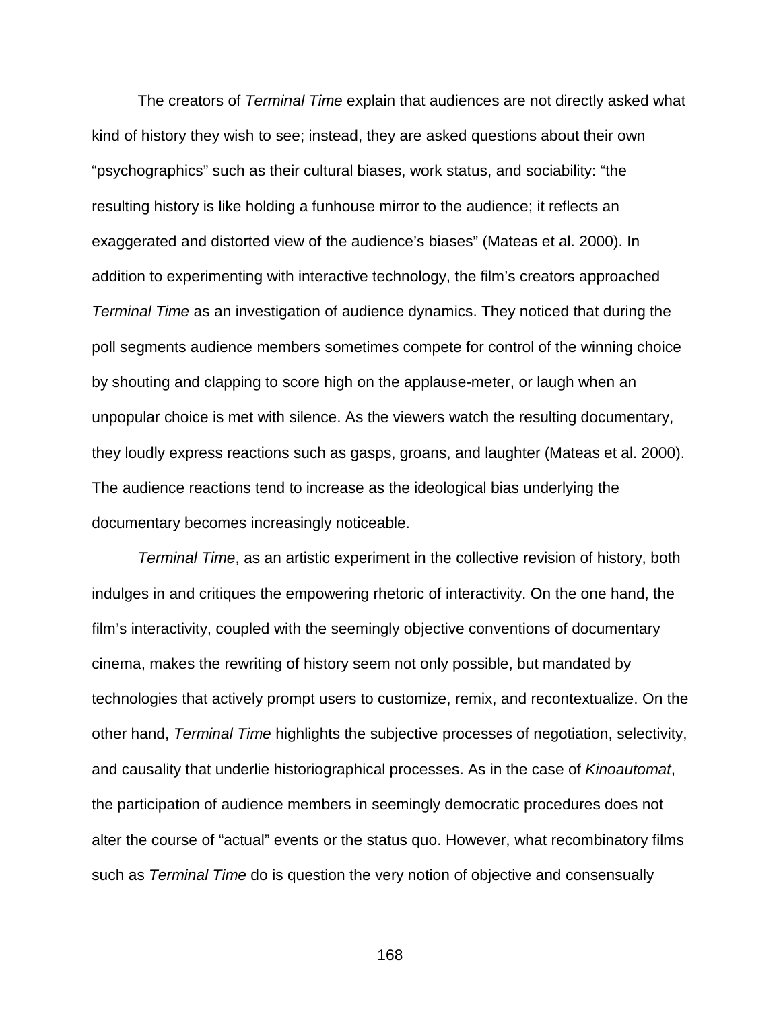The creators of *Terminal Time* explain that audiences are not directly asked what kind of history they wish to see; instead, they are asked questions about their own "psychographics" such as their cultural biases, work status, and sociability: "the resulting history is like holding a funhouse mirror to the audience; it reflects an exaggerated and distorted view of the audience's biases" (Mateas et al. 2000). In addition to experimenting with interactive technology, the film's creators approached *Terminal Time* as an investigation of audience dynamics. They noticed that during the poll segments audience members sometimes compete for control of the winning choice by shouting and clapping to score high on the applause-meter, or laugh when an unpopular choice is met with silence. As the viewers watch the resulting documentary, they loudly express reactions such as gasps, groans, and laughter (Mateas et al. 2000). The audience reactions tend to increase as the ideological bias underlying the documentary becomes increasingly noticeable.

*Terminal Time*, as an artistic experiment in the collective revision of history, both indulges in and critiques the empowering rhetoric of interactivity. On the one hand, the film's interactivity, coupled with the seemingly objective conventions of documentary cinema, makes the rewriting of history seem not only possible, but mandated by technologies that actively prompt users to customize, remix, and recontextualize. On the other hand, *Terminal Time* highlights the subjective processes of negotiation, selectivity, and causality that underlie historiographical processes. As in the case of *Kinoautomat*, the participation of audience members in seemingly democratic procedures does not alter the course of "actual" events or the status quo. However, what recombinatory films such as *Terminal Time* do is question the very notion of objective and consensually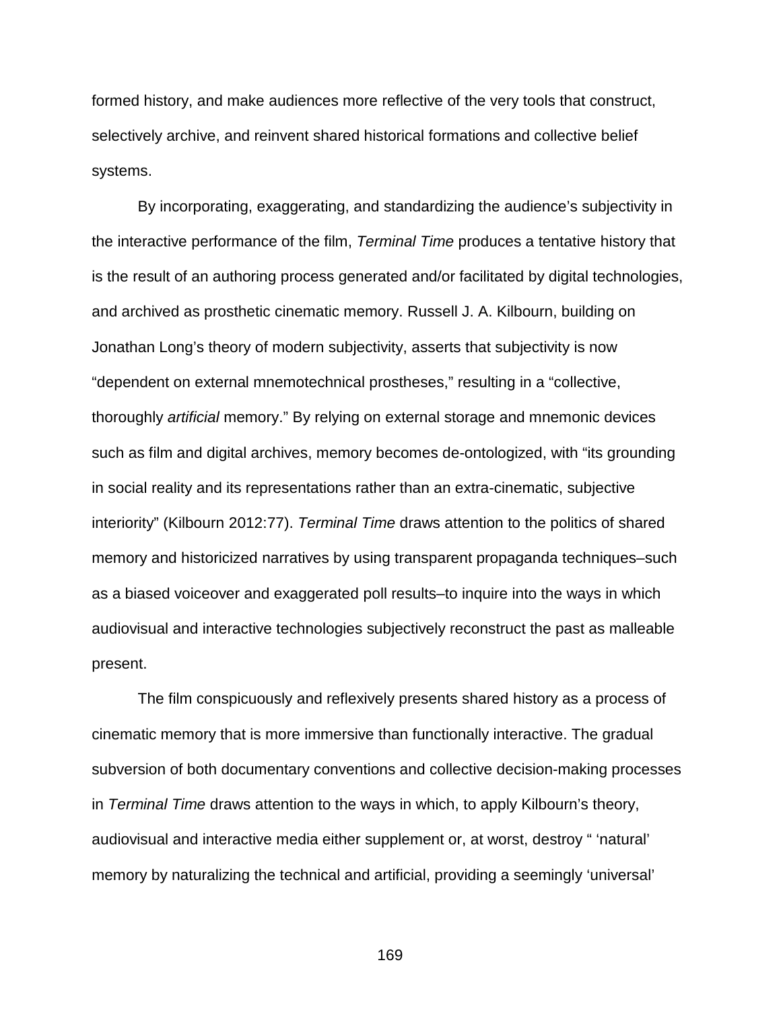formed history, and make audiences more reflective of the very tools that construct, selectively archive, and reinvent shared historical formations and collective belief systems.

By incorporating, exaggerating, and standardizing the audience's subjectivity in the interactive performance of the film, *Terminal Time* produces a tentative history that is the result of an authoring process generated and/or facilitated by digital technologies, and archived as prosthetic cinematic memory. Russell J. A. Kilbourn, building on Jonathan Long's theory of modern subjectivity, asserts that subjectivity is now "dependent on external mnemotechnical prostheses," resulting in a "collective, thoroughly *artificial* memory." By relying on external storage and mnemonic devices such as film and digital archives, memory becomes de-ontologized, with "its grounding in social reality and its representations rather than an extra-cinematic, subjective interiority" (Kilbourn 2012:77). *Terminal Time* draws attention to the politics of shared memory and historicized narratives by using transparent propaganda techniques–such as a biased voiceover and exaggerated poll results–to inquire into the ways in which audiovisual and interactive technologies subjectively reconstruct the past as malleable present.

The film conspicuously and reflexively presents shared history as a process of cinematic memory that is more immersive than functionally interactive. The gradual subversion of both documentary conventions and collective decision-making processes in *Terminal Time* draws attention to the ways in which, to apply Kilbourn's theory, audiovisual and interactive media either supplement or, at worst, destroy " 'natural' memory by naturalizing the technical and artificial, providing a seemingly 'universal'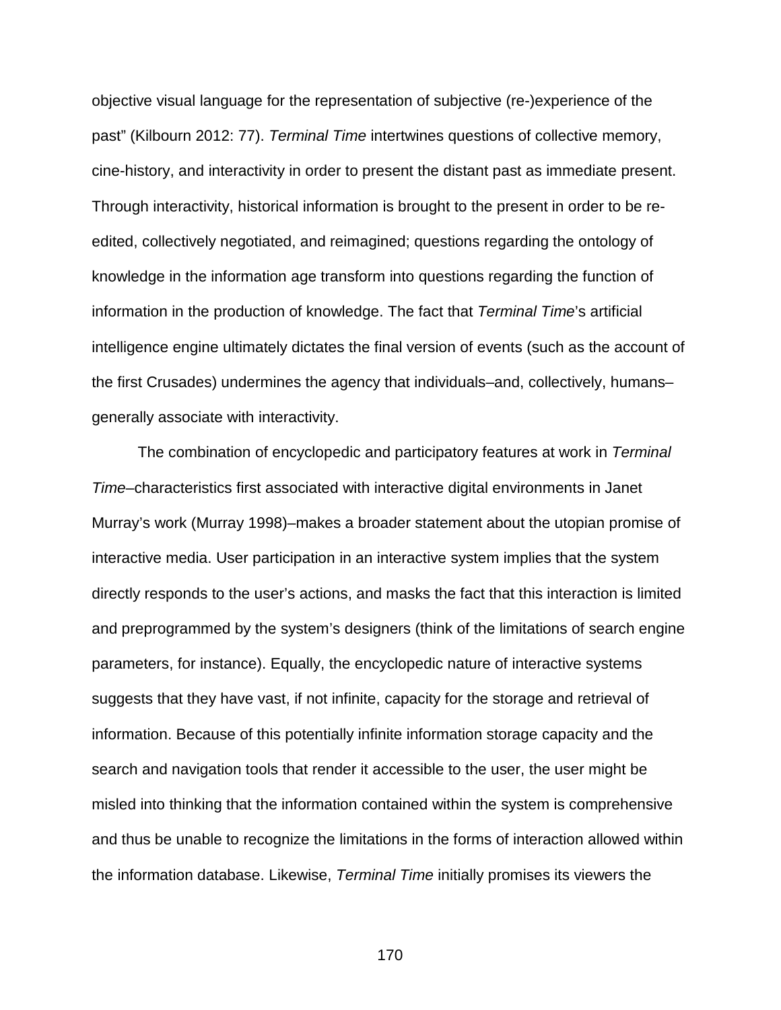objective visual language for the representation of subjective (re-)experience of the past" (Kilbourn 2012: 77). *Terminal Time* intertwines questions of collective memory, cine-history, and interactivity in order to present the distant past as immediate present. Through interactivity, historical information is brought to the present in order to be reedited, collectively negotiated, and reimagined; questions regarding the ontology of knowledge in the information age transform into questions regarding the function of information in the production of knowledge. The fact that *Terminal Time*'s artificial intelligence engine ultimately dictates the final version of events (such as the account of the first Crusades) undermines the agency that individuals–and, collectively, humans– generally associate with interactivity.

The combination of encyclopedic and participatory features at work in *Terminal Time*–characteristics first associated with interactive digital environments in Janet Murray's work (Murray 1998)–makes a broader statement about the utopian promise of interactive media. User participation in an interactive system implies that the system directly responds to the user's actions, and masks the fact that this interaction is limited and preprogrammed by the system's designers (think of the limitations of search engine parameters, for instance). Equally, the encyclopedic nature of interactive systems suggests that they have vast, if not infinite, capacity for the storage and retrieval of information. Because of this potentially infinite information storage capacity and the search and navigation tools that render it accessible to the user, the user might be misled into thinking that the information contained within the system is comprehensive and thus be unable to recognize the limitations in the forms of interaction allowed within the information database. Likewise, *Terminal Time* initially promises its viewers the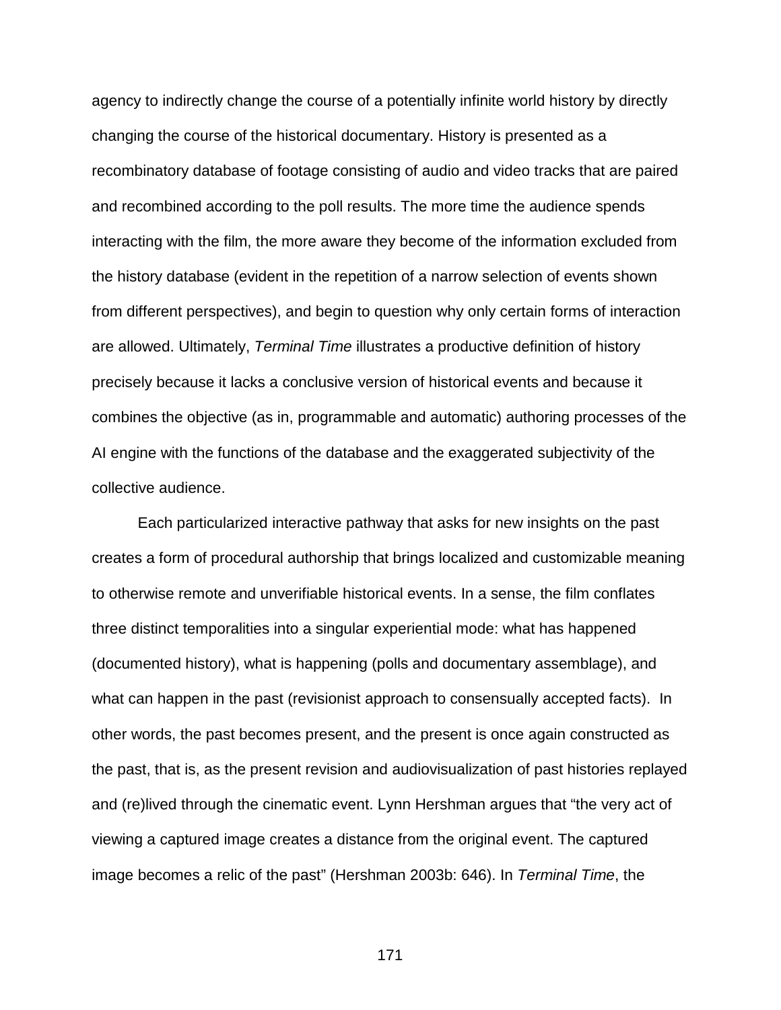agency to indirectly change the course of a potentially infinite world history by directly changing the course of the historical documentary. History is presented as a recombinatory database of footage consisting of audio and video tracks that are paired and recombined according to the poll results. The more time the audience spends interacting with the film, the more aware they become of the information excluded from the history database (evident in the repetition of a narrow selection of events shown from different perspectives), and begin to question why only certain forms of interaction are allowed. Ultimately, *Terminal Time* illustrates a productive definition of history precisely because it lacks a conclusive version of historical events and because it combines the objective (as in, programmable and automatic) authoring processes of the AI engine with the functions of the database and the exaggerated subjectivity of the collective audience.

Each particularized interactive pathway that asks for new insights on the past creates a form of procedural authorship that brings localized and customizable meaning to otherwise remote and unverifiable historical events. In a sense, the film conflates three distinct temporalities into a singular experiential mode: what has happened (documented history), what is happening (polls and documentary assemblage), and what can happen in the past (revisionist approach to consensually accepted facts). In other words, the past becomes present, and the present is once again constructed as the past, that is, as the present revision and audiovisualization of past histories replayed and (re)lived through the cinematic event. Lynn Hershman argues that "the very act of viewing a captured image creates a distance from the original event. The captured image becomes a relic of the past" (Hershman 2003b: 646). In *Terminal Time*, the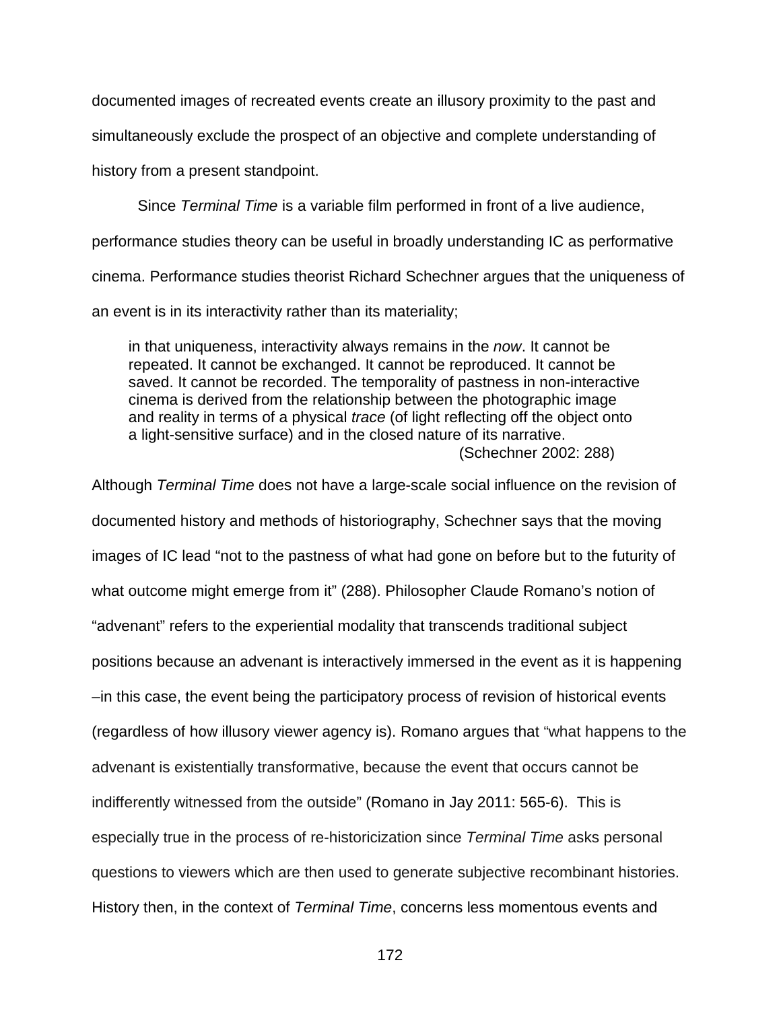documented images of recreated events create an illusory proximity to the past and

simultaneously exclude the prospect of an objective and complete understanding of

history from a present standpoint.

Since *Terminal Time* is a variable film performed in front of a live audience,

performance studies theory can be useful in broadly understanding IC as performative

cinema. Performance studies theorist Richard Schechner argues that the uniqueness of

an event is in its interactivity rather than its materiality;

in that uniqueness, interactivity always remains in the *now*. It cannot be repeated. It cannot be exchanged. It cannot be reproduced. It cannot be saved. It cannot be recorded. The temporality of pastness in non-interactive cinema is derived from the relationship between the photographic image and reality in terms of a physical *trace* (of light reflecting off the object onto a light-sensitive surface) and in the closed nature of its narrative. (Schechner 2002: 288)

Although *Terminal Time* does not have a large-scale social influence on the revision of documented history and methods of historiography, Schechner says that the moving images of IC lead "not to the pastness of what had gone on before but to the futurity of what outcome might emerge from it" (288). Philosopher Claude Romano's notion of "advenant" refers to the experiential modality that transcends traditional subject positions because an advenant is interactively immersed in the event as it is happening –in this case, the event being the participatory process of revision of historical events (regardless of how illusory viewer agency is). Romano argues that "what happens to the advenant is existentially transformative, because the event that occurs cannot be indifferently witnessed from the outside" (Romano in Jay 2011: 565-6). This is especially true in the process of re-historicization since *Terminal Time* asks personal questions to viewers which are then used to generate subjective recombinant histories. History then, in the context of *Terminal Time*, concerns less momentous events and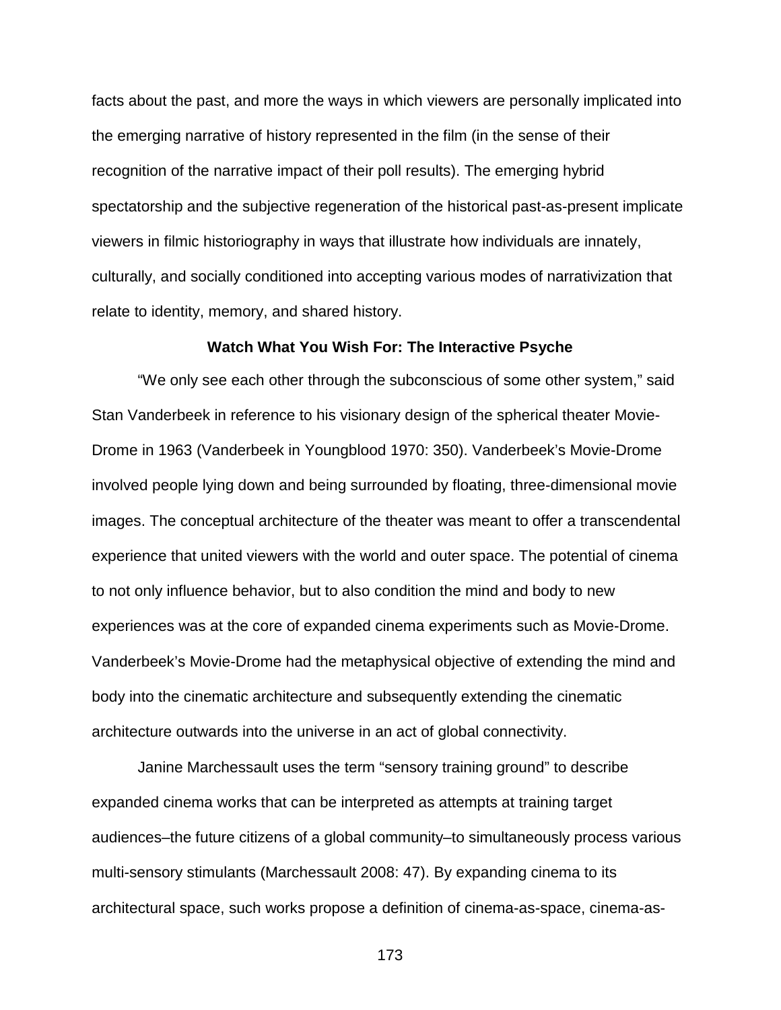facts about the past, and more the ways in which viewers are personally implicated into the emerging narrative of history represented in the film (in the sense of their recognition of the narrative impact of their poll results). The emerging hybrid spectatorship and the subjective regeneration of the historical past-as-present implicate viewers in filmic historiography in ways that illustrate how individuals are innately, culturally, and socially conditioned into accepting various modes of narrativization that relate to identity, memory, and shared history.

### **Watch What You Wish For: The Interactive Psyche**

"We only see each other through the subconscious of some other system," said Stan Vanderbeek in reference to his visionary design of the spherical theater Movie-Drome in 1963 (Vanderbeek in Youngblood 1970: 350). Vanderbeek's Movie-Drome involved people lying down and being surrounded by floating, three-dimensional movie images. The conceptual architecture of the theater was meant to offer a transcendental experience that united viewers with the world and outer space. The potential of cinema to not only influence behavior, but to also condition the mind and body to new experiences was at the core of expanded cinema experiments such as Movie-Drome. Vanderbeek's Movie-Drome had the metaphysical objective of extending the mind and body into the cinematic architecture and subsequently extending the cinematic architecture outwards into the universe in an act of global connectivity.

Janine Marchessault uses the term "sensory training ground" to describe expanded cinema works that can be interpreted as attempts at training target audiences–the future citizens of a global community–to simultaneously process various multi-sensory stimulants (Marchessault 2008: 47). By expanding cinema to its architectural space, such works propose a definition of cinema-as-space, cinema-as-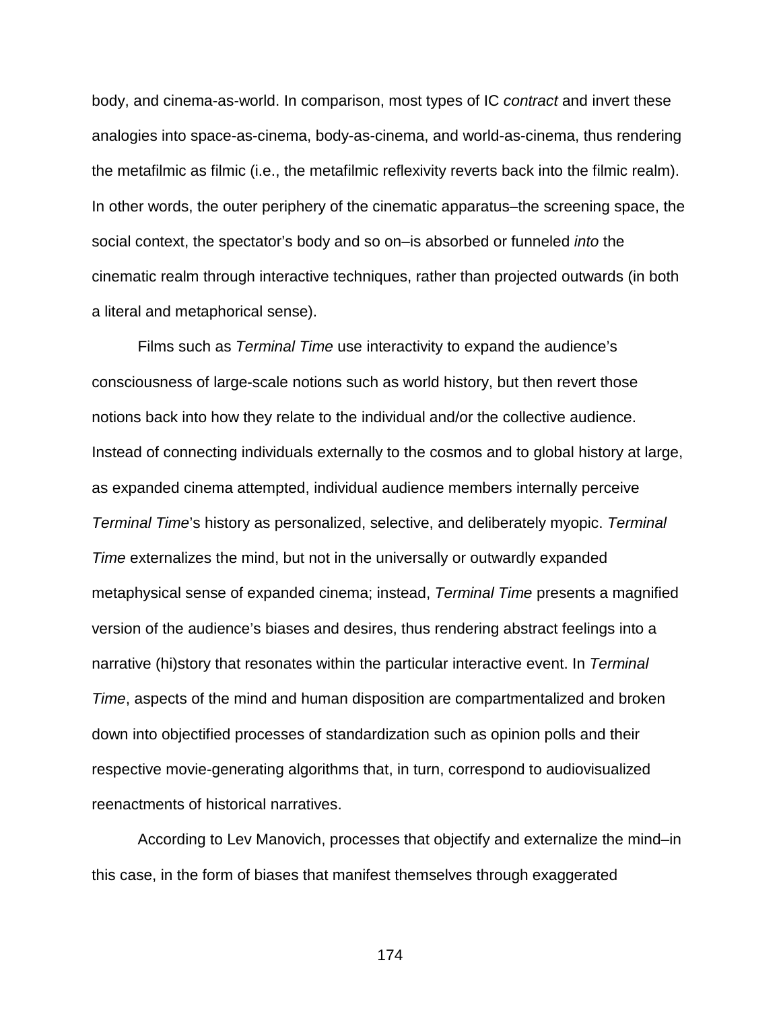body, and cinema-as-world. In comparison, most types of IC *contract* and invert these analogies into space-as-cinema, body-as-cinema, and world-as-cinema, thus rendering the metafilmic as filmic (i.e., the metafilmic reflexivity reverts back into the filmic realm). In other words, the outer periphery of the cinematic apparatus–the screening space, the social context, the spectator's body and so on–is absorbed or funneled *into* the cinematic realm through interactive techniques, rather than projected outwards (in both a literal and metaphorical sense).

Films such as *Terminal Time* use interactivity to expand the audience's consciousness of large-scale notions such as world history, but then revert those notions back into how they relate to the individual and/or the collective audience. Instead of connecting individuals externally to the cosmos and to global history at large, as expanded cinema attempted, individual audience members internally perceive *Terminal Time*'s history as personalized, selective, and deliberately myopic. *Terminal Time* externalizes the mind, but not in the universally or outwardly expanded metaphysical sense of expanded cinema; instead, *Terminal Time* presents a magnified version of the audience's biases and desires, thus rendering abstract feelings into a narrative (hi)story that resonates within the particular interactive event. In *Terminal Time*, aspects of the mind and human disposition are compartmentalized and broken down into objectified processes of standardization such as opinion polls and their respective movie-generating algorithms that, in turn, correspond to audiovisualized reenactments of historical narratives.

According to Lev Manovich, processes that objectify and externalize the mind–in this case, in the form of biases that manifest themselves through exaggerated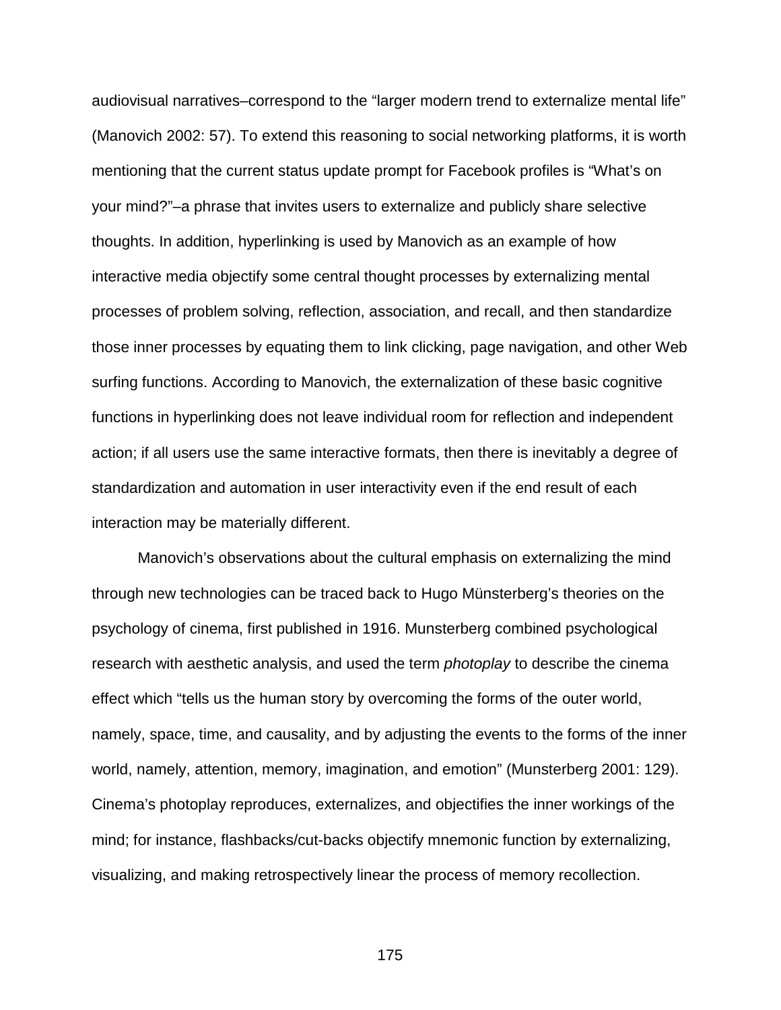audiovisual narratives–correspond to the "larger modern trend to externalize mental life" (Manovich 2002: 57). To extend this reasoning to social networking platforms, it is worth mentioning that the current status update prompt for Facebook profiles is "What's on your mind?"–a phrase that invites users to externalize and publicly share selective thoughts. In addition, hyperlinking is used by Manovich as an example of how interactive media objectify some central thought processes by externalizing mental processes of problem solving, reflection, association, and recall, and then standardize those inner processes by equating them to link clicking, page navigation, and other Web surfing functions. According to Manovich, the externalization of these basic cognitive functions in hyperlinking does not leave individual room for reflection and independent action; if all users use the same interactive formats, then there is inevitably a degree of standardization and automation in user interactivity even if the end result of each interaction may be materially different.

Manovich's observations about the cultural emphasis on externalizing the mind through new technologies can be traced back to Hugo Münsterberg's theories on the psychology of cinema, first published in 1916. Munsterberg combined psychological research with aesthetic analysis, and used the term *photoplay* to describe the cinema effect which "tells us the human story by overcoming the forms of the outer world, namely, space, time, and causality, and by adjusting the events to the forms of the inner world, namely, attention, memory, imagination, and emotion" (Munsterberg 2001: 129). Cinema's photoplay reproduces, externalizes, and objectifies the inner workings of the mind; for instance, flashbacks/cut-backs objectify mnemonic function by externalizing, visualizing, and making retrospectively linear the process of memory recollection.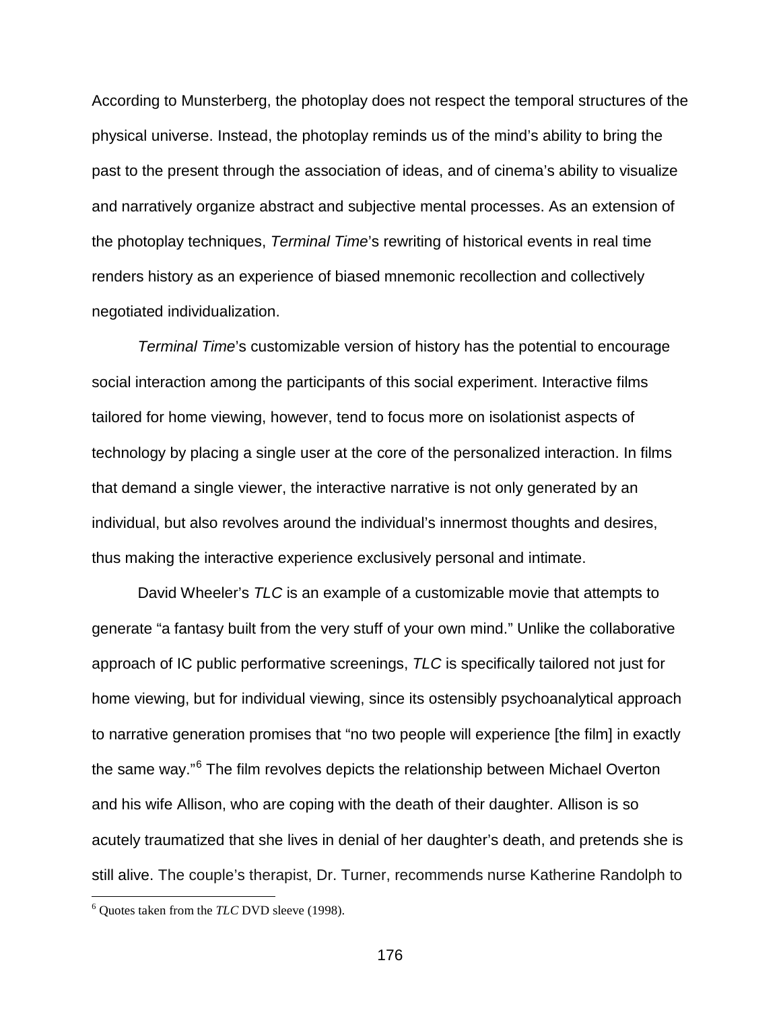According to Munsterberg, the photoplay does not respect the temporal structures of the physical universe. Instead, the photoplay reminds us of the mind's ability to bring the past to the present through the association of ideas, and of cinema's ability to visualize and narratively organize abstract and subjective mental processes. As an extension of the photoplay techniques, *Terminal Time*'s rewriting of historical events in real time renders history as an experience of biased mnemonic recollection and collectively negotiated individualization.

*Terminal Time*'s customizable version of history has the potential to encourage social interaction among the participants of this social experiment. Interactive films tailored for home viewing, however, tend to focus more on isolationist aspects of technology by placing a single user at the core of the personalized interaction. In films that demand a single viewer, the interactive narrative is not only generated by an individual, but also revolves around the individual's innermost thoughts and desires, thus making the interactive experience exclusively personal and intimate.

David Wheeler's *TLC* is an example of a customizable movie that attempts to generate "a fantasy built from the very stuff of your own mind." Unlike the collaborative approach of IC public performative screenings, *TLC* is specifically tailored not just for home viewing, but for individual viewing, since its ostensibly psychoanalytical approach to narrative generation promises that "no two people will experience [the film] in exactly the same way."[6](#page-175-0) The film revolves depicts the relationship between Michael Overton and his wife Allison, who are coping with the death of their daughter. Allison is so acutely traumatized that she lives in denial of her daughter's death, and pretends she is still alive. The couple's therapist, Dr. Turner, recommends nurse Katherine Randolph to

<span id="page-175-0"></span><sup>6</sup> Quotes taken from the *TLC* DVD sleeve (1998).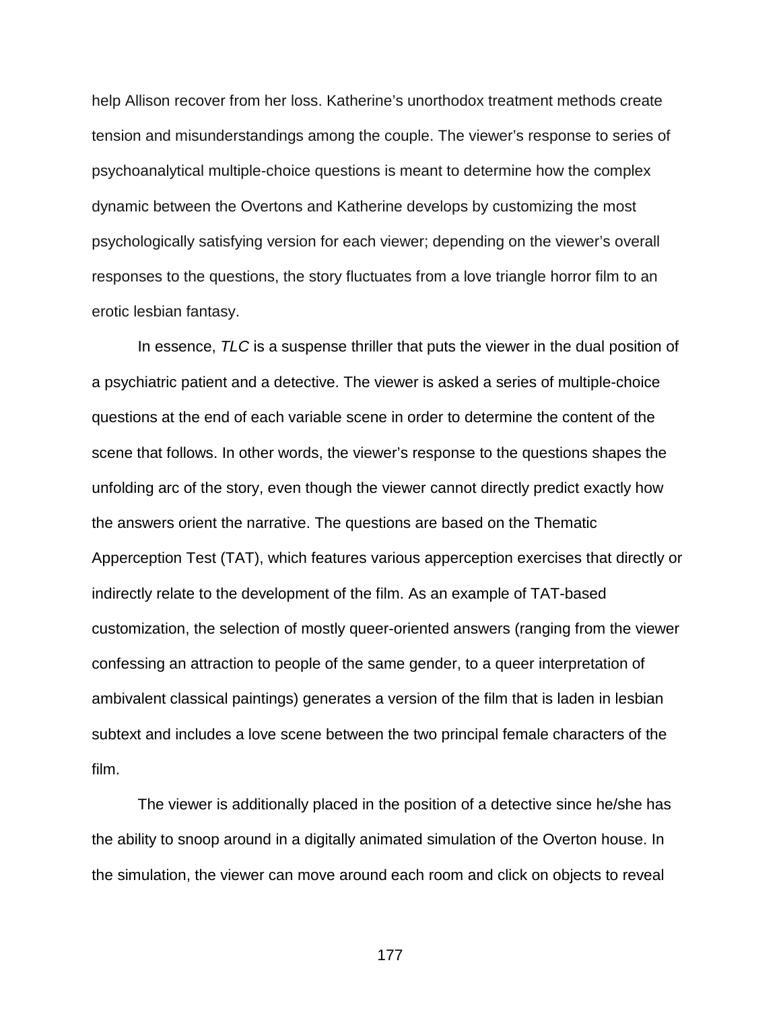help Allison recover from her loss. Katherine's unorthodox treatment methods create tension and misunderstandings among the couple. The viewer's response to series of psychoanalytical multiple-choice questions is meant to determine how the complex dynamic between the Overtons and Katherine develops by customizing the most psychologically satisfying version for each viewer; depending on the viewer's overall responses to the questions, the story fluctuates from a love triangle horror film to an erotic lesbian fantasy.

In essence, *TLC* is a suspense thriller that puts the viewer in the dual position of a psychiatric patient and a detective. The viewer is asked a series of multiple-choice questions at the end of each variable scene in order to determine the content of the scene that follows. In other words, the viewer's response to the questions shapes the unfolding arc of the story, even though the viewer cannot directly predict exactly how the answers orient the narrative. The questions are based on the Thematic Apperception Test (TAT), which features various apperception exercises that directly or indirectly relate to the development of the film. As an example of TAT-based customization, the selection of mostly queer-oriented answers (ranging from the viewer confessing an attraction to people of the same gender, to a queer interpretation of ambivalent classical paintings) generates a version of the film that is laden in lesbian subtext and includes a love scene between the two principal female characters of the film.

The viewer is additionally placed in the position of a detective since he/she has the ability to snoop around in a digitally animated simulation of the Overton house. In the simulation, the viewer can move around each room and click on objects to reveal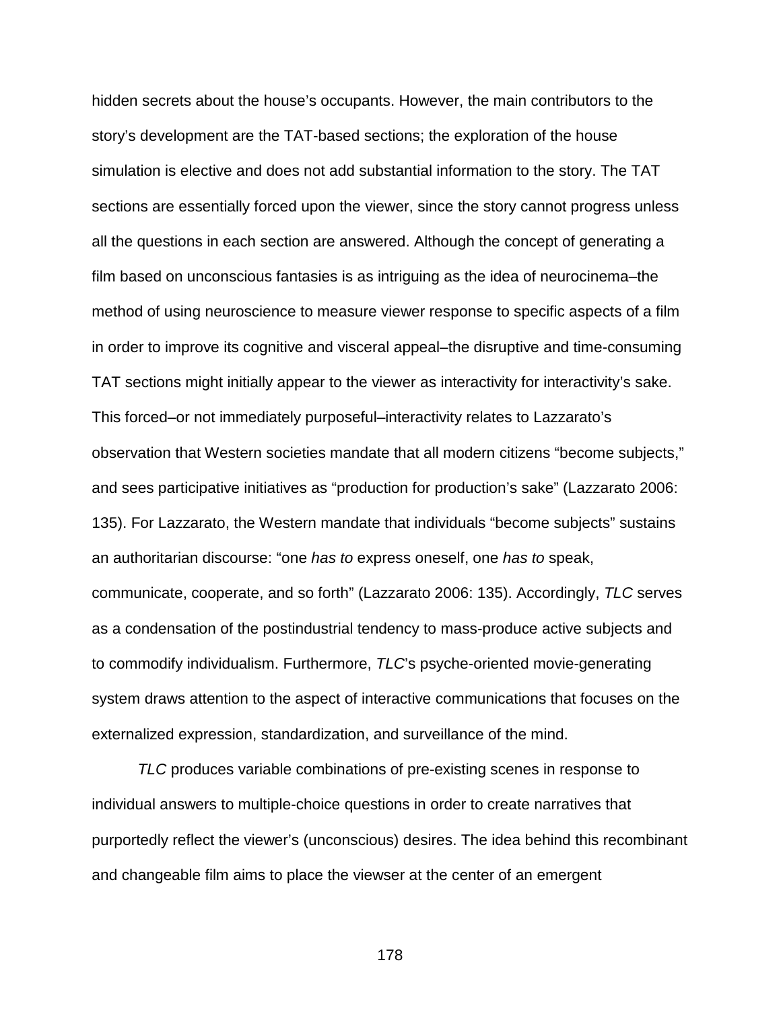hidden secrets about the house's occupants. However, the main contributors to the story's development are the TAT-based sections; the exploration of the house simulation is elective and does not add substantial information to the story. The TAT sections are essentially forced upon the viewer, since the story cannot progress unless all the questions in each section are answered. Although the concept of generating a film based on unconscious fantasies is as intriguing as the idea of neurocinema–the method of using neuroscience to measure viewer response to specific aspects of a film in order to improve its cognitive and visceral appeal–the disruptive and time-consuming TAT sections might initially appear to the viewer as interactivity for interactivity's sake. This forced–or not immediately purposeful–interactivity relates to Lazzarato's observation that Western societies mandate that all modern citizens "become subjects," and sees participative initiatives as "production for production's sake" (Lazzarato 2006: 135). For Lazzarato, the Western mandate that individuals "become subjects" sustains an authoritarian discourse: "one *has to* express oneself, one *has to* speak, communicate, cooperate, and so forth" (Lazzarato 2006: 135). Accordingly, *TLC* serves as a condensation of the postindustrial tendency to mass-produce active subjects and to commodify individualism. Furthermore, *TLC*'s psyche-oriented movie-generating system draws attention to the aspect of interactive communications that focuses on the externalized expression, standardization, and surveillance of the mind.

*TLC* produces variable combinations of pre-existing scenes in response to individual answers to multiple-choice questions in order to create narratives that purportedly reflect the viewer's (unconscious) desires. The idea behind this recombinant and changeable film aims to place the viewser at the center of an emergent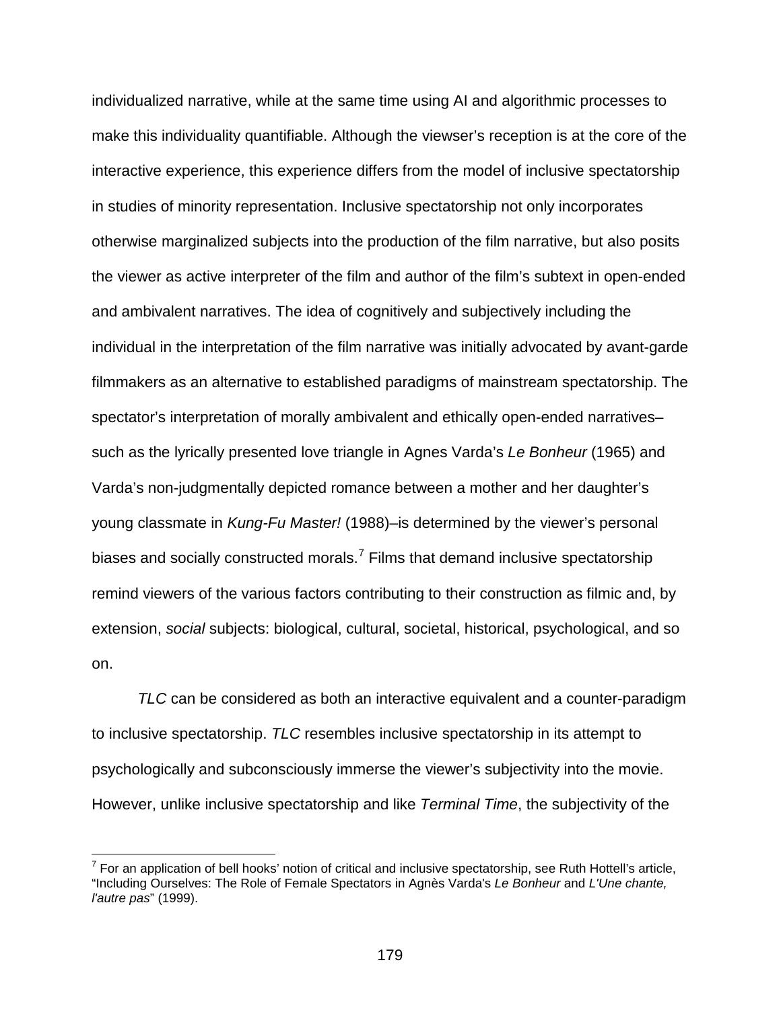individualized narrative, while at the same time using AI and algorithmic processes to make this individuality quantifiable. Although the viewser's reception is at the core of the interactive experience, this experience differs from the model of inclusive spectatorship in studies of minority representation. Inclusive spectatorship not only incorporates otherwise marginalized subjects into the production of the film narrative, but also posits the viewer as active interpreter of the film and author of the film's subtext in open-ended and ambivalent narratives. The idea of cognitively and subjectively including the individual in the interpretation of the film narrative was initially advocated by avant-garde filmmakers as an alternative to established paradigms of mainstream spectatorship. The spectator's interpretation of morally ambivalent and ethically open-ended narratives– such as the lyrically presented love triangle in Agnes Varda's *Le Bonheur* (1965) and Varda's non-judgmentally depicted romance between a mother and her daughter's young classmate in *Kung-Fu Master!* (1988)–is determined by the viewer's personal biases and socially constructed morals.<sup>[7](#page-178-0)</sup> Films that demand inclusive spectatorship remind viewers of the various factors contributing to their construction as filmic and, by extension, *social* subjects: biological, cultural, societal, historical, psychological, and so on.

*TLC* can be considered as both an interactive equivalent and a counter-paradigm to inclusive spectatorship. *TLC* resembles inclusive spectatorship in its attempt to psychologically and subconsciously immerse the viewer's subjectivity into the movie. However, unlike inclusive spectatorship and like *Terminal Time*, the subjectivity of the

<span id="page-178-0"></span> $<sup>7</sup>$  For an application of bell hooks' notion of critical and inclusive spectatorship, see Ruth Hottell's article,</sup> "Including Ourselves: The Role of Female Spectators in Agnès Varda's *Le Bonheur* and *L'Une chante, l'autre pas*" (1999).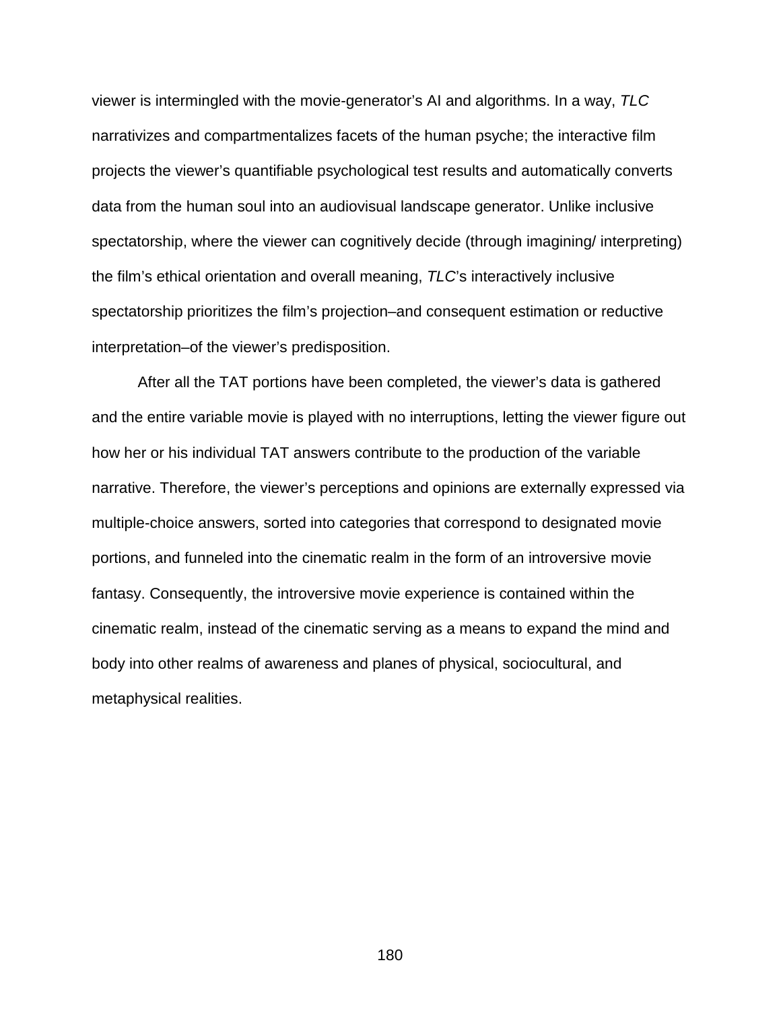viewer is intermingled with the movie-generator's AI and algorithms. In a way, *TLC*  narrativizes and compartmentalizes facets of the human psyche; the interactive film projects the viewer's quantifiable psychological test results and automatically converts data from the human soul into an audiovisual landscape generator. Unlike inclusive spectatorship, where the viewer can cognitively decide (through imagining/ interpreting) the film's ethical orientation and overall meaning, *TLC*'s interactively inclusive spectatorship prioritizes the film's projection–and consequent estimation or reductive interpretation–of the viewer's predisposition.

After all the TAT portions have been completed, the viewer's data is gathered and the entire variable movie is played with no interruptions, letting the viewer figure out how her or his individual TAT answers contribute to the production of the variable narrative. Therefore, the viewer's perceptions and opinions are externally expressed via multiple-choice answers, sorted into categories that correspond to designated movie portions, and funneled into the cinematic realm in the form of an introversive movie fantasy. Consequently, the introversive movie experience is contained within the cinematic realm, instead of the cinematic serving as a means to expand the mind and body into other realms of awareness and planes of physical, sociocultural, and metaphysical realities.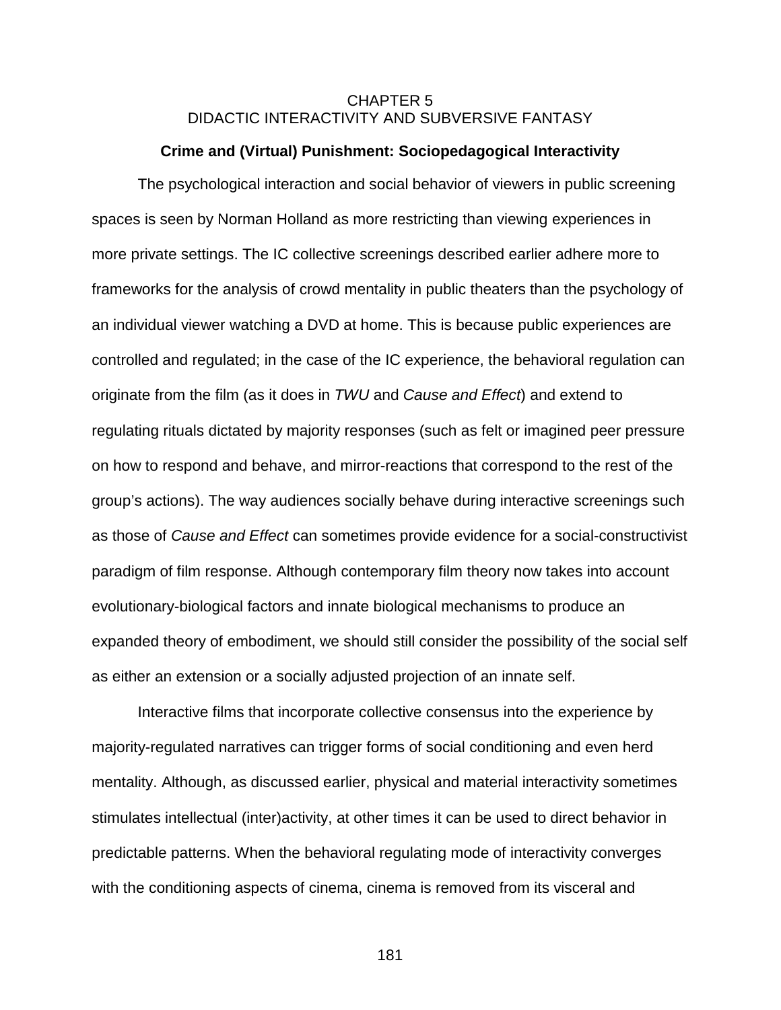# CHAPTER 5 DIDACTIC INTERACTIVITY AND SUBVERSIVE FANTASY

#### **Crime and (Virtual) Punishment: Sociopedagogical Interactivity**

The psychological interaction and social behavior of viewers in public screening spaces is seen by Norman Holland as more restricting than viewing experiences in more private settings. The IC collective screenings described earlier adhere more to frameworks for the analysis of crowd mentality in public theaters than the psychology of an individual viewer watching a DVD at home. This is because public experiences are controlled and regulated; in the case of the IC experience, the behavioral regulation can originate from the film (as it does in *TWU* and *Cause and Effect*) and extend to regulating rituals dictated by majority responses (such as felt or imagined peer pressure on how to respond and behave, and mirror-reactions that correspond to the rest of the group's actions). The way audiences socially behave during interactive screenings such as those of *Cause and Effect* can sometimes provide evidence for a social-constructivist paradigm of film response. Although contemporary film theory now takes into account evolutionary-biological factors and innate biological mechanisms to produce an expanded theory of embodiment, we should still consider the possibility of the social self as either an extension or a socially adjusted projection of an innate self.

Interactive films that incorporate collective consensus into the experience by majority-regulated narratives can trigger forms of social conditioning and even herd mentality. Although, as discussed earlier, physical and material interactivity sometimes stimulates intellectual (inter)activity, at other times it can be used to direct behavior in predictable patterns. When the behavioral regulating mode of interactivity converges with the conditioning aspects of cinema, cinema is removed from its visceral and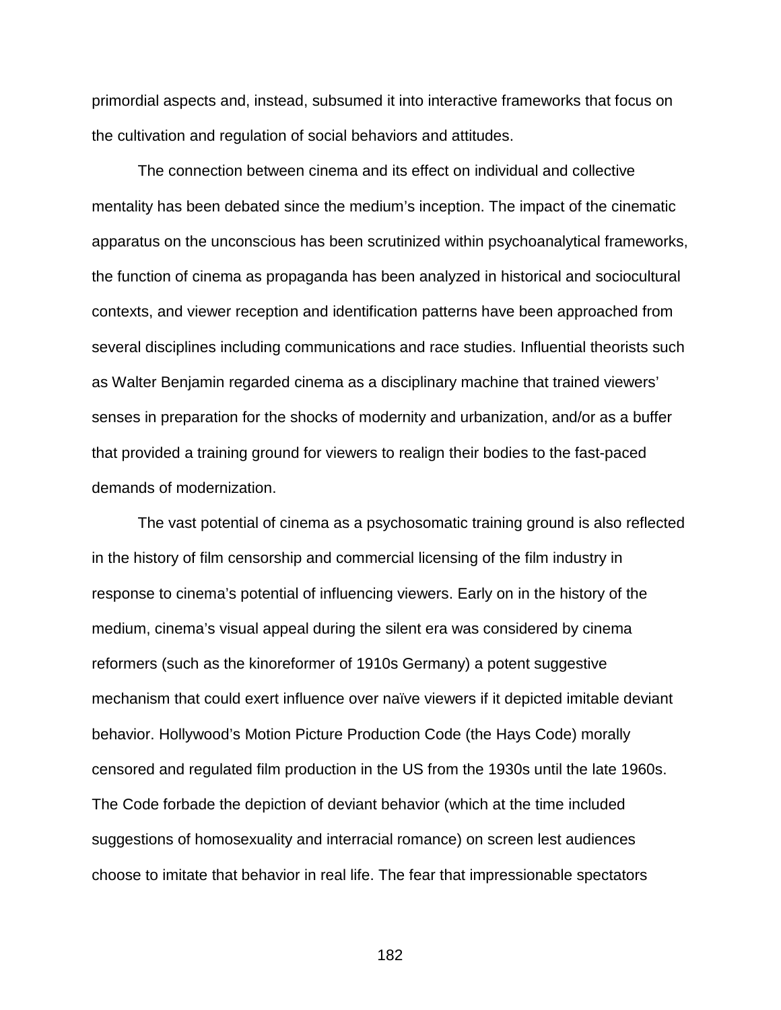primordial aspects and, instead, subsumed it into interactive frameworks that focus on the cultivation and regulation of social behaviors and attitudes.

The connection between cinema and its effect on individual and collective mentality has been debated since the medium's inception. The impact of the cinematic apparatus on the unconscious has been scrutinized within psychoanalytical frameworks, the function of cinema as propaganda has been analyzed in historical and sociocultural contexts, and viewer reception and identification patterns have been approached from several disciplines including communications and race studies. Influential theorists such as Walter Benjamin regarded cinema as a disciplinary machine that trained viewers' senses in preparation for the shocks of modernity and urbanization, and/or as a buffer that provided a training ground for viewers to realign their bodies to the fast-paced demands of modernization.

The vast potential of cinema as a psychosomatic training ground is also reflected in the history of film censorship and commercial licensing of the film industry in response to cinema's potential of influencing viewers. Early on in the history of the medium, cinema's visual appeal during the silent era was considered by cinema reformers (such as the kinoreformer of 1910s Germany) a potent suggestive mechanism that could exert influence over naïve viewers if it depicted imitable deviant behavior. Hollywood's Motion Picture Production Code (the Hays Code) morally censored and regulated film production in the US from the 1930s until the late 1960s. The Code forbade the depiction of deviant behavior (which at the time included suggestions of homosexuality and interracial romance) on screen lest audiences choose to imitate that behavior in real life. The fear that impressionable spectators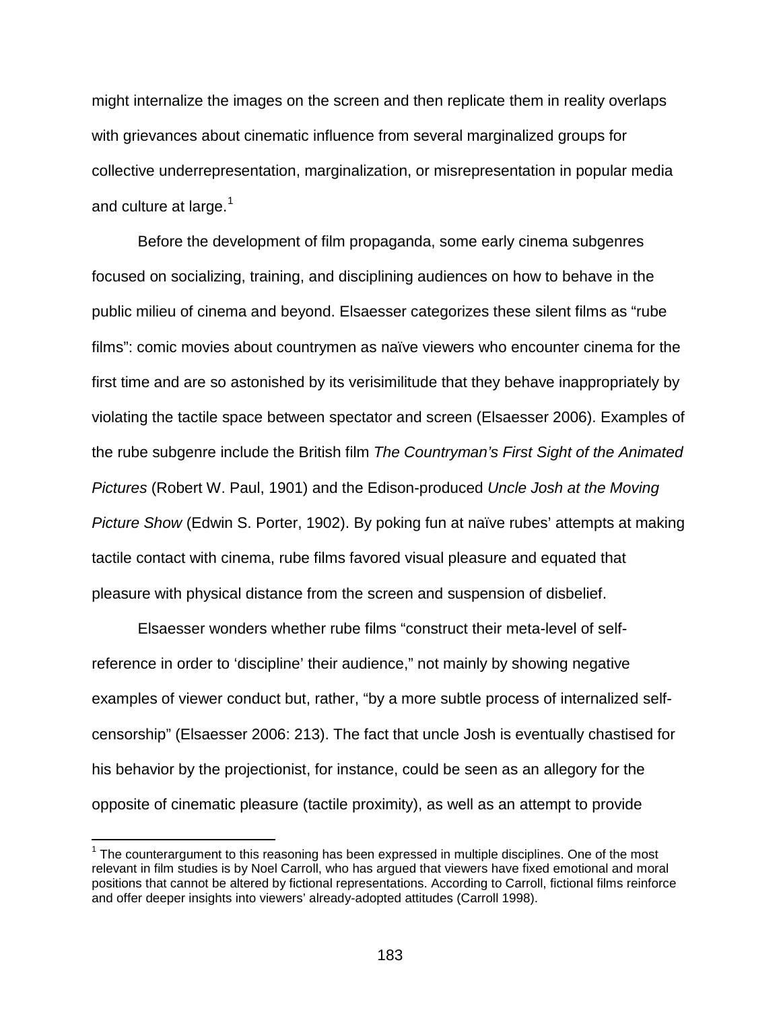might internalize the images on the screen and then replicate them in reality overlaps with grievances about cinematic influence from several marginalized groups for collective underrepresentation, marginalization, or misrepresentation in popular media and culture at large. $1$ 

Before the development of film propaganda, some early cinema subgenres focused on socializing, training, and disciplining audiences on how to behave in the public milieu of cinema and beyond. Elsaesser categorizes these silent films as "rube films": comic movies about countrymen as naïve viewers who encounter cinema for the first time and are so astonished by its verisimilitude that they behave inappropriately by violating the tactile space between spectator and screen (Elsaesser 2006). Examples of the rube subgenre include the British film *The Countryman's First Sight of the Animated Pictures* (Robert W. Paul, 1901) and the Edison-produced *Uncle Josh at the Moving Picture Show* (Edwin S. Porter, 1902). By poking fun at naïve rubes' attempts at making tactile contact with cinema, rube films favored visual pleasure and equated that pleasure with physical distance from the screen and suspension of disbelief.

Elsaesser wonders whether rube films "construct their meta-level of selfreference in order to 'discipline' their audience," not mainly by showing negative examples of viewer conduct but, rather, "by a more subtle process of internalized selfcensorship" (Elsaesser 2006: 213). The fact that uncle Josh is eventually chastised for his behavior by the projectionist, for instance, could be seen as an allegory for the opposite of cinematic pleasure (tactile proximity), as well as an attempt to provide

<span id="page-182-0"></span> $<sup>1</sup>$  The counterargument to this reasoning has been expressed in multiple disciplines. One of the most</sup> relevant in film studies is by Noel Carroll, who has argued that viewers have fixed emotional and moral positions that cannot be altered by fictional representations. According to Carroll, fictional films reinforce and offer deeper insights into viewers' already-adopted attitudes (Carroll 1998).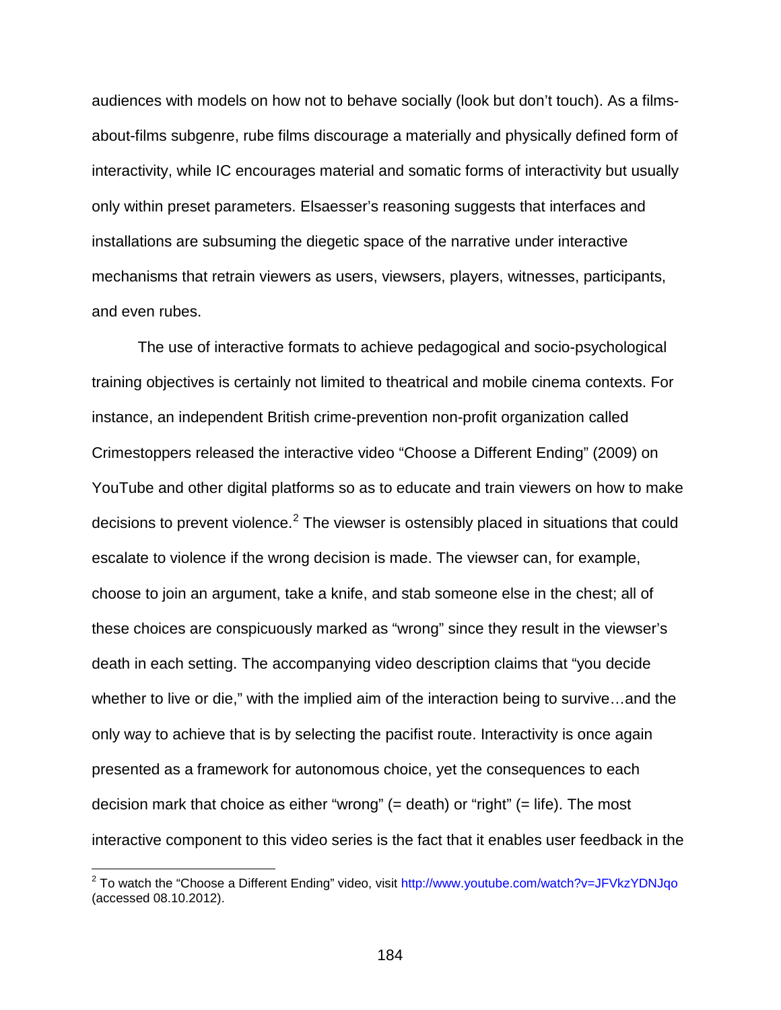audiences with models on how not to behave socially (look but don't touch). As a filmsabout-films subgenre, rube films discourage a materially and physically defined form of interactivity, while IC encourages material and somatic forms of interactivity but usually only within preset parameters. Elsaesser's reasoning suggests that interfaces and installations are subsuming the diegetic space of the narrative under interactive mechanisms that retrain viewers as users, viewsers, players, witnesses, participants, and even rubes.

The use of interactive formats to achieve pedagogical and socio-psychological training objectives is certainly not limited to theatrical and mobile cinema contexts. For instance, an independent British crime-prevention non-profit organization called Crimestoppers released the interactive video "Choose a Different Ending" (2009) on YouTube and other digital platforms so as to educate and train viewers on how to make decisions to prevent violence.<sup>[2](#page-183-0)</sup> The viewser is ostensibly placed in situations that could escalate to violence if the wrong decision is made. The viewser can, for example, choose to join an argument, take a knife, and stab someone else in the chest; all of these choices are conspicuously marked as "wrong" since they result in the viewser's death in each setting. The accompanying video description claims that "you decide whether to live or die," with the implied aim of the interaction being to survive…and the only way to achieve that is by selecting the pacifist route. Interactivity is once again presented as a framework for autonomous choice, yet the consequences to each decision mark that choice as either "wrong" (= death) or "right" (= life). The most interactive component to this video series is the fact that it enables user feedback in the

<span id="page-183-0"></span> $2$  To watch the "Choose a Different Ending" video, visit<http://www.youtube.com/watch?v=JFVkzYDNJqo> (accessed 08.10.2012).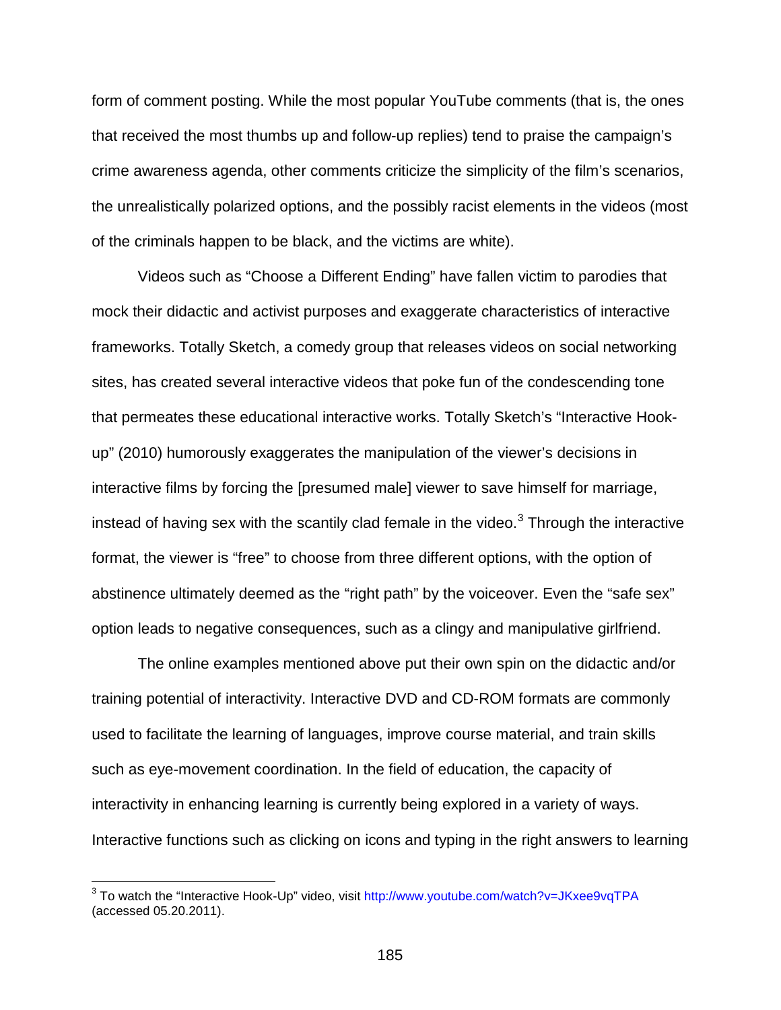form of comment posting. While the most popular YouTube comments (that is, the ones that received the most thumbs up and follow-up replies) tend to praise the campaign's crime awareness agenda, other comments criticize the simplicity of the film's scenarios, the unrealistically polarized options, and the possibly racist elements in the videos (most of the criminals happen to be black, and the victims are white).

Videos such as "Choose a Different Ending" have fallen victim to parodies that mock their didactic and activist purposes and exaggerate characteristics of interactive frameworks. Totally Sketch, a comedy group that releases videos on social networking sites, has created several interactive videos that poke fun of the condescending tone that permeates these educational interactive works. Totally Sketch's "Interactive Hookup" (2010) humorously exaggerates the manipulation of the viewer's decisions in interactive films by forcing the [presumed male] viewer to save himself for marriage, instead of having sex with the scantily clad female in the video.<sup>[3](#page-184-0)</sup> Through the interactive format, the viewer is "free" to choose from three different options, with the option of abstinence ultimately deemed as the "right path" by the voiceover. Even the "safe sex" option leads to negative consequences, such as a clingy and manipulative girlfriend.

The online examples mentioned above put their own spin on the didactic and/or training potential of interactivity. Interactive DVD and CD-ROM formats are commonly used to facilitate the learning of languages, improve course material, and train skills such as eye-movement coordination. In the field of education, the capacity of interactivity in enhancing learning is currently being explored in a variety of ways. Interactive functions such as clicking on icons and typing in the right answers to learning

<span id="page-184-0"></span><sup>&</sup>lt;sup>3</sup> To watch the "Interactive Hook-Up" video, visit <http://www.youtube.com/watch?v=JKxee9vqTPA> (accessed 05.20.2011).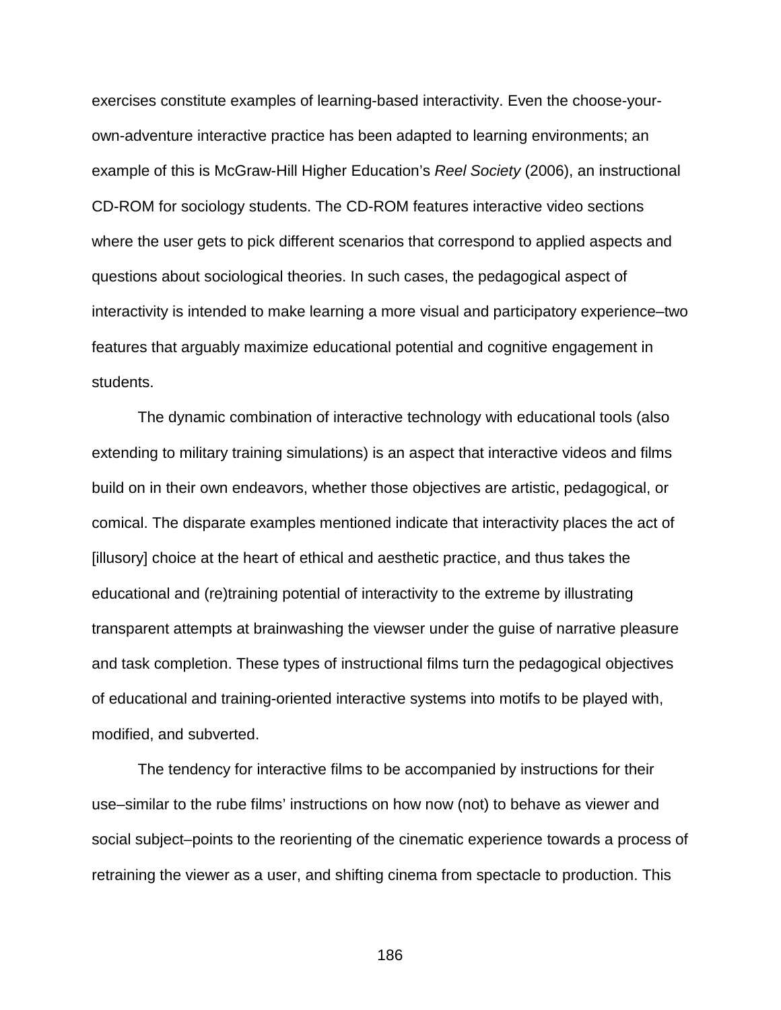exercises constitute examples of learning-based interactivity. Even the choose-yourown-adventure interactive practice has been adapted to learning environments; an example of this is McGraw-Hill Higher Education's *Reel Society* (2006), an instructional CD-ROM for sociology students. The CD-ROM features interactive video sections where the user gets to pick different scenarios that correspond to applied aspects and questions about sociological theories. In such cases, the pedagogical aspect of interactivity is intended to make learning a more visual and participatory experience–two features that arguably maximize educational potential and cognitive engagement in students.

The dynamic combination of interactive technology with educational tools (also extending to military training simulations) is an aspect that interactive videos and films build on in their own endeavors, whether those objectives are artistic, pedagogical, or comical. The disparate examples mentioned indicate that interactivity places the act of [illusory] choice at the heart of ethical and aesthetic practice, and thus takes the educational and (re)training potential of interactivity to the extreme by illustrating transparent attempts at brainwashing the viewser under the guise of narrative pleasure and task completion. These types of instructional films turn the pedagogical objectives of educational and training-oriented interactive systems into motifs to be played with, modified, and subverted.

The tendency for interactive films to be accompanied by instructions for their use–similar to the rube films' instructions on how now (not) to behave as viewer and social subject–points to the reorienting of the cinematic experience towards a process of retraining the viewer as a user, and shifting cinema from spectacle to production. This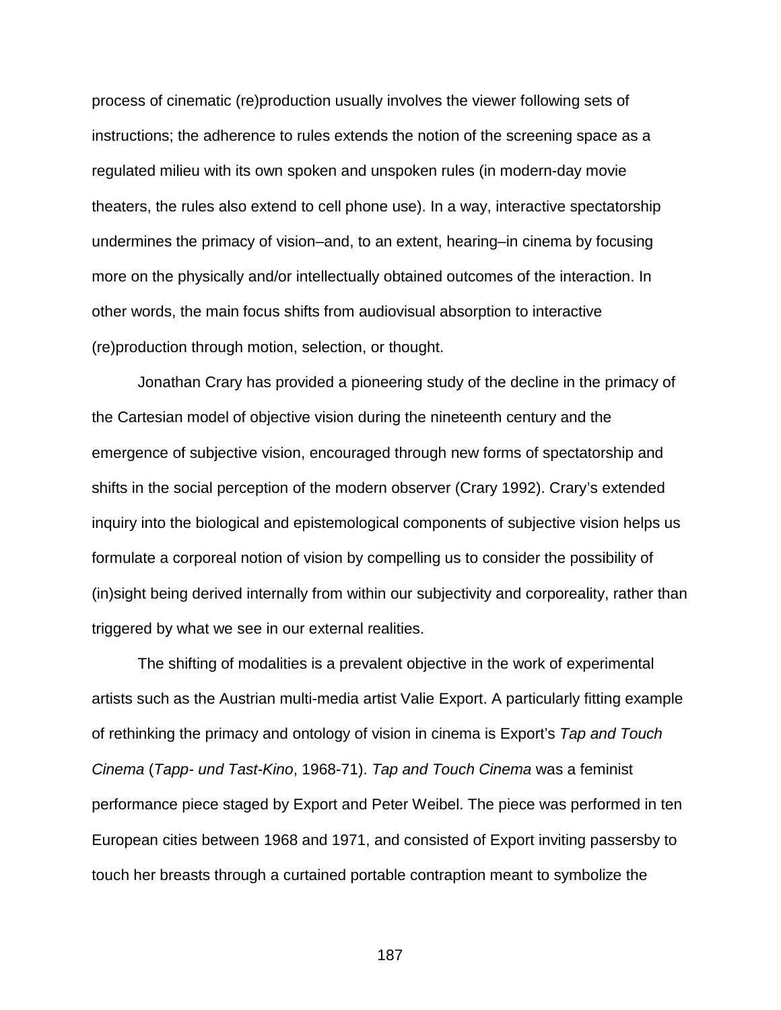process of cinematic (re)production usually involves the viewer following sets of instructions; the adherence to rules extends the notion of the screening space as a regulated milieu with its own spoken and unspoken rules (in modern-day movie theaters, the rules also extend to cell phone use). In a way, interactive spectatorship undermines the primacy of vision–and, to an extent, hearing–in cinema by focusing more on the physically and/or intellectually obtained outcomes of the interaction. In other words, the main focus shifts from audiovisual absorption to interactive (re)production through motion, selection, or thought.

Jonathan Crary has provided a pioneering study of the decline in the primacy of the Cartesian model of objective vision during the nineteenth century and the emergence of subjective vision, encouraged through new forms of spectatorship and shifts in the social perception of the modern observer (Crary 1992). Crary's extended inquiry into the biological and epistemological components of subjective vision helps us formulate a corporeal notion of vision by compelling us to consider the possibility of (in)sight being derived internally from within our subjectivity and corporeality, rather than triggered by what we see in our external realities.

The shifting of modalities is a prevalent objective in the work of experimental artists such as the Austrian multi-media artist Valie Export. A particularly fitting example of rethinking the primacy and ontology of vision in cinema is Export's *Tap and Touch Cinema* (*Tapp- und Tast-Kino*, 1968-71). *Tap and Touch Cinema* was a feminist performance piece staged by Export and Peter Weibel. The piece was performed in ten European cities between 1968 and 1971, and consisted of Export inviting passersby to touch her breasts through a curtained portable contraption meant to symbolize the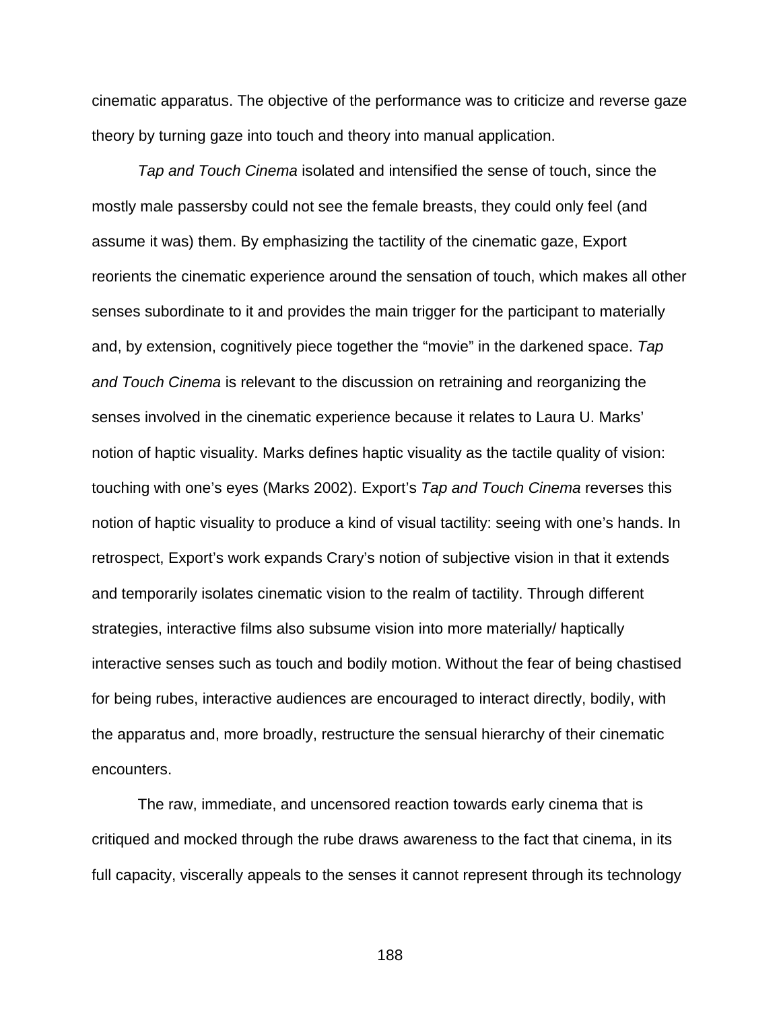cinematic apparatus. The objective of the performance was to criticize and reverse gaze theory by turning gaze into touch and theory into manual application.

*Tap and Touch Cinema* isolated and intensified the sense of touch, since the mostly male passersby could not see the female breasts, they could only feel (and assume it was) them. By emphasizing the tactility of the cinematic gaze, Export reorients the cinematic experience around the sensation of touch, which makes all other senses subordinate to it and provides the main trigger for the participant to materially and, by extension, cognitively piece together the "movie" in the darkened space. *Tap and Touch Cinema* is relevant to the discussion on retraining and reorganizing the senses involved in the cinematic experience because it relates to Laura U. Marks' notion of haptic visuality. Marks defines haptic visuality as the tactile quality of vision: touching with one's eyes (Marks 2002). Export's *Tap and Touch Cinema* reverses this notion of haptic visuality to produce a kind of visual tactility: seeing with one's hands. In retrospect, Export's work expands Crary's notion of subjective vision in that it extends and temporarily isolates cinematic vision to the realm of tactility. Through different strategies, interactive films also subsume vision into more materially/ haptically interactive senses such as touch and bodily motion. Without the fear of being chastised for being rubes, interactive audiences are encouraged to interact directly, bodily, with the apparatus and, more broadly, restructure the sensual hierarchy of their cinematic encounters.

The raw, immediate, and uncensored reaction towards early cinema that is critiqued and mocked through the rube draws awareness to the fact that cinema, in its full capacity, viscerally appeals to the senses it cannot represent through its technology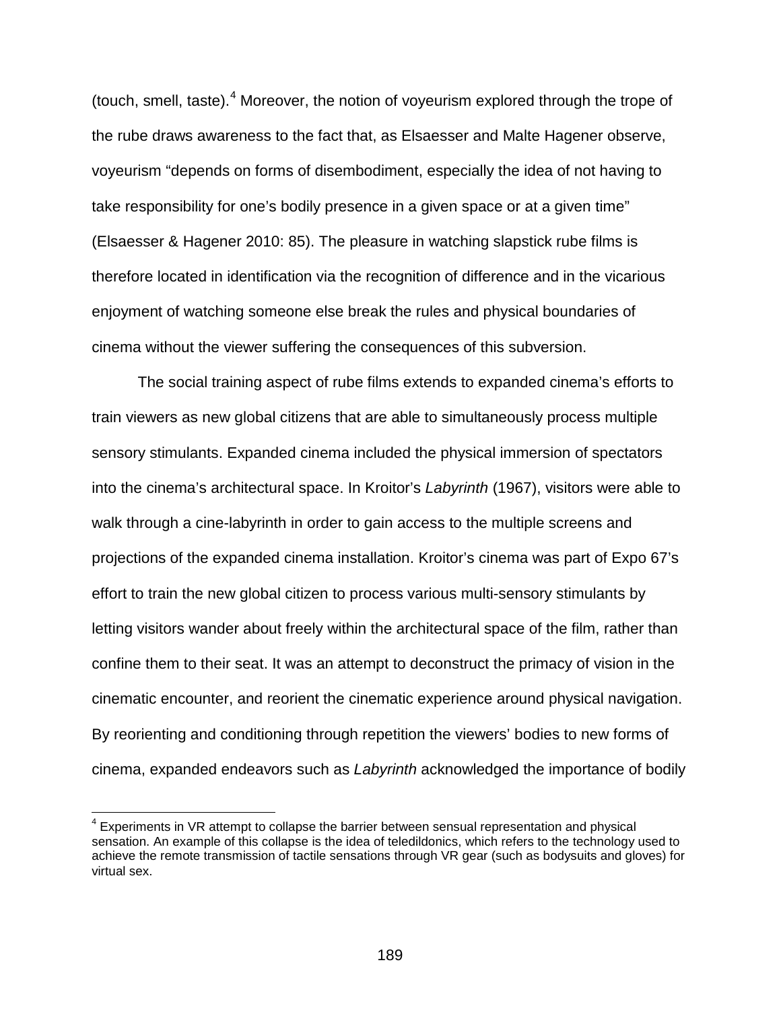(touch, smell, taste).[4](#page-188-0) Moreover, the notion of voyeurism explored through the trope of the rube draws awareness to the fact that, as Elsaesser and Malte Hagener observe, voyeurism "depends on forms of disembodiment, especially the idea of not having to take responsibility for one's bodily presence in a given space or at a given time" (Elsaesser & Hagener 2010: 85). The pleasure in watching slapstick rube films is therefore located in identification via the recognition of difference and in the vicarious enjoyment of watching someone else break the rules and physical boundaries of cinema without the viewer suffering the consequences of this subversion.

The social training aspect of rube films extends to expanded cinema's efforts to train viewers as new global citizens that are able to simultaneously process multiple sensory stimulants. Expanded cinema included the physical immersion of spectators into the cinema's architectural space. In Kroitor's *Labyrinth* (1967), visitors were able to walk through a cine-labyrinth in order to gain access to the multiple screens and projections of the expanded cinema installation. Kroitor's cinema was part of Expo 67's effort to train the new global citizen to process various multi-sensory stimulants by letting visitors wander about freely within the architectural space of the film, rather than confine them to their seat. It was an attempt to deconstruct the primacy of vision in the cinematic encounter, and reorient the cinematic experience around physical navigation. By reorienting and conditioning through repetition the viewers' bodies to new forms of cinema, expanded endeavors such as *Labyrinth* acknowledged the importance of bodily

<span id="page-188-0"></span> $4$  Experiments in VR attempt to collapse the barrier between sensual representation and physical sensation. An example of this collapse is the idea of teledildonics, which refers to the technology used to achieve the remote transmission of tactile sensations through VR gear (such as bodysuits and gloves) for virtual sex.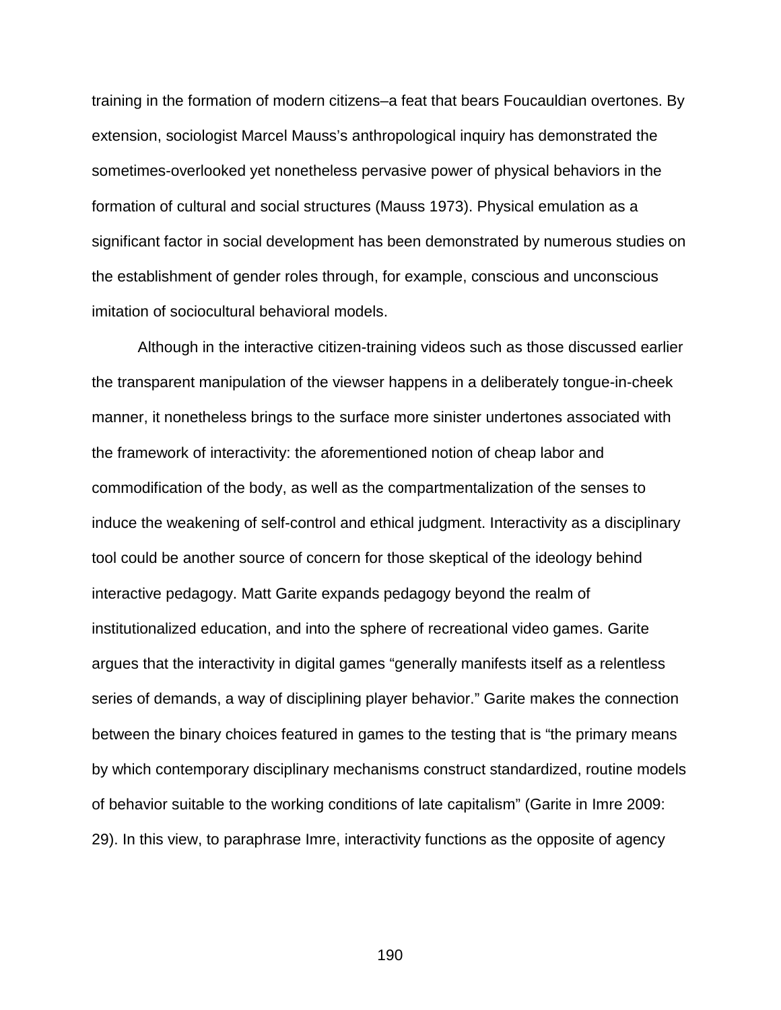training in the formation of modern citizens–a feat that bears Foucauldian overtones. By extension, sociologist Marcel Mauss's anthropological inquiry has demonstrated the sometimes-overlooked yet nonetheless pervasive power of physical behaviors in the formation of cultural and social structures (Mauss 1973). Physical emulation as a significant factor in social development has been demonstrated by numerous studies on the establishment of gender roles through, for example, conscious and unconscious imitation of sociocultural behavioral models.

Although in the interactive citizen-training videos such as those discussed earlier the transparent manipulation of the viewser happens in a deliberately tongue-in-cheek manner, it nonetheless brings to the surface more sinister undertones associated with the framework of interactivity: the aforementioned notion of cheap labor and commodification of the body, as well as the compartmentalization of the senses to induce the weakening of self-control and ethical judgment. Interactivity as a disciplinary tool could be another source of concern for those skeptical of the ideology behind interactive pedagogy. Matt Garite expands pedagogy beyond the realm of institutionalized education, and into the sphere of recreational video games. Garite argues that the interactivity in digital games "generally manifests itself as a relentless series of demands, a way of disciplining player behavior." Garite makes the connection between the binary choices featured in games to the testing that is "the primary means by which contemporary disciplinary mechanisms construct standardized, routine models of behavior suitable to the working conditions of late capitalism" (Garite in Imre 2009: 29). In this view, to paraphrase Imre, interactivity functions as the opposite of agency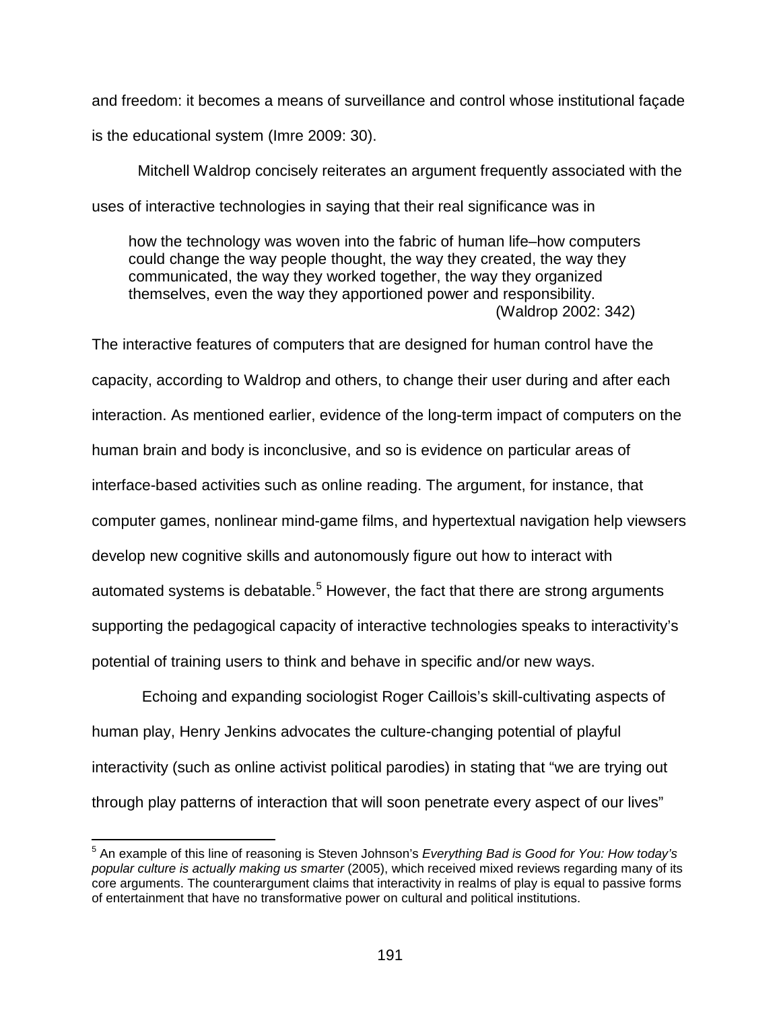and freedom: it becomes a means of surveillance and control whose institutional façade is the educational system (Imre 2009: 30).

Mitchell Waldrop concisely reiterates an argument frequently associated with the uses of interactive technologies in saying that their real significance was in

how the technology was woven into the fabric of human life–how computers could change the way people thought, the way they created, the way they communicated, the way they worked together, the way they organized themselves, even the way they apportioned power and responsibility. (Waldrop 2002: 342)

The interactive features of computers that are designed for human control have the capacity, according to Waldrop and others, to change their user during and after each interaction. As mentioned earlier, evidence of the long-term impact of computers on the human brain and body is inconclusive, and so is evidence on particular areas of interface-based activities such as online reading. The argument, for instance, that computer games, nonlinear mind-game films, and hypertextual navigation help viewsers develop new cognitive skills and autonomously figure out how to interact with automated systems is debatable.<sup>[5](#page-190-0)</sup> However, the fact that there are strong arguments supporting the pedagogical capacity of interactive technologies speaks to interactivity's potential of training users to think and behave in specific and/or new ways.

Echoing and expanding sociologist Roger Caillois's skill-cultivating aspects of human play, Henry Jenkins advocates the culture-changing potential of playful interactivity (such as online activist political parodies) in stating that "we are trying out through play patterns of interaction that will soon penetrate every aspect of our lives"

<span id="page-190-0"></span> <sup>5</sup> An example of this line of reasoning is Steven Johnson's *Everything Bad is Good for You: How today's popular culture is actually making us smarter* (2005), which received mixed reviews regarding many of its core arguments. The counterargument claims that interactivity in realms of play is equal to passive forms of entertainment that have no transformative power on cultural and political institutions.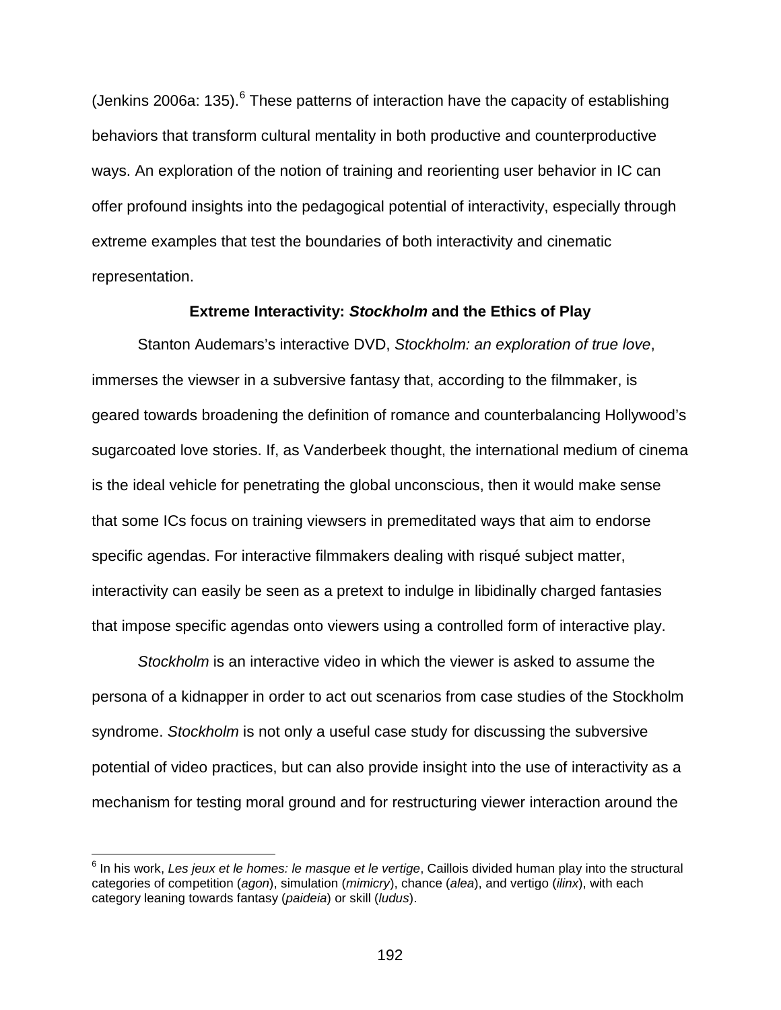(Jenkins 200[6](#page-191-0)a: 135). $<sup>6</sup>$  These patterns of interaction have the capacity of establishing</sup> behaviors that transform cultural mentality in both productive and counterproductive ways. An exploration of the notion of training and reorienting user behavior in IC can offer profound insights into the pedagogical potential of interactivity, especially through extreme examples that test the boundaries of both interactivity and cinematic representation.

## **Extreme Interactivity:** *Stockholm* **and the Ethics of Play**

Stanton Audemars's interactive DVD, *Stockholm: an exploration of true love*, immerses the viewser in a subversive fantasy that, according to the filmmaker, is geared towards broadening the definition of romance and counterbalancing Hollywood's sugarcoated love stories. If, as Vanderbeek thought, the international medium of cinema is the ideal vehicle for penetrating the global unconscious, then it would make sense that some ICs focus on training viewsers in premeditated ways that aim to endorse specific agendas. For interactive filmmakers dealing with risqué subject matter, interactivity can easily be seen as a pretext to indulge in libidinally charged fantasies that impose specific agendas onto viewers using a controlled form of interactive play.

*Stockholm* is an interactive video in which the viewer is asked to assume the persona of a kidnapper in order to act out scenarios from case studies of the Stockholm syndrome. *Stockholm* is not only a useful case study for discussing the subversive potential of video practices, but can also provide insight into the use of interactivity as a mechanism for testing moral ground and for restructuring viewer interaction around the

<span id="page-191-0"></span> <sup>6</sup> In his work, *Les jeux et le homes: le masque et le vertige*, Caillois divided human play into the structural categories of competition (*agon*), simulation (*mimicry*), chance (*alea*), and vertigo (*ilinx*), with each category leaning towards fantasy (*paideia*) or skill (*ludus*).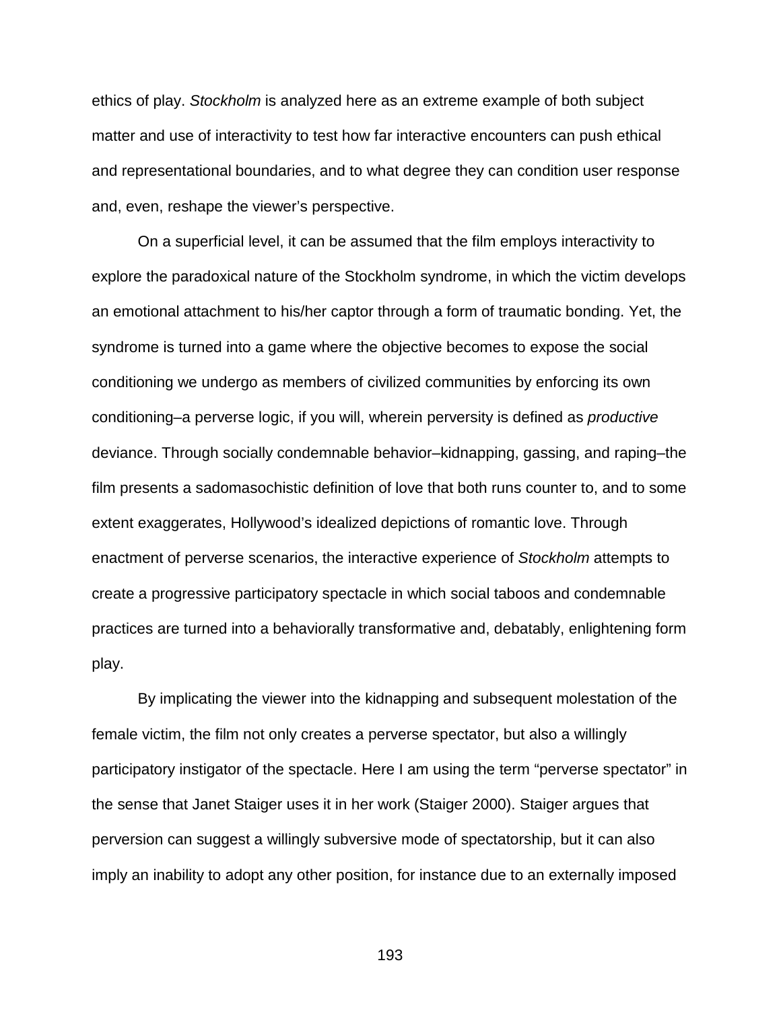ethics of play. *Stockholm* is analyzed here as an extreme example of both subject matter and use of interactivity to test how far interactive encounters can push ethical and representational boundaries, and to what degree they can condition user response and, even, reshape the viewer's perspective.

On a superficial level, it can be assumed that the film employs interactivity to explore the paradoxical nature of the Stockholm syndrome, in which the victim develops an emotional attachment to his/her captor through a form of traumatic bonding. Yet, the syndrome is turned into a game where the objective becomes to expose the social conditioning we undergo as members of civilized communities by enforcing its own conditioning–a perverse logic, if you will, wherein perversity is defined as *productive* deviance. Through socially condemnable behavior–kidnapping, gassing, and raping–the film presents a sadomasochistic definition of love that both runs counter to, and to some extent exaggerates, Hollywood's idealized depictions of romantic love. Through enactment of perverse scenarios, the interactive experience of *Stockholm* attempts to create a progressive participatory spectacle in which social taboos and condemnable practices are turned into a behaviorally transformative and, debatably, enlightening form play.

By implicating the viewer into the kidnapping and subsequent molestation of the female victim, the film not only creates a perverse spectator, but also a willingly participatory instigator of the spectacle. Here I am using the term "perverse spectator" in the sense that Janet Staiger uses it in her work (Staiger 2000). Staiger argues that perversion can suggest a willingly subversive mode of spectatorship, but it can also imply an inability to adopt any other position, for instance due to an externally imposed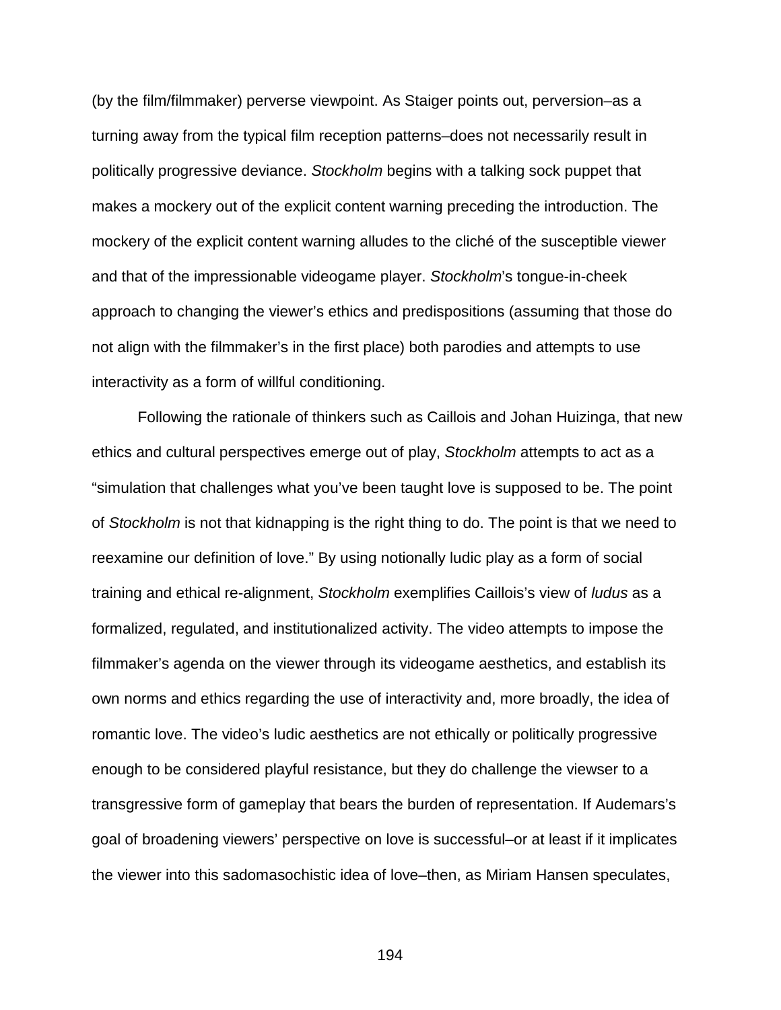(by the film/filmmaker) perverse viewpoint. As Staiger points out, perversion–as a turning away from the typical film reception patterns–does not necessarily result in politically progressive deviance. *Stockholm* begins with a talking sock puppet that makes a mockery out of the explicit content warning preceding the introduction. The mockery of the explicit content warning alludes to the cliché of the susceptible viewer and that of the impressionable videogame player. *Stockholm*'s tongue-in-cheek approach to changing the viewer's ethics and predispositions (assuming that those do not align with the filmmaker's in the first place) both parodies and attempts to use interactivity as a form of willful conditioning.

Following the rationale of thinkers such as Caillois and Johan Huizinga, that new ethics and cultural perspectives emerge out of play, *Stockholm* attempts to act as a "simulation that challenges what you've been taught love is supposed to be. The point of *Stockholm* is not that kidnapping is the right thing to do. The point is that we need to reexamine our definition of love." By using notionally ludic play as a form of social training and ethical re-alignment, *Stockholm* exemplifies Caillois's view of *ludus* as a formalized, regulated, and institutionalized activity. The video attempts to impose the filmmaker's agenda on the viewer through its videogame aesthetics, and establish its own norms and ethics regarding the use of interactivity and, more broadly, the idea of romantic love. The video's ludic aesthetics are not ethically or politically progressive enough to be considered playful resistance, but they do challenge the viewser to a transgressive form of gameplay that bears the burden of representation. If Audemars's goal of broadening viewers' perspective on love is successful–or at least if it implicates the viewer into this sadomasochistic idea of love–then, as Miriam Hansen speculates,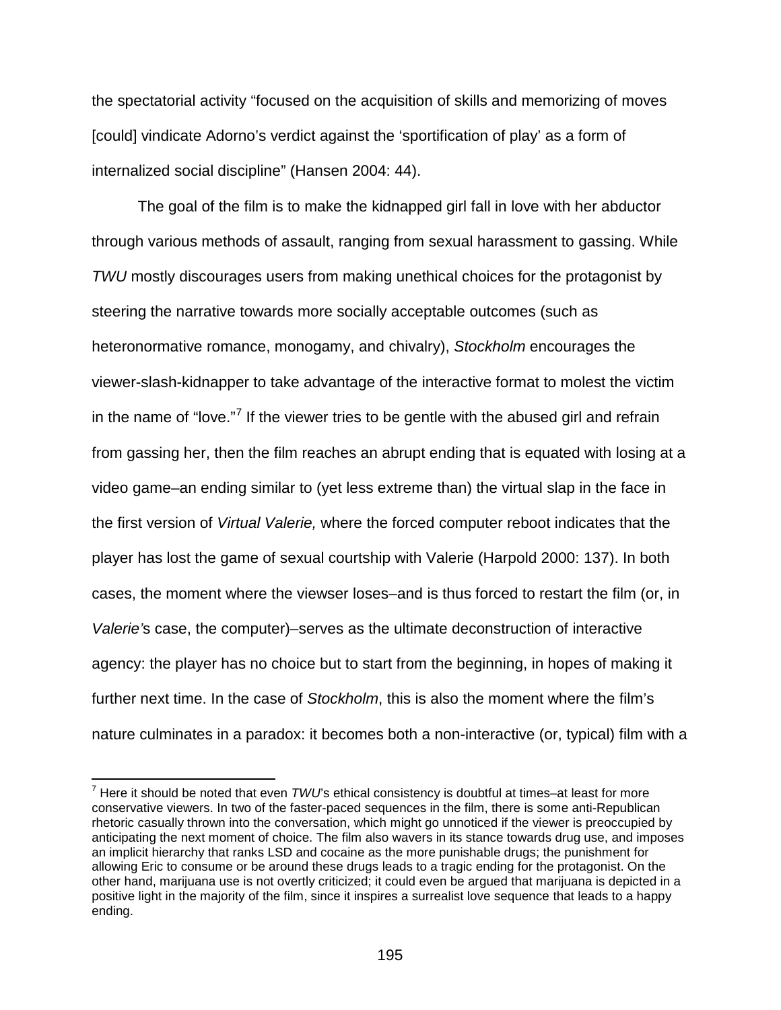the spectatorial activity "focused on the acquisition of skills and memorizing of moves [could] vindicate Adorno's verdict against the 'sportification of play' as a form of internalized social discipline" (Hansen 2004: 44).

The goal of the film is to make the kidnapped girl fall in love with her abductor through various methods of assault, ranging from sexual harassment to gassing. While *TWU* mostly discourages users from making unethical choices for the protagonist by steering the narrative towards more socially acceptable outcomes (such as heteronormative romance, monogamy, and chivalry), *Stockholm* encourages the viewer-slash-kidnapper to take advantage of the interactive format to molest the victim in the name of "love."<sup>[7](#page-194-0)</sup> If the viewer tries to be gentle with the abused girl and refrain from gassing her, then the film reaches an abrupt ending that is equated with losing at a video game–an ending similar to (yet less extreme than) the virtual slap in the face in the first version of *Virtual Valerie,* where the forced computer reboot indicates that the player has lost the game of sexual courtship with Valerie (Harpold 2000: 137). In both cases, the moment where the viewser loses–and is thus forced to restart the film (or, in *Valerie'*s case, the computer)–serves as the ultimate deconstruction of interactive agency: the player has no choice but to start from the beginning, in hopes of making it further next time. In the case of *Stockholm*, this is also the moment where the film's nature culminates in a paradox: it becomes both a non-interactive (or, typical) film with a

<span id="page-194-0"></span> <sup>7</sup> Here it should be noted that even *TWU*'s ethical consistency is doubtful at times–at least for more conservative viewers. In two of the faster-paced sequences in the film, there is some anti-Republican rhetoric casually thrown into the conversation, which might go unnoticed if the viewer is preoccupied by anticipating the next moment of choice. The film also wavers in its stance towards drug use, and imposes an implicit hierarchy that ranks LSD and cocaine as the more punishable drugs; the punishment for allowing Eric to consume or be around these drugs leads to a tragic ending for the protagonist. On the other hand, marijuana use is not overtly criticized; it could even be argued that marijuana is depicted in a positive light in the majority of the film, since it inspires a surrealist love sequence that leads to a happy ending.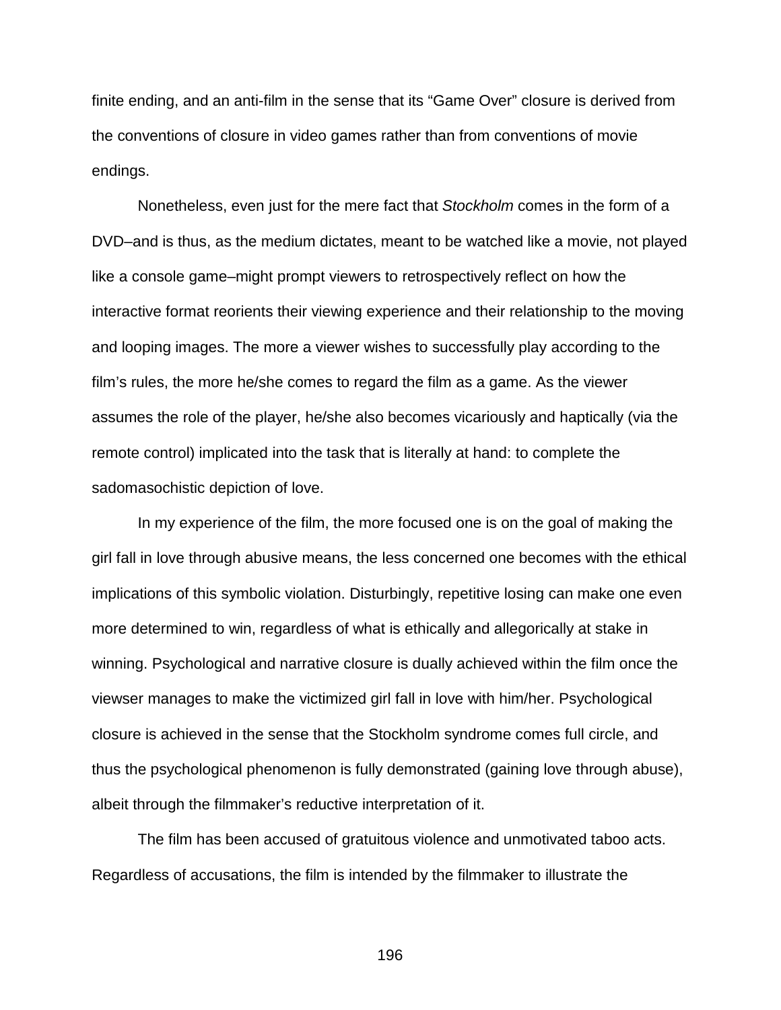finite ending, and an anti-film in the sense that its "Game Over" closure is derived from the conventions of closure in video games rather than from conventions of movie endings.

Nonetheless, even just for the mere fact that *Stockholm* comes in the form of a DVD–and is thus, as the medium dictates, meant to be watched like a movie, not played like a console game–might prompt viewers to retrospectively reflect on how the interactive format reorients their viewing experience and their relationship to the moving and looping images. The more a viewer wishes to successfully play according to the film's rules, the more he/she comes to regard the film as a game. As the viewer assumes the role of the player, he/she also becomes vicariously and haptically (via the remote control) implicated into the task that is literally at hand: to complete the sadomasochistic depiction of love.

In my experience of the film, the more focused one is on the goal of making the girl fall in love through abusive means, the less concerned one becomes with the ethical implications of this symbolic violation. Disturbingly, repetitive losing can make one even more determined to win, regardless of what is ethically and allegorically at stake in winning. Psychological and narrative closure is dually achieved within the film once the viewser manages to make the victimized girl fall in love with him/her. Psychological closure is achieved in the sense that the Stockholm syndrome comes full circle, and thus the psychological phenomenon is fully demonstrated (gaining love through abuse), albeit through the filmmaker's reductive interpretation of it.

The film has been accused of gratuitous violence and unmotivated taboo acts. Regardless of accusations, the film is intended by the filmmaker to illustrate the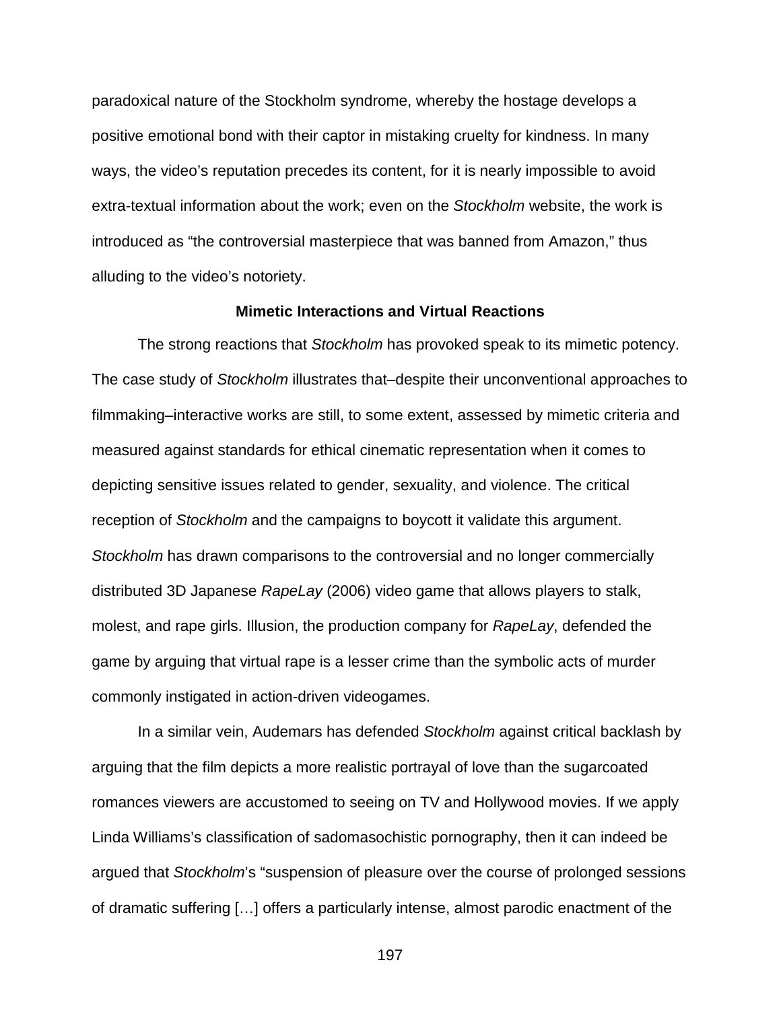paradoxical nature of the Stockholm syndrome, whereby the hostage develops a positive emotional bond with their captor in mistaking cruelty for kindness. In many ways, the video's reputation precedes its content, for it is nearly impossible to avoid extra-textual information about the work; even on the *Stockholm* website, the work is introduced as "the controversial masterpiece that was banned from Amazon," thus alluding to the video's notoriety.

## **Mimetic Interactions and Virtual Reactions**

The strong reactions that *Stockholm* has provoked speak to its mimetic potency. The case study of *Stockholm* illustrates that–despite their unconventional approaches to filmmaking–interactive works are still, to some extent, assessed by mimetic criteria and measured against standards for ethical cinematic representation when it comes to depicting sensitive issues related to gender, sexuality, and violence. The critical reception of *Stockholm* and the campaigns to boycott it validate this argument. *Stockholm* has drawn comparisons to the controversial and no longer commercially distributed 3D Japanese *RapeLay* (2006) video game that allows players to stalk, molest, and rape girls. Illusion, the production company for *RapeLay*, defended the game by arguing that virtual rape is a lesser crime than the symbolic acts of murder commonly instigated in action-driven videogames.

In a similar vein, Audemars has defended *Stockholm* against critical backlash by arguing that the film depicts a more realistic portrayal of love than the sugarcoated romances viewers are accustomed to seeing on TV and Hollywood movies. If we apply Linda Williams's classification of sadomasochistic pornography, then it can indeed be argued that *Stockholm*'s "suspension of pleasure over the course of prolonged sessions of dramatic suffering […] offers a particularly intense, almost parodic enactment of the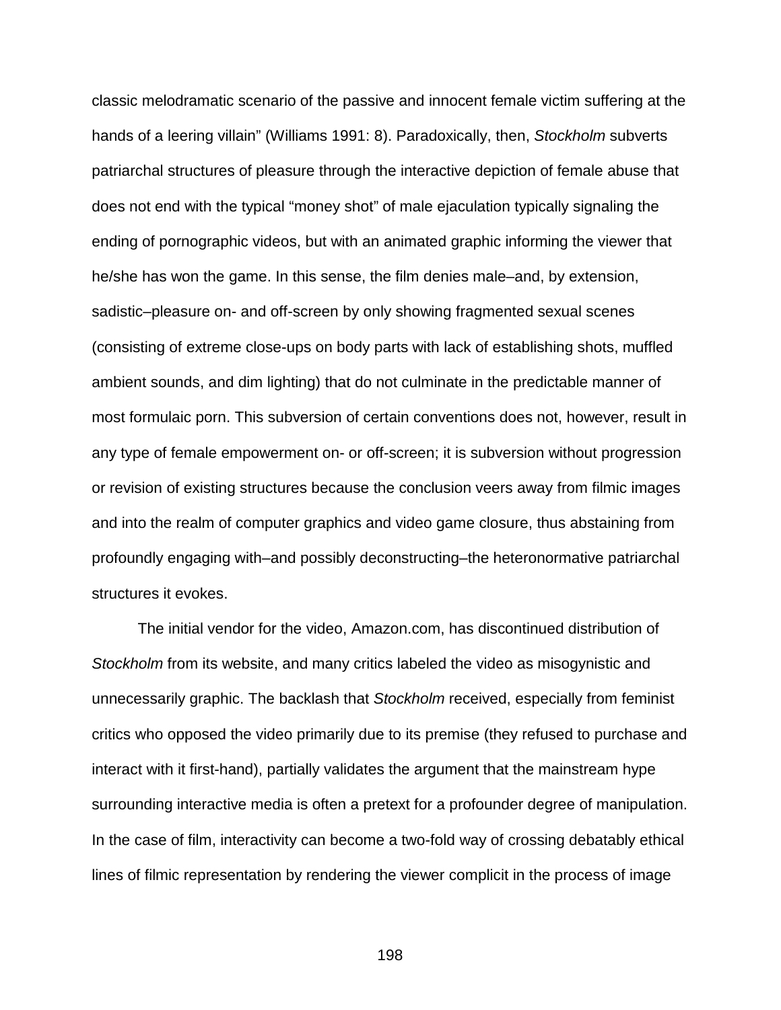classic melodramatic scenario of the passive and innocent female victim suffering at the hands of a leering villain" (Williams 1991: 8). Paradoxically, then, *Stockholm* subverts patriarchal structures of pleasure through the interactive depiction of female abuse that does not end with the typical "money shot" of male ejaculation typically signaling the ending of pornographic videos, but with an animated graphic informing the viewer that he/she has won the game. In this sense, the film denies male–and, by extension, sadistic–pleasure on- and off-screen by only showing fragmented sexual scenes (consisting of extreme close-ups on body parts with lack of establishing shots, muffled ambient sounds, and dim lighting) that do not culminate in the predictable manner of most formulaic porn. This subversion of certain conventions does not, however, result in any type of female empowerment on- or off-screen; it is subversion without progression or revision of existing structures because the conclusion veers away from filmic images and into the realm of computer graphics and video game closure, thus abstaining from profoundly engaging with–and possibly deconstructing–the heteronormative patriarchal structures it evokes.

The initial vendor for the video, Amazon.com, has discontinued distribution of *Stockholm* from its website, and many critics labeled the video as misogynistic and unnecessarily graphic. The backlash that *Stockholm* received, especially from feminist critics who opposed the video primarily due to its premise (they refused to purchase and interact with it first-hand), partially validates the argument that the mainstream hype surrounding interactive media is often a pretext for a profounder degree of manipulation. In the case of film, interactivity can become a two-fold way of crossing debatably ethical lines of filmic representation by rendering the viewer complicit in the process of image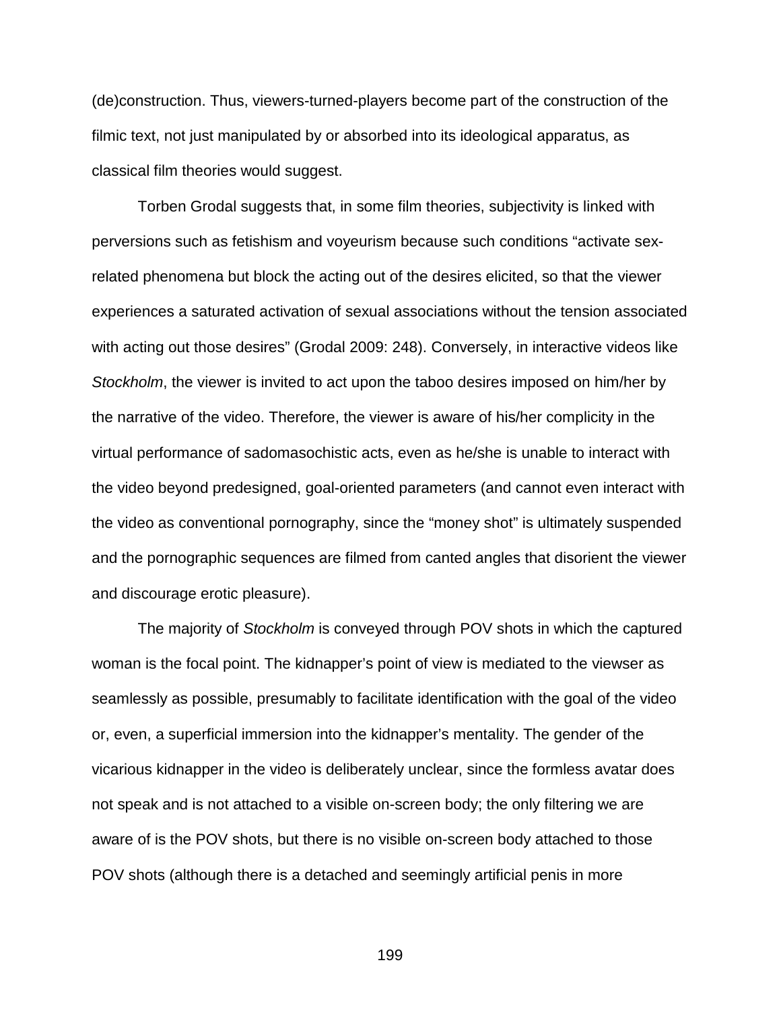(de)construction. Thus, viewers-turned-players become part of the construction of the filmic text, not just manipulated by or absorbed into its ideological apparatus, as classical film theories would suggest.

Torben Grodal suggests that, in some film theories, subjectivity is linked with perversions such as fetishism and voyeurism because such conditions "activate sexrelated phenomena but block the acting out of the desires elicited, so that the viewer experiences a saturated activation of sexual associations without the tension associated with acting out those desires" (Grodal 2009: 248). Conversely, in interactive videos like *Stockholm*, the viewer is invited to act upon the taboo desires imposed on him/her by the narrative of the video. Therefore, the viewer is aware of his/her complicity in the virtual performance of sadomasochistic acts, even as he/she is unable to interact with the video beyond predesigned, goal-oriented parameters (and cannot even interact with the video as conventional pornography, since the "money shot" is ultimately suspended and the pornographic sequences are filmed from canted angles that disorient the viewer and discourage erotic pleasure).

The majority of *Stockholm* is conveyed through POV shots in which the captured woman is the focal point. The kidnapper's point of view is mediated to the viewser as seamlessly as possible, presumably to facilitate identification with the goal of the video or, even, a superficial immersion into the kidnapper's mentality. The gender of the vicarious kidnapper in the video is deliberately unclear, since the formless avatar does not speak and is not attached to a visible on-screen body; the only filtering we are aware of is the POV shots, but there is no visible on-screen body attached to those POV shots (although there is a detached and seemingly artificial penis in more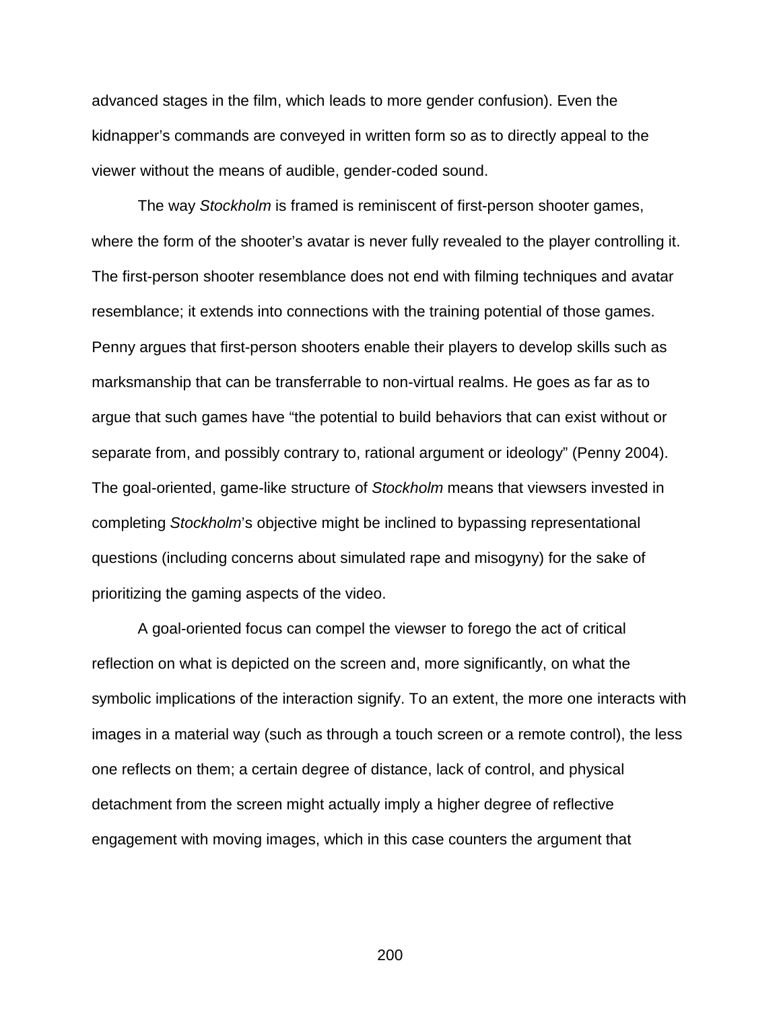advanced stages in the film, which leads to more gender confusion). Even the kidnapper's commands are conveyed in written form so as to directly appeal to the viewer without the means of audible, gender-coded sound.

The way *Stockholm* is framed is reminiscent of first-person shooter games, where the form of the shooter's avatar is never fully revealed to the player controlling it. The first-person shooter resemblance does not end with filming techniques and avatar resemblance; it extends into connections with the training potential of those games. Penny argues that first-person shooters enable their players to develop skills such as marksmanship that can be transferrable to non-virtual realms. He goes as far as to argue that such games have "the potential to build behaviors that can exist without or separate from, and possibly contrary to, rational argument or ideology" (Penny 2004). The goal-oriented, game-like structure of *Stockholm* means that viewsers invested in completing *Stockholm*'s objective might be inclined to bypassing representational questions (including concerns about simulated rape and misogyny) for the sake of prioritizing the gaming aspects of the video.

A goal-oriented focus can compel the viewser to forego the act of critical reflection on what is depicted on the screen and, more significantly, on what the symbolic implications of the interaction signify. To an extent, the more one interacts with images in a material way (such as through a touch screen or a remote control), the less one reflects on them; a certain degree of distance, lack of control, and physical detachment from the screen might actually imply a higher degree of reflective engagement with moving images, which in this case counters the argument that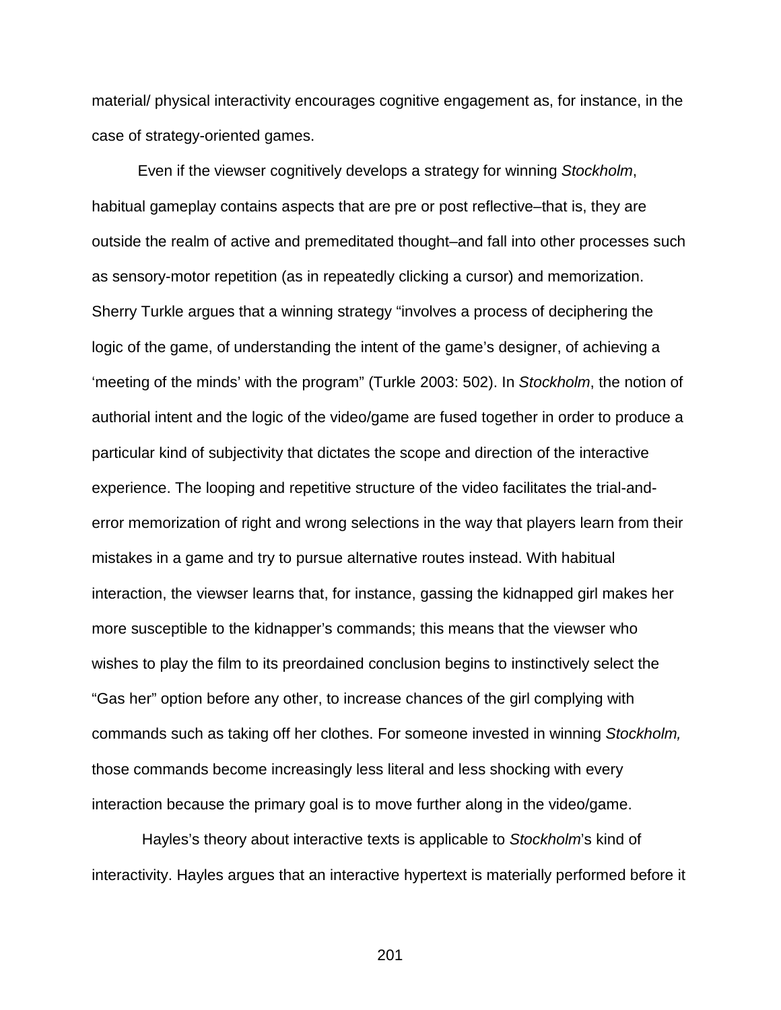material/ physical interactivity encourages cognitive engagement as, for instance, in the case of strategy-oriented games.

Even if the viewser cognitively develops a strategy for winning *Stockholm*, habitual gameplay contains aspects that are pre or post reflective–that is, they are outside the realm of active and premeditated thought–and fall into other processes such as sensory-motor repetition (as in repeatedly clicking a cursor) and memorization. Sherry Turkle argues that a winning strategy "involves a process of deciphering the logic of the game, of understanding the intent of the game's designer, of achieving a 'meeting of the minds' with the program" (Turkle 2003: 502). In *Stockholm*, the notion of authorial intent and the logic of the video/game are fused together in order to produce a particular kind of subjectivity that dictates the scope and direction of the interactive experience. The looping and repetitive structure of the video facilitates the trial-anderror memorization of right and wrong selections in the way that players learn from their mistakes in a game and try to pursue alternative routes instead. With habitual interaction, the viewser learns that, for instance, gassing the kidnapped girl makes her more susceptible to the kidnapper's commands; this means that the viewser who wishes to play the film to its preordained conclusion begins to instinctively select the "Gas her" option before any other, to increase chances of the girl complying with commands such as taking off her clothes. For someone invested in winning *Stockholm,*  those commands become increasingly less literal and less shocking with every interaction because the primary goal is to move further along in the video/game.

Hayles's theory about interactive texts is applicable to *Stockholm*'s kind of interactivity. Hayles argues that an interactive hypertext is materially performed before it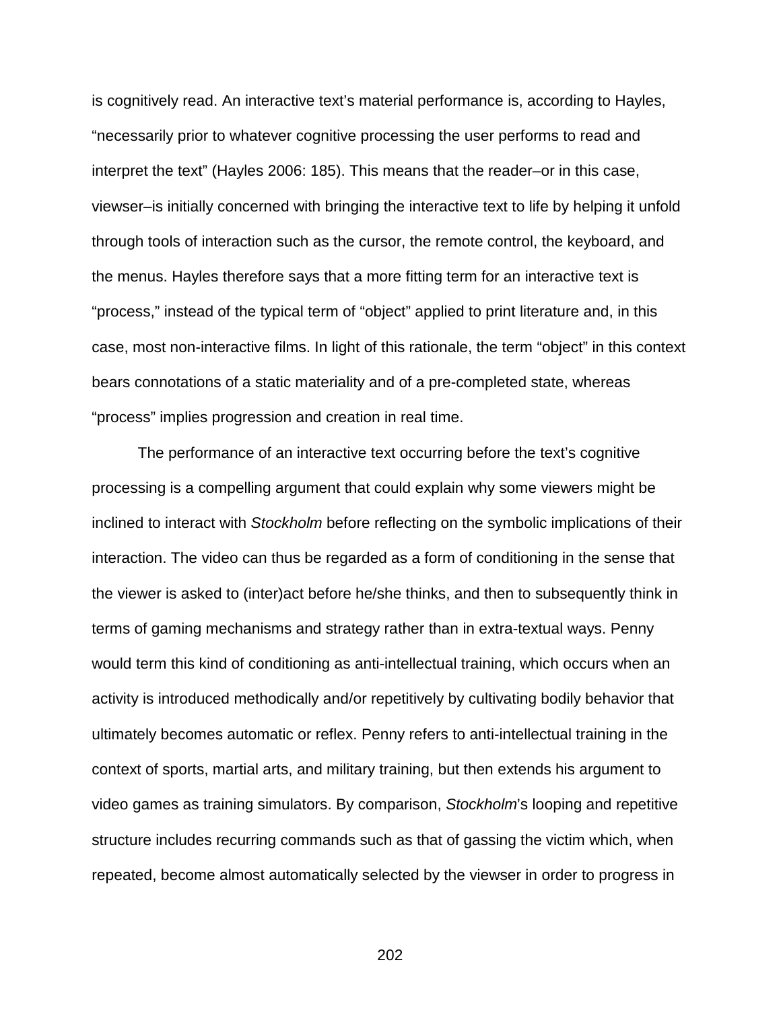is cognitively read. An interactive text's material performance is, according to Hayles, "necessarily prior to whatever cognitive processing the user performs to read and interpret the text" (Hayles 2006: 185). This means that the reader–or in this case, viewser–is initially concerned with bringing the interactive text to life by helping it unfold through tools of interaction such as the cursor, the remote control, the keyboard, and the menus. Hayles therefore says that a more fitting term for an interactive text is "process," instead of the typical term of "object" applied to print literature and, in this case, most non-interactive films. In light of this rationale, the term "object" in this context bears connotations of a static materiality and of a pre-completed state, whereas "process" implies progression and creation in real time.

The performance of an interactive text occurring before the text's cognitive processing is a compelling argument that could explain why some viewers might be inclined to interact with *Stockholm* before reflecting on the symbolic implications of their interaction. The video can thus be regarded as a form of conditioning in the sense that the viewer is asked to (inter)act before he/she thinks, and then to subsequently think in terms of gaming mechanisms and strategy rather than in extra-textual ways. Penny would term this kind of conditioning as anti-intellectual training, which occurs when an activity is introduced methodically and/or repetitively by cultivating bodily behavior that ultimately becomes automatic or reflex. Penny refers to anti-intellectual training in the context of sports, martial arts, and military training, but then extends his argument to video games as training simulators. By comparison, *Stockholm*'s looping and repetitive structure includes recurring commands such as that of gassing the victim which, when repeated, become almost automatically selected by the viewser in order to progress in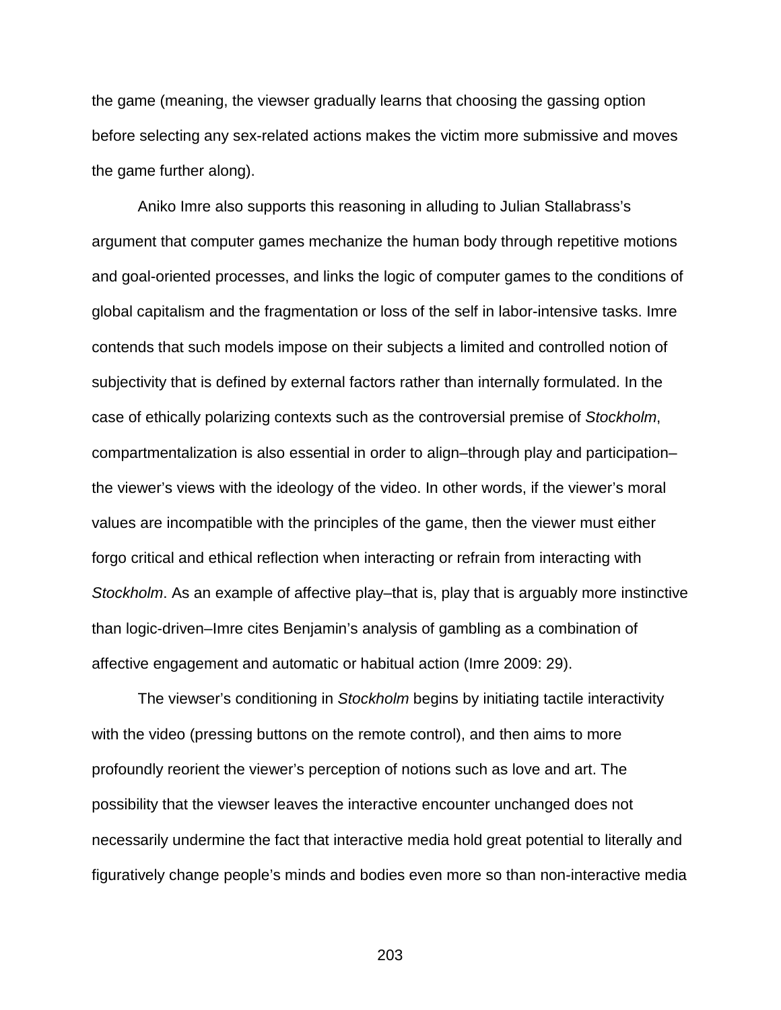the game (meaning, the viewser gradually learns that choosing the gassing option before selecting any sex-related actions makes the victim more submissive and moves the game further along).

Aniko Imre also supports this reasoning in alluding to Julian Stallabrass's argument that computer games mechanize the human body through repetitive motions and goal-oriented processes, and links the logic of computer games to the conditions of global capitalism and the fragmentation or loss of the self in labor-intensive tasks. Imre contends that such models impose on their subjects a limited and controlled notion of subjectivity that is defined by external factors rather than internally formulated. In the case of ethically polarizing contexts such as the controversial premise of *Stockholm*, compartmentalization is also essential in order to align–through play and participation– the viewer's views with the ideology of the video. In other words, if the viewer's moral values are incompatible with the principles of the game, then the viewer must either forgo critical and ethical reflection when interacting or refrain from interacting with *Stockholm*. As an example of affective play–that is, play that is arguably more instinctive than logic-driven–Imre cites Benjamin's analysis of gambling as a combination of affective engagement and automatic or habitual action (Imre 2009: 29).

The viewser's conditioning in *Stockholm* begins by initiating tactile interactivity with the video (pressing buttons on the remote control), and then aims to more profoundly reorient the viewer's perception of notions such as love and art. The possibility that the viewser leaves the interactive encounter unchanged does not necessarily undermine the fact that interactive media hold great potential to literally and figuratively change people's minds and bodies even more so than non-interactive media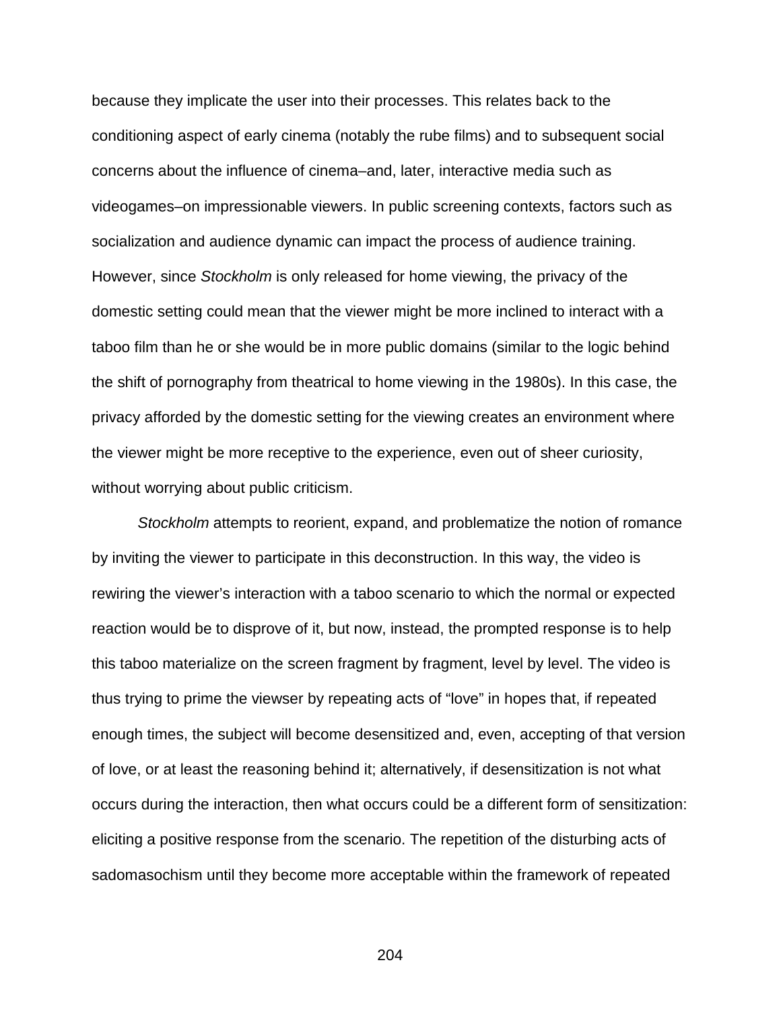because they implicate the user into their processes. This relates back to the conditioning aspect of early cinema (notably the rube films) and to subsequent social concerns about the influence of cinema–and, later, interactive media such as videogames–on impressionable viewers. In public screening contexts, factors such as socialization and audience dynamic can impact the process of audience training. However, since *Stockholm* is only released for home viewing, the privacy of the domestic setting could mean that the viewer might be more inclined to interact with a taboo film than he or she would be in more public domains (similar to the logic behind the shift of pornography from theatrical to home viewing in the 1980s). In this case, the privacy afforded by the domestic setting for the viewing creates an environment where the viewer might be more receptive to the experience, even out of sheer curiosity, without worrying about public criticism.

*Stockholm* attempts to reorient, expand, and problematize the notion of romance by inviting the viewer to participate in this deconstruction. In this way, the video is rewiring the viewer's interaction with a taboo scenario to which the normal or expected reaction would be to disprove of it, but now, instead, the prompted response is to help this taboo materialize on the screen fragment by fragment, level by level. The video is thus trying to prime the viewser by repeating acts of "love" in hopes that, if repeated enough times, the subject will become desensitized and, even, accepting of that version of love, or at least the reasoning behind it; alternatively, if desensitization is not what occurs during the interaction, then what occurs could be a different form of sensitization: eliciting a positive response from the scenario. The repetition of the disturbing acts of sadomasochism until they become more acceptable within the framework of repeated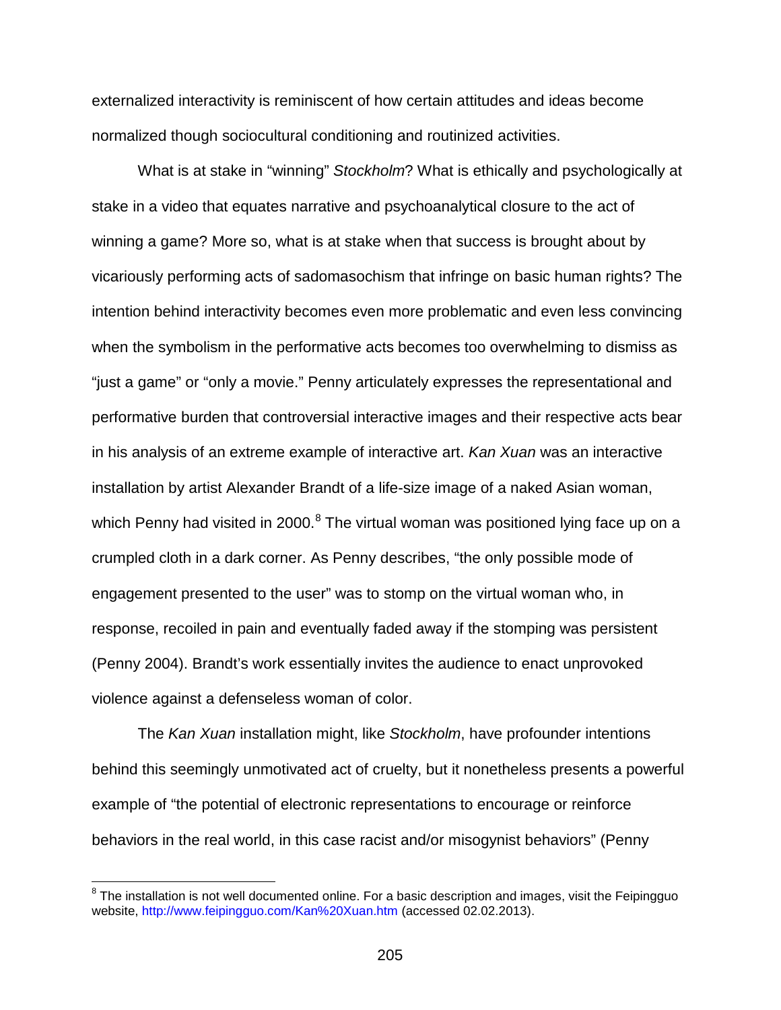externalized interactivity is reminiscent of how certain attitudes and ideas become normalized though sociocultural conditioning and routinized activities.

What is at stake in "winning" *Stockholm*? What is ethically and psychologically at stake in a video that equates narrative and psychoanalytical closure to the act of winning a game? More so, what is at stake when that success is brought about by vicariously performing acts of sadomasochism that infringe on basic human rights? The intention behind interactivity becomes even more problematic and even less convincing when the symbolism in the performative acts becomes too overwhelming to dismiss as "just a game" or "only a movie." Penny articulately expresses the representational and performative burden that controversial interactive images and their respective acts bear in his analysis of an extreme example of interactive art. *Kan Xuan* was an interactive installation by artist Alexander Brandt of a life-size image of a naked Asian woman, which Penny had visited in 2000. $8$  The virtual woman was positioned lying face up on a crumpled cloth in a dark corner. As Penny describes, "the only possible mode of engagement presented to the user" was to stomp on the virtual woman who, in response, recoiled in pain and eventually faded away if the stomping was persistent (Penny 2004). Brandt's work essentially invites the audience to enact unprovoked violence against a defenseless woman of color.

The *Kan Xuan* installation might, like *Stockholm*, have profounder intentions behind this seemingly unmotivated act of cruelty, but it nonetheless presents a powerful example of "the potential of electronic representations to encourage or reinforce behaviors in the real world, in this case racist and/or misogynist behaviors" (Penny

<span id="page-204-0"></span><sup>&</sup>lt;sup>8</sup> The installation is not well documented online. For a basic description and images, visit the Feipingguo website,<http://www.feipingguo.com/Kan%20Xuan.htm> (accessed 02.02.2013).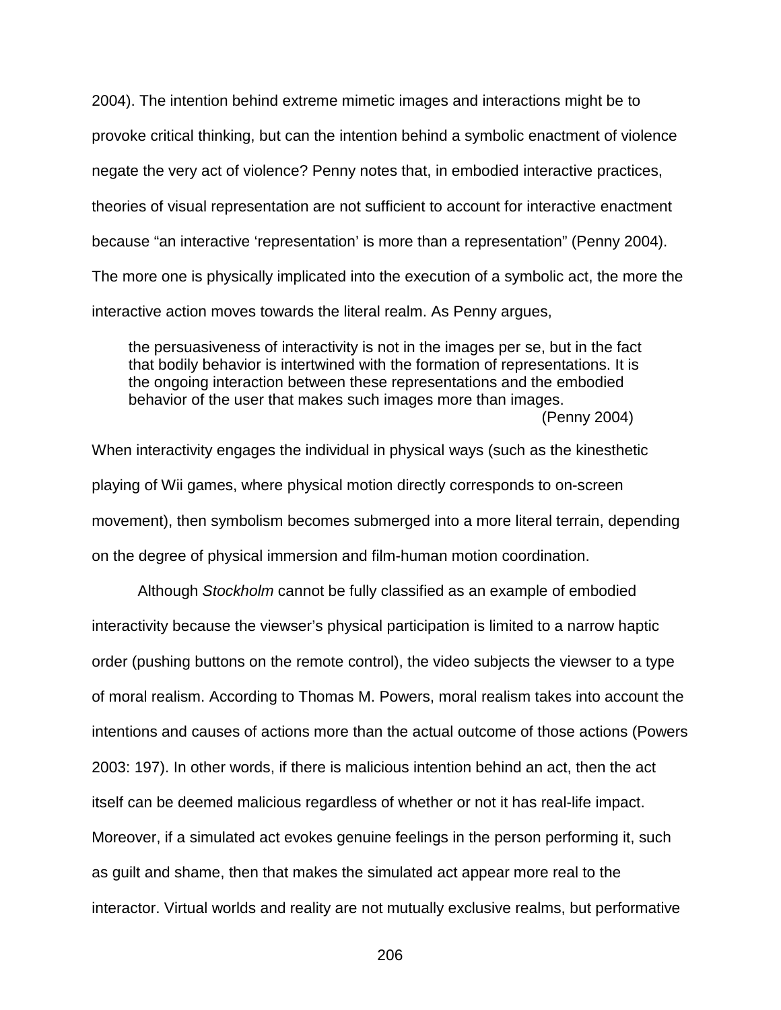2004). The intention behind extreme mimetic images and interactions might be to provoke critical thinking, but can the intention behind a symbolic enactment of violence negate the very act of violence? Penny notes that, in embodied interactive practices, theories of visual representation are not sufficient to account for interactive enactment because "an interactive 'representation' is more than a representation" (Penny 2004). The more one is physically implicated into the execution of a symbolic act, the more the interactive action moves towards the literal realm. As Penny argues,

the persuasiveness of interactivity is not in the images per se, but in the fact that bodily behavior is intertwined with the formation of representations. It is the ongoing interaction between these representations and the embodied behavior of the user that makes such images more than images. (Penny 2004)

When interactivity engages the individual in physical ways (such as the kinesthetic playing of Wii games, where physical motion directly corresponds to on-screen movement), then symbolism becomes submerged into a more literal terrain, depending on the degree of physical immersion and film-human motion coordination.

Although *Stockholm* cannot be fully classified as an example of embodied interactivity because the viewser's physical participation is limited to a narrow haptic order (pushing buttons on the remote control), the video subjects the viewser to a type of moral realism. According to Thomas M. Powers, moral realism takes into account the intentions and causes of actions more than the actual outcome of those actions (Powers 2003: 197). In other words, if there is malicious intention behind an act, then the act itself can be deemed malicious regardless of whether or not it has real-life impact. Moreover, if a simulated act evokes genuine feelings in the person performing it, such as guilt and shame, then that makes the simulated act appear more real to the interactor. Virtual worlds and reality are not mutually exclusive realms, but performative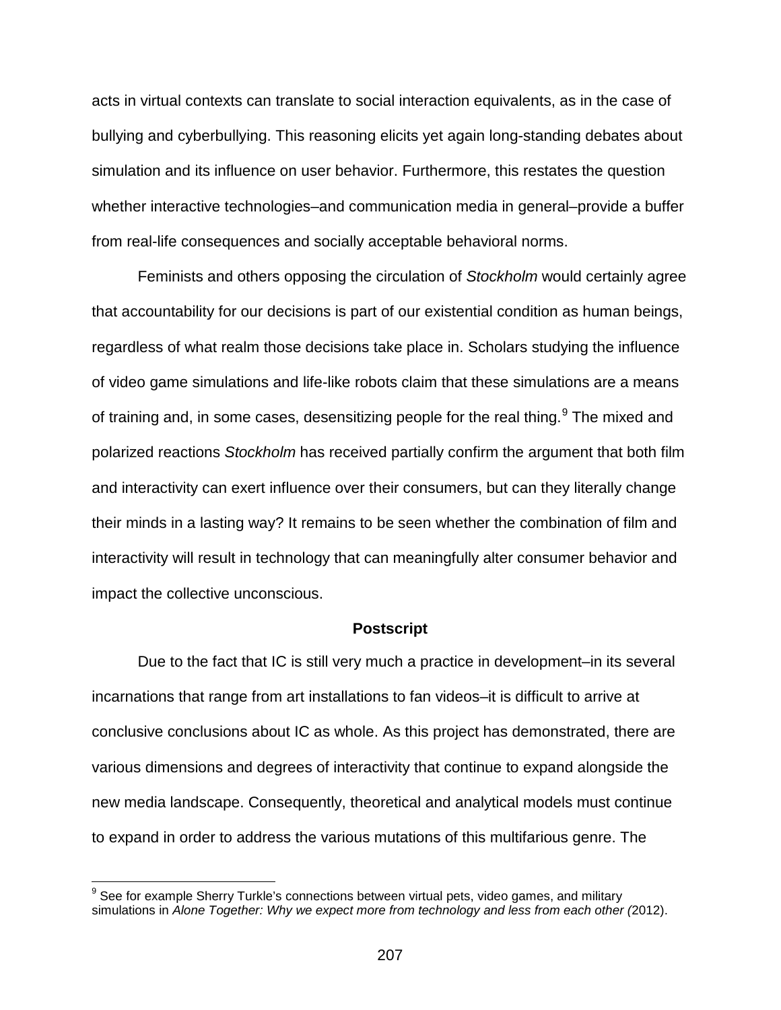acts in virtual contexts can translate to social interaction equivalents, as in the case of bullying and cyberbullying. This reasoning elicits yet again long-standing debates about simulation and its influence on user behavior. Furthermore, this restates the question whether interactive technologies–and communication media in general–provide a buffer from real-life consequences and socially acceptable behavioral norms.

Feminists and others opposing the circulation of *Stockholm* would certainly agree that accountability for our decisions is part of our existential condition as human beings, regardless of what realm those decisions take place in. Scholars studying the influence of video game simulations and life-like robots claim that these simulations are a means of training and, in some cases, desensitizing people for the real thing.<sup>[9](#page-206-0)</sup> The mixed and polarized reactions *Stockholm* has received partially confirm the argument that both film and interactivity can exert influence over their consumers, but can they literally change their minds in a lasting way? It remains to be seen whether the combination of film and interactivity will result in technology that can meaningfully alter consumer behavior and impact the collective unconscious.

## **Postscript**

Due to the fact that IC is still very much a practice in development–in its several incarnations that range from art installations to fan videos–it is difficult to arrive at conclusive conclusions about IC as whole. As this project has demonstrated, there are various dimensions and degrees of interactivity that continue to expand alongside the new media landscape. Consequently, theoretical and analytical models must continue to expand in order to address the various mutations of this multifarious genre. The

<span id="page-206-0"></span> $9$  See for example Sherry Turkle's connections between virtual pets, video games, and military simulations in *Alone Together: Why we expect more from technology and less from each other (*2012).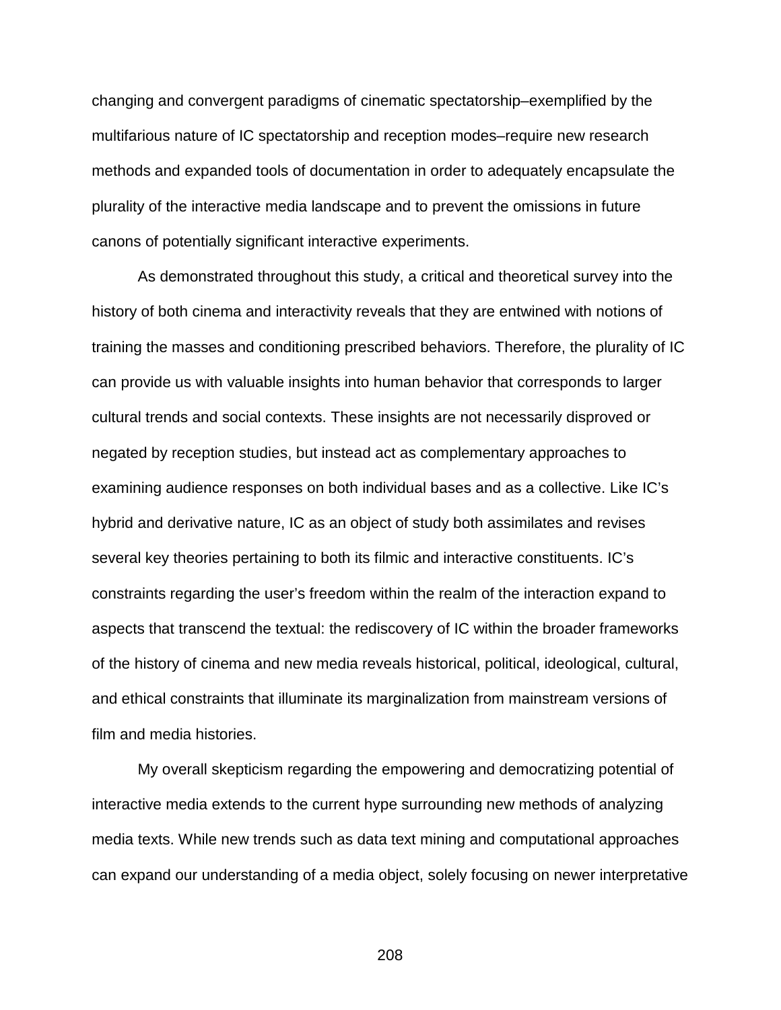changing and convergent paradigms of cinematic spectatorship–exemplified by the multifarious nature of IC spectatorship and reception modes–require new research methods and expanded tools of documentation in order to adequately encapsulate the plurality of the interactive media landscape and to prevent the omissions in future canons of potentially significant interactive experiments.

As demonstrated throughout this study, a critical and theoretical survey into the history of both cinema and interactivity reveals that they are entwined with notions of training the masses and conditioning prescribed behaviors. Therefore, the plurality of IC can provide us with valuable insights into human behavior that corresponds to larger cultural trends and social contexts. These insights are not necessarily disproved or negated by reception studies, but instead act as complementary approaches to examining audience responses on both individual bases and as a collective. Like IC's hybrid and derivative nature, IC as an object of study both assimilates and revises several key theories pertaining to both its filmic and interactive constituents. IC's constraints regarding the user's freedom within the realm of the interaction expand to aspects that transcend the textual: the rediscovery of IC within the broader frameworks of the history of cinema and new media reveals historical, political, ideological, cultural, and ethical constraints that illuminate its marginalization from mainstream versions of film and media histories.

My overall skepticism regarding the empowering and democratizing potential of interactive media extends to the current hype surrounding new methods of analyzing media texts. While new trends such as data text mining and computational approaches can expand our understanding of a media object, solely focusing on newer interpretative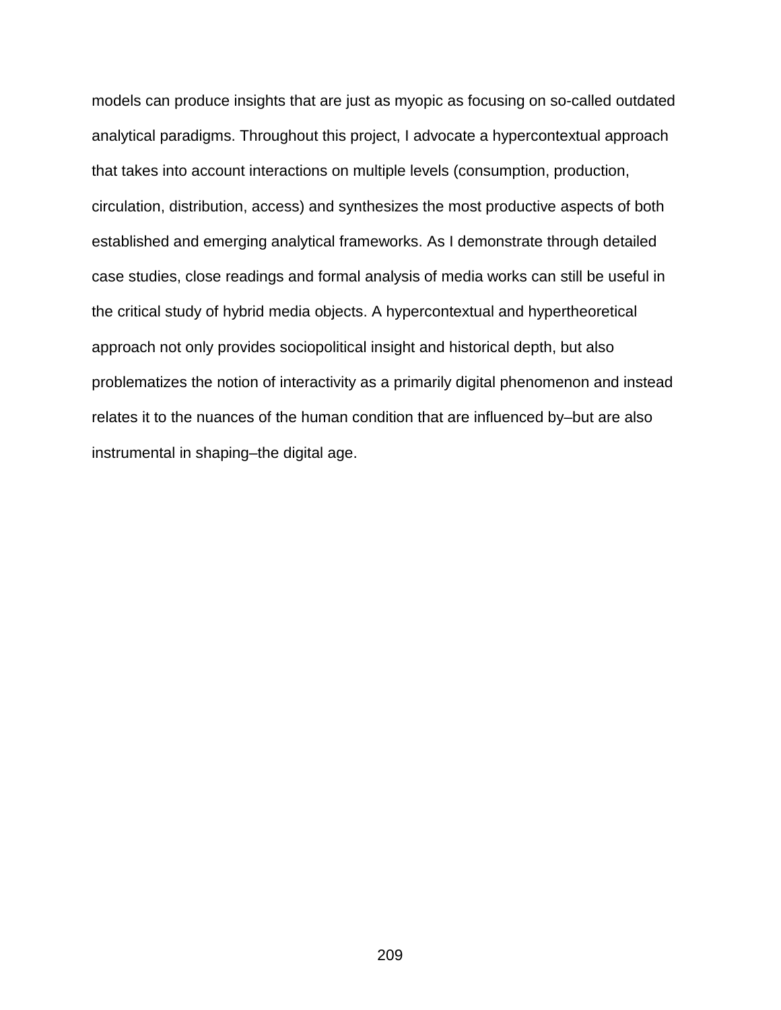models can produce insights that are just as myopic as focusing on so-called outdated analytical paradigms. Throughout this project, I advocate a hypercontextual approach that takes into account interactions on multiple levels (consumption, production, circulation, distribution, access) and synthesizes the most productive aspects of both established and emerging analytical frameworks. As I demonstrate through detailed case studies, close readings and formal analysis of media works can still be useful in the critical study of hybrid media objects. A hypercontextual and hypertheoretical approach not only provides sociopolitical insight and historical depth, but also problematizes the notion of interactivity as a primarily digital phenomenon and instead relates it to the nuances of the human condition that are influenced by–but are also instrumental in shaping–the digital age.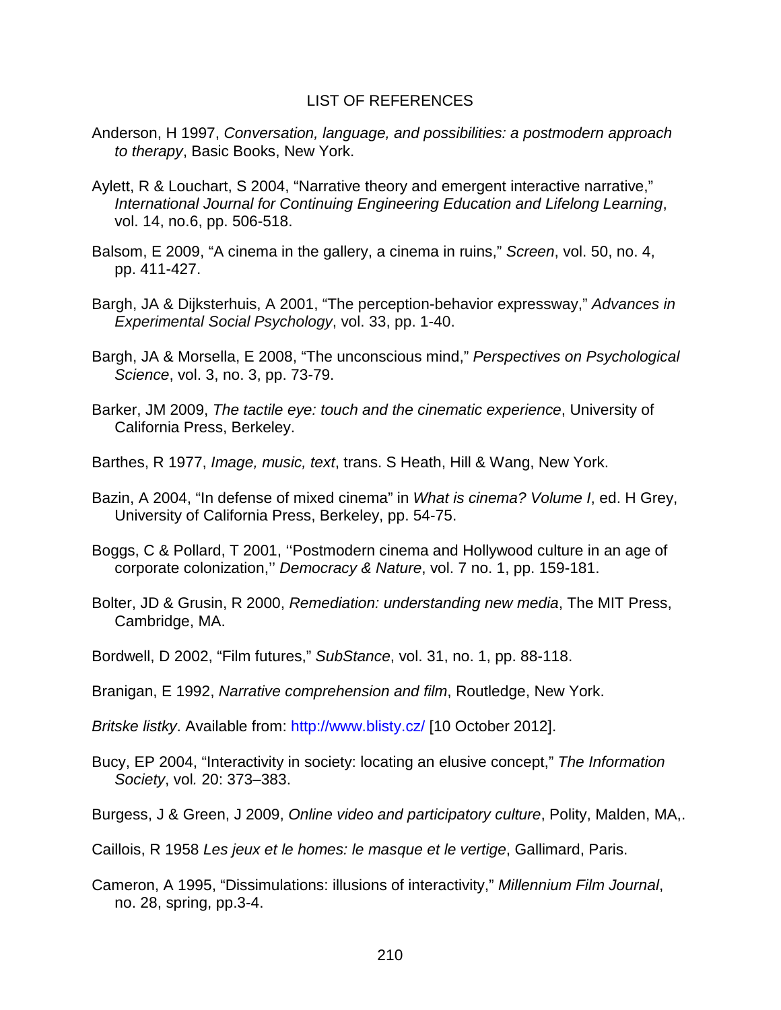#### LIST OF REFERENCES

- Anderson, H 1997, *Conversation, language, and possibilities: a postmodern approach to therapy*, Basic Books, New York.
- Aylett, R & Louchart, S 2004, "Narrative theory and emergent interactive narrative," *International Journal for Continuing Engineering Education and Lifelong Learning*, vol. 14, no.6, pp. 506-518.
- Balsom, E 2009, "A cinema in the gallery, a cinema in ruins," *Screen*, vol. 50, no. 4, pp. 411-427.
- Bargh, JA & Dijksterhuis, A 2001, "The perception-behavior expressway," *Advances in Experimental Social Psychology*, vol. 33, pp. 1-40.
- Bargh, JA & Morsella, E 2008, "The unconscious mind," *Perspectives on Psychological Science*, vol. 3, no. 3, pp. 73-79.
- Barker, JM 2009, *The tactile eye: touch and the cinematic experience*, University of California Press, Berkeley.
- Barthes, R 1977, *Image, music, text*, trans. S Heath, Hill & Wang, New York.
- Bazin, A 2004, "In defense of mixed cinema" in *What is cinema? Volume I*, ed. H Grey, University of California Press, Berkeley, pp. 54-75.
- Boggs, C & Pollard, T 2001, ''Postmodern cinema and Hollywood culture in an age of corporate colonization,'' *Democracy & Nature*, vol. 7 no. 1, pp. 159-181.
- Bolter, JD & Grusin, R 2000, *Remediation: understanding new media*, The MIT Press, Cambridge, MA.
- Bordwell, D 2002, "Film futures," *SubStance*, vol. 31, no. 1, pp. 88-118.
- Branigan, E 1992, *Narrative comprehension and film*, Routledge, New York.

*Britske listky*. Available from:<http://www.blisty.cz/> [10 October 2012].

Bucy, EP 2004, "Interactivity in society: locating an elusive concept," *The Information Society*, vol*.* 20: 373–383.

Burgess, J & Green, J 2009, *Online video and participatory culture*, Polity, Malden, MA,.

Caillois, R 1958 *Les jeux et le homes: le masque et le vertige*, Gallimard, Paris.

Cameron, A 1995, "Dissimulations: illusions of interactivity," *Millennium Film Journal*, no. 28, spring, pp.3-4.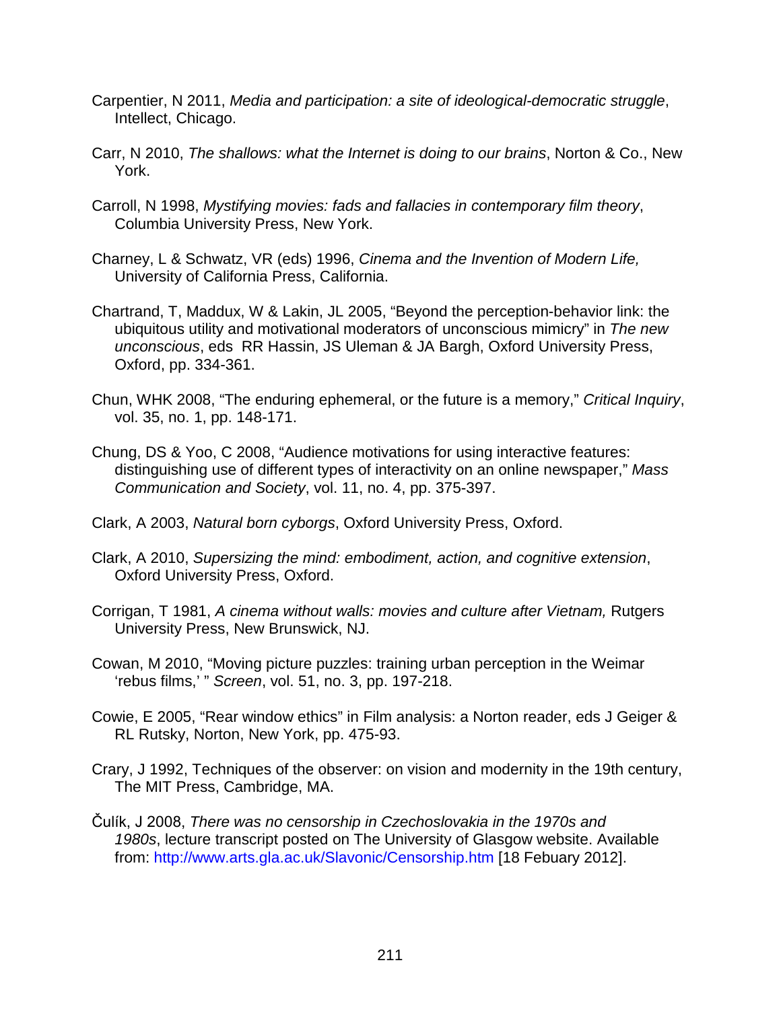- Carpentier, N 2011, *Media and participation: a site of ideological-democratic struggle*, Intellect, Chicago.
- Carr, N 2010, *The shallows: what the Internet is doing to our brains*, Norton & Co., New York.
- Carroll, N 1998, *Mystifying movies: fads and fallacies in contemporary film theory*, Columbia University Press, New York.
- Charney, L & Schwatz, VR (eds) 1996, *Cinema and the Invention of Modern Life,*  University of California Press, California.
- Chartrand, T, Maddux, W & Lakin, JL 2005, "Beyond the perception-behavior link: the ubiquitous utility and motivational moderators of unconscious mimicry" in *The new unconscious*, eds RR Hassin, JS Uleman & JA Bargh, Oxford University Press, Oxford, pp. 334-361.
- Chun, WHK 2008, "The enduring ephemeral, or the future is a memory," *Critical Inquiry*, vol. 35, no. 1, pp. 148-171.
- Chung, DS & Yoo, C 2008, "Audience motivations for using interactive features: distinguishing use of different types of interactivity on an online newspaper," *Mass Communication and Society*, vol. 11, no. 4, pp. 375-397.
- Clark, A 2003, *Natural born cyborgs*, Oxford University Press, Oxford.
- Clark, A 2010, *Supersizing the mind: embodiment, action, and cognitive extension*, Oxford University Press, Oxford.
- Corrigan, T 1981, *A cinema without walls: movies and culture after Vietnam,* Rutgers University Press, New Brunswick, NJ.
- Cowan, M 2010, "Moving picture puzzles: training urban perception in the Weimar 'rebus films,' " *Screen*, vol. 51, no. 3, pp. 197-218.
- Cowie, E 2005, "Rear window ethics" in Film analysis: a Norton reader, eds J Geiger & RL Rutsky, Norton, New York, pp. 475-93.
- Crary, J 1992, Techniques of the observer: on vision and modernity in the 19th century, The MIT Press, Cambridge, MA.
- Čulík, J 2008, *There was no censorship in Czechoslovakia in the 1970s and 1980s*, lecture transcript posted on The University of Glasgow website. Available from:<http://www.arts.gla.ac.uk/Slavonic/Censorship.htm> [18 Febuary 2012].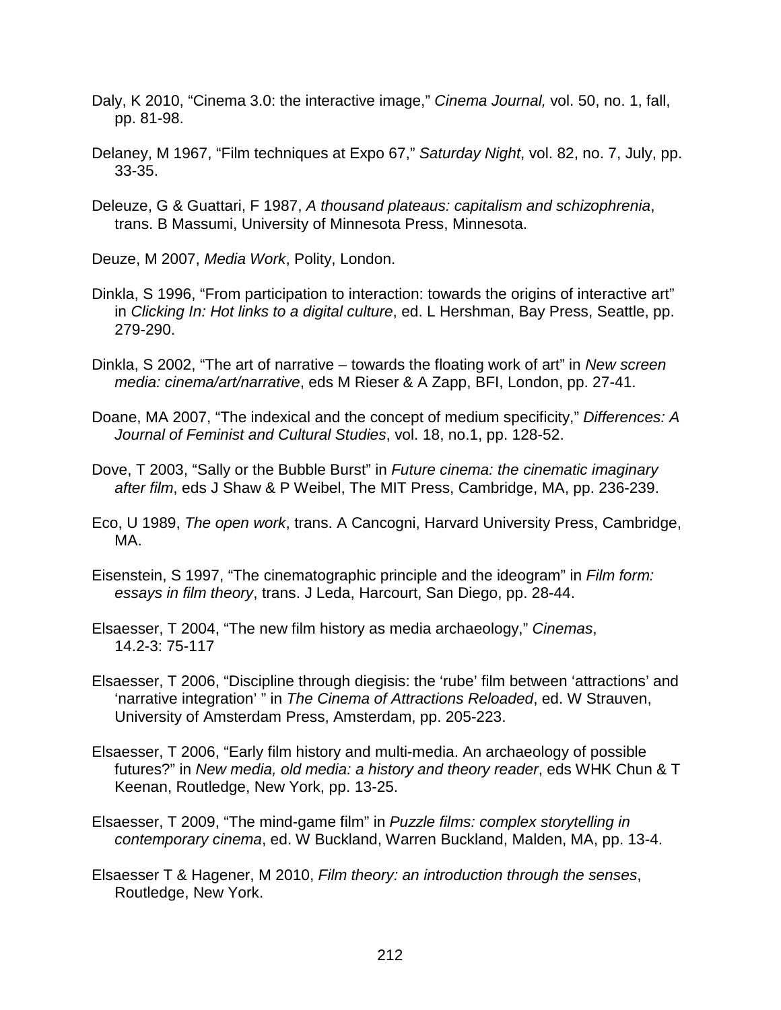- Daly, K 2010, "Cinema 3.0: the interactive image," *Cinema Journal,* vol. 50, no. 1, fall, pp. 81-98.
- Delaney, M 1967, "Film techniques at Expo 67," *Saturday Night*, vol. 82, no. 7, July, pp. 33-35.
- Deleuze, G & Guattari, F 1987, *A thousand plateaus: capitalism and schizophrenia*, trans. B Massumi, University of Minnesota Press, Minnesota.
- Deuze, M 2007, *Media Work*, Polity, London.
- Dinkla, S 1996, "From participation to interaction: towards the origins of interactive art" in *Clicking In: Hot links to a digital culture*, ed. L Hershman, Bay Press, Seattle, pp. 279-290.
- Dinkla, S 2002, "The art of narrative towards the floating work of art" in *New screen media: cinema/art/narrative*, eds M Rieser & A Zapp, BFI, London, pp. 27-41.
- Doane, MA 2007, "The indexical and the concept of medium specificity," *Differences: A Journal of Feminist and Cultural Studies*, vol. 18, no.1, pp. 128-52.
- Dove, T 2003, "Sally or the Bubble Burst" in *Future cinema: the cinematic imaginary after film*, eds J Shaw & P Weibel, The MIT Press, Cambridge, MA, pp. 236-239.
- Eco, U 1989, *The open work*, trans. A Cancogni, Harvard University Press, Cambridge, MA.
- Eisenstein, S 1997, "The cinematographic principle and the ideogram" in *Film form: essays in film theory*, trans. J Leda, Harcourt, San Diego, pp. 28-44.
- Elsaesser, T 2004, "The new film history as media archaeology," *Cinemas*, 14.2-3: 75-117
- Elsaesser, T 2006, "Discipline through diegisis: the 'rube' film between 'attractions' and 'narrative integration' " in *The Cinema of Attractions Reloaded*, ed. W Strauven, University of Amsterdam Press, Amsterdam, pp. 205-223.
- Elsaesser, T 2006, "Early film history and multi-media. An archaeology of possible futures?" in *New media, old media: a history and theory reader*, eds WHK Chun & T Keenan, Routledge, New York, pp. 13-25.
- Elsaesser, T 2009, "The mind-game film" in *Puzzle films: complex storytelling in contemporary cinema*, ed. W Buckland, Warren Buckland, Malden, MA, pp. 13-4.
- Elsaesser T & Hagener, M 2010, *Film theory: an introduction through the senses*, Routledge, New York.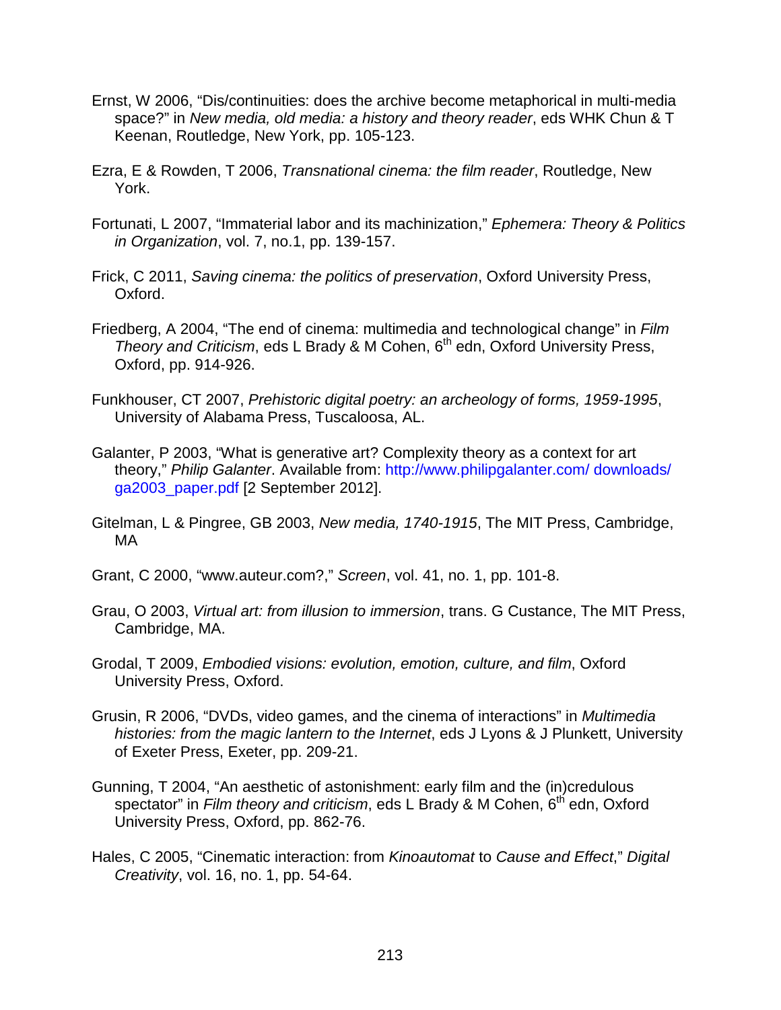- Ernst, W 2006, "Dis/continuities: does the archive become metaphorical in multi-media space?" in *New media, old media: a history and theory reader*, eds WHK Chun & T Keenan, Routledge, New York, pp. 105-123.
- Ezra, E & Rowden, T 2006, *Transnational cinema: the film reader*, Routledge, New York.
- Fortunati, L 2007, "Immaterial labor and its machinization," *Ephemera: Theory & Politics in Organization*, vol. 7, no.1, pp. 139-157.
- Frick, C 2011, *Saving cinema: the politics of preservation*, Oxford University Press, Oxford.
- Friedberg, A 2004, "The end of cinema: multimedia and technological change" in *Film Theory and Criticism*, eds L Brady & M Cohen, 6th edn, Oxford University Press, Oxford, pp. 914-926.
- Funkhouser, CT 2007, *Prehistoric digital poetry: an archeology of forms, 1959-1995*, University of Alabama Press, Tuscaloosa, AL.
- Galanter, P 2003, "What is generative art? Complexity theory as a context for art theory," *Philip Galanter*. Available from: [http://www.philipgalanter.com/ downloads/](http://www.philipgalanter.com/%20downloads/%20ga2003_paper.pdf)  [ga2003\\_paper.pdf](http://www.philipgalanter.com/%20downloads/%20ga2003_paper.pdf) [2 September 2012].
- Gitelman, L & Pingree, GB 2003, *New media, 1740-1915*, The MIT Press, Cambridge, MA
- Grant, C 2000, "www.auteur.com?," *Screen*, vol. 41, no. 1, pp. 101-8.
- Grau, O 2003, *Virtual art: from illusion to immersion*, trans. G Custance, The MIT Press, Cambridge, MA.
- Grodal, T 2009, *Embodied visions: evolution, emotion, culture, and film*, Oxford University Press, Oxford.
- Grusin, R 2006, "DVDs, video games, and the cinema of interactions" in *Multimedia histories: from the magic lantern to the Internet*, eds J Lyons & J Plunkett, University of Exeter Press, Exeter, pp. 209-21.
- Gunning, T 2004, "An aesthetic of astonishment: early film and the (in)credulous spectator" in *Film theory and criticism*, eds L Brady & M Cohen,  $6<sup>th</sup>$  edn, Oxford University Press, Oxford, pp. 862-76.
- Hales, C 2005, "Cinematic interaction: from *Kinoautomat* to *Cause and Effect*," *Digital Creativity*, vol. 16, no. 1, pp. 54-64.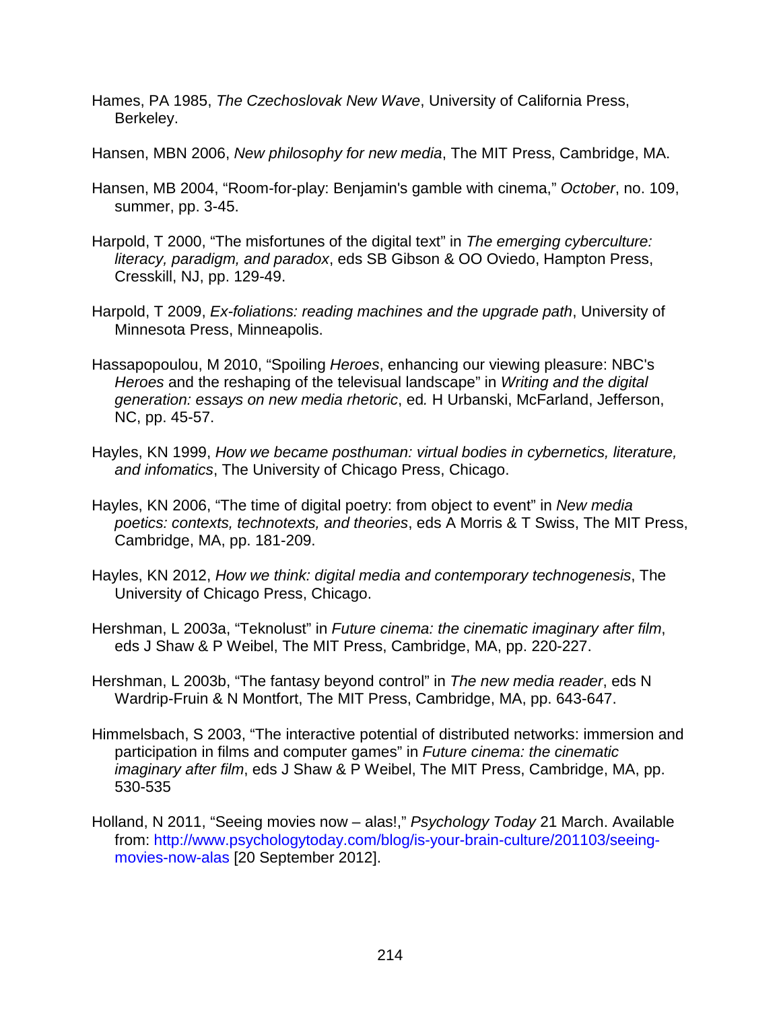- Hames, PA 1985, *The Czechoslovak New Wave*, University of California Press, Berkeley.
- Hansen, MBN 2006, *New philosophy for new media*, The MIT Press, Cambridge, MA.
- Hansen, MB 2004, "Room-for-play: Benjamin's gamble with cinema," *October*, no. 109, summer, pp. 3-45.
- Harpold, T 2000, "The misfortunes of the digital text" in *The emerging cyberculture: literacy, paradigm, and paradox*, eds SB Gibson & OO Oviedo, Hampton Press, Cresskill, NJ, pp. 129-49.
- Harpold, T 2009, *Ex-foliations: reading machines and the upgrade path*, University of Minnesota Press, Minneapolis.
- Hassapopoulou, M 2010, "Spoiling *Heroes*, enhancing our viewing pleasure: NBC's *Heroes* and the reshaping of the televisual landscape" in *Writing and the digital generation: essays on new media rhetoric*, ed*.* H Urbanski, McFarland, Jefferson, NC, pp. 45-57.
- Hayles, KN 1999, *How we became posthuman: virtual bodies in cybernetics, literature, and infomatics*, The University of Chicago Press, Chicago.
- Hayles, KN 2006, "The time of digital poetry: from object to event" in *New media poetics: contexts, technotexts, and theories*, eds A Morris & T Swiss, The MIT Press, Cambridge, MA, pp. 181-209.
- Hayles, KN 2012, *How we think: digital media and contemporary technogenesis*, The University of Chicago Press, Chicago.
- Hershman, L 2003a, "Teknolust" in *Future cinema: the cinematic imaginary after film*, eds J Shaw & P Weibel, The MIT Press, Cambridge, MA, pp. 220-227.
- Hershman, L 2003b, "The fantasy beyond control" in *The new media reader*, eds N Wardrip-Fruin & N Montfort, The MIT Press, Cambridge, MA, pp. 643-647.
- Himmelsbach, S 2003, "The interactive potential of distributed networks: immersion and participation in films and computer games" in *Future cinema: the cinematic imaginary after film*, eds J Shaw & P Weibel, The MIT Press, Cambridge, MA, pp. 530-535
- Holland, N 2011, "Seeing movies now alas!," *Psychology Today* 21 March. Available from: [http://www.psychologytoday.com/blog/is-your-brain-culture/201103/seeing](http://www.psychologytoday.com/blog/is-your-brain-culture/201103/seeing-movies-now-alas)[movies-now-alas](http://www.psychologytoday.com/blog/is-your-brain-culture/201103/seeing-movies-now-alas) [20 September 2012].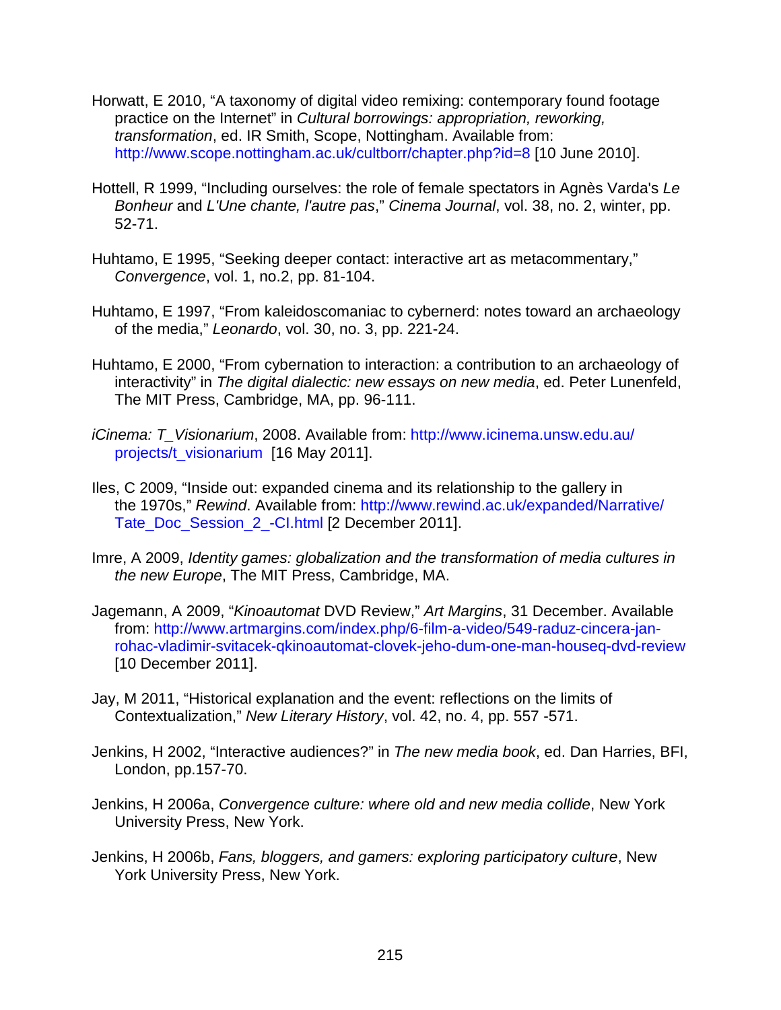- Horwatt, E 2010, "A taxonomy of digital video remixing: contemporary found footage practice on the Internet" in *Cultural borrowings: appropriation, reworking, transformation*, ed. IR Smith, Scope, Nottingham. Available from: <http://www.scope.nottingham.ac.uk/cultborr/chapter.php?id=8> [10 June 2010].
- Hottell, R 1999, "Including ourselves: the role of female spectators in Agnès Varda's *Le Bonheur* and *L'Une chante, l'autre pas*," *Cinema Journal*, vol. 38, no. 2, winter, pp. 52-71.
- Huhtamo, E 1995, "Seeking deeper contact: interactive art as metacommentary," *Convergence*, vol. 1, no.2, pp. 81-104.
- Huhtamo, E 1997, "From kaleidoscomaniac to cybernerd: notes toward an archaeology of the media," *Leonardo*, vol. 30, no. 3, pp. 221-24.
- Huhtamo, E 2000, "From cybernation to interaction: a contribution to an archaeology of interactivity" in *The digital dialectic: new essays on new media*, ed. Peter Lunenfeld, The MIT Press, Cambridge, MA, pp. 96-111.
- *iCinema: T\_Visionarium*, 2008. Available from: [http://www.icinema.unsw.edu.au/](http://www.icinema.unsw.edu.au/%20projects/t_visionarium)  [projects/t\\_visionarium](http://www.icinema.unsw.edu.au/%20projects/t_visionarium) [16 May 2011].
- Iles, C 2009, "Inside out: expanded cinema and its relationship to the gallery in the 1970s," *Rewind*. Available from: [http://www.rewind.ac.uk/expanded/Narrative/](http://www.rewind.ac.uk/expanded/Narrative/%20Tate_Doc_Session_2_-CI.html)  [Tate\\_Doc\\_Session\\_2\\_-CI.html](http://www.rewind.ac.uk/expanded/Narrative/%20Tate_Doc_Session_2_-CI.html) [2 December 2011].
- Imre, A 2009, *Identity games: globalization and the transformation of media cultures in the new Europe*, The MIT Press, Cambridge, MA.
- Jagemann, A 2009, "*Kinoautomat* DVD Review," *Art Margins*, 31 December. Available from: [http://www.artmargins.com/index.php/6-film-a-video/549-raduz-cincera-jan](http://www.artmargins.com/index.php/6-film-a-video/549-raduz-cincera-jan-rohac-vladimir-svitacek-qkinoautomat-clovek-jeho-dum-one-man-houseq-dvd-review)[rohac-vladimir-svitacek-qkinoautomat-clovek-jeho-dum-one-man-houseq-dvd-review](http://www.artmargins.com/index.php/6-film-a-video/549-raduz-cincera-jan-rohac-vladimir-svitacek-qkinoautomat-clovek-jeho-dum-one-man-houseq-dvd-review) [10 December 2011].
- Jay, M 2011, "Historical explanation and the event: reflections on the limits of Contextualization," *New Literary History*, vol. 42, no. 4, pp. 557 -571.
- Jenkins, H 2002, "Interactive audiences?" in *The new media book*, ed. Dan Harries, BFI, London, pp.157-70.
- Jenkins, H 2006a, *Convergence culture: where old and new media collide*, New York University Press, New York.
- Jenkins, H 2006b, *Fans, bloggers, and gamers: exploring participatory culture*, New York University Press, New York.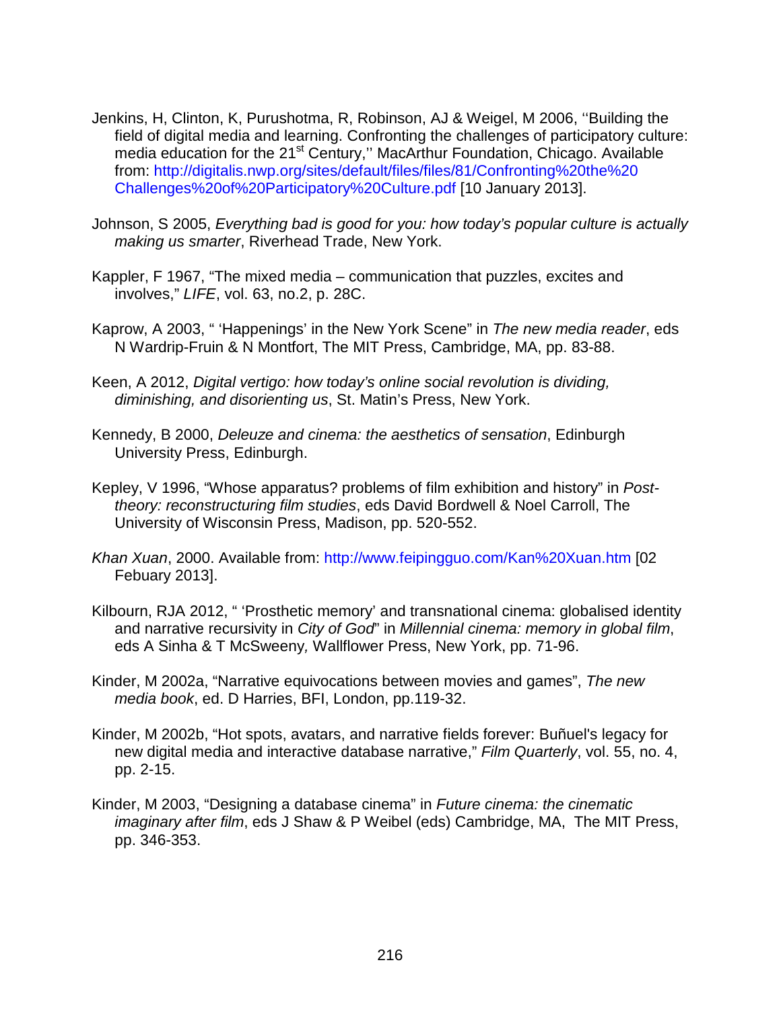- Jenkins, H, Clinton, K, Purushotma, R, Robinson, AJ & Weigel, M 2006, ''Building the field of digital media and learning. Confronting the challenges of participatory culture: media education for the 21<sup>st</sup> Century," MacArthur Foundation, Chicago. Available from: [http://digitalis.nwp.org/sites/default/files/files/81/Confronting%20the%20](http://digitalis.nwp.org/sites/default/files/files/81/Confronting%20the%20%20Challenges%20of%20Participatory%20Culture.pdf)  [Challenges%20of%20Participatory%20Culture.pdf](http://digitalis.nwp.org/sites/default/files/files/81/Confronting%20the%20%20Challenges%20of%20Participatory%20Culture.pdf) [10 January 2013].
- Johnson, S 2005, *Everything bad is good for you: how today's popular culture is actually making us smarter*, Riverhead Trade, New York.
- Kappler, F 1967, "The mixed media communication that puzzles, excites and involves," *LIFE*, vol. 63, no.2, p. 28C.
- Kaprow, A 2003, " 'Happenings' in the New York Scene" in *The new media reader*, eds N Wardrip-Fruin & N Montfort, The MIT Press, Cambridge, MA, pp. 83-88.
- Keen, A 2012, *Digital vertigo: how today's online social revolution is dividing, diminishing, and disorienting us*, St. Matin's Press, New York.
- Kennedy, B 2000, *Deleuze and cinema: the aesthetics of sensation*, Edinburgh University Press, Edinburgh.
- Kepley, V 1996, "Whose apparatus? problems of film exhibition and history" in *Posttheory: reconstructuring film studies*, eds David Bordwell & Noel Carroll, The University of Wisconsin Press, Madison, pp. 520-552.
- *Khan Xuan*, 2000. Available from: <http://www.feipingguo.com/Kan%20Xuan.htm> [02 Febuary 2013].
- Kilbourn, RJA 2012, " 'Prosthetic memory' and transnational cinema: globalised identity and narrative recursivity in *City of God*" in *Millennial cinema: memory in global film*, eds A Sinha & T McSweeny*,* Wallflower Press, New York, pp. 71-96.
- Kinder, M 2002a, "Narrative equivocations between movies and games", *The new media book*, ed. D Harries, BFI, London, pp.119-32.
- Kinder, M 2002b, "Hot spots, avatars, and narrative fields forever: Buñuel's legacy for new digital media and interactive database narrative," *Film Quarterly*, vol. 55, no. 4, pp. 2-15.
- Kinder, M 2003, "Designing a database cinema" in *Future cinema: the cinematic imaginary after film*, eds J Shaw & P Weibel (eds) Cambridge, MA, The MIT Press, pp. 346-353.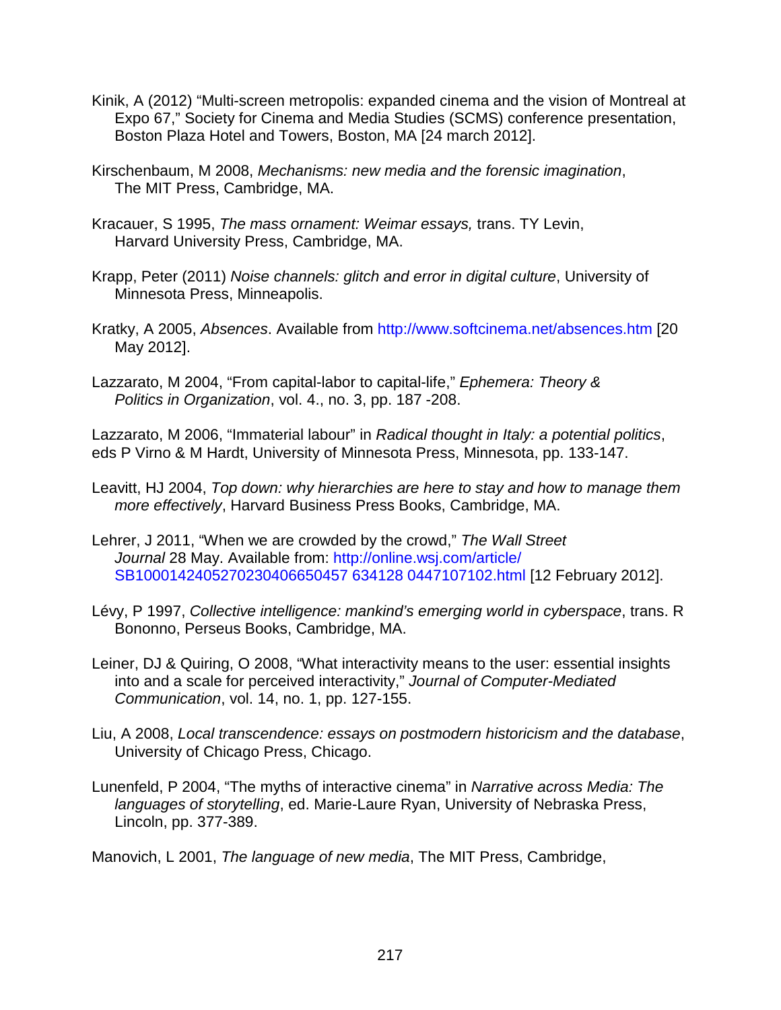- Kinik, A (2012) "Multi-screen metropolis: expanded cinema and the vision of Montreal at Expo 67," Society for Cinema and Media Studies (SCMS) conference presentation, Boston Plaza Hotel and Towers, Boston, MA [24 march 2012].
- Kirschenbaum, M 2008, *Mechanisms: new media and the forensic imagination*, The MIT Press, Cambridge, MA.
- Kracauer, S 1995, *The mass ornament: Weimar essays,* trans. TY Levin, Harvard University Press, Cambridge, MA.
- Krapp, Peter (2011) *Noise channels: glitch and error in digital culture*, University of Minnesota Press, Minneapolis.
- Kratky, A 2005, *Absences*. Available from <http://www.softcinema.net/absences.htm> [20 May 2012].
- Lazzarato, M 2004, "From capital-labor to capital-life," *Ephemera: Theory & Politics in Organization*, vol. 4., no. 3, pp. 187 -208.

Lazzarato, M 2006, "Immaterial labour" in *Radical thought in Italy: a potential politics*, eds P Virno & M Hardt, University of Minnesota Press, Minnesota, pp. 133-147.

- Leavitt, HJ 2004, *Top down: why hierarchies are here to stay and how to manage them more effectively*, Harvard Business Press Books, Cambridge, MA.
- Lehrer, J 2011, "When we are crowded by the crowd," *The Wall Street Journal* 28 May. Available from: [http://online.wsj.com/article/](http://online.wsj.com/article/%20SB1000142405270230406650457%20634128%200447107102.html)  [SB1000142405270230406650457 634128 0447107102.html](http://online.wsj.com/article/%20SB1000142405270230406650457%20634128%200447107102.html) [12 February 2012].
- Lévy, P 1997, *Collective intelligence: mankind's emerging world in cyberspace*, trans. R Bononno, Perseus Books, Cambridge, MA.
- Leiner, DJ & Quiring, O 2008, "What interactivity means to the user: essential insights into and a scale for perceived interactivity," *Journal of Computer-Mediated Communication*, vol. 14, no. 1, pp. 127-155.
- Liu, A 2008, *Local transcendence: essays on postmodern historicism and the database*, University of Chicago Press, Chicago.
- Lunenfeld, P 2004, "The myths of interactive cinema" in *Narrative across Media: The languages of storytelling*, ed. Marie-Laure Ryan, University of Nebraska Press, Lincoln, pp. 377-389.

Manovich, L 2001, *The language of new media*, The MIT Press, Cambridge,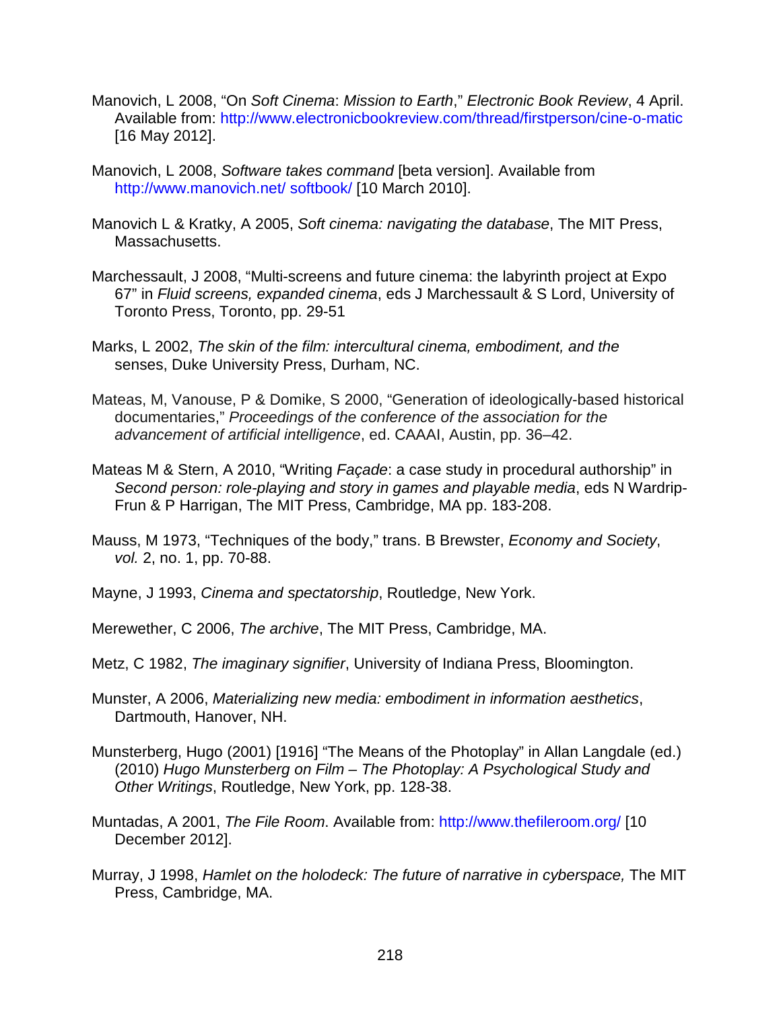- Manovich, L 2008, "On *Soft Cinema*: *Mission to Earth*," *Electronic Book Review*, 4 April. Available from:<http://www.electronicbookreview.com/thread/firstperson/cine-o-matic> [16 May 2012].
- Manovich, L 2008, *Software takes command* [beta version]. Available from [http://www.manovich.net/ softbook/](http://www.manovich.net/%20softbook/) [10 March 2010].
- Manovich L & Kratky, A 2005, *Soft cinema: navigating the database*, The MIT Press, Massachusetts.
- Marchessault, J 2008, "Multi-screens and future cinema: the labyrinth project at Expo 67" in *Fluid screens, expanded cinema*, eds J Marchessault & S Lord, University of Toronto Press, Toronto, pp. 29-51
- Marks, L 2002, *The skin of the film: intercultural cinema, embodiment, and the*  senses, Duke University Press, Durham, NC.
- Mateas, M, Vanouse, P & Domike, S 2000, "Generation of ideologically-based historical documentaries," *Proceedings of the conference of the association for the advancement of artificial intelligence*, ed. CAAAI, Austin, pp. 36–42.
- Mateas M & Stern, A 2010, "Writing *Façade*: a case study in procedural authorship" in *Second person: role-playing and story in games and playable media*, eds N Wardrip-Frun & P Harrigan, The MIT Press, Cambridge, MA pp. 183-208.
- Mauss, M 1973, "Techniques of the body," trans. B Brewster, *Economy and Society*, *vol.* 2, no. 1, pp. 70-88.
- Mayne, J 1993, *Cinema and spectatorship*, Routledge, New York.
- Merewether, C 2006, *The archive*, The MIT Press, Cambridge, MA.
- Metz, C 1982, *The imaginary signifier*, University of Indiana Press, Bloomington.
- Munster, A 2006, *Materializing new media: embodiment in information aesthetics*, Dartmouth, Hanover, NH.
- Munsterberg, Hugo (2001) [1916] "The Means of the Photoplay" in Allan Langdale (ed.) (2010) *Hugo Munsterberg on Film – The Photoplay: A Psychological Study and Other Writings*, Routledge, New York, pp. 128-38.
- Muntadas, A 2001, *The File Room*. Available from:<http://www.thefileroom.org/> [10 December 2012].
- Murray, J 1998, *Hamlet on the holodeck: The future of narrative in cyberspace,* The MIT Press, Cambridge, MA.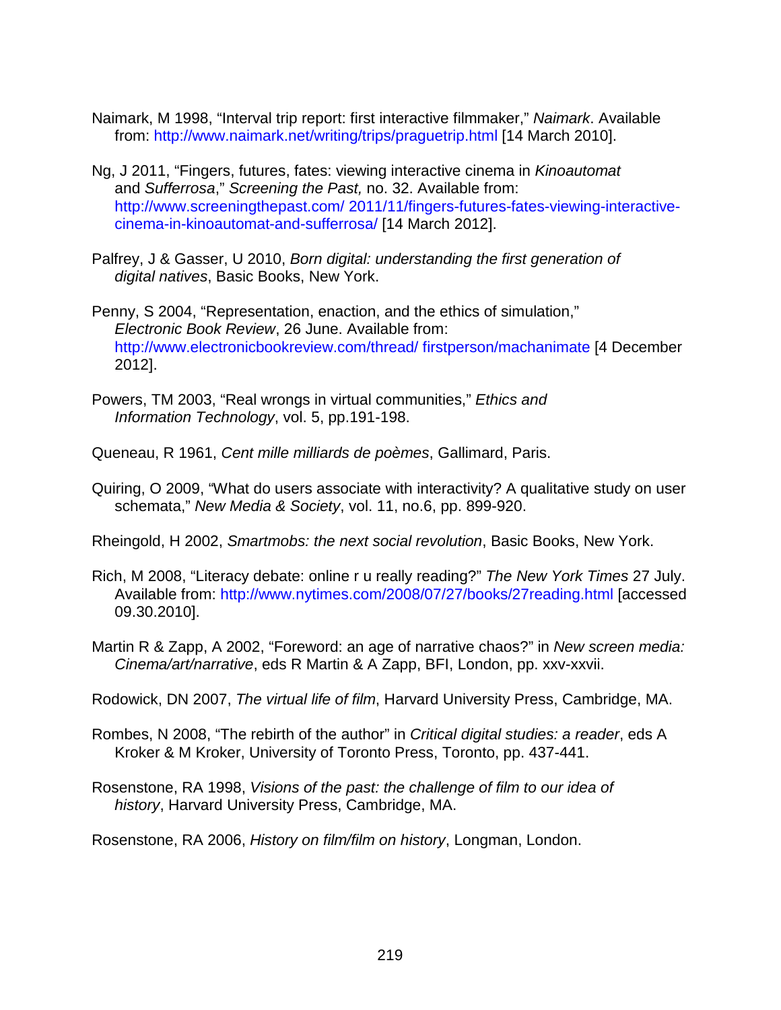- Naimark, M 1998, "Interval trip report: first interactive filmmaker," *Naimark*. Available from:<http://www.naimark.net/writing/trips/praguetrip.html> [14 March 2010].
- Ng, J 2011, "Fingers, futures, fates: viewing interactive cinema in *Kinoautomat* and *Sufferrosa*," *Screening the Past,* no. 32. Available from: [http://www.screeningthepast.com/ 2011/11/fingers-futures-fates-viewing-interactive](http://www.screeningthepast.com/%202011/11/fingers-futures-fates-viewing-interactive-cinema-in-kinoautomat-and-sufferrosa/)[cinema-in-kinoautomat-and-sufferrosa/](http://www.screeningthepast.com/%202011/11/fingers-futures-fates-viewing-interactive-cinema-in-kinoautomat-and-sufferrosa/) [14 March 2012].
- Palfrey, J & Gasser, U 2010, *Born digital: understanding the first generation of digital natives*, Basic Books, New York.
- Penny, S 2004, "Representation, enaction, and the ethics of simulation," *Electronic Book Review*, 26 June. Available from: [http://www.electronicbookreview.com/thread/ firstperson/machanimate](http://www.electronicbookreview.com/thread/%20firstperson/machanimate) [4 December 2012].
- Powers, TM 2003, "Real wrongs in virtual communities," *Ethics and Information Technology*, vol. 5, pp.191-198.
- Queneau, R 1961, *Cent mille milliards de poèmes*, Gallimard, Paris.
- Quiring, O 2009, "What do users associate with interactivity? A qualitative study on user schemata," *New Media & Society*, vol. 11, no.6, pp. 899-920.

Rheingold, H 2002, *Smartmobs: the next social revolution*, Basic Books, New York.

- Rich, M 2008, "Literacy debate: online r u really reading?" *The New York Times* 27 July. Available from:<http://www.nytimes.com/2008/07/27/books/27reading.html> [accessed 09.30.2010].
- Martin R & Zapp, A 2002, "Foreword: an age of narrative chaos?" in *New screen media: Cinema/art/narrative*, eds R Martin & A Zapp, BFI, London, pp. xxv-xxvii.

Rodowick, DN 2007, *The virtual life of film*, Harvard University Press, Cambridge, MA.

- Rombes, N 2008, "The rebirth of the author" in *Critical digital studies: a reader*, eds A Kroker & M Kroker, University of Toronto Press, Toronto, pp. 437-441.
- Rosenstone, RA 1998, *Visions of the past: the challenge of film to our idea of history*, Harvard University Press, Cambridge, MA.

Rosenstone, RA 2006, *History on film/film on history*, Longman, London.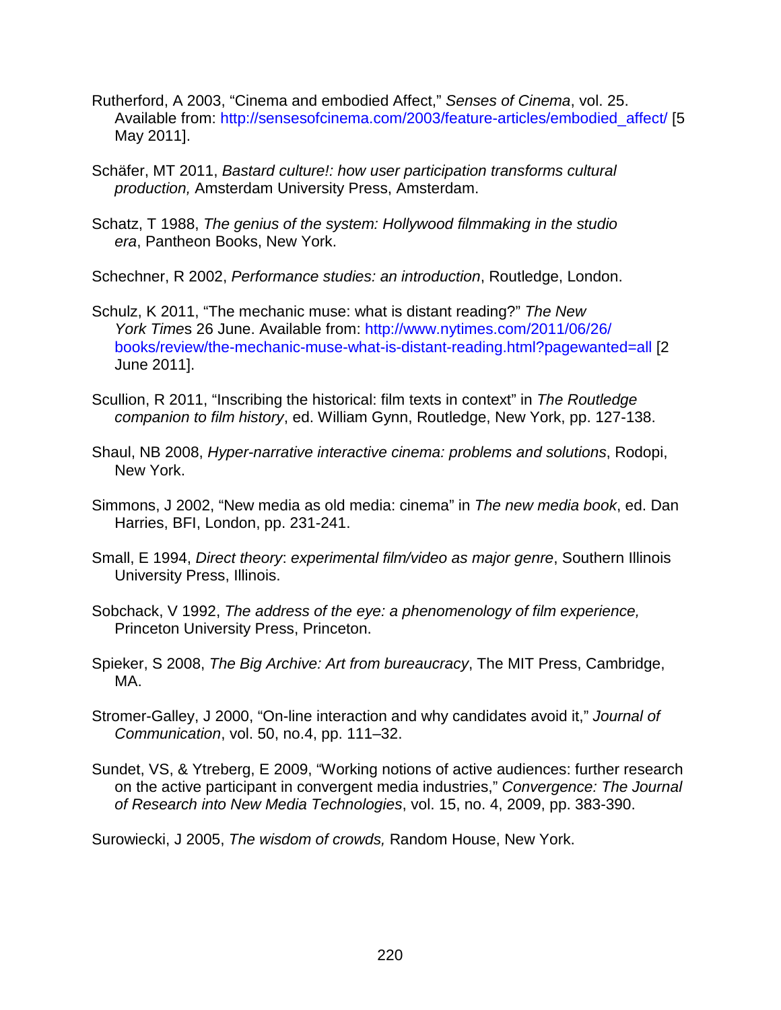- Rutherford, A 2003, "Cinema and embodied Affect," *Senses of Cinema*, vol. 25. Available from: [http://sensesofcinema.com/2003/feature-articles/embodied\\_affect/](http://sensesofcinema.com/2003/feature-articles/embodied_affect/) [5 May 2011].
- Schäfer, MT 2011, *Bastard culture!: how user participation transforms cultural production,* Amsterdam University Press, Amsterdam.
- Schatz, T 1988, *The genius of the system: Hollywood filmmaking in the studio era*, Pantheon Books, New York.
- Schechner, R 2002, *Performance studies: an introduction*, Routledge, London.
- Schulz, K 2011, "The mechanic muse: what is distant reading?" *The New York Time*s 26 June. Available from: [http://www.nytimes.com/2011/06/26/](http://www.nytimes.com/2011/06/26/%20books/review/the-mechanic-muse-what-is-distant-reading.html?pagewanted=all)  [books/review/the-mechanic-muse-what-is-distant-reading.html?pagewanted=all](http://www.nytimes.com/2011/06/26/%20books/review/the-mechanic-muse-what-is-distant-reading.html?pagewanted=all) [2 June 2011].
- Scullion, R 2011, "Inscribing the historical: film texts in context" in *The Routledge companion to film history*, ed. William Gynn, Routledge, New York, pp. 127-138.
- Shaul, NB 2008, *Hyper-narrative interactive cinema: problems and solutions*, Rodopi, New York.
- Simmons, J 2002, "New media as old media: cinema" in *The new media book*, ed. Dan Harries, BFI, London, pp. 231-241.
- Small, E 1994, *Direct theory*: *experimental film/video as major genre*, Southern Illinois University Press, Illinois.
- Sobchack, V 1992, *The address of the eye: a phenomenology of film experience,* Princeton University Press, Princeton.
- Spieker, S 2008, *The Big Archive: Art from bureaucracy*, The MIT Press, Cambridge, MA.
- Stromer-Galley, J 2000, "On-line interaction and why candidates avoid it," *Journal of Communication*, vol. 50, no.4, pp. 111–32.
- Sundet, VS, & Ytreberg, E 2009, "Working notions of active audiences: further research on the active participant in convergent media industries," *Convergence: The Journal of Research into New Media Technologies*, vol. 15, no. 4, 2009, pp. 383-390.

Surowiecki, J 2005, *The wisdom of crowds,* Random House, New York.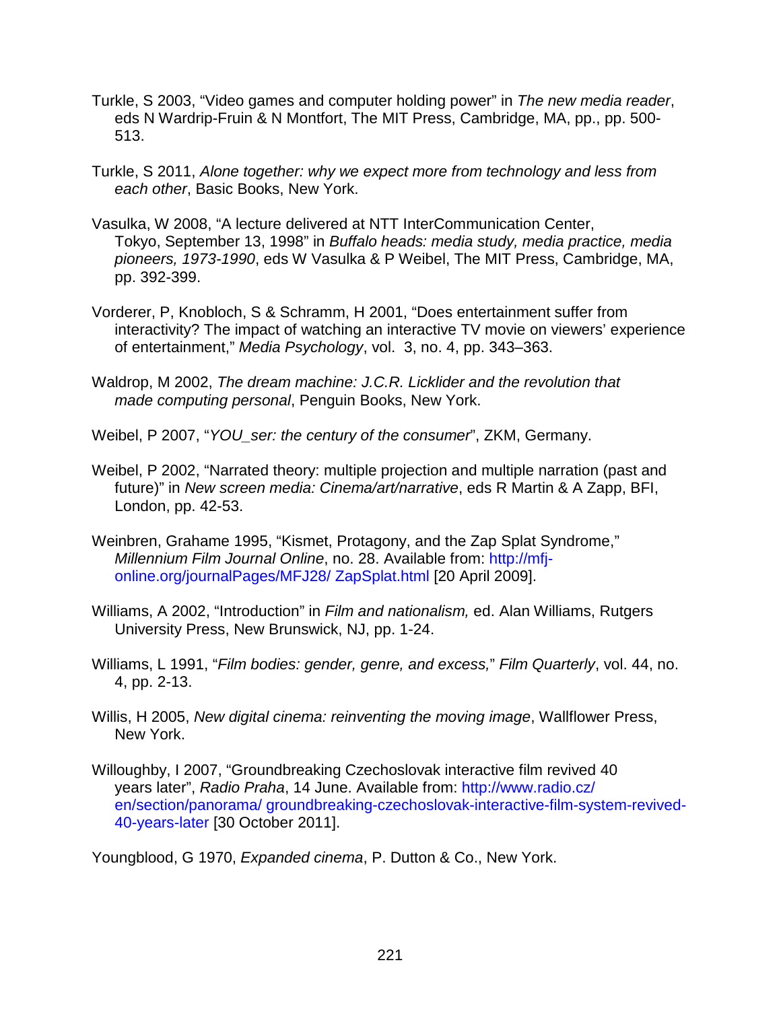- Turkle, S 2003, "Video games and computer holding power" in *The new media reader*, eds N Wardrip-Fruin & N Montfort, The MIT Press, Cambridge, MA, pp., pp. 500- 513.
- Turkle, S 2011, *Alone together: why we expect more from technology and less from each other*, Basic Books, New York.
- Vasulka, W 2008, "A lecture delivered at NTT InterCommunication Center, Tokyo, September 13, 1998" in *Buffalo heads: media study, media practice, media pioneers, 1973-1990*, eds W Vasulka & P Weibel, The MIT Press, Cambridge, MA, pp. 392-399.
- Vorderer, P, Knobloch, S & Schramm, H 2001, "Does entertainment suffer from interactivity? The impact of watching an interactive TV movie on viewers' experience of entertainment," *Media Psychology*, vol. 3, no. 4, pp. 343–363.
- Waldrop, M 2002, *The dream machine: J.C.R. Licklider and the revolution that made computing personal*, Penguin Books, New York.

Weibel, P 2007, "*YOU\_ser: the century of the consumer*", ZKM, Germany.

- Weibel, P 2002, "Narrated theory: multiple projection and multiple narration (past and future)" in *New screen media: Cinema/art/narrative*, eds R Martin & A Zapp, BFI, London, pp. 42-53.
- Weinbren, Grahame 1995, "Kismet, Protagony, and the Zap Splat Syndrome," *Millennium Film Journal Online*, no. 28. Available from: [http://mfj](http://mfj-online.org/journalPages/MFJ28/ZapSplat.html)[online.org/journalPages/MFJ28/](http://mfj-online.org/journalPages/MFJ28/ZapSplat.html) ZapSplat.html [20 April 2009].
- Williams, A 2002, "Introduction" in *Film and nationalism,* ed. Alan Williams, Rutgers University Press, New Brunswick, NJ, pp. 1-24.
- Williams, L 1991, "*Film bodies: gender, genre, and excess,*" *Film Quarterly*, vol. 44, no. 4, pp. 2-13.
- Willis, H 2005, *New digital cinema: reinventing the moving image*, Wallflower Press, New York.
- Willoughby, I 2007, "Groundbreaking Czechoslovak interactive film revived 40 years later", *Radio Praha*, 14 June. Available from: [http://www.radio.cz/](http://www.radio.cz/%20en/section/panorama/%20groundbreaking-czechoslovak-interactive-film-system-revived-40-years-later)  [en/section/panorama/ groundbreaking-czechoslovak-interactive-film-system-revived-](http://www.radio.cz/%20en/section/panorama/%20groundbreaking-czechoslovak-interactive-film-system-revived-40-years-later)[40-years-later](http://www.radio.cz/%20en/section/panorama/%20groundbreaking-czechoslovak-interactive-film-system-revived-40-years-later) [30 October 2011].

Youngblood, G 1970, *Expanded cinema*, P. Dutton & Co., New York.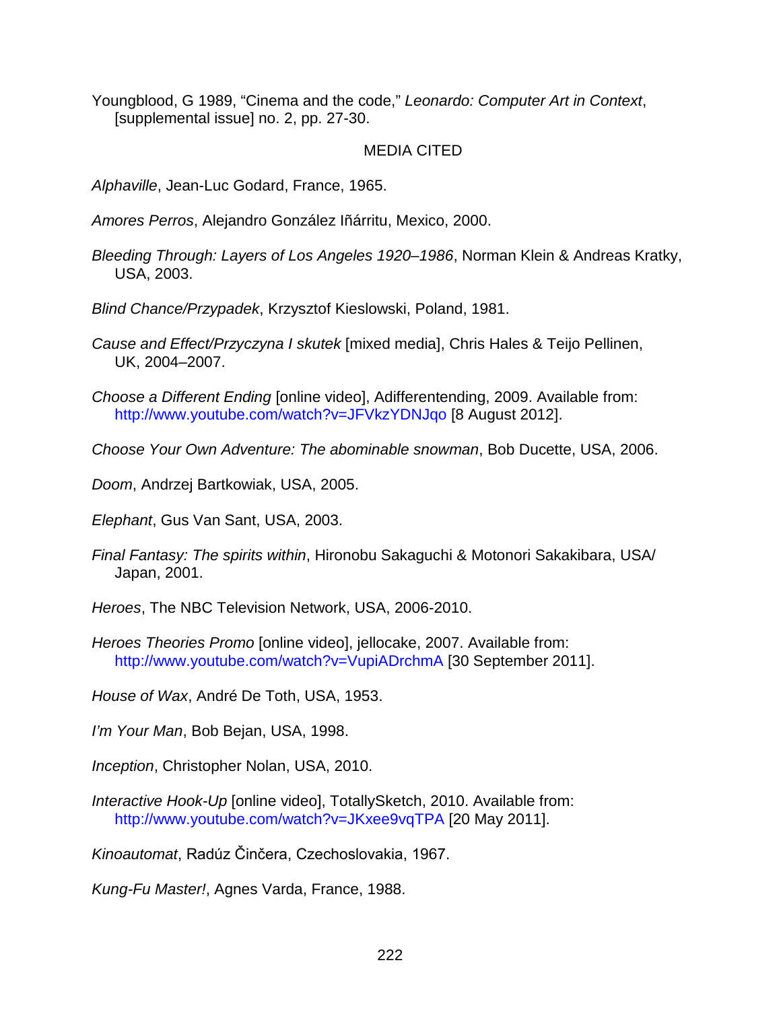Youngblood, G 1989, "Cinema and the code," *Leonardo: Computer Art in Context*, [supplemental issue] no. 2, pp. 27-30.

## MEDIA CITED

*Alphaville*, Jean-Luc Godard, France, 1965.

*Amores Perros*, Alejandro González Iñárritu, Mexico, 2000.

*Bleeding Through: Layers of Los Angeles 1920–1986*, Norman Klein & Andreas Kratky, USA, 2003.

*Blind Chance/Przypadek*, Krzysztof Kieslowski, Poland, 1981.

*Cause and Effect/Przyczyna I skutek* [mixed media], Chris Hales & Teijo Pellinen, UK, 2004–2007.

*Choose a Different Ending* [online video], Adifferentending, 2009. Available from: <http://www.youtube.com/watch?v=JFVkzYDNJqo> [8 August 2012].

*Choose Your Own Adventure: The abominable snowman*, Bob Ducette, USA, 2006.

*Doom*, Andrzej Bartkowiak, USA, 2005.

*Elephant*, Gus Van Sant, USA, 2003.

*Final Fantasy: The spirits within*, Hironobu Sakaguchi & Motonori Sakakibara, USA/ Japan, 2001.

*Heroes*, The NBC Television Network, USA, 2006-2010.

*Heroes Theories Promo* [online video], jellocake, 2007. Available from: <http://www.youtube.com/watch?v=VupiADrchmA> [30 September 2011].

*House of Wax*, André De Toth, USA, 1953.

*I'm Your Man*, Bob Bejan, USA, 1998.

*Inception*, Christopher Nolan, USA, 2010.

*Interactive Hook-Up* [online video], TotallySketch, 2010. Available from: <http://www.youtube.com/watch?v=JKxee9vqTPA> [20 May 2011].

*Kinoautomat*, Radúz Činčera, Czechoslovakia, 1967.

*Kung-Fu Master!*, Agnes Varda, France, 1988.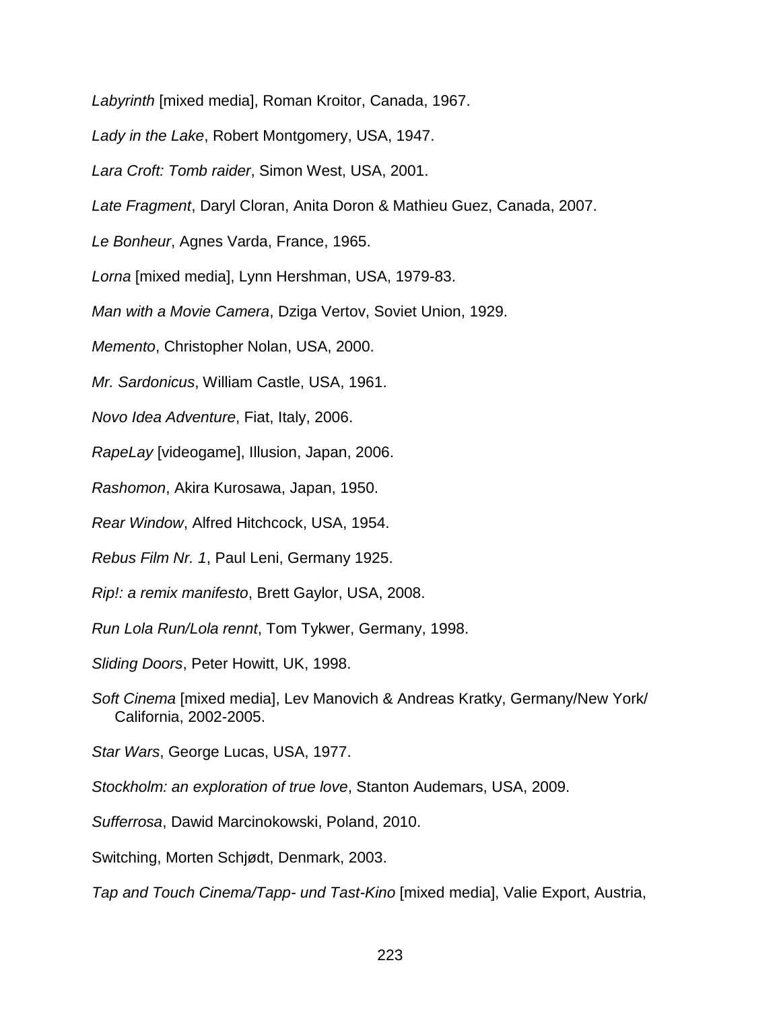*Labyrinth* [mixed media], Roman Kroitor, Canada, 1967.

*Lady in the Lake*, Robert Montgomery, USA, 1947.

*Lara Croft: Tomb raider*, Simon West, USA, 2001.

*Late Fragment*, Daryl Cloran, Anita Doron & Mathieu Guez, Canada, 2007.

*Le Bonheur*, Agnes Varda, France, 1965.

*Lorna* [mixed media], Lynn Hershman, USA, 1979-83.

*Man with a Movie Camera*, Dziga Vertov, Soviet Union, 1929.

*Memento*, Christopher Nolan, USA, 2000.

*Mr. Sardonicus*, William Castle, USA, 1961.

*Novo Idea Adventure*, Fiat, Italy, 2006.

*RapeLay* [videogame], Illusion, Japan, 2006.

*Rashomon*, Akira Kurosawa, Japan, 1950.

*Rear Window*, Alfred Hitchcock, USA, 1954.

*Rebus Film Nr. 1*, Paul Leni, Germany 1925.

*Rip!: a remix manifesto*, Brett Gaylor, USA, 2008.

*Run Lola Run/Lola rennt*, Tom Tykwer, Germany, 1998.

*Sliding Doors*, Peter Howitt, UK, 1998.

*Soft Cinema* [mixed media], Lev Manovich & Andreas Kratky, Germany/New York/ California, 2002-2005.

*Star Wars*, George Lucas, USA, 1977.

*Stockholm: an exploration of true love*, Stanton Audemars, USA, 2009.

*Sufferrosa*, Dawid Marcinokowski, Poland, 2010.

Switching, Morten Schjødt, Denmark, 2003.

*Tap and Touch Cinema/Tapp- und Tast-Kino* [mixed media], Valie Export, Austria,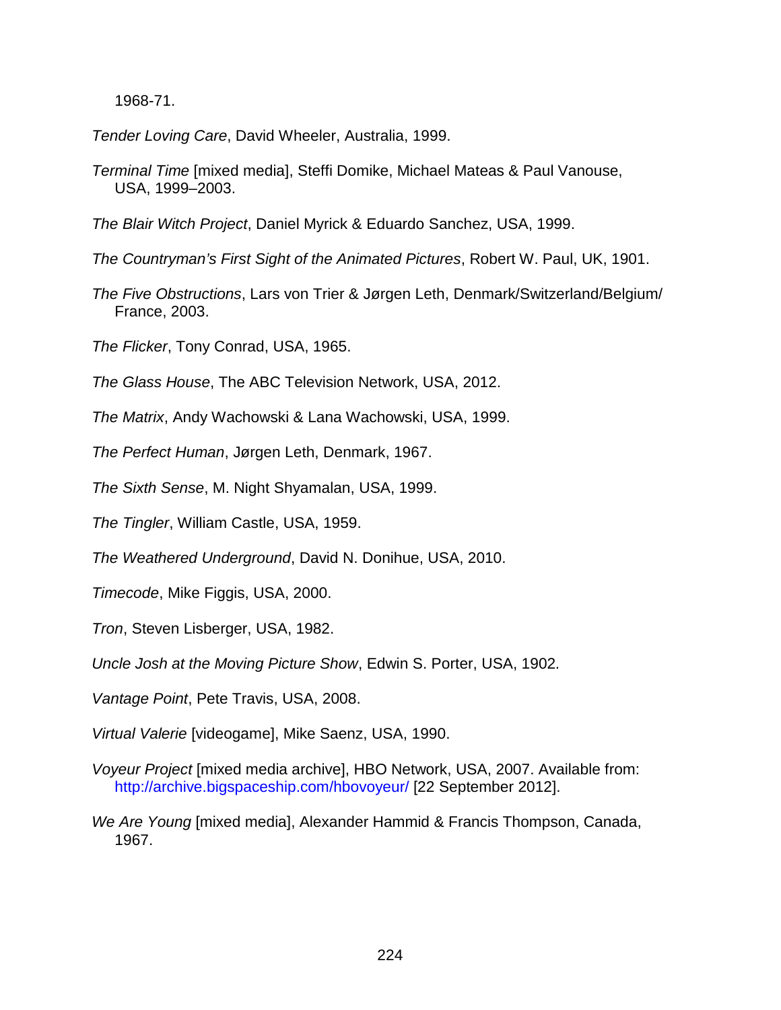1968-71.

*Tender Loving Care*, David Wheeler, Australia, 1999.

*Terminal Time* [mixed media], Steffi Domike, Michael Mateas & Paul Vanouse, USA, 1999–2003.

*The Blair Witch Project*, Daniel Myrick & Eduardo Sanchez, USA, 1999.

*The Countryman's First Sight of the Animated Pictures*, Robert W. Paul, UK, 1901.

*The Five Obstructions*, Lars von Trier & Jørgen Leth, Denmark/Switzerland/Belgium/ France, 2003.

*The Flicker*, Tony Conrad, USA, 1965.

*The Glass House*, The ABC Television Network, USA, 2012.

*The Matrix*, Andy Wachowski & Lana Wachowski, USA, 1999.

*The Perfect Human*, Jørgen Leth, Denmark, 1967.

*The Sixth Sense*, M. Night Shyamalan, USA, 1999.

*The Tingler*, William Castle, USA, 1959.

*The Weathered Underground*, David N. Donihue, USA, 2010.

*Timecode*, Mike Figgis, USA, 2000.

*Tron*, Steven Lisberger, USA, 1982.

*Uncle Josh at the Moving Picture Show*, Edwin S. Porter, USA, 1902.

*Vantage Point*, Pete Travis, USA, 2008.

*Virtual Valerie* [videogame], Mike Saenz, USA, 1990.

- *Voyeur Project* [mixed media archive], HBO Network, USA, 2007. Available from: <http://archive.bigspaceship.com/hbovoyeur/> [22 September 2012].
- *We Are Young* [mixed media], Alexander Hammid & Francis Thompson, Canada, 1967.